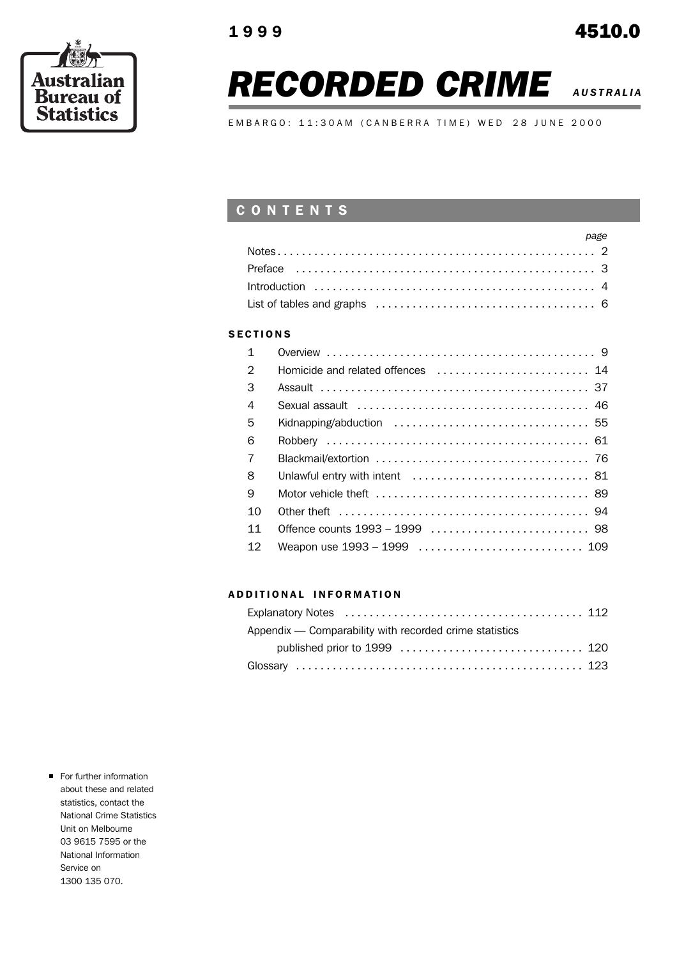

# **RECORDED CRIME** *AUSTRALIA***</del>**

EMBARGO: 11:30AM (CANBERRA TIME) WED 28 JUNE 2000

### C O N T E N T S

| <b>Example 2</b> <i>page</i> |  |
|------------------------------|--|
|                              |  |
|                              |  |
|                              |  |
|                              |  |

### **SECTIONS**

| $\mathbf{1}$   |                                   |
|----------------|-----------------------------------|
| $\mathcal{P}$  | Homicide and related offences  14 |
| 3              |                                   |
| 4              |                                   |
| 5              |                                   |
| 6              |                                   |
| $\overline{7}$ |                                   |
| 8              |                                   |
| 9              |                                   |
| 10             |                                   |
| 11             |                                   |
| 12             | Weapon use 1993 - 1999  109       |

### A D D I T I O N A L I N F O R M A T I O N

| Appendix — Comparability with recorded crime statistics |  |
|---------------------------------------------------------|--|
|                                                         |  |
|                                                         |  |

**For further information** about these and related statistics, contact the National Crime Statistics Unit on Melbourne 03 9615 7595 or the National Information Service on 1300 135 070.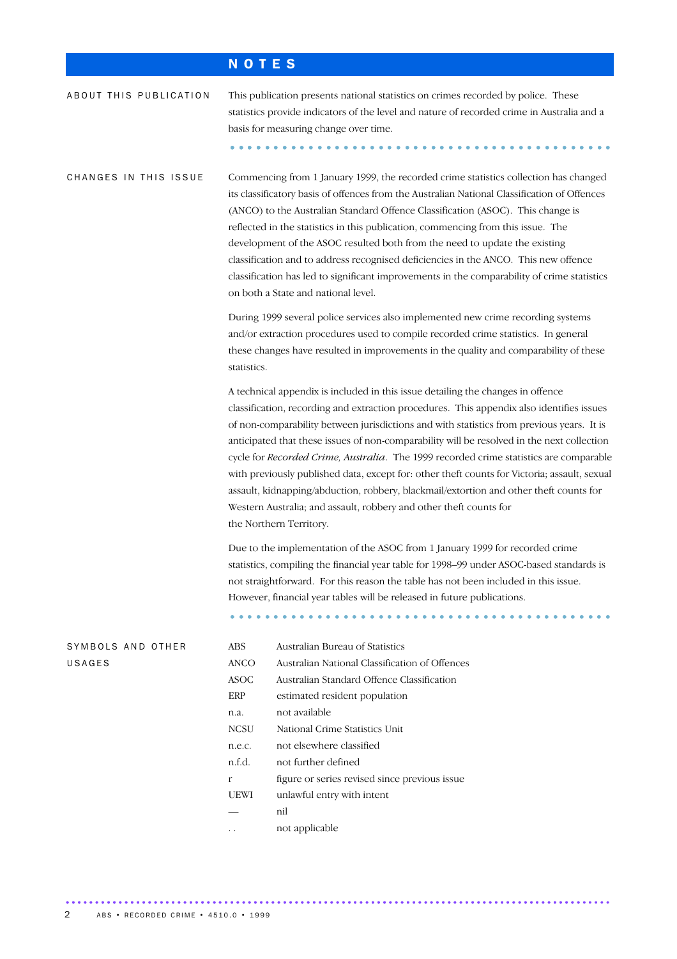## N O T E S

| ABOUT THIS PUBLICATION      | This publication presents national statistics on crimes recorded by police. These<br>statistics provide indicators of the level and nature of recorded crime in Australia and a<br>basis for measuring change over time.                                                                                                                                                                                                                                                                                                                                                                                                                                                                                                                                     |                |  |  |  |  |  |  |
|-----------------------------|--------------------------------------------------------------------------------------------------------------------------------------------------------------------------------------------------------------------------------------------------------------------------------------------------------------------------------------------------------------------------------------------------------------------------------------------------------------------------------------------------------------------------------------------------------------------------------------------------------------------------------------------------------------------------------------------------------------------------------------------------------------|----------------|--|--|--|--|--|--|
| CHANGES IN THIS ISSUE       | Commencing from 1 January 1999, the recorded crime statistics collection has changed<br>its classificatory basis of offences from the Australian National Classification of Offences<br>(ANCO) to the Australian Standard Offence Classification (ASOC). This change is<br>reflected in the statistics in this publication, commencing from this issue. The<br>development of the ASOC resulted both from the need to update the existing<br>classification and to address recognised deficiencies in the ANCO. This new offence<br>classification has led to significant improvements in the comparability of crime statistics<br>on both a State and national level.                                                                                       |                |  |  |  |  |  |  |
|                             | During 1999 several police services also implemented new crime recording systems<br>and/or extraction procedures used to compile recorded crime statistics. In general<br>these changes have resulted in improvements in the quality and comparability of these<br>statistics.                                                                                                                                                                                                                                                                                                                                                                                                                                                                               |                |  |  |  |  |  |  |
|                             | A technical appendix is included in this issue detailing the changes in offence<br>classification, recording and extraction procedures. This appendix also identifies issues<br>of non-comparability between jurisdictions and with statistics from previous years. It is<br>anticipated that these issues of non-comparability will be resolved in the next collection<br>cycle for Recorded Crime, Australia. The 1999 recorded crime statistics are comparable<br>with previously published data, except for: other theft counts for Victoria; assault, sexual<br>assault, kidnapping/abduction, robbery, blackmail/extortion and other theft counts for<br>Western Australia; and assault, robbery and other theft counts for<br>the Northern Territory. |                |  |  |  |  |  |  |
|                             | Due to the implementation of the ASOC from 1 January 1999 for recorded crime<br>statistics, compiling the financial year table for 1998-99 under ASOC-based standards is<br>not straightforward. For this reason the table has not been included in this issue.<br>However, financial year tables will be released in future publications.                                                                                                                                                                                                                                                                                                                                                                                                                   |                |  |  |  |  |  |  |
| SYMBOLS AND OTHER<br>USAGES | Australian Bureau of Statistics<br>ABS<br>Australian National Classification of Offences<br><b>ANCO</b><br>Australian Standard Offence Classification<br>ASOC<br>ERP<br>estimated resident population<br>not available<br>n.a.<br><b>NCSU</b><br>National Crime Statistics Unit<br>not elsewhere classified<br>n.e.c.<br>n.f.d.<br>not further defined<br>figure or series revised since previous issue<br>r<br><b>UEWI</b><br>unlawful entry with intent<br>nil                                                                                                                                                                                                                                                                                             |                |  |  |  |  |  |  |
|                             |                                                                                                                                                                                                                                                                                                                                                                                                                                                                                                                                                                                                                                                                                                                                                              | not applicable |  |  |  |  |  |  |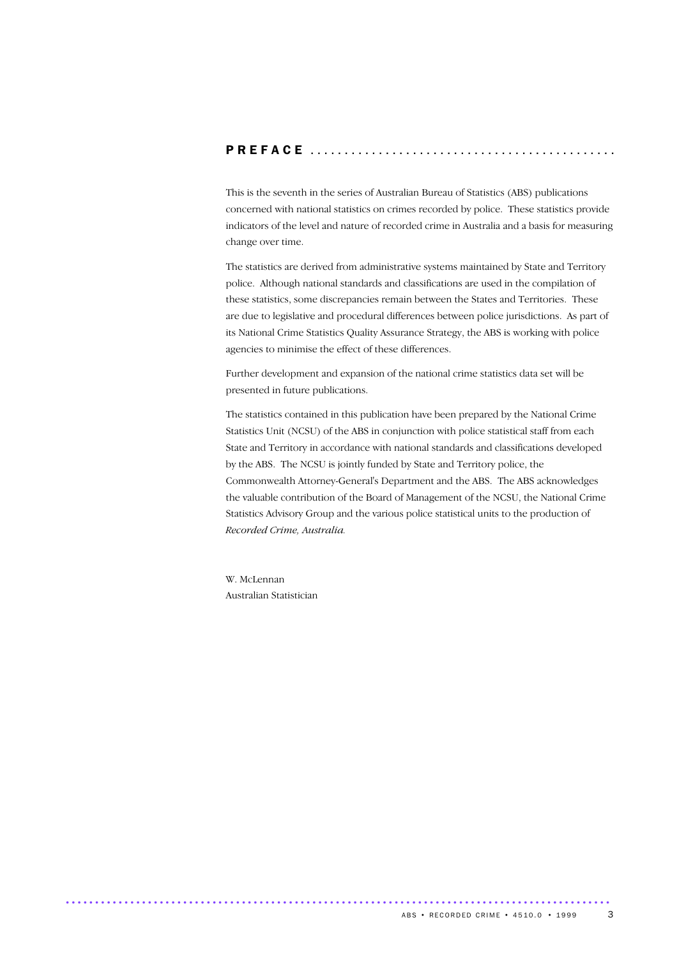### P R E F A C E .............................................

This is the seventh in the series of Australian Bureau of Statistics (ABS) publications concerned with national statistics on crimes recorded by police. These statistics provide indicators of the level and nature of recorded crime in Australia and a basis for measuring change over time.

The statistics are derived from administrative systems maintained by State and Territory police. Although national standards and classifications are used in the compilation of these statistics, some discrepancies remain between the States and Territories. These are due to legislative and procedural differences between police jurisdictions. As part of its National Crime Statistics Quality Assurance Strategy, the ABS is working with police agencies to minimise the effect of these differences.

Further development and expansion of the national crime statistics data set will be presented in future publications.

The statistics contained in this publication have been prepared by the National Crime Statistics Unit (NCSU) of the ABS in conjunction with police statistical staff from each State and Territory in accordance with national standards and classifications developed by the ABS. The NCSU is jointly funded by State and Territory police, the Commonwealth Attorney-General's Department and the ABS. The ABS acknowledges the valuable contribution of the Board of Management of the NCSU, the National Crime Statistics Advisory Group and the various police statistical units to the production of *Recorded Crime, Australia.*

W. McLennan Australian Statistician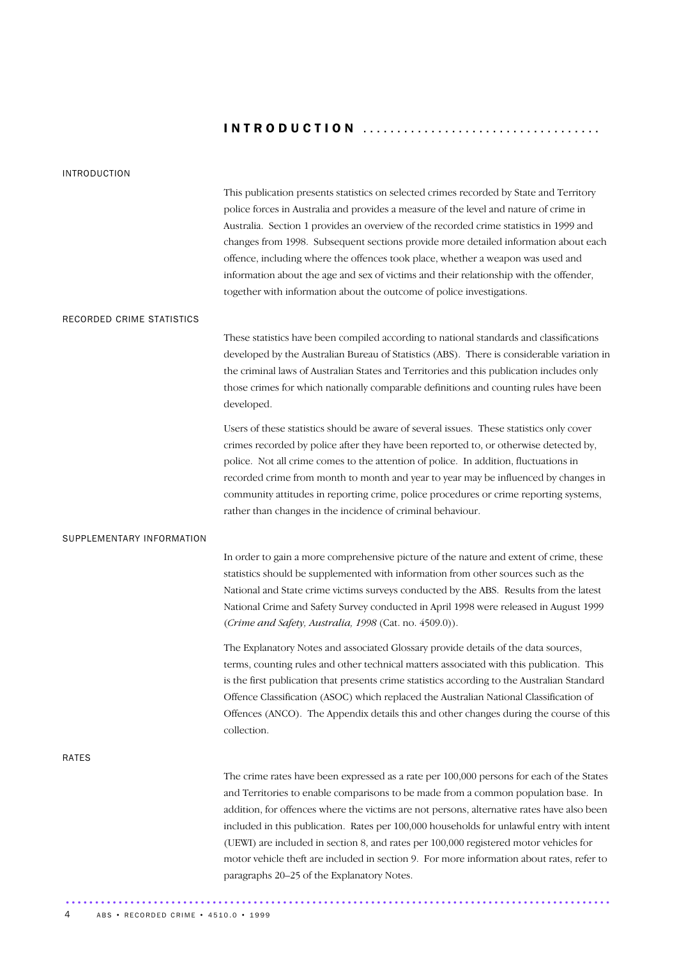### INTRODUCTION ...................................

### INTRODUCTION

This publication presents statistics on selected crimes recorded by State and Territory police forces in Australia and provides a measure of the level and nature of crime in Australia. Section 1 provides an overview of the recorded crime statistics in 1999 and changes from 1998. Subsequent sections provide more detailed information about each offence, including where the offences took place, whether a weapon was used and information about the age and sex of victims and their relationship with the offender, together with information about the outcome of police investigations.

### RECORDED CRIME STATISTICS

These statistics have been compiled according to national standards and classifications developed by the Australian Bureau of Statistics (ABS). There is considerable variation in the criminal laws of Australian States and Territories and this publication includes only those crimes for which nationally comparable definitions and counting rules have been developed.

Users of these statistics should be aware of several issues. These statistics only cover crimes recorded by police after they have been reported to, or otherwise detected by, police. Not all crime comes to the attention of police. In addition, fluctuations in recorded crime from month to month and year to year may be influenced by changes in community attitudes in reporting crime, police procedures or crime reporting systems, rather than changes in the incidence of criminal behaviour.

### SUPPLEMENTARY INFORMATION

In order to gain a more comprehensive picture of the nature and extent of crime, these statistics should be supplemented with information from other sources such as the National and State crime victims surveys conducted by the ABS. Results from the latest National Crime and Safety Survey conducted in April 1998 were released in August 1999 (*Crime and Safety, Australia, 1998* (Cat. no. 4509.0)).

The Explanatory Notes and associated Glossary provide details of the data sources, terms, counting rules and other technical matters associated with this publication. This is the first publication that presents crime statistics according to the Australian Standard Offence Classification (ASOC) which replaced the Australian National Classification of Offences (ANCO). The Appendix details this and other changes during the course of this collection.

RATES

The crime rates have been expressed as a rate per 100,000 persons for each of the States and Territories to enable comparisons to be made from a common population base. In addition, for offences where the victims are not persons, alternative rates have also been included in this publication. Rates per 100,000 households for unlawful entry with intent (UEWI) are included in section 8, and rates per 100,000 registered motor vehicles for motor vehicle theft are included in section 9. For more information about rates, refer to paragraphs 20–25 of the Explanatory Notes.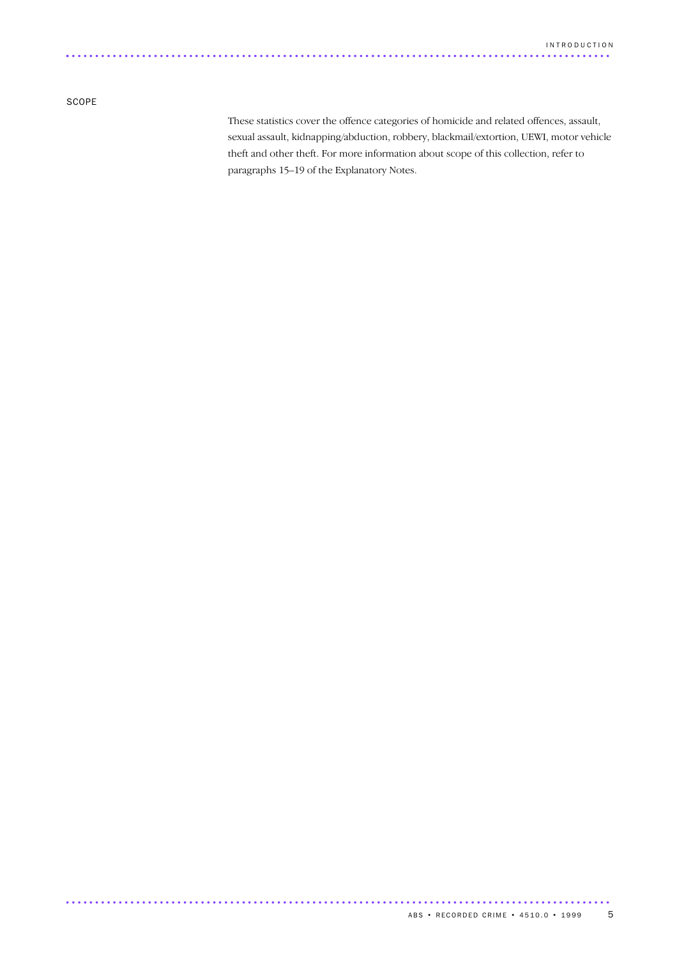SCOPE

These statistics cover the offence categories of homicide and related offences, assault, sexual assault, kidnapping/abduction, robbery, blackmail/extortion, UEWI, motor vehicle theft and other theft. For more information about scope of this collection, refer to paragraphs 15–19 of the Explanatory Notes.

.............................................................................................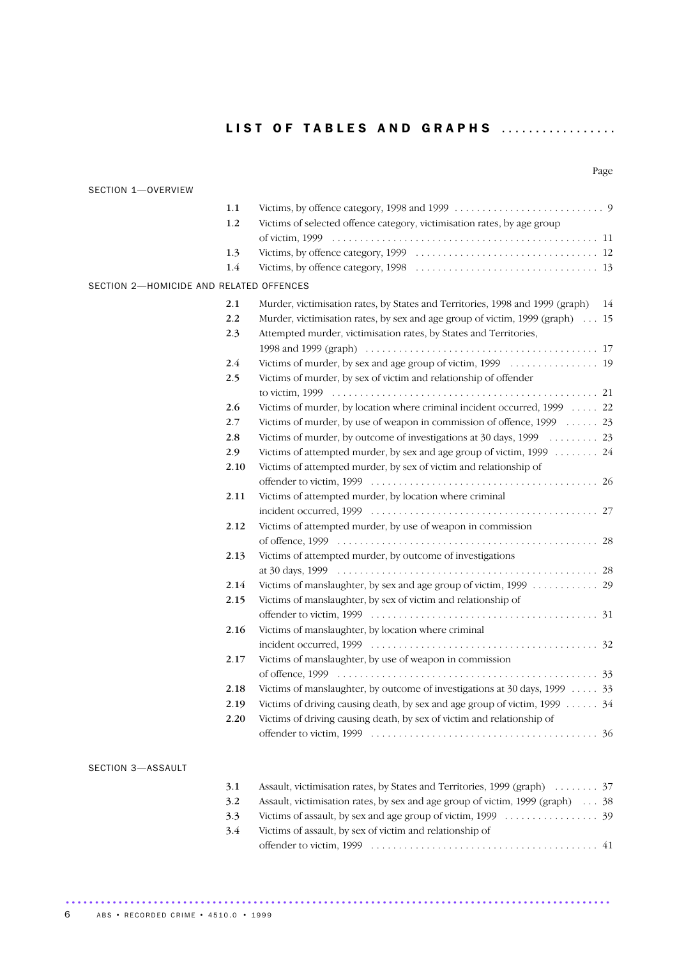|--|

| SECTION 1-OVERVIEW                      |         |                                                                                  |
|-----------------------------------------|---------|----------------------------------------------------------------------------------|
|                                         | $1.1\,$ |                                                                                  |
|                                         | 1.2     | Victims of selected offence category, victimisation rates, by age group          |
|                                         |         |                                                                                  |
|                                         | 1.3     |                                                                                  |
|                                         | $1.4\,$ |                                                                                  |
| SECTION 2-HOMICIDE AND RELATED OFFENCES |         |                                                                                  |
|                                         | 2.1     | Murder, victimisation rates, by States and Territories, 1998 and 1999 (graph) 14 |
|                                         | 2.2     | Murder, victimisation rates, by sex and age group of victim, 1999 (graph) 15     |
|                                         | 2.3     | Attempted murder, victimisation rates, by States and Territories,                |
|                                         |         |                                                                                  |
|                                         | 2.4     |                                                                                  |
|                                         | 2.5     | Victims of murder, by sex of victim and relationship of offender                 |
|                                         |         |                                                                                  |
|                                         | 2.6     | Victims of murder, by location where criminal incident occurred, 1999  22        |
|                                         | 2.7     | Victims of murder, by use of weapon in commission of offence, 1999  23           |
|                                         | 2.8     |                                                                                  |
|                                         | 2.9     | Victims of attempted murder, by sex and age group of victim, 1999 24             |
|                                         | 2.10    | Victims of attempted murder, by sex of victim and relationship of                |
|                                         |         |                                                                                  |
|                                         | 2.11    | Victims of attempted murder, by location where criminal                          |
|                                         |         |                                                                                  |
|                                         | 2.12    | Victims of attempted murder, by use of weapon in commission                      |
|                                         | 2.13    |                                                                                  |
|                                         |         | Victims of attempted murder, by outcome of investigations                        |
|                                         | 2.14    | Victims of manslaughter, by sex and age group of victim, 1999 29                 |
|                                         | 2.15    | Victims of manslaughter, by sex of victim and relationship of                    |
|                                         |         |                                                                                  |
|                                         | 2.16    | Victims of manslaughter, by location where criminal                              |
|                                         |         |                                                                                  |
|                                         | 2.17    | Victims of manslaughter, by use of weapon in commission                          |
|                                         |         |                                                                                  |
|                                         | 2.18    | Victims of manslaughter, by outcome of investigations at 30 days, 1999  33       |
|                                         | 2.19    | Victims of driving causing death, by sex and age group of victim, 1999 34        |
|                                         | 2.20    | Victims of driving causing death, by sex of victim and relationship of           |
|                                         |         |                                                                                  |
| SECTION 3-ASSAULT                       |         |                                                                                  |
|                                         | 3.1     | Assault, victimisation rates, by States and Territories, 1999 (graph)  37        |
|                                         | 3.2     | Assault, victimisation rates, by sex and age group of victim, 1999 (graph) 38    |
|                                         | 3.3     |                                                                                  |

3.4 Victims of assault, by sex of victim and relationship of offender to victim, 1999 . . . . . . . . . . . . . . . . . . . . . . . . . . . . . . . . . . . . . . . . . 41

.............................................................................................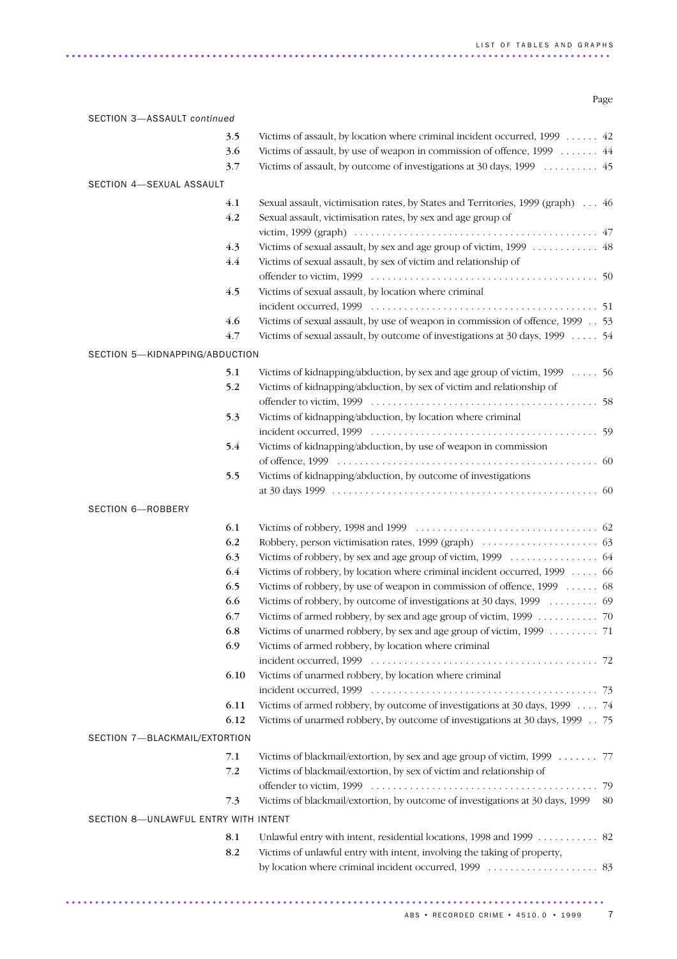Page

| 3.5<br>3.6<br>3.7<br>SECTION 4-SEXUAL ASSAULT<br>4.1<br>4.2<br>4.3<br>4.4<br>4.5<br>4.6<br>4.7<br>SECTION 5-KIDNAPPING/ABDUCTION<br>5.1<br>5.2 | Victims of assault, by location where criminal incident occurred, 1999 42<br>Victims of assault, by use of weapon in commission of offence, 1999 44<br>Victims of assault, by outcome of investigations at 30 days, 1999  45<br>Sexual assault, victimisation rates, by States and Territories, 1999 (graph)  46<br>Sexual assault, victimisation rates, by sex and age group of<br>Victims of sexual assault, by sex and age group of victim, 1999 48<br>Victims of sexual assault, by sex of victim and relationship of<br>Victims of sexual assault, by location where criminal<br>Victims of sexual assault, by use of weapon in commission of offence, 1999 53<br>Victims of sexual assault, by outcome of investigations at 30 days, 1999  54<br>Victims of kidnapping/abduction, by sex and age group of victim, 1999 56<br>Victims of kidnapping/abduction, by sex of victim and relationship of |
|------------------------------------------------------------------------------------------------------------------------------------------------|----------------------------------------------------------------------------------------------------------------------------------------------------------------------------------------------------------------------------------------------------------------------------------------------------------------------------------------------------------------------------------------------------------------------------------------------------------------------------------------------------------------------------------------------------------------------------------------------------------------------------------------------------------------------------------------------------------------------------------------------------------------------------------------------------------------------------------------------------------------------------------------------------------|
|                                                                                                                                                |                                                                                                                                                                                                                                                                                                                                                                                                                                                                                                                                                                                                                                                                                                                                                                                                                                                                                                          |
|                                                                                                                                                |                                                                                                                                                                                                                                                                                                                                                                                                                                                                                                                                                                                                                                                                                                                                                                                                                                                                                                          |
|                                                                                                                                                |                                                                                                                                                                                                                                                                                                                                                                                                                                                                                                                                                                                                                                                                                                                                                                                                                                                                                                          |
|                                                                                                                                                |                                                                                                                                                                                                                                                                                                                                                                                                                                                                                                                                                                                                                                                                                                                                                                                                                                                                                                          |
|                                                                                                                                                |                                                                                                                                                                                                                                                                                                                                                                                                                                                                                                                                                                                                                                                                                                                                                                                                                                                                                                          |
|                                                                                                                                                |                                                                                                                                                                                                                                                                                                                                                                                                                                                                                                                                                                                                                                                                                                                                                                                                                                                                                                          |
|                                                                                                                                                |                                                                                                                                                                                                                                                                                                                                                                                                                                                                                                                                                                                                                                                                                                                                                                                                                                                                                                          |
|                                                                                                                                                |                                                                                                                                                                                                                                                                                                                                                                                                                                                                                                                                                                                                                                                                                                                                                                                                                                                                                                          |
|                                                                                                                                                |                                                                                                                                                                                                                                                                                                                                                                                                                                                                                                                                                                                                                                                                                                                                                                                                                                                                                                          |
|                                                                                                                                                |                                                                                                                                                                                                                                                                                                                                                                                                                                                                                                                                                                                                                                                                                                                                                                                                                                                                                                          |
|                                                                                                                                                |                                                                                                                                                                                                                                                                                                                                                                                                                                                                                                                                                                                                                                                                                                                                                                                                                                                                                                          |
|                                                                                                                                                |                                                                                                                                                                                                                                                                                                                                                                                                                                                                                                                                                                                                                                                                                                                                                                                                                                                                                                          |
|                                                                                                                                                |                                                                                                                                                                                                                                                                                                                                                                                                                                                                                                                                                                                                                                                                                                                                                                                                                                                                                                          |
|                                                                                                                                                |                                                                                                                                                                                                                                                                                                                                                                                                                                                                                                                                                                                                                                                                                                                                                                                                                                                                                                          |
|                                                                                                                                                |                                                                                                                                                                                                                                                                                                                                                                                                                                                                                                                                                                                                                                                                                                                                                                                                                                                                                                          |
|                                                                                                                                                |                                                                                                                                                                                                                                                                                                                                                                                                                                                                                                                                                                                                                                                                                                                                                                                                                                                                                                          |
|                                                                                                                                                |                                                                                                                                                                                                                                                                                                                                                                                                                                                                                                                                                                                                                                                                                                                                                                                                                                                                                                          |
|                                                                                                                                                |                                                                                                                                                                                                                                                                                                                                                                                                                                                                                                                                                                                                                                                                                                                                                                                                                                                                                                          |
| 5.3                                                                                                                                            | Victims of kidnapping/abduction, by location where criminal                                                                                                                                                                                                                                                                                                                                                                                                                                                                                                                                                                                                                                                                                                                                                                                                                                              |
|                                                                                                                                                |                                                                                                                                                                                                                                                                                                                                                                                                                                                                                                                                                                                                                                                                                                                                                                                                                                                                                                          |
| 5.4                                                                                                                                            | Victims of kidnapping/abduction, by use of weapon in commission                                                                                                                                                                                                                                                                                                                                                                                                                                                                                                                                                                                                                                                                                                                                                                                                                                          |
|                                                                                                                                                |                                                                                                                                                                                                                                                                                                                                                                                                                                                                                                                                                                                                                                                                                                                                                                                                                                                                                                          |
| 5.5                                                                                                                                            | Victims of kidnapping/abduction, by outcome of investigations                                                                                                                                                                                                                                                                                                                                                                                                                                                                                                                                                                                                                                                                                                                                                                                                                                            |
|                                                                                                                                                |                                                                                                                                                                                                                                                                                                                                                                                                                                                                                                                                                                                                                                                                                                                                                                                                                                                                                                          |
|                                                                                                                                                |                                                                                                                                                                                                                                                                                                                                                                                                                                                                                                                                                                                                                                                                                                                                                                                                                                                                                                          |
| 6.1                                                                                                                                            |                                                                                                                                                                                                                                                                                                                                                                                                                                                                                                                                                                                                                                                                                                                                                                                                                                                                                                          |
| 6.2                                                                                                                                            |                                                                                                                                                                                                                                                                                                                                                                                                                                                                                                                                                                                                                                                                                                                                                                                                                                                                                                          |
| 6.3                                                                                                                                            |                                                                                                                                                                                                                                                                                                                                                                                                                                                                                                                                                                                                                                                                                                                                                                                                                                                                                                          |
| 6.4                                                                                                                                            | Victims of robbery, by location where criminal incident occurred, 1999  66                                                                                                                                                                                                                                                                                                                                                                                                                                                                                                                                                                                                                                                                                                                                                                                                                               |
| 6.5                                                                                                                                            | Victims of robbery, by use of weapon in commission of offence, 1999  68                                                                                                                                                                                                                                                                                                                                                                                                                                                                                                                                                                                                                                                                                                                                                                                                                                  |
| 6.6                                                                                                                                            | Victims of robbery, by outcome of investigations at 30 days, 1999 69                                                                                                                                                                                                                                                                                                                                                                                                                                                                                                                                                                                                                                                                                                                                                                                                                                     |
| 6.7                                                                                                                                            | Victims of armed robbery, by sex and age group of victim, 1999 70                                                                                                                                                                                                                                                                                                                                                                                                                                                                                                                                                                                                                                                                                                                                                                                                                                        |
| 6.8                                                                                                                                            | Victims of unarmed robbery, by sex and age group of victim, 1999 71                                                                                                                                                                                                                                                                                                                                                                                                                                                                                                                                                                                                                                                                                                                                                                                                                                      |
| 6.9                                                                                                                                            | Victims of armed robbery, by location where criminal                                                                                                                                                                                                                                                                                                                                                                                                                                                                                                                                                                                                                                                                                                                                                                                                                                                     |
|                                                                                                                                                |                                                                                                                                                                                                                                                                                                                                                                                                                                                                                                                                                                                                                                                                                                                                                                                                                                                                                                          |
| 6.10                                                                                                                                           | Victims of unarmed robbery, by location where criminal                                                                                                                                                                                                                                                                                                                                                                                                                                                                                                                                                                                                                                                                                                                                                                                                                                                   |
|                                                                                                                                                |                                                                                                                                                                                                                                                                                                                                                                                                                                                                                                                                                                                                                                                                                                                                                                                                                                                                                                          |
| 6.11                                                                                                                                           | Victims of armed robbery, by outcome of investigations at 30 days, 1999  74                                                                                                                                                                                                                                                                                                                                                                                                                                                                                                                                                                                                                                                                                                                                                                                                                              |
| 6.12                                                                                                                                           | Victims of unarmed robbery, by outcome of investigations at 30 days, 1999 75                                                                                                                                                                                                                                                                                                                                                                                                                                                                                                                                                                                                                                                                                                                                                                                                                             |
|                                                                                                                                                |                                                                                                                                                                                                                                                                                                                                                                                                                                                                                                                                                                                                                                                                                                                                                                                                                                                                                                          |
| 7.1                                                                                                                                            | Victims of blackmail/extortion, by sex and age group of victim, 1999 77                                                                                                                                                                                                                                                                                                                                                                                                                                                                                                                                                                                                                                                                                                                                                                                                                                  |
| 7.2                                                                                                                                            | Victims of blackmail/extortion, by sex of victim and relationship of                                                                                                                                                                                                                                                                                                                                                                                                                                                                                                                                                                                                                                                                                                                                                                                                                                     |
|                                                                                                                                                |                                                                                                                                                                                                                                                                                                                                                                                                                                                                                                                                                                                                                                                                                                                                                                                                                                                                                                          |
| 7.3                                                                                                                                            | Victims of blackmail/extortion, by outcome of investigations at 30 days, 1999<br>80                                                                                                                                                                                                                                                                                                                                                                                                                                                                                                                                                                                                                                                                                                                                                                                                                      |
| SECTION 8-UNLAWFUL ENTRY WITH INTENT                                                                                                           |                                                                                                                                                                                                                                                                                                                                                                                                                                                                                                                                                                                                                                                                                                                                                                                                                                                                                                          |
| 8.1                                                                                                                                            | Unlawful entry with intent, residential locations, 1998 and 1999 82                                                                                                                                                                                                                                                                                                                                                                                                                                                                                                                                                                                                                                                                                                                                                                                                                                      |
| 8.2                                                                                                                                            | Victims of unlawful entry with intent, involving the taking of property,                                                                                                                                                                                                                                                                                                                                                                                                                                                                                                                                                                                                                                                                                                                                                                                                                                 |
|                                                                                                                                                |                                                                                                                                                                                                                                                                                                                                                                                                                                                                                                                                                                                                                                                                                                                                                                                                                                                                                                          |
|                                                                                                                                                | SECTION 7-BLACKMAIL/EXTORTION                                                                                                                                                                                                                                                                                                                                                                                                                                                                                                                                                                                                                                                                                                                                                                                                                                                                            |

............................................................................................

SECTION 3—ASSAULT *continued*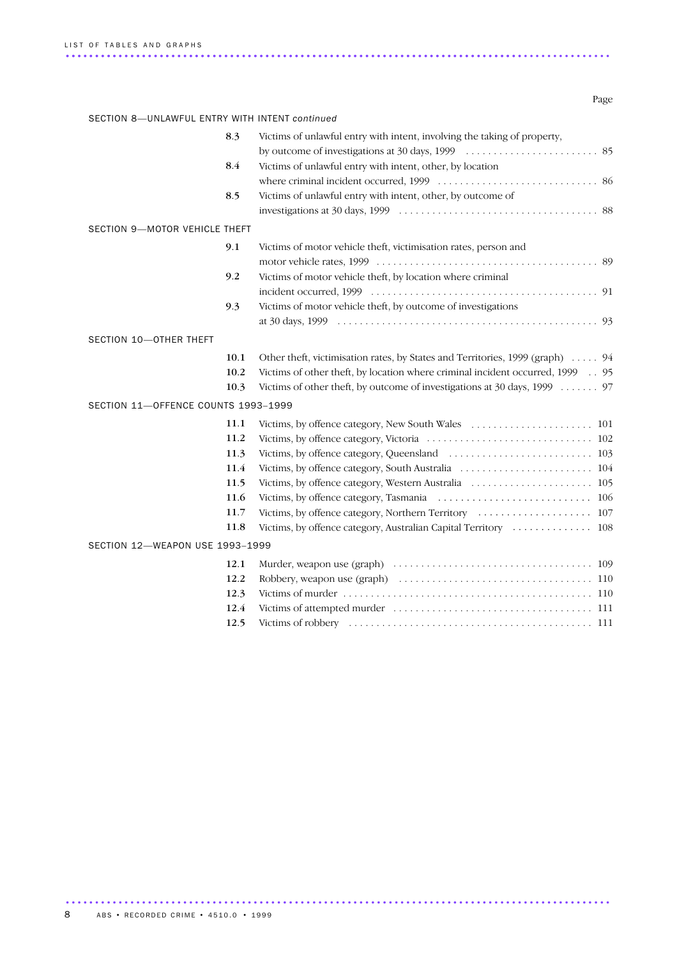Page

| SECTION 8-UNLAWFUL ENTRY WITH INTENT continued |                                                                               |
|------------------------------------------------|-------------------------------------------------------------------------------|
| 8.3                                            | Victims of unlawful entry with intent, involving the taking of property,      |
|                                                |                                                                               |
| 8.4                                            | Victims of unlawful entry with intent, other, by location                     |
|                                                |                                                                               |
| 8.5                                            | Victims of unlawful entry with intent, other, by outcome of                   |
|                                                |                                                                               |
| SECTION 9-MOTOR VEHICLE THEFT                  |                                                                               |
| 9.1                                            | Victims of motor vehicle theft, victimisation rates, person and               |
|                                                |                                                                               |
| 9.2                                            | Victims of motor vehicle theft, by location where criminal                    |
|                                                |                                                                               |
| 9.3                                            | Victims of motor vehicle theft, by outcome of investigations                  |
|                                                |                                                                               |
| SECTION 10-OTHER THEFT                         |                                                                               |
| 10.1                                           | Other theft, victimisation rates, by States and Territories, 1999 (graph)  94 |
| 10.2                                           | Victims of other theft, by location where criminal incident occurred, 1999 95 |
| 10.3                                           | Victims of other theft, by outcome of investigations at 30 days, 1999 97      |
| SECTION 11-OFFENCE COUNTS 1993-1999            |                                                                               |
| 11.1                                           |                                                                               |
| 11.2                                           |                                                                               |
| 11.3                                           |                                                                               |
| 11.4                                           |                                                                               |
| 11.5                                           |                                                                               |
| 11.6                                           |                                                                               |
| 11.7                                           |                                                                               |
| 11.8                                           |                                                                               |
| SECTION 12-WEAPON USE 1993-1999                |                                                                               |
| 12.1                                           |                                                                               |
| 12.2                                           |                                                                               |
| 12.3                                           |                                                                               |
| 12.4                                           |                                                                               |
| 12.5                                           |                                                                               |
|                                                |                                                                               |

.............................................................................................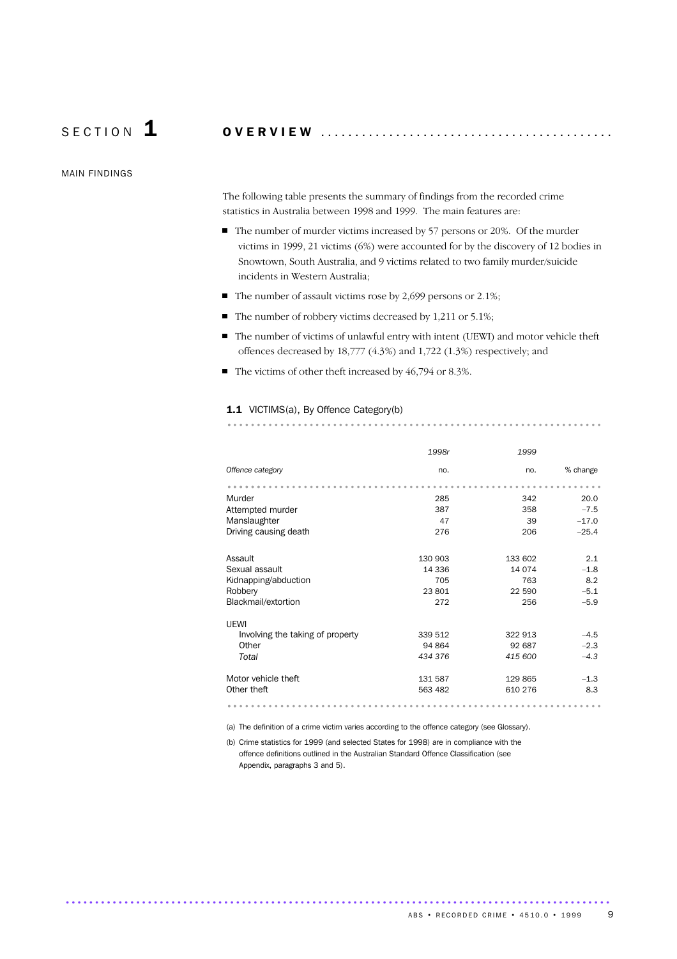S E C T I O N 1 O V E R V I E W ...........................................

MAIN FINDINGS

The following table presents the summary of findings from the recorded crime statistics in Australia between 1998 and 1999. The main features are:

- The number of murder victims increased by 57 persons or 20%. Of the murder victims in 1999, 21 victims (6%) were accounted for by the discovery of 12 bodies in Snowtown, South Australia, and 9 victims related to two family murder/suicide incidents in Western Australia;
- $\blacksquare$  The number of assault victims rose by 2,699 persons or 2.1%;
- $\blacksquare$  The number of robbery victims decreased by 1,211 or 5.1%;
- The number of victims of unlawful entry with intent (UEWI) and motor vehicle theft offences decreased by 18,777 (4.3%) and 1,722 (1.3%) respectively; and

................................................................ .

■ The victims of other theft increased by 46,794 or 8.3%.

### 1.1 VICTIMS(a), By Offence Category(b)

| 1998r   | 1999    |          |
|---------|---------|----------|
| no.     | no.     | % change |
|         |         |          |
| 285     | 342     | 20.0     |
| 387     | 358     | $-7.5$   |
| 47      | 39      | $-17.0$  |
| 276     | 206     | $-25.4$  |
|         |         |          |
| 130 903 | 133 602 | 2.1      |
| 14 336  | 14 074  | $-1.8$   |
| 705     | 763     | 8.2      |
| 23801   | 22 590  | $-5.1$   |
| 272     | 256     | $-5.9$   |
|         |         |          |
|         |         |          |
| 339 512 | 322 913 | $-4.5$   |
| 94 864  | 92 687  | $-2.3$   |
| 434 376 | 415 600 | $-4.3$   |
|         |         |          |
|         | 129 865 | $-1.3$   |
| 563 482 | 610 276 | 8.3      |
|         |         |          |
|         | 131 587 |          |

(a) The definition of a crime victim varies according to the offence category (see Glossary).

(b) Crime statistics for 1999 (and selected States for 1998) are in compliance with the offence definitions outlined in the Australian Standard Offence Classification (see Appendix, paragraphs 3 and 5).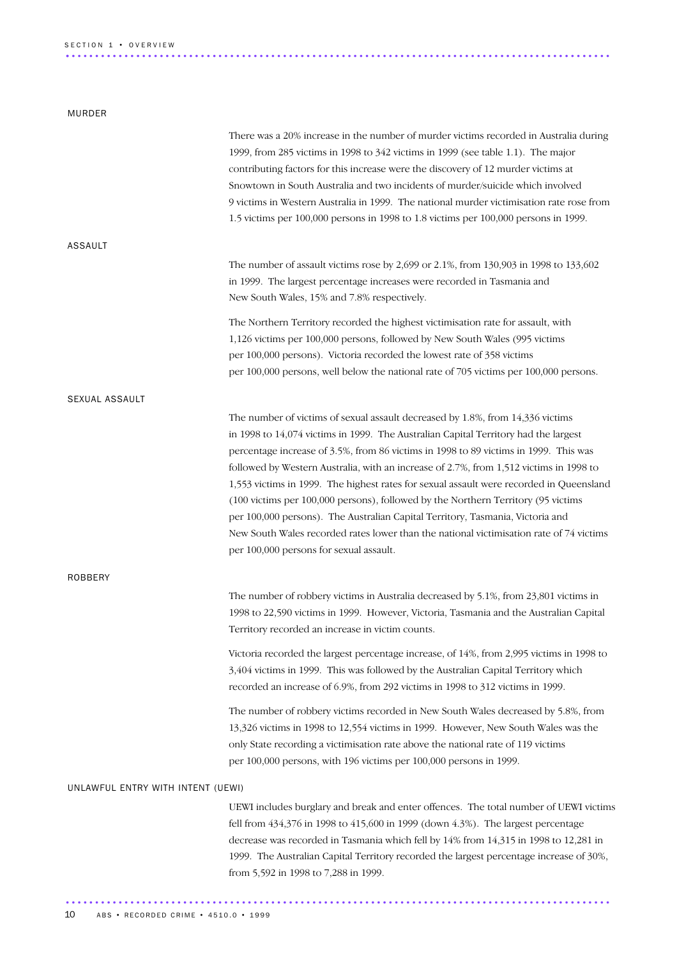### MURDER

|                                   | There was a 20% increase in the number of murder victims recorded in Australia during<br>1999, from 285 victims in 1998 to 342 victims in 1999 (see table 1.1). The major<br>contributing factors for this increase were the discovery of 12 murder victims at<br>Snowtown in South Australia and two incidents of murder/suicide which involved<br>9 victims in Western Australia in 1999. The national murder victimisation rate rose from<br>1.5 victims per 100,000 persons in 1998 to 1.8 victims per 100,000 persons in 1999.                                                                                                                                                                                                                             |
|-----------------------------------|-----------------------------------------------------------------------------------------------------------------------------------------------------------------------------------------------------------------------------------------------------------------------------------------------------------------------------------------------------------------------------------------------------------------------------------------------------------------------------------------------------------------------------------------------------------------------------------------------------------------------------------------------------------------------------------------------------------------------------------------------------------------|
| ASSAULT                           |                                                                                                                                                                                                                                                                                                                                                                                                                                                                                                                                                                                                                                                                                                                                                                 |
|                                   | The number of assault victims rose by 2,699 or 2.1%, from 130,903 in 1998 to 133,602<br>in 1999. The largest percentage increases were recorded in Tasmania and<br>New South Wales, 15% and 7.8% respectively.                                                                                                                                                                                                                                                                                                                                                                                                                                                                                                                                                  |
|                                   | The Northern Territory recorded the highest victimisation rate for assault, with<br>1,126 victims per 100,000 persons, followed by New South Wales (995 victims<br>per 100,000 persons). Victoria recorded the lowest rate of 358 victims<br>per 100,000 persons, well below the national rate of 705 victims per 100,000 persons.                                                                                                                                                                                                                                                                                                                                                                                                                              |
| SEXUAL ASSAULT                    |                                                                                                                                                                                                                                                                                                                                                                                                                                                                                                                                                                                                                                                                                                                                                                 |
|                                   | The number of victims of sexual assault decreased by 1.8%, from 14,336 victims<br>in 1998 to 14,074 victims in 1999. The Australian Capital Territory had the largest<br>percentage increase of 3.5%, from 86 victims in 1998 to 89 victims in 1999. This was<br>followed by Western Australia, with an increase of 2.7%, from 1,512 victims in 1998 to<br>1,553 victims in 1999. The highest rates for sexual assault were recorded in Queensland<br>(100 victims per 100,000 persons), followed by the Northern Territory (95 victims<br>per 100,000 persons). The Australian Capital Territory, Tasmania, Victoria and<br>New South Wales recorded rates lower than the national victimisation rate of 74 victims<br>per 100,000 persons for sexual assault. |
| ROBBERY                           |                                                                                                                                                                                                                                                                                                                                                                                                                                                                                                                                                                                                                                                                                                                                                                 |
|                                   | The number of robbery victims in Australia decreased by 5.1%, from 23,801 victims in<br>1998 to 22,590 victims in 1999. However, Victoria, Tasmania and the Australian Capital<br>Territory recorded an increase in victim counts.                                                                                                                                                                                                                                                                                                                                                                                                                                                                                                                              |
|                                   | Victoria recorded the largest percentage increase, of 14%, from 2,995 victims in 1998 to<br>3,404 victims in 1999. This was followed by the Australian Capital Territory which<br>recorded an increase of 6.9%, from 292 victims in 1998 to 312 victims in 1999.                                                                                                                                                                                                                                                                                                                                                                                                                                                                                                |
|                                   | The number of robbery victims recorded in New South Wales decreased by 5.8%, from<br>13,326 victims in 1998 to 12,554 victims in 1999. However, New South Wales was the<br>only State recording a victimisation rate above the national rate of 119 victims<br>per 100,000 persons, with 196 victims per 100,000 persons in 1999.                                                                                                                                                                                                                                                                                                                                                                                                                               |
| UNLAWFUL ENTRY WITH INTENT (UEWI) |                                                                                                                                                                                                                                                                                                                                                                                                                                                                                                                                                                                                                                                                                                                                                                 |
|                                   | UEWI includes burglary and break and enter offences. The total number of UEWI victims<br>fell from 434,376 in 1998 to 415,600 in 1999 (down 4.3%). The largest percentage<br>decrease was recorded in Tasmania which fell by 14% from 14,315 in 1998 to 12,281 in<br>1999. The Australian Capital Territory recorded the largest percentage increase of 30%,<br>from 5,592 in 1998 to 7,288 in 1999.                                                                                                                                                                                                                                                                                                                                                            |

.............................................................................................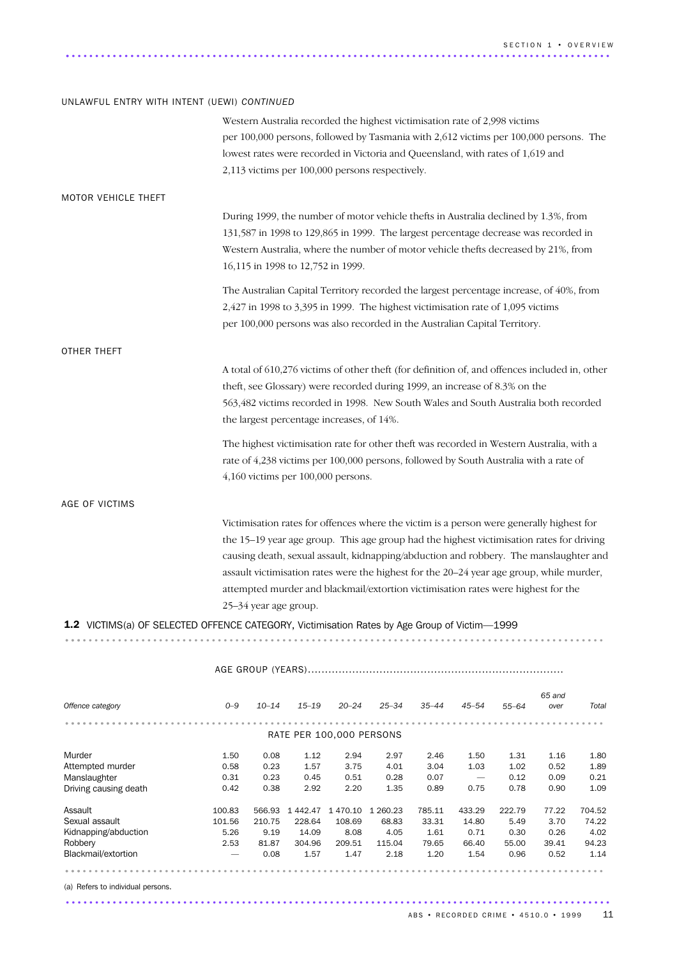### UNLAWFUL ENTRY WITH INTENT (UEWI) *CONTINUED*

|                                                                                              |         |                       |                                                 |           |           | Western Australia recorded the highest victimisation rate of 2,998 victims                                                                                    |           |           | per 100,000 persons, followed by Tasmania with 2,612 victims per 100,000 persons. The                                                                                                                                                                                                                                                                                                                                                                          |       |
|----------------------------------------------------------------------------------------------|---------|-----------------------|-------------------------------------------------|-----------|-----------|---------------------------------------------------------------------------------------------------------------------------------------------------------------|-----------|-----------|----------------------------------------------------------------------------------------------------------------------------------------------------------------------------------------------------------------------------------------------------------------------------------------------------------------------------------------------------------------------------------------------------------------------------------------------------------------|-------|
|                                                                                              |         |                       | 2,113 victims per 100,000 persons respectively. |           |           | lowest rates were recorded in Victoria and Queensland, with rates of 1,619 and                                                                                |           |           |                                                                                                                                                                                                                                                                                                                                                                                                                                                                |       |
| MOTOR VEHICLE THEFT                                                                          |         |                       |                                                 |           |           |                                                                                                                                                               |           |           |                                                                                                                                                                                                                                                                                                                                                                                                                                                                |       |
|                                                                                              |         |                       | 16,115 in 1998 to 12,752 in 1999.               |           |           |                                                                                                                                                               |           |           | During 1999, the number of motor vehicle thefts in Australia declined by 1.3%, from<br>131,587 in 1998 to 129,865 in 1999. The largest percentage decrease was recorded in<br>Western Australia, where the number of motor vehicle thefts decreased by 21%, from                                                                                                                                                                                               |       |
|                                                                                              |         |                       |                                                 |           |           | 2,427 in 1998 to 3,395 in 1999. The highest victimisation rate of 1,095 victims<br>per 100,000 persons was also recorded in the Australian Capital Territory. |           |           | The Australian Capital Territory recorded the largest percentage increase, of 40%, from                                                                                                                                                                                                                                                                                                                                                                        |       |
| OTHER THEFT                                                                                  |         |                       |                                                 |           |           |                                                                                                                                                               |           |           |                                                                                                                                                                                                                                                                                                                                                                                                                                                                |       |
|                                                                                              |         |                       | the largest percentage increases, of 14%.       |           |           | theft, see Glossary) were recorded during 1999, an increase of 8.3% on the                                                                                    |           |           | A total of 610,276 victims of other theft (for definition of, and offences included in, other<br>563,482 victims recorded in 1998. New South Wales and South Australia both recorded                                                                                                                                                                                                                                                                           |       |
|                                                                                              |         |                       | $4,160$ victims per $100,000$ persons.          |           |           |                                                                                                                                                               |           |           | The highest victimisation rate for other theft was recorded in Western Australia, with a<br>rate of 4,238 victims per 100,000 persons, followed by South Australia with a rate of                                                                                                                                                                                                                                                                              |       |
| AGE OF VICTIMS                                                                               |         |                       |                                                 |           |           |                                                                                                                                                               |           |           |                                                                                                                                                                                                                                                                                                                                                                                                                                                                |       |
|                                                                                              |         | 25–34 year age group. |                                                 |           |           |                                                                                                                                                               |           |           | Victimisation rates for offences where the victim is a person were generally highest for<br>the 15-19 year age group. This age group had the highest victimisation rates for driving<br>causing death, sexual assault, kidnapping/abduction and robbery. The manslaughter and<br>assault victimisation rates were the highest for the 20-24 year age group, while murder,<br>attempted murder and blackmail/extortion victimisation rates were highest for the |       |
| 1.2 VICTIMS(a) OF SELECTED OFFENCE CATEGORY, Victimisation Rates by Age Group of Victim-1999 |         |                       |                                                 |           |           |                                                                                                                                                               |           |           |                                                                                                                                                                                                                                                                                                                                                                                                                                                                |       |
|                                                                                              |         |                       |                                                 |           |           |                                                                                                                                                               |           |           |                                                                                                                                                                                                                                                                                                                                                                                                                                                                |       |
|                                                                                              |         |                       |                                                 |           |           |                                                                                                                                                               |           |           |                                                                                                                                                                                                                                                                                                                                                                                                                                                                |       |
| Offence category                                                                             | $O - 9$ | $10 - 14$             | $15 - 19$                                       | $20 - 24$ | $25 - 34$ | 35–44                                                                                                                                                         | $45 - 54$ | $55 - 64$ | 65 and<br>over                                                                                                                                                                                                                                                                                                                                                                                                                                                 | Total |
|                                                                                              |         |                       | RATE PER 100,000 PERSONS                        |           |           |                                                                                                                                                               |           |           |                                                                                                                                                                                                                                                                                                                                                                                                                                                                |       |
| Murder                                                                                       | 1.50    | 0.08                  | 1.12                                            | 2.94      | 2.97      | 2.46                                                                                                                                                          | 1.50      | 1.31      | 1.16                                                                                                                                                                                                                                                                                                                                                                                                                                                           | 1.80  |
|                                                                                              |         |                       |                                                 |           |           |                                                                                                                                                               |           |           |                                                                                                                                                                                                                                                                                                                                                                                                                                                                |       |

| nuuu                  | ⊥.∪∪                            | v.vo   | ᆠᆠ      | 2.94     | ا ت.ع    | 2.4V   | ⊥.∪∪   | ⊥∟س    | ⊥.⊥∪  | ⊥.∪∪   |
|-----------------------|---------------------------------|--------|---------|----------|----------|--------|--------|--------|-------|--------|
| Attempted murder      | 0.58                            | 0.23   | 1.57    | 3.75     | 4.01     | 3.04   | 1.03   | 1.02   | 0.52  | 1.89   |
| Manslaughter          | 0.31                            | 0.23   | 0.45    | 0.51     | 0.28     | 0.07   |        | 0.12   | 0.09  | 0.21   |
| Driving causing death | 0.42                            | 0.38   | 2.92    | 2.20     | 1.35     | 0.89   | 0.75   | 0.78   | 0.90  | 1.09   |
| Assault               | 100.83                          | 566.93 | 1442.47 | 1 470.10 | 1 260.23 | 785.11 | 433.29 | 222.79 | 77.22 | 704.52 |
| Sexual assault        | 101.56                          | 210.75 | 228.64  | 108.69   | 68.83    | 33.31  | 14.80  | 5.49   | 3.70  | 74.22  |
| Kidnapping/abduction  | 5.26                            | 9.19   | 14.09   | 8.08     | 4.05     | 1.61   | 0.71   | 0.30   | 0.26  | 4.02   |
| Robbery               | 2.53                            | 81.87  | 304.96  | 209.51   | 115.04   | 79.65  | 66.40  | 55.00  | 39.41 | 94.23  |
| Blackmail/extortion   | $\hspace{0.1mm}-\hspace{0.1mm}$ | 0.08   | 1.57    | 1.47     | 2.18     | 1.20   | 1.54   | 0.96   | 0.52  | 1.14   |
|                       |                                 |        |         |          |          |        |        |        |       |        |

.............................................................................................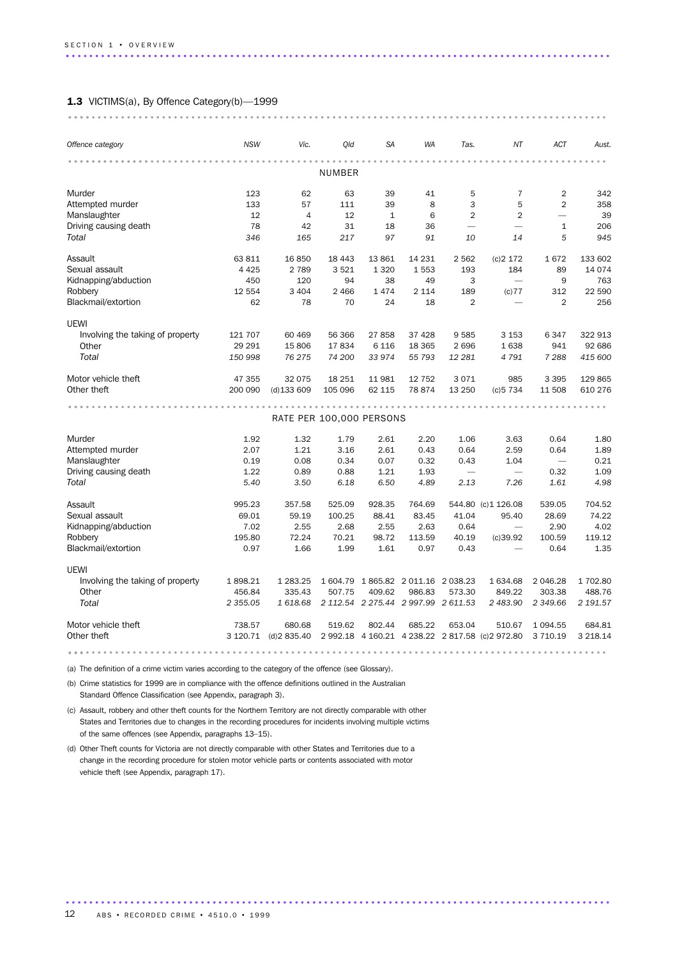### 1.3 VICTIMS(a), By Offence Category(b)-1999

| Offence category                 | <b>NSW</b>    | Vic.                     | Qld     | <b>SA</b> | WA                                  | Tas.           | NT                                               | ACT                      | Aust.    |
|----------------------------------|---------------|--------------------------|---------|-----------|-------------------------------------|----------------|--------------------------------------------------|--------------------------|----------|
|                                  |               |                          | NUMBER  |           |                                     |                |                                                  |                          |          |
| Murder                           | 123           | 62                       | 63      | 39        | 41                                  | 5              | $\overline{7}$                                   | $\overline{2}$           | 342      |
| Attempted murder                 | 133           | 57                       | 111     | 39        | 8                                   | 3              | 5                                                | $\overline{2}$           | 358      |
| Manslaughter                     | 12            | $\overline{4}$           | 12      | $1\,$     | 6                                   | $\overline{2}$ | $\overline{2}$                                   |                          | 39       |
| Driving causing death            | 78            | 42                       | 31      | 18        | 36                                  |                |                                                  | 1                        | 206      |
| Total                            | 346           | 165                      | 217     | 97        | 91                                  | 10             | 14                                               | 5                        | 945      |
| Assault                          | 63 811        | 16 850                   | 18 4 43 | 13861     | 14 231                              | 2 5 6 2        | (c)2 172                                         | 1672                     | 133 602  |
| Sexual assault                   | 4 4 2 5       | 2 7 8 9                  | 3521    | 1 3 2 0   | 1553                                | 193            | 184                                              | 89                       | 14 0 74  |
| Kidnapping/abduction             | 450           | 120                      | 94      | 38        | 49                                  | 3              | $\overline{\phantom{0}}$                         | 9                        | 763      |
| Robbery                          | 12 554        | 3 4 0 4                  | 2 4 6 6 | 1474      | 2 1 1 4                             | 189            | (c) 77                                           | 312                      | 22 590   |
| Blackmail/extortion              | 62            | 78                       | 70      | 24        | 18                                  | $\overline{2}$ |                                                  | $\overline{2}$           | 256      |
| UEWI                             |               |                          |         |           |                                     |                |                                                  |                          |          |
| Involving the taking of property | 121 707       | 60 469                   | 56 366  | 27858     | 37 4 28                             | 9585           | 3 1 5 3                                          | 6347                     | 322 913  |
| Other                            | 29 29 1       | 15 806                   | 17834   | 6 1 1 6   | 18 3 65                             | 2696           | 1638                                             | 941                      | 92 686   |
| Total                            | 150 998       | 76 275                   | 74 200  | 33 974    | 55 793                              | 12 281         | 4791                                             | 7 2 8 8                  | 415 600  |
| Motor vehicle theft              | 47 355        | 32 075                   | 18 251  | 11981     | 12 752                              | 3071           | 985                                              | 3 3 9 5                  | 129 865  |
| Other theft                      | 200 090       | $(d)$ 133 609            | 105 096 | 62 115    | 78 874                              | 13 250         | (c)5734                                          | 11 508                   | 610 276  |
|                                  |               |                          |         |           |                                     |                |                                                  |                          |          |
|                                  |               | RATE PER 100,000 PERSONS |         |           |                                     |                |                                                  |                          |          |
| Murder                           | 1.92          | 1.32                     | 1.79    | 2.61      | 2.20                                | 1.06           | 3.63                                             | 0.64                     | 1.80     |
| Attempted murder                 | 2.07          | 1.21                     | 3.16    | 2.61      | 0.43                                | 0.64           | 2.59                                             | 0.64                     | 1.89     |
| Manslaughter                     | 0.19          | 0.08                     | 0.34    | 0.07      | 0.32                                | 0.43           | 1.04                                             | $\overline{\phantom{m}}$ | 0.21     |
| Driving causing death            | 1.22          | 0.89                     | 0.88    | 1.21      | 1.93                                |                | $\overline{\phantom{0}}$                         | 0.32                     | 1.09     |
| Total                            | 5.40          | 3.50                     | 6.18    | 6.50      | 4.89                                | 2.13           | 7.26                                             | 1.61                     | 4.98     |
| Assault                          | 995.23        | 357.58                   | 525.09  | 928.35    | 764.69                              |                | 544.80 (c)1 126.08                               | 539.05                   | 704.52   |
| Sexual assault                   | 69.01         | 59.19                    | 100.25  | 88.41     | 83.45                               | 41.04          | 95.40                                            | 28.69                    | 74.22    |
| Kidnapping/abduction             | 7.02          | 2.55                     | 2.68    | 2.55      | 2.63                                | 0.64           | $\overbrace{\phantom{1232211}}$                  | 2.90                     | 4.02     |
| Robbery                          | 195.80        | 72.24                    | 70.21   | 98.72     | 113.59                              | 40.19          | (c)39.92                                         | 100.59                   | 119.12   |
| Blackmail/extortion              | 0.97          | 1.66                     | 1.99    | 1.61      | 0.97                                | 0.43           |                                                  | 0.64                     | 1.35     |
| <b>UEWI</b>                      |               |                          |         |           |                                     |                |                                                  |                          |          |
| Involving the taking of property | 1898.21       | 1 283.25                 |         |           | 1 604.79 1 865.82 2 011.16 2 038.23 |                | 1 634.68                                         | 2 046.28                 | 1 702.80 |
| Other                            | 456.84        | 335.43                   | 507.75  | 409.62    | 986.83                              | 573.30         | 849.22                                           | 303.38                   | 488.76   |
| Total                            | 2 3 5 5 . 0 5 | 1618.68                  |         |           | 2 112.54 2 275.44 2 997.99 2 611.53 |                | 2 483.90                                         | 2 349.66                 | 2 191.57 |
| Motor vehicle theft              | 738.57        | 680.68                   | 519.62  | 802.44    | 685.22                              | 653.04         | 510.67                                           | 1 0 9 4 .55              | 684.81   |
| Other theft                      | 3 120.71      | (d)2835.40               |         |           |                                     |                | 2 992.18 4 160.21 4 238.22 2 817.58 (c) 2 972.80 | 3 710.19                 | 3 218.14 |
|                                  |               |                          |         |           |                                     |                |                                                  |                          |          |

(a) The definition of a crime victim varies according to the category of the offence (see Glossary).

(b) Crime statistics for 1999 are in compliance with the offence definitions outlined in the Australian Standard Offence Classification (see Appendix, paragraph 3).

(c) Assault, robbery and other theft counts for the Northern Territory are not directly comparable with other States and Territories due to changes in the recording procedures for incidents involving multiple victims of the same offences (see Appendix, paragraphs 13–15).

(d) Other Theft counts for Victoria are not directly comparable with other States and Territories due to a change in the recording procedure for stolen motor vehicle parts or contents associated with motor vehicle theft (see Appendix, paragraph 17).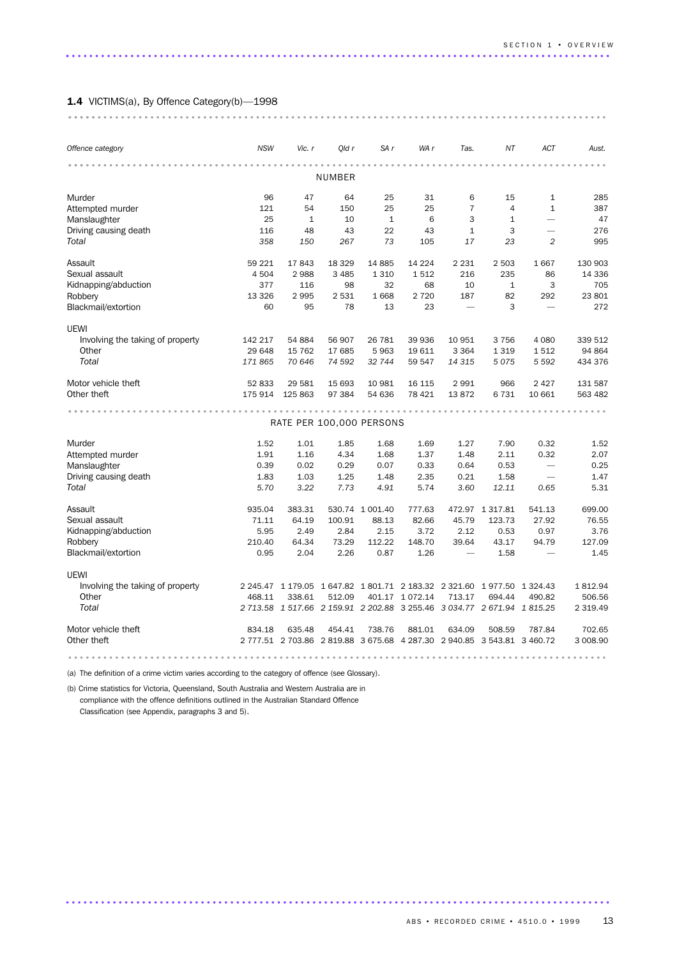### 1.4 VICTIMS(a), By Offence Category(b)-1998

| Offence category                 | <b>NSW</b> | Vic. r       | Qld r   | SA r                     | WA r           | Tas.                                                                    | ΝT              | ACT                      | Aust.         |  |  |  |  |
|----------------------------------|------------|--------------|---------|--------------------------|----------------|-------------------------------------------------------------------------|-----------------|--------------------------|---------------|--|--|--|--|
|                                  |            |              | NUMBER  |                          |                |                                                                         |                 |                          |               |  |  |  |  |
| Murder                           | 96         | 47           | 64      | 25                       | 31             | 6                                                                       | 15              | $\mathbf{1}$             | 285           |  |  |  |  |
| Attempted murder                 | 121        | 54           | 150     | 25                       | 25             | $\overline{7}$                                                          | $\overline{4}$  | $\mathbf{1}$             | 387           |  |  |  |  |
| Manslaughter                     | 25         | $\mathbf{1}$ | 10      | $\mathbf{1}$             | 6              | 3                                                                       | 1               | $\overline{\phantom{0}}$ | 47            |  |  |  |  |
| Driving causing death            | 116        | 48           | 43      | 22                       | 43             | $\mathbf{1}$                                                            | 3               | $\overline{\phantom{0}}$ | 276           |  |  |  |  |
| Total                            | 358        | 150          | 267     | 73                       | 105            | 17                                                                      | 23              | $\overline{c}$           | 995           |  |  |  |  |
| Assault                          | 59 221     | 17843        | 18 3 29 | 14 8 85                  | 14 224         | 2 2 3 1                                                                 | 2 5 0 3         | 1 667                    | 130 903       |  |  |  |  |
| Sexual assault                   | 4 504      | 2988         | 3 4 8 5 | 1 3 1 0                  | 1512           | 216                                                                     | 235             | 86                       | 14 3 36       |  |  |  |  |
| Kidnapping/abduction             | 377        | 116          | 98      | 32                       | 68             | 10                                                                      | $\mathbf{1}$    | 3                        | 705           |  |  |  |  |
| Robbery                          | 13 3 26    | 2995         | 2531    | 1668                     | 2 7 2 0        | 187                                                                     | 82              | 292                      | 23 801        |  |  |  |  |
| Blackmail/extortion              | 60         | 95           | 78      | 13                       | 23             | $\overline{\phantom{0}}$                                                | 3               | $\overline{\phantom{0}}$ | 272           |  |  |  |  |
| UEWI                             |            |              |         |                          |                |                                                                         |                 |                          |               |  |  |  |  |
| Involving the taking of property | 142 217    | 54 884       | 56 907  | 26 781                   | 39 936         | 10 951                                                                  | 3756            | 4 0 8 0                  | 339 512       |  |  |  |  |
| Other                            | 29 648     | 15 7 62      | 17 685  | 5963                     | 19 611         | 3 3 6 4                                                                 | 1 3 1 9         | 1512                     | 94 864        |  |  |  |  |
| Total                            | 171865     | 70 646       | 74 592  | 32 744                   | 59 547         | 14 315                                                                  | 5075            | 5 5 9 2                  | 434 376       |  |  |  |  |
| Motor vehicle theft              | 52 833     | 29 581       | 15 693  | 10 981                   | 16 115         | 2991                                                                    | 966             | 2 4 2 7                  | 131 587       |  |  |  |  |
| Other theft                      | 175 914    | 125 863      | 97 384  | 54 636                   | 78 4 21        | 13872                                                                   | 6731            | 10 661                   | 563 482       |  |  |  |  |
|                                  |            |              |         |                          |                |                                                                         |                 |                          |               |  |  |  |  |
|                                  |            |              |         | RATE PER 100,000 PERSONS |                |                                                                         |                 |                          |               |  |  |  |  |
| Murder                           | 1.52       | 1.01         | 1.85    | 1.68                     | 1.69           | 1.27                                                                    | 7.90            | 0.32                     | 1.52          |  |  |  |  |
| Attempted murder                 | 1.91       | 1.16         | 4.34    | 1.68                     | 1.37           | 1.48                                                                    | 2.11            | 0.32                     | 2.07          |  |  |  |  |
| Manslaughter                     | 0.39       | 0.02         | 0.29    | 0.07                     | 0.33           | 0.64                                                                    | 0.53            | $\overline{\phantom{0}}$ | 0.25          |  |  |  |  |
| Driving causing death            | 1.83       | 1.03         | 1.25    | 1.48                     | 2.35           | 0.21                                                                    | 1.58            |                          | 1.47          |  |  |  |  |
| Total                            | 5.70       | 3.22         | 7.73    | 4.91                     | 5.74           | 3.60                                                                    | 12.11           | 0.65                     | 5.31          |  |  |  |  |
| Assault                          | 935.04     | 383.31       |         | 530.74 1 001.40          | 777.63         |                                                                         | 472.97 1 317.81 | 541.13                   | 699.00        |  |  |  |  |
| Sexual assault                   | 71.11      | 64.19        | 100.91  | 88.13                    | 82.66          | 45.79                                                                   | 123.73          | 27.92                    | 76.55         |  |  |  |  |
| Kidnapping/abduction             | 5.95       | 2.49         | 2.84    | 2.15                     | 3.72           | 2.12                                                                    | 0.53            | 0.97                     | 3.76          |  |  |  |  |
| Robbery                          | 210.40     | 64.34        | 73.29   | 112.22                   | 148.70         | 39.64                                                                   | 43.17           | 94.79                    | 127.09        |  |  |  |  |
| Blackmail/extortion              | 0.95       | 2.04         | 2.26    | 0.87                     | 1.26           |                                                                         | 1.58            | $\overline{\phantom{0}}$ | 1.45          |  |  |  |  |
| <b>UEWI</b>                      |            |              |         |                          |                |                                                                         |                 |                          |               |  |  |  |  |
| Involving the taking of property |            |              |         |                          |                | 2 245.47 1 179.05 1 647.82 1 801.71 2 183.32 2 321.60 1 977.50 1 324.43 |                 |                          | 1812.94       |  |  |  |  |
| Other                            | 468.11     | 338.61       | 512.09  |                          | 401.17 1072.14 | 713.17                                                                  | 694.44          | 490.82                   | 506.56        |  |  |  |  |
| Total                            |            |              |         |                          |                | 2 713.58 1 517.66 2 159.91 2 202.88 3 255.46 3 034.77 2 671.94 1 815.25 |                 |                          | 2 3 1 9 . 4 9 |  |  |  |  |
| Motor vehicle theft              | 834.18     | 635.48       | 454.41  | 738.76                   | 881.01         | 634.09                                                                  | 508.59          | 787.84                   | 702.65        |  |  |  |  |
| Other theft                      |            |              |         |                          |                | 2 777.51 2 703.86 2 819.88 3 675.68 4 287.30 2 940.85 3 543.81 3 460.72 |                 |                          | 3 008.90      |  |  |  |  |
|                                  |            |              |         |                          |                |                                                                         |                 |                          |               |  |  |  |  |

.............................................................................................

............................................................................................ .....

(a) The definition of a crime victim varies according to the category of offence (see Glossary).

(b) Crime statistics for Victoria, Queensland, South Australia and Western Australia are in compliance with the offence definitions outlined in the Australian Standard Offence

Classification (see Appendix, paragraphs 3 and 5).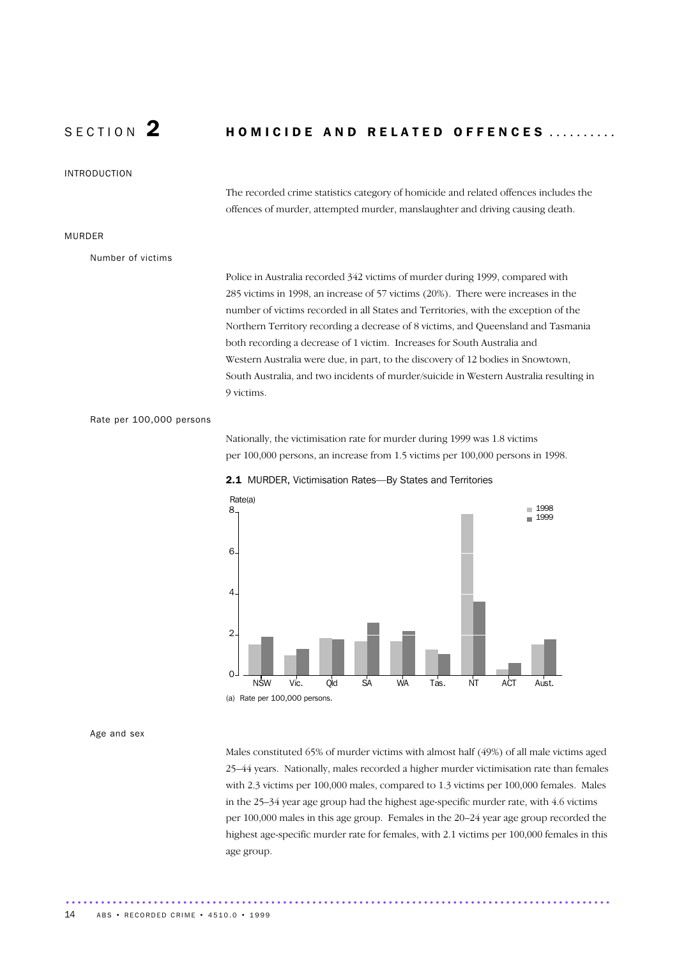### SECTION  $2$  homicide and related offences ..........

INTRODUCTION

The recorded crime statistics category of homicide and related offences includes the offences of murder, attempted murder, manslaughter and driving causing death.

### MURDER

Number of victims

Police in Australia recorded 342 victims of murder during 1999, compared with 285 victims in 1998, an increase of 57 victims (20%). There were increases in the number of victims recorded in all States and Territories, with the exception of the Northern Territory recording a decrease of 8 victims, and Queensland and Tasmania both recording a decrease of 1 victim. Increases for South Australia and Western Australia were due, in part, to the discovery of 12 bodies in Snowtown, South Australia, and two incidents of murder/suicide in Western Australia resulting in 9 victims.

Rate per 100,000 persons

Nationally, the victimisation rate for murder during 1999 was 1.8 victims per 100,000 persons, an increase from 1.5 victims per 100,000 persons in 1998.



2.1 MURDER, Victimisation Rates—By States and Territories

Age and sex

Males constituted 65% of murder victims with almost half (49%) of all male victims aged 25–44 years. Nationally, males recorded a higher murder victimisation rate than females with 2.3 victims per 100,000 males, compared to 1.3 victims per 100,000 females. Males in the 25–34 year age group had the highest age-specific murder rate, with 4.6 victims per 100,000 males in this age group. Females in the 20–24 year age group recorded the highest age-specific murder rate for females, with 2.1 victims per 100,000 females in this age group.

.............................................................................................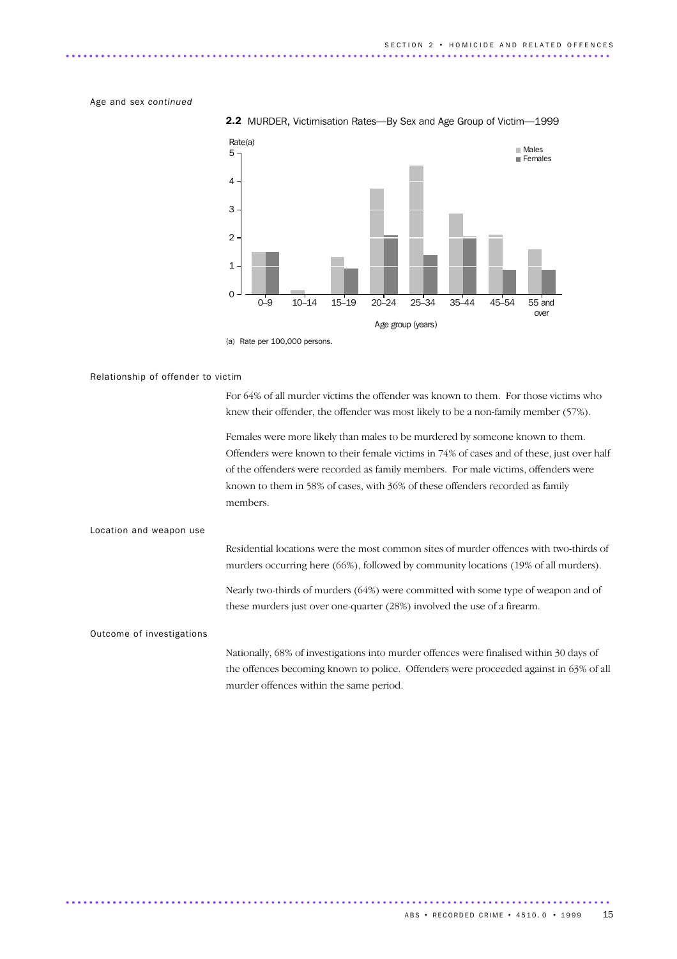Age and sex *continued*



2.2 MURDER, Victimisation Rates—By Sex and Age Group of Victim—1999

(a) Rate per 100,000 persons.

### Relationship of offender to victim

For 64% of all murder victims the offender was known to them. For those victims who knew their offender, the offender was most likely to be a non-family member (57%).

Females were more likely than males to be murdered by someone known to them. Offenders were known to their female victims in 74% of cases and of these, just over half of the offenders were recorded as family members. For male victims, offenders were known to them in 58% of cases, with 36% of these offenders recorded as family members.

### Location and weapon use

Residential locations were the most common sites of murder offences with two-thirds of murders occurring here (66%), followed by community locations (19% of all murders).

Nearly two-thirds of murders (64%) were committed with some type of weapon and of these murders just over one-quarter (28%) involved the use of a firearm.

### Outcome of investigations

Nationally, 68% of investigations into murder offences were finalised within 30 days of the offences becoming known to police. Offenders were proceeded against in 63% of all murder offences within the same period.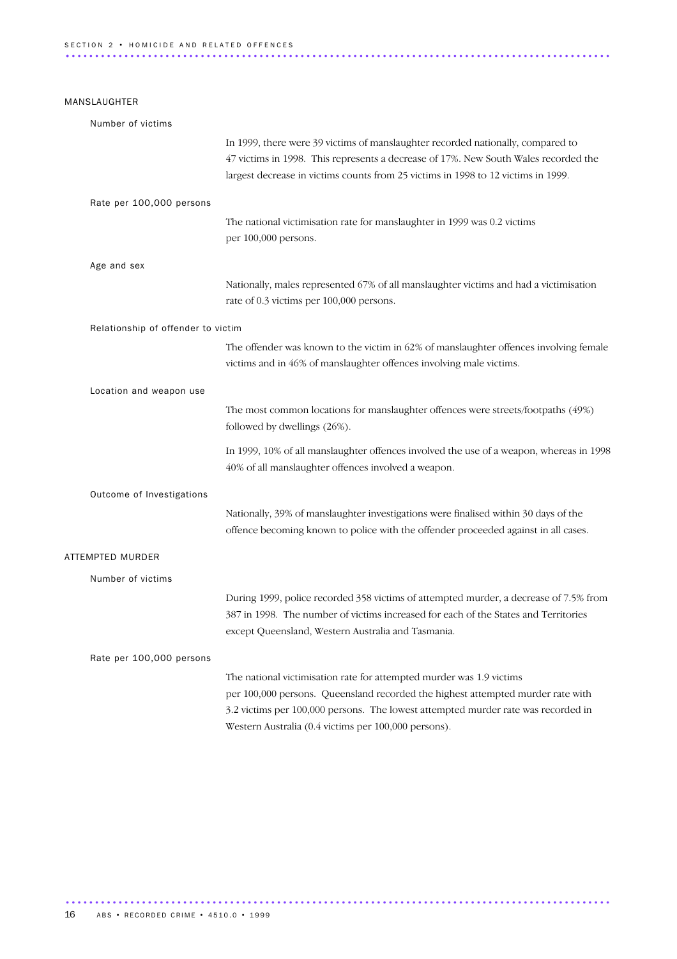### MANSLAUGHTER

| Number of victims                  |                                                                                         |
|------------------------------------|-----------------------------------------------------------------------------------------|
|                                    | In 1999, there were 39 victims of manslaughter recorded nationally, compared to         |
|                                    | 47 victims in 1998. This represents a decrease of 17%. New South Wales recorded the     |
|                                    | largest decrease in victims counts from 25 victims in 1998 to 12 victims in 1999.       |
| Rate per 100,000 persons           |                                                                                         |
|                                    | The national victimisation rate for manslaughter in 1999 was 0.2 victims                |
|                                    | per 100,000 persons.                                                                    |
| Age and sex                        |                                                                                         |
|                                    | Nationally, males represented 67% of all manslaughter victims and had a victimisation   |
|                                    | rate of 0.3 victims per 100,000 persons.                                                |
| Relationship of offender to victim |                                                                                         |
|                                    | The offender was known to the victim in 62% of manslaughter offences involving female   |
|                                    | victims and in 46% of manslaughter offences involving male victims.                     |
| Location and weapon use            |                                                                                         |
|                                    | The most common locations for manslaughter offences were streets/footpaths (49%)        |
|                                    | followed by dwellings (26%).                                                            |
|                                    | In 1999, 10% of all manslaughter offences involved the use of a weapon, whereas in 1998 |
|                                    | 40% of all manslaughter offences involved a weapon.                                     |
| Outcome of Investigations          |                                                                                         |
|                                    | Nationally, 39% of manslaughter investigations were finalised within 30 days of the     |
|                                    | offence becoming known to police with the offender proceeded against in all cases.      |
| ATTEMPTED MURDER                   |                                                                                         |
| Number of victims                  |                                                                                         |
|                                    | During 1999, police recorded 358 victims of attempted murder, a decrease of 7.5% from   |
|                                    | 387 in 1998. The number of victims increased for each of the States and Territories     |
|                                    | except Queensland, Western Australia and Tasmania.                                      |
| Rate per 100,000 persons           |                                                                                         |
|                                    | The national victimisation rate for attempted murder was 1.9 victims                    |
|                                    | per 100,000 persons. Queensland recorded the highest attempted murder rate with         |
|                                    | 3.2 victims per 100,000 persons. The lowest attempted murder rate was recorded in       |
|                                    | Western Australia (0.4 victims per 100,000 persons).                                    |

.............................................................................................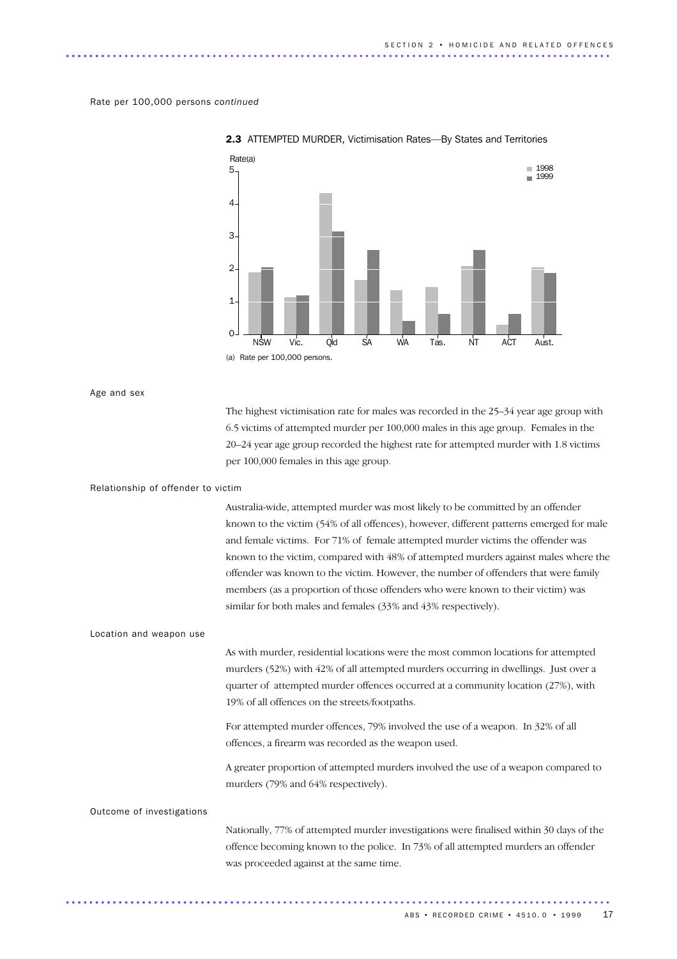### Rate per 100,000 persons *continued*



2.3 ATTEMPTED MURDER, Victimisation Rates—By States and Territories

Age and sex

The highest victimisation rate for males was recorded in the 25–34 year age group with 6.5 victims of attempted murder per 100,000 males in this age group. Females in the 20–24 year age group recorded the highest rate for attempted murder with 1.8 victims per 100,000 females in this age group.

### Relationship of offender to victim

Australia-wide, attempted murder was most likely to be committed by an offender known to the victim (54% of all offences), however, different patterns emerged for male and female victims. For 71% of female attempted murder victims the offender was known to the victim, compared with 48% of attempted murders against males where the offender was known to the victim. However, the number of offenders that were family members (as a proportion of those offenders who were known to their victim) was similar for both males and females (33% and 43% respectively).

### Location and weapon use

As with murder, residential locations were the most common locations for attempted murders (52%) with 42% of all attempted murders occurring in dwellings. Just over a quarter of attempted murder offences occurred at a community location (27%), with 19% of all offences on the streets/footpaths.

For attempted murder offences, 79% involved the use of a weapon. In 32% of all offences, a firearm was recorded as the weapon used.

A greater proportion of attempted murders involved the use of a weapon compared to murders (79% and 64% respectively).

### Outcome of investigations

Nationally, 77% of attempted murder investigations were finalised within 30 days of the offence becoming known to the police. In 73% of all attempted murders an offender was proceeded against at the same time.

............................................................................................. ..............................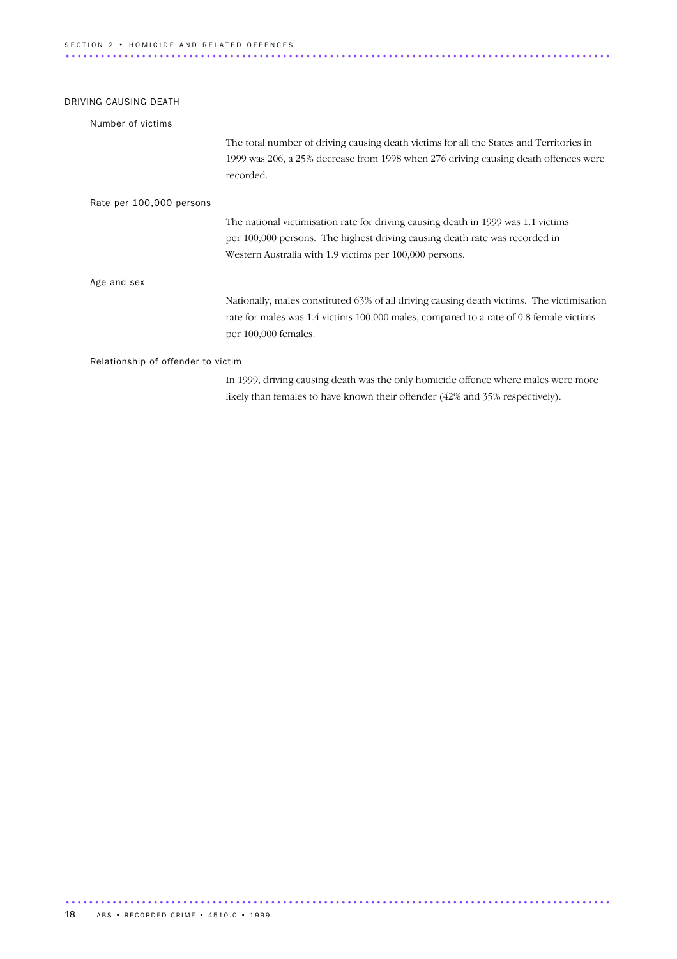| DRIVING CAUSING DEATH              |                                                                                                                                                                                                                             |
|------------------------------------|-----------------------------------------------------------------------------------------------------------------------------------------------------------------------------------------------------------------------------|
| Number of victims                  |                                                                                                                                                                                                                             |
|                                    | The total number of driving causing death victims for all the States and Territories in<br>1999 was 206, a 25% decrease from 1998 when 276 driving causing death offences were<br>recorded.                                 |
| Rate per 100,000 persons           |                                                                                                                                                                                                                             |
|                                    | The national victimisation rate for driving causing death in 1999 was 1.1 victims<br>per 100,000 persons. The highest driving causing death rate was recorded in<br>Western Australia with 1.9 victims per 100,000 persons. |
| Age and sex                        |                                                                                                                                                                                                                             |
|                                    | Nationally, males constituted 63% of all driving causing death victims. The victimisation<br>rate for males was 1.4 victims 100,000 males, compared to a rate of 0.8 female victims<br>per 100,000 females.                 |
| Relationship of offender to victim |                                                                                                                                                                                                                             |
|                                    | In 1999, driving causing death was the only homicide offence where males were more                                                                                                                                          |

likely than females to have known their offender (42% and 35% respectively).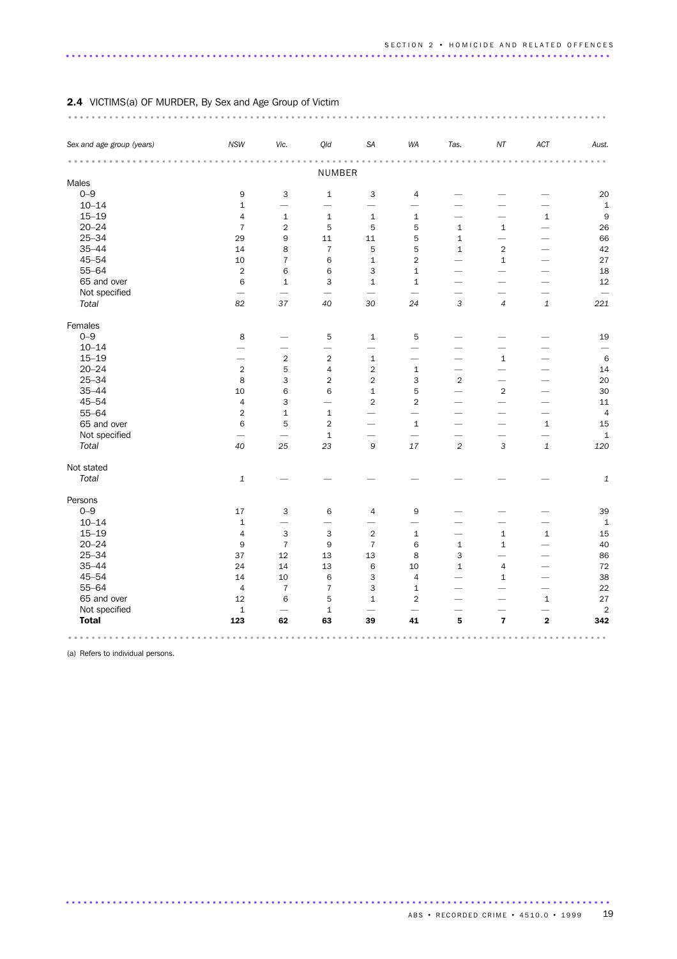| Sex and age group (years) | <b>NSW</b>                | Vic.                      | Qld                      | SA                        | WA                       | Tas.                     | NT                      | ACT                      | Aust.          |
|---------------------------|---------------------------|---------------------------|--------------------------|---------------------------|--------------------------|--------------------------|-------------------------|--------------------------|----------------|
|                           |                           |                           | NUMBER                   |                           |                          |                          |                         |                          |                |
| Males                     |                           |                           |                          |                           |                          |                          |                         |                          |                |
| $0 - 9$                   | 9                         | 3                         | $\mathbf 1$              | 3                         | $\overline{4}$           |                          |                         |                          | 20             |
| $10 - 14$                 | $\mathbf 1$               | $\overline{\phantom{0}}$  | $\overline{\phantom{0}}$ | $\overline{\phantom{0}}$  |                          |                          |                         |                          | $\mathbf 1$    |
| $15 - 19$                 | $\overline{4}$            | $1\,$                     | $\mathbf{1}$             | $\mathbf{1}$              | $\mathbf{1}$             |                          |                         | $\mathbf{1}$             | 9              |
| $20 - 24$                 | $\overline{7}$            | $\overline{2}$            | 5                        | 5                         | 5                        | $\mathbf 1$              | $\mathbf 1$             |                          | 26             |
| $25 - 34$                 | 29                        | 9                         | 11                       | 11                        | 5                        | $\mathbf 1$              |                         |                          | 66             |
| $35 - 44$                 | 14                        | 8                         | $\overline{7}$           | 5                         | 5                        | $\mathbf{1}$             | $\overline{2}$          |                          | 42             |
| $45 - 54$                 | 10                        | $\overline{7}$            | 6                        | $\mathbf{1}$              | $\overline{2}$           |                          | $\mathbf{1}$            | $\overline{\phantom{0}}$ | 27             |
| $55 - 64$                 | $\overline{2}$            | 6                         | 6                        | $\ensuremath{\mathsf{3}}$ | $\mathbf{1}$             |                          |                         |                          | 18             |
| 65 and over               | 6                         | $\mathbf{1}$              | 3                        | $\mathbf{1}$              | $\mathbf{1}$             |                          |                         |                          | 12             |
| Not specified             | $\overline{\phantom{0}}$  | $\overline{\phantom{0}}$  | $\overline{\phantom{0}}$ | $\overline{\phantom{0}}$  |                          |                          |                         |                          |                |
| Total                     | 82                        | 37                        | 40                       | 30                        | 24                       | 3                        | $\overline{4}$          | $\mathbf 1$              | 221            |
| Females                   |                           |                           |                          |                           |                          |                          |                         |                          |                |
| $0 - 9$                   | 8                         |                           | 5                        | $\mathbf{1}$              | 5                        |                          |                         |                          | 19             |
| $10 - 14$                 |                           |                           | $\overline{\phantom{0}}$ | $\overline{\phantom{0}}$  |                          |                          |                         |                          |                |
| $15 - 19$                 |                           | $\overline{2}$            | $\overline{2}$           | $\mathbf 1$               |                          |                          | $\mathbf 1$             |                          | $\,6$          |
| $20 - 24$                 | $\overline{2}$            | 5                         | 4                        | $\overline{2}$            | $\mathbf{1}$             | $\overline{\phantom{0}}$ |                         |                          | 14             |
| $25 - 34$                 | 8                         | 3                         | $\overline{c}$           | $\mathbf 2$               | 3                        | $\overline{2}$           |                         |                          | 20             |
| $35 - 44$                 | 10                        | 6                         | 6                        | $\mathbf{1}$              | 5                        | $\overline{\phantom{0}}$ | $\overline{2}$          |                          | 30             |
| $45 - 54$                 | $\sqrt{4}$                | 3                         | $\overline{\phantom{0}}$ | $\overline{2}$            | $\overline{2}$           |                          |                         |                          | 11             |
| $55 - 64$                 | $\overline{2}$            | $\mathbf 1$               | $\mathbf 1$              |                           | $\overline{\phantom{0}}$ |                          |                         | -                        | $\overline{4}$ |
| 65 and over               | 6                         | 5                         | $\overline{2}$           | -                         | $\mathbf{1}$             |                          |                         | $\mathbf{1}$             | 15             |
| Not specified             |                           |                           | $\mathbf 1$              | -                         |                          |                          |                         |                          | $1\,$          |
| Total                     | 40                        | 25                        | 23                       | $\mathsf g$               | 17                       | $\overline{c}$           | $\sqrt{3}$              | $\mathbf{1}$             | 120            |
| Not stated                |                           |                           |                          |                           |                          |                          |                         |                          |                |
| Total                     | $\ensuremath{\mathbf{1}}$ |                           |                          |                           |                          |                          |                         |                          | 1              |
| Persons                   |                           |                           |                          |                           |                          |                          |                         |                          |                |
| $0 - 9$                   | 17                        | 3                         | 6                        | $\overline{4}$            | 9                        |                          |                         |                          | 39             |
| $10 - 14$                 | $\mathbf 1$               | $\overline{\phantom{0}}$  |                          | -                         |                          |                          |                         |                          | 1              |
| $15 - 19$                 | $\overline{4}$            | $\ensuremath{\mathsf{3}}$ | 3                        | $\overline{2}$            | $\mathbf{1}$             |                          | $\mathbf 1$             | $\mathbf{1}$             | 15             |
| $20 - 24$                 | 9                         | $\overline{7}$            | 9                        | $\overline{7}$            | 6                        | $\mathbf{1}$             | $\mathbf{1}$            |                          | 40             |
| $25 - 34$                 | 37                        | 12                        | 13                       | 13                        | 8                        | 3                        |                         |                          | 86             |
| $35 - 44$                 | 24                        | 14                        | 13                       | 6                         | 10                       | $\mathbf{1}$             | $\overline{4}$          | $\overline{\phantom{0}}$ | 72             |
| $45 - 54$                 | 14                        | 10                        | 6                        | 3                         | $\overline{4}$           | <u>.</u>                 | $\mathbf 1$             |                          | 38             |
| $55 - 64$                 | $\sqrt{4}$                | $\overline{7}$            | $\overline{7}$           | 3                         | $\mathbf{1}$             |                          |                         |                          | 22             |
| 65 and over               | 12                        | 6                         | 5                        | $\mathbf{1}$              | $\overline{2}$           |                          |                         | $\mathbf{1}$             | 27             |
| Not specified             | $\mathbf 1$               |                           | $\mathbf 1$              |                           |                          |                          |                         |                          | $\overline{c}$ |
| <b>Total</b>              | 123                       | 62                        | 63                       | 39                        | 41                       | 5                        | $\overline{\mathbf{z}}$ | $\overline{\mathbf{2}}$  | 342            |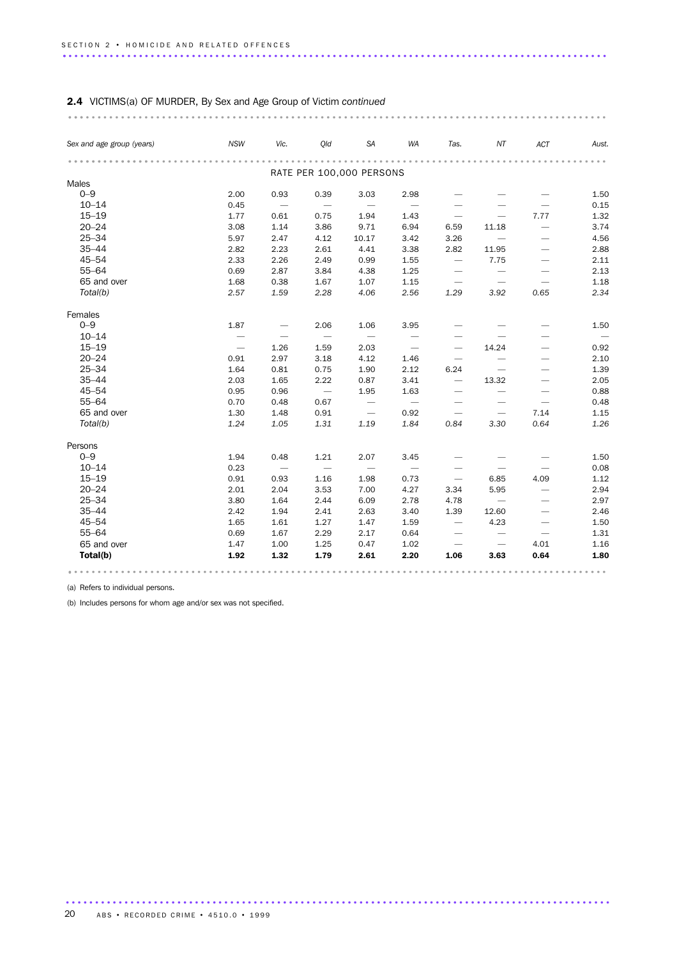| Sex and age group (years) | <b>NSW</b>               | Vic.                     | Old                      | <b>SA</b>                | WA                       | Tas.                            | NT                              | ACT                             | Aust. |
|---------------------------|--------------------------|--------------------------|--------------------------|--------------------------|--------------------------|---------------------------------|---------------------------------|---------------------------------|-------|
|                           |                          |                          |                          |                          |                          |                                 |                                 |                                 |       |
|                           |                          |                          |                          | RATE PER 100,000 PERSONS |                          |                                 |                                 |                                 |       |
| Males                     |                          |                          |                          |                          |                          |                                 |                                 |                                 |       |
| $0 - 9$                   | 2.00                     | 0.93                     | 0.39                     | 3.03                     | 2.98                     |                                 |                                 |                                 | 1.50  |
| $10 - 14$                 | 0.45                     |                          |                          | $\overline{\phantom{m}}$ | $\overline{\phantom{m}}$ |                                 |                                 |                                 | 0.15  |
| $15 - 19$                 | 1.77                     | 0.61                     | 0.75                     | 1.94                     | 1.43                     |                                 | $\overbrace{\phantom{1232211}}$ | 7.77                            | 1.32  |
| $20 - 24$                 | 3.08                     | 1.14                     | 3.86                     | 9.71                     | 6.94                     | 6.59                            | 11.18                           |                                 | 3.74  |
| $25 - 34$                 | 5.97                     | 2.47                     | 4.12                     | 10.17                    | 3.42                     | 3.26                            | $\overline{\phantom{0}}$        | $\overline{\phantom{0}}$        | 4.56  |
| $35 - 44$                 | 2.82                     | 2.23                     | 2.61                     | 4.41                     | 3.38                     | 2.82                            | 11.95                           | $\overline{\phantom{0}}$        | 2.88  |
| $45 - 54$                 | 2.33                     | 2.26                     | 2.49                     | 0.99                     | 1.55                     | $\overline{\phantom{m}}$        | 7.75                            | $\overbrace{\phantom{1232211}}$ | 2.11  |
| $55 - 64$                 | 0.69                     | 2.87                     | 3.84                     | 4.38                     | 1.25                     | $\overline{\phantom{m}}$        | $\overline{\phantom{m}}$        |                                 | 2.13  |
| 65 and over               | 1.68                     | 0.38                     | 1.67                     | 1.07                     | 1.15                     | $\overline{\phantom{m}}$        | $\overline{\phantom{m}}$        |                                 | 1.18  |
| Total(b)                  | 2.57                     | 1.59                     | 2.28                     | 4.06                     | 2.56                     | 1.29                            | 3.92                            | 0.65                            | 2.34  |
| Females                   |                          |                          |                          |                          |                          |                                 |                                 |                                 |       |
| $0 - 9$                   | 1.87                     | $\overline{\phantom{m}}$ | 2.06                     | 1.06                     | 3.95                     |                                 |                                 |                                 | 1.50  |
| $10 - 14$                 | $\overline{\phantom{m}}$ | $\overline{\phantom{m}}$ | $\overline{\phantom{m}}$ | $\overline{\phantom{m}}$ | $\overline{\phantom{m}}$ |                                 |                                 |                                 |       |
| $15 - 19$                 |                          | 1.26                     | 1.59                     | 2.03                     | $\overline{\phantom{0}}$ | $\overbrace{\phantom{1232211}}$ | 14.24                           |                                 | 0.92  |
| $20 - 24$                 | 0.91                     | 2.97                     | 3.18                     | 4.12                     | 1.46                     |                                 |                                 | $\overline{\phantom{0}}$        | 2.10  |
| $25 - 34$                 | 1.64                     | 0.81                     | 0.75                     | 1.90                     | 2.12                     | 6.24                            |                                 | $\overline{\phantom{0}}$        | 1.39  |
| $35 - 44$                 | 2.03                     | 1.65                     | 2.22                     | 0.87                     | 3.41                     | $\overline{\phantom{m}}$        | 13.32                           |                                 | 2.05  |
| $45 - 54$                 | 0.95                     | 0.96                     | $\hspace{0.1mm}$         | 1.95                     | 1.63                     | $\overline{\phantom{m}}$        |                                 |                                 | 0.88  |
| $55 - 64$                 | 0.70                     | 0.48                     | 0.67                     | $\overline{\phantom{m}}$ | $\hspace{0.1mm}$         | $\overline{\phantom{m}}$        | $\overline{\phantom{m}}$        | $\overline{\phantom{m}}$        | 0.48  |
| 65 and over               | 1.30                     | 1.48                     | 0.91                     | $\overline{\phantom{m}}$ | 0.92                     | $\overline{\phantom{m}}$        |                                 | 7.14                            | 1.15  |
| Total(b)                  | 1.24                     | 1.05                     | 1.31                     | 1.19                     | 1.84                     | 0.84                            | 3.30                            | 0.64                            | 1.26  |
| Persons                   |                          |                          |                          |                          |                          |                                 |                                 |                                 |       |
| $0 - 9$                   | 1.94                     | 0.48                     | 1.21                     | 2.07                     | 3.45                     |                                 |                                 |                                 | 1.50  |
| $10 - 14$                 | 0.23                     | $\overline{\phantom{m}}$ | $\overline{\phantom{m}}$ | $\overline{\phantom{m}}$ | $\overline{\phantom{m}}$ |                                 | $\overline{\phantom{0}}$        | $\overline{\phantom{0}}$        | 0.08  |
| $15 - 19$                 | 0.91                     | 0.93                     | 1.16                     | 1.98                     | 0.73                     | $\overline{\phantom{m}}$        | 6.85                            | 4.09                            | 1.12  |
| $20 - 24$                 | 2.01                     | 2.04                     | 3.53                     | 7.00                     | 4.27                     | 3.34                            | 5.95                            |                                 | 2.94  |
| $25 - 34$                 | 3.80                     | 1.64                     | 2.44                     | 6.09                     | 2.78                     | 4.78                            |                                 | $\overline{\phantom{0}}$        | 2.97  |
| $35 - 44$                 | 2.42                     | 1.94                     | 2.41                     | 2.63                     | 3.40                     | 1.39                            | 12.60                           | $\overbrace{\phantom{1232211}}$ | 2.46  |
| $45 - 54$                 | 1.65                     | 1.61                     | 1.27                     | 1.47                     | 1.59                     | $\overbrace{\phantom{1232211}}$ | 4.23                            | $\overbrace{\phantom{1232211}}$ | 1.50  |
| $55 - 64$                 | 0.69                     | 1.67                     | 2.29                     | 2.17                     | 0.64                     | $\overbrace{\phantom{1232211}}$ | $\overline{\phantom{0}}$        | $\overline{\phantom{0}}$        | 1.31  |
| 65 and over               | 1.47                     | 1.00                     | 1.25                     | 0.47                     | 1.02                     | $\overline{\phantom{m}}$        |                                 | 4.01                            | 1.16  |
| Total(b)                  | 1.92                     | 1.32                     | 1.79                     | 2.61                     | 2.20                     | 1.06                            | 3.63                            | 0.64                            | 1.80  |

(a) Refers to individual persons.

(b) Includes persons for whom age and/or sex was not specified.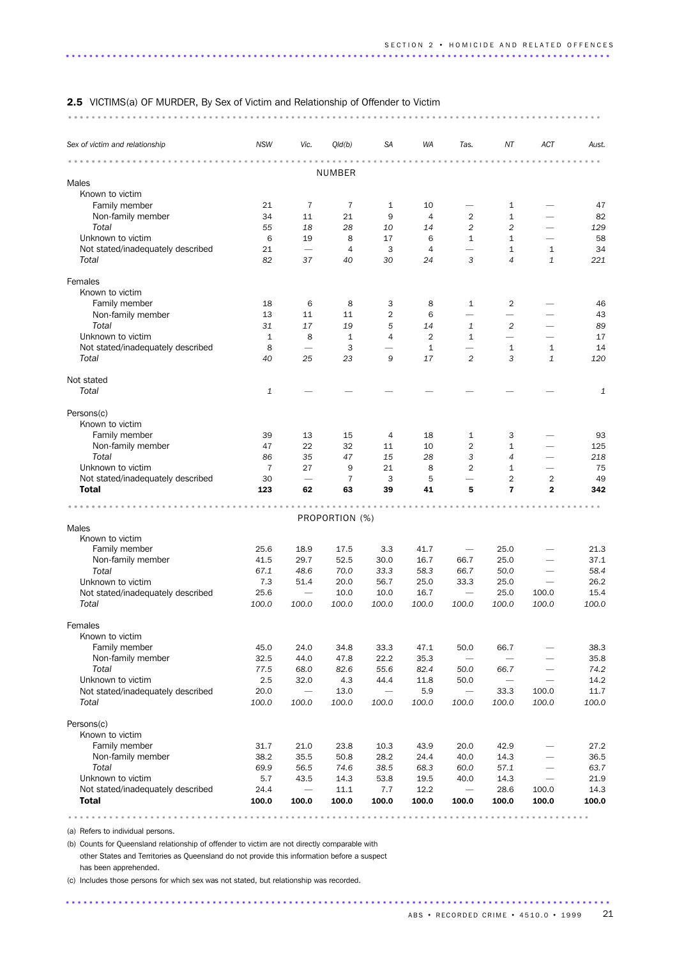### 2.5 VICTIMS(a) OF MURDER, By Sex of Victim and Relationship of Offender to Victim

### ........................................................................................... ...

| .<br>NUMBER<br>Males<br>Known to victim<br>Family member<br>21<br>7<br>7<br>$\mathbf{1}$<br>10<br>1<br>Non-family member<br>34<br>$\overline{4}$<br>$\overline{2}$<br>$\mathbf{1}$<br>11<br>21<br>9<br>Total<br>2<br>$\overline{c}$<br>55<br>18<br>28<br>10<br>14<br>-<br>Unknown to victim<br>$\mathbf{1}$<br>6<br>19<br>8<br>17<br>6<br>$\mathbf{1}$<br>$\overline{\phantom{0}}$<br>21<br>$\overline{\phantom{0}}$<br>$\overline{4}$<br>3<br>$\mathbf{1}$<br>Not stated/inadequately described<br>4<br>$\overline{\phantom{0}}$<br>$\mathbf{1}$<br>Total<br>82<br>$\overline{4}$<br>$\mathbf{1}$<br>37<br>40<br>30<br>24<br>3<br>Females<br>Known to victim<br>Family member<br>18<br>6<br>8<br>3<br>8<br>$\mathbf{1}$<br>2<br>Non-family member<br>$\overline{2}$<br>13<br>11<br>11<br>6<br>$\overline{\phantom{0}}$ | 47<br>82<br>129<br>58<br>34<br>221 |
|-------------------------------------------------------------------------------------------------------------------------------------------------------------------------------------------------------------------------------------------------------------------------------------------------------------------------------------------------------------------------------------------------------------------------------------------------------------------------------------------------------------------------------------------------------------------------------------------------------------------------------------------------------------------------------------------------------------------------------------------------------------------------------------------------------------------------|------------------------------------|
|                                                                                                                                                                                                                                                                                                                                                                                                                                                                                                                                                                                                                                                                                                                                                                                                                         |                                    |
|                                                                                                                                                                                                                                                                                                                                                                                                                                                                                                                                                                                                                                                                                                                                                                                                                         |                                    |
|                                                                                                                                                                                                                                                                                                                                                                                                                                                                                                                                                                                                                                                                                                                                                                                                                         |                                    |
|                                                                                                                                                                                                                                                                                                                                                                                                                                                                                                                                                                                                                                                                                                                                                                                                                         |                                    |
|                                                                                                                                                                                                                                                                                                                                                                                                                                                                                                                                                                                                                                                                                                                                                                                                                         |                                    |
|                                                                                                                                                                                                                                                                                                                                                                                                                                                                                                                                                                                                                                                                                                                                                                                                                         |                                    |
|                                                                                                                                                                                                                                                                                                                                                                                                                                                                                                                                                                                                                                                                                                                                                                                                                         |                                    |
|                                                                                                                                                                                                                                                                                                                                                                                                                                                                                                                                                                                                                                                                                                                                                                                                                         |                                    |
|                                                                                                                                                                                                                                                                                                                                                                                                                                                                                                                                                                                                                                                                                                                                                                                                                         |                                    |
|                                                                                                                                                                                                                                                                                                                                                                                                                                                                                                                                                                                                                                                                                                                                                                                                                         |                                    |
|                                                                                                                                                                                                                                                                                                                                                                                                                                                                                                                                                                                                                                                                                                                                                                                                                         |                                    |
|                                                                                                                                                                                                                                                                                                                                                                                                                                                                                                                                                                                                                                                                                                                                                                                                                         | 46                                 |
|                                                                                                                                                                                                                                                                                                                                                                                                                                                                                                                                                                                                                                                                                                                                                                                                                         | 43                                 |
| Total<br>31<br>17<br>19<br>$\overline{c}$<br>5<br>14<br>$\mathbf{1}$                                                                                                                                                                                                                                                                                                                                                                                                                                                                                                                                                                                                                                                                                                                                                    | 89                                 |
| Unknown to victim<br>1<br>8<br>1<br>4<br>2<br>$\mathbf{1}$<br>$\overline{\phantom{0}}$                                                                                                                                                                                                                                                                                                                                                                                                                                                                                                                                                                                                                                                                                                                                  | 17                                 |
| Not stated/inadequately described<br>8<br>3<br>$\mathbf{1}$<br>$1\,$<br>1<br>$\overline{\phantom{0}}$                                                                                                                                                                                                                                                                                                                                                                                                                                                                                                                                                                                                                                                                                                                   | 14                                 |
| Total<br>3<br>$\mathbf{1}$<br>40<br>25<br>23<br>9<br>17<br>2                                                                                                                                                                                                                                                                                                                                                                                                                                                                                                                                                                                                                                                                                                                                                            | 120                                |
| Not stated                                                                                                                                                                                                                                                                                                                                                                                                                                                                                                                                                                                                                                                                                                                                                                                                              |                                    |
| Total<br>1                                                                                                                                                                                                                                                                                                                                                                                                                                                                                                                                                                                                                                                                                                                                                                                                              | $\mathbf{1}$                       |
| Persons(c)                                                                                                                                                                                                                                                                                                                                                                                                                                                                                                                                                                                                                                                                                                                                                                                                              |                                    |
| Known to victim                                                                                                                                                                                                                                                                                                                                                                                                                                                                                                                                                                                                                                                                                                                                                                                                         |                                    |
| Family member<br>39<br>13<br>18<br>$\mathbf{1}$<br>15<br>4<br>3                                                                                                                                                                                                                                                                                                                                                                                                                                                                                                                                                                                                                                                                                                                                                         | 93                                 |
| Non-family member<br>47<br>22<br>32<br>$\overline{2}$<br>11<br>10<br>1                                                                                                                                                                                                                                                                                                                                                                                                                                                                                                                                                                                                                                                                                                                                                  | 125                                |
| Total<br>35<br>15<br>86<br>47<br>28<br>3<br>4                                                                                                                                                                                                                                                                                                                                                                                                                                                                                                                                                                                                                                                                                                                                                                           | 218                                |
| Unknown to victim<br>$\overline{7}$<br>27<br>21<br>8<br>$\overline{2}$<br>9<br>1<br>$\overline{\phantom{0}}$                                                                                                                                                                                                                                                                                                                                                                                                                                                                                                                                                                                                                                                                                                            | 75                                 |
| Not stated/inadequately described<br>30<br>3<br>5<br>2<br>$\overline{2}$<br>$\overline{7}$<br>$\overline{\phantom{0}}$                                                                                                                                                                                                                                                                                                                                                                                                                                                                                                                                                                                                                                                                                                  | 49                                 |
| <b>Total</b><br>123<br>$\overline{7}$<br>$\mathbf{2}$<br>62<br>63<br>39<br>41<br>5                                                                                                                                                                                                                                                                                                                                                                                                                                                                                                                                                                                                                                                                                                                                      | 342                                |
| .                                                                                                                                                                                                                                                                                                                                                                                                                                                                                                                                                                                                                                                                                                                                                                                                                       |                                    |
| PROPORTION (%)                                                                                                                                                                                                                                                                                                                                                                                                                                                                                                                                                                                                                                                                                                                                                                                                          |                                    |
| Males                                                                                                                                                                                                                                                                                                                                                                                                                                                                                                                                                                                                                                                                                                                                                                                                                   |                                    |
| Known to victim                                                                                                                                                                                                                                                                                                                                                                                                                                                                                                                                                                                                                                                                                                                                                                                                         |                                    |
| Family member<br>25.6<br>18.9<br>17.5<br>3.3<br>41.7<br>25.0<br>$\overline{\phantom{m}}$                                                                                                                                                                                                                                                                                                                                                                                                                                                                                                                                                                                                                                                                                                                                | 21.3                               |
| Non-family member<br>29.7<br>52.5<br>25.0<br>41.5<br>30.0<br>16.7<br>66.7                                                                                                                                                                                                                                                                                                                                                                                                                                                                                                                                                                                                                                                                                                                                               | 37.1                               |
| Total<br>67.1<br>58.3<br>66.7<br>48.6<br>70.0<br>33.3<br>50.0                                                                                                                                                                                                                                                                                                                                                                                                                                                                                                                                                                                                                                                                                                                                                           | 58.4                               |
| Unknown to victim<br>7.3<br>25.0<br>33.3<br>51.4<br>20.0<br>56.7<br>25.0<br>$\overline{\phantom{0}}$                                                                                                                                                                                                                                                                                                                                                                                                                                                                                                                                                                                                                                                                                                                    | 26.2                               |
| Not stated/inadequately described<br>25.6<br>25.0<br>10.0<br>10.0<br>16.7<br>$\overline{\phantom{0}}$<br>100.0<br>$\overline{\phantom{m}}$                                                                                                                                                                                                                                                                                                                                                                                                                                                                                                                                                                                                                                                                              | 15.4                               |
| Total<br>100.0<br>100.0<br>100.0<br>100.0<br>100.0<br>100.0<br>100.0<br>100.0                                                                                                                                                                                                                                                                                                                                                                                                                                                                                                                                                                                                                                                                                                                                           | 100.0                              |
| Females                                                                                                                                                                                                                                                                                                                                                                                                                                                                                                                                                                                                                                                                                                                                                                                                                 |                                    |
| Known to victim                                                                                                                                                                                                                                                                                                                                                                                                                                                                                                                                                                                                                                                                                                                                                                                                         |                                    |
| Family member<br>45.0<br>24.0<br>34.8<br>33.3<br>47.1<br>50.0<br>66.7                                                                                                                                                                                                                                                                                                                                                                                                                                                                                                                                                                                                                                                                                                                                                   | 38.3                               |
| Non-family member<br>32.5<br>44.0<br>47.8<br>22.2<br>35.3<br>—                                                                                                                                                                                                                                                                                                                                                                                                                                                                                                                                                                                                                                                                                                                                                          | 35.8                               |
| Total<br>77.5<br>82.6<br>55.6<br>82.4<br>68.0<br>50.0<br>66.7<br>$\overline{\phantom{0}}$                                                                                                                                                                                                                                                                                                                                                                                                                                                                                                                                                                                                                                                                                                                               | 74.2                               |
| Unknown to victim<br>2.5<br>32.0<br>4.3<br>44.4<br>11.8<br>50.0                                                                                                                                                                                                                                                                                                                                                                                                                                                                                                                                                                                                                                                                                                                                                         | 14.2                               |
| Not stated/inadequately described<br>20.0<br>13.0<br>5.9<br>33.3<br>100.0                                                                                                                                                                                                                                                                                                                                                                                                                                                                                                                                                                                                                                                                                                                                               | 11.7                               |
| Total<br>100.0<br>100.0<br>100.0<br>100.0<br>100.0<br>100.0<br>100.0<br>100.0                                                                                                                                                                                                                                                                                                                                                                                                                                                                                                                                                                                                                                                                                                                                           | 100.0                              |
| Persons(c)                                                                                                                                                                                                                                                                                                                                                                                                                                                                                                                                                                                                                                                                                                                                                                                                              |                                    |
| Known to victim                                                                                                                                                                                                                                                                                                                                                                                                                                                                                                                                                                                                                                                                                                                                                                                                         |                                    |
| Family member<br>31.7<br>21.0<br>23.8<br>10.3<br>42.9<br>43.9<br>20.0                                                                                                                                                                                                                                                                                                                                                                                                                                                                                                                                                                                                                                                                                                                                                   | 27.2                               |
| Non-family member<br>38.2<br>35.5<br>50.8<br>28.2<br>24.4<br>40.0<br>14.3<br>$\overline{\phantom{0}}$                                                                                                                                                                                                                                                                                                                                                                                                                                                                                                                                                                                                                                                                                                                   | 36.5                               |
| Total<br>69.9<br>56.5<br>74.6<br>38.5<br>68.3<br>60.0<br>57.1<br>$\overline{\phantom{0}}$                                                                                                                                                                                                                                                                                                                                                                                                                                                                                                                                                                                                                                                                                                                               | 63.7                               |
| Unknown to victim<br>5.7<br>43.5<br>14.3<br>53.8<br>19.5<br>40.0<br>14.3<br>$\overline{\phantom{0}}$                                                                                                                                                                                                                                                                                                                                                                                                                                                                                                                                                                                                                                                                                                                    | 21.9                               |
| 24.4<br>12.2<br>28.6<br>Not stated/inadequately described<br>$\overline{\phantom{0}}$<br>11.1<br>7.7<br>100.0<br>$\overline{\phantom{0}}$                                                                                                                                                                                                                                                                                                                                                                                                                                                                                                                                                                                                                                                                               | 14.3                               |
| <b>Total</b><br>100.0<br>100.0<br>100.0<br>100.0<br>100.0<br>100.0<br>100.0<br>100.0                                                                                                                                                                                                                                                                                                                                                                                                                                                                                                                                                                                                                                                                                                                                    |                                    |

.........................................................................................

.............................................................................................

(a) Refers to individual persons.

(b) Counts for Queensland relationship of offender to victim are not directly comparable with other States and Territories as Queensland do not provide this information before a suspect has been apprehended.

(c) Includes those persons for which sex was not stated, but relationship was recorded.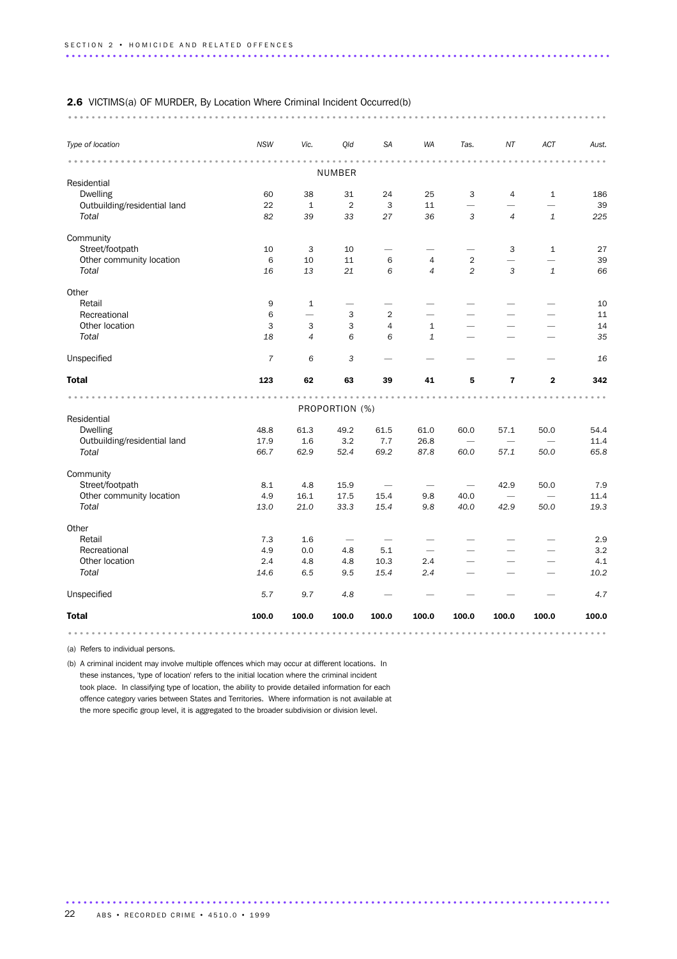### 2.6 VICTIMS(a) OF MURDER, By Location Where Criminal Incident Occurred(b)

............................................................................................ ...

| Type of location                                | <b>NSW</b>     | Vic.                     | Qld                       | <b>SA</b>                | WA             | Tas.                          | NT                       | ACT                                      | Aust.                |
|-------------------------------------------------|----------------|--------------------------|---------------------------|--------------------------|----------------|-------------------------------|--------------------------|------------------------------------------|----------------------|
|                                                 |                |                          |                           |                          |                |                               |                          |                                          |                      |
|                                                 |                |                          | NUMBER                    |                          |                |                               |                          |                                          |                      |
| Residential                                     |                |                          |                           |                          |                |                               |                          |                                          |                      |
| <b>Dwelling</b><br>Outbuilding/residential land | 60<br>22       | 38<br>$\mathbf 1$        | 31<br>$\overline{2}$      | 24<br>3                  | 25<br>11       | 3<br>$\overline{\phantom{0}}$ | 4                        | $\mathbf{1}$<br>$\overline{\phantom{0}}$ | 186<br>39            |
| Total                                           | 82             | 39                       | 33                        | 27                       | 36             | 3                             | $\overline{4}$           | $\mathbf{1}$                             | 225                  |
|                                                 |                |                          |                           |                          |                |                               |                          |                                          |                      |
| Community                                       |                |                          |                           |                          |                |                               |                          |                                          |                      |
| Street/footpath                                 | 10             | 3                        | 10                        | $\overline{\phantom{0}}$ |                | $\overline{\phantom{0}}$      | 3                        | $\mathbf{1}$                             | 27                   |
| Other community location                        | 6              | 10                       | 11                        | 6                        | 4              | 2                             | $\overline{\phantom{0}}$ |                                          | 39                   |
| Total                                           | 16             | 13                       | 21                        | 6                        | $\overline{4}$ | 2                             | 3                        | $\mathbf{1}$                             | 66                   |
| Other                                           |                |                          |                           |                          |                |                               |                          |                                          |                      |
| Retail                                          | 9              | $\mathbf{1}$             | $\overline{\phantom{0}}$  |                          |                |                               |                          |                                          | 10                   |
| Recreational                                    | 6              | $\overline{\phantom{0}}$ | 3                         | $\overline{c}$           |                |                               |                          |                                          | 11                   |
| Other location                                  | 3              | 3                        | $\ensuremath{\mathsf{3}}$ | $\overline{4}$           | $\mathbf{1}$   |                               |                          |                                          | 14                   |
| Total                                           | 18             | $\overline{4}$           | 6                         | 6                        | 1              |                               |                          |                                          | 35                   |
| Unspecified                                     | $\overline{7}$ | 6                        | 3                         |                          |                |                               |                          |                                          | 16                   |
| <b>Total</b>                                    | 123            | 62                       | 63                        | 39                       | 41             | 5                             | $\overline{\mathbf{r}}$  | $\mathbf{2}$                             | 342                  |
|                                                 |                |                          |                           |                          |                |                               |                          |                                          | $\sim$ $\sim$ $\sim$ |
|                                                 |                |                          | PROPORTION (%)            |                          |                |                               |                          |                                          |                      |
| Residential                                     |                |                          |                           |                          |                |                               |                          |                                          |                      |
| <b>Dwelling</b>                                 | 48.8           | 61.3                     | 49.2                      | 61.5                     | 61.0           | 60.0                          | 57.1                     | 50.0                                     | 54.4                 |
| Outbuilding/residential land                    | 17.9           | 1.6                      | 3.2                       | 7.7                      | 26.8           |                               |                          |                                          | 11.4                 |
| Total                                           | 66.7           | 62.9                     | 52.4                      | 69.2                     | 87.8           | 60.0                          | 57.1                     | 50.0                                     | 65.8                 |
| Community                                       |                |                          |                           |                          |                |                               |                          |                                          |                      |
| Street/footpath                                 | 8.1            | 4.8                      | 15.9                      |                          |                |                               | 42.9                     | 50.0                                     | 7.9                  |
| Other community location                        | 4.9            | 16.1                     | 17.5                      | 15.4                     | 9.8            | 40.0                          |                          |                                          | 11.4                 |
| Total                                           | 13.0           | 21.0                     | 33.3                      | 15.4                     | 9.8            | 40.0                          | 42.9                     | 50.0                                     | 19.3                 |
| Other                                           |                |                          |                           |                          |                |                               |                          |                                          |                      |
| Retail                                          | 7.3            | 1.6                      |                           |                          |                |                               |                          |                                          | 2.9                  |
| Recreational                                    | 4.9            | 0.0                      | 4.8                       | 5.1                      |                |                               |                          |                                          | 3.2                  |
| Other location                                  | 2.4            | 4.8                      | 4.8                       | 10.3                     | 2.4            |                               |                          |                                          | 4.1                  |
| Total                                           | 14.6           | 6.5                      | 9.5                       | 15.4                     | 2.4            |                               |                          |                                          | 10.2                 |
| Unspecified                                     | 5.7            | 9.7                      | 4.8                       |                          |                |                               |                          |                                          | 4.7                  |
| <b>Total</b>                                    | 100.0          | 100.0                    | 100.0                     | 100.0                    | 100.0          | 100.0                         | 100.0                    | 100.0                                    | 100.0                |
|                                                 |                |                          |                           |                          |                |                               |                          |                                          |                      |

.............................................................................................

(a) Refers to individual persons.

(b) A criminal incident may involve multiple offences which may occur at different locations. In these instances, 'type of location' refers to the initial location where the criminal incident took place. In classifying type of location, the ability to provide detailed information for each offence category varies between States and Territories. Where information is not available at the more specific group level, it is aggregated to the broader subdivision or division level.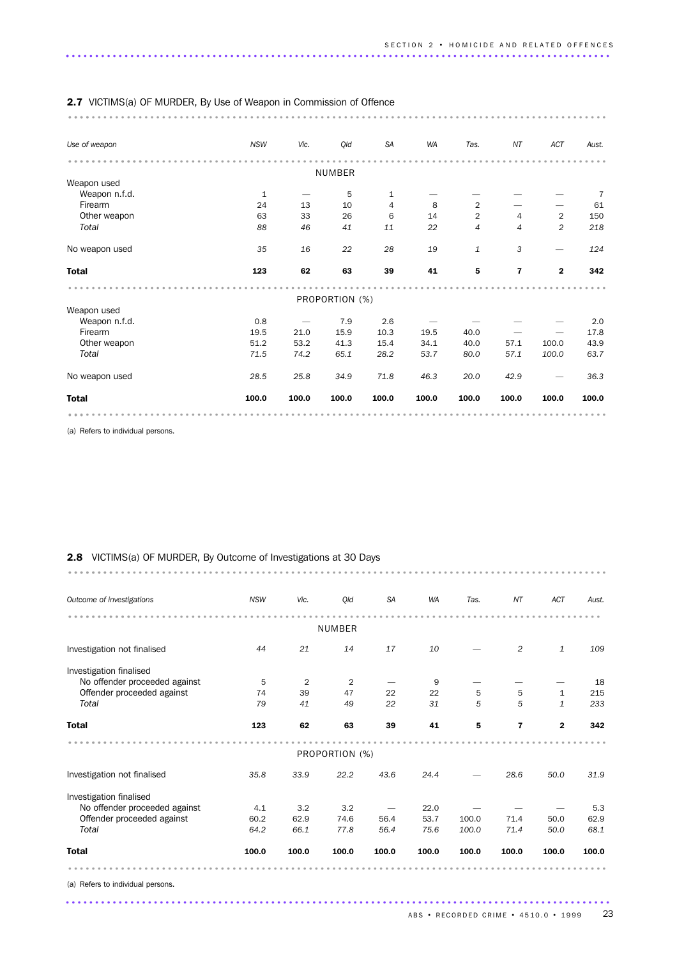| <b>2.7</b> VICTIMS(a) OF MURDER, By Use of Weapon in Commission of Offence |              |                                       |                |                |           |                |                         |                |       |
|----------------------------------------------------------------------------|--------------|---------------------------------------|----------------|----------------|-----------|----------------|-------------------------|----------------|-------|
|                                                                            |              |                                       |                |                |           |                |                         |                |       |
| Use of weapon                                                              | <b>NSW</b>   | Vic.                                  | Qld            | <b>SA</b>      | <b>WA</b> | Tas.           | NT                      | ACT            | Aust. |
|                                                                            |              |                                       |                |                |           |                |                         |                |       |
| Weapon used                                                                |              |                                       | NUMBER         |                |           |                |                         |                |       |
| Weapon n.f.d.                                                              | $\mathbf{1}$ |                                       | 5              | $\mathbf{1}$   |           |                |                         |                | 7     |
| Firearm                                                                    | 24           | 13                                    | 10             | $\overline{4}$ | 8         | $\overline{2}$ |                         |                | 61    |
| Other weapon                                                               | 63           | 33                                    | 26             | 6              | 14        | $\overline{2}$ | 4                       | $\overline{2}$ | 150   |
| Total                                                                      | 88           | 46                                    | 41             | 11             | 22        | 4              | 4                       | $\overline{c}$ | 218   |
|                                                                            |              |                                       |                |                |           |                |                         |                |       |
| No weapon used                                                             | 35           | 16                                    | 22             | 28             | 19        | $\mathbf{1}$   | 3                       |                | 124   |
| <b>Total</b>                                                               | 123          | 62                                    | 63             | 39             | 41        | 5              | $\overline{\mathbf{r}}$ | $\mathbf 2$    | 342   |
|                                                                            |              |                                       |                |                |           |                |                         |                |       |
|                                                                            |              |                                       | PROPORTION (%) |                |           |                |                         |                |       |
| Weapon used<br>Weapon n.f.d.                                               | 0.8          |                                       | 7.9            | 2.6            |           |                |                         |                | 2.0   |
| Firearm                                                                    | 19.5         | $\overbrace{\phantom{12332}}$<br>21.0 | 15.9           | 10.3           | 19.5      | 40.0           |                         |                | 17.8  |
| Other weapon                                                               | 51.2         | 53.2                                  | 41.3           | 15.4           | 34.1      | 40.0           | 57.1                    | 100.0          | 43.9  |
| Total                                                                      |              |                                       |                |                |           |                | 57.1                    |                |       |
|                                                                            | 71.5         | 74.2                                  | 65.1           | 28.2           | 53.7      | 80.0           |                         | 100.0          | 63.7  |
| No weapon used                                                             | 28.5         | 25.8                                  | 34.9           | 71.8           | 46.3      | 20.0           | 42.9                    |                | 36.3  |
| <b>Total</b>                                                               | 100.0        | 100.0                                 | 100.0          | 100.0          | 100.0     | 100.0          | 100.0                   | 100.0          | 100.0 |
|                                                                            |              |                                       |                |                |           |                |                         |                |       |

(a) Refers to individual persons.

| <b>2.8</b> VICTIMS(a) OF MURDER, By Outcome of Investigations at 30 Days |  |
|--------------------------------------------------------------------------|--|
|                                                                          |  |

| Outcome of investigations     | <b>NSW</b> | Vic.           | Old            | <b>SA</b> | <b>WA</b> | Tas.  | NT                      | ACT          | Aust. |
|-------------------------------|------------|----------------|----------------|-----------|-----------|-------|-------------------------|--------------|-------|
|                               |            |                | NUMBER         |           |           |       |                         |              |       |
|                               |            |                |                |           |           |       |                         |              |       |
| Investigation not finalised   | 44         | 21             | 14             | 17        | 10        |       | 2                       | $\mathbf{1}$ | 109   |
| Investigation finalised       |            |                |                |           |           |       |                         |              |       |
| No offender proceeded against | 5          | $\overline{2}$ | $\overline{2}$ |           | 9         |       |                         |              | 18    |
| Offender proceeded against    | 74         | 39             | 47             | 22        | 22        | 5     | 5                       | 1            | 215   |
| Total                         | 79         | 41             | 49             | 22        | 31        | 5     | 5                       | $\mathbf{1}$ | 233   |
| <b>Total</b>                  | 123        | 62             | 63             | 39        | 41        | 5     | $\overline{\mathbf{r}}$ | $\mathbf{2}$ | 342   |
|                               |            |                | PROPORTION (%) |           |           |       |                         |              |       |
| Investigation not finalised   | 35.8       | 33.9           | 22.2           | 43.6      | 24.4      |       | 28.6                    | 50.0         | 31.9  |
| Investigation finalised       |            |                |                |           |           |       |                         |              |       |
| No offender proceeded against | 4.1        | 3.2            | 3.2            |           | 22.0      |       |                         |              | 5.3   |
| Offender proceeded against    | 60.2       | 62.9           | 74.6           | 56.4      | 53.7      | 100.0 | 71.4                    | 50.0         | 62.9  |
| Total                         | 64.2       | 66.1           | 77.8           | 56.4      | 75.6      | 100.0 | 71.4                    | 50.0         | 68.1  |
| <b>Total</b>                  | 100.0      | 100.0          | 100.0          | 100.0     | 100.0     | 100.0 | 100.0                   | 100.0        | 100.0 |
|                               |            |                |                |           |           |       |                         |              |       |

.............................................................................................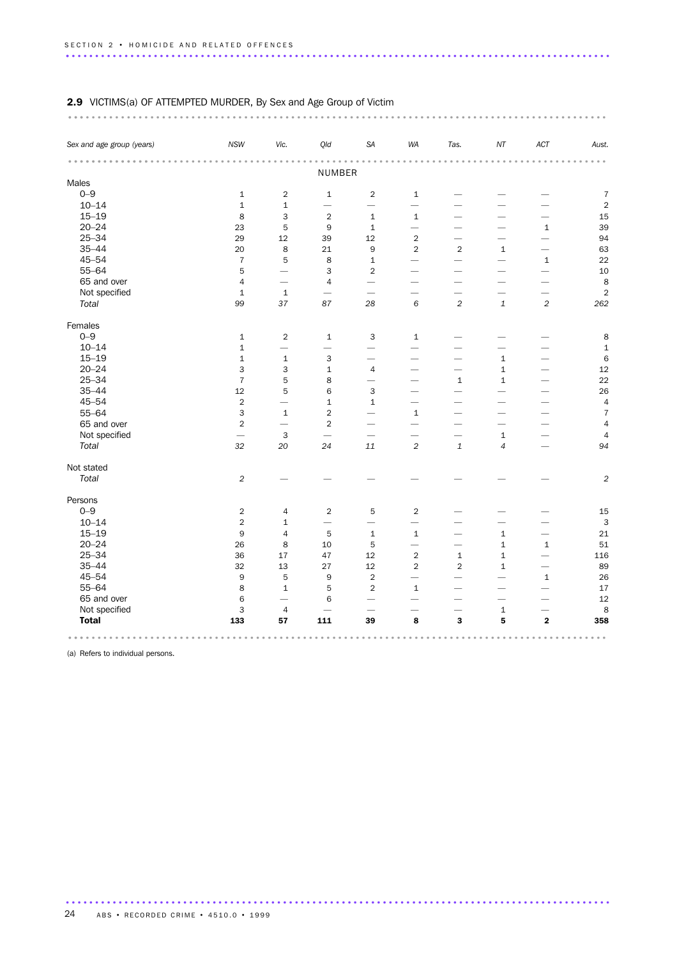### 2.9 VICTIMS(a) OF ATTEMPTED MURDER, By Sex and Age Group of Victim

| Vic.<br>ACT<br>Sex and age group (years)<br><b>NSW</b><br>Qld<br><b>SA</b><br>WA<br>Tas.<br>$N\!T$<br>Aust.<br>NUMBER<br>Males<br>$0 - 9$<br>$\overline{2}$<br>$\mathbf 1$<br>$\sqrt{2}$<br>$\,1\,$<br>$\mathbf 1$<br>$\overline{7}$<br>$10 - 14$<br>$\mathbf 1$<br>$\mathbf 1$<br>$\overline{2}$<br>$\overline{\phantom{0}}$<br>$\overline{\phantom{0}}$<br>$\overline{\phantom{0}}$<br>$15 - 19$<br>8<br>3<br>$\overline{2}$<br>15<br>$1\,$<br>$\mathbf{1}$<br>$20 - 24$<br>39<br>23<br>5<br>$\boldsymbol{9}$<br>$\,1\,$<br>$1\,$<br>$\overline{\phantom{0}}$<br>$\overline{\phantom{0}}$<br>$25 - 34$<br>29<br>12<br>12<br>$\sqrt{2}$<br>94<br>39<br>$\overline{\phantom{0}}$<br>$\overline{\phantom{0}}$<br>$35 - 44$<br>8<br>$\mathsf g$<br>$\overline{2}$<br>$\overline{2}$<br>63<br>20<br>21<br>$1\,$<br>$\overline{\phantom{0}}$<br>$45 - 54$<br>$\overline{7}$<br>5<br>8<br>22<br>$\mathbf 1$<br>$1\,$<br>$\overline{\phantom{0}}$<br>$\overline{\phantom{0}}$<br>$55 - 64$<br>5<br>3<br>$\overline{2}$<br>10<br>$\overline{\phantom{0}}$<br>$\overline{\phantom{0}}$<br>-<br>65 and over<br>8<br>$\overline{4}$<br>$\overline{4}$<br>$\overline{\phantom{0}}$<br>$\overline{\phantom{0}}$<br>$\overline{\phantom{0}}$<br>$\overline{\phantom{0}}$<br>Not specified<br>$\overline{2}$<br>$\mathbf 1$<br>$\mathbf 1$<br>$\overline{\phantom{0}}$<br>$\,6$<br>$\overline{2}$<br>$\sqrt{2}$<br>Total<br>99<br>37<br>87<br>28<br>$\ensuremath{\mathbf{1}}$<br>262<br>Females<br>$0 - 9$<br>$\,1\,$<br>$\overline{2}$<br>$1\,$<br>3<br>8<br>$\mathbf{1}$<br>$10 - 14$<br>$1\,$<br>$\mathbf 1$<br>$\overline{\phantom{0}}$<br>$\overline{\phantom{0}}$<br>$\overline{\phantom{0}}$<br>$\overline{\phantom{0}}$<br>$15 - 19$<br>$\mathbf 1$<br>3<br>$\,$ 6<br>$\mathbf 1$<br>$1\,$<br>$\overline{\phantom{0}}$<br>$\overline{\phantom{0}}$<br>$\overline{\phantom{0}}$<br>$20 - 24$<br>3<br>3<br>$\overline{4}$<br>12<br>$\mathbf{1}$<br>$\mathbf 1$<br>$\overline{\phantom{0}}$<br>$\overline{\phantom{0}}$<br>$25 - 34$<br>$\overline{7}$<br>5<br>8<br>22<br>$\mathbf{1}$<br>$\mathbf{1}$<br>$\overline{\phantom{0}}$<br>$\overline{\phantom{0}}$<br>$35 - 44$<br>12<br>5<br>6<br>3<br>26<br>$45 - 54$<br>$\sqrt{2}$<br>$\overline{4}$<br>$\mathbf{1}$<br>$\mathbf 1$<br>$\overline{\phantom{0}}$<br>$55 - 64$<br>3<br>$\mathbf{1}$<br>$\overline{2}$<br>$\mathbf{1}$<br>$\overline{7}$<br>$\overline{\phantom{0}}$<br>65 and over<br>$\overline{2}$<br>$\overline{2}$<br>$\overline{4}$<br>$\overline{\phantom{0}}$<br>$\overline{\phantom{0}}$<br>Not specified<br>3<br>$\mathbf 1$<br>$\overline{4}$<br>$\overline{\phantom{0}}$<br>$\overline{\phantom{0}}$<br>$\overline{\phantom{0}}$<br>$\overline{\phantom{0}}$<br>Total<br>$\sqrt{2}$<br>32<br>24<br>$11\,$<br>$\ensuremath{\mathbf{1}}$<br>$\overline{4}$<br>94<br>20<br>$\overline{\phantom{0}}$<br>Not stated<br>Total<br>$\overline{2}$<br>$\sqrt{2}$<br>Persons<br>$0 - 9$<br>$\sqrt{2}$<br>$\overline{2}$<br>5<br>$\sqrt{2}$<br>4<br>15<br>$10 - 14$<br>$\overline{2}$<br>3<br>$\mathbf 1$<br>$\overline{\phantom{0}}$<br>$\overline{\phantom{0}}$<br>$\overline{\phantom{0}}$<br>$15 - 19$<br>9<br>$\overline{4}$<br>5<br>$\mathbf 1$<br>$\mathbf{1}$<br>$\mathbf 1$<br>21<br>$\overline{\phantom{0}}$<br>$20 - 24$<br>26<br>$\mathbf 1$<br>8<br>10<br>5<br>$\mathbf 1$<br>51<br>$\overline{\phantom{0}}$<br>$25 - 34$<br>36<br>12<br>$\sqrt{2}$<br>$\mathbf 1$<br>$\mathbf 1$<br>17<br>47<br>116<br>$\overline{\phantom{0}}$<br>$35 - 44$<br>32<br>13<br>27<br>12<br>$\overline{2}$<br>$\overline{2}$<br>$\mathbf 1$<br>89<br>$45 - 54$<br>9<br>5<br>$\boldsymbol{9}$<br>$\sqrt{2}$<br>26<br>$\,1\,$<br>$\overline{\phantom{0}}$<br>$\overline{\phantom{0}}$<br>$\overline{\phantom{0}}$<br>$55 - 64$<br>8<br>5<br>$\overline{2}$<br>$\mathbf{1}$<br>$\mathbf{1}$<br>17<br>$\overline{\phantom{0}}$<br>$\overline{\phantom{0}}$<br>$\overline{\phantom{0}}$<br>65 and over<br>12<br>6<br>6<br>$\overline{\phantom{0}}$<br>$\overline{\phantom{0}}$<br>$\overline{\phantom{0}}$<br>$\overline{\phantom{0}}$<br>$\overline{\phantom{0}}$<br>Not specified<br>3<br>$\overline{4}$<br>$\mathbf 1$<br>8<br>$\overline{\phantom{0}}$<br>$\overline{\phantom{0}}$<br>$\overline{\phantom{0}}$<br>$\overline{\phantom{0}}$<br>133<br>111<br>8<br>$\mathbf 3$<br>5<br>$\overline{\mathbf{2}}$<br><b>Total</b><br>57<br>39<br>358 |  |  |  |  |  |
|----------------------------------------------------------------------------------------------------------------------------------------------------------------------------------------------------------------------------------------------------------------------------------------------------------------------------------------------------------------------------------------------------------------------------------------------------------------------------------------------------------------------------------------------------------------------------------------------------------------------------------------------------------------------------------------------------------------------------------------------------------------------------------------------------------------------------------------------------------------------------------------------------------------------------------------------------------------------------------------------------------------------------------------------------------------------------------------------------------------------------------------------------------------------------------------------------------------------------------------------------------------------------------------------------------------------------------------------------------------------------------------------------------------------------------------------------------------------------------------------------------------------------------------------------------------------------------------------------------------------------------------------------------------------------------------------------------------------------------------------------------------------------------------------------------------------------------------------------------------------------------------------------------------------------------------------------------------------------------------------------------------------------------------------------------------------------------------------------------------------------------------------------------------------------------------------------------------------------------------------------------------------------------------------------------------------------------------------------------------------------------------------------------------------------------------------------------------------------------------------------------------------------------------------------------------------------------------------------------------------------------------------------------------------------------------------------------------------------------------------------------------------------------------------------------------------------------------------------------------------------------------------------------------------------------------------------------------------------------------------------------------------------------------------------------------------------------------------------------------------------------------------------------------------------------------------------------------------------------------------------------------------------------------------------------------------------------------------------------------------------------------------------------------------------------------------------------------------------------------------------------------------------------------------------------------------------------------------------------------------------------------------------------------------------------------------------------------------------------------------------------------------------------------------------------------------------------------------------------------------------------------------------------------------------------------------------------------------------------------------------------------------------------------------------------------------------------------------------------------------------------------------------------------------------------------------------------------------------------------------------------------------------------------------------------------------------------------------------------------------------------------------|--|--|--|--|--|
|                                                                                                                                                                                                                                                                                                                                                                                                                                                                                                                                                                                                                                                                                                                                                                                                                                                                                                                                                                                                                                                                                                                                                                                                                                                                                                                                                                                                                                                                                                                                                                                                                                                                                                                                                                                                                                                                                                                                                                                                                                                                                                                                                                                                                                                                                                                                                                                                                                                                                                                                                                                                                                                                                                                                                                                                                                                                                                                                                                                                                                                                                                                                                                                                                                                                                                                                                                                                                                                                                                                                                                                                                                                                                                                                                                                                                                                                                                                                                                                                                                                                                                                                                                                                                                                                                                                                                                                              |  |  |  |  |  |
|                                                                                                                                                                                                                                                                                                                                                                                                                                                                                                                                                                                                                                                                                                                                                                                                                                                                                                                                                                                                                                                                                                                                                                                                                                                                                                                                                                                                                                                                                                                                                                                                                                                                                                                                                                                                                                                                                                                                                                                                                                                                                                                                                                                                                                                                                                                                                                                                                                                                                                                                                                                                                                                                                                                                                                                                                                                                                                                                                                                                                                                                                                                                                                                                                                                                                                                                                                                                                                                                                                                                                                                                                                                                                                                                                                                                                                                                                                                                                                                                                                                                                                                                                                                                                                                                                                                                                                                              |  |  |  |  |  |
|                                                                                                                                                                                                                                                                                                                                                                                                                                                                                                                                                                                                                                                                                                                                                                                                                                                                                                                                                                                                                                                                                                                                                                                                                                                                                                                                                                                                                                                                                                                                                                                                                                                                                                                                                                                                                                                                                                                                                                                                                                                                                                                                                                                                                                                                                                                                                                                                                                                                                                                                                                                                                                                                                                                                                                                                                                                                                                                                                                                                                                                                                                                                                                                                                                                                                                                                                                                                                                                                                                                                                                                                                                                                                                                                                                                                                                                                                                                                                                                                                                                                                                                                                                                                                                                                                                                                                                                              |  |  |  |  |  |
|                                                                                                                                                                                                                                                                                                                                                                                                                                                                                                                                                                                                                                                                                                                                                                                                                                                                                                                                                                                                                                                                                                                                                                                                                                                                                                                                                                                                                                                                                                                                                                                                                                                                                                                                                                                                                                                                                                                                                                                                                                                                                                                                                                                                                                                                                                                                                                                                                                                                                                                                                                                                                                                                                                                                                                                                                                                                                                                                                                                                                                                                                                                                                                                                                                                                                                                                                                                                                                                                                                                                                                                                                                                                                                                                                                                                                                                                                                                                                                                                                                                                                                                                                                                                                                                                                                                                                                                              |  |  |  |  |  |
|                                                                                                                                                                                                                                                                                                                                                                                                                                                                                                                                                                                                                                                                                                                                                                                                                                                                                                                                                                                                                                                                                                                                                                                                                                                                                                                                                                                                                                                                                                                                                                                                                                                                                                                                                                                                                                                                                                                                                                                                                                                                                                                                                                                                                                                                                                                                                                                                                                                                                                                                                                                                                                                                                                                                                                                                                                                                                                                                                                                                                                                                                                                                                                                                                                                                                                                                                                                                                                                                                                                                                                                                                                                                                                                                                                                                                                                                                                                                                                                                                                                                                                                                                                                                                                                                                                                                                                                              |  |  |  |  |  |
|                                                                                                                                                                                                                                                                                                                                                                                                                                                                                                                                                                                                                                                                                                                                                                                                                                                                                                                                                                                                                                                                                                                                                                                                                                                                                                                                                                                                                                                                                                                                                                                                                                                                                                                                                                                                                                                                                                                                                                                                                                                                                                                                                                                                                                                                                                                                                                                                                                                                                                                                                                                                                                                                                                                                                                                                                                                                                                                                                                                                                                                                                                                                                                                                                                                                                                                                                                                                                                                                                                                                                                                                                                                                                                                                                                                                                                                                                                                                                                                                                                                                                                                                                                                                                                                                                                                                                                                              |  |  |  |  |  |
|                                                                                                                                                                                                                                                                                                                                                                                                                                                                                                                                                                                                                                                                                                                                                                                                                                                                                                                                                                                                                                                                                                                                                                                                                                                                                                                                                                                                                                                                                                                                                                                                                                                                                                                                                                                                                                                                                                                                                                                                                                                                                                                                                                                                                                                                                                                                                                                                                                                                                                                                                                                                                                                                                                                                                                                                                                                                                                                                                                                                                                                                                                                                                                                                                                                                                                                                                                                                                                                                                                                                                                                                                                                                                                                                                                                                                                                                                                                                                                                                                                                                                                                                                                                                                                                                                                                                                                                              |  |  |  |  |  |
|                                                                                                                                                                                                                                                                                                                                                                                                                                                                                                                                                                                                                                                                                                                                                                                                                                                                                                                                                                                                                                                                                                                                                                                                                                                                                                                                                                                                                                                                                                                                                                                                                                                                                                                                                                                                                                                                                                                                                                                                                                                                                                                                                                                                                                                                                                                                                                                                                                                                                                                                                                                                                                                                                                                                                                                                                                                                                                                                                                                                                                                                                                                                                                                                                                                                                                                                                                                                                                                                                                                                                                                                                                                                                                                                                                                                                                                                                                                                                                                                                                                                                                                                                                                                                                                                                                                                                                                              |  |  |  |  |  |
|                                                                                                                                                                                                                                                                                                                                                                                                                                                                                                                                                                                                                                                                                                                                                                                                                                                                                                                                                                                                                                                                                                                                                                                                                                                                                                                                                                                                                                                                                                                                                                                                                                                                                                                                                                                                                                                                                                                                                                                                                                                                                                                                                                                                                                                                                                                                                                                                                                                                                                                                                                                                                                                                                                                                                                                                                                                                                                                                                                                                                                                                                                                                                                                                                                                                                                                                                                                                                                                                                                                                                                                                                                                                                                                                                                                                                                                                                                                                                                                                                                                                                                                                                                                                                                                                                                                                                                                              |  |  |  |  |  |
|                                                                                                                                                                                                                                                                                                                                                                                                                                                                                                                                                                                                                                                                                                                                                                                                                                                                                                                                                                                                                                                                                                                                                                                                                                                                                                                                                                                                                                                                                                                                                                                                                                                                                                                                                                                                                                                                                                                                                                                                                                                                                                                                                                                                                                                                                                                                                                                                                                                                                                                                                                                                                                                                                                                                                                                                                                                                                                                                                                                                                                                                                                                                                                                                                                                                                                                                                                                                                                                                                                                                                                                                                                                                                                                                                                                                                                                                                                                                                                                                                                                                                                                                                                                                                                                                                                                                                                                              |  |  |  |  |  |
|                                                                                                                                                                                                                                                                                                                                                                                                                                                                                                                                                                                                                                                                                                                                                                                                                                                                                                                                                                                                                                                                                                                                                                                                                                                                                                                                                                                                                                                                                                                                                                                                                                                                                                                                                                                                                                                                                                                                                                                                                                                                                                                                                                                                                                                                                                                                                                                                                                                                                                                                                                                                                                                                                                                                                                                                                                                                                                                                                                                                                                                                                                                                                                                                                                                                                                                                                                                                                                                                                                                                                                                                                                                                                                                                                                                                                                                                                                                                                                                                                                                                                                                                                                                                                                                                                                                                                                                              |  |  |  |  |  |
|                                                                                                                                                                                                                                                                                                                                                                                                                                                                                                                                                                                                                                                                                                                                                                                                                                                                                                                                                                                                                                                                                                                                                                                                                                                                                                                                                                                                                                                                                                                                                                                                                                                                                                                                                                                                                                                                                                                                                                                                                                                                                                                                                                                                                                                                                                                                                                                                                                                                                                                                                                                                                                                                                                                                                                                                                                                                                                                                                                                                                                                                                                                                                                                                                                                                                                                                                                                                                                                                                                                                                                                                                                                                                                                                                                                                                                                                                                                                                                                                                                                                                                                                                                                                                                                                                                                                                                                              |  |  |  |  |  |
|                                                                                                                                                                                                                                                                                                                                                                                                                                                                                                                                                                                                                                                                                                                                                                                                                                                                                                                                                                                                                                                                                                                                                                                                                                                                                                                                                                                                                                                                                                                                                                                                                                                                                                                                                                                                                                                                                                                                                                                                                                                                                                                                                                                                                                                                                                                                                                                                                                                                                                                                                                                                                                                                                                                                                                                                                                                                                                                                                                                                                                                                                                                                                                                                                                                                                                                                                                                                                                                                                                                                                                                                                                                                                                                                                                                                                                                                                                                                                                                                                                                                                                                                                                                                                                                                                                                                                                                              |  |  |  |  |  |
|                                                                                                                                                                                                                                                                                                                                                                                                                                                                                                                                                                                                                                                                                                                                                                                                                                                                                                                                                                                                                                                                                                                                                                                                                                                                                                                                                                                                                                                                                                                                                                                                                                                                                                                                                                                                                                                                                                                                                                                                                                                                                                                                                                                                                                                                                                                                                                                                                                                                                                                                                                                                                                                                                                                                                                                                                                                                                                                                                                                                                                                                                                                                                                                                                                                                                                                                                                                                                                                                                                                                                                                                                                                                                                                                                                                                                                                                                                                                                                                                                                                                                                                                                                                                                                                                                                                                                                                              |  |  |  |  |  |
|                                                                                                                                                                                                                                                                                                                                                                                                                                                                                                                                                                                                                                                                                                                                                                                                                                                                                                                                                                                                                                                                                                                                                                                                                                                                                                                                                                                                                                                                                                                                                                                                                                                                                                                                                                                                                                                                                                                                                                                                                                                                                                                                                                                                                                                                                                                                                                                                                                                                                                                                                                                                                                                                                                                                                                                                                                                                                                                                                                                                                                                                                                                                                                                                                                                                                                                                                                                                                                                                                                                                                                                                                                                                                                                                                                                                                                                                                                                                                                                                                                                                                                                                                                                                                                                                                                                                                                                              |  |  |  |  |  |
|                                                                                                                                                                                                                                                                                                                                                                                                                                                                                                                                                                                                                                                                                                                                                                                                                                                                                                                                                                                                                                                                                                                                                                                                                                                                                                                                                                                                                                                                                                                                                                                                                                                                                                                                                                                                                                                                                                                                                                                                                                                                                                                                                                                                                                                                                                                                                                                                                                                                                                                                                                                                                                                                                                                                                                                                                                                                                                                                                                                                                                                                                                                                                                                                                                                                                                                                                                                                                                                                                                                                                                                                                                                                                                                                                                                                                                                                                                                                                                                                                                                                                                                                                                                                                                                                                                                                                                                              |  |  |  |  |  |
|                                                                                                                                                                                                                                                                                                                                                                                                                                                                                                                                                                                                                                                                                                                                                                                                                                                                                                                                                                                                                                                                                                                                                                                                                                                                                                                                                                                                                                                                                                                                                                                                                                                                                                                                                                                                                                                                                                                                                                                                                                                                                                                                                                                                                                                                                                                                                                                                                                                                                                                                                                                                                                                                                                                                                                                                                                                                                                                                                                                                                                                                                                                                                                                                                                                                                                                                                                                                                                                                                                                                                                                                                                                                                                                                                                                                                                                                                                                                                                                                                                                                                                                                                                                                                                                                                                                                                                                              |  |  |  |  |  |
|                                                                                                                                                                                                                                                                                                                                                                                                                                                                                                                                                                                                                                                                                                                                                                                                                                                                                                                                                                                                                                                                                                                                                                                                                                                                                                                                                                                                                                                                                                                                                                                                                                                                                                                                                                                                                                                                                                                                                                                                                                                                                                                                                                                                                                                                                                                                                                                                                                                                                                                                                                                                                                                                                                                                                                                                                                                                                                                                                                                                                                                                                                                                                                                                                                                                                                                                                                                                                                                                                                                                                                                                                                                                                                                                                                                                                                                                                                                                                                                                                                                                                                                                                                                                                                                                                                                                                                                              |  |  |  |  |  |
|                                                                                                                                                                                                                                                                                                                                                                                                                                                                                                                                                                                                                                                                                                                                                                                                                                                                                                                                                                                                                                                                                                                                                                                                                                                                                                                                                                                                                                                                                                                                                                                                                                                                                                                                                                                                                                                                                                                                                                                                                                                                                                                                                                                                                                                                                                                                                                                                                                                                                                                                                                                                                                                                                                                                                                                                                                                                                                                                                                                                                                                                                                                                                                                                                                                                                                                                                                                                                                                                                                                                                                                                                                                                                                                                                                                                                                                                                                                                                                                                                                                                                                                                                                                                                                                                                                                                                                                              |  |  |  |  |  |
|                                                                                                                                                                                                                                                                                                                                                                                                                                                                                                                                                                                                                                                                                                                                                                                                                                                                                                                                                                                                                                                                                                                                                                                                                                                                                                                                                                                                                                                                                                                                                                                                                                                                                                                                                                                                                                                                                                                                                                                                                                                                                                                                                                                                                                                                                                                                                                                                                                                                                                                                                                                                                                                                                                                                                                                                                                                                                                                                                                                                                                                                                                                                                                                                                                                                                                                                                                                                                                                                                                                                                                                                                                                                                                                                                                                                                                                                                                                                                                                                                                                                                                                                                                                                                                                                                                                                                                                              |  |  |  |  |  |
|                                                                                                                                                                                                                                                                                                                                                                                                                                                                                                                                                                                                                                                                                                                                                                                                                                                                                                                                                                                                                                                                                                                                                                                                                                                                                                                                                                                                                                                                                                                                                                                                                                                                                                                                                                                                                                                                                                                                                                                                                                                                                                                                                                                                                                                                                                                                                                                                                                                                                                                                                                                                                                                                                                                                                                                                                                                                                                                                                                                                                                                                                                                                                                                                                                                                                                                                                                                                                                                                                                                                                                                                                                                                                                                                                                                                                                                                                                                                                                                                                                                                                                                                                                                                                                                                                                                                                                                              |  |  |  |  |  |
|                                                                                                                                                                                                                                                                                                                                                                                                                                                                                                                                                                                                                                                                                                                                                                                                                                                                                                                                                                                                                                                                                                                                                                                                                                                                                                                                                                                                                                                                                                                                                                                                                                                                                                                                                                                                                                                                                                                                                                                                                                                                                                                                                                                                                                                                                                                                                                                                                                                                                                                                                                                                                                                                                                                                                                                                                                                                                                                                                                                                                                                                                                                                                                                                                                                                                                                                                                                                                                                                                                                                                                                                                                                                                                                                                                                                                                                                                                                                                                                                                                                                                                                                                                                                                                                                                                                                                                                              |  |  |  |  |  |
|                                                                                                                                                                                                                                                                                                                                                                                                                                                                                                                                                                                                                                                                                                                                                                                                                                                                                                                                                                                                                                                                                                                                                                                                                                                                                                                                                                                                                                                                                                                                                                                                                                                                                                                                                                                                                                                                                                                                                                                                                                                                                                                                                                                                                                                                                                                                                                                                                                                                                                                                                                                                                                                                                                                                                                                                                                                                                                                                                                                                                                                                                                                                                                                                                                                                                                                                                                                                                                                                                                                                                                                                                                                                                                                                                                                                                                                                                                                                                                                                                                                                                                                                                                                                                                                                                                                                                                                              |  |  |  |  |  |
|                                                                                                                                                                                                                                                                                                                                                                                                                                                                                                                                                                                                                                                                                                                                                                                                                                                                                                                                                                                                                                                                                                                                                                                                                                                                                                                                                                                                                                                                                                                                                                                                                                                                                                                                                                                                                                                                                                                                                                                                                                                                                                                                                                                                                                                                                                                                                                                                                                                                                                                                                                                                                                                                                                                                                                                                                                                                                                                                                                                                                                                                                                                                                                                                                                                                                                                                                                                                                                                                                                                                                                                                                                                                                                                                                                                                                                                                                                                                                                                                                                                                                                                                                                                                                                                                                                                                                                                              |  |  |  |  |  |
|                                                                                                                                                                                                                                                                                                                                                                                                                                                                                                                                                                                                                                                                                                                                                                                                                                                                                                                                                                                                                                                                                                                                                                                                                                                                                                                                                                                                                                                                                                                                                                                                                                                                                                                                                                                                                                                                                                                                                                                                                                                                                                                                                                                                                                                                                                                                                                                                                                                                                                                                                                                                                                                                                                                                                                                                                                                                                                                                                                                                                                                                                                                                                                                                                                                                                                                                                                                                                                                                                                                                                                                                                                                                                                                                                                                                                                                                                                                                                                                                                                                                                                                                                                                                                                                                                                                                                                                              |  |  |  |  |  |
|                                                                                                                                                                                                                                                                                                                                                                                                                                                                                                                                                                                                                                                                                                                                                                                                                                                                                                                                                                                                                                                                                                                                                                                                                                                                                                                                                                                                                                                                                                                                                                                                                                                                                                                                                                                                                                                                                                                                                                                                                                                                                                                                                                                                                                                                                                                                                                                                                                                                                                                                                                                                                                                                                                                                                                                                                                                                                                                                                                                                                                                                                                                                                                                                                                                                                                                                                                                                                                                                                                                                                                                                                                                                                                                                                                                                                                                                                                                                                                                                                                                                                                                                                                                                                                                                                                                                                                                              |  |  |  |  |  |
|                                                                                                                                                                                                                                                                                                                                                                                                                                                                                                                                                                                                                                                                                                                                                                                                                                                                                                                                                                                                                                                                                                                                                                                                                                                                                                                                                                                                                                                                                                                                                                                                                                                                                                                                                                                                                                                                                                                                                                                                                                                                                                                                                                                                                                                                                                                                                                                                                                                                                                                                                                                                                                                                                                                                                                                                                                                                                                                                                                                                                                                                                                                                                                                                                                                                                                                                                                                                                                                                                                                                                                                                                                                                                                                                                                                                                                                                                                                                                                                                                                                                                                                                                                                                                                                                                                                                                                                              |  |  |  |  |  |
|                                                                                                                                                                                                                                                                                                                                                                                                                                                                                                                                                                                                                                                                                                                                                                                                                                                                                                                                                                                                                                                                                                                                                                                                                                                                                                                                                                                                                                                                                                                                                                                                                                                                                                                                                                                                                                                                                                                                                                                                                                                                                                                                                                                                                                                                                                                                                                                                                                                                                                                                                                                                                                                                                                                                                                                                                                                                                                                                                                                                                                                                                                                                                                                                                                                                                                                                                                                                                                                                                                                                                                                                                                                                                                                                                                                                                                                                                                                                                                                                                                                                                                                                                                                                                                                                                                                                                                                              |  |  |  |  |  |
|                                                                                                                                                                                                                                                                                                                                                                                                                                                                                                                                                                                                                                                                                                                                                                                                                                                                                                                                                                                                                                                                                                                                                                                                                                                                                                                                                                                                                                                                                                                                                                                                                                                                                                                                                                                                                                                                                                                                                                                                                                                                                                                                                                                                                                                                                                                                                                                                                                                                                                                                                                                                                                                                                                                                                                                                                                                                                                                                                                                                                                                                                                                                                                                                                                                                                                                                                                                                                                                                                                                                                                                                                                                                                                                                                                                                                                                                                                                                                                                                                                                                                                                                                                                                                                                                                                                                                                                              |  |  |  |  |  |
|                                                                                                                                                                                                                                                                                                                                                                                                                                                                                                                                                                                                                                                                                                                                                                                                                                                                                                                                                                                                                                                                                                                                                                                                                                                                                                                                                                                                                                                                                                                                                                                                                                                                                                                                                                                                                                                                                                                                                                                                                                                                                                                                                                                                                                                                                                                                                                                                                                                                                                                                                                                                                                                                                                                                                                                                                                                                                                                                                                                                                                                                                                                                                                                                                                                                                                                                                                                                                                                                                                                                                                                                                                                                                                                                                                                                                                                                                                                                                                                                                                                                                                                                                                                                                                                                                                                                                                                              |  |  |  |  |  |
|                                                                                                                                                                                                                                                                                                                                                                                                                                                                                                                                                                                                                                                                                                                                                                                                                                                                                                                                                                                                                                                                                                                                                                                                                                                                                                                                                                                                                                                                                                                                                                                                                                                                                                                                                                                                                                                                                                                                                                                                                                                                                                                                                                                                                                                                                                                                                                                                                                                                                                                                                                                                                                                                                                                                                                                                                                                                                                                                                                                                                                                                                                                                                                                                                                                                                                                                                                                                                                                                                                                                                                                                                                                                                                                                                                                                                                                                                                                                                                                                                                                                                                                                                                                                                                                                                                                                                                                              |  |  |  |  |  |
|                                                                                                                                                                                                                                                                                                                                                                                                                                                                                                                                                                                                                                                                                                                                                                                                                                                                                                                                                                                                                                                                                                                                                                                                                                                                                                                                                                                                                                                                                                                                                                                                                                                                                                                                                                                                                                                                                                                                                                                                                                                                                                                                                                                                                                                                                                                                                                                                                                                                                                                                                                                                                                                                                                                                                                                                                                                                                                                                                                                                                                                                                                                                                                                                                                                                                                                                                                                                                                                                                                                                                                                                                                                                                                                                                                                                                                                                                                                                                                                                                                                                                                                                                                                                                                                                                                                                                                                              |  |  |  |  |  |
|                                                                                                                                                                                                                                                                                                                                                                                                                                                                                                                                                                                                                                                                                                                                                                                                                                                                                                                                                                                                                                                                                                                                                                                                                                                                                                                                                                                                                                                                                                                                                                                                                                                                                                                                                                                                                                                                                                                                                                                                                                                                                                                                                                                                                                                                                                                                                                                                                                                                                                                                                                                                                                                                                                                                                                                                                                                                                                                                                                                                                                                                                                                                                                                                                                                                                                                                                                                                                                                                                                                                                                                                                                                                                                                                                                                                                                                                                                                                                                                                                                                                                                                                                                                                                                                                                                                                                                                              |  |  |  |  |  |
|                                                                                                                                                                                                                                                                                                                                                                                                                                                                                                                                                                                                                                                                                                                                                                                                                                                                                                                                                                                                                                                                                                                                                                                                                                                                                                                                                                                                                                                                                                                                                                                                                                                                                                                                                                                                                                                                                                                                                                                                                                                                                                                                                                                                                                                                                                                                                                                                                                                                                                                                                                                                                                                                                                                                                                                                                                                                                                                                                                                                                                                                                                                                                                                                                                                                                                                                                                                                                                                                                                                                                                                                                                                                                                                                                                                                                                                                                                                                                                                                                                                                                                                                                                                                                                                                                                                                                                                              |  |  |  |  |  |
|                                                                                                                                                                                                                                                                                                                                                                                                                                                                                                                                                                                                                                                                                                                                                                                                                                                                                                                                                                                                                                                                                                                                                                                                                                                                                                                                                                                                                                                                                                                                                                                                                                                                                                                                                                                                                                                                                                                                                                                                                                                                                                                                                                                                                                                                                                                                                                                                                                                                                                                                                                                                                                                                                                                                                                                                                                                                                                                                                                                                                                                                                                                                                                                                                                                                                                                                                                                                                                                                                                                                                                                                                                                                                                                                                                                                                                                                                                                                                                                                                                                                                                                                                                                                                                                                                                                                                                                              |  |  |  |  |  |
|                                                                                                                                                                                                                                                                                                                                                                                                                                                                                                                                                                                                                                                                                                                                                                                                                                                                                                                                                                                                                                                                                                                                                                                                                                                                                                                                                                                                                                                                                                                                                                                                                                                                                                                                                                                                                                                                                                                                                                                                                                                                                                                                                                                                                                                                                                                                                                                                                                                                                                                                                                                                                                                                                                                                                                                                                                                                                                                                                                                                                                                                                                                                                                                                                                                                                                                                                                                                                                                                                                                                                                                                                                                                                                                                                                                                                                                                                                                                                                                                                                                                                                                                                                                                                                                                                                                                                                                              |  |  |  |  |  |
|                                                                                                                                                                                                                                                                                                                                                                                                                                                                                                                                                                                                                                                                                                                                                                                                                                                                                                                                                                                                                                                                                                                                                                                                                                                                                                                                                                                                                                                                                                                                                                                                                                                                                                                                                                                                                                                                                                                                                                                                                                                                                                                                                                                                                                                                                                                                                                                                                                                                                                                                                                                                                                                                                                                                                                                                                                                                                                                                                                                                                                                                                                                                                                                                                                                                                                                                                                                                                                                                                                                                                                                                                                                                                                                                                                                                                                                                                                                                                                                                                                                                                                                                                                                                                                                                                                                                                                                              |  |  |  |  |  |
|                                                                                                                                                                                                                                                                                                                                                                                                                                                                                                                                                                                                                                                                                                                                                                                                                                                                                                                                                                                                                                                                                                                                                                                                                                                                                                                                                                                                                                                                                                                                                                                                                                                                                                                                                                                                                                                                                                                                                                                                                                                                                                                                                                                                                                                                                                                                                                                                                                                                                                                                                                                                                                                                                                                                                                                                                                                                                                                                                                                                                                                                                                                                                                                                                                                                                                                                                                                                                                                                                                                                                                                                                                                                                                                                                                                                                                                                                                                                                                                                                                                                                                                                                                                                                                                                                                                                                                                              |  |  |  |  |  |
|                                                                                                                                                                                                                                                                                                                                                                                                                                                                                                                                                                                                                                                                                                                                                                                                                                                                                                                                                                                                                                                                                                                                                                                                                                                                                                                                                                                                                                                                                                                                                                                                                                                                                                                                                                                                                                                                                                                                                                                                                                                                                                                                                                                                                                                                                                                                                                                                                                                                                                                                                                                                                                                                                                                                                                                                                                                                                                                                                                                                                                                                                                                                                                                                                                                                                                                                                                                                                                                                                                                                                                                                                                                                                                                                                                                                                                                                                                                                                                                                                                                                                                                                                                                                                                                                                                                                                                                              |  |  |  |  |  |
|                                                                                                                                                                                                                                                                                                                                                                                                                                                                                                                                                                                                                                                                                                                                                                                                                                                                                                                                                                                                                                                                                                                                                                                                                                                                                                                                                                                                                                                                                                                                                                                                                                                                                                                                                                                                                                                                                                                                                                                                                                                                                                                                                                                                                                                                                                                                                                                                                                                                                                                                                                                                                                                                                                                                                                                                                                                                                                                                                                                                                                                                                                                                                                                                                                                                                                                                                                                                                                                                                                                                                                                                                                                                                                                                                                                                                                                                                                                                                                                                                                                                                                                                                                                                                                                                                                                                                                                              |  |  |  |  |  |

.............................................................................................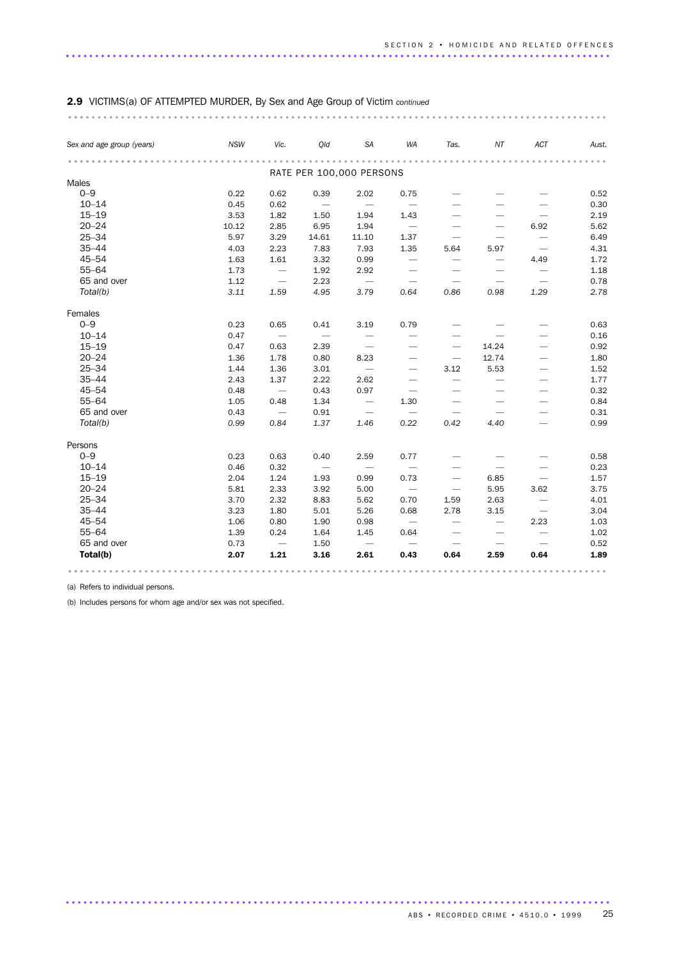| Sex and age group (years) | <b>NSW</b> | Vic.                     | Qld                      | SA                              | WA                       | Tas.                            | NT                              | ACT                             | Aust. |  |  |  |  |
|---------------------------|------------|--------------------------|--------------------------|---------------------------------|--------------------------|---------------------------------|---------------------------------|---------------------------------|-------|--|--|--|--|
|                           |            |                          |                          |                                 |                          |                                 |                                 |                                 |       |  |  |  |  |
| Males                     |            |                          |                          | RATE PER 100,000 PERSONS        |                          |                                 |                                 |                                 |       |  |  |  |  |
| $0 - 9$                   | 0.22       | 0.62                     | 0.39                     | 2.02                            | 0.75                     |                                 |                                 |                                 | 0.52  |  |  |  |  |
| $10 - 14$                 | 0.45       | 0.62                     | $\overline{\phantom{0}}$ |                                 |                          |                                 |                                 |                                 | 0.30  |  |  |  |  |
| $15 - 19$                 | 3.53       | 1.82                     | 1.50                     | 1.94                            | 1.43                     | $\overbrace{\phantom{1232211}}$ | $\overline{\phantom{0}}$        |                                 | 2.19  |  |  |  |  |
| $20 - 24$                 | 10.12      | 2.85                     | 6.95                     | 1.94                            | $\overline{\phantom{0}}$ |                                 | $\overbrace{\phantom{1232211}}$ | 6.92                            | 5.62  |  |  |  |  |
| $25 - 34$                 | 5.97       | 3.29                     | 14.61                    | 11.10                           | 1.37                     | $\overline{\phantom{0}}$        |                                 | $\overbrace{\phantom{1232211}}$ | 6.49  |  |  |  |  |
| $35 - 44$                 | 4.03       | 2.23                     | 7.83                     | 7.93                            | 1.35                     | 5.64                            | 5.97                            | $\overline{\phantom{m}}$        | 4.31  |  |  |  |  |
| $45 - 54$                 | 1.63       | 1.61                     | 3.32                     | 0.99                            | $\overline{\phantom{m}}$ | $\overbrace{\phantom{1232211}}$ | $\overline{\phantom{m}}$        | 4.49                            | 1.72  |  |  |  |  |
| $55 - 64$                 | 1.73       | $\overline{\phantom{0}}$ | 1.92                     | 2.92                            |                          | $\overline{\phantom{0}}$        | $\overline{\phantom{0}}$        | $\overline{\phantom{0}}$        | 1.18  |  |  |  |  |
| 65 and over               | 1.12       |                          | 2.23                     | $\hspace{0.1mm}-\hspace{0.1mm}$ |                          | $\overline{\phantom{m}}$        | $\overline{\phantom{m}}$        | $\overbrace{\phantom{1232211}}$ | 0.78  |  |  |  |  |
| Total(b)                  | 3.11       | 1.59                     | 4.95                     | 3.79                            | 0.64                     | 0.86                            | 0.98                            | 1.29                            | 2.78  |  |  |  |  |
| Females                   |            |                          |                          |                                 |                          |                                 |                                 |                                 |       |  |  |  |  |
| $0 - 9$                   | 0.23       | 0.65                     | 0.41                     | 3.19                            | 0.79                     |                                 |                                 |                                 | 0.63  |  |  |  |  |
| $10 - 14$                 | 0.47       | $\overline{\phantom{m}}$ | $\overline{\phantom{m}}$ | $\overline{\phantom{m}}$        | $\overline{\phantom{0}}$ |                                 | $\overline{\phantom{0}}$        |                                 | 0.16  |  |  |  |  |
| $15 - 19$                 | 0.47       | 0.63                     | 2.39                     |                                 |                          |                                 | 14.24                           |                                 | 0.92  |  |  |  |  |
| $20 - 24$                 | 1.36       | 1.78                     | 0.80                     | 8.23                            | $\overline{\phantom{0}}$ | $\overline{\phantom{m}}$        | 12.74                           |                                 | 1.80  |  |  |  |  |
| $25 - 34$                 | 1.44       | 1.36                     | 3.01                     | $\overline{\phantom{0}}$        |                          | 3.12                            | 5.53                            |                                 | 1.52  |  |  |  |  |
| $35 - 44$                 | 2.43       | 1.37                     | 2.22                     | 2.62                            |                          | $\overline{\phantom{0}}$        | $\overline{\phantom{0}}$        |                                 | 1.77  |  |  |  |  |
| $45 - 54$                 | 0.48       | $\overline{\phantom{0}}$ | 0.43                     | 0.97                            | $\overline{\phantom{0}}$ | $\overbrace{\phantom{1232211}}$ | $\overbrace{\phantom{1232211}}$ |                                 | 0.32  |  |  |  |  |
| $55 - 64$                 | 1.05       | 0.48                     | 1.34                     | $\overline{\phantom{m}}$        | 1.30                     | $\overbrace{\qquad \qquad }^{}$ |                                 |                                 | 0.84  |  |  |  |  |
| 65 and over               | 0.43       | $\overline{\phantom{0}}$ | 0.91                     | $\overline{\phantom{m}}$        | $\overline{\phantom{m}}$ | $\overline{\phantom{m}}$        | $\overbrace{\phantom{1232211}}$ |                                 | 0.31  |  |  |  |  |
| Total(b)                  | 0.99       | 0.84                     | 1.37                     | 1.46                            | 0.22                     | 0.42                            | 4.40                            | $\qquad \qquad -$               | 0.99  |  |  |  |  |
| Persons                   |            |                          |                          |                                 |                          |                                 |                                 |                                 |       |  |  |  |  |
| $0 - 9$                   | 0.23       | 0.63                     | 0.40                     | 2.59                            | 0.77                     |                                 |                                 |                                 | 0.58  |  |  |  |  |
| $10 - 14$                 | 0.46       | 0.32                     | $\overline{\phantom{m}}$ | $\overline{\phantom{m}}$        |                          | $\overbrace{\phantom{1232211}}$ | $\overline{\phantom{0}}$        | $\overline{\phantom{0}}$        | 0.23  |  |  |  |  |
| $15 - 19$                 | 2.04       | 1.24                     | 1.93                     | 0.99                            | 0.73                     | $\overbrace{\phantom{1232211}}$ | 6.85                            | $\overbrace{\phantom{1232211}}$ | 1.57  |  |  |  |  |
| $20 - 24$                 | 5.81       | 2.33                     | 3.92                     | 5.00                            | $\overline{\phantom{m}}$ | $\overline{\phantom{m}}$        | 5.95                            | 3.62                            | 3.75  |  |  |  |  |
| $25 - 34$                 | 3.70       | 2.32                     | 8.83                     | 5.62                            | 0.70                     | 1.59                            | 2.63                            |                                 | 4.01  |  |  |  |  |
| $35 - 44$                 | 3.23       | 1.80                     | 5.01                     | 5.26                            | 0.68                     | 2.78                            | 3.15                            | $\overline{\phantom{m}}$        | 3.04  |  |  |  |  |
| $45 - 54$                 | 1.06       | 0.80                     | 1.90                     | 0.98                            | $\overline{\phantom{m}}$ | $\overbrace{\phantom{1232211}}$ |                                 | 2.23                            | 1.03  |  |  |  |  |
| $55 - 64$                 | 1.39       | 0.24                     | 1.64                     | 1.45                            | 0.64                     |                                 |                                 | $\overbrace{\phantom{1232211}}$ | 1.02  |  |  |  |  |
| 65 and over               | 0.73       | $\overline{\phantom{a}}$ | 1.50                     | $\overline{\phantom{0}}$        | $\overline{\phantom{0}}$ | $\overline{\phantom{m}}$        |                                 |                                 | 0.52  |  |  |  |  |
| Total(b)                  | 2.07       | 1.21                     | 3.16                     | 2.61                            | 0.43                     | 0.64                            | 2.59                            | 0.64                            | 1.89  |  |  |  |  |

(a) Refers to individual persons.

(b) Includes persons for whom age and/or sex was not specified.

ABS • RECORDED CRIME • 4510.0 • 1999 25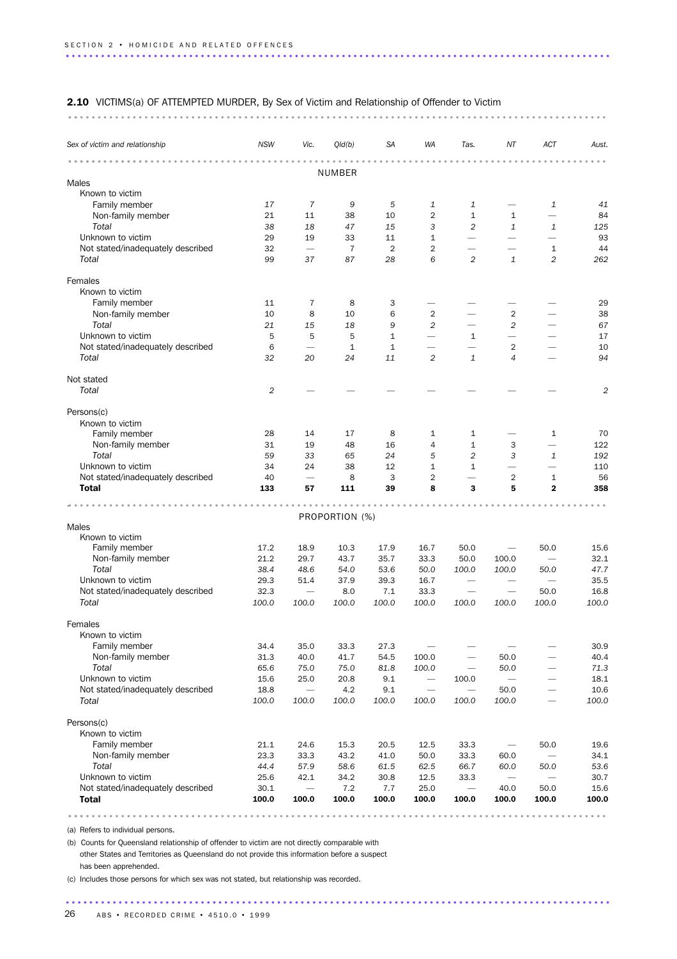### 2.10 VICTIMS(a) OF ATTEMPTED MURDER, By Sex of Victim and Relationship of Offender to Victim

............................................................................................ ..

| NUMBER<br>Males<br>Known to victim<br>Family member<br>$\overline{7}$<br>5<br>$\mathbf{1}$<br>17<br>9<br>1<br>1<br>41<br>Non-family member<br>$\overline{2}$<br>$\mathbf{1}$<br>21<br>11<br>38<br>10<br>$\mathbf{1}$<br>84<br>$\overline{\phantom{0}}$<br>Total<br>38<br>3<br>2<br>$\mathbf{1}$<br>125<br>18<br>47<br>15<br>1<br>Unknown to victim<br>29<br>33<br>$\mathbf{1}$<br>93<br>19<br>11<br>$\overline{\phantom{0}}$<br>$\overline{\phantom{0}}$<br>$\overline{\phantom{0}}$<br>Not stated/inadequately described<br>32<br>$\overline{7}$<br>$\overline{2}$<br>$\overline{2}$<br>44<br>$\overline{\phantom{0}}$<br>1<br>Total<br>2<br>$\mathbf{1}$<br>2<br>99<br>37<br>87<br>28<br>6<br>262<br>Females<br>Known to victim<br>Family member<br>11<br>8<br>29<br>7<br>3<br>-<br>Non-family member<br>10<br>8<br>6<br>$\overline{2}$<br>2<br>38<br>10<br>Total<br>21<br>2<br>15<br>18<br>9<br>2<br>67<br>Unknown to victim<br>5<br>5<br>5<br>17<br>1<br>1<br>$\overline{\phantom{0}}$<br>6<br>$\mathbf{1}$<br>$\mathbf{1}$<br>$\overline{2}$<br>Not stated/inadequately described<br>10<br>$\overline{\phantom{0}}$<br>$\overline{\phantom{a}}$<br>Total<br>32<br>20<br>2<br>$\mathbf{1}$<br>4<br>94<br>24<br>11<br>Not stated<br>Total<br>$\overline{c}$<br>2<br>Persons(c)<br>Known to victim<br>Family member<br>28<br>14<br>8<br>$\mathbf{1}$<br>70<br>17<br>1<br>1<br>$\overline{\phantom{0}}$<br>Non-family member<br>31<br>122<br>19<br>48<br>16<br>4<br>$\mathbf{1}$<br>3<br>Total<br>59<br>33<br>24<br>5<br>$\overline{c}$<br>3<br>192<br>65<br>1<br>Unknown to victim<br>24<br>34<br>38<br>12<br>$\mathbf{1}$<br>$\mathbf{1}$<br>110<br>$\qquad \qquad -$<br>$\overline{\phantom{0}}$<br>Not stated/inadequately described<br>40<br>3<br>$\overline{2}$<br>$\overline{2}$<br>56<br>8<br>1<br>$\overline{\phantom{0}}$<br><b>Total</b><br>5<br>358<br>133<br>57<br>111<br>39<br>8<br>3<br>$\overline{2}$<br>PROPORTION (%)<br>Males<br>Known to victim<br>Family member<br>17.2<br>18.9<br>10.3<br>17.9<br>16.7<br>50.0<br>50.0<br>15.6<br>$\qquad \qquad -$<br>Non-family member<br>21.2<br>33.3<br>29.7<br>43.7<br>35.7<br>50.0<br>100.0<br>32.1<br>$\overline{\phantom{0}}$<br>Total<br>38.4<br>48.6<br>50.0<br>100.0<br>47.7<br>54.0<br>53.6<br>100.0<br>50.0<br>Unknown to victim<br>51.4<br>35.5<br>29.3<br>37.9<br>39.3<br>16.7<br>$\overline{\phantom{m}}$<br>Not stated/inadequately described<br>32.3<br>33.3<br>16.8<br>8.0<br>7.1<br>50.0<br>$\overline{\phantom{m}}$<br>$\overline{\phantom{0}}$<br>Total<br>100.0<br>100.0<br>100.0<br>100.0<br>100.0<br>100.0<br>100.0<br>100.0<br>100.0<br>Females<br>Known to victim<br>Family member<br>34.4<br>33.3<br>30.9<br>35.0<br>27.3<br>Non-family member<br>31.3<br>40.0<br>41.7<br>40.4<br>54.5<br>100.0<br>50.0<br>$\overline{\phantom{0}}$<br>Total<br>65.6<br>75.0<br>75.0<br>100.0<br>50.0<br>71.3<br>81.8<br>$\overline{\phantom{0}}$<br>Unknown to victim<br>15.6<br>25.0<br>20.8<br>9.1<br>100.0<br>18.1<br>$\qquad \qquad -$<br>Not stated/inadequately described<br>18.8<br>4.2<br>9.1<br>50.0<br>10.6<br>$\overline{\phantom{0}}$<br>$\overline{\phantom{0}}$<br>$\overline{\phantom{0}}$<br>Total<br>100.0<br>100.0<br>100.0<br>100.0<br>100.0<br>100.0<br>100.0<br>100.0<br>Persons(c)<br>Known to victim<br>Family member<br>15.3<br>50.0<br>21.1<br>24.6<br>20.5<br>12.5<br>33.3<br>19.6<br>$\qquad \qquad$<br>23.3<br>33.3<br>43.2<br>41.0<br>50.0<br>33.3<br>60.0<br>34.1<br>Non-family member<br>$\overline{\phantom{0}}$<br>Total<br>44.4<br>58.6<br>53.6<br>57.9<br>61.5<br>62.5<br>66.7<br>60.0<br>50.0<br>Unknown to victim<br>25.6<br>42.1<br>34.2<br>12.5<br>33.3<br>30.7<br>30.8<br>Not stated/inadequately described<br>30.1<br>7.2<br>25.0<br>40.0<br>50.0<br>15.6<br>7.7<br>-<br><b>Total</b><br>100.0<br>100.0<br>100.0<br>100.0<br>100.0<br>100.0<br>100.0<br>100.0<br>100.0 | Sex of victim and relationship | <b>NSW</b> | Vic. | Qld(b) | SA | <b>WA</b> | Tas. | ΝT | ACT | Aust. |
|-------------------------------------------------------------------------------------------------------------------------------------------------------------------------------------------------------------------------------------------------------------------------------------------------------------------------------------------------------------------------------------------------------------------------------------------------------------------------------------------------------------------------------------------------------------------------------------------------------------------------------------------------------------------------------------------------------------------------------------------------------------------------------------------------------------------------------------------------------------------------------------------------------------------------------------------------------------------------------------------------------------------------------------------------------------------------------------------------------------------------------------------------------------------------------------------------------------------------------------------------------------------------------------------------------------------------------------------------------------------------------------------------------------------------------------------------------------------------------------------------------------------------------------------------------------------------------------------------------------------------------------------------------------------------------------------------------------------------------------------------------------------------------------------------------------------------------------------------------------------------------------------------------------------------------------------------------------------------------------------------------------------------------------------------------------------------------------------------------------------------------------------------------------------------------------------------------------------------------------------------------------------------------------------------------------------------------------------------------------------------------------------------------------------------------------------------------------------------------------------------------------------------------------------------------------------------------------------------------------------------------------------------------------------------------------------------------------------------------------------------------------------------------------------------------------------------------------------------------------------------------------------------------------------------------------------------------------------------------------------------------------------------------------------------------------------------------------------------------------------------------------------------------------------------------------------------------------------------------------------------------------------------------------------------------------------------------------------------------------------------------------------------------------------------------------------------------------------------------------------------------------------------------------------------------------------------------------------------------------------------------------------------------------------------------------------------------------------------------------------------------------------------------------------------------------------------------------------------------------------------------------|--------------------------------|------------|------|--------|----|-----------|------|----|-----|-------|
|                                                                                                                                                                                                                                                                                                                                                                                                                                                                                                                                                                                                                                                                                                                                                                                                                                                                                                                                                                                                                                                                                                                                                                                                                                                                                                                                                                                                                                                                                                                                                                                                                                                                                                                                                                                                                                                                                                                                                                                                                                                                                                                                                                                                                                                                                                                                                                                                                                                                                                                                                                                                                                                                                                                                                                                                                                                                                                                                                                                                                                                                                                                                                                                                                                                                                                                                                                                                                                                                                                                                                                                                                                                                                                                                                                                                                                                                                     |                                |            |      |        |    |           |      |    |     |       |
|                                                                                                                                                                                                                                                                                                                                                                                                                                                                                                                                                                                                                                                                                                                                                                                                                                                                                                                                                                                                                                                                                                                                                                                                                                                                                                                                                                                                                                                                                                                                                                                                                                                                                                                                                                                                                                                                                                                                                                                                                                                                                                                                                                                                                                                                                                                                                                                                                                                                                                                                                                                                                                                                                                                                                                                                                                                                                                                                                                                                                                                                                                                                                                                                                                                                                                                                                                                                                                                                                                                                                                                                                                                                                                                                                                                                                                                                                     |                                |            |      |        |    |           |      |    |     |       |
|                                                                                                                                                                                                                                                                                                                                                                                                                                                                                                                                                                                                                                                                                                                                                                                                                                                                                                                                                                                                                                                                                                                                                                                                                                                                                                                                                                                                                                                                                                                                                                                                                                                                                                                                                                                                                                                                                                                                                                                                                                                                                                                                                                                                                                                                                                                                                                                                                                                                                                                                                                                                                                                                                                                                                                                                                                                                                                                                                                                                                                                                                                                                                                                                                                                                                                                                                                                                                                                                                                                                                                                                                                                                                                                                                                                                                                                                                     |                                |            |      |        |    |           |      |    |     |       |
|                                                                                                                                                                                                                                                                                                                                                                                                                                                                                                                                                                                                                                                                                                                                                                                                                                                                                                                                                                                                                                                                                                                                                                                                                                                                                                                                                                                                                                                                                                                                                                                                                                                                                                                                                                                                                                                                                                                                                                                                                                                                                                                                                                                                                                                                                                                                                                                                                                                                                                                                                                                                                                                                                                                                                                                                                                                                                                                                                                                                                                                                                                                                                                                                                                                                                                                                                                                                                                                                                                                                                                                                                                                                                                                                                                                                                                                                                     |                                |            |      |        |    |           |      |    |     |       |
|                                                                                                                                                                                                                                                                                                                                                                                                                                                                                                                                                                                                                                                                                                                                                                                                                                                                                                                                                                                                                                                                                                                                                                                                                                                                                                                                                                                                                                                                                                                                                                                                                                                                                                                                                                                                                                                                                                                                                                                                                                                                                                                                                                                                                                                                                                                                                                                                                                                                                                                                                                                                                                                                                                                                                                                                                                                                                                                                                                                                                                                                                                                                                                                                                                                                                                                                                                                                                                                                                                                                                                                                                                                                                                                                                                                                                                                                                     |                                |            |      |        |    |           |      |    |     |       |
|                                                                                                                                                                                                                                                                                                                                                                                                                                                                                                                                                                                                                                                                                                                                                                                                                                                                                                                                                                                                                                                                                                                                                                                                                                                                                                                                                                                                                                                                                                                                                                                                                                                                                                                                                                                                                                                                                                                                                                                                                                                                                                                                                                                                                                                                                                                                                                                                                                                                                                                                                                                                                                                                                                                                                                                                                                                                                                                                                                                                                                                                                                                                                                                                                                                                                                                                                                                                                                                                                                                                                                                                                                                                                                                                                                                                                                                                                     |                                |            |      |        |    |           |      |    |     |       |
|                                                                                                                                                                                                                                                                                                                                                                                                                                                                                                                                                                                                                                                                                                                                                                                                                                                                                                                                                                                                                                                                                                                                                                                                                                                                                                                                                                                                                                                                                                                                                                                                                                                                                                                                                                                                                                                                                                                                                                                                                                                                                                                                                                                                                                                                                                                                                                                                                                                                                                                                                                                                                                                                                                                                                                                                                                                                                                                                                                                                                                                                                                                                                                                                                                                                                                                                                                                                                                                                                                                                                                                                                                                                                                                                                                                                                                                                                     |                                |            |      |        |    |           |      |    |     |       |
|                                                                                                                                                                                                                                                                                                                                                                                                                                                                                                                                                                                                                                                                                                                                                                                                                                                                                                                                                                                                                                                                                                                                                                                                                                                                                                                                                                                                                                                                                                                                                                                                                                                                                                                                                                                                                                                                                                                                                                                                                                                                                                                                                                                                                                                                                                                                                                                                                                                                                                                                                                                                                                                                                                                                                                                                                                                                                                                                                                                                                                                                                                                                                                                                                                                                                                                                                                                                                                                                                                                                                                                                                                                                                                                                                                                                                                                                                     |                                |            |      |        |    |           |      |    |     |       |
|                                                                                                                                                                                                                                                                                                                                                                                                                                                                                                                                                                                                                                                                                                                                                                                                                                                                                                                                                                                                                                                                                                                                                                                                                                                                                                                                                                                                                                                                                                                                                                                                                                                                                                                                                                                                                                                                                                                                                                                                                                                                                                                                                                                                                                                                                                                                                                                                                                                                                                                                                                                                                                                                                                                                                                                                                                                                                                                                                                                                                                                                                                                                                                                                                                                                                                                                                                                                                                                                                                                                                                                                                                                                                                                                                                                                                                                                                     |                                |            |      |        |    |           |      |    |     |       |
|                                                                                                                                                                                                                                                                                                                                                                                                                                                                                                                                                                                                                                                                                                                                                                                                                                                                                                                                                                                                                                                                                                                                                                                                                                                                                                                                                                                                                                                                                                                                                                                                                                                                                                                                                                                                                                                                                                                                                                                                                                                                                                                                                                                                                                                                                                                                                                                                                                                                                                                                                                                                                                                                                                                                                                                                                                                                                                                                                                                                                                                                                                                                                                                                                                                                                                                                                                                                                                                                                                                                                                                                                                                                                                                                                                                                                                                                                     |                                |            |      |        |    |           |      |    |     |       |
|                                                                                                                                                                                                                                                                                                                                                                                                                                                                                                                                                                                                                                                                                                                                                                                                                                                                                                                                                                                                                                                                                                                                                                                                                                                                                                                                                                                                                                                                                                                                                                                                                                                                                                                                                                                                                                                                                                                                                                                                                                                                                                                                                                                                                                                                                                                                                                                                                                                                                                                                                                                                                                                                                                                                                                                                                                                                                                                                                                                                                                                                                                                                                                                                                                                                                                                                                                                                                                                                                                                                                                                                                                                                                                                                                                                                                                                                                     |                                |            |      |        |    |           |      |    |     |       |
|                                                                                                                                                                                                                                                                                                                                                                                                                                                                                                                                                                                                                                                                                                                                                                                                                                                                                                                                                                                                                                                                                                                                                                                                                                                                                                                                                                                                                                                                                                                                                                                                                                                                                                                                                                                                                                                                                                                                                                                                                                                                                                                                                                                                                                                                                                                                                                                                                                                                                                                                                                                                                                                                                                                                                                                                                                                                                                                                                                                                                                                                                                                                                                                                                                                                                                                                                                                                                                                                                                                                                                                                                                                                                                                                                                                                                                                                                     |                                |            |      |        |    |           |      |    |     |       |
|                                                                                                                                                                                                                                                                                                                                                                                                                                                                                                                                                                                                                                                                                                                                                                                                                                                                                                                                                                                                                                                                                                                                                                                                                                                                                                                                                                                                                                                                                                                                                                                                                                                                                                                                                                                                                                                                                                                                                                                                                                                                                                                                                                                                                                                                                                                                                                                                                                                                                                                                                                                                                                                                                                                                                                                                                                                                                                                                                                                                                                                                                                                                                                                                                                                                                                                                                                                                                                                                                                                                                                                                                                                                                                                                                                                                                                                                                     |                                |            |      |        |    |           |      |    |     |       |
|                                                                                                                                                                                                                                                                                                                                                                                                                                                                                                                                                                                                                                                                                                                                                                                                                                                                                                                                                                                                                                                                                                                                                                                                                                                                                                                                                                                                                                                                                                                                                                                                                                                                                                                                                                                                                                                                                                                                                                                                                                                                                                                                                                                                                                                                                                                                                                                                                                                                                                                                                                                                                                                                                                                                                                                                                                                                                                                                                                                                                                                                                                                                                                                                                                                                                                                                                                                                                                                                                                                                                                                                                                                                                                                                                                                                                                                                                     |                                |            |      |        |    |           |      |    |     |       |
|                                                                                                                                                                                                                                                                                                                                                                                                                                                                                                                                                                                                                                                                                                                                                                                                                                                                                                                                                                                                                                                                                                                                                                                                                                                                                                                                                                                                                                                                                                                                                                                                                                                                                                                                                                                                                                                                                                                                                                                                                                                                                                                                                                                                                                                                                                                                                                                                                                                                                                                                                                                                                                                                                                                                                                                                                                                                                                                                                                                                                                                                                                                                                                                                                                                                                                                                                                                                                                                                                                                                                                                                                                                                                                                                                                                                                                                                                     |                                |            |      |        |    |           |      |    |     |       |
|                                                                                                                                                                                                                                                                                                                                                                                                                                                                                                                                                                                                                                                                                                                                                                                                                                                                                                                                                                                                                                                                                                                                                                                                                                                                                                                                                                                                                                                                                                                                                                                                                                                                                                                                                                                                                                                                                                                                                                                                                                                                                                                                                                                                                                                                                                                                                                                                                                                                                                                                                                                                                                                                                                                                                                                                                                                                                                                                                                                                                                                                                                                                                                                                                                                                                                                                                                                                                                                                                                                                                                                                                                                                                                                                                                                                                                                                                     |                                |            |      |        |    |           |      |    |     |       |
|                                                                                                                                                                                                                                                                                                                                                                                                                                                                                                                                                                                                                                                                                                                                                                                                                                                                                                                                                                                                                                                                                                                                                                                                                                                                                                                                                                                                                                                                                                                                                                                                                                                                                                                                                                                                                                                                                                                                                                                                                                                                                                                                                                                                                                                                                                                                                                                                                                                                                                                                                                                                                                                                                                                                                                                                                                                                                                                                                                                                                                                                                                                                                                                                                                                                                                                                                                                                                                                                                                                                                                                                                                                                                                                                                                                                                                                                                     |                                |            |      |        |    |           |      |    |     |       |
|                                                                                                                                                                                                                                                                                                                                                                                                                                                                                                                                                                                                                                                                                                                                                                                                                                                                                                                                                                                                                                                                                                                                                                                                                                                                                                                                                                                                                                                                                                                                                                                                                                                                                                                                                                                                                                                                                                                                                                                                                                                                                                                                                                                                                                                                                                                                                                                                                                                                                                                                                                                                                                                                                                                                                                                                                                                                                                                                                                                                                                                                                                                                                                                                                                                                                                                                                                                                                                                                                                                                                                                                                                                                                                                                                                                                                                                                                     |                                |            |      |        |    |           |      |    |     |       |
|                                                                                                                                                                                                                                                                                                                                                                                                                                                                                                                                                                                                                                                                                                                                                                                                                                                                                                                                                                                                                                                                                                                                                                                                                                                                                                                                                                                                                                                                                                                                                                                                                                                                                                                                                                                                                                                                                                                                                                                                                                                                                                                                                                                                                                                                                                                                                                                                                                                                                                                                                                                                                                                                                                                                                                                                                                                                                                                                                                                                                                                                                                                                                                                                                                                                                                                                                                                                                                                                                                                                                                                                                                                                                                                                                                                                                                                                                     |                                |            |      |        |    |           |      |    |     |       |
|                                                                                                                                                                                                                                                                                                                                                                                                                                                                                                                                                                                                                                                                                                                                                                                                                                                                                                                                                                                                                                                                                                                                                                                                                                                                                                                                                                                                                                                                                                                                                                                                                                                                                                                                                                                                                                                                                                                                                                                                                                                                                                                                                                                                                                                                                                                                                                                                                                                                                                                                                                                                                                                                                                                                                                                                                                                                                                                                                                                                                                                                                                                                                                                                                                                                                                                                                                                                                                                                                                                                                                                                                                                                                                                                                                                                                                                                                     |                                |            |      |        |    |           |      |    |     |       |
|                                                                                                                                                                                                                                                                                                                                                                                                                                                                                                                                                                                                                                                                                                                                                                                                                                                                                                                                                                                                                                                                                                                                                                                                                                                                                                                                                                                                                                                                                                                                                                                                                                                                                                                                                                                                                                                                                                                                                                                                                                                                                                                                                                                                                                                                                                                                                                                                                                                                                                                                                                                                                                                                                                                                                                                                                                                                                                                                                                                                                                                                                                                                                                                                                                                                                                                                                                                                                                                                                                                                                                                                                                                                                                                                                                                                                                                                                     |                                |            |      |        |    |           |      |    |     |       |
|                                                                                                                                                                                                                                                                                                                                                                                                                                                                                                                                                                                                                                                                                                                                                                                                                                                                                                                                                                                                                                                                                                                                                                                                                                                                                                                                                                                                                                                                                                                                                                                                                                                                                                                                                                                                                                                                                                                                                                                                                                                                                                                                                                                                                                                                                                                                                                                                                                                                                                                                                                                                                                                                                                                                                                                                                                                                                                                                                                                                                                                                                                                                                                                                                                                                                                                                                                                                                                                                                                                                                                                                                                                                                                                                                                                                                                                                                     |                                |            |      |        |    |           |      |    |     |       |
|                                                                                                                                                                                                                                                                                                                                                                                                                                                                                                                                                                                                                                                                                                                                                                                                                                                                                                                                                                                                                                                                                                                                                                                                                                                                                                                                                                                                                                                                                                                                                                                                                                                                                                                                                                                                                                                                                                                                                                                                                                                                                                                                                                                                                                                                                                                                                                                                                                                                                                                                                                                                                                                                                                                                                                                                                                                                                                                                                                                                                                                                                                                                                                                                                                                                                                                                                                                                                                                                                                                                                                                                                                                                                                                                                                                                                                                                                     |                                |            |      |        |    |           |      |    |     |       |
|                                                                                                                                                                                                                                                                                                                                                                                                                                                                                                                                                                                                                                                                                                                                                                                                                                                                                                                                                                                                                                                                                                                                                                                                                                                                                                                                                                                                                                                                                                                                                                                                                                                                                                                                                                                                                                                                                                                                                                                                                                                                                                                                                                                                                                                                                                                                                                                                                                                                                                                                                                                                                                                                                                                                                                                                                                                                                                                                                                                                                                                                                                                                                                                                                                                                                                                                                                                                                                                                                                                                                                                                                                                                                                                                                                                                                                                                                     |                                |            |      |        |    |           |      |    |     |       |
|                                                                                                                                                                                                                                                                                                                                                                                                                                                                                                                                                                                                                                                                                                                                                                                                                                                                                                                                                                                                                                                                                                                                                                                                                                                                                                                                                                                                                                                                                                                                                                                                                                                                                                                                                                                                                                                                                                                                                                                                                                                                                                                                                                                                                                                                                                                                                                                                                                                                                                                                                                                                                                                                                                                                                                                                                                                                                                                                                                                                                                                                                                                                                                                                                                                                                                                                                                                                                                                                                                                                                                                                                                                                                                                                                                                                                                                                                     |                                |            |      |        |    |           |      |    |     |       |
|                                                                                                                                                                                                                                                                                                                                                                                                                                                                                                                                                                                                                                                                                                                                                                                                                                                                                                                                                                                                                                                                                                                                                                                                                                                                                                                                                                                                                                                                                                                                                                                                                                                                                                                                                                                                                                                                                                                                                                                                                                                                                                                                                                                                                                                                                                                                                                                                                                                                                                                                                                                                                                                                                                                                                                                                                                                                                                                                                                                                                                                                                                                                                                                                                                                                                                                                                                                                                                                                                                                                                                                                                                                                                                                                                                                                                                                                                     |                                |            |      |        |    |           |      |    |     |       |
|                                                                                                                                                                                                                                                                                                                                                                                                                                                                                                                                                                                                                                                                                                                                                                                                                                                                                                                                                                                                                                                                                                                                                                                                                                                                                                                                                                                                                                                                                                                                                                                                                                                                                                                                                                                                                                                                                                                                                                                                                                                                                                                                                                                                                                                                                                                                                                                                                                                                                                                                                                                                                                                                                                                                                                                                                                                                                                                                                                                                                                                                                                                                                                                                                                                                                                                                                                                                                                                                                                                                                                                                                                                                                                                                                                                                                                                                                     |                                |            |      |        |    |           |      |    |     |       |
|                                                                                                                                                                                                                                                                                                                                                                                                                                                                                                                                                                                                                                                                                                                                                                                                                                                                                                                                                                                                                                                                                                                                                                                                                                                                                                                                                                                                                                                                                                                                                                                                                                                                                                                                                                                                                                                                                                                                                                                                                                                                                                                                                                                                                                                                                                                                                                                                                                                                                                                                                                                                                                                                                                                                                                                                                                                                                                                                                                                                                                                                                                                                                                                                                                                                                                                                                                                                                                                                                                                                                                                                                                                                                                                                                                                                                                                                                     |                                |            |      |        |    |           |      |    |     |       |
|                                                                                                                                                                                                                                                                                                                                                                                                                                                                                                                                                                                                                                                                                                                                                                                                                                                                                                                                                                                                                                                                                                                                                                                                                                                                                                                                                                                                                                                                                                                                                                                                                                                                                                                                                                                                                                                                                                                                                                                                                                                                                                                                                                                                                                                                                                                                                                                                                                                                                                                                                                                                                                                                                                                                                                                                                                                                                                                                                                                                                                                                                                                                                                                                                                                                                                                                                                                                                                                                                                                                                                                                                                                                                                                                                                                                                                                                                     |                                |            |      |        |    |           |      |    |     |       |
|                                                                                                                                                                                                                                                                                                                                                                                                                                                                                                                                                                                                                                                                                                                                                                                                                                                                                                                                                                                                                                                                                                                                                                                                                                                                                                                                                                                                                                                                                                                                                                                                                                                                                                                                                                                                                                                                                                                                                                                                                                                                                                                                                                                                                                                                                                                                                                                                                                                                                                                                                                                                                                                                                                                                                                                                                                                                                                                                                                                                                                                                                                                                                                                                                                                                                                                                                                                                                                                                                                                                                                                                                                                                                                                                                                                                                                                                                     |                                |            |      |        |    |           |      |    |     |       |
|                                                                                                                                                                                                                                                                                                                                                                                                                                                                                                                                                                                                                                                                                                                                                                                                                                                                                                                                                                                                                                                                                                                                                                                                                                                                                                                                                                                                                                                                                                                                                                                                                                                                                                                                                                                                                                                                                                                                                                                                                                                                                                                                                                                                                                                                                                                                                                                                                                                                                                                                                                                                                                                                                                                                                                                                                                                                                                                                                                                                                                                                                                                                                                                                                                                                                                                                                                                                                                                                                                                                                                                                                                                                                                                                                                                                                                                                                     |                                |            |      |        |    |           |      |    |     |       |
|                                                                                                                                                                                                                                                                                                                                                                                                                                                                                                                                                                                                                                                                                                                                                                                                                                                                                                                                                                                                                                                                                                                                                                                                                                                                                                                                                                                                                                                                                                                                                                                                                                                                                                                                                                                                                                                                                                                                                                                                                                                                                                                                                                                                                                                                                                                                                                                                                                                                                                                                                                                                                                                                                                                                                                                                                                                                                                                                                                                                                                                                                                                                                                                                                                                                                                                                                                                                                                                                                                                                                                                                                                                                                                                                                                                                                                                                                     |                                |            |      |        |    |           |      |    |     |       |
|                                                                                                                                                                                                                                                                                                                                                                                                                                                                                                                                                                                                                                                                                                                                                                                                                                                                                                                                                                                                                                                                                                                                                                                                                                                                                                                                                                                                                                                                                                                                                                                                                                                                                                                                                                                                                                                                                                                                                                                                                                                                                                                                                                                                                                                                                                                                                                                                                                                                                                                                                                                                                                                                                                                                                                                                                                                                                                                                                                                                                                                                                                                                                                                                                                                                                                                                                                                                                                                                                                                                                                                                                                                                                                                                                                                                                                                                                     |                                |            |      |        |    |           |      |    |     |       |
|                                                                                                                                                                                                                                                                                                                                                                                                                                                                                                                                                                                                                                                                                                                                                                                                                                                                                                                                                                                                                                                                                                                                                                                                                                                                                                                                                                                                                                                                                                                                                                                                                                                                                                                                                                                                                                                                                                                                                                                                                                                                                                                                                                                                                                                                                                                                                                                                                                                                                                                                                                                                                                                                                                                                                                                                                                                                                                                                                                                                                                                                                                                                                                                                                                                                                                                                                                                                                                                                                                                                                                                                                                                                                                                                                                                                                                                                                     |                                |            |      |        |    |           |      |    |     |       |
|                                                                                                                                                                                                                                                                                                                                                                                                                                                                                                                                                                                                                                                                                                                                                                                                                                                                                                                                                                                                                                                                                                                                                                                                                                                                                                                                                                                                                                                                                                                                                                                                                                                                                                                                                                                                                                                                                                                                                                                                                                                                                                                                                                                                                                                                                                                                                                                                                                                                                                                                                                                                                                                                                                                                                                                                                                                                                                                                                                                                                                                                                                                                                                                                                                                                                                                                                                                                                                                                                                                                                                                                                                                                                                                                                                                                                                                                                     |                                |            |      |        |    |           |      |    |     |       |
|                                                                                                                                                                                                                                                                                                                                                                                                                                                                                                                                                                                                                                                                                                                                                                                                                                                                                                                                                                                                                                                                                                                                                                                                                                                                                                                                                                                                                                                                                                                                                                                                                                                                                                                                                                                                                                                                                                                                                                                                                                                                                                                                                                                                                                                                                                                                                                                                                                                                                                                                                                                                                                                                                                                                                                                                                                                                                                                                                                                                                                                                                                                                                                                                                                                                                                                                                                                                                                                                                                                                                                                                                                                                                                                                                                                                                                                                                     |                                |            |      |        |    |           |      |    |     |       |
|                                                                                                                                                                                                                                                                                                                                                                                                                                                                                                                                                                                                                                                                                                                                                                                                                                                                                                                                                                                                                                                                                                                                                                                                                                                                                                                                                                                                                                                                                                                                                                                                                                                                                                                                                                                                                                                                                                                                                                                                                                                                                                                                                                                                                                                                                                                                                                                                                                                                                                                                                                                                                                                                                                                                                                                                                                                                                                                                                                                                                                                                                                                                                                                                                                                                                                                                                                                                                                                                                                                                                                                                                                                                                                                                                                                                                                                                                     |                                |            |      |        |    |           |      |    |     |       |
|                                                                                                                                                                                                                                                                                                                                                                                                                                                                                                                                                                                                                                                                                                                                                                                                                                                                                                                                                                                                                                                                                                                                                                                                                                                                                                                                                                                                                                                                                                                                                                                                                                                                                                                                                                                                                                                                                                                                                                                                                                                                                                                                                                                                                                                                                                                                                                                                                                                                                                                                                                                                                                                                                                                                                                                                                                                                                                                                                                                                                                                                                                                                                                                                                                                                                                                                                                                                                                                                                                                                                                                                                                                                                                                                                                                                                                                                                     |                                |            |      |        |    |           |      |    |     |       |
|                                                                                                                                                                                                                                                                                                                                                                                                                                                                                                                                                                                                                                                                                                                                                                                                                                                                                                                                                                                                                                                                                                                                                                                                                                                                                                                                                                                                                                                                                                                                                                                                                                                                                                                                                                                                                                                                                                                                                                                                                                                                                                                                                                                                                                                                                                                                                                                                                                                                                                                                                                                                                                                                                                                                                                                                                                                                                                                                                                                                                                                                                                                                                                                                                                                                                                                                                                                                                                                                                                                                                                                                                                                                                                                                                                                                                                                                                     |                                |            |      |        |    |           |      |    |     |       |
|                                                                                                                                                                                                                                                                                                                                                                                                                                                                                                                                                                                                                                                                                                                                                                                                                                                                                                                                                                                                                                                                                                                                                                                                                                                                                                                                                                                                                                                                                                                                                                                                                                                                                                                                                                                                                                                                                                                                                                                                                                                                                                                                                                                                                                                                                                                                                                                                                                                                                                                                                                                                                                                                                                                                                                                                                                                                                                                                                                                                                                                                                                                                                                                                                                                                                                                                                                                                                                                                                                                                                                                                                                                                                                                                                                                                                                                                                     |                                |            |      |        |    |           |      |    |     |       |
|                                                                                                                                                                                                                                                                                                                                                                                                                                                                                                                                                                                                                                                                                                                                                                                                                                                                                                                                                                                                                                                                                                                                                                                                                                                                                                                                                                                                                                                                                                                                                                                                                                                                                                                                                                                                                                                                                                                                                                                                                                                                                                                                                                                                                                                                                                                                                                                                                                                                                                                                                                                                                                                                                                                                                                                                                                                                                                                                                                                                                                                                                                                                                                                                                                                                                                                                                                                                                                                                                                                                                                                                                                                                                                                                                                                                                                                                                     |                                |            |      |        |    |           |      |    |     |       |
|                                                                                                                                                                                                                                                                                                                                                                                                                                                                                                                                                                                                                                                                                                                                                                                                                                                                                                                                                                                                                                                                                                                                                                                                                                                                                                                                                                                                                                                                                                                                                                                                                                                                                                                                                                                                                                                                                                                                                                                                                                                                                                                                                                                                                                                                                                                                                                                                                                                                                                                                                                                                                                                                                                                                                                                                                                                                                                                                                                                                                                                                                                                                                                                                                                                                                                                                                                                                                                                                                                                                                                                                                                                                                                                                                                                                                                                                                     |                                |            |      |        |    |           |      |    |     |       |
|                                                                                                                                                                                                                                                                                                                                                                                                                                                                                                                                                                                                                                                                                                                                                                                                                                                                                                                                                                                                                                                                                                                                                                                                                                                                                                                                                                                                                                                                                                                                                                                                                                                                                                                                                                                                                                                                                                                                                                                                                                                                                                                                                                                                                                                                                                                                                                                                                                                                                                                                                                                                                                                                                                                                                                                                                                                                                                                                                                                                                                                                                                                                                                                                                                                                                                                                                                                                                                                                                                                                                                                                                                                                                                                                                                                                                                                                                     |                                |            |      |        |    |           |      |    |     |       |
|                                                                                                                                                                                                                                                                                                                                                                                                                                                                                                                                                                                                                                                                                                                                                                                                                                                                                                                                                                                                                                                                                                                                                                                                                                                                                                                                                                                                                                                                                                                                                                                                                                                                                                                                                                                                                                                                                                                                                                                                                                                                                                                                                                                                                                                                                                                                                                                                                                                                                                                                                                                                                                                                                                                                                                                                                                                                                                                                                                                                                                                                                                                                                                                                                                                                                                                                                                                                                                                                                                                                                                                                                                                                                                                                                                                                                                                                                     |                                |            |      |        |    |           |      |    |     |       |
|                                                                                                                                                                                                                                                                                                                                                                                                                                                                                                                                                                                                                                                                                                                                                                                                                                                                                                                                                                                                                                                                                                                                                                                                                                                                                                                                                                                                                                                                                                                                                                                                                                                                                                                                                                                                                                                                                                                                                                                                                                                                                                                                                                                                                                                                                                                                                                                                                                                                                                                                                                                                                                                                                                                                                                                                                                                                                                                                                                                                                                                                                                                                                                                                                                                                                                                                                                                                                                                                                                                                                                                                                                                                                                                                                                                                                                                                                     |                                |            |      |        |    |           |      |    |     |       |
|                                                                                                                                                                                                                                                                                                                                                                                                                                                                                                                                                                                                                                                                                                                                                                                                                                                                                                                                                                                                                                                                                                                                                                                                                                                                                                                                                                                                                                                                                                                                                                                                                                                                                                                                                                                                                                                                                                                                                                                                                                                                                                                                                                                                                                                                                                                                                                                                                                                                                                                                                                                                                                                                                                                                                                                                                                                                                                                                                                                                                                                                                                                                                                                                                                                                                                                                                                                                                                                                                                                                                                                                                                                                                                                                                                                                                                                                                     |                                |            |      |        |    |           |      |    |     |       |
|                                                                                                                                                                                                                                                                                                                                                                                                                                                                                                                                                                                                                                                                                                                                                                                                                                                                                                                                                                                                                                                                                                                                                                                                                                                                                                                                                                                                                                                                                                                                                                                                                                                                                                                                                                                                                                                                                                                                                                                                                                                                                                                                                                                                                                                                                                                                                                                                                                                                                                                                                                                                                                                                                                                                                                                                                                                                                                                                                                                                                                                                                                                                                                                                                                                                                                                                                                                                                                                                                                                                                                                                                                                                                                                                                                                                                                                                                     |                                |            |      |        |    |           |      |    |     |       |
|                                                                                                                                                                                                                                                                                                                                                                                                                                                                                                                                                                                                                                                                                                                                                                                                                                                                                                                                                                                                                                                                                                                                                                                                                                                                                                                                                                                                                                                                                                                                                                                                                                                                                                                                                                                                                                                                                                                                                                                                                                                                                                                                                                                                                                                                                                                                                                                                                                                                                                                                                                                                                                                                                                                                                                                                                                                                                                                                                                                                                                                                                                                                                                                                                                                                                                                                                                                                                                                                                                                                                                                                                                                                                                                                                                                                                                                                                     |                                |            |      |        |    |           |      |    |     |       |
|                                                                                                                                                                                                                                                                                                                                                                                                                                                                                                                                                                                                                                                                                                                                                                                                                                                                                                                                                                                                                                                                                                                                                                                                                                                                                                                                                                                                                                                                                                                                                                                                                                                                                                                                                                                                                                                                                                                                                                                                                                                                                                                                                                                                                                                                                                                                                                                                                                                                                                                                                                                                                                                                                                                                                                                                                                                                                                                                                                                                                                                                                                                                                                                                                                                                                                                                                                                                                                                                                                                                                                                                                                                                                                                                                                                                                                                                                     |                                |            |      |        |    |           |      |    |     |       |
|                                                                                                                                                                                                                                                                                                                                                                                                                                                                                                                                                                                                                                                                                                                                                                                                                                                                                                                                                                                                                                                                                                                                                                                                                                                                                                                                                                                                                                                                                                                                                                                                                                                                                                                                                                                                                                                                                                                                                                                                                                                                                                                                                                                                                                                                                                                                                                                                                                                                                                                                                                                                                                                                                                                                                                                                                                                                                                                                                                                                                                                                                                                                                                                                                                                                                                                                                                                                                                                                                                                                                                                                                                                                                                                                                                                                                                                                                     |                                |            |      |        |    |           |      |    |     |       |
|                                                                                                                                                                                                                                                                                                                                                                                                                                                                                                                                                                                                                                                                                                                                                                                                                                                                                                                                                                                                                                                                                                                                                                                                                                                                                                                                                                                                                                                                                                                                                                                                                                                                                                                                                                                                                                                                                                                                                                                                                                                                                                                                                                                                                                                                                                                                                                                                                                                                                                                                                                                                                                                                                                                                                                                                                                                                                                                                                                                                                                                                                                                                                                                                                                                                                                                                                                                                                                                                                                                                                                                                                                                                                                                                                                                                                                                                                     |                                |            |      |        |    |           |      |    |     |       |
|                                                                                                                                                                                                                                                                                                                                                                                                                                                                                                                                                                                                                                                                                                                                                                                                                                                                                                                                                                                                                                                                                                                                                                                                                                                                                                                                                                                                                                                                                                                                                                                                                                                                                                                                                                                                                                                                                                                                                                                                                                                                                                                                                                                                                                                                                                                                                                                                                                                                                                                                                                                                                                                                                                                                                                                                                                                                                                                                                                                                                                                                                                                                                                                                                                                                                                                                                                                                                                                                                                                                                                                                                                                                                                                                                                                                                                                                                     |                                |            |      |        |    |           |      |    |     |       |
|                                                                                                                                                                                                                                                                                                                                                                                                                                                                                                                                                                                                                                                                                                                                                                                                                                                                                                                                                                                                                                                                                                                                                                                                                                                                                                                                                                                                                                                                                                                                                                                                                                                                                                                                                                                                                                                                                                                                                                                                                                                                                                                                                                                                                                                                                                                                                                                                                                                                                                                                                                                                                                                                                                                                                                                                                                                                                                                                                                                                                                                                                                                                                                                                                                                                                                                                                                                                                                                                                                                                                                                                                                                                                                                                                                                                                                                                                     | .                              |            |      |        |    |           |      |    |     |       |

.............................................................................................

(a) Refers to individual persons.

(b) Counts for Queensland relationship of offender to victim are not directly comparable with other States and Territories as Queensland do not provide this information before a suspect has been apprehended.

(c) Includes those persons for which sex was not stated, but relationship was recorded.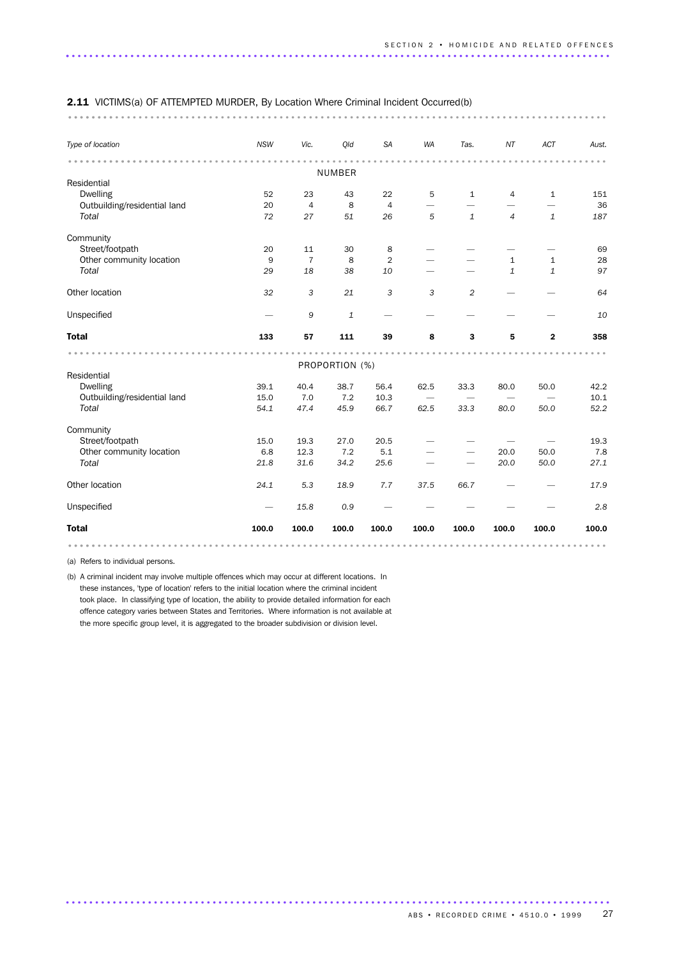| Type of location             | <b>NSW</b> | Vic.           | Qld            | SA             | WA    | Tas.         | NT             | ACT                     | Aust. |
|------------------------------|------------|----------------|----------------|----------------|-------|--------------|----------------|-------------------------|-------|
|                              |            |                |                |                |       |              |                |                         |       |
|                              |            |                | NUMBER         |                |       |              |                |                         |       |
| Residential                  |            |                |                |                |       |              |                |                         |       |
| <b>Dwelling</b>              | 52         | 23             | 43             | 22             | 5     | $\mathbf{1}$ | 4              | $\mathbf{1}$            | 151   |
| Outbuilding/residential land | 20         | $\overline{4}$ | 8              | $\overline{4}$ |       |              |                |                         | 36    |
| Total                        | 72         | 27             | 51             | 26             | 5     | $\mathbf{1}$ | $\overline{4}$ | $\mathbf{1}$            | 187   |
| Community                    |            |                |                |                |       |              |                |                         |       |
| Street/footpath              | 20         | 11             | 30             | 8              |       |              |                |                         | 69    |
| Other community location     | 9          | $\overline{7}$ | 8              | 2              |       |              | $\mathbf{1}$   | $\mathbf{1}$            | 28    |
| Total                        | 29         | 18             | 38             | 10             |       |              | $\mathbf{1}$   | $\mathbf{1}$            | 97    |
| Other location               | 32         | 3              | 21             | 3              | 3     | 2            |                |                         | 64    |
| Unspecified                  |            | 9              | $\mathbf{1}$   |                |       |              |                |                         | 10    |
| <b>Total</b>                 | 133        | 57             | 111            | 39             | 8     | 3            | 5              | $\overline{\mathbf{2}}$ | 358   |
|                              |            |                |                |                |       |              |                |                         |       |
|                              |            |                | PROPORTION (%) |                |       |              |                |                         |       |
| Residential                  |            |                |                |                |       |              |                |                         |       |
| <b>Dwelling</b>              | 39.1       | 40.4           | 38.7           | 56.4           | 62.5  | 33.3         | 80.0           | 50.0                    | 42.2  |
| Outbuilding/residential land | 15.0       | 7.0            | 7.2            | 10.3           |       |              |                |                         | 10.1  |
| Total                        | 54.1       | 47.4           | 45.9           | 66.7           | 62.5  | 33.3         | 80.0           | 50.0                    | 52.2  |
| Community                    |            |                |                |                |       |              |                |                         |       |
| Street/footpath              | 15.0       | 19.3           | 27.0           | 20.5           |       |              |                |                         | 19.3  |
| Other community location     | 6.8        | 12.3           | 7.2            | 5.1            |       |              | 20.0           | 50.0                    | 7.8   |
| Total                        | 21.8       | 31.6           | 34.2           | 25.6           |       |              | 20.0           | 50.0                    | 27.1  |
| Other location               | 24.1       | 5.3            | 18.9           | 7.7            | 37.5  | 66.7         |                |                         | 17.9  |
| Unspecified                  |            | 15.8           | 0.9            |                |       |              |                |                         | 2.8   |
| <b>Total</b>                 | 100.0      | 100.0          | 100.0          | 100.0          | 100.0 | 100.0        | 100.0          | 100.0                   | 100.0 |

(a) Refers to individual persons.

(b) A criminal incident may involve multiple offences which may occur at different locations. In these instances, 'type of location' refers to the initial location where the criminal incident took place. In classifying type of location, the ability to provide detailed information for each offence category varies between States and Territories. Where information is not available at the more specific group level, it is aggregated to the broader subdivision or division level.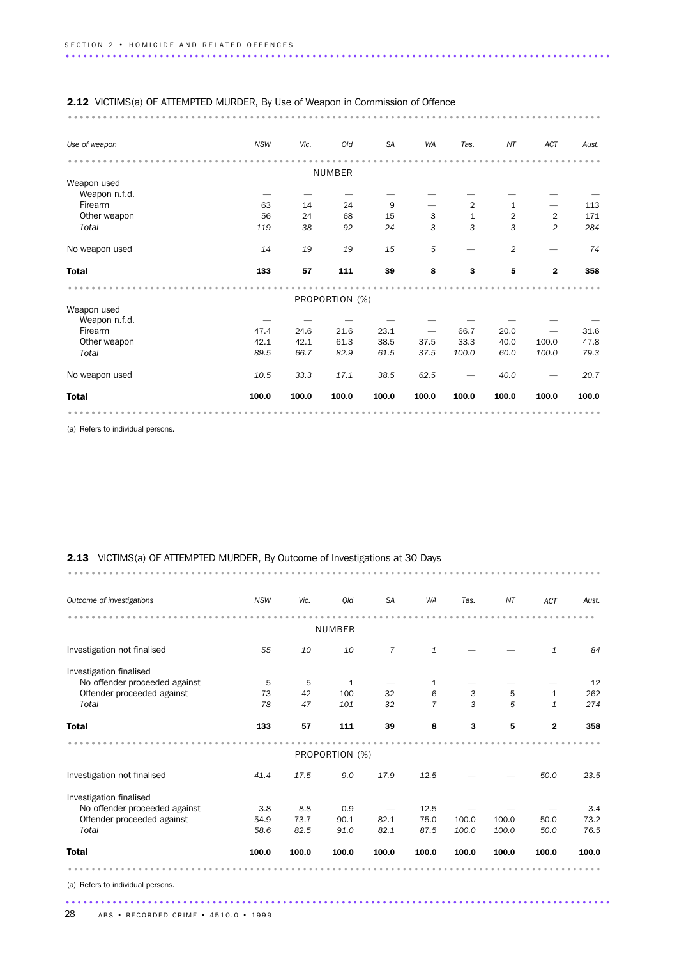| <b>2.12</b> VICTIMS(a) OF ATTEMPTED MURDER, By Use of Weapon in Commission of Offence |            |       |                |           |           |                |                |                |       |
|---------------------------------------------------------------------------------------|------------|-------|----------------|-----------|-----------|----------------|----------------|----------------|-------|
| Use of weapon                                                                         | <b>NSW</b> | Vic.  | Qld            | <b>SA</b> | <b>WA</b> | Tas.           | NT             | ACT            | Aust. |
|                                                                                       |            |       |                |           |           |                |                |                |       |
|                                                                                       |            |       | NUMBER         |           |           |                |                |                |       |
| Weapon used<br>Weapon n.f.d.                                                          |            |       |                |           |           |                |                |                |       |
| Firearm                                                                               | 63         | 14    | 24             | 9         |           | $\overline{2}$ | $\mathbf{1}$   |                | 113   |
| Other weapon                                                                          | 56         | 24    | 68             | 15        | 3         | $\mathbf{1}$   | $\overline{2}$ | 2              | 171   |
| Total                                                                                 | 119        | 38    | 92             | 24        | 3         | 3              | 3              | $\overline{2}$ | 284   |
|                                                                                       |            |       |                |           |           |                |                |                |       |
| No weapon used                                                                        | 14         | 19    | 19             | 15        | 5         |                | $\overline{2}$ |                | 74    |
| <b>Total</b>                                                                          | 133        | 57    | 111            | 39        | 8         | 3              | 5              | $\mathbf{2}$   | 358   |
|                                                                                       |            |       | PROPORTION (%) |           |           |                |                |                |       |
| Weapon used                                                                           |            |       |                |           |           |                |                |                |       |
| Weapon n.f.d.                                                                         |            |       |                |           |           |                |                |                |       |
| Firearm                                                                               | 47.4       | 24.6  | 21.6           | 23.1      |           | 66.7           | 20.0           |                | 31.6  |
| Other weapon                                                                          | 42.1       | 42.1  | 61.3           | 38.5      | 37.5      | 33.3           | 40.0           | 100.0          | 47.8  |
| Total                                                                                 | 89.5       | 66.7  | 82.9           | 61.5      | 37.5      | 100.0          | 60.0           | 100.0          | 79.3  |
| No weapon used                                                                        | 10.5       | 33.3  | 17.1           | 38.5      | 62.5      |                | 40.0           |                | 20.7  |
| <b>Total</b>                                                                          | 100.0      | 100.0 | 100.0          | 100.0     | 100.0     | 100.0          | 100.0          | 100.0          | 100.0 |
|                                                                                       |            |       |                |           |           |                |                |                |       |

(a) Refers to individual persons.

### 2.13 VICTIMS(a) OF ATTEMPTED MURDER, By Outcome of Investigations at 30 Days

| Outcome of investigations         | <b>NSW</b> | Vic.  | Qld            | <b>SA</b> | <b>WA</b>      | Tas.  | NT    | ACT          | Aust. |
|-----------------------------------|------------|-------|----------------|-----------|----------------|-------|-------|--------------|-------|
|                                   |            |       | <b>NUMBER</b>  |           |                |       |       |              |       |
| Investigation not finalised       | 55         | 10    | 10             | 7         | $\mathbf{1}$   |       |       | 1            | 84    |
| Investigation finalised           |            |       |                |           |                |       |       |              |       |
| No offender proceeded against     | 5          | 5     | 1              |           | 1              |       |       |              | 12    |
| Offender proceeded against        | 73         | 42    | 100            | 32        | 6              | 3     | 5     | $\mathbf{1}$ | 262   |
| Total                             | 78         | 47    | 101            | 32        | $\overline{7}$ | 3     | 5     | 1            | 274   |
| <b>Total</b>                      | 133        | 57    | 111            | 39        | 8              | 3     | 5     | $\mathbf{2}$ | 358   |
|                                   |            |       |                |           |                |       |       |              |       |
|                                   |            |       | PROPORTION (%) |           |                |       |       |              |       |
| Investigation not finalised       | 41.4       | 17.5  | 9.0            | 17.9      | 12.5           |       |       | 50.0         | 23.5  |
| Investigation finalised           |            |       |                |           |                |       |       |              |       |
| No offender proceeded against     | 3.8        | 8.8   | 0.9            |           | 12.5           |       |       |              | 3.4   |
| Offender proceeded against        | 54.9       | 73.7  | 90.1           | 82.1      | 75.0           | 100.0 | 100.0 | 50.0         | 73.2  |
| Total                             | 58.6       | 82.5  | 91.0           | 82.1      | 87.5           | 100.0 | 100.0 | 50.0         | 76.5  |
| <b>Total</b>                      | 100.0      | 100.0 | 100.0          | 100.0     | 100.0          | 100.0 | 100.0 | 100.0        | 100.0 |
|                                   |            |       |                |           |                |       |       |              |       |
| (a) Refers to individual persons. |            |       |                |           |                |       |       |              |       |
|                                   |            |       |                |           |                |       |       |              |       |

........................................................................................... .........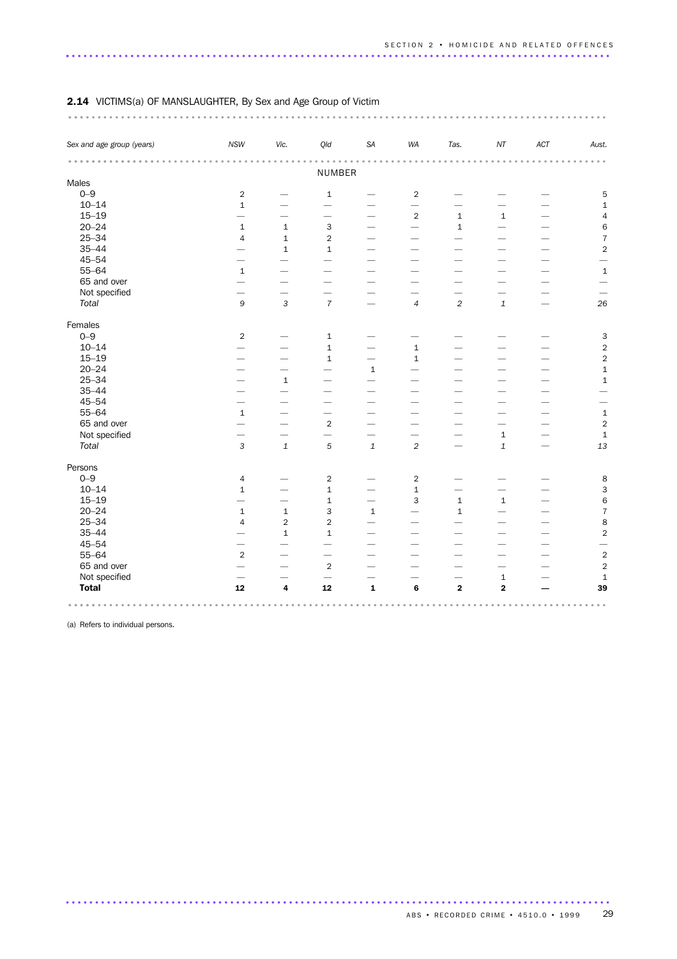| Sex and age group (years) | <b>NSW</b>               | Vic.                     | Qld                             | SA                       | WA                       | Tas.                     | $\it{NT}$                | $\mathnormal{\mathsf{ACT}}$ | Aust.                    |  |
|---------------------------|--------------------------|--------------------------|---------------------------------|--------------------------|--------------------------|--------------------------|--------------------------|-----------------------------|--------------------------|--|
|                           |                          |                          |                                 |                          |                          |                          |                          |                             |                          |  |
| Males                     |                          |                          | NUMBER                          |                          |                          |                          |                          |                             |                          |  |
| $0 - 9$                   | $\sqrt{2}$               |                          | $\mathbf 1$                     |                          | $\overline{2}$           |                          |                          |                             | $\mathbf 5$              |  |
| $10 - 14$                 | $\mathbf 1$              |                          |                                 |                          | $\overline{\phantom{0}}$ | $\overline{\phantom{0}}$ | -                        |                             | $\mathbf 1$              |  |
| $15 - 19$                 | $\qquad \qquad$          |                          | $\overline{\phantom{0}}$        | $\overline{\phantom{0}}$ | $\mathbf 2$              | $\mathbf 1$              | $\mathbf 1$              |                             | $\overline{\mathcal{L}}$ |  |
| $20 - 24$                 | $\mathbf{1}$             | $\mathbf 1$              | 3                               |                          |                          | $\mathbf 1$              |                          |                             | $\,$ 6 $\,$              |  |
| $25 - 34$                 | $\overline{4}$           | $\mathbf 1$              | $\overline{2}$                  | $\overline{\phantom{0}}$ |                          | $\overline{\phantom{0}}$ |                          |                             | $\overline{7}$           |  |
| $35 - 44$                 | $\overline{\phantom{0}}$ | $\,1\,$                  | $\mathbf 1$                     |                          | $\overline{\phantom{0}}$ |                          |                          |                             | $\overline{c}$           |  |
| $45 - 54$                 |                          | $\overline{\phantom{0}}$ | $\overline{\phantom{0}}$        | $\overline{\phantom{0}}$ | $\overline{\phantom{0}}$ | $\qquad \qquad$          | $\overline{\phantom{0}}$ |                             | $\overline{\phantom{0}}$ |  |
| $55 - 64$                 | $\mathbf 1$              | $\overline{\phantom{0}}$ | $\overline{\phantom{0}}$        |                          | $\overline{\phantom{0}}$ | $\overline{\phantom{0}}$ | $\overline{\phantom{0}}$ | $\overline{\phantom{0}}$    | $\mathbf{1}$             |  |
| 65 and over               | $\overline{\phantom{0}}$ | $\overline{\phantom{0}}$ | $\overline{\phantom{0}}$        |                          | $\overline{\phantom{0}}$ |                          | $\overline{\phantom{0}}$ |                             |                          |  |
| Not specified             |                          |                          | $\overbrace{\phantom{1232211}}$ |                          |                          |                          |                          |                             |                          |  |
| Total                     | $\mathsf g$              | $\mathsf 3$              | $\overline{7}$                  | $\overline{\phantom{0}}$ | $\overline{4}$           | $\overline{2}$           | $\mathbf 1$              | $\overline{\phantom{0}}$    | 26                       |  |
|                           |                          |                          |                                 |                          |                          |                          |                          |                             |                          |  |
| Females                   |                          |                          |                                 |                          |                          |                          |                          |                             |                          |  |
| $0 - 9$                   | $\sqrt{2}$               |                          | $\mathbf 1$                     |                          |                          |                          |                          |                             | $\mathsf{3}$             |  |
| $10 - 14$                 |                          |                          | $\mathbf 1$                     | $\overline{\phantom{0}}$ | $\mathbf 1$              |                          |                          |                             | $\sqrt{2}$               |  |
| $15 - 19$                 | -                        | $\overline{\phantom{0}}$ | $\mathbf{1}$                    | $\overline{\phantom{0}}$ | $\mathbf{1}$             |                          |                          |                             | $\sqrt{2}$               |  |
| $20 - 24$                 |                          | $\overline{\phantom{0}}$ |                                 | $\mathbf 1$              |                          |                          |                          |                             | $\mathbf 1$              |  |
| $25 - 34$                 |                          | $\mathbf 1$              | $\overline{\phantom{0}}$        |                          |                          |                          |                          |                             | $\mathbf 1$              |  |
| $35 - 44$                 | $\overline{\phantom{0}}$ | $\overline{\phantom{0}}$ |                                 |                          |                          |                          |                          |                             |                          |  |
| $45 - 54$                 | $\overline{\phantom{0}}$ |                          |                                 |                          |                          |                          |                          |                             | $\overline{\phantom{0}}$ |  |
| $55 - 64$                 | $\mathbf 1$              |                          |                                 |                          |                          |                          |                          |                             | $\mathbf 1$              |  |
| 65 and over               | $\overline{\phantom{0}}$ | -                        | $\mathbf 2$                     | -                        | $\overline{\phantom{0}}$ |                          | -                        |                             | $\mathbf 2$              |  |
| Not specified             | $\overline{\phantom{0}}$ | $\overline{\phantom{0}}$ | $\overline{\phantom{0}}$        |                          |                          |                          | $\mathbf 1$              | $\overline{\phantom{0}}$    | $\,1\,$                  |  |
| Total                     | $\mathsf{3}$             | $\mathbf 1$              | $\sqrt{5}$                      | $\mathbf 1$              | $\overline{c}$           |                          | $\mathbf 1$              |                             | 13                       |  |
| Persons                   |                          |                          |                                 |                          |                          |                          |                          |                             |                          |  |
| $0 - 9$                   | $\sqrt{4}$               |                          | $\overline{2}$                  |                          | $\overline{2}$           |                          |                          |                             | 8                        |  |
| $10 - 14$                 | $\mathbf{1}$             |                          | $\mathbf{1}$                    | $\qquad \qquad$          | $\mathbf 1$              | $\overline{\phantom{0}}$ | $\overline{\phantom{0}}$ |                             | 3                        |  |
| $15 - 19$                 |                          | $\overline{\phantom{0}}$ | $\mathbf 1$                     | $\overline{\phantom{0}}$ | 3                        | $\mathbf 1$              | $\mathbf{1}$             |                             | 6                        |  |
| $20 - 24$                 | $\mathbf 1$              | $\mathbf 1$              | 3                               | $\mathbf 1$              | $\overline{\phantom{0}}$ | $\mathbf 1$              | $\overline{\phantom{0}}$ |                             | $\overline{7}$           |  |
| $25 - 34$                 | $\overline{4}$           | $\overline{2}$           | $\sqrt{2}$                      |                          |                          |                          |                          |                             | $\bf8$                   |  |
| $35 - 44$                 | $\overline{\phantom{0}}$ | $\mathbf 1$              | $\mathbf{1}$                    | $\overline{\phantom{0}}$ | $\overline{\phantom{0}}$ |                          |                          |                             | $\overline{c}$           |  |
| $45 - 54$                 |                          |                          |                                 |                          |                          |                          |                          |                             |                          |  |
| 55-64                     | $\overline{2}$           | $\overline{\phantom{0}}$ |                                 | $\overline{\phantom{0}}$ |                          | $\overline{\phantom{0}}$ | $\overline{\phantom{0}}$ | -                           | $\overline{c}$           |  |
| 65 and over               | $\overline{\phantom{0}}$ | $\overline{\phantom{0}}$ | $\overline{2}$                  | $\overline{\phantom{0}}$ |                          | -                        | $\overline{\phantom{0}}$ |                             | $\overline{2}$           |  |
| Not specified             |                          |                          | $\overline{\phantom{0}}$        |                          |                          | $\overline{\phantom{0}}$ | $\mathbf 1$              |                             | $\mathbf 1$              |  |
| <b>Total</b>              | 12                       | $\overline{\mathbf{4}}$  | 12                              | $\mathbf 1$              | 6                        | $\bf 2$                  | $\overline{\mathbf{2}}$  |                             | 39                       |  |
|                           |                          |                          |                                 |                          |                          |                          |                          |                             |                          |  |

### 2.14 VICTIMS(a) OF MANSLAUGHTER, By Sex and Age Group of Victim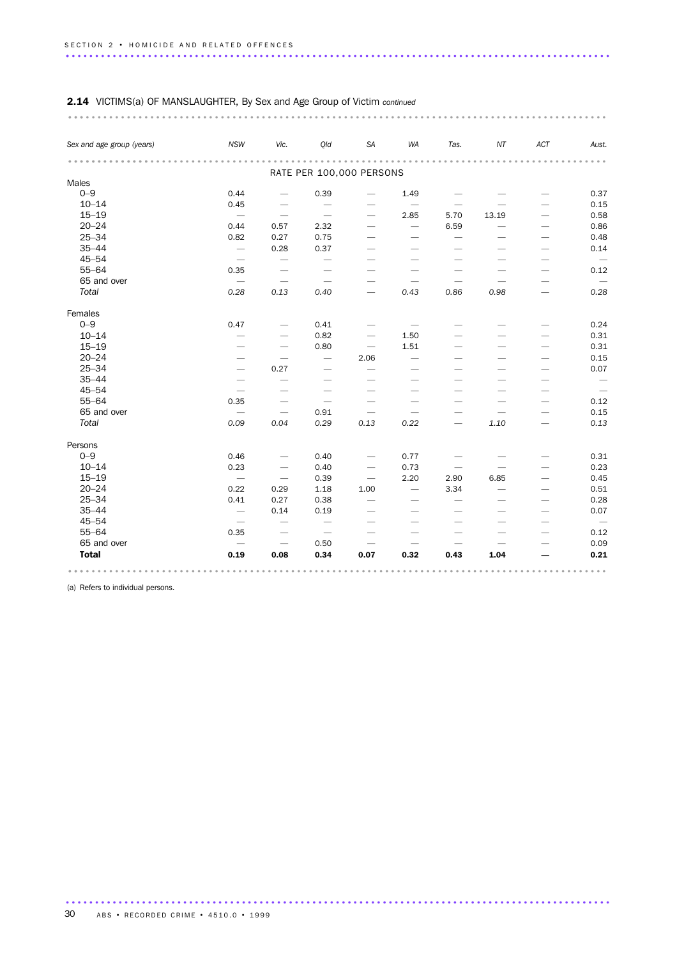| Sex and age group (years) | <b>NSW</b>                      | Vic.                            | Qld                             | SA                              | WA                              | Tas.                         | NT                       | ACT                             | Aust.                    |
|---------------------------|---------------------------------|---------------------------------|---------------------------------|---------------------------------|---------------------------------|------------------------------|--------------------------|---------------------------------|--------------------------|
|                           |                                 |                                 | RATE PER 100,000 PERSONS        |                                 |                                 | .                            |                          |                                 | $\sim$ $\sim$            |
| Males                     |                                 |                                 |                                 |                                 |                                 |                              |                          |                                 |                          |
| $0 - 9$                   | 0.44                            | $\overline{\phantom{0}}$        | 0.39                            |                                 | 1.49                            |                              |                          |                                 | 0.37                     |
| $10 - 14$                 | 0.45                            | $\overline{\phantom{0}}$        |                                 |                                 |                                 |                              |                          |                                 | 0.15                     |
| $15 - 19$                 | $\overline{\phantom{m}}$        | $\overbrace{\phantom{1232211}}$ | $\overbrace{\phantom{1232211}}$ | $\overbrace{\qquad \qquad }^{}$ | 2.85                            | 5.70                         | 13.19                    |                                 | 0.58                     |
| $20 - 24$                 | 0.44                            | 0.57                            | 2.32                            | $\overline{\phantom{0}}$        |                                 | 6.59                         |                          | -                               | 0.86                     |
| $25 - 34$                 | 0.82                            | 0.27                            | 0.75                            | $\overline{\phantom{0}}$        | $\overbrace{\phantom{1232211}}$ | $\overline{\phantom{0}}$     |                          |                                 | 0.48                     |
| $35 - 44$                 | $\overline{\phantom{0}}$        | 0.28                            | 0.37                            |                                 |                                 |                              |                          | $\overline{\phantom{0}}$        | 0.14                     |
| $45 - 54$                 | $\overbrace{\phantom{1232211}}$ |                                 |                                 |                                 |                                 |                              |                          |                                 |                          |
| $55 - 64$                 | 0.35                            |                                 |                                 |                                 |                                 |                              |                          |                                 | 0.12                     |
| 65 and over               | $\overline{\phantom{m}}$        | $\overline{\phantom{m}}$        | $\overbrace{\phantom{1232211}}$ | $\overline{\phantom{0}}$        |                                 |                              |                          | $\overline{\phantom{0}}$        | $\overline{\phantom{m}}$ |
| Total                     | 0.28                            | 0.13                            | 0.40                            | $\overline{\phantom{0}}$        | 0.43                            | 0.86                         | 0.98                     |                                 | 0.28                     |
| Females                   |                                 |                                 |                                 |                                 |                                 |                              |                          |                                 |                          |
| $0 - 9$                   | 0.47                            |                                 | 0.41                            |                                 |                                 |                              |                          |                                 | 0.24                     |
| $10 - 14$                 | $\overline{\phantom{0}}$        |                                 | 0.82                            |                                 | 1.50                            |                              |                          |                                 | 0.31                     |
| $15 - 19$                 |                                 | $\overbrace{\qquad \qquad }^{}$ | 0.80                            | $\overline{\phantom{m}}$        | 1.51                            |                              |                          | $\overline{\phantom{0}}$        | 0.31                     |
| $20 - 24$                 |                                 |                                 | $\overline{\phantom{m}}$        | 2.06                            |                                 |                              |                          |                                 | 0.15                     |
| $25 - 34$                 | $\overbrace{\qquad \qquad }^{}$ | 0.27                            |                                 |                                 | $\overline{\phantom{0}}$        |                              |                          |                                 | 0.07                     |
| $35 - 44$                 | $\overline{\phantom{0}}$        | $\overline{\phantom{0}}$        |                                 |                                 |                                 |                              |                          |                                 |                          |
| $45 - 54$                 | $\overbrace{\phantom{1232211}}$ | -                               |                                 |                                 |                                 |                              |                          |                                 | $\overline{\phantom{0}}$ |
| $55 - 64$                 | 0.35                            | $\overline{\phantom{0}}$        | $\overline{\phantom{0}}$        |                                 | $\overline{\phantom{0}}$        |                              |                          |                                 | 0.12                     |
| 65 and over               |                                 | $\overline{\phantom{0}}$        | 0.91                            | $\overline{\phantom{0}}$        | $\overline{\phantom{0}}$        |                              | $\overline{\phantom{0}}$ |                                 | 0.15                     |
| Total                     | 0.09                            | 0.04                            | 0.29                            | 0.13                            | 0.22                            | $\overbrace{\qquad \qquad }$ | 1.10                     | $\overbrace{\phantom{1232211}}$ | 0.13                     |
| Persons                   |                                 |                                 |                                 |                                 |                                 |                              |                          |                                 |                          |
| $O - 9$                   | 0.46                            |                                 | 0.40                            |                                 | 0.77                            |                              |                          |                                 | 0.31                     |
| $10 - 14$                 | 0.23                            |                                 | 0.40                            | $\overline{\phantom{m}}$        | 0.73                            |                              |                          |                                 | 0.23                     |
| $15 - 19$                 | $\overline{\phantom{m}}$        | $\overline{\phantom{m}}$        | 0.39                            | $\overline{\phantom{m}}$        | 2.20                            | 2.90                         | 6.85                     |                                 | 0.45                     |
| $20 - 24$                 | 0.22                            | 0.29                            | 1.18                            | 1.00                            |                                 | 3.34                         | $\overline{\phantom{0}}$ |                                 | 0.51                     |
| $25 - 34$                 | 0.41                            | 0.27                            | 0.38                            | $\overline{\phantom{0}}$        |                                 | $\overline{\phantom{0}}$     |                          |                                 | 0.28                     |
| $35 - 44$                 | $\overline{\phantom{0}}$        | 0.14                            | 0.19                            | $\overbrace{\phantom{1232211}}$ | $\overline{\phantom{0}}$        | $\overline{\phantom{0}}$     |                          |                                 | 0.07                     |
| $45 - 54$                 | $\overline{\phantom{0}}$        |                                 |                                 |                                 |                                 |                              |                          |                                 | $\overline{\phantom{m}}$ |
| $55 - 64$                 | 0.35                            | $\overbrace{\phantom{1232211}}$ | $\overline{\phantom{a}}$        |                                 |                                 |                              |                          |                                 | 0.12                     |
| 65 and over               | $\qquad \qquad$                 |                                 | 0.50                            |                                 |                                 |                              |                          |                                 | 0.09                     |
| <b>Total</b>              | 0.19                            | 0.08                            | 0.34                            | 0.07                            | 0.32                            | 0.43                         | 1.04                     |                                 | 0.21                     |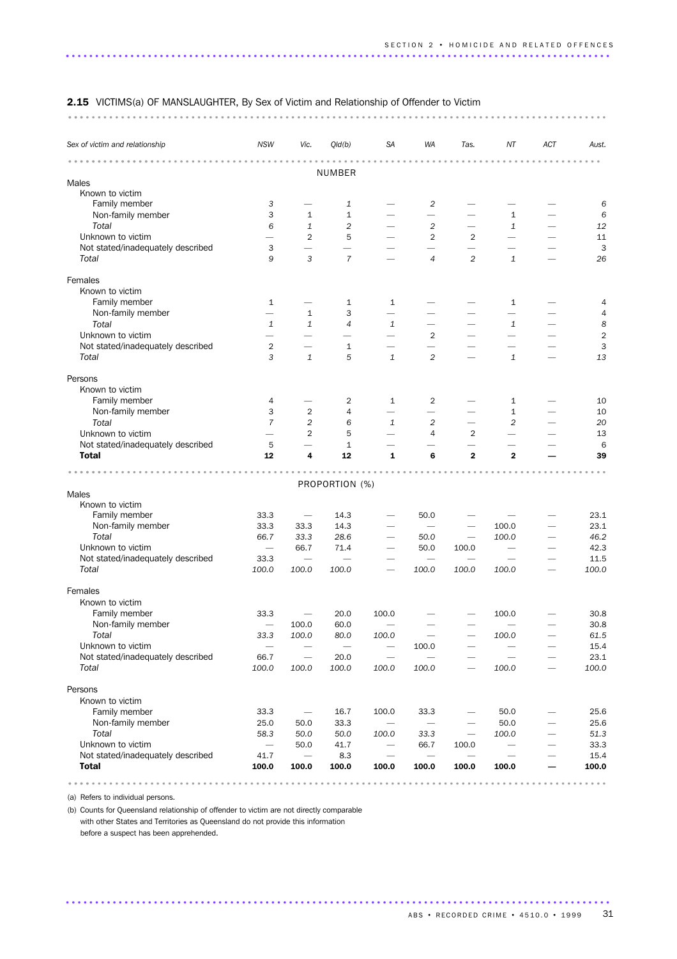| 2.15 VICTIMS(a) OF MANSLAUGHTER, By Sex of Victim and Relationship of Offender to Victim |  |  |  |  |  |  |  |  |
|------------------------------------------------------------------------------------------|--|--|--|--|--|--|--|--|
|                                                                                          |  |  |  |  |  |  |  |  |

| Sex of victim and relationship    | <b>NSW</b>                       | Vic.                             | Qld(b)                   | SA                       | WA                               | Tas.                          | ΝT                       | ACT | Aust.          |
|-----------------------------------|----------------------------------|----------------------------------|--------------------------|--------------------------|----------------------------------|-------------------------------|--------------------------|-----|----------------|
|                                   |                                  |                                  | <b>NUMBER</b>            |                          |                                  |                               |                          |     |                |
| Males                             |                                  |                                  |                          |                          |                                  |                               |                          |     |                |
| Known to victim                   |                                  |                                  |                          |                          |                                  |                               |                          |     |                |
| Family member                     | $\ensuremath{\mathsf{3}}$        |                                  | 1                        |                          | $\overline{\mathbf{c}}$          |                               |                          |     | 6              |
| Non-family member                 | 3                                | $\mathbf{1}$                     | $\mathbf{1}$             |                          | $\overline{\phantom{0}}$         |                               | 1                        |     | 6              |
| Total                             | 6                                | 1                                | 2                        |                          | $\overline{c}$                   |                               | 1                        |     | 12             |
| Unknown to victim                 | $\overline{\phantom{0}}$         | $\overline{2}$                   | 5                        | $\overline{\phantom{0}}$ | $\overline{2}$                   | $\overline{2}$                | $\overline{\phantom{0}}$ |     | 11             |
| Not stated/inadequately described | 3                                | $\overline{\phantom{0}}$         |                          |                          |                                  |                               |                          |     | 3              |
| Total                             | 9                                | 3                                | $\overline{7}$           |                          | 4                                | $\overline{2}$                | $\mathbf{1}$             |     | 26             |
| Females                           |                                  |                                  |                          |                          |                                  |                               |                          |     |                |
| Known to victim                   |                                  |                                  |                          |                          |                                  |                               |                          |     |                |
| Family member                     | 1                                |                                  | 1                        | 1                        |                                  |                               | $\mathbf{1}$             |     | 4              |
| Non-family member                 |                                  | $\mathbf{1}$                     | 3                        | $\overline{\phantom{0}}$ |                                  |                               |                          |     | 4              |
| Total                             | $\mathbf{1}$                     | $\mathbf{1}$                     | $\overline{4}$           | 1                        |                                  |                               | $\mathbf{1}$             |     | 8              |
| Unknown to victim                 | $\overline{\phantom{0}}$         | $\qquad \qquad -$                | $\overline{\phantom{0}}$ | $\overline{\phantom{0}}$ | $\overline{2}$                   |                               | $\overline{\phantom{0}}$ |     | $\overline{2}$ |
| Not stated/inadequately described | 2                                | $\overline{\phantom{0}}$         | $\mathbf{1}$             | $\qquad \qquad -$        | $\overline{\phantom{0}}$         |                               | $\overline{\phantom{0}}$ |     | 3              |
| Total                             | 3                                | $\mathbf{1}$                     | 5                        | $\mathbf{1}$             | $\overline{c}$                   |                               | $\mathbf{1}$             |     | 13             |
| Persons                           |                                  |                                  |                          |                          |                                  |                               |                          |     |                |
| Known to victim                   |                                  |                                  |                          |                          |                                  |                               |                          |     |                |
| Family member                     | 4                                |                                  | 2                        | 1                        | 2                                |                               | 1                        |     | 10             |
| Non-family member                 | 3                                | $\overline{2}$                   | $\overline{4}$           | $\qquad \qquad -$        | $\qquad \qquad$                  |                               | $\mathbf{1}$             |     | 10             |
| Total                             | $\overline{7}$                   | $\overline{c}$                   | 6                        | 1                        | 2                                |                               | 2                        |     | 20             |
| Unknown to victim                 |                                  | $\overline{2}$                   | 5                        | $\overline{\phantom{0}}$ | 4                                | $\overline{2}$                | $\overline{\phantom{0}}$ |     | 13             |
| Not stated/inadequately described | 5                                | $\overline{\phantom{0}}$         | $\mathbf{1}$             |                          |                                  |                               |                          |     | 6              |
| <b>Total</b>                      | 12                               | 4                                | 12                       | 1                        | 6                                | $\mathbf{2}$                  | $\mathbf 2$              |     | 39             |
|                                   | .                                |                                  |                          |                          |                                  |                               |                          |     |                |
| Males                             |                                  |                                  | PROPORTION (%)           |                          |                                  |                               |                          |     |                |
| Known to victim                   |                                  |                                  |                          |                          |                                  |                               |                          |     |                |
| Family member                     | 33.3                             | $\overline{\phantom{m}}$         | 14.3                     |                          | 50.0                             |                               |                          |     | 23.1           |
| Non-family member                 | 33.3                             | 33.3                             | 14.3                     |                          | $\overbrace{\phantom{12322111}}$ |                               | 100.0                    |     | 23.1           |
| Total                             | 66.7                             | 33.3                             | 28.6                     |                          | 50.0                             |                               | 100.0                    |     | 46.2           |
| Unknown to victim                 | $\overline{\phantom{m}}$         | 66.7                             | 71.4                     |                          | 50.0                             | 100.0                         |                          |     | 42.3           |
| Not stated/inadequately described | 33.3                             |                                  |                          |                          | $\overline{\phantom{m}}$         |                               |                          |     | 11.5           |
| Total                             | 100.0                            | 100.0                            | 100.0                    |                          | 100.0                            | 100.0                         | 100.0                    |     | 100.0          |
| Females                           |                                  |                                  |                          |                          |                                  |                               |                          |     |                |
| Known to victim                   |                                  |                                  |                          |                          |                                  |                               |                          |     |                |
| Family member                     | 33.3                             |                                  | 20.0                     | 100.0                    |                                  |                               | 100.0                    |     | 30.8           |
| Non-family member                 | $\overbrace{\phantom{123221}}$   | 100.0                            | 60.0                     |                          |                                  |                               |                          |     | 30.8           |
| Total                             | 33.3                             | 100.0                            | 80.0                     | 100.0                    |                                  |                               | 100.0                    |     | 61.5           |
| Unknown to victim                 |                                  |                                  |                          |                          | 100.0                            |                               |                          |     | 15.4           |
| Not stated/inadequately described | 66.7                             |                                  | 20.0                     |                          |                                  |                               |                          |     | 23.1           |
| Total                             | 100.0                            | 100.0                            | 100.0                    | 100.0                    | 100.0                            |                               | 100.0                    |     | 100.0          |
| Persons                           |                                  |                                  |                          |                          |                                  |                               |                          |     |                |
| Known to victim                   |                                  |                                  |                          |                          |                                  |                               |                          |     |                |
| Family member                     | 33.3                             |                                  | 16.7                     | 100.0                    | 33.3                             |                               | 50.0                     |     | 25.6           |
| Non-family member                 | 25.0                             | $\overline{\phantom{m}}$<br>50.0 | 33.3                     |                          |                                  |                               | 50.0                     |     | 25.6           |
| Total                             | 58.3                             | 50.0                             | 50.0                     | 100.0                    | 33.3                             | $\overbrace{\phantom{12332}}$ | 100.0                    |     | 51.3           |
| Unknown to victim                 |                                  | 50.0                             |                          |                          | 66.7                             | 100.0                         |                          |     | 33.3           |
| Not stated/inadequately described | $\overline{\phantom{m}}$<br>41.7 |                                  | 41.7<br>8.3              | $\overline{\phantom{0}}$ | $\overbrace{\phantom{1232211}}$  |                               |                          | —   | 15.4           |
| <b>Total</b>                      | 100.0                            | 100.0                            | 100.0                    | 100.0                    | 100.0                            | 100.0                         | 100.0                    |     | 100.0          |
|                                   |                                  |                                  |                          |                          |                                  |                               |                          |     |                |

(a) Refers to individual persons.

(b) Counts for Queensland relationship of offender to victim are not directly comparable with other States and Territories as Queensland do not provide this information before a suspect has been apprehended.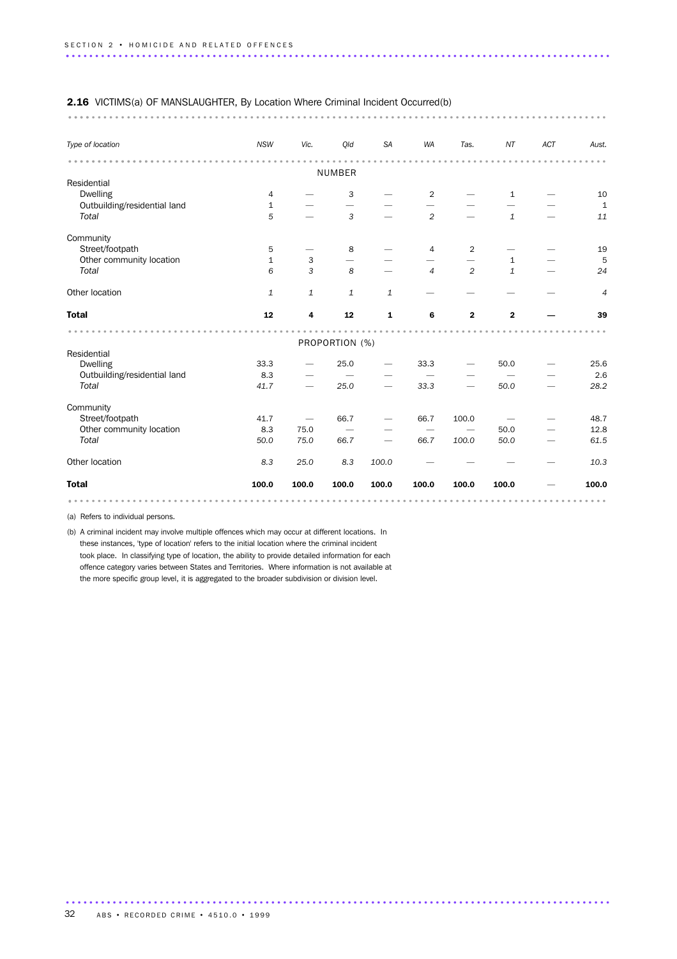# 2.16 VICTIMS(a) OF MANSLAUGHTER, By Location Where Criminal Incident Occurred(b) ............................................................................................ ....

| Type of location             | <b>NSW</b>     | Vic.                     | Qld                      | <b>SA</b>    | <b>WA</b>      | Tas.           | $N\!T$                   | ACT | Aust.          |
|------------------------------|----------------|--------------------------|--------------------------|--------------|----------------|----------------|--------------------------|-----|----------------|
|                              |                |                          | <b>NUMBER</b>            |              |                |                |                          |     |                |
| Residential                  |                |                          |                          |              |                |                |                          |     |                |
| <b>Dwelling</b>              | $\overline{4}$ |                          | 3                        |              | $\overline{2}$ |                | $\mathbf{1}$             |     | 10             |
| Outbuilding/residential land | $\mathbf{1}$   |                          | $\overline{\phantom{0}}$ |              |                |                |                          |     | $1\,$          |
| Total                        | 5              |                          | $\mathfrak{Z}$           |              | $\overline{c}$ |                | $\mathbf 1$              |     | 11             |
| Community                    |                |                          |                          |              |                |                |                          |     |                |
| Street/footpath              | 5              |                          | 8                        |              | $\overline{4}$ | $\overline{c}$ |                          |     | 19             |
| Other community location     | $\mathbf{1}$   | 3                        |                          |              |                |                | $\mathbf 1$              |     | 5              |
| Total                        | 6              | 3                        | 8                        |              | $\overline{4}$ | $\overline{c}$ | $\mathbf{1}$             |     | 24             |
| Other location               | $\mathbf 1$    | $\mathbf{1}$             | $\mathbf 1$              | $\mathbf{1}$ |                |                |                          |     | $\overline{4}$ |
| <b>Total</b>                 | 12             | 4                        | 12                       | ${\bf 1}$    | 6              | $\mathbf{2}$   | $\mathbf 2$              |     | 39             |
|                              |                |                          |                          |              |                |                |                          |     |                |
| Residential                  |                |                          | PROPORTION (%)           |              |                |                |                          |     |                |
| <b>Dwelling</b>              | 33.3           |                          | 25.0                     |              | 33.3           |                | 50.0                     |     | 25.6           |
| Outbuilding/residential land | 8.3            | $\overline{\phantom{0}}$ |                          |              |                |                | $\overline{\phantom{0}}$ |     | 2.6            |
| Total                        | 41.7           | $\overline{\phantom{0}}$ | 25.0                     |              | 33.3           |                | 50.0                     |     | 28.2           |
| Community                    |                |                          |                          |              |                |                |                          |     |                |
| Street/footpath              | 41.7           |                          | 66.7                     |              | 66.7           | 100.0          |                          |     | 48.7           |
| Other community location     | 8.3            | 75.0                     | $\overline{\phantom{0}}$ |              |                |                | 50.0                     |     | 12.8           |
| Total                        | 50.0           | 75.0                     | 66.7                     |              | 66.7           | 100.0          | 50.0                     |     | 61.5           |
| Other location               | 8.3            | 25.0                     | 8.3                      | 100.0        |                |                |                          |     | 10.3           |
| <b>Total</b>                 | 100.0          | 100.0                    | 100.0                    | 100.0        | 100.0          | 100.0          | 100.0                    |     | 100.0          |

.............................................................................................

(a) Refers to individual persons.

(b) A criminal incident may involve multiple offences which may occur at different locations. In these instances, 'type of location' refers to the initial location where the criminal incident took place. In classifying type of location, the ability to provide detailed information for each offence category varies between States and Territories. Where information is not available at the more specific group level, it is aggregated to the broader subdivision or division level.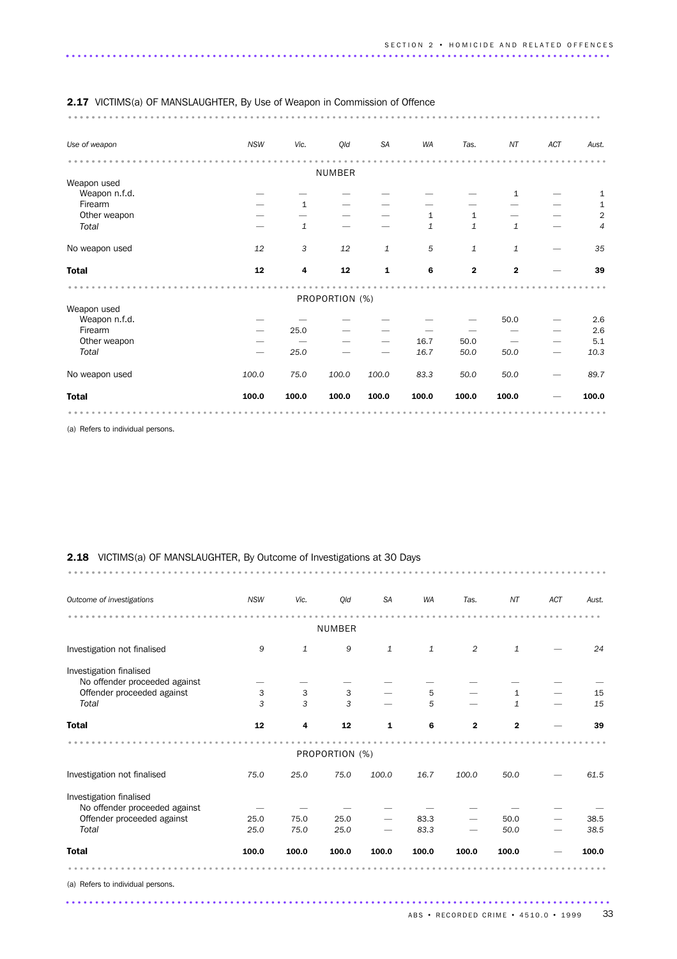| <b>2.17</b> VICTIMS(a) OF MANSLAUGHTER, By Use of Weapon in Commission of Offence |            |              |                |              |           |              |                         |     |                             |
|-----------------------------------------------------------------------------------|------------|--------------|----------------|--------------|-----------|--------------|-------------------------|-----|-----------------------------|
|                                                                                   |            |              |                |              |           |              |                         |     |                             |
| Use of weapon                                                                     | <b>NSW</b> | Vic.         | Qld            | <b>SA</b>    | <b>WA</b> | Tas.         | NT                      | ACT | Aust.                       |
|                                                                                   |            |              |                |              |           |              |                         |     |                             |
|                                                                                   |            |              | <b>NUMBER</b>  |              |           |              |                         |     |                             |
| Weapon used<br>Weapon n.f.d.                                                      |            |              |                |              |           |              | $\mathbf{1}$            |     |                             |
| Firearm                                                                           |            | $\mathbf{1}$ |                |              |           |              |                         |     | $\mathbf{1}$<br>$\mathbf 1$ |
| Other weapon                                                                      |            |              |                |              | 1         | $\mathbf{1}$ |                         |     | $\sqrt{2}$                  |
| Total                                                                             |            | $\mathbf{1}$ |                |              | 1         | $\mathbf{1}$ | $\mathbf{1}$            |     | $\overline{4}$              |
|                                                                                   |            |              |                |              |           |              |                         |     |                             |
| No weapon used                                                                    | 12         | 3            | 12             | $\mathbf{1}$ | 5         | $\mathbf{1}$ | $\mathbf{1}$            |     | 35                          |
| <b>Total</b>                                                                      | 12         | 4            | 12             | 1            | 6         | $\mathbf 2$  | $\overline{\mathbf{2}}$ |     | 39                          |
|                                                                                   |            |              |                |              |           |              |                         |     |                             |
| Weapon used                                                                       |            |              | PROPORTION (%) |              |           |              |                         |     |                             |
| Weapon n.f.d.                                                                     |            |              |                |              |           |              | 50.0                    |     | 2.6                         |
| Firearm                                                                           |            | 25.0         |                |              |           |              |                         |     | 2.6                         |
| Other weapon                                                                      |            |              |                |              | 16.7      | 50.0         |                         |     | 5.1                         |
| Total                                                                             |            | 25.0         |                |              | 16.7      | 50.0         | 50.0                    | —   | 10.3                        |
|                                                                                   |            |              |                |              |           |              |                         |     |                             |
| No weapon used                                                                    | 100.0      | 75.0         | 100.0          | 100.0        | 83.3      | 50.0         | 50.0                    |     | 89.7                        |
| <b>Total</b>                                                                      | 100.0      | 100.0        | 100.0          | 100.0        | 100.0     | 100.0        | 100.0                   |     | 100.0                       |

(a) Refers to individual persons.

### 2.18 VICTIMS(a) OF MANSLAUGHTER, By Outcome of Investigations at 30 Days

| Outcome of investigations     | <b>NSW</b> | Vic.         | Qld            | <b>SA</b>    | <b>WA</b>    | Tas.        | NT           | <b>ACT</b> | Aust. |
|-------------------------------|------------|--------------|----------------|--------------|--------------|-------------|--------------|------------|-------|
|                               |            |              | <b>NUMBER</b>  |              |              |             |              |            |       |
|                               |            |              |                |              |              |             |              |            |       |
| Investigation not finalised   | 9          | $\mathbf{1}$ | 9              | $\mathbf{1}$ | $\mathbf{1}$ | 2           | $\mathbf{1}$ |            | 24    |
| Investigation finalised       |            |              |                |              |              |             |              |            |       |
| No offender proceeded against |            |              |                |              |              |             |              |            |       |
| Offender proceeded against    | 3          | 3            | 3              |              | 5            |             | $\mathbf{1}$ |            | 15    |
| Total                         | 3          | 3            | 3              |              | 5            |             | 1            |            | 15    |
| <b>Total</b>                  | 12         | 4            | 12             | 1            | 6            | $\mathbf 2$ | $\mathbf{2}$ |            | 39    |
|                               |            |              |                |              |              |             |              |            |       |
|                               |            |              | PROPORTION (%) |              |              |             |              |            |       |
| Investigation not finalised   | 75.0       | 25.0         | 75.0           | 100.0        | 16.7         | 100.0       | 50.0         |            | 61.5  |
| Investigation finalised       |            |              |                |              |              |             |              |            |       |
| No offender proceeded against |            |              |                |              |              |             |              |            |       |
| Offender proceeded against    | 25.0       | 75.0         | 25.0           |              | 83.3         |             | 50.0         |            | 38.5  |
| Total                         | 25.0       | 75.0         | 25.0           |              | 83.3         |             | 50.0         |            | 38.5  |
| <b>Total</b>                  | 100.0      | 100.0        | 100.0          | 100.0        | 100.0        | 100.0       | 100.0        |            | 100.0 |
|                               |            |              |                |              |              |             |              |            |       |

.............................................................................................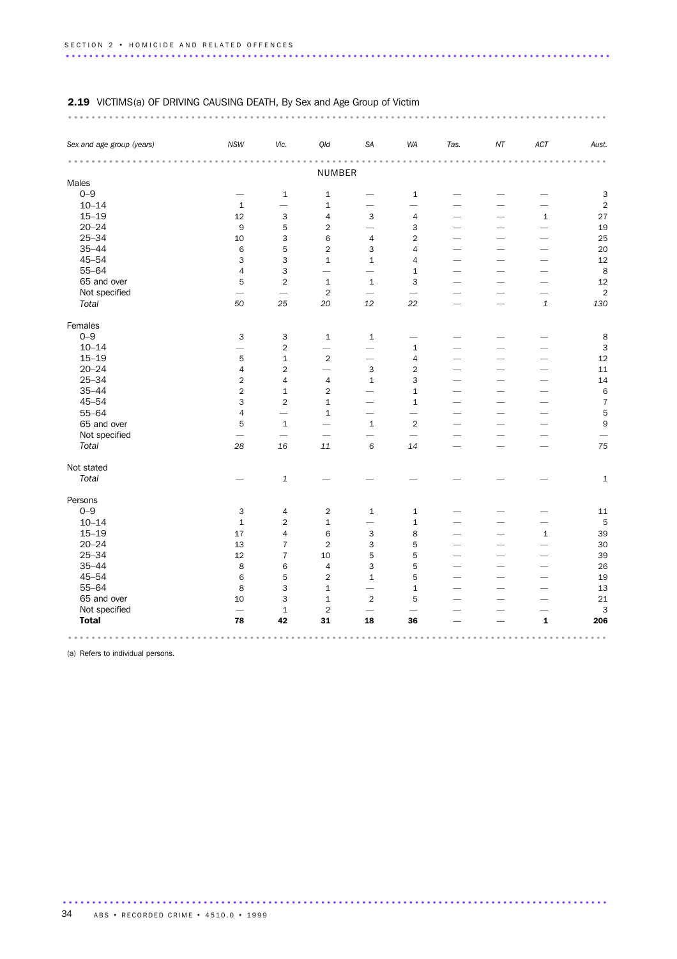# 2.19 VICTIMS(a) OF DRIVING CAUSING DEATH, By Sex and Age Group of Victim ............................................................................................ ...

| Sex and age group (years) | <b>NSW</b>               | Vic.                     | Qld                      | SA                        | WA                       | Tas.                     | NT                       | ACT                      | Aust.                     |
|---------------------------|--------------------------|--------------------------|--------------------------|---------------------------|--------------------------|--------------------------|--------------------------|--------------------------|---------------------------|
|                           |                          |                          |                          |                           |                          |                          |                          |                          |                           |
| Males                     |                          |                          | NUMBER                   |                           |                          |                          |                          |                          |                           |
| $0 - 9$                   |                          | $\mathbf{1}$             | $\mathbf 1$              |                           | $\mathbf{1}$             |                          |                          |                          | 3                         |
| $10 - 14$                 | $\mathbf{1}$             |                          | $\mathbf{1}$             |                           | $\overline{\phantom{0}}$ | $\overline{\phantom{0}}$ |                          |                          | $\overline{c}$            |
| $15 - 19$                 | 12                       | 3                        | $\overline{4}$           | 3                         | $\overline{4}$           |                          |                          | $\mathbf 1$              | 27                        |
| $20 - 24$                 | 9                        | 5                        | $\overline{2}$           | $\overline{\phantom{0}}$  | 3                        | $\overline{\phantom{0}}$ | $\overline{\phantom{0}}$ | $\overline{\phantom{0}}$ | 19                        |
| $25 - 34$                 | 10                       | 3                        | 6                        | $\overline{4}$            | $\overline{2}$           | $\overline{\phantom{0}}$ | $\overline{\phantom{0}}$ | $\overline{\phantom{0}}$ | 25                        |
| $35 - 44$                 | 6                        | 5                        | $\overline{2}$           | 3                         | 4                        | $\overline{\phantom{0}}$ |                          | -                        | 20                        |
| $45 - 54$                 | 3                        | 3                        | $\mathbf 1$              | $\mathbf{1}$              | $\overline{4}$           |                          |                          |                          | 12                        |
| $55 - 64$                 | $\overline{4}$           | 3                        | $\overline{\phantom{0}}$ | $\overline{\phantom{0}}$  |                          |                          |                          |                          | 8                         |
| 65 and over               | 5                        | $\overline{2}$           | $\mathbf 1$              | $\mathbf 1$               | $\,1\,$<br>3             | $\overline{\phantom{0}}$ | $\overline{\phantom{0}}$ | $\overline{\phantom{0}}$ | 12                        |
|                           | $\overline{\phantom{0}}$ |                          | $\overline{2}$           |                           |                          |                          |                          |                          | $\overline{2}$            |
| Not specified             |                          |                          |                          | $\overline{\phantom{0}}$  |                          |                          | $\overline{\phantom{0}}$ |                          |                           |
| Total                     | 50                       | 25                       | 20                       | 12                        | 22                       | $\overline{\phantom{0}}$ | $\overline{\phantom{0}}$ | $\mathbf{1}$             | 130                       |
| Females                   |                          |                          |                          |                           |                          |                          |                          |                          |                           |
| $0 - 9$                   | 3                        | 3                        | $\mathbf{1}$             | $\mathbf{1}$              |                          |                          |                          |                          | 8                         |
| $10 - 14$                 | $\overline{\phantom{0}}$ | $\mathbf 2$              | $\equiv$                 | $\overline{\phantom{0}}$  | $\mathbf 1$              |                          |                          |                          | $\mathbf{3}$              |
| $15 - 19$                 | 5                        | $\mathbf{1}$             | $\overline{2}$           | $\overline{\phantom{0}}$  | $\overline{4}$           | $\overline{\phantom{0}}$ | $\overline{\phantom{0}}$ | $\overline{\phantom{0}}$ | 12                        |
| $20 - 24$                 | $\overline{4}$           | $\overline{2}$           | $\overline{\phantom{0}}$ | 3                         | $\sqrt{2}$               | $\overline{\phantom{0}}$ | $\overline{\phantom{0}}$ | $\overline{\phantom{0}}$ | $11\,$                    |
| $25 - 34$                 | $\sqrt{2}$               | 4                        | $\overline{4}$           | $\mathbf{1}$              | 3                        |                          |                          | $\overline{\phantom{0}}$ | 14                        |
| $35 - 44$                 | $\sqrt{2}$               | $\mathbf 1$              | $\overline{2}$           | $\overline{\phantom{0}}$  | $\mathbf 1$              | $\overline{\phantom{0}}$ | $\overline{\phantom{0}}$ | $\overline{\phantom{0}}$ | $\,$ 6                    |
| $45 - 54$                 | 3                        | $\overline{2}$           | $\mathbf{1}$             | $\overline{\phantom{0}}$  | $\mathbf{1}$             | $\overline{\phantom{0}}$ | $\overline{\phantom{0}}$ | ÷.                       | $\overline{7}$            |
| $55 - 64$                 | $\overline{4}$           | $\overline{\phantom{0}}$ | $\mathbf{1}$             |                           |                          |                          |                          |                          | $\mathbf 5$               |
| 65 and over               | 5                        | $\mathbf{1}$             | $\overline{\phantom{0}}$ | $\mathbf{1}$              | $\sqrt{2}$               |                          |                          |                          | $\mathsf g$               |
| Not specified             | $\overline{\phantom{0}}$ | $\overline{\phantom{0}}$ |                          | $\overline{\phantom{0}}$  |                          | $\overline{\phantom{0}}$ | $\overline{\phantom{0}}$ |                          |                           |
| Total                     | 28                       | 16                       | 11                       | 6                         | 14                       |                          | $\overline{\phantom{0}}$ | $\overline{\phantom{0}}$ | 75                        |
| Not stated                |                          |                          |                          |                           |                          |                          |                          |                          |                           |
| Total                     |                          | $\mathbf{1}$             |                          |                           |                          |                          |                          |                          | $\ensuremath{\mathbf{1}}$ |
| Persons                   |                          |                          |                          |                           |                          |                          |                          |                          |                           |
| $0 - 9$                   | 3                        | $\sqrt{4}$               | $\overline{2}$           | $\mathbf{1}$              | $1\,$                    |                          |                          | -                        | $11\,$                    |
| $10 - 14$                 | $\mathbf 1$              | $\overline{2}$           | $\mathbf{1}$             | $\overline{\phantom{0}}$  | $\mathbf{1}$             |                          |                          | $\overline{\phantom{0}}$ | $\overline{5}$            |
| $15 - 19$                 | 17                       | 4                        | 6                        | $\ensuremath{\mathsf{3}}$ | 8                        | $\overline{\phantom{0}}$ | $\overline{\phantom{0}}$ | $1\,$                    | 39                        |
| $20 - 24$                 | 13                       | $\overline{7}$           | 2                        | 3                         | 5                        | $\overline{\phantom{0}}$ | $\overline{\phantom{0}}$ | $\overline{\phantom{0}}$ | 30                        |
| $25 - 34$                 | 12                       | $\overline{7}$           | 10                       | 5                         | 5                        | $\overline{\phantom{0}}$ |                          |                          | 39                        |
| $35 - 44$                 | 8                        | 6                        | $\overline{4}$           | 3                         | 5                        | $\overline{\phantom{0}}$ |                          |                          | 26                        |
| $45 - 54$                 | $\,6$                    | 5                        | $\overline{2}$           | $\mathbf{1}$              | 5                        |                          |                          |                          | 19                        |
| $55 - 64$                 | 8                        | 3                        | $\mathbf{1}$             | $\overline{\phantom{0}}$  | $\mathbf 1$              | $\overline{\phantom{0}}$ |                          | $\overline{\phantom{0}}$ | 13                        |
| 65 and over               | 10                       | 3                        | $\mathbf 1$              | $\overline{2}$            | 5                        |                          |                          | $\overline{\phantom{0}}$ | 21                        |
| Not specified             |                          | $1\,$                    | 2                        | $\overline{\phantom{0}}$  | $\overline{\phantom{0}}$ |                          |                          |                          | 3                         |
| <b>Total</b>              | 78                       | 42                       | 31                       | 18                        | 36                       |                          |                          | $\mathbf{1}$             | 206                       |

.............................................................................................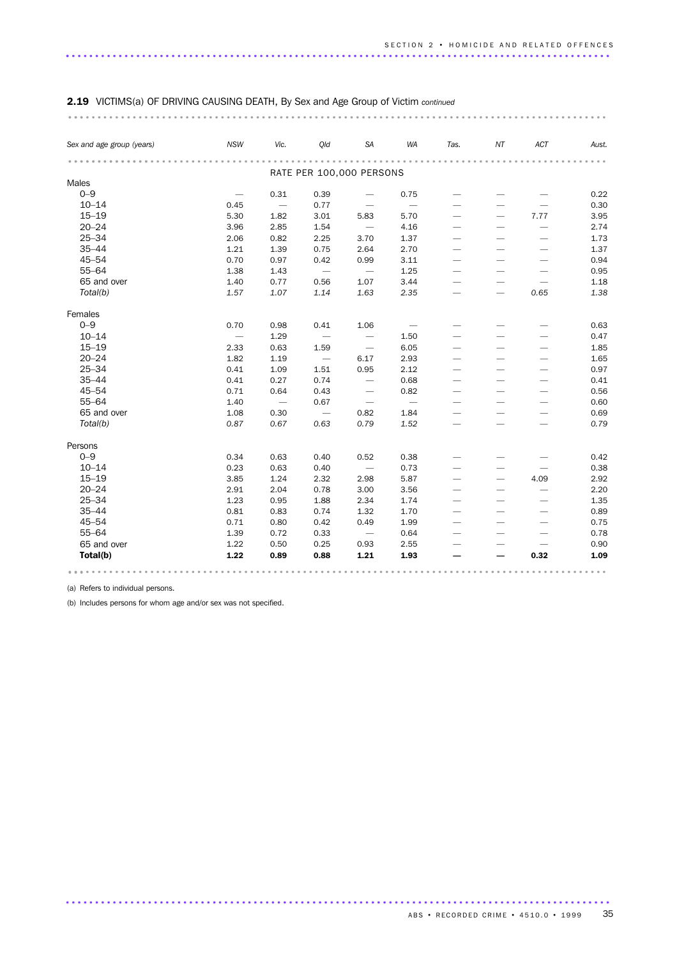### ............................................................................................ ... *Sex and age group (years) NSW Vic. Qld SA WA Tas. NT ACT Aust.* ............................................................................................ .............. RATE PER 100,000 PERSONS Males  $0$ – $9$   $0.31$   $0.39$   $0.75$   $0.22$  $10-14$  0.45  $-$  0.77  $-$  0.30 15–19 5.30 1.82 3.01 5.83 5.70 — — 7.77 3.95  $20-24$   $3.96$   $2.85$   $1.54$   $4.16$   $2.74$ <br>  $2.5-34$   $2.06$   $0.82$   $2.25$   $3.70$   $1.37$   $1.73$ <br>  $35-44$   $1.21$   $1.39$   $0.75$   $2.64$   $2.70$   $1.37$ <br>  $45-54$   $0.70$   $0.97$   $0.42$  25–34 2.06 0.82 2.25 3.70 1.37 — — — 1.73 35–44 1.21 1.39 0.75 2.64 2.70 — — — 1.37 45–54 0.70 0.97 0.42 0.99 3.11 — — — 0.94  $55-64$  1.38  $1.43$  - 1.25 - - - 0.95<br>  $65$  and over 1.40 0.77 0.56 1.07 3.44 - - - 1.18 65 and over 1.40 0.77 0.56 1.07 3.44 — — — 1.18 *Total(b) 1.57 1.07 1.14 1.63 2.35 — — 0.65 1.38* Females  $0-9$  0.70 0.98 0.41 1.06  $-$  0.63  $10-14$   $1.29$   $1.50$   $0.47$ 15–19 2.33 0.63 1.59 — 6.05 — — — 1.85 20–24 1.82 1.19 — 6.17 2.93 — — — 1.65 25–34 0.41 1.09 1.51 0.95 2.12 — — — 0.97  $25-24$ <br>  $25-34$ <br>  $25-34$ <br>  $25-34$ <br>  $25-34$ <br>  $25-34$ <br>  $25-34$ <br>  $25-34$ <br>  $25-34$ <br>  $25-34$ <br>  $25-34$ <br>  $25-34$ <br>  $25-34$ <br>  $25-34$ <br>  $25-34$ <br>  $25-34$ <br>  $25-34$ <br>  $25-34$ <br>  $25-34$ <br>  $25-34$ <br>  $25-34$ <br>  $25-34$ <br>  $25-34$ <br>  $25-34$ <br>  $25-3$  $\begin{array}{ccccccccccc} 0.71 & & 0.64 & & 0.43 & & - & 0.82 & & - & & - & & - \ 1.40 & & - & & 0.67 & & - & & - & & - & & - & & - \ \end{array}$ 55–64 1.40 — 0.67 — — — — — 0.60 65 and over 1.08 0.30  $-$  0.82 1.84  $-$  0.69 *Total(b) 0.87 0.67 0.63 0.79 1.52 — — — 0.79* Persons  $0-9$  0.34 0.63 0.40 0.52 0.38 - - - 0.42<br>10-14 0.23 0.63 0.40 - 0.73 - - - 0.38  $10-14$  0.23 0.63 0.40  $-$  0.73  $-$  0.38 15–19 3.85 1.24 2.32 2.98 5.87 — — 4.09 2.92 20–24 2.91 2.04 0.78 3.00 3.56 — — — 2.20 25–34 1.23 0.95 1.88 2.34 1.74 — — — 1.35 35–44 0.81 0.83 0.74 1.32 1.70 — — — 0.89 45–54 0.71 0.80 0.42 0.49 1.99 — — — 0.75 55–64 1.39 0.72 0.33 — 0.64 — — — 0.78 65 and over 1.22 0.50 0.25 0.93 2.55 — — — 0.90 Total(b) 1.22 0.89 0.88 1.21 1.93 — — 0.32 1.09  $\text{Total(b)} \quad 1.22 \quad 0.89 \quad 0.88 \quad 1.21 \quad 1.93 \quad - \quad - \quad 0.32 \quad 1.09$

### 2.19 VICTIMS(a) OF DRIVING CAUSING DEATH, By Sex and Age Group of Victim *continued*

(a) Refers to individual persons.

(b) Includes persons for whom age and/or sex was not specified.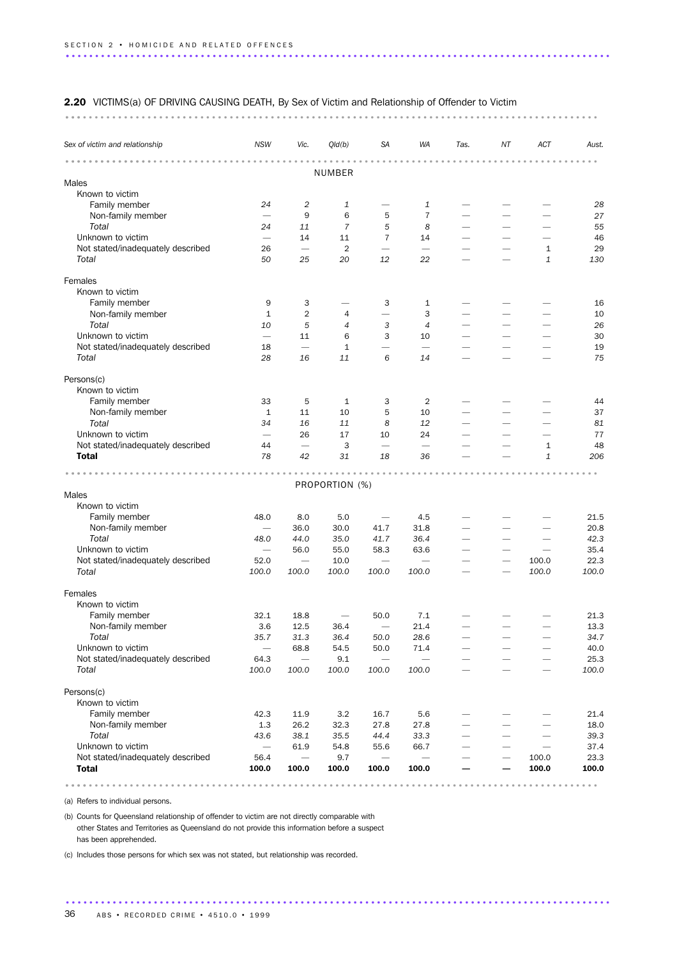### 2.20 VICTIMS(a) OF DRIVING CAUSING DEATH, By Sex of Victim and Relationship of Offender to Victim

........................................................................................... ...

| Sex of victim and relationship    | <b>NSW</b>                      | Vic.                     | Qld(b)         | <b>SA</b>                | <b>WA</b>                       | Tas.                     | ΝT                       | ACT          | Aust. |
|-----------------------------------|---------------------------------|--------------------------|----------------|--------------------------|---------------------------------|--------------------------|--------------------------|--------------|-------|
|                                   |                                 |                          | <b>NUMBER</b>  |                          |                                 |                          |                          |              |       |
| Males                             |                                 |                          |                |                          |                                 |                          |                          |              |       |
| Known to victim                   |                                 |                          |                |                          |                                 |                          |                          |              |       |
| Family member                     | 24                              | 2                        | 1              |                          | 1                               |                          |                          |              | 28    |
| Non-family member                 | -                               | 9                        | 6              | 5                        | $\overline{7}$                  |                          |                          |              | 27    |
| Total                             | 24                              | 11                       | $\overline{7}$ | 5                        | 8                               | $\overline{\phantom{0}}$ |                          |              | 55    |
| Unknown to victim                 | $\overline{\phantom{m}}$        | 14                       | 11             | $\overline{7}$           | 14                              | $\overline{\phantom{0}}$ |                          |              | 46    |
| Not stated/inadequately described | 26                              |                          | 2              | $\overline{\phantom{0}}$ | $\overbrace{\phantom{1232211}}$ |                          | -                        | $\mathbf{1}$ | 29    |
| Total                             | 50                              | 25                       | 20             | 12                       | 22                              |                          |                          | $\mathbf{1}$ | 130   |
| Females                           |                                 |                          |                |                          |                                 |                          |                          |              |       |
| Known to victim                   |                                 |                          |                |                          |                                 |                          |                          |              |       |
| Family member                     | 9                               | 3                        |                | 3                        | 1                               |                          |                          |              | 16    |
| Non-family member                 | $\mathbf{1}$                    | $\overline{2}$           | 4              | -                        | 3                               |                          |                          |              | 10    |
| Total                             | 10                              | 5                        | $\overline{4}$ | 3                        | 4                               |                          |                          |              | 26    |
| Unknown to victim                 |                                 | 11                       | 6              | 3                        | 10                              | $\overline{\phantom{0}}$ |                          |              | 30    |
| Not stated/inadequately described | 18                              |                          | $\mathbf{1}$   |                          | $\overline{\phantom{m}}$        | $\overline{\phantom{0}}$ |                          |              | 19    |
| Total                             | 28                              | 16                       | 11             | 6                        | 14                              | ▃                        |                          |              | 75    |
| Persons(c)                        |                                 |                          |                |                          |                                 |                          |                          |              |       |
| Known to victim                   |                                 |                          |                |                          |                                 |                          |                          |              |       |
| Family member                     | 33                              | 5                        | 1              | 3                        | 2                               |                          |                          |              | 44    |
| Non-family member                 | $\mathbf{1}$                    | 11                       | 10             | 5                        | 10                              |                          |                          |              | 37    |
| Total                             | 34                              | 16                       | 11             | 8                        | 12                              |                          |                          |              | 81    |
| Unknown to victim                 |                                 | 26                       | 17             | 10                       | 24                              |                          |                          |              | 77    |
| Not stated/inadequately described | 44                              | $\overline{\phantom{0}}$ | 3              | $\overline{\phantom{m}}$ | $\overline{\phantom{m}}$        | -                        |                          | 1            | 48    |
| <b>Total</b>                      | 78                              | 42                       | 31             | 18                       | 36                              |                          |                          | $\mathbf{1}$ | 206   |
|                                   |                                 |                          |                |                          |                                 |                          |                          |              |       |
| Males                             |                                 |                          | PROPORTION (%) |                          |                                 |                          |                          |              |       |
| Known to victim                   |                                 |                          |                |                          |                                 |                          |                          |              |       |
| Family member                     | 48.0                            | 8.0                      | 5.0            | $\overline{\phantom{0}}$ | 4.5                             | $\overline{\phantom{0}}$ |                          |              | 21.5  |
| Non-family member                 |                                 | 36.0                     | 30.0           | 41.7                     | 31.8                            | $\overline{\phantom{0}}$ |                          |              | 20.8  |
| Total                             | 48.0                            | 44.0                     | 35.0           | 41.7                     | 36.4                            | $\overline{\phantom{0}}$ | -                        |              | 42.3  |
| Unknown to victim                 |                                 | 56.0                     | 55.0           | 58.3                     | 63.6                            |                          |                          |              | 35.4  |
| Not stated/inadequately described | 52.0                            |                          | 10.0           | $\overline{\phantom{0}}$ |                                 |                          |                          | 100.0        | 22.3  |
| Total                             | 100.0                           | 100.0                    | 100.0          | 100.0                    | 100.0                           |                          |                          | 100.0        | 100.0 |
| Females                           |                                 |                          |                |                          |                                 |                          |                          |              |       |
| Known to victim                   |                                 |                          |                |                          |                                 |                          |                          |              |       |
| Family member                     | 32.1                            | 18.8                     |                | 50.0                     | 7.1                             |                          |                          |              | 21.3  |
| Non-family member                 | 3.6                             | 12.5                     | 36.4           | $\overline{\phantom{0}}$ | 21.4                            |                          |                          |              | 13.3  |
| Total                             | 35.7                            | 31.3                     | 36.4           | 50.0                     | 28.6                            |                          |                          |              | 34.7  |
| Unknown to victim                 |                                 | 68.8                     | 54.5           | 50.0                     | 71.4                            |                          |                          |              | 40.0  |
| Not stated/inadequately described | 64.3                            |                          | 9.1            |                          |                                 |                          |                          |              | 25.3  |
| Total                             | 100.0                           | 100.0                    | 100.0          | 100.0                    | 100.0                           | $\overline{\phantom{0}}$ |                          |              | 100.0 |
| Persons(c)                        |                                 |                          |                |                          |                                 |                          |                          |              |       |
| Known to victim                   |                                 |                          |                |                          |                                 |                          |                          |              |       |
| Family member                     | 42.3                            | 11.9                     | 3.2            | 16.7                     | 5.6                             |                          |                          |              | 21.4  |
| Non-family member                 | 1.3                             | 26.2                     | 32.3           | 27.8                     | 27.8                            |                          |                          |              | 18.0  |
| Total                             | 43.6                            | 38.1                     | 35.5           | 44.4                     | 33.3                            | $\overline{\phantom{0}}$ |                          |              | 39.3  |
| Unknown to victim                 | $\overbrace{\phantom{1232211}}$ | 61.9                     | 54.8           | 55.6                     | 66.7                            |                          |                          |              | 37.4  |
| Not stated/inadequately described | 56.4                            |                          | 9.7            |                          |                                 |                          | $\overline{\phantom{0}}$ | 100.0        | 23.3  |
| <b>Total</b>                      | 100.0                           | 100.0                    | 100.0          | 100.0                    | 100.0                           |                          |                          | 100.0        | 100.0 |
|                                   |                                 |                          | .              |                          |                                 |                          |                          | .            |       |

.............................................................................................

(a) Refers to individual persons.

(b) Counts for Queensland relationship of offender to victim are not directly comparable with other States and Territories as Queensland do not provide this information before a suspect has been apprehended.

(c) Includes those persons for which sex was not stated, but relationship was recorded.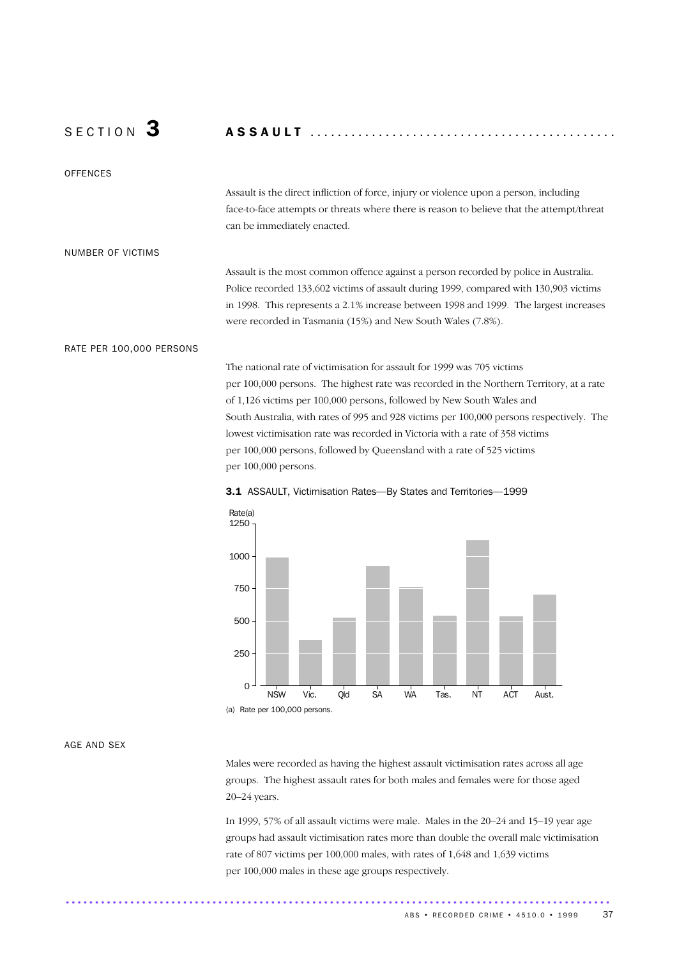# S E C T I O N 3 A S S A U L T .............................................

### **OFFENCES**

Assault is the direct infliction of force, injury or violence upon a person, including face-to-face attempts or threats where there is reason to believe that the attempt/threat can be immediately enacted.

#### NUMBER OF VICTIMS

Assault is the most common offence against a person recorded by police in Australia. Police recorded 133,602 victims of assault during 1999, compared with 130,903 victims in 1998. This represents a 2.1% increase between 1998 and 1999. The largest increases were recorded in Tasmania (15%) and New South Wales (7.8%).

### RATE PER 100,000 PERSONS

The national rate of victimisation for assault for 1999 was 705 victims per 100,000 persons. The highest rate was recorded in the Northern Territory, at a rate of 1,126 victims per 100,000 persons, followed by New South Wales and South Australia, with rates of 995 and 928 victims per 100,000 persons respectively. The lowest victimisation rate was recorded in Victoria with a rate of 358 victims per 100,000 persons, followed by Queensland with a rate of 525 victims per 100,000 persons.



#### 3.1 ASSAULT, Victimisation Rates—By States and Territories—1999

### AGE AND SEX

Males were recorded as having the highest assault victimisation rates across all age groups. The highest assault rates for both males and females were for those aged 20–24 years.

In 1999, 57% of all assault victims were male. Males in the 20–24 and 15–19 year age groups had assault victimisation rates more than double the overall male victimisation rate of 807 victims per 100,000 males, with rates of 1,648 and 1,639 victims per 100,000 males in these age groups respectively.

.............................................................................................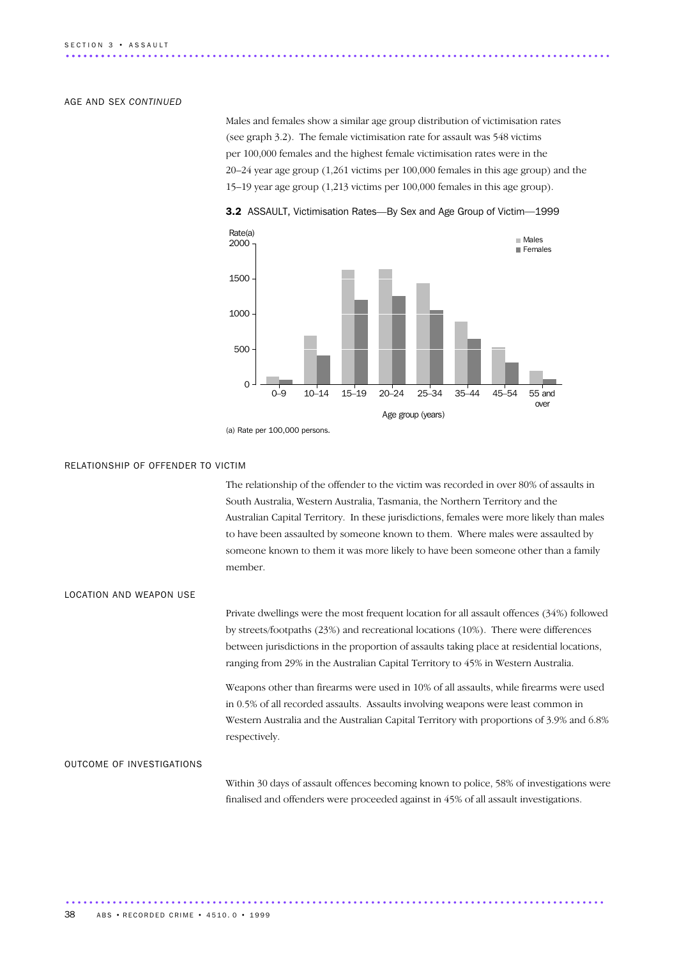#### AGE AND SEX *CONTINUED*

Males and females show a similar age group distribution of victimisation rates (see graph 3.2). The female victimisation rate for assault was 548 victims per 100,000 females and the highest female victimisation rates were in the 20–24 year age group (1,261 victims per 100,000 females in this age group) and the 15–19 year age group (1,213 victims per 100,000 females in this age group).



3.2 ASSAULT, Victimisation Rates—By Sex and Age Group of Victim—1999

#### RELATIONSHIP OF OFFENDER TO VICTIM

The relationship of the offender to the victim was recorded in over 80% of assaults in South Australia, Western Australia, Tasmania, the Northern Territory and the Australian Capital Territory. In these jurisdictions, females were more likely than males to have been assaulted by someone known to them. Where males were assaulted by someone known to them it was more likely to have been someone other than a family member.

LOCATION AND WEAPON USE

Private dwellings were the most frequent location for all assault offences (34%) followed by streets/footpaths (23%) and recreational locations (10%). There were differences between jurisdictions in the proportion of assaults taking place at residential locations, ranging from 29% in the Australian Capital Territory to 45% in Western Australia.

Weapons other than firearms were used in 10% of all assaults, while firearms were used in 0.5% of all recorded assaults. Assaults involving weapons were least common in Western Australia and the Australian Capital Territory with proportions of 3.9% and 6.8% respectively.

#### OUTCOME OF INVESTIGATIONS

Within 30 days of assault offences becoming known to police, 58% of investigations were finalised and offenders were proceeded against in 45% of all assault investigations.

<sup>(</sup>a) Rate per 100,000 persons.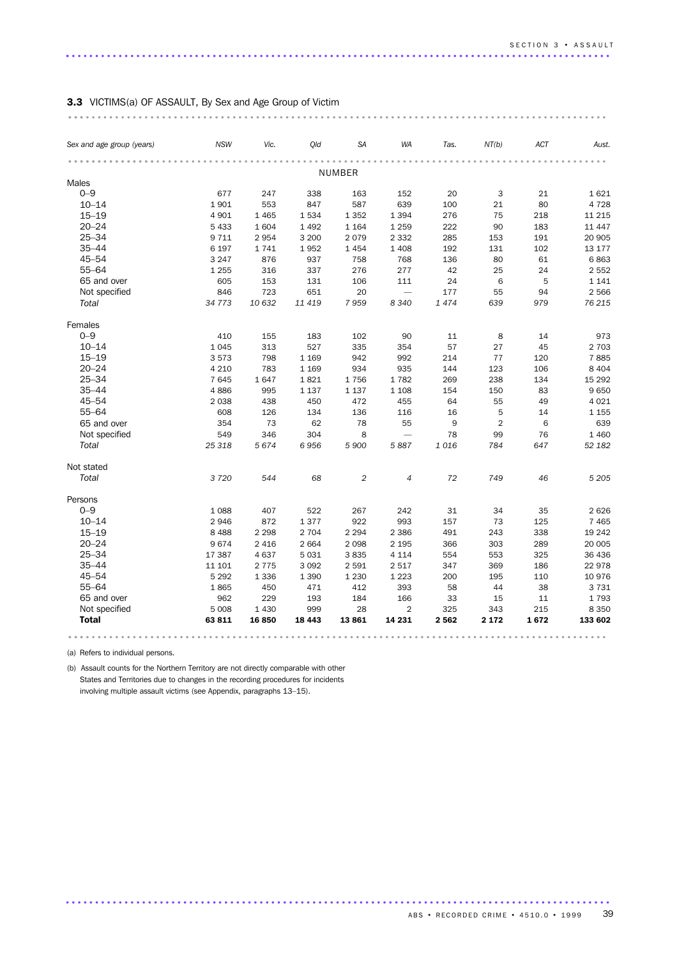### 3.3 VICTIMS(a) OF ASSAULT, By Sex and Age Group of Victim

| Sex and age group (years) | <b>NSW</b> | Vic.    | Qld     | <b>SA</b> | <b>WA</b>                | Tas.    | NT(b)          | ACT  | Aust.    |
|---------------------------|------------|---------|---------|-----------|--------------------------|---------|----------------|------|----------|
|                           |            |         |         | NUMBER    |                          |         |                |      |          |
| Males                     |            |         |         |           |                          |         |                |      |          |
| $0 - 9$                   | 677        | 247     | 338     | 163       | 152                      | 20      | 3              | 21   | 1621     |
| $10 - 14$                 | 1901       | 553     | 847     | 587       | 639                      | 100     | 21             | 80   | 4728     |
| $15 - 19$                 | 4 9 0 1    | 1 4 6 5 | 1534    | 1 3 5 2   | 1 3 9 4                  | 276     | 75             | 218  | 11 2 15  |
| $20 - 24$                 | 5 4 3 3    | 1 604   | 1 4 9 2 | 1 1 6 4   | 1 2 5 9                  | 222     | 90             | 183  | 11 4 4 7 |
| $25 - 34$                 | 9 7 1 1    | 2954    | 3 2 0 0 | 2079      | 2 3 3 2                  | 285     | 153            | 191  | 20 905   |
| $35 - 44$                 | 6 1 9 7    | 1741    | 1952    | 1454      | 1 4 0 8                  | 192     | 131            | 102  | 13 177   |
| $45 - 54$                 | 3 2 4 7    | 876     | 937     | 758       | 768                      | 136     | 80             | 61   | 6863     |
| $55 - 64$                 | 1 2 5 5    | 316     | 337     | 276       | 277                      | 42      | 25             | 24   | 2 5 5 2  |
| 65 and over               | 605        | 153     | 131     | 106       | 111                      | 24      | 6              | 5    | 1 1 4 1  |
| Not specified             | 846        | 723     | 651     | 20        |                          | 177     | 55             | 94   | 2566     |
| Total                     | 34 773     | 10 632  | 11 419  | 7959      | 8 3 4 0                  | 1474    | 639            | 979  | 76 215   |
| Females                   |            |         |         |           |                          |         |                |      |          |
| $0 - 9$                   | 410        | 155     | 183     | 102       | 90                       | 11      | 8              | 14   | 973      |
| $10 - 14$                 | 1045       | 313     | 527     | 335       | 354                      | 57      | 27             | 45   | 2 7 0 3  |
| $15 - 19$                 | 3573       | 798     | 1 1 6 9 | 942       | 992                      | 214     | 77             | 120  | 7885     |
| $20 - 24$                 | 4 2 1 0    | 783     | 1 1 6 9 | 934       | 935                      | 144     | 123            | 106  | 8 4 0 4  |
| $25 - 34$                 | 7645       | 1647    | 1821    | 1756      | 1782                     | 269     | 238            | 134  | 15 2 9 2 |
| $35 - 44$                 | 4886       | 995     | 1 1 3 7 | 1 1 3 7   | 1 1 0 8                  | 154     | 150            | 83   | 9650     |
| $45 - 54$                 | 2 0 3 8    | 438     | 450     | 472       | 455                      | 64      | 55             | 49   | 4 0 2 1  |
| $55 - 64$                 | 608        | 126     | 134     | 136       | 116                      | 16      | 5              | 14   | 1 1 5 5  |
| 65 and over               | 354        | 73      | 62      | 78        | 55                       | 9       | $\overline{2}$ | 6    | 639      |
| Not specified             | 549        | 346     | 304     | 8         | $\overline{\phantom{0}}$ | 78      | 99             | 76   | 1 4 6 0  |
| Total                     | 25 318     | 5674    | 6956    | 5 900     | 5887                     | 1016    | 784            | 647  | 52 182   |
| Not stated                |            |         |         |           |                          |         |                |      |          |
| Total                     | 3720       | 544     | 68      | 2         | $\overline{4}$           | 72      | 749            | 46   | 5 2 0 5  |
| Persons                   |            |         |         |           |                          |         |                |      |          |
| $0 - 9$                   | 1088       | 407     | 522     | 267       | 242                      | 31      | 34             | 35   | 2626     |
| $10 - 14$                 | 2946       | 872     | 1377    | 922       | 993                      | 157     | 73             | 125  | 7 4 6 5  |
| $15 - 19$                 | 8 4 8 8    | 2 2 9 8 | 2 7 0 4 | 2 2 9 4   | 2 3 8 6                  | 491     | 243            | 338  | 19 24 2  |
| $20 - 24$                 | 9674       | 2 4 1 6 | 2 6 6 4 | 2 0 9 8   | 2 1 9 5                  | 366     | 303            | 289  | 20 005   |
| $25 - 34$                 | 17 387     | 4 6 3 7 | 5 0 3 1 | 3835      | 4 1 1 4                  | 554     | 553            | 325  | 36 436   |
| $35 - 44$                 | 11 101     | 2 7 7 5 | 3 0 9 2 | 2 5 9 1   | 2 5 1 7                  | 347     | 369            | 186  | 22978    |
| $45 - 54$                 | 5 2 9 2    | 1 3 3 6 | 1 3 9 0 | 1 2 3 0   | 1 2 2 3                  | 200     | 195            | 110  | 10976    |
| $55 - 64$                 | 1865       | 450     | 471     | 412       | 393                      | 58      | 44             | 38   | 3731     |
| 65 and over               | 962        | 229     | 193     | 184       | 166                      | 33      | 15             | 11   | 1793     |
| Not specified             | 5 0 0 8    | 1 4 3 0 | 999     | 28        | $\overline{2}$           | 325     | 343            | 215  | 8 3 5 0  |
| <b>Total</b>              | 63811      | 16 850  | 18 4 43 | 13861     | 14 231                   | 2 5 6 2 | 2 1 7 2        | 1672 | 133 602  |

.............................................................................................

(a) Refers to individual persons.

(b) Assault counts for the Northern Territory are not directly comparable with other States and Territories due to changes in the recording procedures for incidents involving multiple assault victims (see Appendix, paragraphs 13–15).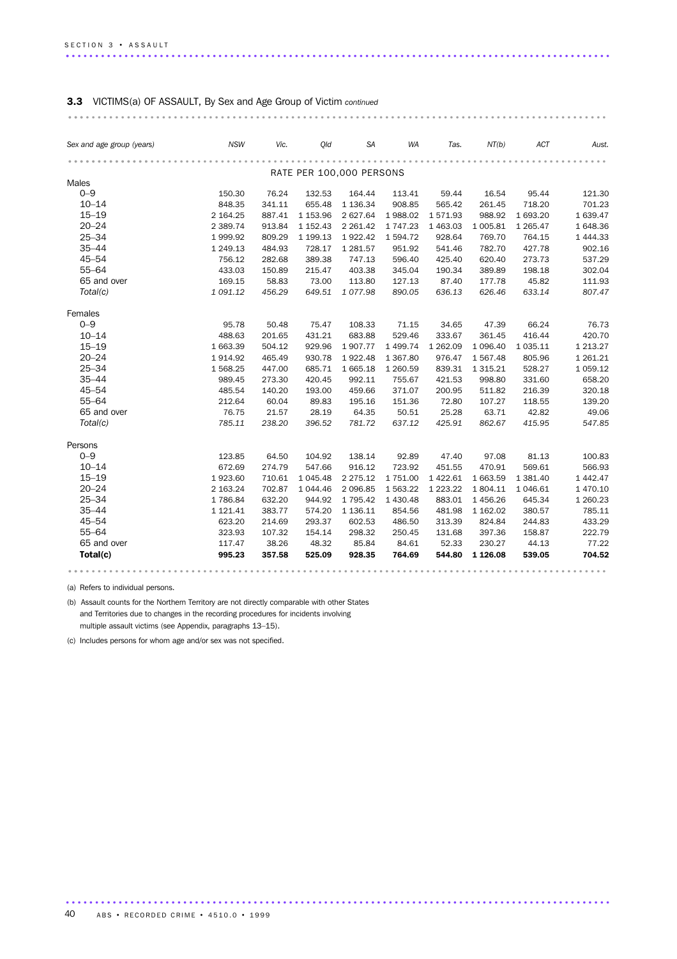| Sex and age group (years) | <b>NSW</b> | Vic.   | Qld                      | SA            | WA            | Tas.        | NT(b)         | ACT           | Aust.         |
|---------------------------|------------|--------|--------------------------|---------------|---------------|-------------|---------------|---------------|---------------|
|                           |            |        |                          |               |               |             |               |               |               |
| Males                     |            |        | RATE PER 100,000 PERSONS |               |               |             |               |               |               |
| $0 - 9$                   | 150.30     | 76.24  | 132.53                   | 164.44        | 113.41        | 59.44       | 16.54         | 95.44         | 121.30        |
| $10 - 14$                 | 848.35     | 341.11 | 655.48                   | 1 1 36.34     | 908.85        | 565.42      | 261.45        | 718.20        | 701.23        |
| $15 - 19$                 | 2 164.25   | 887.41 | 1 153.96                 | 2 627.64      | 1988.02       | 1571.93     | 988.92        | 1 693.20      | 1 639.47      |
| $20 - 24$                 | 2 3 8 9.74 | 913.84 | 1 1 5 2 . 4 3            | 2 2 6 1.4 2   | 1 747.23      | 1 463.03    | 1 005.81      | 1 265.47      | 1 648.36      |
| $25 - 34$                 | 1999.92    | 809.29 | 1 199.13                 | 1922.42       | 1594.72       | 928.64      | 769.70        | 764.15        | 1 4 4 4 . 3 3 |
| $35 - 44$                 | 1 249.13   | 484.93 | 728.17                   | 1 281.57      | 951.92        | 541.46      | 782.70        | 427.78        | 902.16        |
| $45 - 54$                 | 756.12     | 282.68 | 389.38                   | 747.13        | 596.40        | 425.40      | 620.40        | 273.73        | 537.29        |
| $55 - 64$                 | 433.03     | 150.89 | 215.47                   | 403.38        | 345.04        | 190.34      | 389.89        | 198.18        | 302.04        |
| 65 and over               | 169.15     | 58.83  | 73.00                    | 113.80        | 127.13        | 87.40       | 177.78        | 45.82         | 111.93        |
| Total(c)                  | 1 091.12   | 456.29 | 649.51                   | 1077.98       | 890.05        | 636.13      | 626.46        | 633.14        | 807.47        |
| Females                   |            |        |                          |               |               |             |               |               |               |
| $0 - 9$                   | 95.78      | 50.48  | 75.47                    | 108.33        | 71.15         | 34.65       | 47.39         | 66.24         | 76.73         |
| $10 - 14$                 | 488.63     | 201.65 | 431.21                   | 683.88        | 529.46        | 333.67      | 361.45        | 416.44        | 420.70        |
| $15 - 19$                 | 1 663.39   | 504.12 | 929.96                   | 1907.77       | 1 499.74      | 1 262.09    | 1 0 9 6.40    | 1 0 3 5 . 1 1 | 1 2 1 3 . 2 7 |
| $20 - 24$                 | 1914.92    | 465.49 | 930.78                   | 1922.48       | 1 367.80      | 976.47      | 1567.48       | 805.96        | 1 2 6 1 . 2 1 |
| $25 - 34$                 | 1 568.25   | 447.00 | 685.71                   | 1 665.18      | 1 260.59      | 839.31      | 1 3 1 5 . 2 1 | 528.27        | 1 0 5 9.12    |
| $35 - 44$                 | 989.45     | 273.30 | 420.45                   | 992.11        | 755.67        | 421.53      | 998.80        | 331.60        | 658.20        |
| $45 - 54$                 | 485.54     | 140.20 | 193.00                   | 459.66        | 371.07        | 200.95      | 511.82        | 216.39        | 320.18        |
| $55 - 64$                 | 212.64     | 60.04  | 89.83                    | 195.16        | 151.36        | 72.80       | 107.27        | 118.55        | 139.20        |
| 65 and over               | 76.75      | 21.57  | 28.19                    | 64.35         | 50.51         | 25.28       | 63.71         | 42.82         | 49.06         |
| Total(c)                  | 785.11     | 238.20 | 396.52                   | 781.72        | 637.12        | 425.91      | 862.67        | 415.95        | 547.85        |
| Persons                   |            |        |                          |               |               |             |               |               |               |
| $0 - 9$                   | 123.85     | 64.50  | 104.92                   | 138.14        | 92.89         | 47.40       | 97.08         | 81.13         | 100.83        |
| $10 - 14$                 | 672.69     | 274.79 | 547.66                   | 916.12        | 723.92        | 451.55      | 470.91        | 569.61        | 566.93        |
| $15 - 19$                 | 1923.60    | 710.61 | 1 045.48                 | 2 2 7 5 . 1 2 | 1 751.00      | 1 4 2 2.6 1 | 1 663.59      | 1 381.40      | 1 442.47      |
| $20 - 24$                 | 2 163.24   | 702.87 | 1 044.46                 | 2 096.85      | 1 5 6 3 . 2 2 | 1 223.22    | 1804.11       | 1046.61       | 1 470.10      |
| $25 - 34$                 | 1786.84    | 632.20 | 944.92                   | 1 795.42      | 1 430.48      | 883.01      | 1456.26       | 645.34        | 1 260.23      |
| $35 - 44$                 | 1 121.41   | 383.77 | 574.20                   | 1 136.11      | 854.56        | 481.98      | 1 162.02      | 380.57        | 785.11        |
| $45 - 54$                 | 623.20     | 214.69 | 293.37                   | 602.53        | 486.50        | 313.39      | 824.84        | 244.83        | 433.29        |
| $55 - 64$                 | 323.93     | 107.32 | 154.14                   | 298.32        | 250.45        | 131.68      | 397.36        | 158.87        | 222.79        |
| 65 and over               | 117.47     | 38.26  | 48.32                    | 85.84         | 84.61         | 52.33       | 230.27        | 44.13         | 77.22         |
| Total(c)                  | 995.23     | 357.58 | 525.09                   | 928.35        | 764.69        | 544.80      | 1 1 26 .08    | 539.05        | 704.52        |

(a) Refers to individual persons.

(b) Assault counts for the Northern Territory are not directly comparable with other States and Territories due to changes in the recording procedures for incidents involving multiple assault victims (see Appendix, paragraphs 13–15).

(c) Includes persons for whom age and/or sex was not specified.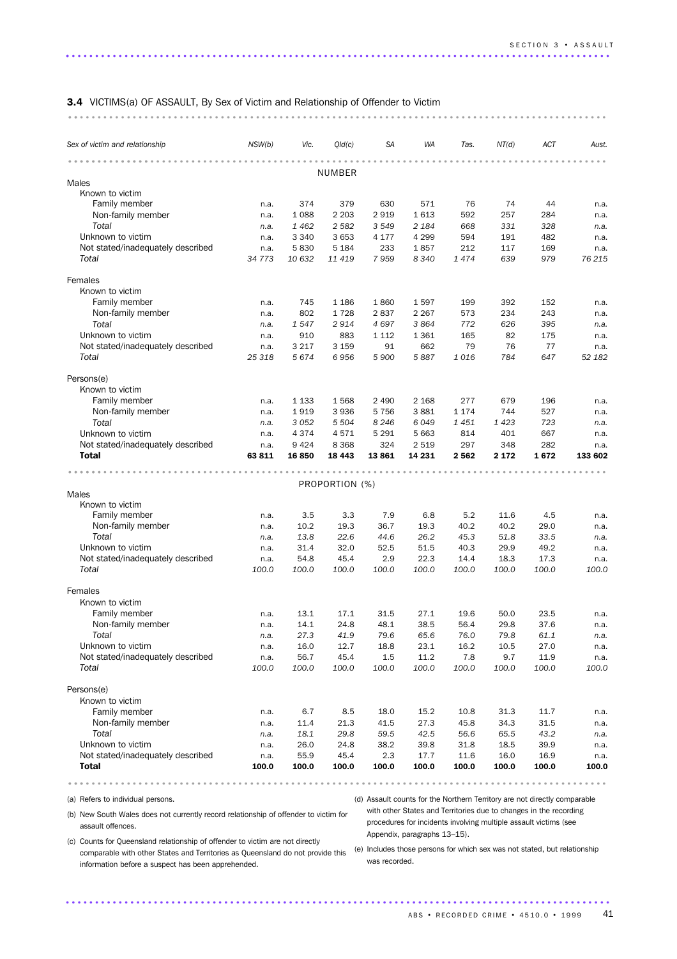| <b>3.4</b> VICTIMS(a) OF ASSAULT, By Sex of Victim and Relationship of Offender to Victim |  |  |  |  |  |  |  |  |  |  |  |  |  |  |  |  |  |  |  |  |  |  |  |  |  |  |  |  |  |  |  |  |  |  |  |  |  |  |  |  |  |
|-------------------------------------------------------------------------------------------|--|--|--|--|--|--|--|--|--|--|--|--|--|--|--|--|--|--|--|--|--|--|--|--|--|--|--|--|--|--|--|--|--|--|--|--|--|--|--|--|--|
|                                                                                           |  |  |  |  |  |  |  |  |  |  |  |  |  |  |  |  |  |  |  |  |  |  |  |  |  |  |  |  |  |  |  |  |  |  |  |  |  |  |  |  |  |

| Sex of victim and relationship    | NSW(b) | Vic.    | Qld(c)         | SA      | WA      | Tas.    | NT(d)   | ACT   | Aust.   |
|-----------------------------------|--------|---------|----------------|---------|---------|---------|---------|-------|---------|
|                                   |        |         | NUMBER         |         |         |         |         |       |         |
| Males                             |        |         |                |         |         |         |         |       |         |
| Known to victim                   |        |         |                |         |         |         |         |       |         |
| Family member                     | n.a.   | 374     | 379            | 630     | 571     | 76      | 74      | 44    | n.a.    |
| Non-family member                 | n.a.   | 1 0 8 8 | 2 2 0 3        | 2919    | 1613    | 592     | 257     | 284   | n.a.    |
| Total                             | n.a.   | 1462    | 2 5 8 2        | 3 5 4 9 | 2 1 8 4 | 668     | 331     | 328   | n.a.    |
| Unknown to victim                 | n.a.   | 3 3 4 0 | 3 6 5 3        | 4 1 7 7 | 4 2 9 9 | 594     | 191     | 482   | n.a.    |
| Not stated/inadequately described | n.a.   | 5830    | 5 1 8 4        | 233     | 1857    | 212     | 117     | 169   | n.a.    |
| Total                             | 34 773 | 10 632  | 11 419         | 7959    | 8 3 4 0 | 1474    | 639     | 979   | 76 215  |
| Females                           |        |         |                |         |         |         |         |       |         |
| Known to victim                   |        |         |                |         |         |         |         |       |         |
| Family member                     | n.a.   | 745     | 1 1 8 6        | 1860    | 1597    | 199     | 392     | 152   | n.a.    |
| Non-family member                 | n.a.   | 802     | 1728           | 2837    | 2 2 6 7 | 573     | 234     | 243   | n.a.    |
| Total                             | n.a.   | 1547    | 2914           | 4697    | 3864    | 772     | 626     | 395   | n.a.    |
| Unknown to victim                 | n.a.   | 910     | 883            | 1 1 1 2 | 1 3 6 1 | 165     | 82      | 175   | n.a.    |
| Not stated/inadequately described | n.a.   | 3 2 1 7 | 3 1 5 9        | 91      | 662     | 79      | 76      | 77    | n.a.    |
| Total                             | 25 318 | 5674    | 6956           | 5 900   | 5887    | 1016    | 784     | 647   | 52 182  |
| Persons(e)                        |        |         |                |         |         |         |         |       |         |
| Known to victim                   |        |         |                |         |         |         |         |       |         |
| Family member                     | n.a.   | 1 1 3 3 | 1568           | 2 4 9 0 | 2 1 6 8 | 277     | 679     | 196   | n.a.    |
| Non-family member                 | n.a.   | 1919    | 3936           | 5 7 5 6 | 3881    | 1 1 7 4 | 744     | 527   | n.a.    |
| Total                             | n.a.   | 3 0 5 2 | 5 5 0 4        | 8 2 4 6 | 6049    | 1451    | 1423    | 723   | n.a.    |
| Unknown to victim                 | n.a.   | 4 3 7 4 | 4571           | 5 2 9 1 | 5 6 63  | 814     | 401     | 667   | n.a.    |
| Not stated/inadequately described | n.a.   | 9424    | 8 3 6 8        | 324     | 2 5 1 9 | 297     | 348     | 282   | n.a.    |
| <b>Total</b>                      | 63 811 | 16850   | 18 4 43        | 13861   | 14 231  | 2562    | 2 1 7 2 | 1672  | 133 602 |
|                                   |        |         |                |         |         |         |         |       |         |
|                                   |        |         | PROPORTION (%) |         |         |         |         |       |         |
| Males                             |        |         |                |         |         |         |         |       |         |
| Known to victim                   |        |         |                |         |         |         |         |       |         |
| Family member                     | n.a.   | 3.5     | 3.3            | 7.9     | 6.8     | 5.2     | 11.6    | 4.5   | n.a.    |
| Non-family member                 | n.a.   | 10.2    | 19.3           | 36.7    | 19.3    | 40.2    | 40.2    | 29.0  | n.a.    |
| Total                             | n.a.   | 13.8    | 22.6           | 44.6    | 26.2    | 45.3    | 51.8    | 33.5  | n.a.    |
| Unknown to victim                 | n.a.   | 31.4    | 32.0           | 52.5    | 51.5    | 40.3    | 29.9    | 49.2  | n.a.    |
| Not stated/inadequately described | n.a.   | 54.8    | 45.4           | 2.9     | 22.3    | 14.4    | 18.3    | 17.3  | n.a.    |
| Total                             | 100.0  | 100.0   | 100.0          | 100.0   | 100.0   | 100.0   | 100.0   | 100.0 | 100.0   |
| Females                           |        |         |                |         |         |         |         |       |         |
| Known to victim                   |        |         |                |         |         |         |         |       |         |
| Family member                     | n.a.   | 13.1    | 17.1           | 31.5    | 27.1    | 19.6    | 50.0    | 23.5  | n.a.    |
| Non-family member                 | n.a.   | 14.1    | 24.8           | 48.1    | 38.5    | 56.4    | 29.8    | 37.6  | n.a.    |
| Total                             | n.a.   | 27.3    | 41.9           | 79.6    | 65.6    | 76.0    | 79.8    | 61.1  | n.a.    |
| Unknown to victim                 | n.a.   | 16.0    | 12.7           | 18.8    | 23.1    | 16.2    | 10.5    | 27.0  | n.a.    |
| Not stated/inadequately described | n.a.   | 56.7    | 45.4           | 1.5     | 11.2    | 7.8     | 9.7     | 11.9  | n.a.    |
| Total                             | 100.0  | 100.0   | 100.0          | 100.0   | 100.0   | 100.0   | 100.0   | 100.0 | 100.0   |
| Persons(e)                        |        |         |                |         |         |         |         |       |         |
| Known to victim                   |        |         |                |         |         |         |         |       |         |
| Family member                     | n.a.   | 6.7     | 8.5            | 18.0    | 15.2    | 10.8    | 31.3    | 11.7  | n.a.    |
| Non-family member                 | n.a.   | 11.4    | 21.3           | 41.5    | 27.3    | 45.8    | 34.3    | 31.5  | n.a.    |
| Total                             | n.a.   | 18.1    | 29.8           | 59.5    | 42.5    | 56.6    | 65.5    | 43.2  | n.a.    |
| Unknown to victim                 | n.a.   | 26.0    | 24.8           | 38.2    | 39.8    | 31.8    | 18.5    | 39.9  | n.a.    |
| Not stated/inadequately described | n.a.   | 55.9    | 45.4           | 2.3     | 17.7    | 11.6    | 16.0    | 16.9  | n.a.    |
| <b>Total</b>                      | 100.0  | 100.0   | 100.0          | 100.0   | 100.0   | 100.0   | 100.0   | 100.0 | 100.0   |
|                                   |        |         |                |         |         |         |         |       |         |

.............................................................................................

(a) Refers to individual persons.

(d) Assault counts for the Northern Territory are not directly comparable

(b) New South Wales does not currently record relationship of offender to victim for assault offences.

with other States and Territories due to changes in the recording procedures for incidents involving multiple assault victims (see Appendix, paragraphs 13–15).

(c) Counts for Queensland relationship of offender to victim are not directly comparable with other States and Territories as Queensland do not provide this (e) Includes those persons for which sex was not stated, but relationship information before a suspect has been apprehended.

was recorded.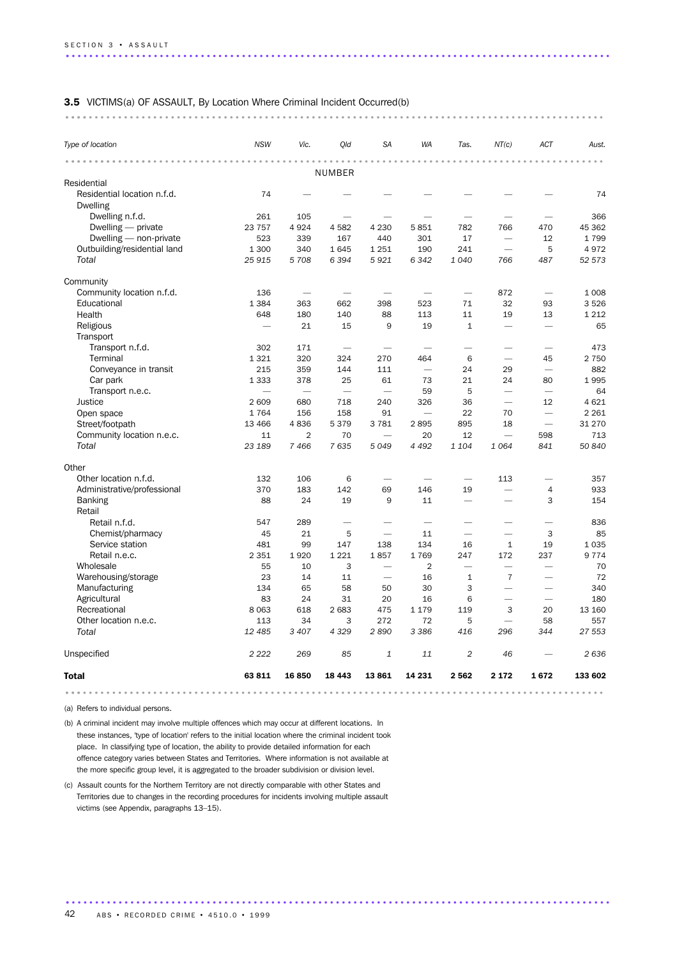#### 3.5 VICTIMS(a) OF ASSAULT, By Location Where Criminal Incident Occurred(b)

| Type of location             | <b>NSW</b> | Vic.           | Qld     | <b>SA</b>                | <b>WA</b>                | Tas.                     | NT(c)                    | ACT                      | Aust.   |
|------------------------------|------------|----------------|---------|--------------------------|--------------------------|--------------------------|--------------------------|--------------------------|---------|
|                              |            |                |         |                          |                          |                          |                          |                          |         |
| Residential                  |            |                | NUMBER  |                          |                          |                          |                          |                          |         |
| Residential location n.f.d.  | 74         |                |         |                          |                          |                          |                          |                          | 74      |
| <b>Dwelling</b>              |            |                |         |                          |                          |                          |                          |                          |         |
| Dwelling n.f.d.              | 261        | 105            |         |                          |                          |                          |                          |                          | 366     |
| Dwelling - private           | 23 7 5 7   | 4 9 2 4        | 4582    | 4 2 3 0                  | 5851                     | 782                      | 766                      | 470                      | 45 362  |
| Dwelling - non-private       | 523        | 339            | 167     | 440                      | 301                      | 17                       | $\overline{\phantom{0}}$ | 12                       | 1799    |
| Outbuilding/residential land | 1 300      | 340            | 1645    | 1 2 5 1                  | 190                      | 241                      | $\overline{\phantom{0}}$ | 5                        | 4972    |
| Total                        | 25 915     | 5 708          | 6394    | 5921                     | 6 3 4 2                  | 1 0 4 0                  | 766                      | 487                      | 52 573  |
| Community                    |            |                |         |                          |                          |                          |                          |                          |         |
| Community location n.f.d.    | 136        |                |         |                          |                          | $\overline{\phantom{0}}$ | 872                      | $\overline{\phantom{0}}$ | 1 0 0 8 |
| Educational                  | 1 3 8 4    | 363            | 662     | 398                      | 523                      | 71                       | 32                       | 93                       | 3526    |
| Health                       | 648        | 180            | 140     | 88                       | 113                      | 11                       | 19                       | 13                       | 1 2 1 2 |
| Religious                    |            | 21             | 15      | 9                        | 19                       | $\mathbf{1}$             | $\overline{\phantom{0}}$ |                          | 65      |
| Transport                    |            |                |         |                          |                          |                          |                          |                          |         |
| Transport n.f.d.             | 302        | 171            |         |                          |                          |                          |                          | $\overline{\phantom{0}}$ | 473     |
| Terminal                     | 1 3 2 1    | 320            | 324     | 270                      | 464                      | 6                        | $\overline{\phantom{a}}$ | 45                       | 2 7 5 0 |
| Conveyance in transit        | 215        | 359            | 144     | 111                      | $\overline{\phantom{0}}$ | 24                       | 29                       | $\overline{\phantom{0}}$ | 882     |
| Car park                     | 1 3 3 3    | 378            | 25      | 61                       | 73                       | 21                       | 24                       | 80                       | 1995    |
| Transport n.e.c.             |            |                |         |                          | 59                       | 5                        | $\overline{\phantom{a}}$ |                          | 64      |
| Justice                      | 2 609      | 680            | 718     | 240                      | 326                      | 36                       | $\overline{\phantom{0}}$ | 12                       | 4 6 21  |
| Open space                   | 1764       | 156            | 158     | 91                       | $\overline{\phantom{0}}$ | 22                       | 70                       | $\overline{\phantom{0}}$ | 2 2 6 1 |
| Street/footpath              | 13 4 66    | 4836           | 5379    | 3 7 8 1                  | 2895                     | 895                      | 18                       | $\overline{\phantom{0}}$ | 31 270  |
| Community location n.e.c.    | 11         | $\overline{2}$ | 70      | $\overline{\phantom{0}}$ | 20                       | 12                       | $\overline{\phantom{0}}$ | 598                      | 713     |
| Total                        | 23 189     | 7 4 6 6        | 7635    | 5049                     | 4 4 9 2                  | 1 104                    | 1064                     | 841                      | 50 840  |
| Other                        |            |                |         |                          |                          |                          |                          |                          |         |
| Other location n.f.d.        | 132        | 106            | 6       |                          |                          | $\overline{\phantom{0}}$ | 113                      |                          | 357     |
| Administrative/professional  | 370        | 183            | 142     | 69                       | 146                      | 19                       | $\overline{\phantom{0}}$ | $\overline{4}$           | 933     |
| <b>Banking</b>               | 88         | 24             | 19      | 9                        | 11                       | $\overline{\phantom{0}}$ | $\overline{\phantom{0}}$ | 3                        | 154     |
| Retail                       |            |                |         |                          |                          |                          |                          |                          |         |
| Retail n.f.d.                | 547        | 289            |         |                          |                          |                          |                          |                          | 836     |
| Chemist/pharmacy             | 45         | 21             | 5       |                          | 11                       | $\overline{\phantom{0}}$ | $\overline{\phantom{0}}$ | 3                        | 85      |
| Service station              | 481        | 99             | 147     | 138                      | 134                      | 16                       | $1\,$                    | 19                       | 1 0 3 5 |
| Retail n.e.c.                | 2 3 5 1    | 1920           | 1 2 2 1 | 1857                     | 1769                     | 247                      | 172                      | 237                      | 9 7 7 4 |
| Wholesale                    | 55         | 10             | 3       | $\overline{\phantom{0}}$ | $\overline{2}$           | $\overline{\phantom{0}}$ | $\overline{\phantom{0}}$ |                          | 70      |
| Warehousing/storage          | 23         | 14             | 11      |                          | 16                       | $\mathbf{1}$             | $\overline{7}$           |                          | 72      |
| Manufacturing                | 134        | 65             | 58      | 50                       | 30                       | 3                        | $\overline{\phantom{0}}$ | $\overline{\phantom{0}}$ | 340     |
| Agricultural                 | 83         | 24             | 31      | 20                       | 16                       | 6                        | $\overline{\phantom{0}}$ | $\overline{\phantom{0}}$ | 180     |
| Recreational                 | 8 0 6 3    | 618            | 2 6 8 3 | 475                      | 1 1 7 9                  | 119                      | 3                        | 20                       | 13 160  |
| Other location n.e.c.        | 113        | 34             | 3       | 272                      | 72                       | 5                        | $\overline{\phantom{0}}$ | 58                       | 557     |
| Total                        | 12 485     | 3 4 0 7        | 4 3 2 9 | 2890                     | 3 3 8 6                  | 416                      | 296                      | 344                      | 27 553  |
| Unspecified                  | 2 2 2 2    | 269            | 85      | $\mathbf{1}$             | 11                       | 2                        | 46                       |                          | 2636    |
| <b>Total</b>                 | 63 811     | 16850          | 18 4 43 | 13861                    | 14 231                   | 2562                     | 2 1 7 2                  | 1672                     | 133 602 |
|                              |            |                |         |                          |                          |                          |                          |                          |         |

............................................................................................. .

(a) Refers to individual persons.

(b) A criminal incident may involve multiple offences which may occur at different locations. In these instances, 'type of location' refers to the initial location where the criminal incident took place. In classifying type of location, the ability to provide detailed information for each offence category varies between States and Territories. Where information is not available at the more specific group level, it is aggregated to the broader subdivision or division level.

(c) Assault counts for the Northern Territory are not directly comparable with other States and Territories due to changes in the recording procedures for incidents involving multiple assault victims (see Appendix, paragraphs 13–15).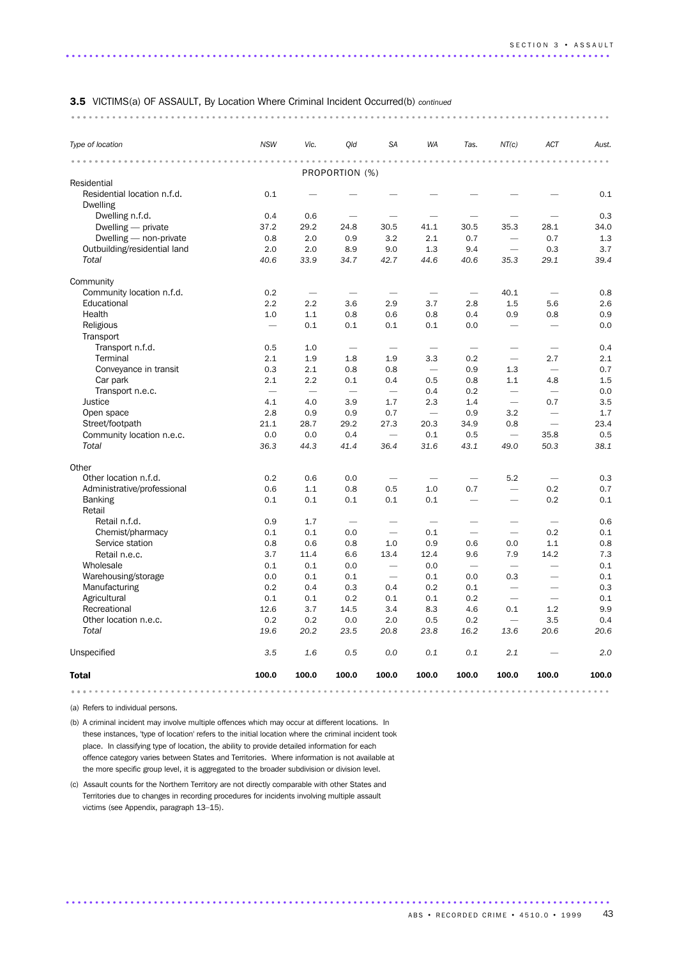|                                         | .                          |                                 |                                 |                          | .                                |                          |                          |                                      |                                            |
|-----------------------------------------|----------------------------|---------------------------------|---------------------------------|--------------------------|----------------------------------|--------------------------|--------------------------|--------------------------------------|--------------------------------------------|
| Type of location                        | <b>NSW</b>                 | Vic.                            | Qld                             | <b>SA</b>                | <b>WA</b>                        | Tas.                     | NT(c)                    | ACT                                  | Aust.                                      |
|                                         | $\alpha = \alpha - \alpha$ | $-0.00000$                      |                                 |                          | $\ddot{\phantom{a}}$             | $\sim$ $\sim$            |                          |                                      | $\begin{array}{ccc} 0 & 0 & 0 \end{array}$ |
| Residential                             |                            |                                 | PROPORTION (%)                  |                          |                                  |                          |                          |                                      |                                            |
| Residential location n.f.d.<br>Dwelling | 0.1                        |                                 |                                 |                          |                                  |                          |                          |                                      | 0.1                                        |
| Dwelling n.f.d.                         | 0.4                        | 0.6                             |                                 |                          |                                  |                          |                          |                                      | 0.3                                        |
| Dwelling - private                      | 37.2                       | 29.2                            | 24.8                            | 30.5                     | 41.1                             | 30.5                     | 35.3                     | 28.1                                 | 34.0                                       |
| Dwelling - non-private                  | 0.8                        | 2.0                             | 0.9                             | 3.2                      | 2.1                              | 0.7                      |                          | 0.7                                  | 1.3                                        |
| Outbuilding/residential land            | 2.0                        | 2.0                             | 8.9                             | 9.0                      | 1.3                              | 9.4                      | $\overline{\phantom{0}}$ | 0.3                                  | 3.7                                        |
| Total                                   | 40.6                       | 33.9                            | 34.7                            | 42.7                     | 44.6                             | 40.6                     | 35.3                     | 29.1                                 | 39.4                                       |
| Community                               |                            |                                 |                                 |                          |                                  |                          |                          |                                      |                                            |
| Community location n.f.d.               | 0.2                        | $\overbrace{\phantom{1232211}}$ |                                 |                          | $\overbrace{\phantom{12322111}}$ | $\overline{\phantom{0}}$ | 40.1                     |                                      | 0.8                                        |
| Educational                             | 2.2                        | 2.2                             | 3.6                             | 2.9                      | 3.7                              | 2.8                      | 1.5                      | 5.6                                  | 2.6                                        |
| Health                                  | 1.0                        | 1.1                             | 0.8                             | 0.6                      | 0.8                              | 0.4                      | 0.9                      | 0.8                                  | 0.9                                        |
| Religious                               | $\overline{\phantom{0}}$   | 0.1                             | 0.1                             | 0.1                      | 0.1                              | 0.0                      |                          | $\overline{\phantom{0}}$             | 0.0                                        |
| Transport                               |                            |                                 |                                 |                          |                                  |                          |                          |                                      |                                            |
| Transport n.f.d.                        | 0.5                        | 1.0                             | $\overbrace{\phantom{1232211}}$ | $\overline{\phantom{0}}$ | $\overbrace{\phantom{12333}}$    | $\overline{\phantom{0}}$ |                          |                                      | 0.4                                        |
| Terminal                                | 2.1                        | 1.9                             | 1.8                             | 1.9                      | 3.3                              | 0.2                      |                          | 2.7                                  | 2.1                                        |
| Conveyance in transit                   | 0.3                        | 2.1                             | 0.8                             | 0.8                      |                                  | 0.9                      | 1.3                      |                                      | 0.7                                        |
| Car park                                | 2.1                        | 2.2                             | 0.1                             | 0.4                      | 0.5                              | 0.8                      | 1.1                      | 4.8                                  | 1.5                                        |
| Transport n.e.c.                        | $\overline{\phantom{m}}$   | $\overline{\phantom{0}}$        |                                 |                          | 0.4                              | 0.2                      |                          |                                      | 0.0                                        |
| Justice                                 | 4.1                        | 4.0                             | 3.9                             | 1.7                      | 2.3                              | 1.4                      | $\overline{\phantom{0}}$ | 0.7                                  | 3.5                                        |
| Open space                              | 2.8                        | 0.9                             | 0.9                             | 0.7                      |                                  | 0.9                      | 3.2                      |                                      | 1.7                                        |
| Street/footpath                         | 21.1                       | 28.7                            | 29.2                            | 27.3                     | 20.3                             | 34.9                     | 0.8                      |                                      | 23.4                                       |
| Community location n.e.c.               | 0.0                        | 0.0                             | 0.4                             |                          | 0.1                              | 0.5                      |                          | 35.8                                 | 0.5                                        |
| Total                                   | 36.3                       | 44.3                            | 41.4                            | 36.4                     | 31.6                             | 43.1                     | 49.0                     | 50.3                                 | 38.1                                       |
| Other                                   |                            |                                 |                                 |                          |                                  |                          |                          |                                      |                                            |
| Other location n.f.d.                   | 0.2                        | 0.6                             | 0.0                             |                          |                                  |                          | 5.2                      |                                      | 0.3                                        |
| Administrative/professional             | 0.6                        | 1.1                             | 0.8                             | 0.5                      | 1.0                              | 0.7                      |                          | 0.2                                  | 0.7                                        |
| <b>Banking</b><br>Retail                | 0.1                        | 0.1                             | 0.1                             | 0.1                      | 0.1                              |                          | $\overline{\phantom{0}}$ | 0.2                                  | 0.1                                        |
| Retail n.f.d.                           | 0.9                        | 1.7                             |                                 | -                        |                                  |                          | $\overline{\phantom{0}}$ |                                      | 0.6                                        |
| Chemist/pharmacy                        | 0.1                        | 0.1                             | 0.0                             | $\overline{\phantom{0}}$ | $\overline{\phantom{m}}$<br>0.1  | $\overline{\phantom{0}}$ | $\overline{\phantom{0}}$ | $\overbrace{\phantom{12333}}$<br>0.2 | 0.1                                        |
| Service station                         | 0.8                        | 0.6                             | 0.8                             | 1.0                      | 0.9                              | 0.6                      | 0.0                      | 1.1                                  | 0.8                                        |
| Retail n.e.c.                           | 3.7                        | 11.4                            | 6.6                             | 13.4                     | 12.4                             | 9.6                      | 7.9                      | 14.2                                 | 7.3                                        |
| Wholesale                               | 0.1                        | 0.1                             | 0.0                             |                          | 0.0                              | $\overline{\phantom{m}}$ |                          |                                      | 0.1                                        |
| Warehousing/storage                     | 0.0                        | 0.1                             | 0.1                             |                          | 0.1                              | 0.0                      | 0.3                      |                                      | 0.1                                        |
| Manufacturing                           | 0.2                        | 0.4                             | 0.3                             | 0.4                      | 0.2                              | 0.1                      | $\overline{\phantom{0}}$ |                                      | 0.3                                        |
| Agricultural                            | 0.1                        | 0.1                             | 0.2                             | 0.1                      | 0.1                              | 0.2                      |                          | $\qquad \qquad$                      | 0.1                                        |
| Recreational                            | 12.6                       | 3.7                             | 14.5                            | 3.4                      | 8.3                              | 4.6                      | $0.1\,$                  | $1.2\,$                              | 9.9                                        |
| Other location n.e.c.                   | 0.2                        | 0.2                             | 0.0                             | 2.0                      | 0.5                              | 0.2                      | $\overline{\phantom{m}}$ | 3.5                                  | 0.4                                        |
| Total                                   | 19.6                       | 20.2                            | 23.5                            | 20.8                     | 23.8                             | 16.2                     | 13.6                     | 20.6                                 | 20.6                                       |
| Unspecified                             | 3.5                        | 1.6                             | 0.5                             | 0.0                      | 0.1                              | $0.1\,$                  | 2.1                      |                                      | 2.0                                        |
| <b>Total</b>                            | 100.0                      | 100.0                           | 100.0                           | 100.0                    | 100.0                            | 100.0                    | 100.0                    | 100.0                                | 100.0                                      |

.............................................................................................

(a) Refers to individual persons.

(b) A criminal incident may involve multiple offences which may occur at different locations. In these instances, 'type of location' refers to the initial location where the criminal incident took place. In classifying type of location, the ability to provide detailed information for each offence category varies between States and Territories. Where information is not available at the more specific group level, it is aggregated to the broader subdivision or division level.

(c) Assault counts for the Northern Territory are not directly comparable with other States and Territories due to changes in recording procedures for incidents involving multiple assault victims (see Appendix, paragraph 13–15).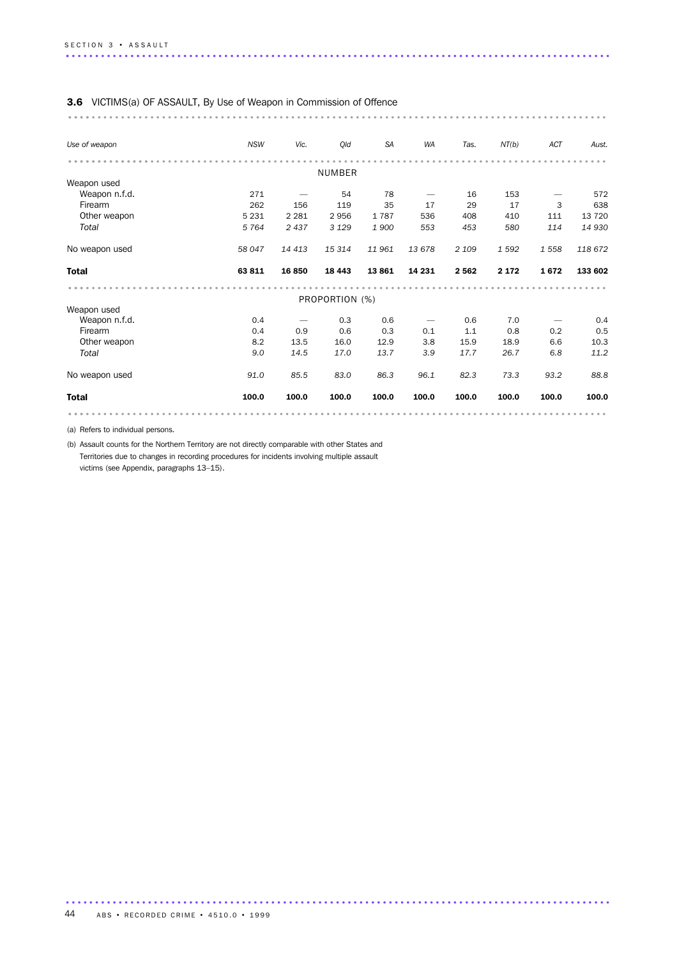| Use of weapon  | <b>NSW</b> | Vic.    | Old            | <b>SA</b> | WA     | Tas.    | NT(b)   | ACT     | Aust.   |
|----------------|------------|---------|----------------|-----------|--------|---------|---------|---------|---------|
|                |            |         |                |           |        |         |         |         |         |
|                |            |         | <b>NUMBER</b>  |           |        |         |         |         |         |
| Weapon used    |            |         |                |           |        |         |         |         |         |
| Weapon n.f.d.  | 271        |         | 54             | 78        |        | 16      | 153     |         | 572     |
| Firearm        | 262        | 156     | 119            | 35        | 17     | 29      | 17      | 3       | 638     |
| Other weapon   | 5 2 3 1    | 2 2 8 1 | 2956           | 1787      | 536    | 408     | 410     | 111     | 13 7 20 |
| Total          | 5 7 6 4    | 2437    | 3 1 2 9        | 1900      | 553    | 453     | 580     | 114     | 14 930  |
| No weapon used | 58 047     | 14 413  | 15 314         | 11961     | 13678  | 2 1 0 9 | 1592    | 1 5 5 8 | 118 672 |
| <b>Total</b>   | 63 811     | 16 850  | 18 4 43        | 13861     | 14 231 | 2 5 6 2 | 2 1 7 2 | 1672    | 133 602 |
|                |            |         |                |           |        |         |         |         |         |
|                |            |         | PROPORTION (%) |           |        |         |         |         |         |
| Weapon used    |            |         |                |           |        |         |         |         |         |
| Weapon n.f.d.  | 0.4        |         | 0.3            | 0.6       |        | 0.6     | 7.0     |         | 0.4     |
| Firearm        | 0.4        | 0.9     | 0.6            | 0.3       | 0.1    | 1.1     | 0.8     | 0.2     | 0.5     |
| Other weapon   | 8.2        | 13.5    | 16.0           | 12.9      | 3.8    | 15.9    | 18.9    | 6.6     | 10.3    |
| Total          | 9.0        | 14.5    | 17.0           | 13.7      | 3.9    | 17.7    | 26.7    | 6.8     | 11.2    |
| No weapon used | 91.0       | 85.5    | 83.0           | 86.3      | 96.1   | 82.3    | 73.3    | 93.2    | 88.8    |
| <b>Total</b>   | 100.0      | 100.0   | 100.0          | 100.0     | 100.0  | 100.0   | 100.0   | 100.0   | 100.0   |

.............................................................................................

(a) Refers to individual persons.

(b) Assault counts for the Northern Territory are not directly comparable with other States and Territories due to changes in recording procedures for incidents involving multiple assault victims (see Appendix, paragraphs 13–15).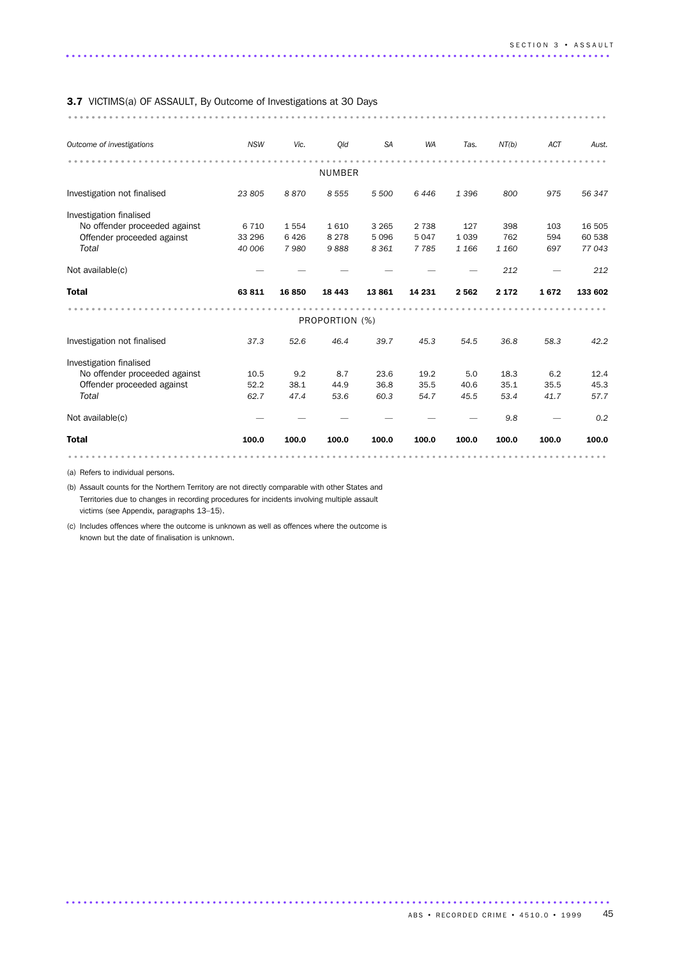#### 3.7 VICTIMS(a) OF ASSAULT, By Outcome of Investigations at 30 Days

............................................................................................ ........

| Outcome of investigations     | <b>NSW</b> | Vic.  | Old            | <b>SA</b> | <b>WA</b> | Tas.    | NT(b)   | ACT   | Aust.   |
|-------------------------------|------------|-------|----------------|-----------|-----------|---------|---------|-------|---------|
|                               |            |       | <b>NUMBER</b>  |           |           |         |         |       |         |
| Investigation not finalised   | 23 805     | 8870  | 8 5 5 5        | 5 500     | 6446      | 1396    | 800     | 975   | 56 347  |
| Investigation finalised       |            |       |                |           |           |         |         |       |         |
| No offender proceeded against | 6 7 1 0    | 1554  | 1610           | 3 2 6 5   | 2 7 3 8   | 127     | 398     | 103   | 16 505  |
| Offender proceeded against    | 33 296     | 6426  | 8 2 7 8        | 5096      | 5 0 4 7   | 1 0 3 9 | 762     | 594   | 60 538  |
| Total                         | 40 006     | 7980  | 9888           | 8 3 6 1   | 7785      | 1 1 6 6 | 1 160   | 697   | 77043   |
| Not available(c)              |            |       |                |           |           |         | 212     |       | 212     |
| <b>Total</b>                  | 63811      | 16850 | 18 4 43        | 13861     | 14 231    | 2 5 6 2 | 2 1 7 2 | 1672  | 133 602 |
|                               |            |       |                |           |           |         |         |       |         |
|                               |            |       | PROPORTION (%) |           |           |         |         |       |         |
| Investigation not finalised   | 37.3       | 52.6  | 46.4           | 39.7      | 45.3      | 54.5    | 36.8    | 58.3  | 42.2    |
| Investigation finalised       |            |       |                |           |           |         |         |       |         |
| No offender proceeded against | 10.5       | 9.2   | 8.7            | 23.6      | 19.2      | 5.0     | 18.3    | 6.2   | 12.4    |
| Offender proceeded against    | 52.2       | 38.1  | 44.9           | 36.8      | 35.5      | 40.6    | 35.1    | 35.5  | 45.3    |
| Total                         | 62.7       | 47.4  | 53.6           | 60.3      | 54.7      | 45.5    | 53.4    | 41.7  | 57.7    |
| Not available(c)              |            |       |                |           |           |         | 9.8     |       | 0.2     |
| <b>Total</b>                  | 100.0      | 100.0 | 100.0          | 100.0     | 100.0     | 100.0   | 100.0   | 100.0 | 100.0   |
|                               |            |       |                |           |           |         |         |       |         |

.............................................................................................

(a) Refers to individual persons.

(b) Assault counts for the Northern Territory are not directly comparable with other States and Territories due to changes in recording procedures for incidents involving multiple assault victims (see Appendix, paragraphs 13–15).

(c) Includes offences where the outcome is unknown as well as offences where the outcome is known but the date of finalisation is unknown.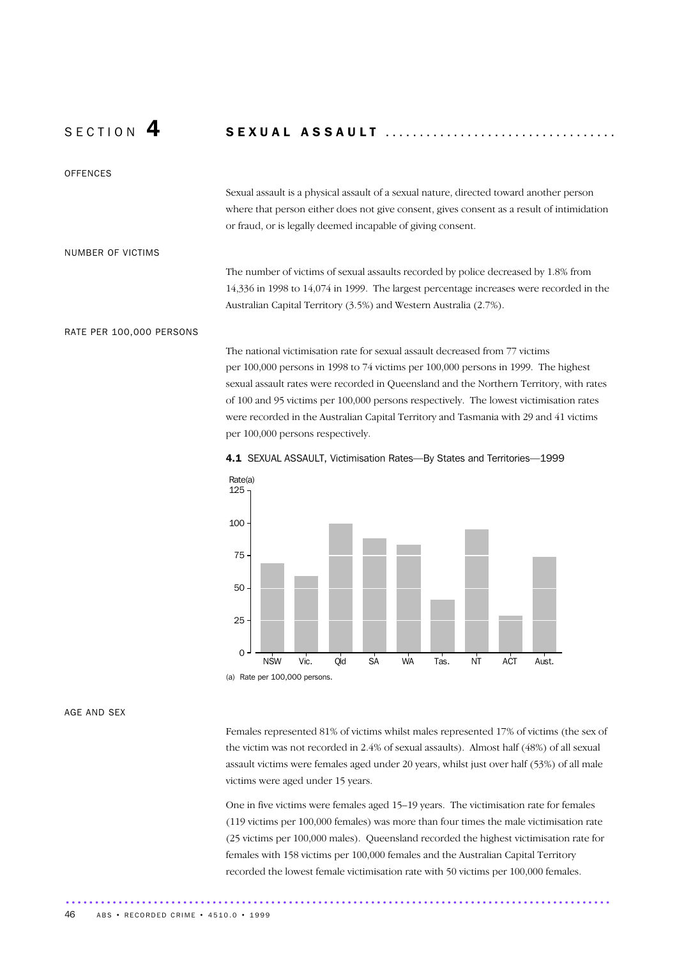# S E C T I O N 4 S E X U A L A S S A U L T ..................................

### **OFFENCES**

Sexual assault is a physical assault of a sexual nature, directed toward another person where that person either does not give consent, gives consent as a result of intimidation or fraud, or is legally deemed incapable of giving consent.

#### NUMBER OF VICTIMS

The number of victims of sexual assaults recorded by police decreased by 1.8% from 14,336 in 1998 to 14,074 in 1999. The largest percentage increases were recorded in the Australian Capital Territory (3.5%) and Western Australia (2.7%).

#### RATE PER 100,000 PERSONS

The national victimisation rate for sexual assault decreased from 77 victims per 100,000 persons in 1998 to 74 victims per 100,000 persons in 1999. The highest sexual assault rates were recorded in Queensland and the Northern Territory, with rates of 100 and 95 victims per 100,000 persons respectively. The lowest victimisation rates were recorded in the Australian Capital Territory and Tasmania with 29 and 41 victims per 100,000 persons respectively.





#### AGE AND SEX

Females represented 81% of victims whilst males represented 17% of victims (the sex of the victim was not recorded in 2.4% of sexual assaults). Almost half (48%) of all sexual assault victims were females aged under 20 years, whilst just over half (53%) of all male victims were aged under 15 years.

One in five victims were females aged 15–19 years. The victimisation rate for females (119 victims per 100,000 females) was more than four times the male victimisation rate (25 victims per 100,000 males). Queensland recorded the highest victimisation rate for females with 158 victims per 100,000 females and the Australian Capital Territory recorded the lowest female victimisation rate with 50 victims per 100,000 females.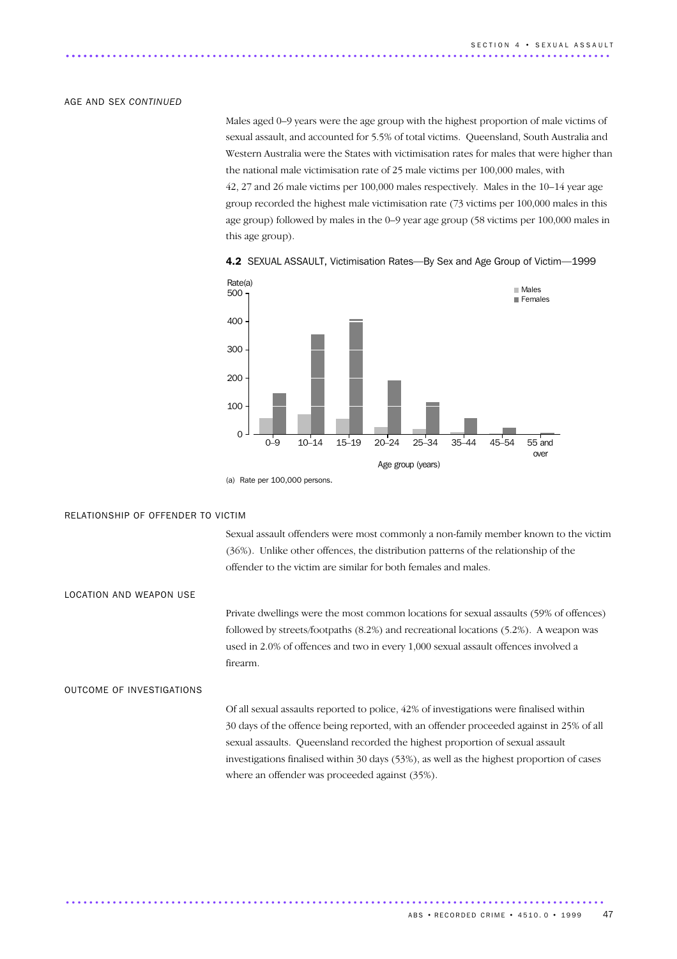#### AGE AND SEX *CONTINUED*

Males aged 0–9 years were the age group with the highest proportion of male victims of sexual assault, and accounted for 5.5% of total victims. Queensland, South Australia and Western Australia were the States with victimisation rates for males that were higher than the national male victimisation rate of 25 male victims per 100,000 males, with 42, 27 and 26 male victims per 100,000 males respectively. Males in the 10–14 year age group recorded the highest male victimisation rate (73 victims per 100,000 males in this age group) followed by males in the 0–9 year age group (58 victims per 100,000 males in this age group).



4.2 SEXUAL ASSAULT, Victimisation Rates-By Sex and Age Group of Victim-1999

(a) Rate per 100,000 persons.

#### RELATIONSHIP OF OFFENDER TO VICTIM

Sexual assault offenders were most commonly a non-family member known to the victim (36%). Unlike other offences, the distribution patterns of the relationship of the offender to the victim are similar for both females and males.

LOCATION AND WEAPON USE

Private dwellings were the most common locations for sexual assaults (59% of offences) followed by streets/footpaths (8.2%) and recreational locations (5.2%). A weapon was used in 2.0% of offences and two in every 1,000 sexual assault offences involved a firearm.

#### OUTCOME OF INVESTIGATIONS

Of all sexual assaults reported to police, 42% of investigations were finalised within 30 days of the offence being reported, with an offender proceeded against in 25% of all sexual assaults. Queensland recorded the highest proportion of sexual assault investigations finalised within 30 days (53%), as well as the highest proportion of cases where an offender was proceeded against (35%).

............................................................................................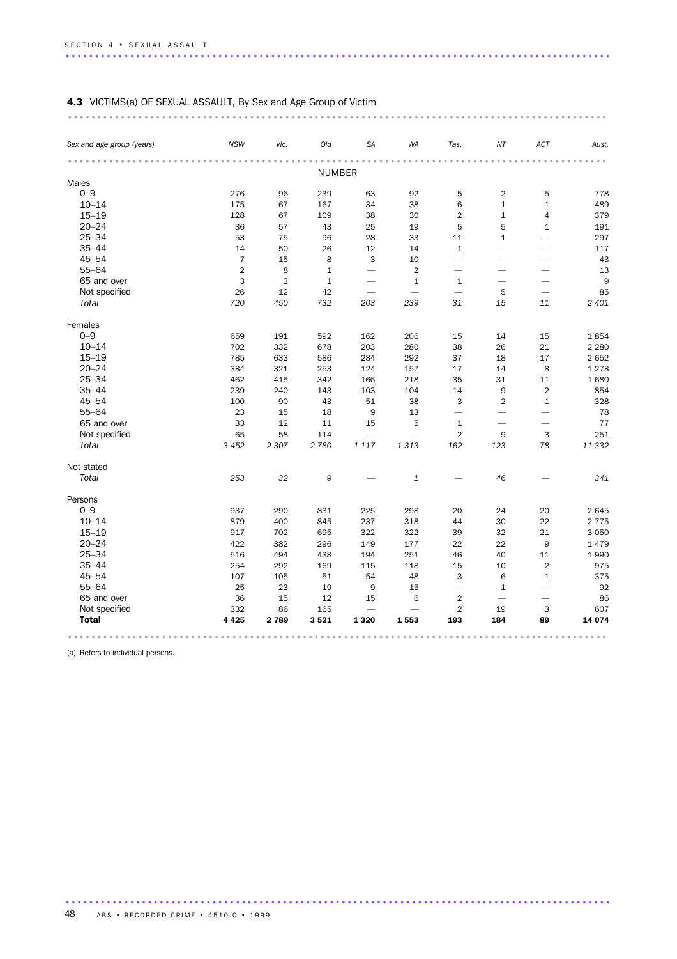# 4.3 VICTIMS(a) OF SEXUAL ASSAULT, By Sex and Age Group of Victim

| Sex and age group (years) | <b>NSW</b>     | Vic.    | Qld          | <b>SA</b>                | WA                       | Tas.                     | NT                       | ACT                      | Aust.   |
|---------------------------|----------------|---------|--------------|--------------------------|--------------------------|--------------------------|--------------------------|--------------------------|---------|
|                           |                |         | NUMBER       |                          |                          |                          |                          |                          |         |
| Males                     |                |         |              |                          |                          |                          |                          |                          |         |
| $0 - 9$                   | 276            | 96      | 239          | 63                       | 92                       | 5                        | $\overline{c}$           | 5                        | 778     |
| $10 - 14$                 | 175            | 67      | 167          | 34                       | 38                       | 6                        | $\mathbf{1}$             | $\mathbf 1$              | 489     |
| $15 - 19$                 | 128            | 67      | 109          | 38                       | 30                       | $\overline{2}$           | $\mathbf 1$              | $\overline{4}$           | 379     |
| $20 - 24$                 | 36             | 57      | 43           | 25                       | 19                       | 5                        | 5                        | $\mathbf{1}$             | 191     |
| $25 - 34$                 | 53             | 75      | 96           | 28                       | 33                       | 11                       | $1\,$                    | <u>.</u>                 | 297     |
| $35 - 44$                 | 14             | 50      | 26           | 12                       | 14                       | $\mathbf{1}$             |                          |                          | 117     |
| $45 - 54$                 | $\overline{7}$ | 15      | $\,8\,$      | 3                        | 10                       | $\overline{\phantom{0}}$ |                          |                          | 43      |
| $55 - 64$                 | $\overline{2}$ | 8       | $\mathbf 1$  | $\overline{\phantom{0}}$ | $\overline{2}$           | $\overline{\phantom{0}}$ | $\overline{\phantom{0}}$ |                          | 13      |
| 65 and over               | 3              | 3       | $\mathbf{1}$ | $\overline{\phantom{0}}$ | $\mathbf{1}$             | $\mathbf{1}$             | $\overline{\phantom{0}}$ | -                        | 9       |
| Not specified             | 26             | 12      | 42           | $\overline{\phantom{0}}$ | $\overline{\phantom{0}}$ | $\overline{\phantom{0}}$ | 5                        | $\overline{\phantom{0}}$ | 85      |
| Total                     | 720            | 450     | 732          | 203                      | 239                      | 31                       | 15                       | 11                       | 2 4 0 1 |
| Females                   |                |         |              |                          |                          |                          |                          |                          |         |
| $0 - 9$                   | 659            | 191     | 592          | 162                      | 206                      | 15                       | 14                       | 15                       | 1854    |
| $10 - 14$                 | 702            | 332     | 678          | 203                      | 280                      | 38                       | 26                       | 21                       | 2 2 8 0 |
| $15 - 19$                 | 785            | 633     | 586          | 284                      | 292                      | 37                       | 18                       | 17                       | 2 6 5 2 |
| $20 - 24$                 | 384            | 321     | 253          | 124                      | 157                      | 17                       | 14                       | 8                        | 1 2 7 8 |
| $25 - 34$                 | 462            | 415     | 342          | 166                      | 218                      | 35                       | 31                       | 11                       | 1680    |
| $35 - 44$                 | 239            | 240     | 143          | 103                      | 104                      | 14                       | 9                        | $\overline{2}$           | 854     |
| $45 - 54$                 | 100            | 90      | 43           | 51                       | 38                       | 3                        | $\overline{2}$           | $\mathbf{1}$             | 328     |
| $55 - 64$                 | 23             | 15      | 18           | $\boldsymbol{9}$         | 13                       | $\overline{\phantom{0}}$ | $\overline{\phantom{0}}$ | $\overline{\phantom{0}}$ | 78      |
| 65 and over               | 33             | 12      | 11           | 15                       | 5                        | $\mathbf 1$              |                          |                          | 77      |
| Not specified             | 65             | 58      | 114          | $\overline{\phantom{0}}$ | $\overline{\phantom{0}}$ | $\overline{2}$           | 9                        | 3                        | 251     |
| Total                     | 3 4 5 2        | 2 3 0 7 | 2 7 8 0      | 1 1 1 7                  | 1 3 1 3                  | 162                      | 123                      | 78                       | 11 332  |
| Not stated                |                |         |              |                          |                          |                          |                          |                          |         |
| Total                     | 253            | 32      | 9            |                          | $\mathbf 1$              |                          | 46                       |                          | 341     |
| Persons                   |                |         |              |                          |                          |                          |                          |                          |         |
| $0 - 9$                   | 937            | 290     | 831          | 225                      | 298                      | 20                       | 24                       | 20                       | 2 6 4 5 |
| $10 - 14$                 | 879            | 400     | 845          | 237                      | 318                      | 44                       | 30                       | 22                       | 2 7 7 5 |
| $15 - 19$                 | 917            | 702     | 695          | 322                      | 322                      | 39                       | 32                       | 21                       | 3 0 5 0 |
| $20 - 24$                 | 422            | 382     | 296          | 149                      | 177                      | 22                       | 22                       | 9                        | 1 4 7 9 |
| $25 - 34$                 | 516            | 494     | 438          | 194                      | 251                      | 46                       | 40                       | 11                       | 1990    |
| $35 - 44$                 | 254            | 292     | 169          | 115                      | 118                      | 15                       | 10                       | $\overline{2}$           | 975     |
| $45 - 54$                 | 107            | 105     | 51           | 54                       | 48                       | 3                        | 6                        | $\mathbf 1$              | 375     |
| $55 - 64$                 | 25             | 23      | 19           | 9                        | 15                       |                          | $\mathbf{1}$             |                          | 92      |
| 65 and over               | 36             | 15      | 12           | 15                       | 6                        | $\overline{2}$           |                          |                          | 86      |
| Not specified             | 332            | 86      | 165          |                          | $\overline{\phantom{0}}$ | $\overline{2}$           | 19                       | 3                        | 607     |
| <b>Total</b>              | 4 4 2 5        | 2 7 8 9 | 3521         | 1 3 2 0                  | 1553                     | 193                      | 184                      | 89                       | 14 074  |
|                           |                |         |              |                          |                          |                          |                          |                          |         |

.............................................................................................

(a) Refers to individual persons.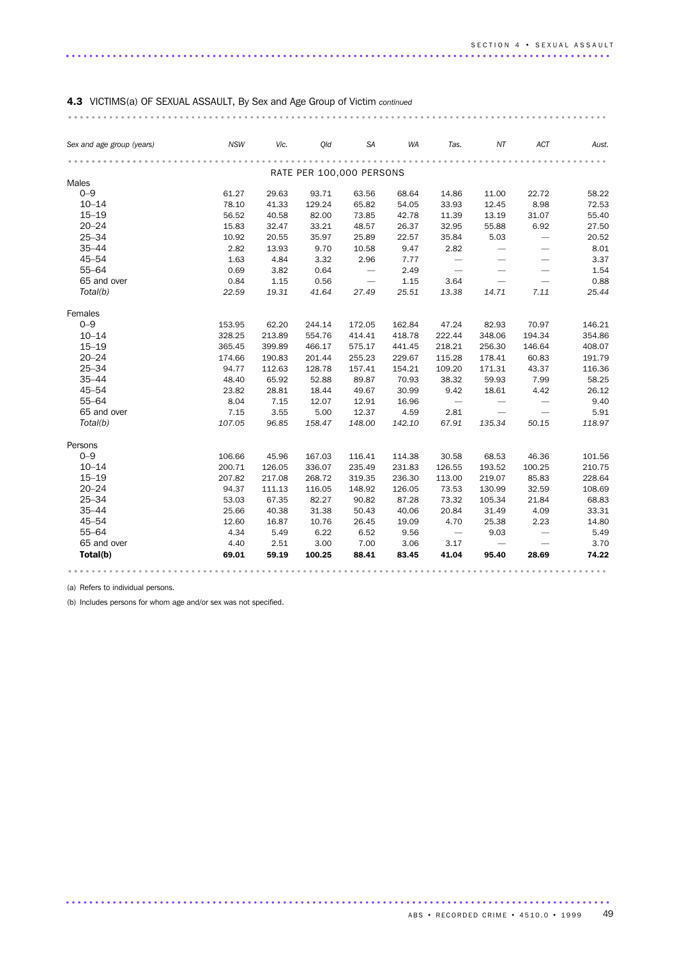# 4.3 VICTIMS(a) OF SEXUAL ASSAULT, By Sex and Age Group of Victim *continued*

| Sex and age group (years) | <b>NSW</b> | Vic.   | Old             | <b>SA</b>                | <b>WA</b> | Tas.                              | ΝT                              | ACT                             | Aust.  |
|---------------------------|------------|--------|-----------------|--------------------------|-----------|-----------------------------------|---------------------------------|---------------------------------|--------|
|                           | .          |        |                 |                          |           |                                   |                                 |                                 |        |
| Males                     |            |        |                 | RATE PER 100,000 PERSONS |           |                                   |                                 |                                 |        |
| $0 - 9$                   | 61.27      | 29.63  |                 |                          | 68.64     |                                   |                                 |                                 | 58.22  |
| $10 - 14$                 | 78.10      | 41.33  | 93.71<br>129.24 | 63.56<br>65.82           | 54.05     | 14.86<br>33.93                    | 11.00<br>12.45                  | 22.72<br>8.98                   | 72.53  |
| $15 - 19$                 | 56.52      | 40.58  | 82.00           | 73.85                    | 42.78     | 11.39                             | 13.19                           | 31.07                           | 55.40  |
| $20 - 24$                 | 15.83      | 32.47  | 33.21           | 48.57                    | 26.37     | 32.95                             | 55.88                           | 6.92                            | 27.50  |
| $25 - 34$                 | 10.92      | 20.55  | 35.97           | 25.89                    | 22.57     | 35.84                             | 5.03                            | $\overbrace{\qquad \qquad }$    | 20.52  |
| $35 - 44$                 | 2.82       | 13.93  | 9.70            | 10.58                    | 9.47      | 2.82                              | $\overbrace{\phantom{1232211}}$ |                                 | 8.01   |
| $45 - 54$                 | 1.63       | 4.84   | 3.32            | 2.96                     | 7.77      | $\overline{\phantom{0}}$          | $\overline{\phantom{0}}$        |                                 | 3.37   |
| $55 - 64$                 | 0.69       | 3.82   | 0.64            | $\overline{\phantom{a}}$ | 2.49      | $\overline{\phantom{0}}$          |                                 |                                 | 1.54   |
| 65 and over               | 0.84       | 1.15   | 0.56            | $\overline{\phantom{m}}$ | 1.15      | 3.64                              | $\overline{\phantom{0}}$        | $\overbrace{\phantom{1232211}}$ | 0.88   |
| Total(b)                  | 22.59      | 19.31  | 41.64           | 27.49                    | 25.51     | 13.38                             | 14.71                           | 7.11                            | 25.44  |
|                           |            |        |                 |                          |           |                                   |                                 |                                 |        |
| Females                   |            |        |                 |                          |           |                                   |                                 |                                 |        |
| $0 - 9$                   | 153.95     | 62.20  | 244.14          | 172.05                   | 162.84    | 47.24                             | 82.93                           | 70.97                           | 146.21 |
| $10 - 14$                 | 328.25     | 213.89 | 554.76          | 414.41                   | 418.78    | 222.44                            | 348.06                          | 194.34                          | 354.86 |
| $15 - 19$                 | 365.45     | 399.89 | 466.17          | 575.17                   | 441.45    | 218.21                            | 256.30                          | 146.64                          | 408.07 |
| $20 - 24$                 | 174.66     | 190.83 | 201.44          | 255.23                   | 229.67    | 115.28                            | 178.41                          | 60.83                           | 191.79 |
| $25 - 34$                 | 94.77      | 112.63 | 128.78          | 157.41                   | 154.21    | 109.20                            | 171.31                          | 43.37                           | 116.36 |
| $35 - 44$                 | 48.40      | 65.92  | 52.88           | 89.87                    | 70.93     | 38.32                             | 59.93                           | 7.99                            | 58.25  |
| $45 - 54$                 | 23.82      | 28.81  | 18.44           | 49.67                    | 30.99     | 9.42                              | 18.61                           | 4.42                            | 26.12  |
| $55 - 64$                 | 8.04       | 7.15   | 12.07           | 12.91                    | 16.96     | $\overline{\phantom{m}}$          |                                 | $\overline{\phantom{m}}$        | 9.40   |
| 65 and over               | 7.15       | 3.55   | 5.00            | 12.37                    | 4.59      | 2.81                              |                                 |                                 | 5.91   |
| Total(b)                  | 107.05     | 96.85  | 158.47          | 148.00                   | 142.10    | 67.91                             | 135.34                          | 50.15                           | 118.97 |
| Persons                   |            |        |                 |                          |           |                                   |                                 |                                 |        |
| $0 - 9$                   | 106.66     | 45.96  | 167.03          | 116.41                   | 114.38    | 30.58                             | 68.53                           | 46.36                           | 101.56 |
| $10 - 14$                 | 200.71     | 126.05 | 336.07          | 235.49                   | 231.83    | 126.55                            | 193.52                          | 100.25                          | 210.75 |
| $15 - 19$                 | 207.82     | 217.08 | 268.72          | 319.35                   | 236.30    | 113.00                            | 219.07                          | 85.83                           | 228.64 |
| $20 - 24$                 | 94.37      | 111.13 | 116.05          | 148.92                   | 126.05    | 73.53                             | 130.99                          | 32.59                           | 108.69 |
| $25 - 34$                 | 53.03      | 67.35  | 82.27           | 90.82                    | 87.28     | 73.32                             | 105.34                          | 21.84                           | 68.83  |
| $35 - 44$                 | 25.66      | 40.38  | 31.38           | 50.43                    | 40.06     | 20.84                             | 31.49                           | 4.09                            | 33.31  |
| $45 - 54$                 | 12.60      | 16.87  | 10.76           | 26.45                    | 19.09     | 4.70                              | 25.38                           | 2.23                            | 14.80  |
| $55 - 64$                 | 4.34       | 5.49   | 6.22            | 6.52                     | 9.56      | $\hspace{0.1cm}$ $\hspace{0.1cm}$ | 9.03                            | $\overline{\phantom{m}}$        | 5.49   |
| 65 and over               | 4.40       | 2.51   | 3.00            | 7.00                     | 3.06      | 3.17                              |                                 |                                 | 3.70   |
| Total(b)                  | 69.01      | 59.19  | 100.25          | 88.41                    | 83.45     | 41.04                             | 95.40                           | 28.69                           | 74.22  |

.............................................................................................

(a) Refers to individual persons.

(b) Includes persons for whom age and/or sex was not specified.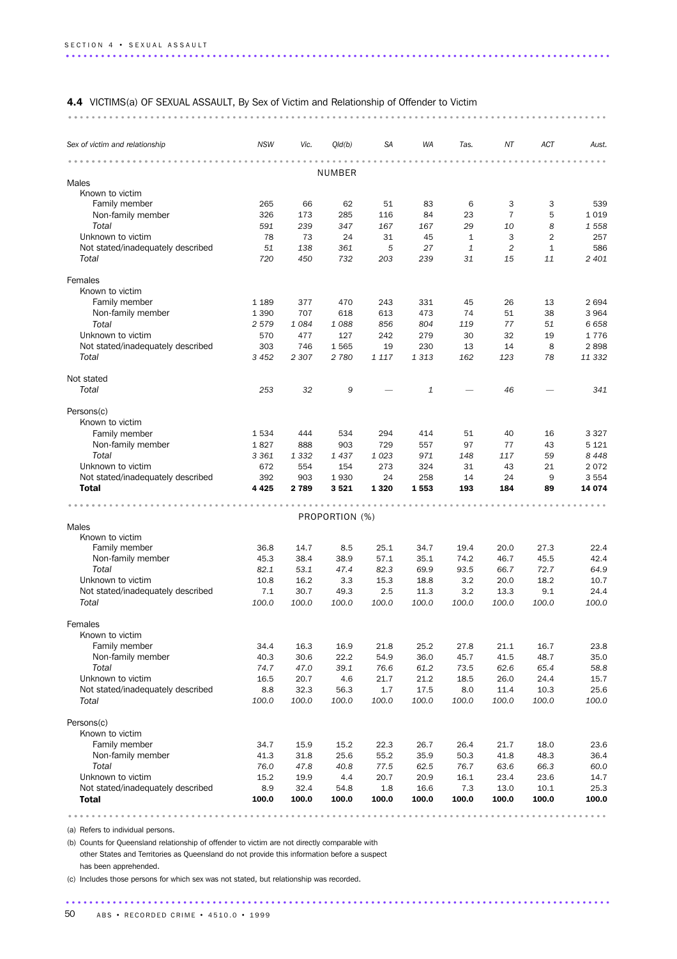#### 4.4 VICTIMS(a) OF SEXUAL ASSAULT, By Sex of Victim and Relationship of Offender to Victim

............................................................................................ ..

| Sex of victim and relationship    | <b>NSW</b> | Vic.    | Qld(b)         | SA      | WA      | Tas.         | ΝT             | ACT            | Aust.   |
|-----------------------------------|------------|---------|----------------|---------|---------|--------------|----------------|----------------|---------|
|                                   |            |         |                |         |         |              |                |                |         |
| Males                             |            |         | NUMBER         |         |         |              |                |                |         |
| Known to victim                   |            |         |                |         |         |              |                |                |         |
| Family member                     | 265        | 66      | 62             | 51      | 83      | 6            | 3              | 3              | 539     |
| Non-family member                 | 326        | 173     | 285            | 116     | 84      | 23           | $\overline{7}$ | 5              | 1019    |
| Total                             | 591        | 239     | 347            | 167     | 167     | 29           | 10             | 8              | 1558    |
| Unknown to victim                 | 78         | 73      | 24             | 31      | 45      | $\mathbf{1}$ | 3              | $\overline{2}$ | 257     |
| Not stated/inadequately described | 51         | 138     | 361            | 5       | 27      | 1            | $\overline{2}$ | $\mathbf{1}$   | 586     |
| Total                             | 720        | 450     | 732            | 203     | 239     | 31           | 15             | 11             | 2 4 0 1 |
| Females                           |            |         |                |         |         |              |                |                |         |
| Known to victim                   |            |         |                |         |         |              |                |                |         |
| Family member                     | 1 1 8 9    | 377     | 470            | 243     | 331     | 45           | 26             | 13             | 2694    |
| Non-family member                 | 1 3 9 0    | 707     | 618            | 613     | 473     | 74           | 51             | 38             | 3964    |
| Total                             | 2 5 7 9    | 1084    | 1088           | 856     | 804     | 119          | 77             | 51             | 6658    |
| Unknown to victim                 | 570        | 477     | 127            | 242     | 279     | 30           | 32             | 19             | 1776    |
| Not stated/inadequately described | 303        | 746     | 1565           | 19      | 230     | 13           | 14             | 8              | 2898    |
| Total                             | 3 4 5 2    | 2 3 0 7 | 2 7 8 0        | 1 1 1 7 | 1 3 1 3 | 162          | 123            | 78             | 11 332  |
| Not stated                        |            |         |                |         |         |              |                |                |         |
| Total                             | 253        | 32      | 9              |         | 1       |              | 46             |                | 341     |
| Persons(c)                        |            |         |                |         |         |              |                |                |         |
| Known to victim                   |            |         |                |         |         |              |                |                |         |
| Family member                     | 1 5 3 4    | 444     | 534            | 294     | 414     | 51           | 40             | 16             | 3 3 2 7 |
| Non-family member                 | 1827       | 888     | 903            | 729     | 557     | 97           | 77             | 43             | 5 1 2 1 |
| Total                             | 3 3 6 1    | 1 3 3 2 | 1437           | 1023    | 971     | 148          | 117            | 59             | 8 4 4 8 |
| Unknown to victim                 | 672        | 554     | 154            | 273     | 324     | 31           | 43             | 21             | 2072    |
| Not stated/inadequately described | 392        | 903     | 1930           | 24      | 258     | 14           | 24             | 9              | 3 5 5 4 |
| <b>Total</b>                      | 4 4 2 5    | 2789    | 3521           | 1 3 2 0 | 1553    | 193          | 184            | 89             | 14 074  |
|                                   |            |         |                |         |         |              |                |                |         |
| Males                             |            |         | PROPORTION (%) |         |         |              |                |                |         |
| Known to victim                   |            |         |                |         |         |              |                |                |         |
| Family member                     | 36.8       | 14.7    | 8.5            | 25.1    | 34.7    | 19.4         | 20.0           | 27.3           | 22.4    |
| Non-family member                 | 45.3       | 38.4    | 38.9           | 57.1    | 35.1    | 74.2         | 46.7           | 45.5           | 42.4    |
| Total                             | 82.1       | 53.1    | 47.4           | 82.3    | 69.9    | 93.5         | 66.7           | 72.7           | 64.9    |
| Unknown to victim                 | 10.8       | 16.2    | 3.3            | 15.3    | 18.8    | 3.2          | 20.0           | 18.2           | 10.7    |
| Not stated/inadequately described | 7.1        | 30.7    | 49.3           | 2.5     | 11.3    | 3.2          | 13.3           | 9.1            | 24.4    |
| Total                             | 100.0      | 100.0   | 100.0          | 100.0   | 100.0   | 100.0        | 100.0          | 100.0          | 100.0   |
| Females                           |            |         |                |         |         |              |                |                |         |
| Known to victim                   |            |         |                |         |         |              |                |                |         |
| Family member                     | 34.4       | 16.3    | 16.9           | 21.8    | 25.2    | 27.8         | 21.1           | 16.7           | 23.8    |
| Non-family member                 | 40.3       | 30.6    | 22.2           | 54.9    | 36.0    | 45.7         | 41.5           | 48.7           | 35.0    |
| Total                             | 74.7       | 47.0    | 39.1           | 76.6    | 61.2    | 73.5         | 62.6           | 65.4           | 58.8    |
| Unknown to victim                 | 16.5       | 20.7    | 4.6            | 21.7    | 21.2    | 18.5         | 26.0           | 24.4           | 15.7    |
| Not stated/inadequately described | 8.8        | 32.3    | 56.3           | 1.7     | 17.5    | 8.0          | 11.4           | 10.3           | 25.6    |
| Total                             | 100.0      | 100.0   | 100.0          | 100.0   | 100.0   | 100.0        | 100.0          | 100.0          | 100.0   |
| Persons(c)                        |            |         |                |         |         |              |                |                |         |
| Known to victim                   |            |         |                |         |         |              |                |                |         |
| Family member                     | 34.7       | 15.9    | 15.2           | 22.3    | 26.7    | 26.4         | 21.7           | 18.0           | 23.6    |
| Non-family member                 | 41.3       | 31.8    | 25.6           | 55.2    | 35.9    | 50.3         | 41.8           | 48.3           | 36.4    |
| Total                             | 76.0       | 47.8    | 40.8           | 77.5    | 62.5    | 76.7         | 63.6           | 66.3           | 60.0    |
| Unknown to victim                 | 15.2       | 19.9    | 4.4            | 20.7    | 20.9    | 16.1         | 23.4           | 23.6           | 14.7    |
| Not stated/inadequately described | 8.9        | 32.4    | 54.8           | 1.8     | 16.6    | 7.3          | 13.0           | 10.1           | 25.3    |
| <b>Total</b>                      | 100.0      | 100.0   | 100.0          | 100.0   | 100.0   | 100.0        | 100.0          | 100.0          | 100.0   |
|                                   |            |         |                |         |         |              |                |                |         |

.............................................................................................

(a) Refers to individual persons.

(b) Counts for Queensland relationship of offender to victim are not directly comparable with other States and Territories as Queensland do not provide this information before a suspect has been apprehended.

(c) Includes those persons for which sex was not stated, but relationship was recorded.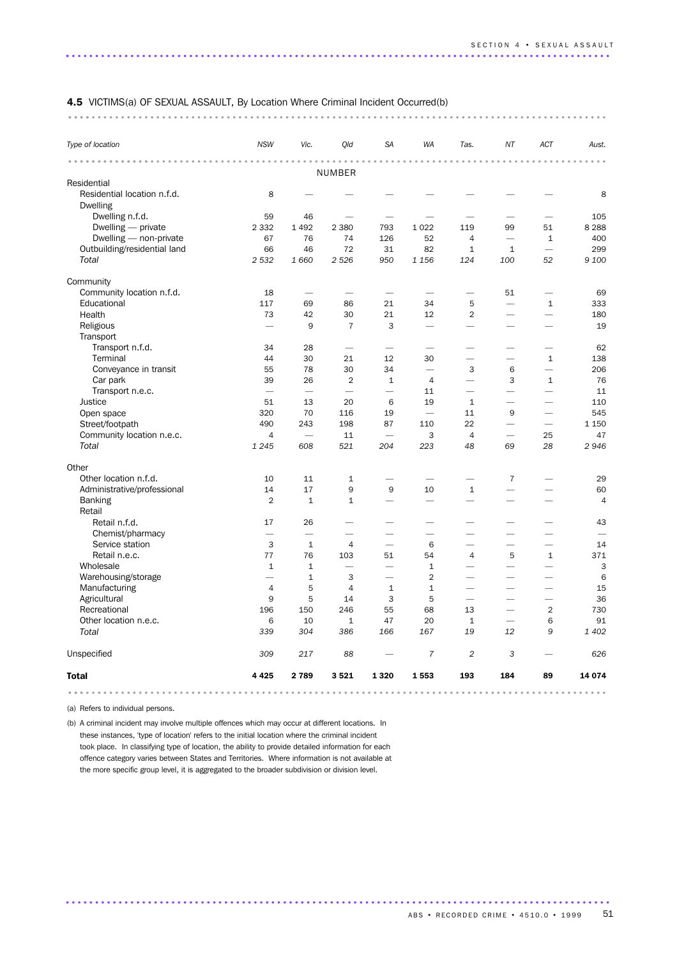# 4.5 VICTIMS(a) OF SEXUAL ASSAULT, By Location Where Criminal Incident Occurred(b) ............................................................................................ ....

| Type of location             | <b>NSW</b>               | Vic.                     | Qld                      | <b>SA</b>                | WA                       | Tas.                     | NT                       | ACT                      | Aust.   |
|------------------------------|--------------------------|--------------------------|--------------------------|--------------------------|--------------------------|--------------------------|--------------------------|--------------------------|---------|
|                              |                          |                          |                          |                          |                          |                          |                          |                          |         |
|                              |                          |                          | NUMBER                   |                          |                          |                          |                          |                          |         |
| Residential                  |                          |                          |                          |                          |                          |                          |                          |                          |         |
| Residential location n.f.d.  | 8                        |                          |                          |                          |                          |                          |                          |                          | 8       |
| <b>Dwelling</b>              |                          |                          |                          |                          |                          |                          |                          |                          |         |
| Dwelling n.f.d.              | 59                       | 46                       |                          |                          |                          |                          |                          |                          | 105     |
| Dwelling — private           | 2 3 3 2                  | 1 4 9 2                  | 2 3 8 0                  | 793                      | 1 0 2 2                  | 119                      | 99                       | 51                       | 8 2 8 8 |
| Dwelling - non-private       | 67                       | 76                       | 74                       | 126                      | 52                       | $\overline{4}$           | $\overline{\phantom{0}}$ | $\mathbf{1}$             | 400     |
| Outbuilding/residential land | 66                       | 46                       | 72                       | 31                       | 82                       | $\mathbf{1}$             | $1\,$                    | $\overline{\phantom{0}}$ | 299     |
| Total                        | 2 5 3 2                  | 1 6 6 0                  | 2 5 2 6                  | 950                      | 1 1 5 6                  | 124                      | 100                      | 52                       | 9 100   |
| Community                    |                          |                          |                          |                          |                          |                          |                          |                          |         |
| Community location n.f.d.    | 18                       | $\overline{\phantom{a}}$ |                          | $\overline{\phantom{0}}$ | ÷.                       | $\overline{\phantom{0}}$ | 51                       |                          | 69      |
| Educational                  | 117                      | 69                       | 86                       | 21                       | 34                       | 5                        |                          | $\mathbf{1}$             | 333     |
| Health                       | 73                       | 42                       | 30                       | 21                       | 12                       | $\overline{2}$           | $\overline{\phantom{0}}$ | $\overline{\phantom{0}}$ | 180     |
| Religious                    |                          | 9                        | $\overline{7}$           | 3                        |                          | $\overline{\phantom{0}}$ |                          |                          | 19      |
| Transport                    |                          |                          |                          |                          |                          |                          |                          |                          |         |
| Transport n.f.d.             | 34                       | 28                       |                          |                          |                          |                          | $\overline{\phantom{0}}$ |                          | 62      |
| Terminal                     | 44                       | 30                       | 21                       | 12                       | 30                       | $\overline{\phantom{0}}$ | $\overline{\phantom{0}}$ | $\mathbf{1}$             | 138     |
| Conveyance in transit        | 55                       | 78                       | 30                       | 34                       | $\overline{\phantom{0}}$ | 3                        | 6                        | $\overline{\phantom{0}}$ | 206     |
| Car park                     | 39                       | 26                       | $\overline{2}$           | $\mathbf{1}$             | $\overline{4}$           | $\overline{\phantom{0}}$ | 3                        | $\mathbf{1}$             | 76      |
| Transport n.e.c.             |                          | $\overline{\phantom{0}}$ | $\overline{\phantom{0}}$ | $\overline{\phantom{0}}$ | 11                       | $\overline{\phantom{0}}$ | $\overline{\phantom{0}}$ | $\overline{\phantom{0}}$ | 11      |
| Justice                      | 51                       | 13                       | 20                       | 6                        | 19                       | $\mathbf{1}$             |                          |                          | 110     |
| Open space                   | 320                      | 70                       | 116                      | 19                       | $\overline{\phantom{0}}$ | 11                       | 9                        | $\overline{\phantom{0}}$ | 545     |
| Street/footpath              | 490                      | 243                      | 198                      | 87                       | 110                      | 22                       | $\overline{\phantom{0}}$ | $\overline{\phantom{0}}$ | 1 1 5 0 |
| Community location n.e.c.    | $\overline{4}$           | $\overline{\phantom{0}}$ | 11                       | $\overline{\phantom{0}}$ | 3                        | $\overline{4}$           | $\overline{\phantom{0}}$ | 25                       | 47      |
| Total                        | 1 2 4 5                  | 608                      | 521                      | 204                      | 223                      | 48                       | 69                       | 28                       | 2946    |
| Other                        |                          |                          |                          |                          |                          |                          |                          |                          |         |
| Other location n.f.d.        | 10                       | 11                       | $\mathbf{1}$             |                          | ÷.                       | $\overline{\phantom{0}}$ | $\overline{7}$           | ÷.                       | 29      |
| Administrative/professional  | 14                       | 17                       | 9                        | 9                        | 10                       | $\mathbf{1}$             | $\overline{\phantom{0}}$ |                          | 60      |
| <b>Banking</b>               | $\overline{2}$           | $\mathbf{1}$             | $\mathbf 1$              |                          |                          |                          | $\overline{\phantom{0}}$ |                          | 4       |
| Retail                       |                          |                          |                          |                          |                          |                          |                          |                          |         |
| Retail n.f.d.                | 17                       | 26                       | -                        |                          |                          |                          |                          |                          | 43      |
| Chemist/pharmacy             |                          |                          |                          |                          |                          |                          |                          |                          |         |
| Service station              | 3                        | $1\,$                    | $\overline{4}$           | $\overline{\phantom{0}}$ | 6                        |                          | $\overline{\phantom{0}}$ | $\overline{\phantom{0}}$ | 14      |
| Retail n.e.c.                | 77                       | 76                       | 103                      | 51                       | 54                       | 4                        | 5                        | $\mathbf{1}$             | 371     |
| Wholesale                    | $\mathbf{1}$             | $\mathbf{1}$             | ÷                        | $\overline{\phantom{0}}$ | $\mathbf{1}$             | $\overline{\phantom{0}}$ | $\overline{\phantom{0}}$ |                          | 3       |
| Warehousing/storage          | $\overline{\phantom{0}}$ | $\mathbf{1}$             | 3                        | $\overline{\phantom{0}}$ | $\overline{2}$           | $\overline{\phantom{0}}$ | $\overline{\phantom{0}}$ | -                        | 6       |
| Manufacturing                | 4                        | 5                        | $\overline{4}$           | $\mathbf{1}$             | $\mathbf 1$              |                          | $\overline{\phantom{0}}$ |                          | 15      |
| Agricultural                 | 9                        | 5                        | 14                       | 3                        | 5                        | $\overline{\phantom{0}}$ |                          |                          | 36      |
| Recreational                 | 196                      | 150                      | 246                      | 55                       | 68                       | 13                       | ÷.                       | $\overline{2}$           | 730     |
| Other location n.e.c.        | 6                        | 10                       | $\mathbf{1}$             | 47                       | 20                       | $\mathbf{1}$             |                          | 6                        | 91      |
| Total                        | 339                      | 304                      | 386                      | 166                      | 167                      | 19                       | 12                       | 9                        | 1 402   |
| Unspecified                  | 309                      | 217                      | 88                       |                          | $\overline{7}$           | $\overline{c}$           | 3                        |                          | 626     |
| <b>Total</b>                 | 4 4 2 5                  | 2789                     | 3521                     | 1 3 2 0                  | 1553                     | 193                      | 184                      | 89                       | 14 074  |

.............................................................................................

(a) Refers to individual persons.

(b) A criminal incident may involve multiple offences which may occur at different locations. In these instances, 'type of location' refers to the initial location where the criminal incident took place. In classifying type of location, the ability to provide detailed information for each offence category varies between States and Territories. Where information is not available at the more specific group level, it is aggregated to the broader subdivision or division level.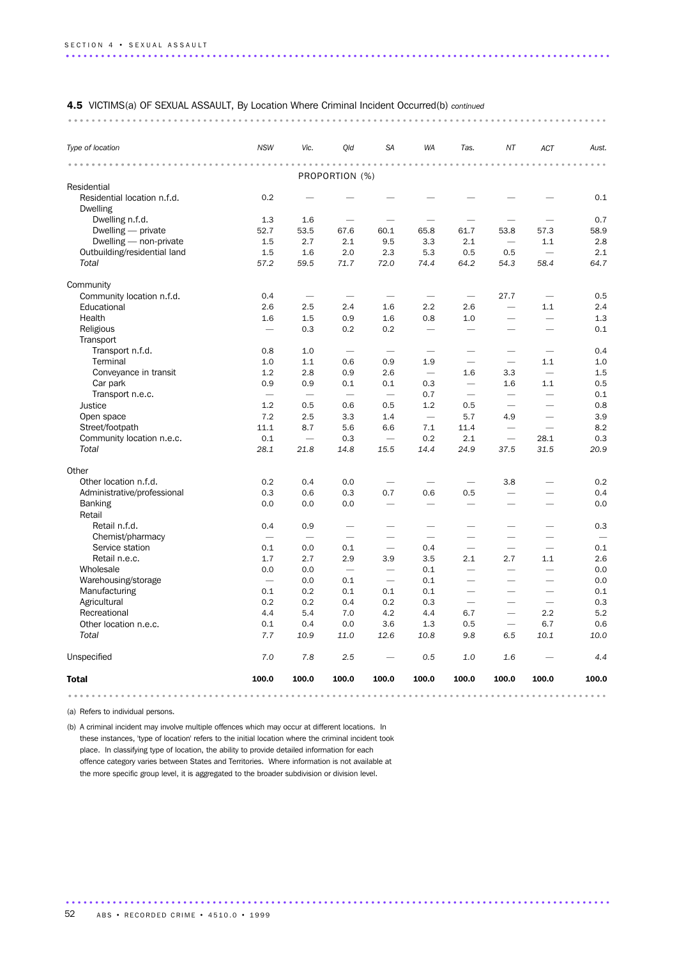#### 4.5 VICTIMS(a) OF SEXUAL ASSAULT, By Location Where Criminal Incident Occurred(b) *continued*

#### ............................................................................................ ...

| Type of location                               | <b>NSW</b>               | Vic.                     | Qld                      | <b>SA</b>                | <b>WA</b>                | Tas.                     | NT                       | ACT                      | Aust. |
|------------------------------------------------|--------------------------|--------------------------|--------------------------|--------------------------|--------------------------|--------------------------|--------------------------|--------------------------|-------|
|                                                |                          |                          | .<br>PROPORTION (%)      |                          |                          |                          |                          |                          |       |
| Residential                                    |                          |                          |                          |                          |                          |                          |                          |                          |       |
| Residential location n.f.d.<br><b>Dwelling</b> | 0.2                      |                          |                          |                          |                          |                          |                          |                          | 0.1   |
| Dwelling n.f.d.                                | 1.3                      | 1.6                      |                          |                          |                          |                          |                          |                          | 0.7   |
| Dwelling - private                             | 52.7                     | 53.5                     | 67.6                     | 60.1                     | 65.8                     | 61.7                     | 53.8                     | 57.3                     | 58.9  |
| Dwelling - non-private                         | 1.5                      | 2.7                      | 2.1                      | 9.5                      | 3.3                      | 2.1                      |                          | 1.1                      | 2.8   |
| Outbuilding/residential land                   | 1.5                      | 1.6                      | 2.0                      | 2.3                      | 5.3                      | 0.5                      | 0.5                      | $\overline{\phantom{0}}$ | 2.1   |
| Total                                          | 57.2                     | 59.5                     | 71.7                     | 72.0                     | 74.4                     | 64.2                     | 54.3                     | 58.4                     | 64.7  |
| Community                                      |                          |                          |                          |                          |                          |                          |                          |                          |       |
| Community location n.f.d.                      | 0.4                      | $\overline{\phantom{0}}$ |                          |                          |                          | $\overline{\phantom{0}}$ | 27.7                     |                          | 0.5   |
| Educational                                    | 2.6                      | 2.5                      | 2.4                      | 1.6                      | 2.2                      | 2.6                      |                          | 1.1                      | 2.4   |
| Health                                         | 1.6                      | 1.5                      | 0.9                      | 1.6                      | 0.8                      | 1.0                      |                          | $\overline{\phantom{0}}$ | 1.3   |
| Religious<br>Transport                         | $\overline{\phantom{a}}$ | 0.3                      | 0.2                      | 0.2                      | $\overline{\phantom{0}}$ | $\overline{\phantom{a}}$ |                          |                          | 0.1   |
| Transport n.f.d.                               | 0.8                      | 1.0                      | $\overline{\phantom{0}}$ | $\overline{\phantom{0}}$ |                          |                          |                          |                          | 0.4   |
| Terminal                                       | 1.0                      | 1.1                      | 0.6                      | 0.9                      | 1.9                      | $\overline{\phantom{0}}$ | $\overline{\phantom{m}}$ | 1.1                      | 1.0   |
| Conveyance in transit                          | 1.2                      | 2.8                      | 0.9                      | 2.6                      |                          | 1.6                      | 3.3                      | $\overline{\phantom{m}}$ | 1.5   |
| Car park                                       | 0.9                      | 0.9                      | 0.1                      | 0.1                      | 0.3                      |                          | 1.6                      | 1.1                      | 0.5   |
| Transport n.e.c.                               | $\overline{\phantom{0}}$ |                          | $\overline{\phantom{0}}$ | $\overline{\phantom{0}}$ | 0.7                      |                          | $\overline{\phantom{0}}$ |                          | 0.1   |
| Justice                                        | 1.2                      | 0.5                      | 0.6                      | 0.5                      | 1.2                      | 0.5                      |                          |                          | 0.8   |
| Open space                                     | 7.2                      | 2.5                      | 3.3                      | 1.4                      | $\overline{\phantom{a}}$ | 5.7                      | 4.9                      |                          | 3.9   |
| Street/footpath                                | 11.1                     | 8.7                      | 5.6                      | 6.6                      | 7.1                      | 11.4                     | $\overline{\phantom{0}}$ |                          | 8.2   |
| Community location n.e.c.                      | 0.1                      | $\overline{\phantom{0}}$ | 0.3                      |                          | 0.2                      | 2.1                      |                          | 28.1                     | 0.3   |
| Total                                          | 28.1                     | 21.8                     | 14.8                     | 15.5                     | 14.4                     | 24.9                     | 37.5                     | 31.5                     | 20.9  |
| Other                                          |                          |                          |                          |                          |                          |                          |                          |                          |       |
| Other location n.f.d.                          | 0.2                      | 0.4                      | 0.0                      |                          |                          |                          | 3.8                      |                          | 0.2   |
| Administrative/professional                    | 0.3                      | 0.6                      | 0.3                      | 0.7                      | 0.6                      | 0.5                      | $\overline{\phantom{0}}$ |                          | 0.4   |
| <b>Banking</b><br>Retail                       | 0.0                      | 0.0                      | 0.0                      | $\overline{\phantom{0}}$ |                          | $\overline{\phantom{0}}$ |                          |                          | 0.0   |
| Retail n.f.d.                                  | 0.4                      | 0.9                      | $\overline{\phantom{0}}$ | $\overline{\phantom{0}}$ | $\overline{\phantom{0}}$ |                          | $\overline{\phantom{0}}$ |                          | 0.3   |
| Chemist/pharmacy                               |                          | $\overline{\phantom{0}}$ | $\overline{\phantom{0}}$ |                          | $\overline{\phantom{m}}$ |                          | $\overline{\phantom{0}}$ |                          |       |
| Service station                                | 0.1                      | 0.0                      | 0.1                      |                          | 0.4                      |                          | $\overline{\phantom{0}}$ |                          | 0.1   |
| Retail n.e.c.                                  | 1.7                      | 2.7                      | 2.9                      | 3.9                      | 3.5                      | 2.1                      | 2.7                      | 1.1                      | 2.6   |
| Wholesale                                      | 0.0                      | 0.0                      |                          | $\overline{\phantom{0}}$ | 0.1                      | $\overline{\phantom{0}}$ | $\overline{\phantom{0}}$ |                          | 0.0   |
| Warehousing/storage                            | $\overline{\phantom{0}}$ | 0.0                      | 0.1                      | $\overline{\phantom{0}}$ | 0.1                      | $\overline{\phantom{0}}$ | $\overline{\phantom{0}}$ |                          | 0.0   |
| Manufacturing                                  | 0.1                      | 0.2                      | 0.1                      | 0.1                      | 0.1                      | $\overline{\phantom{0}}$ | $\overline{\phantom{0}}$ | $\overline{\phantom{0}}$ | 0.1   |
| Agricultural                                   | 0.2                      | 0.2                      | 0.4                      | 0.2                      | 0.3                      |                          | $\overline{\phantom{0}}$ | $\overline{\phantom{0}}$ | 0.3   |
| Recreational                                   | 4.4                      | 5.4                      | 7.0                      | 4.2                      | 4.4                      | 6.7                      |                          | 2.2                      | 5.2   |
| Other location n.e.c.                          | 0.1                      | 0.4                      | 0.0                      | 3.6                      | 1.3                      | 0.5                      | $\overline{\phantom{0}}$ | 6.7                      | 0.6   |
| Total                                          | 7.7                      | 10.9                     | 11.0                     | 12.6                     | 10.8                     | 9.8                      | 6.5                      | 10.1                     | 10.0  |
| Unspecified                                    | 7.0                      | 7.8                      | 2.5                      |                          | 0.5                      | 1.0                      | 1.6                      |                          | 4.4   |
| <b>Total</b>                                   | 100.0                    | 100.0                    | 100.0                    | 100.0                    | 100.0                    | 100.0                    | 100.0                    | 100.0                    | 100.0 |
|                                                |                          |                          |                          |                          |                          |                          |                          |                          |       |

.............................................................................................

(a) Refers to individual persons.

(b) A criminal incident may involve multiple offences which may occur at different locations. In these instances, 'type of location' refers to the initial location where the criminal incident took place. In classifying type of location, the ability to provide detailed information for each offence category varies between States and Territories. Where information is not available at the more specific group level, it is aggregated to the broader subdivision or division level.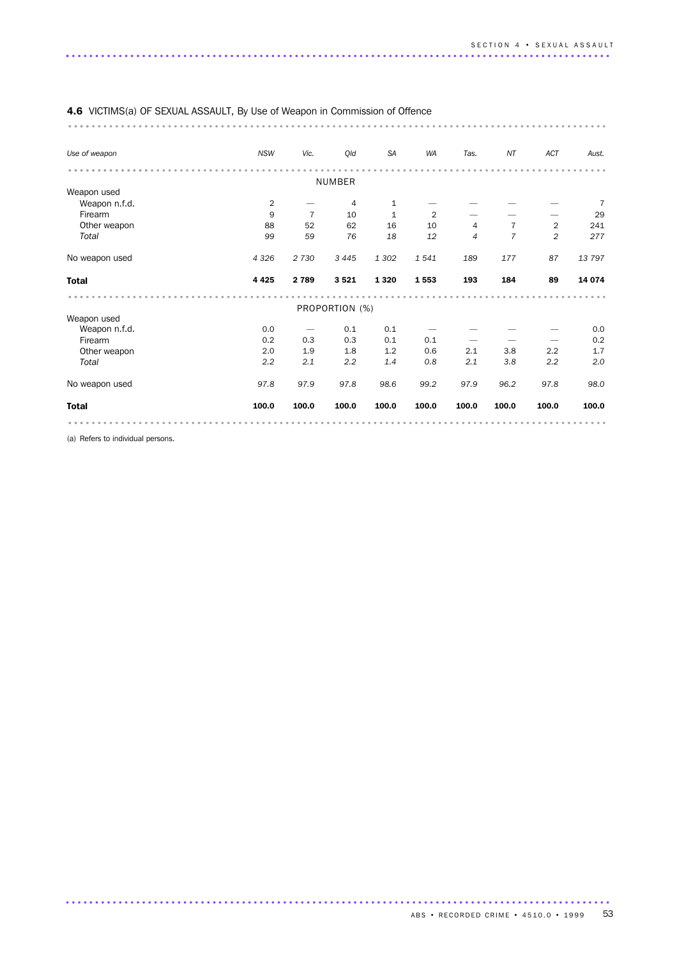| 4.6 VICTIMS(a) OF SEXUAL ASSAULT, By Use of Weapon in Commission of Offence |                |                |                |              |                |                |                |                |        |
|-----------------------------------------------------------------------------|----------------|----------------|----------------|--------------|----------------|----------------|----------------|----------------|--------|
| Use of weapon                                                               | <b>NSW</b>     | Vic.           | Qld            | <b>SA</b>    | WA             | Tas.           | NT             | ACT            | Aust.  |
|                                                                             |                |                |                |              |                |                |                |                |        |
| Weapon used                                                                 |                |                | <b>NUMBER</b>  |              |                |                |                |                |        |
| Weapon n.f.d.                                                               | $\overline{2}$ |                | 4              | $\mathbf 1$  |                |                |                |                | 7      |
| Firearm                                                                     | 9              | $\overline{7}$ | 10             | $\mathbf{1}$ | $\overline{2}$ |                |                |                | 29     |
| Other weapon                                                                | 88             | 52             | 62             | 16           | 10             | 4              | 7              | $\overline{2}$ | 241    |
| Total                                                                       | 99             | 59             | 76             | 18           | 12             | $\overline{4}$ | $\overline{7}$ | 2              | 277    |
| No weapon used                                                              | 4 3 2 6        | 2 7 3 0        | 3 4 4 5        | 1 3 0 2      | 1541           | 189            | 177            | 87             | 13797  |
| <b>Total</b>                                                                | 4 4 2 5        | 2 7 8 9        | 3521           | 1 3 2 0      | 1553           | 193            | 184            | 89             | 14 074 |
|                                                                             |                |                |                |              |                |                |                |                |        |
| Weapon used                                                                 |                |                | PROPORTION (%) |              |                |                |                |                |        |
| Weapon n.f.d.                                                               | 0.0            |                | 0.1            | 0.1          |                |                |                |                | 0.0    |
| Firearm                                                                     | 0.2            | 0.3            | 0.3            | 0.1          | 0.1            |                |                |                | 0.2    |
| Other weapon                                                                | 2.0            | 1.9            | 1.8            | 1.2          | 0.6            | 2.1            | 3.8            | 2.2            | 1.7    |
|                                                                             | 2.2            | 2.1            | 2.2            | 1.4          | 0.8            | 2.1            | 3.8            | 2.2            | 2.0    |
| Total                                                                       |                |                |                |              |                |                |                |                |        |
| No weapon used                                                              | 97.8           | 97.9           | 97.8           | 98.6         | 99.2           | 97.9           | 96.2           | 97.8           | 98.0   |
| <b>Total</b>                                                                | 100.0          | 100.0          | 100.0          | 100.0        | 100.0          | 100.0          | 100.0          | 100.0          | 100.0  |

.............................................................................................

(a) Refers to individual persons.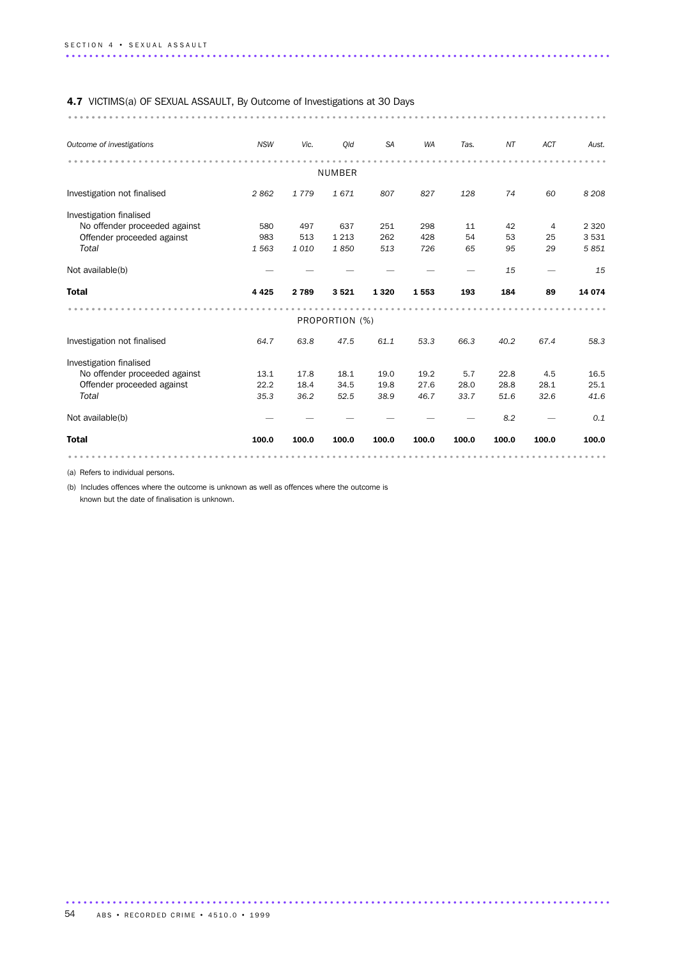# 4.7 VICTIMS(a) OF SEXUAL ASSAULT, By Outcome of Investigations at 30 Days

............................................................................................ ........

| Outcome of investigations     | <b>NSW</b> | Vic.    | Old           | <b>SA</b> | <b>WA</b> | Tas.  | NT    | <b>ACT</b> | Aust.   |  |  |  |
|-------------------------------|------------|---------|---------------|-----------|-----------|-------|-------|------------|---------|--|--|--|
|                               |            |         | <b>NUMBER</b> |           |           |       |       |            |         |  |  |  |
|                               |            |         |               |           |           |       |       |            |         |  |  |  |
| Investigation not finalised   | 2862       | 1779    | 1671          | 807       | 827       | 128   | 74    | 60         | 8 2 0 8 |  |  |  |
| Investigation finalised       |            |         |               |           |           |       |       |            |         |  |  |  |
| No offender proceeded against | 580        | 497     | 637           | 251       | 298       | 11    | 42    | 4          | 2 3 2 0 |  |  |  |
| Offender proceeded against    | 983        | 513     | 1 2 1 3       | 262       | 428       | 54    | 53    | 25         | 3531    |  |  |  |
| Total                         | 1 5 6 3    | 1010    | 1850          | 513       | 726       | 65    | 95    | 29         | 5851    |  |  |  |
| Not available(b)              |            |         |               |           |           |       | 15    |            | 15      |  |  |  |
| <b>Total</b>                  | 4 4 2 5    | 2 7 8 9 | 3521          | 1320      | 1553      | 193   | 184   | 89         | 14 0 74 |  |  |  |
|                               |            |         |               |           |           |       |       |            |         |  |  |  |
| PROPORTION (%)                |            |         |               |           |           |       |       |            |         |  |  |  |
|                               |            |         |               |           |           |       |       |            |         |  |  |  |
| Investigation not finalised   | 64.7       | 63.8    | 47.5          | 61.1      | 53.3      | 66.3  | 40.2  | 67.4       | 58.3    |  |  |  |
| Investigation finalised       |            |         |               |           |           |       |       |            |         |  |  |  |
| No offender proceeded against | 13.1       | 17.8    | 18.1          | 19.0      | 19.2      | 5.7   | 22.8  | 4.5        | 16.5    |  |  |  |
| Offender proceeded against    | 22.2       | 18.4    | 34.5          | 19.8      | 27.6      | 28.0  | 28.8  | 28.1       | 25.1    |  |  |  |
| Total                         | 35.3       | 36.2    | 52.5          | 38.9      | 46.7      | 33.7  | 51.6  | 32.6       | 41.6    |  |  |  |
| Not available(b)              |            |         |               |           |           |       | 8.2   |            | 0.1     |  |  |  |
| <b>Total</b>                  | 100.0      | 100.0   | 100.0         | 100.0     | 100.0     | 100.0 | 100.0 | 100.0      | 100.0   |  |  |  |

.............................................................................................

(a) Refers to individual persons.

(b) Includes offences where the outcome is unknown as well as offences where the outcome is

known but the date of finalisation is unknown.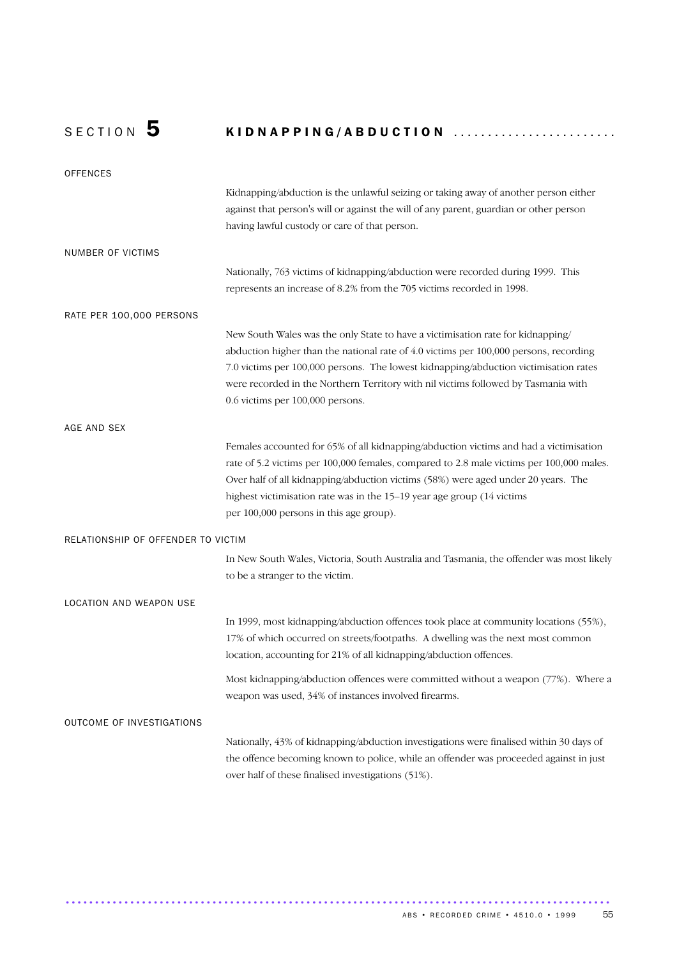# SECTION 5 KIDNAPPING/ABDUCTION ........................

| <b>OFFENCES</b>                    |                                                                                          |
|------------------------------------|------------------------------------------------------------------------------------------|
|                                    | Kidnapping/abduction is the unlawful seizing or taking away of another person either     |
|                                    | against that person's will or against the will of any parent, guardian or other person   |
|                                    | having lawful custody or care of that person.                                            |
| NUMBER OF VICTIMS                  |                                                                                          |
|                                    | Nationally, 763 victims of kidnapping/abduction were recorded during 1999. This          |
|                                    | represents an increase of 8.2% from the 705 victims recorded in 1998.                    |
| RATE PER 100,000 PERSONS           |                                                                                          |
|                                    | New South Wales was the only State to have a victimisation rate for kidnapping/          |
|                                    | abduction higher than the national rate of 4.0 victims per 100,000 persons, recording    |
|                                    | 7.0 victims per 100,000 persons. The lowest kidnapping/abduction victimisation rates     |
|                                    | were recorded in the Northern Territory with nil victims followed by Tasmania with       |
|                                    | 0.6 victims per 100,000 persons.                                                         |
| AGE AND SEX                        |                                                                                          |
|                                    | Females accounted for 65% of all kidnapping/abduction victims and had a victimisation    |
|                                    | rate of 5.2 victims per 100,000 females, compared to 2.8 male victims per 100,000 males. |
|                                    | Over half of all kidnapping/abduction victims (58%) were aged under 20 years. The        |
|                                    | highest victimisation rate was in the 15–19 year age group (14 victims                   |
|                                    | per 100,000 persons in this age group).                                                  |
| RELATIONSHIP OF OFFENDER TO VICTIM |                                                                                          |
|                                    | In New South Wales, Victoria, South Australia and Tasmania, the offender was most likely |
|                                    | to be a stranger to the victim.                                                          |
| LOCATION AND WEAPON USE            |                                                                                          |
|                                    | In 1999, most kidnapping/abduction offences took place at community locations (55%),     |
|                                    | 17% of which occurred on streets/footpaths. A dwelling was the next most common          |
|                                    | location, accounting for 21% of all kidnapping/abduction offences.                       |
|                                    | Most kidnapping/abduction offences were committed without a weapon (77%). Where a        |
|                                    | weapon was used, 34% of instances involved firearms.                                     |
| OUTCOME OF INVESTIGATIONS          |                                                                                          |
|                                    | Nationally, 43% of kidnapping/abduction investigations were finalised within 30 days of  |
|                                    | the offence becoming known to police, while an offender was proceeded against in just    |
|                                    | over half of these finalised investigations (51%).                                       |

.............................................................................................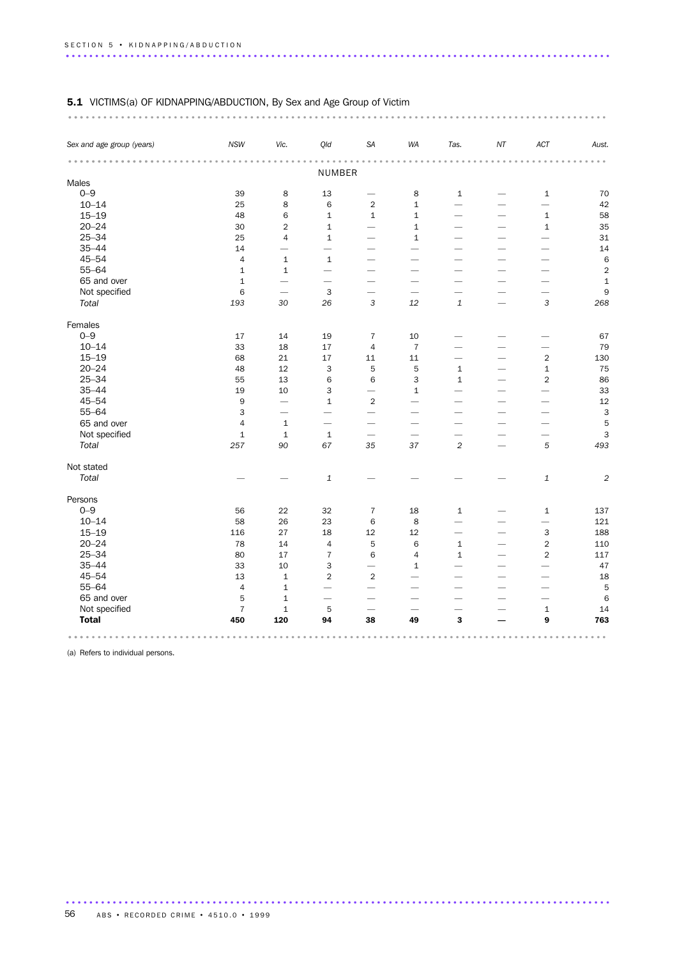# 5.1 VICTIMS(a) OF KIDNAPPING/ABDUCTION, By Sex and Age Group of Victim

| Sex and age group (years) | <b>NSW</b>     | Vic.                     | Qld                       | SA                       | WA                       | Tas.                     | $N\!T$                   | ACT                      | Aust.          |
|---------------------------|----------------|--------------------------|---------------------------|--------------------------|--------------------------|--------------------------|--------------------------|--------------------------|----------------|
|                           |                |                          | NUMBER                    |                          |                          |                          |                          |                          |                |
| Males                     |                |                          |                           |                          |                          |                          |                          |                          |                |
| $0 - 9$                   | 39             | 8                        | 13                        |                          | 8                        | $\,1\,$                  |                          | $\mathbf 1$              | 70             |
| $10 - 14$                 | 25             | 8                        | 6                         | $\overline{2}$           | $\mathbf{1}$             | $\overline{\phantom{0}}$ |                          | $\overline{\phantom{0}}$ | 42             |
| $15 - 19$                 | 48             | $\,$ 6 $\,$              | $\mathbf 1$               | $\mathbf 1$              | $\mathbf 1$              | -                        |                          | $\mathbf 1$              | 58             |
| $20 - 24$                 | 30             | $\overline{2}$           | $\mathbf 1$               | $\overline{\phantom{a}}$ | $\mathbf 1$              |                          |                          | $\mathbf 1$              | 35             |
| $25 - 34$                 | 25             | $\overline{4}$           | $\mathbf{1}$              | $\overline{\phantom{0}}$ | $\mathbf{1}$             | -                        | $\overline{\phantom{0}}$ | $\overline{\phantom{0}}$ | 31             |
| $35 - 44$                 | 14             | $\overline{\phantom{0}}$ | $\overline{\phantom{0}}$  |                          |                          |                          |                          | -                        | 14             |
| $45 - 54$                 | $\sqrt{4}$     | $\mathbf 1$              | $\mathbf 1$               | $\overline{\phantom{0}}$ | $\overline{\phantom{0}}$ |                          |                          |                          | 6              |
| $55 - 64$                 | $\mathbf 1$    | $\mathbf 1$              | $\overline{\phantom{0}}$  | $\overline{\phantom{0}}$ | $\overline{\phantom{0}}$ | $\overline{\phantom{0}}$ |                          |                          | $\overline{c}$ |
| 65 and over               | $\mathbf{1}$   | $\overline{\phantom{0}}$ | $\overline{\phantom{0}}$  | $\qquad \qquad$          | $\qquad \qquad$          | $\overline{\phantom{0}}$ |                          |                          | $\mathbf 1$    |
| Not specified             | $\,6$          |                          | $\mathsf 3$               | $\overline{\phantom{0}}$ |                          | $\overline{\phantom{0}}$ |                          | $\overline{\phantom{0}}$ | 9              |
| Total                     | 193            | 30                       | 26                        | 3                        | 12                       | $\mathbf{1}$             |                          | 3                        | 268            |
| Females                   |                |                          |                           |                          |                          |                          |                          |                          |                |
| $0 - 9$                   | 17             | 14                       | 19                        | $\overline{7}$           | 10                       |                          |                          |                          | 67             |
| $10 - 14$                 | 33             | 18                       | 17                        | $\overline{4}$           | $\overline{7}$           | -                        |                          |                          | 79             |
| $15 - 19$                 | 68             | 21                       | 17                        | 11                       | 11                       | -                        | $\overline{\phantom{0}}$ | $\overline{2}$           | 130            |
| $20 - 24$                 | 48             | 12                       | 3                         | 5                        | 5                        | $\mathbf{1}$             | $\overline{\phantom{0}}$ | $\mathbf 1$              | 75             |
| $25 - 34$                 | 55             | 13                       | 6                         | 6                        | 3                        | $\mathbf{1}$             |                          | $\overline{2}$           | 86             |
| $35 - 44$                 | 19             | 10                       | 3                         |                          | $\mathbf{1}$             |                          |                          |                          | 33             |
| $45 - 54$                 | $\mathsf 9$    |                          | $\mathbf 1$               | $\mathbf 2$              | $\overline{\phantom{0}}$ | $\overline{\phantom{0}}$ | $\overline{\phantom{0}}$ | $\overline{\phantom{0}}$ | 12             |
| $55 - 64$                 | 3              | $\overline{\phantom{0}}$ | $\overline{\phantom{0}}$  | $\overline{\phantom{0}}$ | $\overline{\phantom{0}}$ | $\overline{\phantom{0}}$ | $\overline{\phantom{0}}$ | $\overline{\phantom{0}}$ | $\mathbf{3}$   |
| 65 and over               | $\sqrt{4}$     | $\mathbf 1$              | $\overline{\phantom{0}}$  |                          | $\overline{\phantom{0}}$ | $\overline{\phantom{0}}$ |                          | $\overline{\phantom{0}}$ | 5              |
| Not specified             | $\mathbf 1$    | $\mathbf 1$              | $\mathbf 1$               |                          |                          | $\overline{\phantom{0}}$ |                          |                          | 3              |
| Total                     | 257            | 90                       | 67                        | 35                       | 37                       | $\sqrt{2}$               |                          | 5                        | 493            |
| Not stated                |                |                          |                           |                          |                          |                          |                          |                          |                |
| Total                     |                |                          | $\ensuremath{\mathbf{1}}$ |                          |                          |                          |                          | $\mathbf{1}$             | $\overline{c}$ |
| Persons                   |                |                          |                           |                          |                          |                          |                          |                          |                |
| $0 - 9$                   | 56             | 22                       | 32                        | $\overline{7}$           | 18                       | $\mathbf{1}$             |                          | $\mathbf{1}$             | 137            |
| $10 - 14$                 | 58             | 26                       | 23                        | 6                        | $\,8\,$                  |                          |                          | $\overline{\phantom{0}}$ | 121            |
| $15 - 19$                 | 116            | 27                       | 18                        | 12                       | $12\,$                   | $\overline{\phantom{0}}$ |                          | 3                        | 188            |
| $20 - 24$                 | 78             | 14                       | $\sqrt{4}$                | 5                        | $\,6$                    | $\mathbf 1$              | $\overline{\phantom{0}}$ | $\sqrt{2}$               | 110            |
| $25 - 34$                 | 80             | 17                       | $\overline{7}$            | 6                        | $\overline{4}$           | $\mathbf{1}$             |                          | $\overline{2}$           | 117            |
| $35 - 44$                 | 33             | 10                       | 3                         | $\overline{\phantom{0}}$ | $\mathbf{1}$             | $\overline{\phantom{a}}$ |                          |                          | 47             |
| $45 - 54$                 | 13             | $\mathbf 1$              | $\overline{2}$            | $\overline{2}$           | $\overline{\phantom{0}}$ |                          |                          |                          | 18             |
| $55 - 64$                 | $\overline{4}$ | $\mathbf 1$              |                           |                          |                          |                          |                          | -                        | 5              |
| 65 and over               | 5              | $\mathbf 1$              |                           |                          |                          |                          |                          |                          | 6              |
| Not specified             | $\overline{7}$ | $\mathbf 1$              | 5                         |                          |                          |                          |                          | $\mathbf 1$              | 14             |
| <b>Total</b>              | 450            | 120                      | 94                        | 38                       | 49                       | 3                        |                          | 9                        | 763            |
|                           |                |                          |                           |                          |                          |                          |                          |                          |                |

.............................................................................................

(a) Refers to individual persons.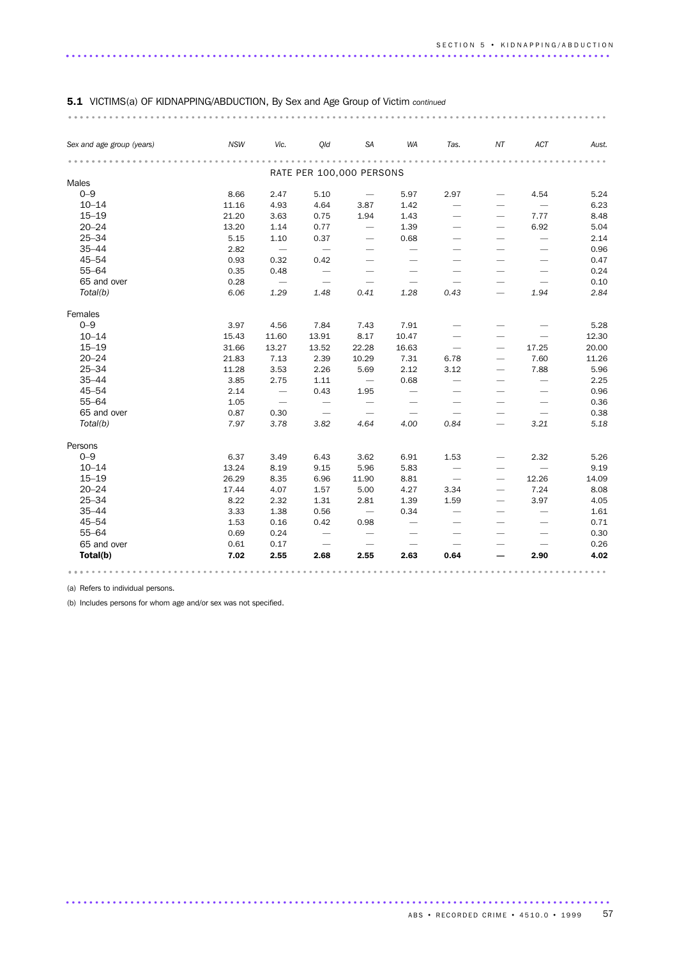| Sex and age group (years) | <b>NSW</b> | Vic.                     | Old                      | SA                              | WA                              | Tas.                     | NT                              | ACT                             | Aust. |
|---------------------------|------------|--------------------------|--------------------------|---------------------------------|---------------------------------|--------------------------|---------------------------------|---------------------------------|-------|
|                           |            |                          | RATE PER 100,000 PERSONS |                                 |                                 |                          |                                 |                                 |       |
| Males                     |            |                          |                          |                                 |                                 |                          |                                 |                                 |       |
| $O - 9$                   | 8.66       | 2.47                     | 5.10                     | $\overline{\phantom{m}}$        | 5.97                            | 2.97                     |                                 | 4.54                            | 5.24  |
| $10 - 14$                 | 11.16      | 4.93                     | 4.64                     | 3.87                            | 1.42                            | $\overline{\phantom{m}}$ |                                 | $\overline{\phantom{m}}$        | 6.23  |
| $15 - 19$                 | 21.20      | 3.63                     | 0.75                     | 1.94                            | 1.43                            |                          |                                 | 7.77                            | 8.48  |
| $20 - 24$                 | 13.20      | 1.14                     | 0.77                     | $\overline{\phantom{m}}$        | 1.39                            |                          |                                 | 6.92                            | 5.04  |
| $25 - 34$                 | 5.15       | 1.10                     | 0.37                     | $\overline{\phantom{m}}$        | 0.68                            |                          | $\overbrace{\phantom{1232211}}$ | $\overline{\phantom{0}}$        | 2.14  |
| $35 - 44$                 | 2.82       | $\overline{\phantom{m}}$ | $\overline{\phantom{m}}$ | $\overbrace{\phantom{1232211}}$ | $\overline{\phantom{0}}$        |                          |                                 |                                 | 0.96  |
| $45 - 54$                 | 0.93       | 0.32                     | 0.42                     | $\overline{\phantom{0}}$        |                                 |                          |                                 |                                 | 0.47  |
| $55 - 64$                 | 0.35       | 0.48                     | $\overline{\phantom{m}}$ |                                 | $\overbrace{\phantom{1232211}}$ |                          |                                 |                                 | 0.24  |
| 65 and over               | 0.28       | $\hspace{0.1mm}$         | $\overline{\phantom{m}}$ | $\overbrace{\phantom{1232211}}$ |                                 |                          |                                 | $\overbrace{\phantom{1232211}}$ | 0.10  |
| Total(b)                  | 6.06       | 1.29                     | 1.48                     | 0.41                            | 1.28                            | 0.43                     |                                 | 1.94                            | 2.84  |
| Females                   |            |                          |                          |                                 |                                 |                          |                                 |                                 |       |
| $0 - 9$                   | 3.97       | 4.56                     | 7.84                     | 7.43                            | 7.91                            |                          |                                 |                                 | 5.28  |
| $10 - 14$                 | 15.43      | 11.60                    | 13.91                    | 8.17                            | 10.47                           |                          |                                 |                                 | 12.30 |
| $15 - 19$                 | 31.66      | 13.27                    | 13.52                    | 22.28                           | 16.63                           | $\overline{\phantom{m}}$ |                                 | 17.25                           | 20.00 |
| $20 - 24$                 | 21.83      | 7.13                     | 2.39                     | 10.29                           | 7.31                            | 6.78                     |                                 | 7.60                            | 11.26 |
| $25 - 34$                 | 11.28      | 3.53                     | 2.26                     | 5.69                            | 2.12                            | 3.12                     |                                 | 7.88                            | 5.96  |
| $35 - 44$                 | 3.85       | 2.75                     | 1.11                     | $\overline{\phantom{m}}$        | 0.68                            | $\overline{\phantom{m}}$ |                                 |                                 | 2.25  |
| $45 - 54$                 | 2.14       | $\overline{\phantom{m}}$ | 0.43                     | 1.95                            |                                 | $\overline{\phantom{0}}$ |                                 |                                 | 0.96  |
| $55 - 64$                 | 1.05       |                          | $\overline{\phantom{0}}$ | $\overline{\phantom{0}}$        |                                 | $\overline{\phantom{0}}$ |                                 |                                 | 0.36  |
| 65 and over               | 0.87       | 0.30                     | $\overline{\phantom{m}}$ | $\overline{\phantom{a}}$        | $\overline{\phantom{m}}$        | $\overline{\phantom{m}}$ |                                 | $\overline{\phantom{m}}$        | 0.38  |
| Total(b)                  | 7.97       | 3.78                     | 3.82                     | 4.64                            | 4.00                            | 0.84                     | $\overbrace{\qquad \qquad }$    | 3.21                            | 5.18  |
| Persons                   |            |                          |                          |                                 |                                 |                          |                                 |                                 |       |
| $0 - 9$                   | 6.37       | 3.49                     | 6.43                     | 3.62                            | 6.91                            | 1.53                     |                                 | 2.32                            | 5.26  |
| $10 - 14$                 | 13.24      | 8.19                     | 9.15                     | 5.96                            | 5.83                            |                          |                                 |                                 | 9.19  |
| $15 - 19$                 | 26.29      | 8.35                     | 6.96                     | 11.90                           | 8.81                            | $\overline{\phantom{m}}$ | $\overline{\phantom{0}}$        | 12.26                           | 14.09 |
| $20 - 24$                 | 17.44      | 4.07                     | 1.57                     | 5.00                            | 4.27                            | 3.34                     |                                 | 7.24                            | 8.08  |
| $25 - 34$                 | 8.22       | 2.32                     | 1.31                     | 2.81                            | 1.39                            | 1.59                     |                                 | 3.97                            | 4.05  |
| $35 - 44$                 | 3.33       | 1.38                     | 0.56                     | $\overline{\phantom{m}}$        | 0.34                            |                          |                                 |                                 | 1.61  |
| $45 - 54$                 | 1.53       | 0.16                     | 0.42                     | 0.98                            | $\overline{\phantom{0}}$        |                          |                                 |                                 | 0.71  |
| $55 - 64$                 | 0.69       | 0.24                     | $\overline{\phantom{m}}$ |                                 |                                 |                          |                                 |                                 | 0.30  |
| 65 and over               | 0.61       | 0.17                     | $\overline{\phantom{m}}$ | $\overline{\phantom{a}}$        | $\overline{\phantom{m}}$        | $\overline{\phantom{m}}$ |                                 | $\overline{\phantom{m}}$        | 0.26  |
| Total(b)                  | 7.02       | 2.55                     | 2.68                     | 2.55                            | 2.63                            | 0.64                     |                                 | 2.90                            | 4.02  |

.............................................................................................

# 5.1 VICTIMS(a) OF KIDNAPPING/ABDUCTION, By Sex and Age Group of Victim *continued*

(a) Refers to individual persons.

(b) Includes persons for whom age and/or sex was not specified.

ABS • RECORDED CRIME • 4510.0 • 1999 57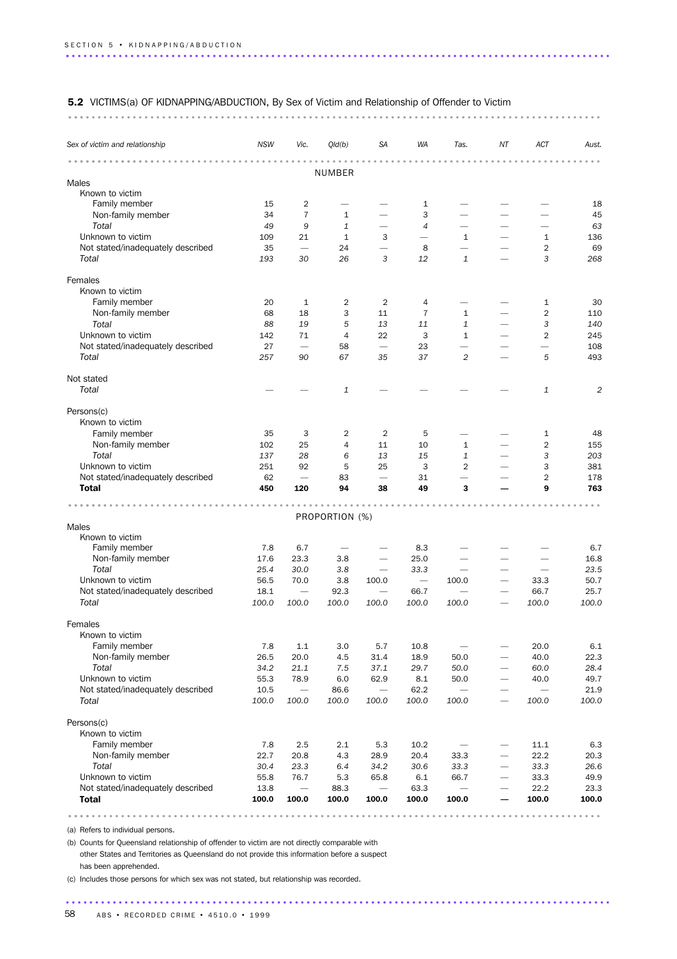#### 5.2 VICTIMS(a) OF KIDNAPPING/ABDUCTION, By Sex of Victim and Relationship of Offender to Victim

........................................................................................... ...

| Sex of victim and relationship    | <b>NSW</b>                     | Vic.                            | Qld(b)         | <b>SA</b>                       | WA                       | Tas.                             | ΝT                            | ACT            | Aust.          |
|-----------------------------------|--------------------------------|---------------------------------|----------------|---------------------------------|--------------------------|----------------------------------|-------------------------------|----------------|----------------|
|                                   |                                |                                 |                |                                 |                          |                                  |                               |                |                |
| Males                             |                                |                                 | <b>NUMBER</b>  |                                 |                          |                                  |                               |                |                |
| Known to victim                   |                                |                                 |                |                                 |                          |                                  |                               |                |                |
| Family member                     | 15                             | 2                               |                |                                 | $\mathbf{1}$             | -                                |                               |                | 18             |
| Non-family member                 | 34                             | $\overline{7}$                  | 1              |                                 | 3                        |                                  |                               |                | 45             |
| Total                             | 49                             | 9                               | 1              |                                 | $\overline{4}$           | $\overline{\phantom{0}}$         |                               | -              | 63             |
| Unknown to victim                 | 109                            | 21                              | 1              | 3                               | $\overline{\phantom{0}}$ | $\mathbf{1}$                     |                               | $\mathbf{1}$   | 136            |
| Not stated/inadequately described | 35                             | $\overline{\phantom{0}}$        | 24             |                                 | 8                        | $\overline{\phantom{0}}$         |                               | $\overline{2}$ | 69             |
| Total                             | 193                            | 30                              | 26             | 3                               | 12                       | 1                                |                               | 3              | 268            |
| Females                           |                                |                                 |                |                                 |                          |                                  |                               |                |                |
| Known to victim                   |                                |                                 |                |                                 |                          |                                  |                               |                |                |
| Family member                     | 20                             | 1                               | 2              | $\overline{2}$                  | 4                        | $\overline{\phantom{0}}$         |                               | 1              | 30             |
| Non-family member                 | 68                             | 18                              | 3              | 11                              | 7                        | 1                                |                               | $\overline{2}$ | 110            |
| Total                             | 88                             | 19                              | 5              | 13                              | 11                       | $\mathbf{1}$                     |                               | 3              | 140            |
| Unknown to victim                 | 142                            | 71                              | 4              | 22                              | 3                        | 1                                |                               | 2              | 245            |
| Not stated/inadequately described | 27                             | $\overline{\phantom{0}}$        | 58             | $\overline{\phantom{0}}$        | 23                       |                                  |                               |                | 108            |
| Total                             | 257                            | 90                              | 67             | 35                              | 37                       | 2                                |                               | 5              | 493            |
| Not stated                        |                                |                                 |                |                                 |                          |                                  |                               |                |                |
| Total                             |                                |                                 | 1              |                                 |                          |                                  |                               | $\mathbf{1}$   | $\overline{2}$ |
| Persons(c)                        |                                |                                 |                |                                 |                          |                                  |                               |                |                |
| Known to victim                   |                                |                                 |                |                                 |                          |                                  |                               |                |                |
| Family member                     | 35                             | 3                               | 2              | 2                               | 5                        | $\overline{\phantom{0}}$         |                               | $\mathbf{1}$   | 48             |
| Non-family member                 | 102                            | 25                              | 4              | 11                              | 10                       | 1                                |                               | $\overline{2}$ | 155            |
| Total                             | 137                            | 28                              | 6              | 13                              | 15                       | $\mathbf{1}$                     |                               | 3              | 203            |
|                                   | 251                            | 92                              | 5              | 25                              | 3                        | $\overline{2}$                   |                               | 3              | 381            |
| Unknown to victim                 |                                |                                 |                |                                 |                          |                                  |                               |                |                |
| Not stated/inadequately described | 62                             | $\overbrace{\phantom{1232211}}$ | 83             |                                 | 31                       | $\overline{\phantom{0}}$         |                               | $\overline{2}$ | 178            |
| <b>Total</b>                      | 450                            | 120                             | 94             | 38                              | 49                       | 3                                |                               | 9              | 763            |
|                                   | $- - - - - - -$<br>$- - - - -$ |                                 | PROPORTION (%) |                                 |                          |                                  |                               |                |                |
| Males                             |                                |                                 |                |                                 |                          |                                  |                               |                |                |
| Known to victim                   |                                |                                 |                |                                 |                          |                                  |                               |                |                |
| Family member                     | 7.8                            | 6.7                             |                |                                 | 8.3                      |                                  |                               |                | 6.7            |
| Non-family member                 | 17.6                           | 23.3                            | 3.8            |                                 | 25.0                     |                                  |                               |                | 16.8           |
| Total                             | 25.4                           | 30.0                            | 3.8            | $\hspace{0.1mm}-\hspace{0.1mm}$ | 33.3                     | $\overline{\phantom{0}}$         |                               |                | 23.5           |
| Unknown to victim                 | 56.5                           | 70.0                            | 3.8            | 100.0                           | $\overline{\phantom{a}}$ | 100.0                            |                               | 33.3           | 50.7           |
| Not stated/inadequately described | 18.1                           | $\overline{\phantom{0}}$        | 92.3           |                                 | 66.7                     |                                  |                               | 66.7           | 25.7           |
| Total                             | 100.0                          | 100.0                           | 100.0          | 100.0                           | 100.0                    | 100.0                            |                               | 100.0          | 100.0          |
| Females                           |                                |                                 |                |                                 |                          |                                  |                               |                |                |
| Known to victim                   |                                |                                 |                |                                 |                          |                                  |                               |                |                |
| Family member                     | 7.8                            | 1.1                             | 3.0            | 5.7                             | 10.8                     | $\overbrace{\phantom{12322111}}$ |                               | 20.0           | $6.1\,$        |
| Non-family member                 | 26.5                           | 20.0                            | 4.5            | 31.4                            | 18.9                     | 50.0                             |                               | 40.0           | 22.3           |
| Total                             | 34.2                           | 21.1                            | 7.5            | 37.1                            | 29.7                     | 50.0                             |                               | 60.0           | 28.4           |
| Unknown to victim                 | 55.3                           | 78.9                            | 6.0            | 62.9                            | 8.1                      | 50.0                             | $\overbrace{\phantom{12333}}$ | 40.0           | 49.7           |
| Not stated/inadequately described | 10.5                           | $\overline{\phantom{0}}$        | 86.6           |                                 | 62.2                     |                                  |                               |                | 21.9           |
| Total                             | 100.0                          | 100.0                           | 100.0          | 100.0                           | 100.0                    | 100.0                            |                               | 100.0          | 100.0          |
| Persons(c)                        |                                |                                 |                |                                 |                          |                                  |                               |                |                |
| Known to victim                   |                                |                                 |                |                                 |                          |                                  |                               |                |                |
| Family member                     | 7.8                            | 2.5                             | 2.1            | 5.3                             | 10.2                     |                                  |                               | 11.1           | 6.3            |
| Non-family member                 | 22.7                           | 20.8                            | 4.3            | 28.9                            | 20.4                     | 33.3                             | $\overline{\phantom{0}}$      | 22.2           | 20.3           |
| Total                             | 30.4                           | 23.3                            | 6.4            | 34.2                            | 30.6                     | 33.3                             |                               | 33.3           | 26.6           |
| Unknown to victim                 | 55.8                           | 76.7                            | 5.3            | 65.8                            | 6.1                      | 66.7                             |                               | 33.3           | 49.9           |
| Not stated/inadequately described | 13.8                           |                                 | 88.3           | $\overline{\phantom{m}}$        | 63.3                     |                                  | $\overline{\phantom{0}}$      | 22.2           | 23.3           |
| <b>Total</b>                      | 100.0                          | 100.0                           | 100.0          | 100.0                           | 100.0                    | 100.0                            |                               | 100.0          | 100.0          |
|                                   |                                |                                 |                |                                 |                          |                                  |                               |                |                |

.............................................................................................

(a) Refers to individual persons.

(b) Counts for Queensland relationship of offender to victim are not directly comparable with other States and Territories as Queensland do not provide this information before a suspect has been apprehended.

(c) Includes those persons for which sex was not stated, but relationship was recorded.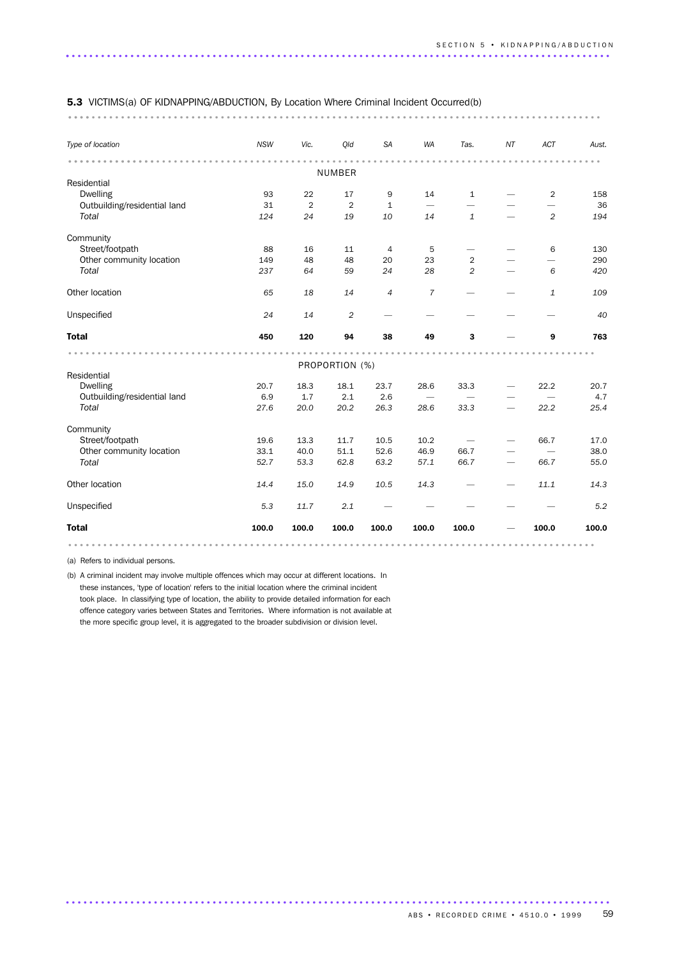#### 5.3 VICTIMS(a) OF KIDNAPPING/ABDUCTION, By Location Where Criminal Incident Occurred(b)

........................................................................................... ....

| Type of location             | <b>NSW</b> | Vic.           | Old            | SA             | WA             | Tas.           | NT | ACT            | Aust. |
|------------------------------|------------|----------------|----------------|----------------|----------------|----------------|----|----------------|-------|
|                              |            |                | <b>NUMBER</b>  |                |                |                |    |                |       |
| Residential                  |            |                |                |                |                |                |    |                |       |
| <b>Dwelling</b>              | 93         | 22             | 17             | 9              | 14             | $\mathbf{1}$   |    | $\overline{2}$ | 158   |
| Outbuilding/residential land | 31         | $\overline{2}$ | $\overline{2}$ | 1              |                |                |    |                | 36    |
| Total                        | 124        | 24             | 19             | 10             | 14             | $\mathbf{1}$   |    | $\overline{2}$ | 194   |
| Community                    |            |                |                |                |                |                |    |                |       |
| Street/footpath              | 88         | 16             | 11             | 4              | 5              |                |    | 6              | 130   |
| Other community location     | 149        | 48             | 48             | 20             | 23             | $\overline{2}$ |    |                | 290   |
| Total                        | 237        | 64             | 59             | 24             | 28             | $\overline{2}$ |    | 6              | 420   |
| Other location               | 65         | 18             | 14             | $\overline{4}$ | $\overline{7}$ |                |    | $\mathbf{1}$   | 109   |
| Unspecified                  | 24         | 14             | $\overline{c}$ |                |                |                |    |                | 40    |
| <b>Total</b>                 | 450        | 120            | 94             | 38             | 49             | 3              |    | 9              | 763   |
|                              |            |                | PROPORTION (%) |                |                |                |    |                |       |
| Residential                  |            |                |                |                |                |                |    |                |       |
| <b>Dwelling</b>              | 20.7       | 18.3           | 18.1           | 23.7           | 28.6           | 33.3           |    | 22.2           | 20.7  |
| Outbuilding/residential land | 6.9        | 1.7            | 2.1            | 2.6            |                |                |    |                | 4.7   |
| Total                        | 27.6       | 20.0           | 20.2           | 26.3           | 28.6           | 33.3           |    | 22.2           | 25.4  |
| Community                    |            |                |                |                |                |                |    |                |       |
| Street/footpath              | 19.6       | 13.3           | 11.7           | 10.5           | 10.2           |                |    | 66.7           | 17.0  |
| Other community location     | 33.1       | 40.0           | 51.1           | 52.6           | 46.9           | 66.7           |    |                | 38.0  |
| Total                        | 52.7       | 53.3           | 62.8           | 63.2           | 57.1           | 66.7           |    | 66.7           | 55.0  |
| Other location               | 14.4       | 15.0           | 14.9           | 10.5           | 14.3           |                |    | 11.1           | 14.3  |
| Unspecified                  | 5.3        | 11.7           | 2.1            |                |                |                |    |                | 5.2   |
| <b>Total</b>                 | 100.0      | 100.0          | 100.0          | 100.0          | 100.0          | 100.0          |    | 100.0          | 100.0 |
|                              |            |                |                |                |                |                |    |                |       |

.............................................................................................

(a) Refers to individual persons.

(b) A criminal incident may involve multiple offences which may occur at different locations. In these instances, 'type of location' refers to the initial location where the criminal incident took place. In classifying type of location, the ability to provide detailed information for each offence category varies between States and Territories. Where information is not available at the more specific group level, it is aggregated to the broader subdivision or division level.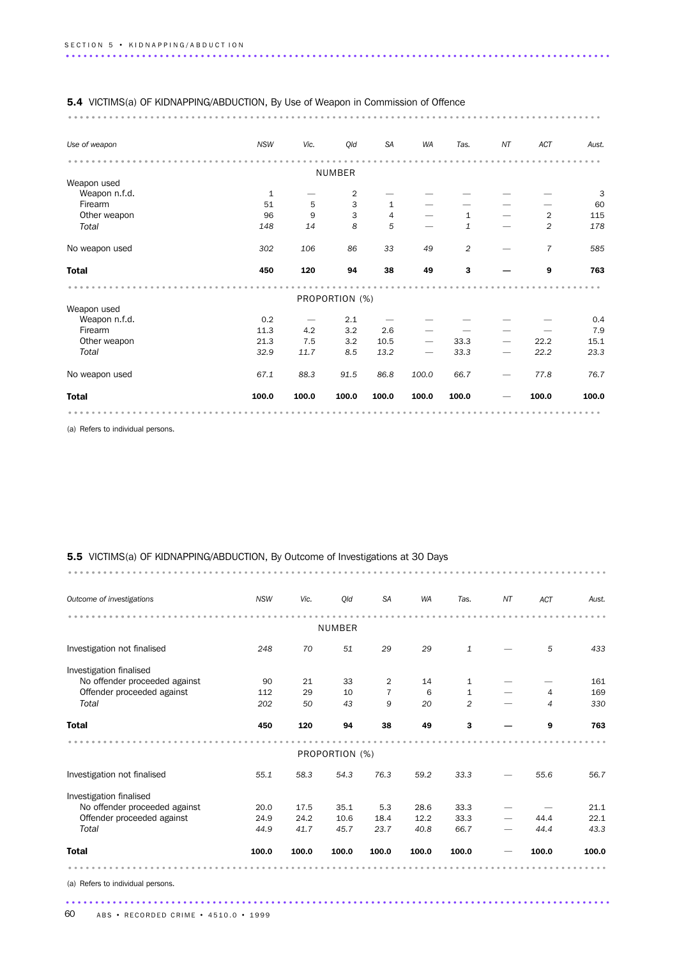| <b>5.4</b> VICTIMS(a) OF KIDNAPPING/ABDUCTION, By Use of Weapon in Commission of Offence |            |       |                |              |                          |                |    |                |       |
|------------------------------------------------------------------------------------------|------------|-------|----------------|--------------|--------------------------|----------------|----|----------------|-------|
|                                                                                          |            |       |                |              |                          |                |    |                |       |
| Use of weapon                                                                            | <b>NSW</b> | Vic.  | Qld            | <b>SA</b>    | WA                       | Tas.           | NT | ACT            | Aust. |
|                                                                                          |            |       | <b>NUMBER</b>  |              |                          |                |    |                |       |
| Weapon used                                                                              |            |       |                |              |                          |                |    |                |       |
| Weapon n.f.d.                                                                            | 1          |       | 2              |              |                          |                |    |                | 3     |
| Firearm                                                                                  | 51         | 5     | 3              | $\mathbf{1}$ |                          |                |    |                | 60    |
| Other weapon                                                                             | 96         | 9     | 3              | 4            |                          | 1              |    | $\overline{2}$ | 115   |
| Total                                                                                    | 148        | 14    | 8              | 5            |                          | $\mathbf 1$    |    | $\overline{c}$ | 178   |
| No weapon used                                                                           | 302        | 106   | 86             | 33           | 49                       | $\overline{2}$ |    | $\overline{7}$ | 585   |
| <b>Total</b>                                                                             | 450        | 120   | 94             | 38           | 49                       | $\mathbf{3}$   |    | 9              | 763   |
|                                                                                          |            |       | PROPORTION (%) |              |                          |                |    |                |       |
| Weapon used                                                                              |            |       |                |              |                          |                |    |                |       |
| Weapon n.f.d.                                                                            | 0.2        |       | 2.1            |              |                          |                |    |                | 0.4   |
| Firearm                                                                                  | 11.3       | 4.2   | 3.2            | 2.6          |                          |                |    |                | 7.9   |
| Other weapon                                                                             | 21.3       | 7.5   | 3.2            | 10.5         | $\overline{\phantom{0}}$ | 33.3           |    | 22.2           | 15.1  |
| Total                                                                                    | 32.9       | 11.7  | 8.5            | 13.2         |                          | 33.3           |    | 22.2           | 23.3  |
| No weapon used                                                                           | 67.1       | 88.3  | 91.5           | 86.8         | 100.0                    | 66.7           |    | 77.8           | 76.7  |
| <b>Total</b>                                                                             | 100.0      | 100.0 | 100.0          | 100.0        | 100.0                    | 100.0          |    | 100.0          | 100.0 |
|                                                                                          |            |       |                |              |                          |                |    |                |       |

(a) Refers to individual persons.

### 5.5 VICTIMS(a) OF KIDNAPPING/ABDUCTION, By Outcome of Investigations at 30 Days

............................................................................................ .........

| Outcome of investigations         | <b>NSW</b> | Vic.  | Qld            | <b>SA</b>      | WA    | Tas.         | NT | <b>ACT</b> | Aust. |
|-----------------------------------|------------|-------|----------------|----------------|-------|--------------|----|------------|-------|
|                                   |            |       | <b>NUMBER</b>  |                |       |              |    |            |       |
| Investigation not finalised       | 248        | 70    | 51             | 29             | 29    | $1\,$        |    | 5          | 433   |
| Investigation finalised           |            |       |                |                |       |              |    |            |       |
| No offender proceeded against     | 90         | 21    | 33             | $\overline{2}$ | 14    | $\mathbf{1}$ |    |            | 161   |
| Offender proceeded against        | 112        | 29    | 10             | 7              | 6     | $\mathbf{1}$ |    | 4          | 169   |
| Total                             | 202        | 50    | 43             | 9              | 20    | 2            |    | 4          | 330   |
| <b>Total</b>                      | 450        | 120   | 94             | 38             | 49    | 3            |    | 9          | 763   |
|                                   |            |       | PROPORTION (%) |                |       |              |    |            |       |
| Investigation not finalised       | 55.1       | 58.3  | 54.3           | 76.3           | 59.2  | 33.3         |    | 55.6       | 56.7  |
| Investigation finalised           |            |       |                |                |       |              |    |            |       |
| No offender proceeded against     | 20.0       | 17.5  | 35.1           | 5.3            | 28.6  | 33.3         |    |            | 21.1  |
| Offender proceeded against        | 24.9       | 24.2  | 10.6           | 18.4           | 12.2  | 33.3         |    | 44.4       | 22.1  |
| Total                             | 44.9       | 41.7  | 45.7           | 23.7           | 40.8  | 66.7         |    | 44.4       | 43.3  |
| <b>Total</b>                      | 100.0      | 100.0 | 100.0          | 100.0          | 100.0 | 100.0        |    | 100.0      | 100.0 |
|                                   |            |       |                |                |       |              |    |            |       |
| (a) Refers to individual persons. |            |       |                |                |       |              |    |            |       |
|                                   |            |       |                |                |       |              |    |            |       |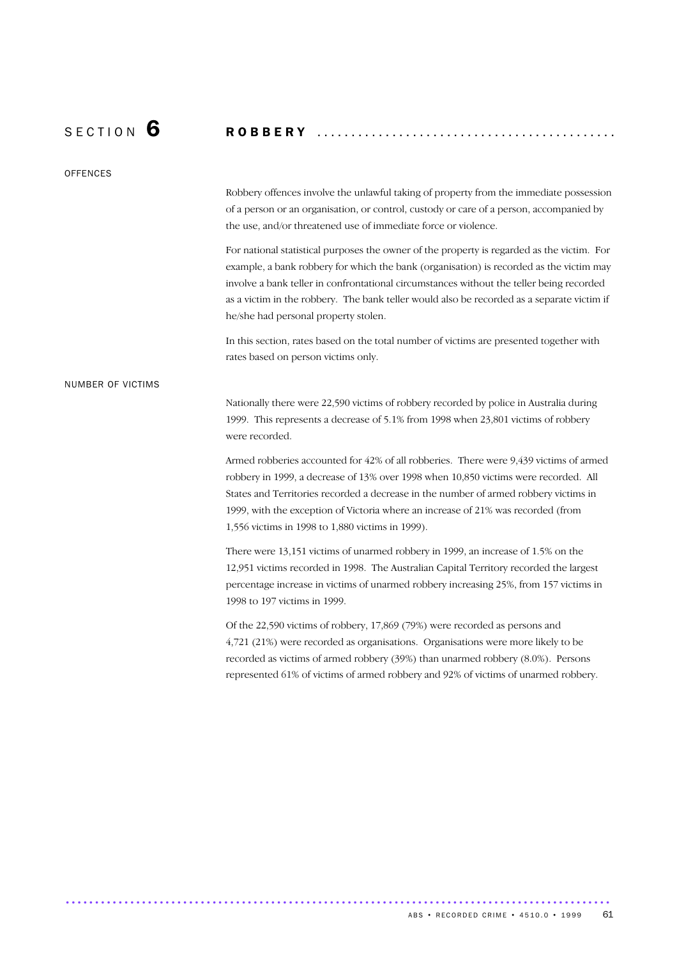S E C T I O N 6 R O B B E R Y ............................................

**OFFENCES** 

Robbery offences involve the unlawful taking of property from the immediate possession of a person or an organisation, or control, custody or care of a person, accompanied by the use, and/or threatened use of immediate force or violence.

For national statistical purposes the owner of the property is regarded as the victim. For example, a bank robbery for which the bank (organisation) is recorded as the victim may involve a bank teller in confrontational circumstances without the teller being recorded as a victim in the robbery. The bank teller would also be recorded as a separate victim if he/she had personal property stolen.

In this section, rates based on the total number of victims are presented together with rates based on person victims only.

### NUMBER OF VICTIMS

Nationally there were 22,590 victims of robbery recorded by police in Australia during 1999. This represents a decrease of 5.1% from 1998 when 23,801 victims of robbery were recorded.

Armed robberies accounted for 42% of all robberies. There were 9,439 victims of armed robbery in 1999, a decrease of 13% over 1998 when 10,850 victims were recorded. All States and Territories recorded a decrease in the number of armed robbery victims in 1999, with the exception of Victoria where an increase of 21% was recorded (from 1,556 victims in 1998 to 1,880 victims in 1999).

There were 13,151 victims of unarmed robbery in 1999, an increase of 1.5% on the 12,951 victims recorded in 1998. The Australian Capital Territory recorded the largest percentage increase in victims of unarmed robbery increasing 25%, from 157 victims in 1998 to 197 victims in 1999.

Of the 22,590 victims of robbery, 17,869 (79%) were recorded as persons and 4,721 (21%) were recorded as organisations. Organisations were more likely to be recorded as victims of armed robbery (39%) than unarmed robbery (8.0%). Persons represented 61% of victims of armed robbery and 92% of victims of unarmed robbery.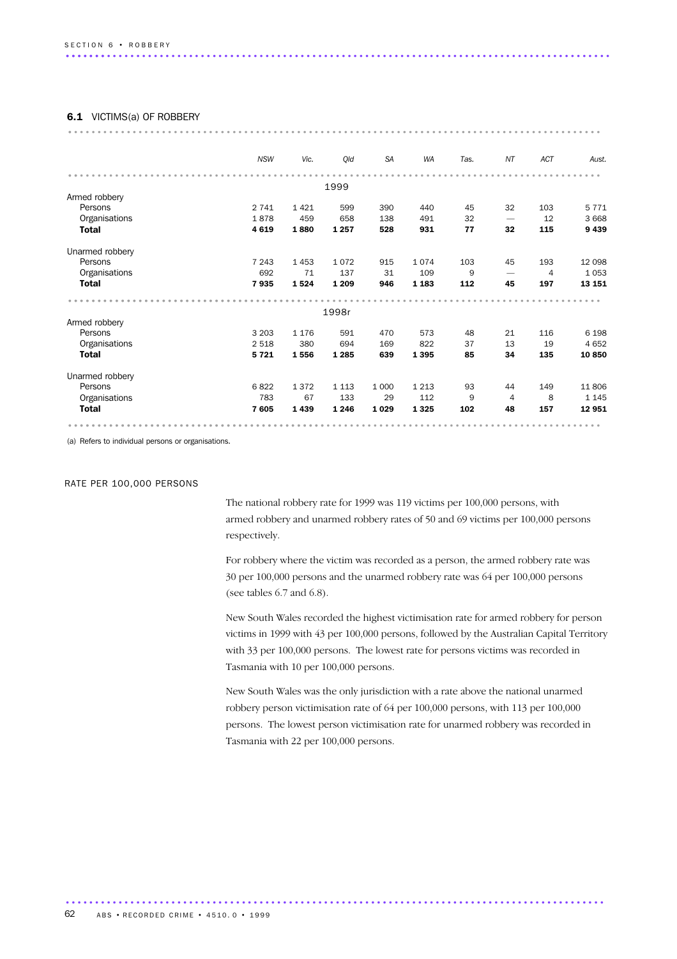#### 6.1 VICTIMS(a) OF ROBBERY

| 0.1<br><b>VIUTIIVIO(d) UF RUDDERI</b> |            |         |         |           |         |      |                          |                |         |
|---------------------------------------|------------|---------|---------|-----------|---------|------|--------------------------|----------------|---------|
|                                       |            |         |         |           |         |      |                          |                |         |
|                                       | <b>NSW</b> | Vic.    | Qld     | <b>SA</b> | WA      | Tas. | NT                       | ACT            | Aust.   |
|                                       |            |         |         |           |         |      |                          |                |         |
|                                       |            |         | 1999    |           |         |      |                          |                |         |
| Armed robbery                         |            |         |         |           |         |      |                          |                |         |
| Persons                               | 2 7 4 1    | 1421    | 599     | 390       | 440     | 45   | 32                       | 103            | 5 7 7 1 |
| Organisations                         | 1878       | 459     | 658     | 138       | 491     | 32   | $\overline{\phantom{m}}$ | 12             | 3 6 6 8 |
| <b>Total</b>                          | 4 6 1 9    | 1880    | 1 2 5 7 | 528       | 931     | 77   | 32                       | 115            | 9439    |
| Unarmed robbery                       |            |         |         |           |         |      |                          |                |         |
| Persons                               | 7 2 4 3    | 1453    | 1072    | 915       | 1074    | 103  | 45                       | 193            | 12 0 98 |
| Organisations                         | 692        | 71      | 137     | 31        | 109     | 9    |                          | $\overline{4}$ | 1053    |
| <b>Total</b>                          | 7935       | 1524    | 1 2 0 9 | 946       | 1 1 8 3 | 112  | 45                       | 197            | 13 151  |
|                                       |            |         |         |           |         |      |                          |                |         |
|                                       |            |         | 1998r   |           |         |      |                          |                |         |
| Armed robbery                         |            |         |         |           |         |      |                          |                |         |
| Persons                               | 3 2 0 3    | 1 1 7 6 | 591     | 470       | 573     | 48   | 21                       | 116            | 6 1 9 8 |
| Organisations                         | 2 5 1 8    | 380     | 694     | 169       | 822     | 37   | 13                       | 19             | 4 6 5 2 |
| <b>Total</b>                          | 5721       | 1556    | 1 2 8 5 | 639       | 1 3 9 5 | 85   | 34                       | 135            | 10850   |
| Unarmed robbery                       |            |         |         |           |         |      |                          |                |         |
| Persons                               | 6822       | 1372    | 1 1 1 3 | 1 0 0 0   | 1 2 1 3 | 93   | 44                       | 149            | 11806   |
| Organisations                         | 783        | 67      | 133     | 29        | 112     | 9    | 4                        | 8              | 1 1 4 5 |
| <b>Total</b>                          | 7605       | 1439    | 1 2 4 6 | 1 0 2 9   | 1 3 2 5 | 102  | 48                       | 157            | 12 951  |
|                                       |            |         |         |           |         |      |                          |                |         |

(a) Refers to individual persons or organisations.

### RATE PER 100,000 PERSONS

The national robbery rate for 1999 was 119 victims per 100,000 persons, with armed robbery and unarmed robbery rates of 50 and 69 victims per 100,000 persons respectively.

For robbery where the victim was recorded as a person, the armed robbery rate was 30 per 100,000 persons and the unarmed robbery rate was 64 per 100,000 persons (see tables 6.7 and 6.8).

New South Wales recorded the highest victimisation rate for armed robbery for person victims in 1999 with 43 per 100,000 persons, followed by the Australian Capital Territory with 33 per 100,000 persons. The lowest rate for persons victims was recorded in Tasmania with 10 per 100,000 persons.

New South Wales was the only jurisdiction with a rate above the national unarmed robbery person victimisation rate of 64 per 100,000 persons, with 113 per 100,000 persons. The lowest person victimisation rate for unarmed robbery was recorded in Tasmania with 22 per 100,000 persons.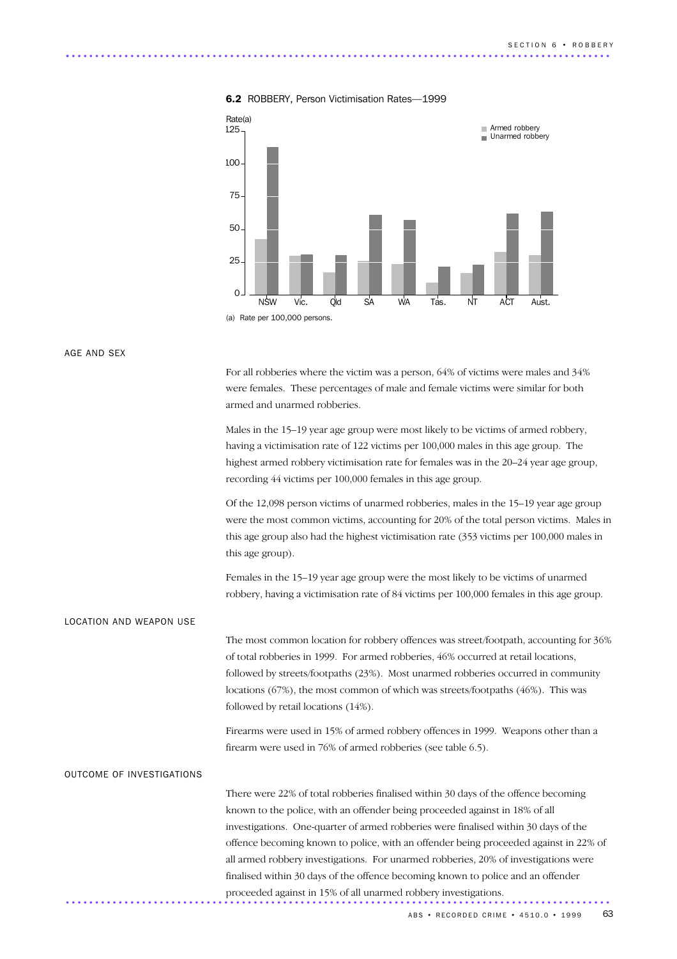

#### 6.2 ROBBERY, Person Victimisation Rates—1999

AGE AND SEX

For all robberies where the victim was a person, 64% of victims were males and 34% were females. These percentages of male and female victims were similar for both armed and unarmed robberies.

Males in the 15–19 year age group were most likely to be victims of armed robbery, having a victimisation rate of 122 victims per 100,000 males in this age group. The highest armed robbery victimisation rate for females was in the 20–24 year age group, recording 44 victims per 100,000 females in this age group.

Of the 12,098 person victims of unarmed robberies, males in the 15–19 year age group were the most common victims, accounting for 20% of the total person victims. Males in this age group also had the highest victimisation rate (353 victims per 100,000 males in this age group).

Females in the 15–19 year age group were the most likely to be victims of unarmed robbery, having a victimisation rate of 84 victims per 100,000 females in this age group.

### LOCATION AND WEAPON USE

The most common location for robbery offences was street/footpath, accounting for 36% of total robberies in 1999. For armed robberies, 46% occurred at retail locations, followed by streets/footpaths (23%). Most unarmed robberies occurred in community locations (67%), the most common of which was streets/footpaths (46%). This was followed by retail locations (14%).

Firearms were used in 15% of armed robbery offences in 1999. Weapons other than a firearm were used in 76% of armed robberies (see table 6.5).

#### OUTCOME OF INVESTIGATIONS

There were 22% of total robberies finalised within 30 days of the offence becoming known to the police, with an offender being proceeded against in 18% of all investigations. One-quarter of armed robberies were finalised within 30 days of the offence becoming known to police, with an offender being proceeded against in 22% of all armed robbery investigations. For unarmed robberies, 20% of investigations were finalised within 30 days of the offence becoming known to police and an offender proceeded against in 15% of all unarmed robbery investigations. .............................................................................................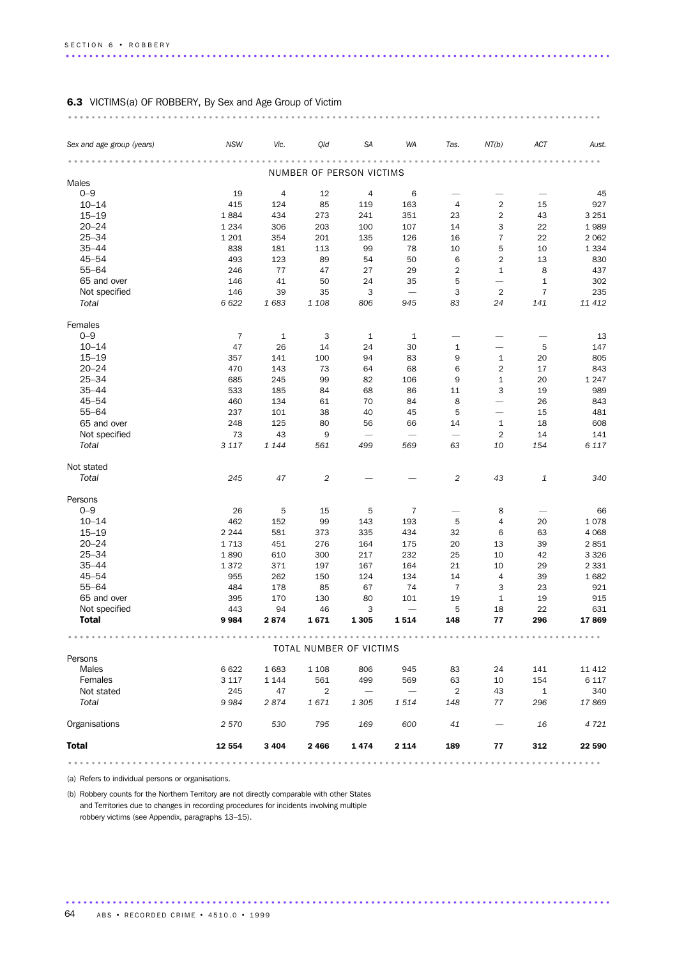### 6.3 VICTIMS(a) OF ROBBERY, By Sex and Age Group of Victim

| Sex and age group (years) | <b>NSW</b>     | Vic.           | Qld            | <b>SA</b>                | WA                       | Tas.                     | NT(b)                    | ACT            | Aust.   |
|---------------------------|----------------|----------------|----------------|--------------------------|--------------------------|--------------------------|--------------------------|----------------|---------|
|                           |                |                |                | NUMBER OF PERSON VICTIMS |                          |                          |                          |                |         |
| Males                     |                |                |                |                          |                          |                          |                          |                |         |
| $0 - 9$                   | 19             | $\overline{4}$ | 12             | 4                        | 6                        |                          |                          |                | 45      |
| $10 - 14$                 | 415            | 124            | 85             | 119                      | 163                      | 4                        | $\sqrt{2}$               | 15             | 927     |
| $15 - 19$                 | 1884           | 434            | 273            | 241                      | 351                      | 23                       | $\overline{2}$           | 43             | 3 2 5 1 |
| $20 - 24$                 | 1 2 3 4        | 306            | 203            | 100                      | 107                      | 14                       | 3                        | 22             | 1989    |
| $25 - 34$                 | 1 2 0 1        | 354            | 201            | 135                      | 126                      | 16                       | $\overline{7}$           | 22             | 2 0 6 2 |
| $35 - 44$                 | 838            | 181            | 113            | 99                       | 78                       | 10                       | 5                        | 10             | 1 3 3 4 |
| $45 - 54$                 | 493            |                |                |                          |                          |                          | $\overline{2}$           |                |         |
| $55 - 64$                 |                | 123            | 89             | 54                       | 50                       | 6                        |                          | 13             | 830     |
|                           | 246            | 77             | 47             | 27                       | 29                       | $\overline{c}$           | $\mathbf{1}$             | 8              | 437     |
| 65 and over               | 146            | 41             | 50             | 24                       | 35                       | 5                        |                          | $\mathbf 1$    | 302     |
| Not specified             | 146            | 39             | 35             | 3                        | $\overline{\phantom{m}}$ | 3                        | $\overline{2}$           | $\overline{7}$ | 235     |
| Total                     | 6 6 2 2        | 1683           | 1 1 0 8        | 806                      | 945                      | 83                       | 24                       | 141            | 11 412  |
| Females                   |                |                |                |                          |                          |                          |                          |                |         |
| $0 - 9$                   | $\overline{7}$ | $1\,$          | 3              | $1\,$                    | $\mathbf{1}$             |                          |                          |                | 13      |
| $10 - 14$                 | 47             | 26             | 14             | 24                       | 30                       | $\mathbf{1}$             | $\overline{\phantom{0}}$ | 5              | 147     |
| $15 - 19$                 | 357            | 141            | 100            | 94                       | 83                       | 9                        | $\mathbf{1}$             | 20             | 805     |
| $20 - 24$                 | 470            | 143            | 73             | 64                       | 68                       | 6                        | $\overline{2}$           | 17             | 843     |
| $25 - 34$                 | 685            | 245            | 99             | 82                       | 106                      | 9                        | $\mathbf{1}$             | 20             | 1 2 4 7 |
| $35 - 44$                 | 533            | 185            | 84             | 68                       | 86                       | 11                       | 3                        | 19             | 989     |
| $45 - 54$                 | 460            | 134            | 61             | 70                       | 84                       | 8                        | $\overline{\phantom{0}}$ | 26             | 843     |
| $55 - 64$                 | 237            | 101            | 38             | 40                       | 45                       | 5                        | $\overline{\phantom{0}}$ | 15             | 481     |
| 65 and over               | 248            | 125            | 80             | 56                       | 66                       | 14                       | $\mathbf{1}$             | 18             | 608     |
| Not specified             | 73             | 43             | 9              | $\overline{\phantom{0}}$ | $\overline{\phantom{0}}$ | $\overline{\phantom{0}}$ | $\overline{2}$           | 14             | 141     |
| Total                     | 3 1 1 7        | 1 1 4 4        | 561            | 499                      | 569                      | 63                       | 10                       | 154            | 6 1 1 7 |
| Not stated                |                |                |                |                          |                          |                          |                          |                |         |
| Total                     | 245            | 47             | $\overline{c}$ |                          |                          | $\overline{c}$           | 43                       | 1              | 340     |
| Persons                   |                |                |                |                          |                          |                          |                          |                |         |
| $0 - 9$                   | 26             | 5              | 15             | 5                        | 7                        |                          | 8                        |                | 66      |
| $10 - 14$                 | 462            | 152            | 99             | 143                      | 193                      | 5                        | 4                        | 20             | 1078    |
| $15 - 19$                 | 2 2 4 4        | 581            | 373            | 335                      | 434                      | 32                       | 6                        | 63             | 4 0 6 8 |
| $20 - 24$                 | 1713           | 451            | 276            | 164                      | 175                      | 20                       | 13                       | 39             | 2851    |
| $25 - 34$                 | 1890           | 610            | 300            | 217                      | 232                      | 25                       | 10                       | 42             | 3 3 2 6 |
| $35 - 44$                 | 1372           | 371            | 197            | 167                      | 164                      | 21                       | 10                       | 29             | 2 3 3 1 |
| $45 - 54$                 | 955            | 262            | 150            | 124                      | 134                      | 14                       | 4                        | 39             | 1682    |
| $55 - 64$                 | 484            | 178            | 85             | 67                       | 74                       | $\overline{7}$           | 3                        | 23             | 921     |
| 65 and over               | 395            | 170            | 130            | 80                       | 101                      | 19                       | $1\,$                    | 19             | 915     |
| Not specified             | 443            | 94             | 46             | 3                        | $\overline{\phantom{0}}$ | 5                        | 18                       | 22             | 631     |
| Total                     | 9984           | 2874           | 1671           | 1 3 0 5                  | 1514                     | 148                      | 77                       | 296            | 17869   |
|                           |                |                |                |                          |                          |                          |                          |                |         |
| Persons                   |                |                |                | TOTAL NUMBER OF VICTIMS  |                          |                          |                          |                |         |
| Males                     | 6 6 22         | 1683           | 1 1 0 8        | 806                      | 945                      | 83                       | 24                       | 141            | 11 4 12 |
| Females                   | 3 1 1 7        | 1 1 4 4        | 561            | 499                      | 569                      | 63                       | 10                       | 154            | 6 1 1 7 |
| Not stated                | 245            | 47             | $\overline{2}$ |                          |                          | $\overline{2}$           | 43                       | $\mathbf{1}$   | 340     |
| Total                     |                |                |                |                          |                          |                          |                          |                |         |
|                           | 9984           | 2874           | 1671           | 1 3 0 5                  | 1514                     | 148                      | 77                       | 296            | 17869   |
| Organisations             | 2 570          | 530            | 795            | 169                      | 600                      | 41                       |                          | 16             | 4 7 2 1 |
| <b>Total</b>              | 12 554         | 3 4 0 4        | 2466           | 1474                     | 2 1 1 4                  | 189                      | 77                       | 312            | 22 590  |
|                           |                |                |                |                          |                          |                          |                          | .              |         |

.............................................................................................

(a) Refers to individual persons or organisations.

(b) Robbery counts for the Northern Territory are not directly comparable with other States and Territories due to changes in recording procedures for incidents involving multiple robbery victims (see Appendix, paragraphs 13–15).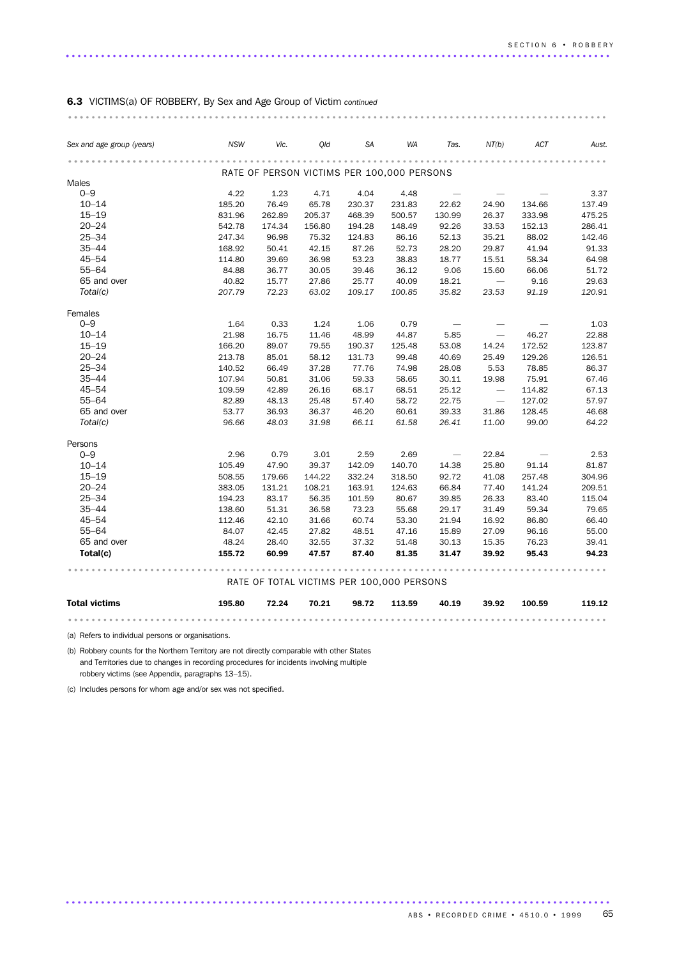|  | 6.3 VICTIMS(a) OF ROBBERY, By Sex and Age Group of Victim continued |  |  |  |  |
|--|---------------------------------------------------------------------|--|--|--|--|
|  |                                                                     |  |  |  |  |

| Sex and age group (years) | <b>NSW</b> | Vic.   | Old    | SA     | WA                                         | Tas.                     | NT(b)                    | <b>ACT</b> | Aust.  |
|---------------------------|------------|--------|--------|--------|--------------------------------------------|--------------------------|--------------------------|------------|--------|
|                           |            |        |        |        |                                            |                          |                          |            |        |
|                           |            |        |        |        | RATE OF PERSON VICTIMS PER 100,000 PERSONS |                          |                          |            |        |
| <b>Males</b><br>$0 - 9$   | 4.22       | 1.23   | 4.71   | 4.04   | 4.48                                       |                          |                          |            | 3.37   |
| $10 - 14$                 | 185.20     | 76.49  | 65.78  | 230.37 | 231.83                                     | 22.62                    | 24.90                    | 134.66     | 137.49 |
| $15 - 19$                 | 831.96     | 262.89 | 205.37 | 468.39 | 500.57                                     | 130.99                   | 26.37                    | 333.98     | 475.25 |
| $20 - 24$                 | 542.78     | 174.34 | 156.80 | 194.28 | 148.49                                     | 92.26                    | 33.53                    | 152.13     | 286.41 |
| $25 - 34$                 | 247.34     | 96.98  | 75.32  | 124.83 | 86.16                                      | 52.13                    | 35.21                    | 88.02      | 142.46 |
| $35 - 44$                 | 168.92     | 50.41  | 42.15  | 87.26  | 52.73                                      | 28.20                    | 29.87                    | 41.94      | 91.33  |
| $45 - 54$                 | 114.80     | 39.69  | 36.98  | 53.23  | 38.83                                      | 18.77                    | 15.51                    | 58.34      | 64.98  |
| $55 - 64$                 | 84.88      | 36.77  | 30.05  | 39.46  | 36.12                                      | 9.06                     | 15.60                    | 66.06      | 51.72  |
| 65 and over               | 40.82      | 15.77  | 27.86  | 25.77  | 40.09                                      | 18.21                    | $\overline{\phantom{a}}$ | 9.16       | 29.63  |
| Total(c)                  | 207.79     | 72.23  | 63.02  | 109.17 | 100.85                                     | 35.82                    | 23.53                    | 91.19      | 120.91 |
| Females                   |            |        |        |        |                                            |                          |                          |            |        |
| $0 - 9$                   | 1.64       | 0.33   | 1.24   | 1.06   | 0.79                                       |                          |                          |            | 1.03   |
| $10 - 14$                 | 21.98      | 16.75  | 11.46  | 48.99  | 44.87                                      | 5.85                     | $\overline{\phantom{m}}$ | 46.27      | 22.88  |
| $15 - 19$                 | 166.20     | 89.07  | 79.55  | 190.37 | 125.48                                     | 53.08                    | 14.24                    | 172.52     | 123.87 |
| $20 - 24$                 | 213.78     | 85.01  | 58.12  | 131.73 | 99.48                                      | 40.69                    | 25.49                    | 129.26     | 126.51 |
| $25 - 34$                 | 140.52     | 66.49  | 37.28  | 77.76  | 74.98                                      | 28.08                    | 5.53                     | 78.85      | 86.37  |
| $35 - 44$                 | 107.94     | 50.81  | 31.06  | 59.33  | 58.65                                      | 30.11                    | 19.98                    | 75.91      | 67.46  |
| $45 - 54$                 | 109.59     | 42.89  | 26.16  | 68.17  | 68.51                                      | 25.12                    | $\overline{\phantom{m}}$ | 114.82     | 67.13  |
| $55 - 64$                 | 82.89      | 48.13  | 25.48  | 57.40  | 58.72                                      | 22.75                    | $\overline{\phantom{m}}$ | 127.02     | 57.97  |
| 65 and over               | 53.77      | 36.93  | 36.37  | 46.20  | 60.61                                      | 39.33                    | 31.86                    | 128.45     | 46.68  |
| Total(c)                  | 96.66      | 48.03  | 31.98  | 66.11  | 61.58                                      | 26.41                    | 11.00                    | 99.00      | 64.22  |
| Persons                   |            |        |        |        |                                            |                          |                          |            |        |
| $0 - 9$                   | 2.96       | 0.79   | 3.01   | 2.59   | 2.69                                       | $\overline{\phantom{m}}$ | 22.84                    |            | 2.53   |
| $10 - 14$                 | 105.49     | 47.90  | 39.37  | 142.09 | 140.70                                     | 14.38                    | 25.80                    | 91.14      | 81.87  |
| $15 - 19$                 | 508.55     | 179.66 | 144.22 | 332.24 | 318.50                                     | 92.72                    | 41.08                    | 257.48     | 304.96 |
| $20 - 24$                 | 383.05     | 131.21 | 108.21 | 163.91 | 124.63                                     | 66.84                    | 77.40                    | 141.24     | 209.51 |
| $25 - 34$                 | 194.23     | 83.17  | 56.35  | 101.59 | 80.67                                      | 39.85                    | 26.33                    | 83.40      | 115.04 |
| $35 - 44$                 | 138.60     | 51.31  | 36.58  | 73.23  | 55.68                                      | 29.17                    | 31.49                    | 59.34      | 79.65  |
| $45 - 54$                 | 112.46     | 42.10  | 31.66  | 60.74  | 53.30                                      | 21.94                    | 16.92                    | 86.80      | 66.40  |
| $55 - 64$                 | 84.07      | 42.45  | 27.82  | 48.51  | 47.16                                      | 15.89                    | 27.09                    | 96.16      | 55.00  |
| 65 and over               | 48.24      | 28.40  | 32.55  | 37.32  | 51.48                                      | 30.13                    | 15.35                    | 76.23      | 39.41  |
| Total(c)                  | 155.72     | 60.99  | 47.57  | 87.40  | 81.35                                      | 31.47                    | 39.92                    | 95.43      | 94.23  |
|                           | .          |        |        |        | RATE OF TOTAL VICTIMS PER 100,000 PERSONS  | .                        |                          |            |        |
| <b>Total victims</b>      | 195.80     | 72.24  | 70.21  | 98.72  | 113.59                                     | 40.19                    | 39.92                    | 100.59     | 119.12 |
|                           |            |        |        |        |                                            |                          |                          |            |        |

.............................................................................................

............................................................................................ ...

(a) Refers to individual persons or organisations.

(b) Robbery counts for the Northern Territory are not directly comparable with other States and Territories due to changes in recording procedures for incidents involving multiple robbery victims (see Appendix, paragraphs 13–15).

(c) Includes persons for whom age and/or sex was not specified.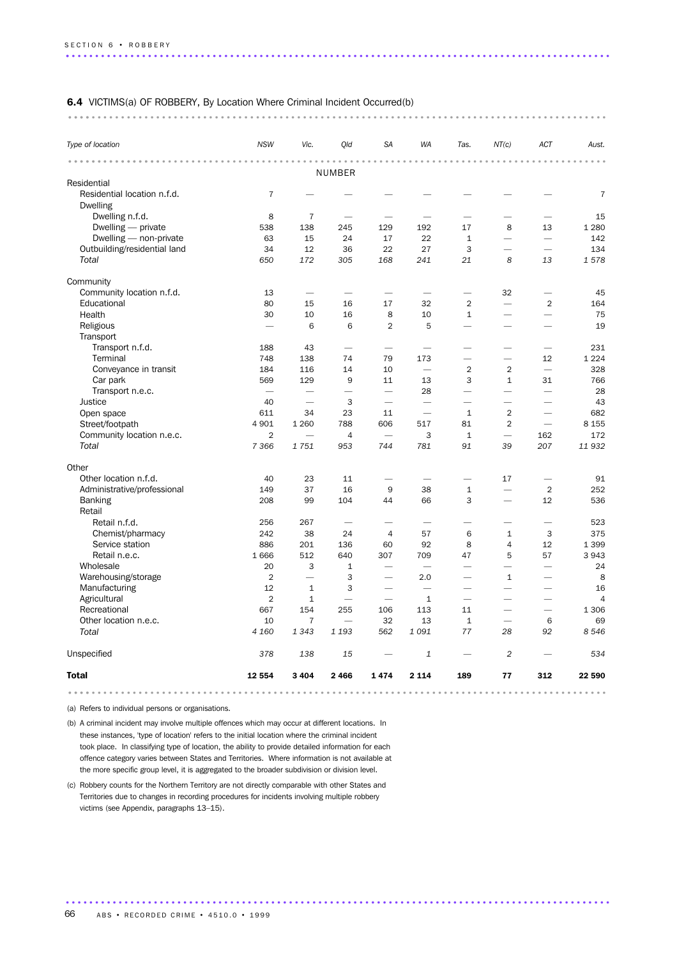| <b>6.4</b> VICTIMS(a) OF ROBBERY, By Location Where Criminal Incident Occurred(b) |  |
|-----------------------------------------------------------------------------------|--|
|                                                                                   |  |

| Type of location                               | <b>NSW</b>               | Vic.                     | Old                      | <b>SA</b>                | <b>WA</b>                                  | Tas.                         | NT(c)                    | ACT                      | Aust.          |
|------------------------------------------------|--------------------------|--------------------------|--------------------------|--------------------------|--------------------------------------------|------------------------------|--------------------------|--------------------------|----------------|
| .                                              |                          |                          | <b>NUMBER</b>            |                          | $\sim$ $\sim$<br>$\sim$ $\sim$<br>$\alpha$ | $-0.00$<br>$\alpha$          |                          |                          |                |
| Residential                                    |                          |                          |                          |                          |                                            |                              |                          |                          |                |
| Residential location n.f.d.<br><b>Dwelling</b> | $\overline{7}$           |                          |                          |                          |                                            |                              |                          |                          | $\overline{7}$ |
| Dwelling n.f.d.                                | 8                        | $\overline{7}$           |                          |                          |                                            |                              |                          |                          | 15             |
| Dwelling - private                             | 538                      | 138                      | 245                      | 129                      | 192                                        | 17                           | 8                        | 13                       | 1 2 8 0        |
| Dwelling - non-private                         | 63                       | 15                       | 24                       | 17                       | 22                                         | $\mathbf{1}$                 | $\overline{\phantom{0}}$ | $\overline{\phantom{0}}$ | 142            |
| Outbuilding/residential land                   | 34                       | 12                       | 36                       | 22                       | 27                                         | 3                            | $\overline{\phantom{0}}$ | $\overline{\phantom{0}}$ | 134            |
| <b>Total</b>                                   | 650                      | 172                      | 305                      | 168                      | 241                                        | 21                           | 8                        | 13                       | 1578           |
| Community                                      |                          |                          |                          |                          |                                            |                              |                          |                          |                |
| Community location n.f.d.                      | 13                       | $\overline{\phantom{0}}$ |                          | -                        |                                            | $\overline{\phantom{0}}$     | 32                       | $\overline{\phantom{0}}$ | 45             |
| Educational                                    | 80                       | 15                       | 16                       | 17                       | 32                                         | $\overline{2}$               | $\overline{\phantom{0}}$ | $\overline{2}$           | 164            |
| Health                                         | 30                       | 10                       | 16                       | 8                        | 10                                         | $\mathbf{1}$                 | $\overline{\phantom{0}}$ | -                        | 75             |
| Religious                                      |                          | 6                        | 6                        | $\overline{2}$           | 5                                          | $\overline{\phantom{0}}$     |                          |                          | 19             |
| Transport                                      |                          |                          |                          |                          |                                            |                              |                          |                          |                |
| Transport n.f.d.                               | 188                      | 43                       | $\overline{\phantom{0}}$ | $\overline{\phantom{0}}$ | $\overline{\phantom{0}}$                   | $\overline{\phantom{0}}$     | $\overline{\phantom{0}}$ | $\overline{\phantom{0}}$ | 231            |
| Terminal                                       | 748                      | 138                      | 74                       | 79                       | 173                                        | $\overline{\phantom{0}}$     | $\overline{\phantom{0}}$ | 12                       | 1 2 2 4        |
| Conveyance in transit                          | 184                      | 116                      | 14                       | 10                       | $\overline{\phantom{0}}$                   | $\overline{2}$               | $\overline{2}$           |                          | 328            |
| Car park                                       | 569                      | 129                      | 9                        | 11                       | 13                                         | 3                            | $\mathbf{1}$             | 31                       | 766            |
| Transport n.e.c.                               | $\overline{\phantom{0}}$ |                          | $\overline{\phantom{0}}$ | $\overline{\phantom{0}}$ | 28                                         | $\overline{\phantom{0}}$     | $\overline{\phantom{0}}$ | $\overline{\phantom{0}}$ | 28             |
| Justice                                        | 40                       | $\overline{\phantom{0}}$ | 3                        |                          | $\overline{\phantom{0}}$                   | $\overline{\phantom{0}}$     | $\overline{\phantom{0}}$ |                          | 43             |
| Open space                                     | 611                      | 34                       | 23                       | 11                       | $\overline{\phantom{0}}$                   | $\mathbf{1}$                 | $\overline{2}$           | $\overline{\phantom{0}}$ | 682            |
| Street/footpath                                | 4 9 0 1                  | 1 2 6 0                  | 788                      | 606                      | 517                                        | 81                           | $\overline{2}$           |                          | 8 1 5 5        |
| Community location n.e.c.                      | $\overline{2}$           |                          | $\overline{4}$           |                          | 3                                          | $\mathbf{1}$                 |                          | 162                      | 172            |
| Total                                          | 7 3 6 6                  | 1751                     | 953                      | 744                      | 781                                        | 91                           | 39                       | 207                      | 11932          |
| Other                                          |                          |                          |                          |                          |                                            |                              |                          |                          |                |
| Other location n.f.d.                          | 40                       | 23                       | 11                       |                          | $\overline{\phantom{0}}$                   |                              | 17                       | $\overline{\phantom{0}}$ | 91             |
| Administrative/professional                    | 149                      | 37                       | 16                       | 9                        | 38                                         | $\mathbf{1}$                 | $\overline{\phantom{0}}$ | $\overline{2}$           | 252            |
| <b>Banking</b><br>Retail                       | 208                      | 99                       | 104                      | 44                       | 66                                         | 3                            | $\overline{\phantom{a}}$ | 12                       | 536            |
| Retail n.f.d.                                  | 256                      | 267                      |                          |                          |                                            |                              |                          |                          | 523            |
| Chemist/pharmacy                               | 242                      | 38                       | 24                       | $\overline{4}$           | 57                                         | 6                            | $\mathbf{1}$             | 3                        | 375            |
| Service station                                | 886                      | 201                      | 136                      | 60                       | 92                                         | 8                            | $\overline{4}$           | 12                       | 1 3 9 9        |
| Retail n.e.c.                                  | 1666                     | 512                      | 640                      | 307                      | 709                                        | 47                           | 5                        | 57                       | 3943           |
| Wholesale                                      | 20                       | 3                        | $\mathbf{1}$             |                          | $\overline{\phantom{a}}$                   | $\overline{\phantom{0}}$     | $\overline{\phantom{0}}$ | $\overline{\phantom{0}}$ | 24             |
| Warehousing/storage                            | $\overline{2}$           | $\overline{\phantom{0}}$ | 3                        |                          | 2.0                                        | $\overline{\phantom{0}}$     | $\mathbf{1}$             |                          | 8              |
| Manufacturing                                  | 12                       | $\mathbf{1}$             | 3                        |                          | $\overline{\phantom{0}}$                   | $\overline{\phantom{0}}$     | $\overline{\phantom{0}}$ | $\overline{\phantom{0}}$ | 16             |
| Agricultural                                   | $\overline{2}$           | $\mathbf{1}$             | $\overline{\phantom{0}}$ | $\overline{\phantom{0}}$ | $\mathbf{1}$                               | $\overbrace{\qquad \qquad }$ | $\overline{\phantom{0}}$ | $\overline{\phantom{0}}$ | $\overline{4}$ |
| Recreational                                   | 667                      | 154                      | 255                      | 106                      | 113                                        | 11                           | $\overline{\phantom{0}}$ | $\overline{\phantom{0}}$ | 1 3 0 6        |
| Other location n.e.c.                          | 10                       | $\overline{7}$           |                          | 32                       | 13                                         | $\mathbf{1}$                 |                          | 6                        | 69             |
| Total                                          | 4 160                    | 1343                     | 1 1 9 3                  | 562                      | 1091                                       | 77                           | 28                       | 92                       | 8546           |
| Unspecified                                    | 378                      | 138                      | 15                       |                          | $\mathbf 1$                                |                              | $\overline{2}$           |                          | 534            |
| <b>Total</b>                                   | 12 554                   | 3 4 0 4                  | 2 4 6 6                  | 1474                     | 2 1 1 4                                    | 189                          | 77                       | 312                      | 22 590         |
|                                                |                          |                          |                          | .                        |                                            |                              |                          |                          |                |

(a) Refers to individual persons or organisations.

(b) A criminal incident may involve multiple offences which may occur at different locations. In these instances, 'type of location' refers to the initial location where the criminal incident took place. In classifying type of location, the ability to provide detailed information for each offence category varies between States and Territories. Where information is not available at the more specific group level, it is aggregated to the broader subdivision or division level.

(c) Robbery counts for the Northern Territory are not directly comparable with other States and Territories due to changes in recording procedures for incidents involving multiple robbery victims (see Appendix, paragraphs 13–15).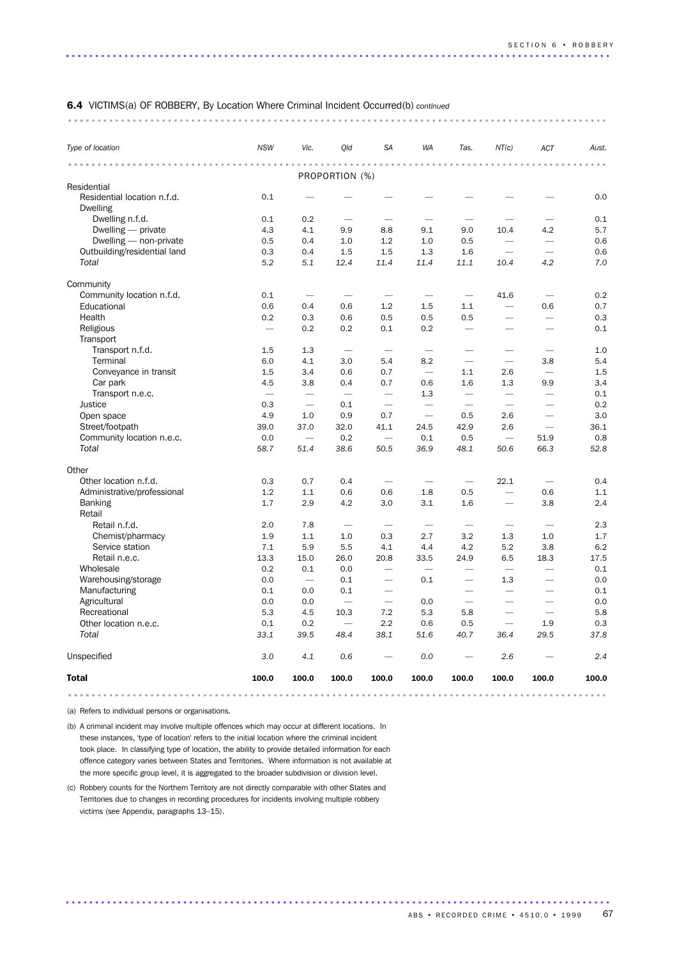#### 6.4 VICTIMS(a) OF ROBBERY, By Location Where Criminal Incident Occurred(b) *continued*

#### ............................................................................................ ...

| Type of location                               | <b>NSW</b>               | Vic.                     | Qld                      | <b>SA</b>                | WA                       | Tas.                     | NT(c)                    | ACT                      | Aust. |
|------------------------------------------------|--------------------------|--------------------------|--------------------------|--------------------------|--------------------------|--------------------------|--------------------------|--------------------------|-------|
|                                                | $- - - - - - - -$        |                          |                          |                          |                          |                          |                          |                          |       |
| Residential                                    |                          |                          | PROPORTION (%)           |                          |                          |                          |                          |                          |       |
| Residential location n.f.d.<br><b>Dwelling</b> | 0.1                      |                          |                          |                          |                          |                          |                          |                          | 0.0   |
| Dwelling n.f.d.                                | 0.1                      | 0.2                      |                          |                          |                          |                          |                          |                          | 0.1   |
| Dwelling — private                             | 4.3                      | 4.1                      | 9.9                      | 8.8                      | 9.1                      | 9.0                      | 10.4                     | 4.2                      | 5.7   |
| Dwelling - non-private                         | 0.5                      | 0.4                      | 1.0                      | 1.2                      | 1.0                      | 0.5                      |                          | $\overline{\phantom{0}}$ | 0.6   |
| Outbuilding/residential land                   | 0.3                      | 0.4                      | 1.5                      | 1.5                      | 1.3                      | 1.6                      | $\overline{\phantom{a}}$ | $\overline{\phantom{0}}$ | 0.6   |
| Total                                          | 5.2                      | 5.1                      | 12.4                     | 11.4                     | 11.4                     | 11.1                     | 10.4                     | 4.2                      | 7.0   |
| Community                                      |                          |                          |                          |                          |                          |                          |                          |                          |       |
| Community location n.f.d.                      | 0.1                      | -                        |                          | -                        | -                        | $\overline{\phantom{0}}$ | 41.6                     | $\overline{\phantom{a}}$ | 0.2   |
| Educational                                    | 0.6                      | 0.4                      | 0.6                      | 1.2                      | 1.5                      | 1.1                      | $\overline{\phantom{0}}$ | 0.6                      | 0.7   |
| Health                                         | 0.2                      | 0.3                      | 0.6                      | 0.5                      | 0.5                      | 0.5                      |                          |                          | 0.3   |
| Religious                                      |                          | 0.2                      | 0.2                      | 0.1                      | 0.2                      |                          |                          |                          | 0.1   |
| Transport                                      |                          |                          |                          |                          |                          |                          |                          |                          |       |
| Transport n.f.d.                               | 1.5                      | 1.3                      | $\overline{\phantom{a}}$ |                          | $\overline{\phantom{0}}$ |                          |                          |                          | 1.0   |
| Terminal                                       | 6.0                      | 4.1                      | 3.0                      | 5.4                      | 8.2                      |                          | $\overline{\phantom{0}}$ | 3.8                      | 5.4   |
| Conveyance in transit                          | 1.5                      | 3.4                      | 0.6                      | 0.7                      |                          | 1.1                      | 2.6                      | $\overline{\phantom{0}}$ | 1.5   |
| Car park                                       | 4.5                      | 3.8                      | 0.4                      | 0.7                      | 0.6                      | 1.6                      | 1.3                      | 9.9                      | 3.4   |
| Transport n.e.c.                               | $\overline{\phantom{0}}$ | $\overline{\phantom{0}}$ | $\overline{\phantom{0}}$ | $\overline{\phantom{0}}$ | 1.3                      | $\overline{\phantom{0}}$ | $\overline{\phantom{0}}$ | $\overline{\phantom{0}}$ | 0.1   |
| Justice                                        | 0.3                      | $\overline{\phantom{0}}$ | 0.1                      | $\overline{\phantom{0}}$ |                          | $\overline{\phantom{0}}$ |                          |                          | 0.2   |
| Open space                                     | 4.9                      | 1.0                      | 0.9                      | 0.7                      | $\overline{\phantom{0}}$ | 0.5                      | 2.6                      |                          | 3.0   |
| Street/footpath                                | 39.0                     | 37.0                     | 32.0                     | 41.1                     | 24.5                     | 42.9                     | 2.6                      | $\overline{\phantom{0}}$ | 36.1  |
| Community location n.e.c.                      | 0.0                      | $\overline{\phantom{0}}$ | 0.2                      |                          | 0.1                      | 0.5                      | $\overline{\phantom{0}}$ | 51.9                     | 0.8   |
| Total                                          | 58.7                     | 51.4                     | 38.6                     | 50.5                     | 36.9                     | 48.1                     | 50.6                     | 66.3                     | 52.8  |
| Other                                          |                          |                          |                          |                          |                          |                          |                          |                          |       |
| Other location n.f.d.                          | 0.3                      | 0.7                      | 0.4                      |                          |                          | $\overline{\phantom{0}}$ | 22.1                     |                          | 0.4   |
| Administrative/professional                    | 1.2                      | 1.1                      | 0.6                      | 0.6                      | 1.8                      | 0.5                      | $\overline{\phantom{0}}$ | 0.6                      | 1.1   |
| <b>Banking</b><br>Retail                       | 1.7                      | 2.9                      | 4.2                      | 3.0                      | 3.1                      | 1.6                      |                          | 3.8                      | 2.4   |
| Retail n.f.d.                                  | 2.0                      | 7.8                      | $\overline{\phantom{0}}$ | $\overline{\phantom{0}}$ | $\overline{\phantom{0}}$ | $\overline{\phantom{0}}$ | $\overline{\phantom{0}}$ | $\overline{\phantom{0}}$ | 2.3   |
| Chemist/pharmacy                               | 1.9                      | 1.1                      | 1.0                      | 0.3                      | 2.7                      | 3.2                      | 1.3                      | 1.0                      | 1.7   |
| Service station                                | 7.1                      | 5.9                      | 5.5                      | 4.1                      | 4.4                      | 4.2                      | 5.2                      | 3.8                      | 6.2   |
| Retail n.e.c.                                  | 13.3                     | 15.0                     | 26.0                     | 20.8                     | 33.5                     | 24.9                     | 6.5                      | 18.3                     | 17.5  |
| Wholesale                                      | 0.2                      | 0.1                      | 0.0                      |                          |                          |                          | -                        |                          | 0.1   |
| Warehousing/storage                            | 0.0                      | $\frac{1}{2}$            | 0.1                      | $\overline{\phantom{0}}$ | 0.1                      | $\overline{\phantom{0}}$ | 1.3                      |                          | 0.0   |
| Manufacturing                                  | 0.1                      | 0.0                      | 0.1                      |                          |                          |                          | $\overline{\phantom{0}}$ |                          | 0.1   |
| Agricultural                                   | 0.0                      | 0.0                      | $\overline{\phantom{0}}$ | $\overline{\phantom{0}}$ | 0.0                      | $\overline{\phantom{0}}$ | $\overline{\phantom{0}}$ |                          | 0.0   |
| Recreational                                   | 5.3                      | 4.5                      | 10.3                     | 7.2                      | 5.3                      | 5.8                      | $\overline{\phantom{0}}$ | $\overline{\phantom{0}}$ | 5.8   |
| Other location n.e.c.                          | 0.1                      | 0.2                      |                          | 2.2                      | 0.6                      | 0.5                      | $\overline{\phantom{0}}$ | 1.9                      | 0.3   |
| Total                                          | 33.1                     | 39.5                     | 48.4                     | 38.1                     | 51.6                     | 40.7                     | 36.4                     | 29.5                     | 37.8  |
| Unspecified                                    | 3.0                      | 4.1                      | 0.6                      |                          | 0.0                      |                          | 2.6                      |                          | 2.4   |
| <b>Total</b>                                   | 100.0                    | 100.0                    | 100.0                    | 100.0                    | 100.0                    | 100.0                    | 100.0                    | 100.0                    | 100.0 |
|                                                |                          |                          |                          |                          |                          |                          |                          |                          |       |

.............................................................................................

(a) Refers to individual persons or organisations.

(b) A criminal incident may involve multiple offences which may occur at different locations. In these instances, 'type of location' refers to the initial location where the criminal incident took place. In classifying type of location, the ability to provide detailed information for each offence category varies between States and Territories. Where information is not available at the more specific group level, it is aggregated to the broader subdivision or division level.

(c) Robbery counts for the Northern Territory are not directly comparable with other States and Territories due to changes in recording procedures for incidents involving multiple robbery victims (see Appendix, paragraphs 13–15).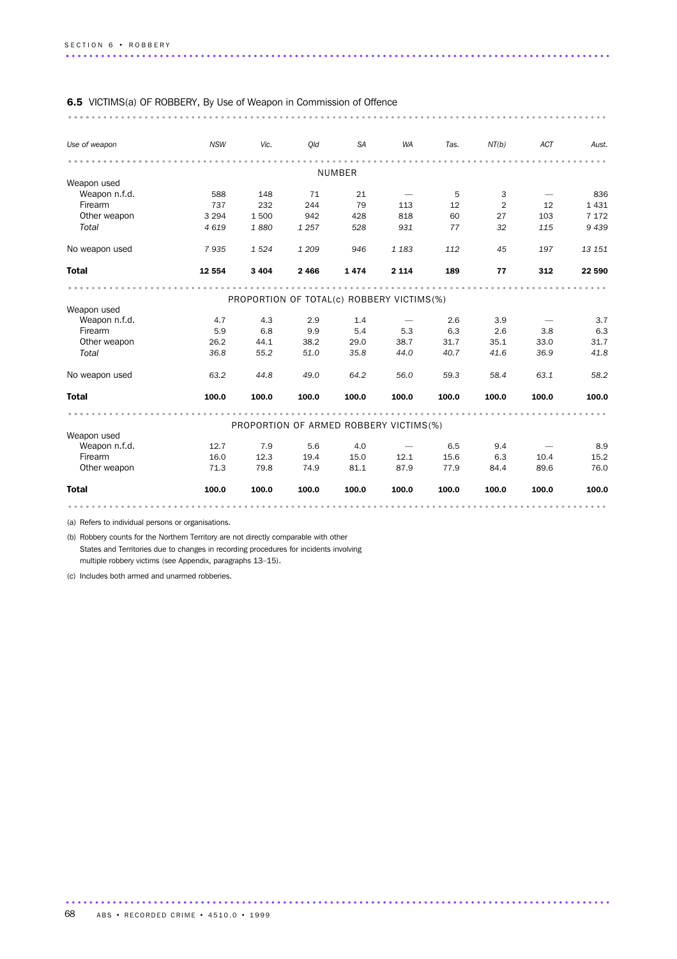| <b>6.5</b> VICTIMS(a) OF ROBBERY, By Use of Weapon in Commission of Offence |            |         |         |               |                                           |       |                |                          |         |
|-----------------------------------------------------------------------------|------------|---------|---------|---------------|-------------------------------------------|-------|----------------|--------------------------|---------|
| Use of weapon                                                               | <b>NSW</b> | Vic.    | Old     | SA            | WA                                        | Tas.  | NT(b)          | <b>ACT</b>               | Aust.   |
|                                                                             |            |         |         |               |                                           |       |                |                          |         |
| Weapon used                                                                 |            |         |         | <b>NUMBER</b> |                                           |       |                |                          |         |
| Weapon n.f.d.                                                               | 588        | 148     | 71      | 21            |                                           | 5     | 3              |                          | 836     |
| Firearm                                                                     | 737        | 232     | 244     | 79            | 113                                       | 12    | $\overline{2}$ | 12                       | 1431    |
| Other weapon                                                                | 3 2 9 4    | 1500    | 942     | 428           | 818                                       | 60    | 27             | 103                      | 7 1 7 2 |
| Total                                                                       | 4 6 1 9    | 1880    | 1 2 5 7 | 528           | 931                                       | 77    | 32             | 115                      | 9439    |
| No weapon used                                                              | 7935       | 1524    | 1 2 0 9 | 946           | 1 1 8 3                                   | 112   | 45             | 197                      | 13 151  |
| <b>Total</b>                                                                | 12 5 54    | 3 4 0 4 | 2 4 6 6 | 1474          | 2 1 1 4                                   | 189   | 77             | 312                      | 22 590  |
|                                                                             |            |         |         |               |                                           |       |                |                          |         |
|                                                                             |            |         |         |               | PROPORTION OF TOTAL(c) ROBBERY VICTIMS(%) |       |                |                          |         |
| Weapon used                                                                 |            |         |         |               |                                           |       |                |                          |         |
| Weapon n.f.d.                                                               | 4.7        | 4.3     | 2.9     | 1.4           | $\hspace{0.1mm}-\hspace{0.1mm}$           | 2.6   | 3.9            |                          | 3.7     |
| Firearm                                                                     | 5.9        | 6.8     | 9.9     | 5.4           | 5.3                                       | 6.3   | 2.6            | 3.8                      | 6.3     |
| Other weapon                                                                | 26.2       | 44.1    | 38.2    | 29.0          | 38.7                                      | 31.7  | 35.1           | 33.0                     | 31.7    |
| Total                                                                       | 36.8       | 55.2    | 51.0    | 35.8          | 44.0                                      | 40.7  | 41.6           | 36.9                     | 41.8    |
| No weapon used                                                              | 63.2       | 44.8    | 49.0    | 64.2          | 56.0                                      | 59.3  | 58.4           | 63.1                     | 58.2    |
| <b>Total</b>                                                                | 100.0      | 100.0   | 100.0   | 100.0         | 100.0                                     | 100.0 | 100.0          | 100.0                    | 100.0   |
|                                                                             |            |         |         |               | PROPORTION OF ARMED ROBBERY VICTIMS(%)    |       |                |                          |         |
| Weapon used                                                                 |            |         |         |               |                                           |       |                |                          |         |
| Weapon n.f.d.                                                               | 12.7       | 7.9     | 5.6     | 4.0           | $\overline{\phantom{m}}$                  | 6.5   | 9.4            | $\overline{\phantom{a}}$ | 8.9     |
| Firearm                                                                     | 16.0       | 12.3    | 19.4    | 15.0          | 12.1                                      | 15.6  | 6.3            | 10.4                     | 15.2    |
| Other weapon                                                                | 71.3       | 79.8    | 74.9    | 81.1          | 87.9                                      | 77.9  | 84.4           | 89.6                     | 76.0    |
| <b>Total</b>                                                                | 100.0      | 100.0   | 100.0   | 100.0         | 100.0                                     | 100.0 | 100.0          | 100.0                    | 100.0   |
|                                                                             |            |         |         |               |                                           |       |                |                          |         |

.............................................................................................

(a) Refers to individual persons or organisations.

(b) Robbery counts for the Northern Territory are not directly comparable with other States and Territories due to changes in recording procedures for incidents involving multiple robbery victims (see Appendix, paragraphs 13–15).

(c) Includes both armed and unarmed robberies.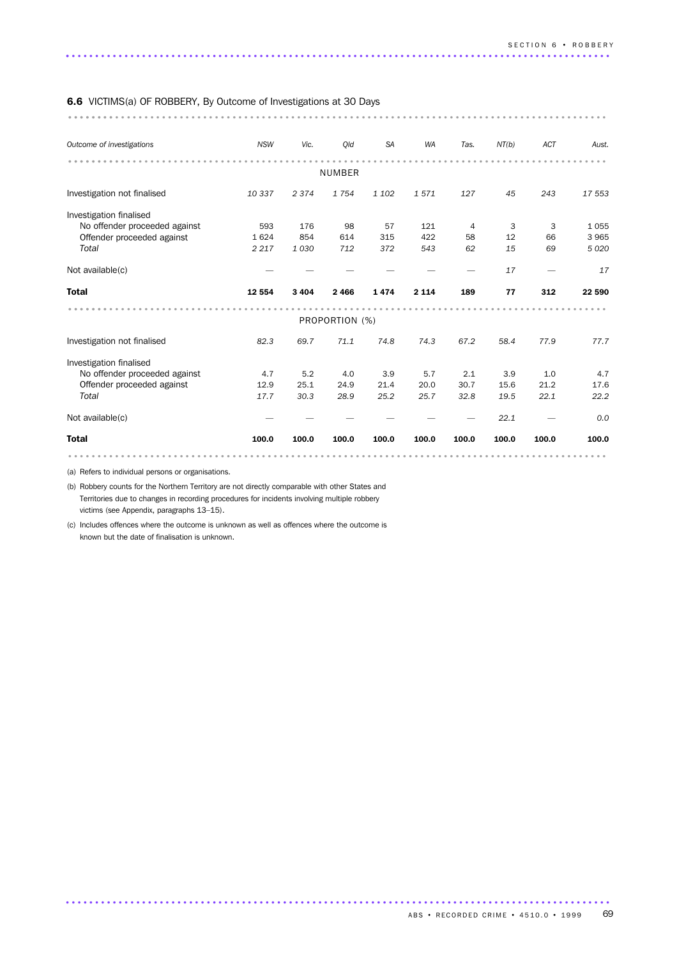#### 6.6 VICTIMS(a) OF ROBBERY, By Outcome of Investigations at 30 Days

............................................................................................ ........

| Outcome of investigations     | <b>NSW</b> | Vic.    | Old            | <b>SA</b> | WA      | Tas.  | NT(b) | <b>ACT</b> | Aust.   |
|-------------------------------|------------|---------|----------------|-----------|---------|-------|-------|------------|---------|
|                               |            |         | NUMBER         |           |         |       |       |            |         |
| Investigation not finalised   | 10 337     | 2374    | 1754           | 1 1 0 2   | 1571    | 127   | 45    | 243        | 17 553  |
| Investigation finalised       |            |         |                |           |         |       |       |            |         |
| No offender proceeded against | 593        | 176     | 98             | 57        | 121     | 4     | 3     | 3          | 1055    |
| Offender proceeded against    | 1624       | 854     | 614            | 315       | 422     | 58    | 12    | 66         | 3 9 6 5 |
| Total                         | 2 2 1 7    | 1030    | 712            | 372       | 543     | 62    | 15    | 69         | 5 0 20  |
| Not available(c)              |            |         |                |           |         |       | 17    |            | 17      |
| <b>Total</b>                  | 12 5 54    | 3 4 0 4 | 2466           | 1474      | 2 1 1 4 | 189   | 77    | 312        | 22 590  |
|                               |            |         | PROPORTION (%) |           |         |       |       |            |         |
| Investigation not finalised   | 82.3       | 69.7    | 71.1           | 74.8      | 74.3    | 67.2  | 58.4  | 77.9       | 77.7    |
| Investigation finalised       |            |         |                |           |         |       |       |            |         |
| No offender proceeded against | 4.7        | 5.2     | 4.0            | 3.9       | 5.7     | 2.1   | 3.9   | 1.0        | 4.7     |
| Offender proceeded against    | 12.9       | 25.1    | 24.9           | 21.4      | 20.0    | 30.7  | 15.6  | 21.2       | 17.6    |
| Total                         | 17.7       | 30.3    | 28.9           | 25.2      | 25.7    | 32.8  | 19.5  | 22.1       | 22.2    |
| Not available(c)              |            |         |                |           |         |       | 22.1  |            | 0.0     |
| <b>Total</b>                  | 100.0      | 100.0   | 100.0          | 100.0     | 100.0   | 100.0 | 100.0 | 100.0      | 100.0   |
|                               |            |         |                |           |         |       |       |            |         |

.............................................................................................

(a) Refers to individual persons or organisations.

(b) Robbery counts for the Northern Territory are not directly comparable with other States and Territories due to changes in recording procedures for incidents involving multiple robbery victims (see Appendix, paragraphs 13–15).

(c) Includes offences where the outcome is unknown as well as offences where the outcome is known but the date of finalisation is unknown.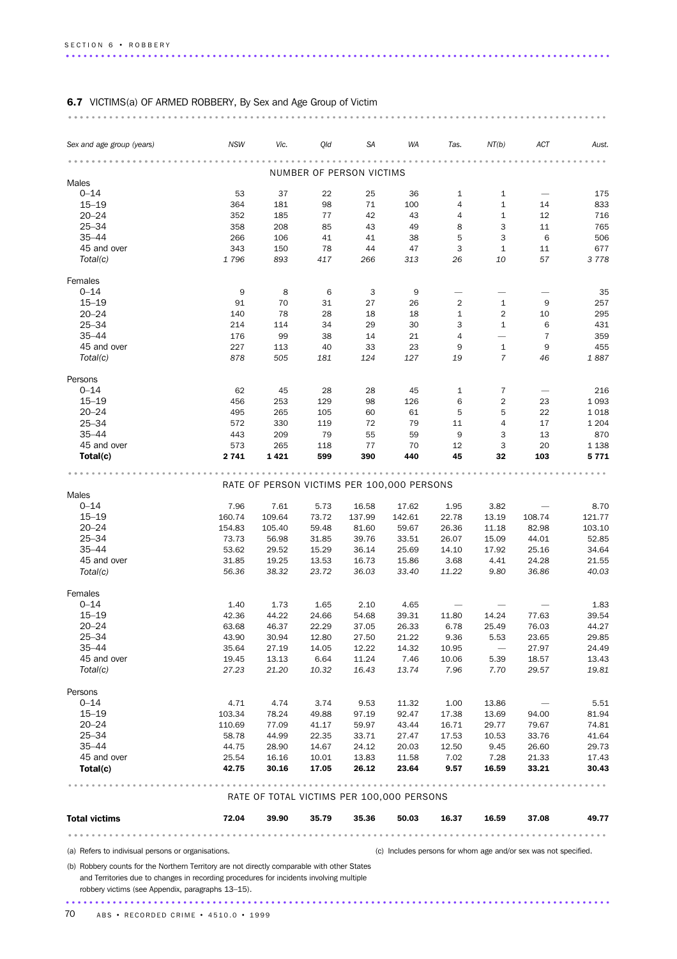# 6.7 VICTIMS(a) OF ARMED ROBBERY, By Sex and Age Group of Victim

|                                                                                                                                              | <b>NSW</b> | Vic.                                       | Qld   | SA                       | WA     | Tas.           | NT(b)                    | ACT                                                             | Aust.   |
|----------------------------------------------------------------------------------------------------------------------------------------------|------------|--------------------------------------------|-------|--------------------------|--------|----------------|--------------------------|-----------------------------------------------------------------|---------|
| Sex and age group (years)                                                                                                                    |            |                                            |       |                          |        |                |                          |                                                                 |         |
|                                                                                                                                              |            |                                            |       | NUMBER OF PERSON VICTIMS |        |                |                          |                                                                 |         |
| Males                                                                                                                                        |            |                                            |       |                          |        |                |                          |                                                                 |         |
| $0 - 14$                                                                                                                                     | 53         | 37                                         | 22    | 25                       | 36     | $\mathbf{1}$   | $\mathbf{1}$             |                                                                 | 175     |
| $15 - 19$                                                                                                                                    | 364        | 181                                        | 98    | 71                       | 100    | 4              | $\mathbf{1}$             | 14                                                              | 833     |
| $20 - 24$                                                                                                                                    | 352        | 185                                        | 77    | 42                       | 43     | $\overline{4}$ | $\mathbf{1}$             | 12                                                              | 716     |
| $25 - 34$                                                                                                                                    | 358        | 208                                        | 85    | 43                       | 49     | 8              | 3                        | 11                                                              | 765     |
| $35 - 44$                                                                                                                                    | 266        | 106                                        | 41    | 41                       | 38     | 5              | 3                        | 6                                                               | 506     |
| 45 and over                                                                                                                                  | 343        | 150                                        | 78    | 44                       | 47     | 3              | 1                        | 11                                                              | 677     |
| Total(c)                                                                                                                                     | 1796       | 893                                        | 417   | 266                      | 313    | 26             | 10                       | 57                                                              | 3778    |
| Females                                                                                                                                      |            |                                            |       |                          |        |                |                          |                                                                 |         |
| $0 - 14$                                                                                                                                     | 9          | 8                                          | 6     | 3                        | 9      |                |                          |                                                                 | 35      |
| $15 - 19$                                                                                                                                    | 91         | 70                                         | 31    | 27                       | 26     | 2              | $\mathbf{1}$             | 9                                                               | 257     |
| $20 - 24$                                                                                                                                    | 140        | 78                                         | 28    | 18                       | 18     | $\mathbf{1}$   | $\overline{2}$           | 10                                                              | 295     |
| $25 - 34$                                                                                                                                    | 214        | 114                                        | 34    | 29                       | 30     | 3              | $\mathbf{1}$             | 6                                                               | 431     |
| $35 - 44$                                                                                                                                    | 176        | 99                                         | 38    | 14                       | 21     | 4              | $\overline{\phantom{0}}$ | 7                                                               | 359     |
| 45 and over                                                                                                                                  | 227        | 113                                        | 40    | 33                       | 23     | 9              | $\mathbf{1}$             | 9                                                               | 455     |
| Total(c)                                                                                                                                     | 878        | 505                                        | 181   | 124                      | 127    | 19             | $\overline{7}$           | 46                                                              | 1887    |
| Persons                                                                                                                                      |            |                                            |       |                          |        |                |                          |                                                                 |         |
|                                                                                                                                              |            |                                            |       |                          |        |                |                          |                                                                 |         |
| $0 - 14$                                                                                                                                     | 62         | 45                                         | 28    | 28                       | 45     | 1              | 7                        |                                                                 | 216     |
| $15 - 19$                                                                                                                                    | 456        | 253                                        | 129   | 98                       | 126    | 6              | 2                        | 23                                                              | 1 0 9 3 |
| $20 - 24$                                                                                                                                    | 495        | 265                                        | 105   | 60                       | 61     | 5              | 5                        | 22                                                              | 1018    |
| $25 - 34$                                                                                                                                    | 572        | 330                                        | 119   | 72                       | 79     | 11             | 4                        | 17                                                              | 1 204   |
| $35 - 44$                                                                                                                                    | 443        | 209                                        | 79    | 55                       | 59     | 9              | 3                        | 13                                                              | 870     |
| 45 and over                                                                                                                                  | 573        | 265                                        | 118   | 77                       | 70     | 12             | 3                        | 20                                                              | 1 1 3 8 |
| Total(c)                                                                                                                                     | 2741       | 1421                                       | 599   | 390                      | 440    | 45             | 32                       | 103                                                             | 5 7 7 1 |
|                                                                                                                                              |            |                                            |       |                          |        |                |                          |                                                                 |         |
|                                                                                                                                              |            | RATE OF PERSON VICTIMS PER 100,000 PERSONS |       |                          |        |                |                          |                                                                 |         |
| Males                                                                                                                                        |            |                                            |       |                          |        |                |                          |                                                                 |         |
| $0 - 14$                                                                                                                                     | 7.96       | 7.61                                       | 5.73  | 16.58                    | 17.62  | 1.95           | 3.82                     |                                                                 | 8.70    |
| $15 - 19$                                                                                                                                    | 160.74     | 109.64                                     | 73.72 | 137.99                   | 142.61 | 22.78          | 13.19                    | 108.74                                                          | 121.77  |
| $20 - 24$                                                                                                                                    | 154.83     | 105.40                                     | 59.48 | 81.60                    | 59.67  | 26.36          | 11.18                    | 82.98                                                           | 103.10  |
| $25 - 34$                                                                                                                                    | 73.73      | 56.98                                      | 31.85 | 39.76                    | 33.51  | 26.07          | 15.09                    | 44.01                                                           | 52.85   |
| $35 - 44$                                                                                                                                    | 53.62      | 29.52                                      | 15.29 | 36.14                    | 25.69  | 14.10          | 17.92                    | 25.16                                                           | 34.64   |
| 45 and over                                                                                                                                  | 31.85      | 19.25                                      | 13.53 | 16.73                    | 15.86  | 3.68           | 4.41                     | 24.28                                                           | 21.55   |
| Total(c)                                                                                                                                     | 56.36      | 38.32                                      | 23.72 | 36.03                    | 33.40  | 11.22          | 9.80                     | 36.86                                                           | 40.03   |
|                                                                                                                                              |            |                                            |       |                          |        |                |                          |                                                                 |         |
| Females                                                                                                                                      |            |                                            |       |                          |        |                |                          |                                                                 |         |
| $0 - 14$                                                                                                                                     | 1.40       | 1.73                                       | 1.65  | 2.10                     | 4.65   |                |                          |                                                                 | 1.83    |
| $15 - 19$                                                                                                                                    | 42.36      | 44.22                                      | 24.66 | 54.68                    | 39.31  | 11.80          | 14.24                    | 77.63                                                           | 39.54   |
| $20 - 24$                                                                                                                                    | 63.68      | 46.37                                      | 22.29 | 37.05                    | 26.33  | 6.78           | 25.49                    | 76.03                                                           | 44.27   |
| $25 - 34$                                                                                                                                    | 43.90      | 30.94                                      | 12.80 | 27.50                    | 21.22  | 9.36           | 5.53                     | 23.65                                                           | 29.85   |
| $35 - 44$                                                                                                                                    | 35.64      | 27.19                                      | 14.05 | 12.22                    | 14.32  | 10.95          | $\overline{\phantom{m}}$ | 27.97                                                           | 24.49   |
| 45 and over                                                                                                                                  | 19.45      | 13.13                                      | 6.64  | 11.24                    | 7.46   | 10.06          | 5.39                     | 18.57                                                           | 13.43   |
| Total(c)                                                                                                                                     | 27.23      | 21.20                                      | 10.32 | 16.43                    | 13.74  | 7.96           | 7.70                     | 29.57                                                           | 19.81   |
|                                                                                                                                              |            |                                            |       |                          |        |                |                          |                                                                 |         |
| Persons                                                                                                                                      |            |                                            |       |                          |        |                |                          |                                                                 |         |
| $0 - 14$                                                                                                                                     | 4.71       | 4.74                                       | 3.74  | 9.53                     | 11.32  | 1.00           | 13.86                    |                                                                 | 5.51    |
| $15 - 19$                                                                                                                                    | 103.34     | 78.24                                      | 49.88 | 97.19                    | 92.47  | 17.38          | 13.69                    | 94.00                                                           | 81.94   |
| $20 - 24$                                                                                                                                    | 110.69     | 77.09                                      | 41.17 | 59.97                    | 43.44  | 16.71          | 29.77                    | 79.67                                                           | 74.81   |
| $25 - 34$                                                                                                                                    | 58.78      | 44.99                                      | 22.35 | 33.71                    | 27.47  | 17.53          | 10.53                    | 33.76                                                           | 41.64   |
| $35 - 44$                                                                                                                                    | 44.75      | 28.90                                      | 14.67 | 24.12                    | 20.03  | 12.50          | 9.45                     | 26.60                                                           | 29.73   |
| 45 and over                                                                                                                                  | 25.54      | 16.16                                      | 10.01 | 13.83                    | 11.58  | 7.02           | 7.28                     | 21.33                                                           | 17.43   |
| Total(c)                                                                                                                                     | 42.75      | 30.16                                      | 17.05 | 26.12                    | 23.64  | 9.57           | 16.59                    | 33.21                                                           | 30.43   |
|                                                                                                                                              |            |                                            |       |                          |        |                |                          |                                                                 |         |
|                                                                                                                                              |            | RATE OF TOTAL VICTIMS PER 100,000 PERSONS  |       |                          |        |                |                          |                                                                 |         |
| <b>Total victims</b>                                                                                                                         | 72.04      | 39.90                                      | 35.79 | 35.36                    | 50.03  | 16.37          | 16.59                    | 37.08                                                           | 49.77   |
|                                                                                                                                              |            |                                            |       |                          |        |                |                          |                                                                 |         |
| (a) Refers to indivisual persons or organisations.                                                                                           |            |                                            |       |                          |        |                |                          | (c) Includes persons for whom age and/or sex was not specified. |         |
| (b) Robbery counts for the Northern Territory are not directly comparable with other States                                                  |            |                                            |       |                          |        |                |                          |                                                                 |         |
| and Territories due to changes in recording procedures for incidents involving multiple<br>robbery victims (see Appendix, paragraphs 13-15). |            |                                            |       |                          |        |                |                          |                                                                 |         |
|                                                                                                                                              |            |                                            |       |                          |        |                |                          |                                                                 |         |

............................................................................................ ...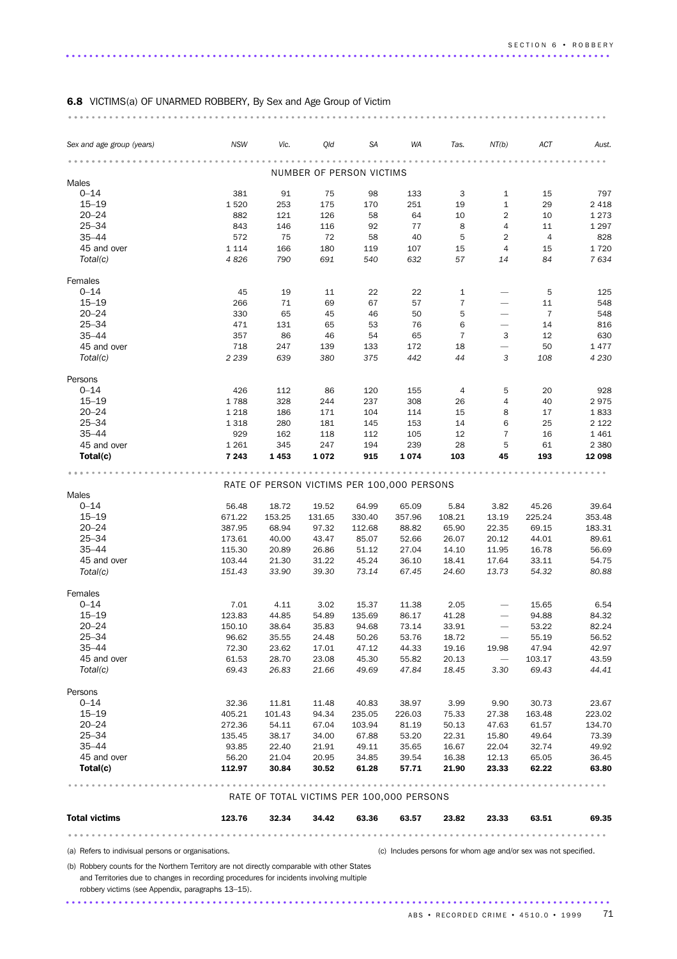# 6.8 VICTIMS(a) OF UNARMED ROBBERY, By Sex and Age Group of Victim

| Sex and age group (years)                                                                                                                    | <b>NSW</b>      | Vic.            | Qld             | <b>SA</b>                | WA                                         | Tas.                | NT(b)                                | ACT                                                             | Aust.           |
|----------------------------------------------------------------------------------------------------------------------------------------------|-----------------|-----------------|-----------------|--------------------------|--------------------------------------------|---------------------|--------------------------------------|-----------------------------------------------------------------|-----------------|
|                                                                                                                                              |                 |                 |                 |                          |                                            |                     |                                      |                                                                 |                 |
|                                                                                                                                              |                 |                 |                 | NUMBER OF PERSON VICTIMS |                                            |                     |                                      |                                                                 |                 |
| Males<br>$0 - 14$                                                                                                                            | 381             | 91              | 75              | 98                       | 133                                        | 3                   | $\mathbf{1}$                         | 15                                                              | 797             |
| $15 - 19$                                                                                                                                    | 1520            | 253             | 175             | 170                      | 251                                        | 19                  | $\mathbf{1}$                         | 29                                                              | 2 4 1 8         |
| $20 - 24$                                                                                                                                    | 882             | 121             | 126             | 58                       | 64                                         | 10                  | $\overline{2}$                       | 10                                                              | 1 2 7 3         |
| $25 - 34$                                                                                                                                    | 843             | 146             | 116             | 92                       | 77                                         | 8                   | 4                                    | 11                                                              | 1 2 9 7         |
| $35 - 44$                                                                                                                                    | 572             | 75              | 72              | 58                       | 40                                         | 5                   | $\overline{2}$                       | $\overline{4}$                                                  | 828             |
| 45 and over                                                                                                                                  | 1 1 1 4         | 166             | 180             | 119                      | 107                                        | 15                  | 4                                    | 15                                                              | 1720            |
| Total(c)                                                                                                                                     | 4826            | 790             | 691             | 540                      | 632                                        | 57                  | 14                                   | 84                                                              | 7634            |
| Females                                                                                                                                      |                 |                 |                 |                          |                                            |                     |                                      |                                                                 |                 |
| $0 - 14$                                                                                                                                     | 45              | 19              | 11              | 22                       | 22                                         | $\mathbf{1}$        |                                      | 5                                                               | 125             |
| $15 - 19$                                                                                                                                    | 266             | 71              | 69              | 67                       | 57                                         | $\overline{7}$      |                                      | 11                                                              | 548             |
| $20 - 24$                                                                                                                                    | 330             | 65              | 45              | 46                       | 50                                         | 5                   |                                      | $\overline{7}$                                                  | 548             |
| $25 - 34$<br>$35 - 44$                                                                                                                       | 471<br>357      | 131<br>86       | 65<br>46        | 53<br>54                 | 76<br>65                                   | 6<br>$\overline{7}$ | $\overbrace{\phantom{1232211}}$<br>3 | 14<br>12                                                        | 816<br>630      |
| 45 and over                                                                                                                                  | 718             | 247             | 139             | 133                      | 172                                        | 18                  | $\overline{\phantom{0}}$             | 50                                                              | 1 477           |
| Total(c)                                                                                                                                     | 2 2 3 9         | 639             | 380             | 375                      | 442                                        | 44                  | 3                                    | 108                                                             | 4 2 3 0         |
|                                                                                                                                              |                 |                 |                 |                          |                                            |                     |                                      |                                                                 |                 |
| Persons                                                                                                                                      |                 |                 |                 |                          |                                            |                     |                                      |                                                                 |                 |
| $0 - 14$                                                                                                                                     | 426             | 112             | 86              | 120                      | 155                                        | 4                   | 5                                    | 20                                                              | 928             |
| $15 - 19$<br>$20 - 24$                                                                                                                       | 1788<br>1 2 1 8 | 328<br>186      | 244<br>171      | 237<br>104               | 308<br>114                                 | 26<br>15            | 4<br>8                               | 40<br>17                                                        | 2975<br>1833    |
| $25 - 34$                                                                                                                                    | 1 3 1 8         | 280             | 181             | 145                      | 153                                        | 14                  | 6                                    | 25                                                              | 2 1 2 2         |
| $35 - 44$                                                                                                                                    | 929             | 162             | 118             | 112                      | 105                                        | 12                  | $\overline{7}$                       | 16                                                              | 1 4 6 1         |
| 45 and over                                                                                                                                  | 1 2 6 1         | 345             | 247             | 194                      | 239                                        | 28                  | 5                                    | 61                                                              | 2 3 8 0         |
| Total(c)                                                                                                                                     | 7 2 4 3         | 1453            | 1 0 7 2         | 915                      | 1074                                       | 103                 | 45                                   | 193                                                             | 12 098          |
|                                                                                                                                              |                 |                 |                 |                          |                                            |                     |                                      |                                                                 |                 |
|                                                                                                                                              |                 |                 |                 |                          | RATE OF PERSON VICTIMS PER 100,000 PERSONS |                     |                                      |                                                                 |                 |
| Males<br>$0 - 14$                                                                                                                            |                 |                 |                 |                          |                                            |                     |                                      |                                                                 |                 |
| $15 - 19$                                                                                                                                    | 56.48<br>671.22 | 18.72<br>153.25 | 19.52<br>131.65 | 64.99<br>330.40          | 65.09<br>357.96                            | 5.84<br>108.21      | 3.82<br>13.19                        | 45.26<br>225.24                                                 | 39.64<br>353.48 |
| $20 - 24$                                                                                                                                    | 387.95          | 68.94           | 97.32           | 112.68                   | 88.82                                      | 65.90               | 22.35                                | 69.15                                                           | 183.31          |
| $25 - 34$                                                                                                                                    | 173.61          | 40.00           | 43.47           | 85.07                    | 52.66                                      | 26.07               | 20.12                                | 44.01                                                           | 89.61           |
| $35 - 44$                                                                                                                                    | 115.30          | 20.89           | 26.86           | 51.12                    | 27.04                                      | 14.10               | 11.95                                | 16.78                                                           | 56.69           |
| 45 and over                                                                                                                                  | 103.44          | 21.30           | 31.22           | 45.24                    | 36.10                                      | 18.41               | 17.64                                | 33.11                                                           | 54.75           |
| Total(c)                                                                                                                                     | 151.43          | 33.90           | 39.30           | 73.14                    | 67.45                                      | 24.60               | 13.73                                | 54.32                                                           | 80.88           |
| Females                                                                                                                                      |                 |                 |                 |                          |                                            |                     |                                      |                                                                 |                 |
| $0 - 14$                                                                                                                                     | 7.01            | 4.11            | 3.02            | 15.37                    | 11.38                                      | 2.05                |                                      | 15.65                                                           | 6.54            |
| $15 - 19$                                                                                                                                    | 123.83          | 44.85           | 54.89           | 135.69                   | 86.17                                      | 41.28               |                                      | 94.88                                                           | 84.32           |
| $20 - 24$                                                                                                                                    | 150.10          | 38.64           | 35.83           | 94.68                    | 73.14                                      | 33.91               |                                      | 53.22                                                           | 82.24           |
| 25–34                                                                                                                                        | 96.62           | 35.55           | 24.48           | 50.26                    | 53.76                                      | 18.72               | $\overline{\phantom{0}}$             | 55.19                                                           | 56.52           |
| $35 - 44$                                                                                                                                    | 72.30           | 23.62           | 17.01           | 47.12                    | 44.33                                      | 19.16               | 19.98                                | 47.94                                                           | 42.97           |
| 45 and over<br>Total(c)                                                                                                                      | 61.53<br>69.43  | 28.70<br>26.83  | 23.08<br>21.66  | 45.30<br>49.69           | 55.82<br>47.84                             | 20.13<br>18.45      | $\overline{\phantom{m}}$<br>3.30     | 103.17<br>69.43                                                 | 43.59<br>44.41  |
|                                                                                                                                              |                 |                 |                 |                          |                                            |                     |                                      |                                                                 |                 |
| Persons                                                                                                                                      |                 |                 |                 |                          |                                            |                     |                                      |                                                                 |                 |
| $0 - 14$                                                                                                                                     | 32.36           | 11.81           | 11.48           | 40.83                    | 38.97                                      | 3.99                | 9.90                                 | 30.73                                                           | 23.67           |
| $15 - 19$                                                                                                                                    | 405.21          | 101.43          | 94.34           | 235.05                   | 226.03                                     | 75.33               | 27.38                                | 163.48                                                          | 223.02          |
| $20 - 24$                                                                                                                                    | 272.36          | 54.11           | 67.04           | 103.94                   | 81.19                                      | 50.13               | 47.63                                | 61.57                                                           | 134.70          |
| $25 - 34$<br>$35 - 44$                                                                                                                       | 135.45<br>93.85 | 38.17<br>22.40  | 34.00<br>21.91  | 67.88<br>49.11           | 53.20<br>35.65                             | 22.31<br>16.67      | 15.80<br>22.04                       | 49.64<br>32.74                                                  | 73.39<br>49.92  |
| 45 and over                                                                                                                                  | 56.20           | 21.04           | 20.95           | 34.85                    | 39.54                                      | 16.38               | 12.13                                | 65.05                                                           | 36.45           |
| Total(c)                                                                                                                                     | 112.97          | 30.84           | 30.52           | 61.28                    | 57.71                                      | 21.90               | 23.33                                | 62.22                                                           | 63.80           |
|                                                                                                                                              |                 |                 |                 |                          |                                            |                     |                                      |                                                                 |                 |
|                                                                                                                                              |                 |                 |                 |                          | RATE OF TOTAL VICTIMS PER 100,000 PERSONS  |                     |                                      |                                                                 |                 |
| <b>Total victims</b>                                                                                                                         | 123.76          | 32.34           | 34.42           | 63.36                    | 63.57                                      | 23.82               | 23.33                                | 63.51                                                           | 69.35           |
|                                                                                                                                              |                 |                 |                 |                          |                                            | .                   |                                      |                                                                 |                 |
| (a) Refers to indivisual persons or organisations.                                                                                           |                 |                 |                 |                          |                                            |                     |                                      | (c) Includes persons for whom age and/or sex was not specified. |                 |
| (b) Robbery counts for the Northern Territory are not directly comparable with other States                                                  |                 |                 |                 |                          |                                            |                     |                                      |                                                                 |                 |
| and Territories due to changes in recording procedures for incidents involving multiple<br>robbery victims (see Appendix, paragraphs 13-15). |                 |                 |                 |                          |                                            |                     |                                      |                                                                 |                 |

.............................................................................................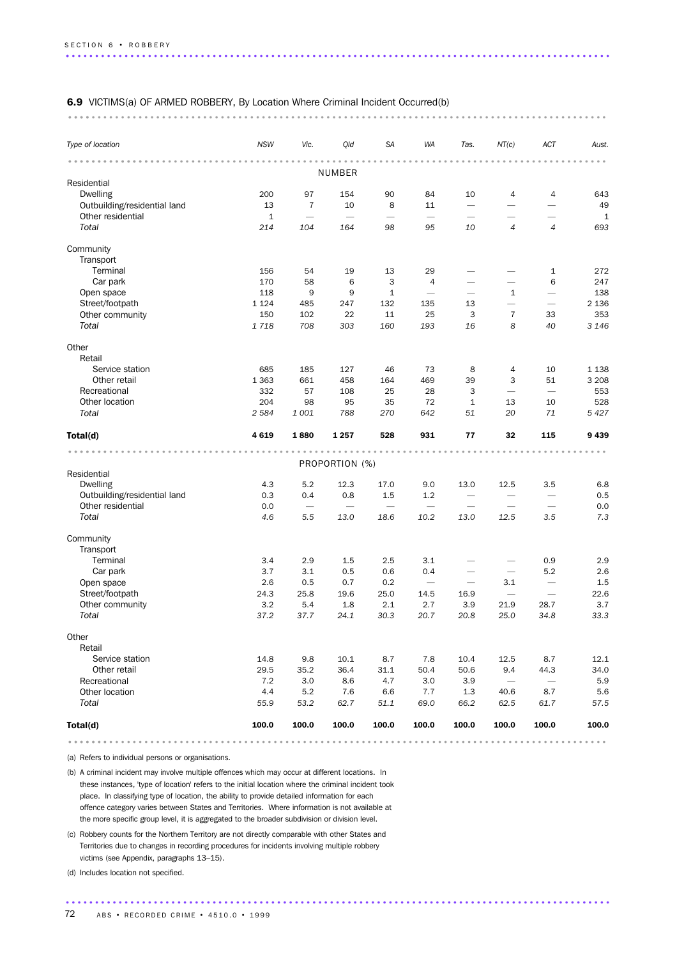#### 6.9 VICTIMS(a) OF ARMED ROBBERY, By Location Where Criminal Incident Occurred(b)

............................................................................................ ....

| NUMBER<br>Residential<br>Dwelling<br>200<br>154<br>90<br>$\overline{4}$<br>97<br>84<br>10<br>Outbuilding/residential land<br>13<br>$\overline{7}$<br>8<br>10<br>11<br>$\overline{\phantom{0}}$<br>Other residential<br>$\mathbf{1}$<br>Total<br>214<br>95<br>10<br>$\overline{4}$<br>104<br>164<br>98<br>Community | $\overline{4}$<br>643<br>49<br>-<br>$\mathbf{1}$<br>$\overline{4}$<br>693<br>272<br>1<br>6<br>247<br>138<br>$\overline{\phantom{0}}$<br>2 1 3 6<br>$\overline{\phantom{0}}$<br>353 |
|--------------------------------------------------------------------------------------------------------------------------------------------------------------------------------------------------------------------------------------------------------------------------------------------------------------------|------------------------------------------------------------------------------------------------------------------------------------------------------------------------------------|
|                                                                                                                                                                                                                                                                                                                    |                                                                                                                                                                                    |
|                                                                                                                                                                                                                                                                                                                    |                                                                                                                                                                                    |
|                                                                                                                                                                                                                                                                                                                    |                                                                                                                                                                                    |
|                                                                                                                                                                                                                                                                                                                    |                                                                                                                                                                                    |
|                                                                                                                                                                                                                                                                                                                    |                                                                                                                                                                                    |
|                                                                                                                                                                                                                                                                                                                    |                                                                                                                                                                                    |
|                                                                                                                                                                                                                                                                                                                    |                                                                                                                                                                                    |
|                                                                                                                                                                                                                                                                                                                    |                                                                                                                                                                                    |
| Transport                                                                                                                                                                                                                                                                                                          |                                                                                                                                                                                    |
| Terminal<br>156<br>29<br>54<br>19<br>13                                                                                                                                                                                                                                                                            |                                                                                                                                                                                    |
| Car park<br>170<br>3<br>58<br>6<br>$\overline{4}$<br>-<br>$\overline{\phantom{0}}$                                                                                                                                                                                                                                 |                                                                                                                                                                                    |
| Open space<br>118<br>9<br>9<br>1<br>$\mathbf{1}$<br>$\overline{\phantom{m}}$                                                                                                                                                                                                                                       |                                                                                                                                                                                    |
| Street/footpath<br>1 1 2 4<br>485<br>247<br>132<br>135<br>13<br>$\overline{\phantom{0}}$                                                                                                                                                                                                                           |                                                                                                                                                                                    |
| Other community<br>150<br>102<br>22<br>11<br>25<br>3<br>$\overline{7}$<br>33                                                                                                                                                                                                                                       |                                                                                                                                                                                    |
| Total<br>1718<br>708<br>303<br>160<br>8<br>40<br>193<br>16                                                                                                                                                                                                                                                         | 3 1 4 6                                                                                                                                                                            |
| Other                                                                                                                                                                                                                                                                                                              |                                                                                                                                                                                    |
| Retail                                                                                                                                                                                                                                                                                                             |                                                                                                                                                                                    |
| Service station<br>685<br>185<br>127<br>46<br>73<br>8<br>4<br>10                                                                                                                                                                                                                                                   | 1 1 3 8                                                                                                                                                                            |
| Other retail<br>1 3 6 3<br>661<br>458<br>164<br>469<br>39<br>3<br>51                                                                                                                                                                                                                                               | 3 2 0 8                                                                                                                                                                            |
| Recreational<br>332<br>57<br>108<br>25<br>28<br>3                                                                                                                                                                                                                                                                  | 553                                                                                                                                                                                |
| Other location<br>204<br>98<br>95<br>35<br>72<br>1<br>13<br>10                                                                                                                                                                                                                                                     | 528                                                                                                                                                                                |
| Total<br>2 5 8 4<br>788<br>20<br>71<br>1001<br>270<br>642<br>51                                                                                                                                                                                                                                                    | 5 4 2 7                                                                                                                                                                            |
| 4619<br>32<br>1880<br>1 2 5 7<br>528<br>931<br>77<br>115<br>Total(d)                                                                                                                                                                                                                                               | 9439                                                                                                                                                                               |
| $-1 - 1 - 1$<br>.                                                                                                                                                                                                                                                                                                  |                                                                                                                                                                                    |
| PROPORTION (%)                                                                                                                                                                                                                                                                                                     |                                                                                                                                                                                    |
| Residential                                                                                                                                                                                                                                                                                                        |                                                                                                                                                                                    |
| <b>Dwelling</b><br>5.2<br>12.3<br>4.3<br>17.0<br>9.0<br>13.0<br>12.5<br>3.5                                                                                                                                                                                                                                        | 6.8                                                                                                                                                                                |
| Outbuilding/residential land<br>0.3<br>0.4<br>0.8<br>1.5<br>1.2<br>$\overbrace{\phantom{1232211}}$<br>$\overline{\phantom{0}}$                                                                                                                                                                                     | 0.5                                                                                                                                                                                |
| Other residential<br>0.0<br>$\overline{\phantom{m}}$<br>$\overbrace{\phantom{1232211}}$                                                                                                                                                                                                                            | 0.0<br>$\overline{\phantom{0}}$                                                                                                                                                    |
| Total<br>4.6<br>5.5<br>13.0<br>18.6<br>10.2<br>13.0<br>12.5<br>3.5                                                                                                                                                                                                                                                 | 7.3                                                                                                                                                                                |
| Community                                                                                                                                                                                                                                                                                                          |                                                                                                                                                                                    |
| Transport                                                                                                                                                                                                                                                                                                          |                                                                                                                                                                                    |
| Terminal<br>3.4<br>2.9<br>1.5<br>2.5<br>3.1<br>0.9<br>$\overline{\phantom{0}}$<br>$\overline{\phantom{0}}$                                                                                                                                                                                                         | 2.9                                                                                                                                                                                |
| Car park<br>3.7<br>3.1<br>0.5<br>0.6<br>5.2<br>0.4<br>$\overline{\phantom{0}}$<br>$\overline{\phantom{0}}$                                                                                                                                                                                                         | 2.6                                                                                                                                                                                |
| Open space<br>2.6<br>0.5<br>0.7<br>0.2<br>3.1<br>$\overline{\phantom{m}}$<br>$\overline{\phantom{m}}$<br>$\overline{\phantom{m}}$                                                                                                                                                                                  | 1.5                                                                                                                                                                                |
| Street/footpath<br>24.3<br>25.8<br>19.6<br>25.0<br>14.5<br>16.9<br>$\overline{\phantom{m}}$                                                                                                                                                                                                                        | 22.6<br>$\overline{\phantom{m}}$                                                                                                                                                   |
| Other community<br>3.2<br>3.9<br>5.4<br>1.8<br>2.1<br>2.7<br>21.9<br>28.7                                                                                                                                                                                                                                          | 3.7                                                                                                                                                                                |
| Total<br>37.2<br>37.7<br>25.0<br>24.1<br>30.3<br>20.7<br>20.8<br>34.8                                                                                                                                                                                                                                              | 33.3                                                                                                                                                                               |
| Other                                                                                                                                                                                                                                                                                                              |                                                                                                                                                                                    |
| Retail                                                                                                                                                                                                                                                                                                             |                                                                                                                                                                                    |
| Service station<br>14.8<br>9.8<br>10.1<br>8.7<br>7.8<br>12.5<br>8.7<br>10.4                                                                                                                                                                                                                                        | 12.1                                                                                                                                                                               |
| Other retail<br>29.5<br>35.2<br>36.4<br>9.4<br>44.3<br>31.1<br>50.4<br>50.6                                                                                                                                                                                                                                        | 34.0                                                                                                                                                                               |
| Recreational<br>7.2<br>3.0<br>4.7<br>3.9<br>8.6<br>3.0                                                                                                                                                                                                                                                             | 5.9                                                                                                                                                                                |
| 4.4<br>5.2<br>Other location<br>7.6<br>6.6<br>7.7<br>1.3<br>8.7<br>40.6                                                                                                                                                                                                                                            | 5.6                                                                                                                                                                                |
| Total<br>55.9<br>53.2<br>62.7<br>51.1<br>69.0<br>66.2<br>62.5<br>61.7                                                                                                                                                                                                                                              | 57.5                                                                                                                                                                               |
| Total(d)<br>100.0<br>100.0<br>100.0<br>100.0<br>100.0<br>100.0<br>100.0<br>100.0                                                                                                                                                                                                                                   | 100.0                                                                                                                                                                              |

............................................................................................ .......

.............................................................................................

(a) Refers to individual persons or organisations.

(b) A criminal incident may involve multiple offences which may occur at different locations. In these instances, 'type of location' refers to the initial location where the criminal incident took place. In classifying type of location, the ability to provide detailed information for each offence category varies between States and Territories. Where information is not available at the more specific group level, it is aggregated to the broader subdivision or division level.

(c) Robbery counts for the Northern Territory are not directly comparable with other States and Territories due to changes in recording procedures for incidents involving multiple robbery victims (see Appendix, paragraphs 13–15).

(d) Includes location not specified.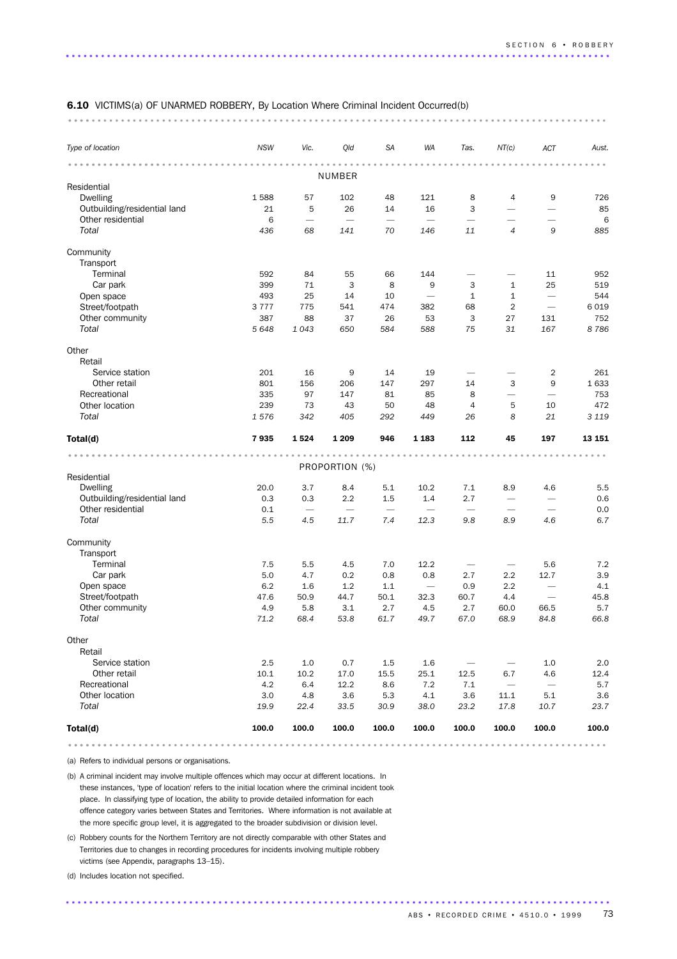### 6.10 VICTIMS(a) OF UNARMED ROBBERY, By Location Where Criminal Incident Occurred(b)

#### ............................................................................................ ....

| Type of location             | <b>NSW</b>  | Vic.        | Qld                                     | <b>SA</b>                       | <b>WA</b>                              | Tas.              | NT(c)                    | ACT                             | Aust.       |
|------------------------------|-------------|-------------|-----------------------------------------|---------------------------------|----------------------------------------|-------------------|--------------------------|---------------------------------|-------------|
|                              |             |             |                                         |                                 |                                        |                   |                          |                                 | $- - -$     |
|                              |             |             | <b>NUMBER</b>                           |                                 |                                        |                   |                          |                                 |             |
| Residential                  |             |             |                                         |                                 |                                        |                   |                          |                                 |             |
| <b>Dwelling</b>              | 1588        | 57          | 102                                     | 48                              | 121                                    | 8                 | 4                        | 9                               | 726         |
| Outbuilding/residential land | 21          | 5           | 26                                      | 14                              | 16                                     | 3                 |                          |                                 | 85          |
| Other residential            | 6           |             | $\overline{\phantom{0}}$                |                                 |                                        |                   | $\overline{\phantom{0}}$ |                                 | 6           |
| Total                        | 436         | 68          | 141                                     | 70                              | 146                                    | 11                | $\overline{4}$           | 9                               | 885         |
| Community                    |             |             |                                         |                                 |                                        |                   |                          |                                 |             |
| Transport                    |             |             |                                         |                                 |                                        |                   |                          |                                 |             |
| Terminal                     | 592         | 84          | 55                                      | 66                              | 144                                    |                   |                          | 11                              | 952         |
| Car park                     | 399         | 71          | 3                                       | 8                               | 9                                      | 3                 | $\mathbf{1}$             | 25                              | 519         |
| Open space                   | 493         | 25          | 14                                      | 10                              | $\overline{\phantom{0}}$               | $\mathbf{1}$      | $\mathbf{1}$             | $\overbrace{\phantom{1232211}}$ | 544         |
| Street/footpath              | 3777        | 775         | 541                                     | 474                             | 382                                    | 68                | $\overline{2}$           |                                 | 6 0 1 9     |
| Other community              | 387         | 88          | 37                                      | 26                              | 53                                     | 3                 | 27                       | 131                             | 752         |
| Total                        | 5 6 4 8     | 1043        | 650                                     | 584                             | 588                                    | 75                | 31                       | 167                             | 8786        |
|                              |             |             |                                         |                                 |                                        |                   |                          |                                 |             |
| Other<br>Retail              |             |             |                                         |                                 |                                        |                   |                          |                                 |             |
| Service station              | 201         | 16          | 9                                       | 14                              | 19                                     |                   |                          | $\overline{2}$                  | 261         |
| Other retail                 | 801         | 156         | 206                                     | 147                             | 297                                    | 14                | 3                        | 9                               | 1 633       |
| Recreational                 | 335         | 97          | 147                                     | 81                              | 85                                     | 8                 |                          |                                 | 753         |
| Other location               | 239         | 73          | 43                                      | 50                              | 48                                     | $\overline{4}$    | 5                        | 10                              | 472         |
| Total                        | 1576        | 342         | 405                                     |                                 | 449                                    | 26                | 8                        | 21                              | 3 1 1 9     |
|                              |             |             |                                         | 292                             |                                        |                   |                          |                                 |             |
|                              |             |             |                                         |                                 |                                        |                   |                          |                                 |             |
| Total(d)                     | 7935        | 1524        | 1 2 0 9                                 | 946                             | 1 1 8 3                                | 112               | 45                       | 197                             | 13 151      |
|                              |             |             |                                         |                                 |                                        |                   |                          |                                 |             |
|                              |             |             | PROPORTION (%)                          |                                 |                                        |                   |                          |                                 |             |
| Residential                  |             |             |                                         |                                 |                                        |                   |                          |                                 |             |
| <b>Dwelling</b>              | 20.0        | 3.7         | 8.4                                     | 5.1                             | 10.2                                   | 7.1               | 8.9                      | 4.6                             | 5.5         |
| Outbuilding/residential land | 0.3         | 0.3         | 2.2                                     | 1.5                             | 1.4                                    | 2.7               |                          |                                 | 0.6         |
| Other residential<br>Total   | 0.1<br>5.5  | 4.5         | $\overbrace{\phantom{1232211}}$<br>11.7 | $\overline{\phantom{m}}$<br>7.4 | $\overbrace{\phantom{123321}}$<br>12.3 | 9.8               | 8.9                      | 4.6                             | 0.0<br>6.7  |
|                              |             |             |                                         |                                 |                                        |                   |                          |                                 |             |
| Community                    |             |             |                                         |                                 |                                        |                   |                          |                                 |             |
| Transport                    |             |             |                                         |                                 |                                        |                   |                          |                                 |             |
| Terminal                     | 7.5         | 5.5         | 4.5                                     | 7.0                             | 12.2                                   |                   |                          | 5.6                             | 7.2         |
| Car park                     | 5.0         | 4.7         | 0.2                                     | 0.8                             | 0.8                                    | 2.7               | 2.2                      | 12.7                            | 3.9         |
| Open space                   | 6.2         | 1.6         | 1.2                                     | 1.1                             | $\overbrace{\phantom{1232211}}$        | 0.9               | 2.2                      | $\overbrace{\phantom{1232211}}$ | 4.1         |
| Street/footpath              | 47.6        | 50.9        | 44.7                                    | 50.1                            | 32.3                                   | 60.7              | 4.4                      |                                 | 45.8        |
| Other community              | 4.9         | 5.8         | 3.1                                     | 2.7                             | 4.5                                    | 2.7               | 60.0                     | 66.5                            | 5.7         |
| Total                        | 71.2        | 68.4        | 53.8                                    | 61.7                            | 49.7                                   | 67.0              | 68.9                     | 84.8                            | 66.8        |
|                              |             |             |                                         |                                 |                                        |                   |                          |                                 |             |
| Other                        |             |             |                                         |                                 |                                        |                   |                          |                                 |             |
| Retail                       |             |             |                                         |                                 |                                        |                   |                          |                                 |             |
| Service station              | 2.5         | 1.0         | 0.7                                     | 1.5                             | 1.6                                    | $\qquad \qquad -$ |                          | 1.0                             | 2.0         |
| Other retail                 | 10.1        | 10.2        | 17.0                                    | 15.5                            | 25.1                                   | 12.5              | 6.7                      | 4.6                             | 12.4        |
| Recreational                 | 4.2         | 6.4         | 12.2                                    | 8.6                             | 7.2                                    | 7.1               | $\overline{\phantom{m}}$ | $\overline{\phantom{m}}$        | 5.7         |
| Other location<br>Total      | 3.0<br>19.9 | 4.8<br>22.4 | 3.6<br>33.5                             | 5.3<br>30.9                     | 4.1<br>38.0                            | 3.6<br>23.2       | 11.1<br>17.8             | $5.1\,$<br>10.7                 | 3.6<br>23.7 |
| Total(d)                     | 100.0       | 100.0       | 100.0                                   | 100.0                           | 100.0                                  | 100.0             | 100.0                    | 100.0                           | 100.0       |

............................................................................................ .......

.............................................................................................

(a) Refers to individual persons or organisations.

(b) A criminal incident may involve multiple offences which may occur at different locations. In these instances, 'type of location' refers to the initial location where the criminal incident took place. In classifying type of location, the ability to provide detailed information for each offence category varies between States and Territories. Where information is not available at the more specific group level, it is aggregated to the broader subdivision or division level.

(c) Robbery counts for the Northern Territory are not directly comparable with other States and Territories due to changes in recording procedures for incidents involving multiple robbery victims (see Appendix, paragraphs 13–15).

(d) Includes location not specified.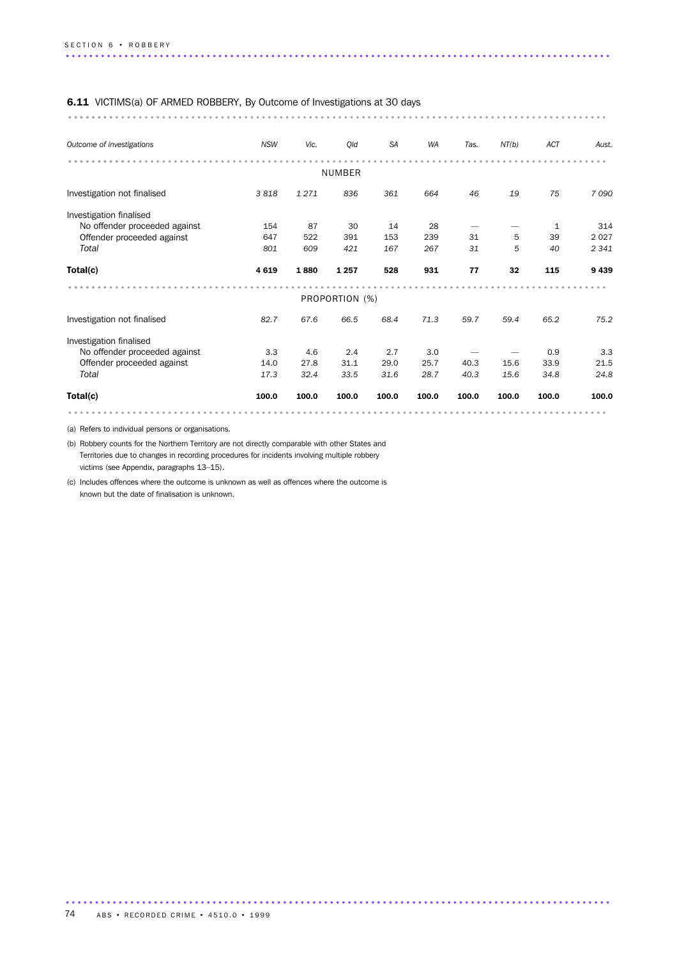### 6.11 VICTIMS(a) OF ARMED ROBBERY, By Outcome of Investigations at 30 days

............................................................................................ ........

| Outcome of investigations     | <b>NSW</b> | Vic.  | Qld            | <b>SA</b> | <b>WA</b> | Tas.  | NT(b) | <b>ACT</b> | Aust.   |
|-------------------------------|------------|-------|----------------|-----------|-----------|-------|-------|------------|---------|
|                               |            |       | NUMBER         |           |           |       |       |            |         |
| Investigation not finalised   | 3818       | 1271  | 836            | 361       | 664       | 46    | 19    | 75         | 7090    |
| Investigation finalised       |            |       |                |           |           |       |       |            |         |
| No offender proceeded against | 154        | 87    | 30             | 14        | 28        |       |       | 1          | 314     |
| Offender proceeded against    | 647        | 522   | 391            | 153       | 239       | 31    | 5     | 39         | 2 0 2 7 |
| Total                         | 801        | 609   | 421            | 167       | 267       | 31    | 5     | 40         | 2 3 4 1 |
| Total(c)                      | 4619       | 1880  | 1 2 5 7        | 528       | 931       | 77    | 32    | 115        | 9439    |
|                               |            |       | PROPORTION (%) |           |           |       |       |            |         |
| Investigation not finalised   | 82.7       | 67.6  | 66.5           | 68.4      | 71.3      | 59.7  | 59.4  | 65.2       | 75.2    |
| Investigation finalised       |            |       |                |           |           |       |       |            |         |
| No offender proceeded against | 3.3        | 4.6   | 2.4            | 2.7       | 3.0       |       |       | 0.9        | 3.3     |
| Offender proceeded against    | 14.0       | 27.8  | 31.1           | 29.0      | 25.7      | 40.3  | 15.6  | 33.9       | 21.5    |
| Total                         | 17.3       | 32.4  | 33.5           | 31.6      | 28.7      | 40.3  | 15.6  | 34.8       | 24.8    |
| Total(c)                      | 100.0      | 100.0 | 100.0          | 100.0     | 100.0     | 100.0 | 100.0 | 100.0      | 100.0   |
|                               |            |       |                |           |           |       |       |            |         |

.............................................................................................

(a) Refers to individual persons or organisations.

(b) Robbery counts for the Northern Territory are not directly comparable with other States and Territories due to changes in recording procedures for incidents involving multiple robbery victims (see Appendix, paragraphs 13–15).

(c) Includes offences where the outcome is unknown as well as offences where the outcome is known but the date of finalisation is unknown.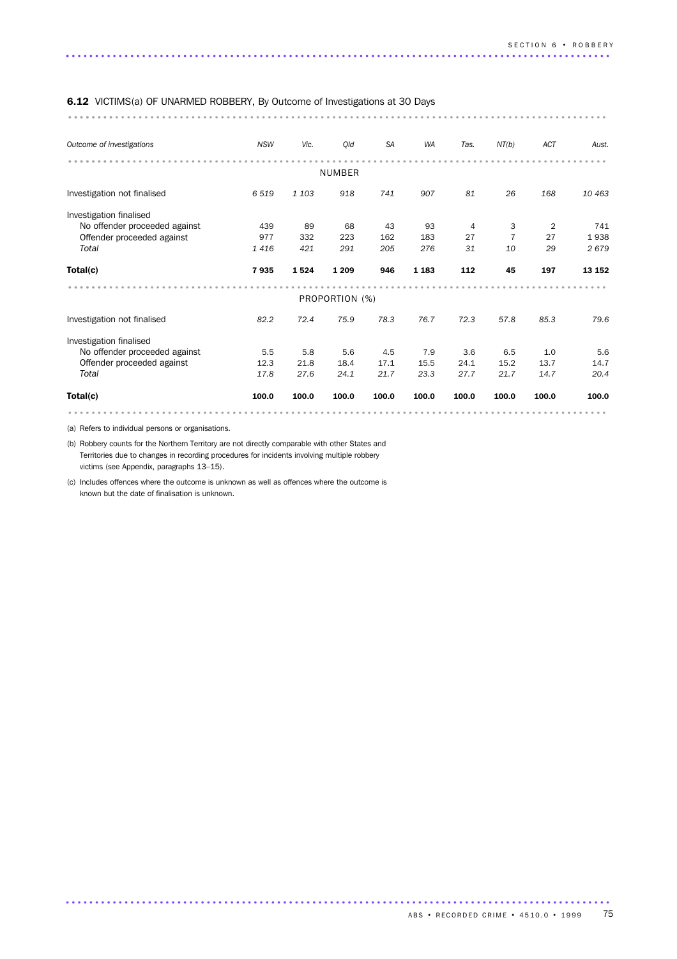| <b>6.12</b> VICTIMS(a) OF UNARMED ROBBERY, By Outcome of Investigations at 30 Days |            |         |                |           |           |                |                |            |        |
|------------------------------------------------------------------------------------|------------|---------|----------------|-----------|-----------|----------------|----------------|------------|--------|
|                                                                                    |            |         |                |           |           |                |                |            |        |
| Outcome of investigations                                                          | <b>NSW</b> | Vic.    | Qld            | <b>SA</b> | <b>WA</b> | Tas.           | NT(b)          | <b>ACT</b> | Aust.  |
|                                                                                    |            |         | <b>NUMBER</b>  |           |           |                |                |            |        |
| Investigation not finalised                                                        | 6519       | 1 1 0 3 | 918            | 741       | 907       | 81             | 26             | 168        | 10 463 |
| Investigation finalised                                                            |            |         |                |           |           |                |                |            |        |
| No offender proceeded against                                                      | 439        | 89      | 68             | 43        | 93        | $\overline{4}$ | 3              | 2          | 741    |
| Offender proceeded against                                                         | 977        | 332     | 223            | 162       | 183       | 27             | $\overline{7}$ | 27         | 1938   |
| Total                                                                              | 1416       | 421     | 291            | 205       | 276       | 31             | 10             | 29         | 2679   |
| Total(c)                                                                           | 7935       | 1524    | 1 2 0 9        | 946       | 1 1 8 3   | 112            | 45             | 197        | 13 152 |
|                                                                                    |            |         | PROPORTION (%) |           |           |                |                |            |        |
| Investigation not finalised                                                        | 82.2       | 72.4    | 75.9           | 78.3      | 76.7      | 72.3           | 57.8           | 85.3       | 79.6   |
| Investigation finalised                                                            |            |         |                |           |           |                |                |            |        |
| No offender proceeded against                                                      | 5.5        | 5.8     | 5.6            | 4.5       | 7.9       | 3.6            | 6.5            | 1.0        | 5.6    |
| Offender proceeded against                                                         | 12.3       | 21.8    | 18.4           | 17.1      | 15.5      | 24.1           | 15.2           | 13.7       | 14.7   |
| Total                                                                              | 17.8       | 27.6    | 24.1           | 21.7      | 23.3      | 27.7           | 21.7           | 14.7       | 20.4   |
| Total(c)                                                                           | 100.0      | 100.0   | 100.0          | 100.0     | 100.0     | 100.0          | 100.0          | 100.0      | 100.0  |
|                                                                                    |            |         |                |           |           |                |                |            |        |

(a) Refers to individual persons or organisations.

(b) Robbery counts for the Northern Territory are not directly comparable with other States and Territories due to changes in recording procedures for incidents involving multiple robbery victims (see Appendix, paragraphs 13–15).

(c) Includes offences where the outcome is unknown as well as offences where the outcome is known but the date of finalisation is unknown.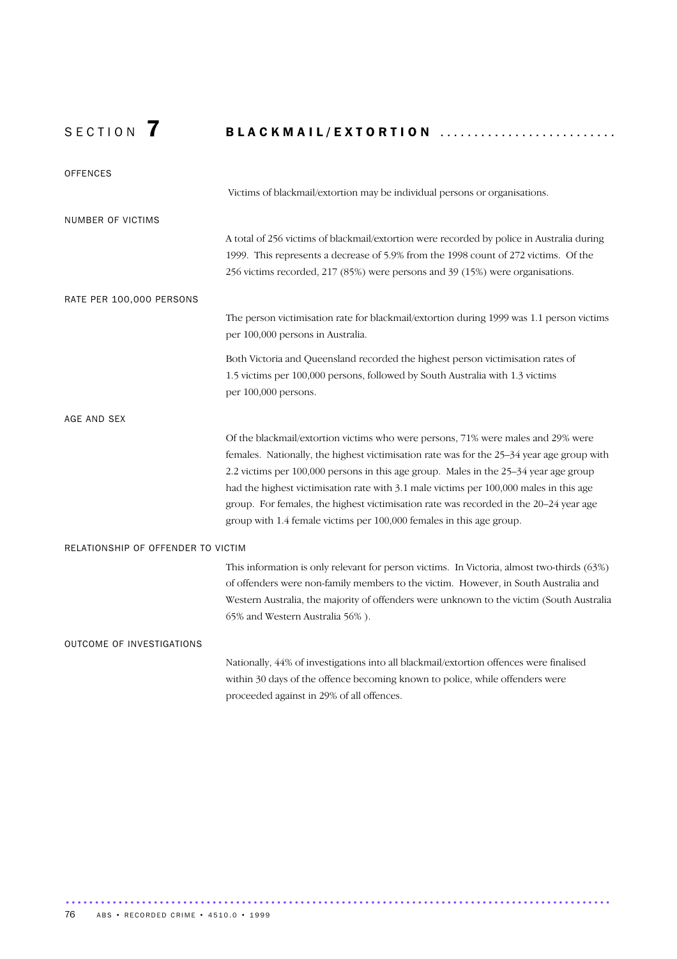# SECTION 7 BLACKMAIL/EXTORTION ..........................

| <b>OFFENCES</b>                    |                                                                                            |
|------------------------------------|--------------------------------------------------------------------------------------------|
|                                    | Victims of blackmail/extortion may be individual persons or organisations.                 |
| NUMBER OF VICTIMS                  |                                                                                            |
|                                    | A total of 256 victims of blackmail/extortion were recorded by police in Australia during  |
|                                    | 1999. This represents a decrease of 5.9% from the 1998 count of 272 victims. Of the        |
|                                    | 256 victims recorded, 217 (85%) were persons and 39 (15%) were organisations.              |
| RATE PER 100,000 PERSONS           |                                                                                            |
|                                    | The person victimisation rate for blackmail/extortion during 1999 was 1.1 person victims   |
|                                    | per 100,000 persons in Australia.                                                          |
|                                    | Both Victoria and Queensland recorded the highest person victimisation rates of            |
|                                    | 1.5 victims per 100,000 persons, followed by South Australia with 1.3 victims              |
|                                    | per 100,000 persons.                                                                       |
| AGE AND SEX                        |                                                                                            |
|                                    | Of the blackmail/extortion victims who were persons, 71% were males and 29% were           |
|                                    | females. Nationally, the highest victimisation rate was for the 25–34 year age group with  |
|                                    | 2.2 victims per 100,000 persons in this age group. Males in the 25-34 year age group       |
|                                    | had the highest victimisation rate with 3.1 male victims per 100,000 males in this age     |
|                                    | group. For females, the highest victimisation rate was recorded in the 20–24 year age      |
|                                    | group with 1.4 female victims per 100,000 females in this age group.                       |
| RELATIONSHIP OF OFFENDER TO VICTIM |                                                                                            |
|                                    | This information is only relevant for person victims. In Victoria, almost two-thirds (63%) |
|                                    | of offenders were non-family members to the victim. However, in South Australia and        |
|                                    | Western Australia, the majority of offenders were unknown to the victim (South Australia   |
|                                    | 65% and Western Australia 56%).                                                            |
| OUTCOME OF INVESTIGATIONS          |                                                                                            |
|                                    | Nationally, 44% of investigations into all blackmail/extortion offences were finalised     |
|                                    | within 30 days of the offence becoming known to police, while offenders were               |
|                                    | proceeded against in 29% of all offences.                                                  |

.............................................................................................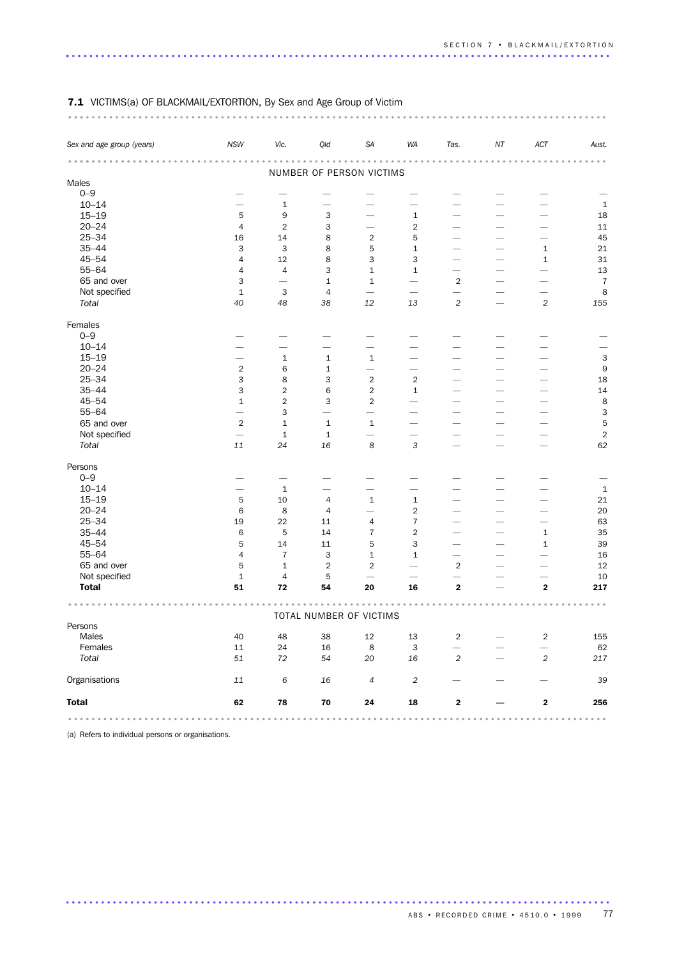| Sex and age group (years)     | <b>NSW</b>                 | Vic.                                                                  | Qld                                                         | SA                                                                    | <b>WA</b>                                                             | Tas.                                   | ΝT | ACT            | Aust.          |
|-------------------------------|----------------------------|-----------------------------------------------------------------------|-------------------------------------------------------------|-----------------------------------------------------------------------|-----------------------------------------------------------------------|----------------------------------------|----|----------------|----------------|
|                               |                            |                                                                       |                                                             |                                                                       |                                                                       |                                        |    |                |                |
|                               |                            |                                                                       | NUMBER OF PERSON VICTIMS                                    |                                                                       |                                                                       |                                        |    |                |                |
| Males<br>$0 - 9$              |                            |                                                                       |                                                             |                                                                       |                                                                       |                                        |    |                |                |
|                               |                            |                                                                       |                                                             |                                                                       |                                                                       |                                        |    |                |                |
| $10 - 14$                     | $\overline{\phantom{0}}$   | 1                                                                     | -                                                           |                                                                       |                                                                       |                                        |    |                | $\mathbf 1$    |
| $15 - 19$                     | 5                          | 9                                                                     | 3                                                           |                                                                       | $\mathbf 1$                                                           |                                        |    |                | 18             |
| $20 - 24$                     | 4                          | $\overline{2}$                                                        | 3                                                           |                                                                       | $\overline{2}$                                                        |                                        |    |                | 11             |
| $25 - 34$                     | 16                         | 14                                                                    | 8                                                           | $\overline{2}$                                                        | 5                                                                     |                                        |    |                | 45             |
| $35 - 44$                     | 3                          | 3                                                                     | 8                                                           | 5                                                                     | $\mathbf 1$                                                           |                                        |    | 1              | 21             |
| $45 - 54$                     | 4                          | 12                                                                    | 8                                                           | 3                                                                     | 3                                                                     |                                        |    | 1              | 31             |
| $55 - 64$                     | 4                          | $\sqrt{4}$                                                            | 3                                                           | 1                                                                     | $\mathbf 1$                                                           |                                        |    |                | 13             |
| 65 and over                   | 3                          | $\overline{\phantom{0}}$                                              | $\mathbf 1$                                                 | $\mathbf{1}$                                                          | $\overline{\phantom{0}}$                                              | $\overline{2}$                         |    |                | $\overline{7}$ |
| Not specified                 | $\mathbf 1$                | 3                                                                     | $\overline{4}$                                              |                                                                       |                                                                       |                                        |    |                | 8              |
| Total                         | 40                         | 48                                                                    | 38                                                          | 12                                                                    | 13                                                                    | $\sqrt{2}$                             |    | $\overline{c}$ | 155            |
| Females                       |                            |                                                                       |                                                             |                                                                       |                                                                       |                                        |    |                |                |
| $0 - 9$                       |                            |                                                                       |                                                             |                                                                       |                                                                       |                                        |    |                |                |
| $10 - 14$                     |                            |                                                                       |                                                             |                                                                       |                                                                       |                                        |    |                |                |
| $15 - 19$                     |                            | $\,1\,$                                                               | $\mathbf 1$                                                 | $\mathbf{1}$                                                          |                                                                       |                                        |    |                | 3              |
| $20 - 24$                     | $\overline{2}$             | 6                                                                     | $\mathbf 1$                                                 |                                                                       |                                                                       |                                        |    |                | 9              |
| $25 - 34$                     | 3                          | 8                                                                     | 3                                                           | $\overline{2}$                                                        | $\overline{2}$                                                        |                                        |    |                | 18             |
| $35 - 44$                     | 3                          | $\overline{2}$                                                        | 6                                                           | $\overline{2}$                                                        | $\mathbf{1}$                                                          |                                        |    |                | 14             |
| $45 - 54$                     | $\mathbf{1}$               | $\overline{c}$                                                        | 3                                                           | $\overline{\mathbf{c}}$                                               |                                                                       |                                        |    |                | 8              |
| $55 - 64$                     | $\overline{\phantom{0}}$   | 3                                                                     | $\overline{\phantom{0}}$                                    | $\overline{\phantom{0}}$                                              |                                                                       |                                        |    |                | 3              |
| 65 and over                   | $\overline{2}$             | $\mathbf 1$                                                           | $\mathbf 1$                                                 | $\mathbf{1}$                                                          | $\overline{\phantom{0}}$                                              |                                        |    |                | 5              |
| Not specified                 |                            | $\mathbf 1$                                                           | $\mathbf 1$                                                 |                                                                       | $\overline{\phantom{0}}$                                              |                                        |    |                | $\sqrt{2}$     |
| Total                         | 11                         | 24                                                                    | 16                                                          | $\boldsymbol{8}$                                                      | 3                                                                     |                                        |    |                | 62             |
| Persons                       |                            |                                                                       |                                                             |                                                                       |                                                                       |                                        |    |                |                |
| $0 - 9$                       |                            |                                                                       |                                                             |                                                                       |                                                                       |                                        |    |                |                |
| $10 - 14$                     | $\overline{\phantom{0}}$   | $1\,$                                                                 |                                                             | —                                                                     | -                                                                     |                                        |    |                | $\mathbf{1}$   |
| $15 - 19$                     | 5                          | 10                                                                    | 4                                                           | $1\,$                                                                 | $\mathbf 1$                                                           |                                        |    |                | 21             |
| $20 - 24$                     | 6                          | 8                                                                     | 4                                                           |                                                                       | 2                                                                     |                                        |    |                | 20             |
| $25 - 34$                     | 19                         | 22                                                                    | 11                                                          | 4                                                                     | $\overline{7}$                                                        |                                        |    |                | 63             |
| $35 - 44$                     | 6                          | 5                                                                     | 14                                                          | $\overline{7}$                                                        | $\mathbf 2$                                                           |                                        |    | $\mathbf{1}$   | 35             |
| $45 - 54$                     | 5                          | 14                                                                    | 11                                                          | 5                                                                     | 3                                                                     |                                        |    | $\mathbf 1$    | 39             |
| 55-64                         |                            | $\bf 7$                                                               |                                                             |                                                                       |                                                                       |                                        |    |                |                |
|                               | 4                          |                                                                       | 3                                                           | 1                                                                     | $\mathbf 1$                                                           | $\overline{\phantom{0}}$               |    |                | 16             |
| 65 and over                   | 5                          | $\mathbf 1$                                                           | $\overline{2}$                                              | $\overline{2}$                                                        |                                                                       | $\overline{2}$                         |    |                | 12             |
| Not specified<br><b>Total</b> | $\mathbf 1$<br>51          | $\sqrt{4}$<br>72                                                      | 5<br>54                                                     | 20                                                                    | 16                                                                    | $\mathbf 2$                            |    | 2              | 10<br>217      |
|                               |                            |                                                                       |                                                             |                                                                       |                                                                       |                                        |    |                |                |
|                               |                            |                                                                       | TOTAL NUMBER OF VICTIMS                                     |                                                                       |                                                                       |                                        |    |                |                |
| Persons                       |                            |                                                                       |                                                             |                                                                       |                                                                       |                                        |    |                |                |
| Males                         | 40                         | 48                                                                    | 38                                                          | 12                                                                    | 13                                                                    | 2                                      |    | 2              | 155            |
| Females                       | $11\,$                     | 24                                                                    | 16                                                          | 8                                                                     | 3                                                                     | $\overline{\phantom{0}}$               |    |                | 62             |
| Total                         | $51\,$                     | $72\,$                                                                | 54                                                          | 20                                                                    | 16                                                                    | $\sqrt{2}$                             |    | $\overline{c}$ | 217            |
| Organisations                 | $11\,$                     | $\,6\,$                                                               | 16                                                          | $\overline{4}$                                                        | $\sqrt{2}$                                                            |                                        |    |                | 39             |
| <b>Total</b>                  | 62                         | 78                                                                    | ${\bf 70}$                                                  | 24                                                                    | 18                                                                    | $\mathbf 2$                            |    | 2              | 256            |
|                               | $\alpha = \alpha - \alpha$ | $\begin{array}{cccccccccccccc} 0 & 0 & 0 & 0 & 0 & 0 & 0 \end{array}$ | $0\quad 0\quad 0\quad 0\quad 0\quad 0\quad 0\quad 0\quad 0$ | $\begin{array}{cccccccccccccc} 0 & 0 & 0 & 0 & 0 & 0 & 0 \end{array}$ | $\begin{array}{cccccccccccccc} 0 & 0 & 0 & 0 & 0 & 0 & 0 \end{array}$ | $0\quad 0\quad 0\quad 0\quad 0\quad 0$ |    |                | .              |

............................................................................................ ...

### 7.1 VICTIMS(a) OF BLACKMAIL/EXTORTION, By Sex and Age Group of Victim

(a) Refers to individual persons or organisations.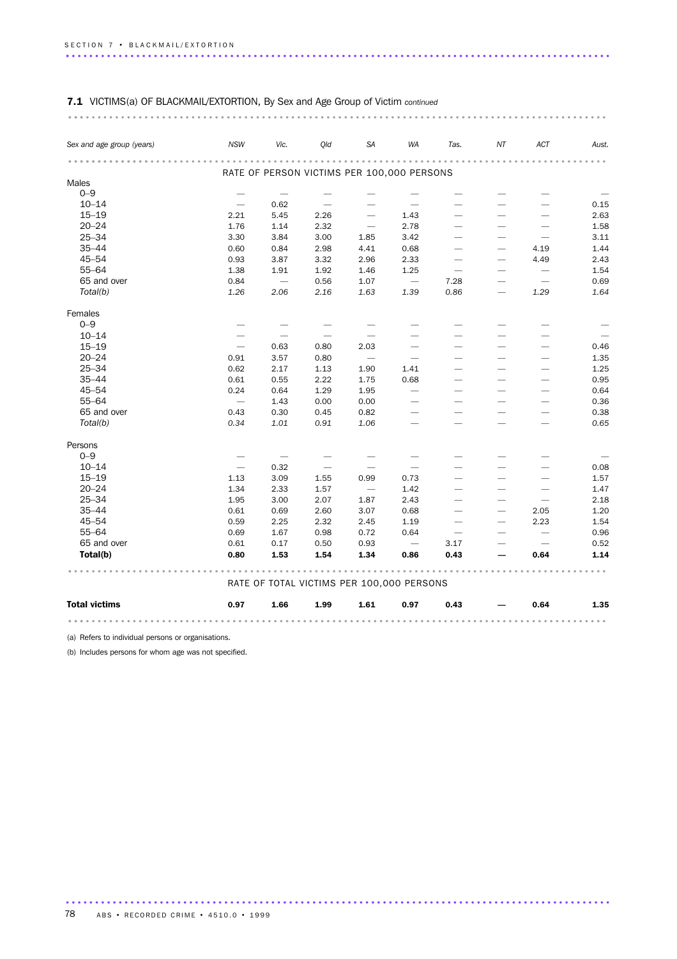| Sex and age group (years) | <b>NSW</b>               | Vic.                     | Old                                        | SA                               | WA                              | Tas.                            | NT                              | ACT                             | Aust. |
|---------------------------|--------------------------|--------------------------|--------------------------------------------|----------------------------------|---------------------------------|---------------------------------|---------------------------------|---------------------------------|-------|
|                           |                          |                          | RATE OF PERSON VICTIMS PER 100,000 PERSONS |                                  |                                 |                                 |                                 |                                 |       |
| Males                     |                          |                          |                                            |                                  |                                 |                                 |                                 |                                 |       |
| $0 - 9$                   |                          |                          |                                            |                                  |                                 |                                 |                                 |                                 |       |
| $10 - 14$                 |                          | 0.62                     |                                            |                                  | $\overline{\phantom{0}}$        | $\overline{\phantom{0}}$        |                                 |                                 | 0.15  |
| $15 - 19$                 | 2.21                     | 5.45                     | 2.26                                       | $\overbrace{\phantom{1232211}}$  | 1.43                            |                                 | $\overbrace{\phantom{1232211}}$ |                                 | 2.63  |
| $20 - 24$                 | 1.76                     | 1.14                     | 2.32                                       | $\overline{\phantom{m}}$         | 2.78                            |                                 | $\overbrace{\phantom{1232211}}$ |                                 | 1.58  |
| $25 - 34$                 | 3.30                     | 3.84                     | 3.00                                       | 1.85                             | 3.42                            |                                 | $\qquad \qquad$                 |                                 | 3.11  |
| $35 - 44$                 | 0.60                     | 0.84                     | 2.98                                       | 4.41                             | 0.68                            | $\overbrace{\phantom{1232211}}$ | $\overline{\phantom{0}}$        | 4.19                            | 1.44  |
| $45 - 54$                 | 0.93                     | 3.87                     | 3.32                                       | 2.96                             | 2.33                            | $\overline{\phantom{0}}$        |                                 | 4.49                            | 2.43  |
| $55 - 64$                 | 1.38                     | 1.91                     | 1.92                                       | 1.46                             | 1.25                            | $\overline{\phantom{m}}$        |                                 | $\overline{\phantom{m}}$        | 1.54  |
| 65 and over               | 0.84                     | $\overline{\phantom{a}}$ | 0.56                                       | 1.07                             | $\overline{\phantom{m}}$        | 7.28                            |                                 |                                 | 0.69  |
| Total(b)                  | 1.26                     | 2.06                     | 2.16                                       | 1.63                             | 1.39                            | 0.86                            |                                 | 1.29                            | 1.64  |
| Females                   |                          |                          |                                            |                                  |                                 |                                 |                                 |                                 |       |
| $0 - 9$                   |                          |                          |                                            |                                  |                                 |                                 |                                 |                                 |       |
| $10 - 14$                 |                          | $\overline{\phantom{0}}$ | $\overline{\phantom{m}}$                   | $\overbrace{\phantom{12322111}}$ | $\overline{\phantom{0}}$        |                                 | $\overline{\phantom{0}}$        |                                 |       |
| $15 - 19$                 | $\overline{\phantom{m}}$ | 0.63                     | 0.80                                       | 2.03                             | $\overline{\phantom{0}}$        | $\overline{\phantom{0}}$        | $\overline{\phantom{0}}$        |                                 | 0.46  |
| $20 - 24$                 | 0.91                     | 3.57                     | 0.80                                       |                                  | $\overline{\phantom{m}}$        |                                 | $\overbrace{\qquad \qquad }^{}$ | $\overline{\phantom{0}}$        | 1.35  |
| $25 - 34$                 | 0.62                     | 2.17                     | 1.13                                       | 1.90                             | 1.41                            | $\overline{\phantom{0}}$        |                                 |                                 | 1.25  |
| $35 - 44$                 | 0.61                     | 0.55                     | 2.22                                       | 1.75                             | 0.68                            | $\overline{\phantom{0}}$        | $\overline{\phantom{0}}$        |                                 | 0.95  |
| $45 - 54$                 | 0.24                     | 0.64                     | 1.29                                       | 1.95                             | $\overbrace{\phantom{1232211}}$ | $\overline{\phantom{0}}$        | $\overbrace{\qquad \qquad }^{}$ |                                 | 0.64  |
| $55 - 64$                 | $\overline{\phantom{a}}$ | 1.43                     | 0.00                                       | 0.00                             |                                 | $\overline{\phantom{0}}$        | $\overline{\phantom{0}}$        | $\overline{\phantom{0}}$        | 0.36  |
| 65 and over               | 0.43                     | 0.30                     | 0.45                                       | 0.82                             | $\overline{\phantom{0}}$        |                                 | $\qquad \qquad -$               | $\overline{\phantom{0}}$        | 0.38  |
| Total(b)                  | 0.34                     | 1.01                     | 0.91                                       | 1.06                             | $\overline{\phantom{0}}$        |                                 |                                 | $\overline{\phantom{0}}$        | 0.65  |
| Persons                   |                          |                          |                                            |                                  |                                 |                                 |                                 |                                 |       |
| $0 - 9$                   |                          | $\overline{\phantom{a}}$ |                                            |                                  |                                 |                                 | $\overline{\phantom{0}}$        |                                 |       |
| $10 - 14$                 |                          | 0.32                     | $\overbrace{\phantom{1232211}}$            |                                  | $\overline{\phantom{0}}$        |                                 |                                 |                                 | 0.08  |
| $15 - 19$                 | 1.13                     | 3.09                     | 1.55                                       | 0.99                             | 0.73                            | $\overline{\phantom{0}}$        | $\overline{\phantom{0}}$        | $\overline{\phantom{0}}$        | 1.57  |
| $20 - 24$                 | 1.34                     | 2.33                     | 1.57                                       | $\overline{\phantom{m}}$         | 1.42                            |                                 | $\overline{\phantom{0}}$        |                                 | 1.47  |
| $25 - 34$                 | 1.95                     | 3.00                     | 2.07                                       | 1.87                             | 2.43                            | $\overline{\phantom{m}}$        |                                 | $\overline{\phantom{m}}$        | 2.18  |
| $35 - 44$                 | 0.61                     | 0.69                     | 2.60                                       | 3.07                             | 0.68                            | $\overbrace{\phantom{1232211}}$ |                                 | 2.05                            | 1.20  |
| $45 - 54$                 | 0.59                     | 2.25                     | 2.32                                       | 2.45                             | 1.19                            | $\overbrace{\phantom{1232211}}$ |                                 | 2.23                            | 1.54  |
| $55 - 64$                 | 0.69                     | 1.67                     | 0.98                                       | 0.72                             | 0.64                            | $\overline{\phantom{m}}$        |                                 |                                 | 0.96  |
| 65 and over               | 0.61                     | 0.17                     | 0.50                                       | 0.93                             | $\overline{\phantom{a}}$        | 3.17                            |                                 | $\overbrace{\phantom{1232211}}$ | 0.52  |
| Total(b)                  | 0.80                     | 1.53                     | 1.54                                       | 1.34                             | 0.86                            | 0.43                            |                                 | 0.64                            | 1.14  |
|                           |                          |                          | RATE OF TOTAL VICTIMS PER 100,000 PERSONS  |                                  |                                 |                                 |                                 |                                 |       |
| <b>Total victims</b>      | 0.97                     | 1.66                     | 1.99                                       | 1.61                             | 0.97                            | 0.43                            |                                 | 0.64                            | 1.35  |

(a) Refers to individual persons or organisations.

(b) Includes persons for whom age was not specified.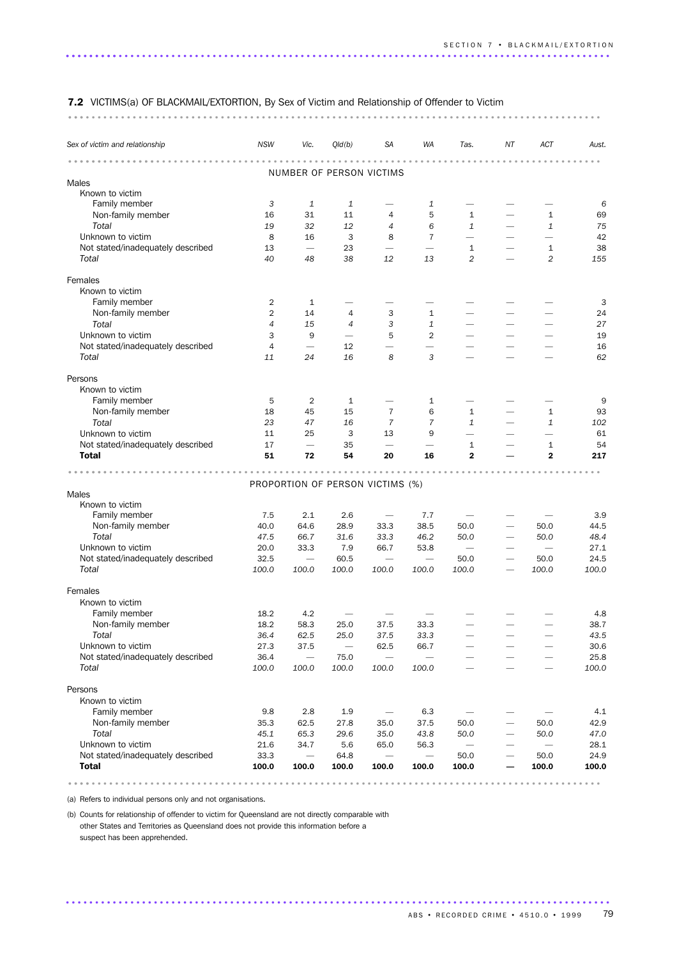### 7.2 VICTIMS(a) OF BLACKMAIL/EXTORTION, By Sex of Victim and Relationship of Offender to Victim

........................................................................................... ...

| Sex of victim and relationship    | <b>NSW</b>     | Vic.                            | Q/d(b)         | <b>SA</b>                        | WA                       | Tas.                     | ΝT                       | ACT                           | Aust. |
|-----------------------------------|----------------|---------------------------------|----------------|----------------------------------|--------------------------|--------------------------|--------------------------|-------------------------------|-------|
|                                   |                |                                 |                | NUMBER OF PERSON VICTIMS         |                          |                          |                          |                               |       |
| Males                             |                |                                 |                |                                  |                          |                          |                          |                               |       |
| Known to victim                   |                |                                 |                |                                  |                          |                          |                          |                               |       |
| Family member                     | 3              | 1                               | 1              |                                  | 1                        |                          |                          |                               | 6     |
| Non-family member                 | 16             | 31                              | 11             | 4                                | 5                        | $\mathbf{1}$             |                          | 1                             | 69    |
| Total                             | 19             | 32                              | 12             | 4                                | 6                        | $\mathbf{1}$             |                          | $\mathbf{1}$                  | 75    |
| Unknown to victim                 | 8              | 16                              | 3              | 8                                | 7                        | $\overline{\phantom{0}}$ |                          |                               | 42    |
| Not stated/inadequately described | 13             | $\overline{\phantom{0}}$        | 23             |                                  | $\overline{\phantom{0}}$ | 1                        |                          | 1                             | 38    |
| Total                             | 40             | 48                              | 38             | 12                               | 13                       | 2                        |                          | 2                             | 155   |
| Females                           |                |                                 |                |                                  |                          |                          |                          |                               |       |
| Known to victim                   |                |                                 |                |                                  |                          |                          |                          |                               |       |
| Family member                     | 2              | 1                               |                |                                  |                          |                          |                          |                               | 3     |
| Non-family member                 | 2              | 14                              | 4              | 3                                | $\mathbf{1}$             |                          |                          |                               | 24    |
| Total                             | $\overline{4}$ | 15                              | $\overline{4}$ | 3                                | $\mathbf{1}$             |                          |                          |                               | 27    |
| Unknown to victim                 | 3              | 9                               | -              | 5                                | $\overline{2}$           |                          |                          |                               | 19    |
| Not stated/inadequately described | $\overline{4}$ | $\overbrace{\phantom{1232211}}$ | 12             |                                  | $\overline{\phantom{0}}$ |                          | -                        |                               | 16    |
| Total                             |                | 24                              | 16             | 8                                | 3                        |                          |                          |                               | 62    |
|                                   | 11             |                                 |                |                                  |                          |                          |                          |                               |       |
| Persons                           |                |                                 |                |                                  |                          |                          |                          |                               |       |
| Known to victim                   |                |                                 |                |                                  |                          |                          |                          |                               |       |
| Family member                     | 5              | $\overline{2}$                  | 1              |                                  | 1                        |                          |                          |                               | 9     |
| Non-family member                 | 18             | 45                              | 15             | $\overline{7}$                   | 6                        | 1                        |                          | 1                             | 93    |
| Total                             | 23             | 47                              | 16             | 7                                | $\overline{7}$           | $\mathbf{1}$             |                          | 1                             | 102   |
| Unknown to victim                 | 11             | 25                              | 3              | 13                               | 9                        | $\overline{\phantom{0}}$ |                          |                               | 61    |
| Not stated/inadequately described | 17             |                                 | 35             | $\overline{\phantom{0}}$         |                          | 1                        |                          | $\mathbf{1}$                  | 54    |
| <b>Total</b>                      | 51             | 72                              | 54             | 20                               | 16                       | $\mathbf{2}$             |                          | $\mathbf{2}$                  | 217   |
|                                   |                |                                 |                |                                  |                          |                          |                          |                               |       |
|                                   |                |                                 |                | PROPORTION OF PERSON VICTIMS (%) |                          |                          |                          |                               |       |
| Males                             |                |                                 |                |                                  |                          |                          |                          |                               |       |
| Known to victim                   |                |                                 |                |                                  |                          |                          |                          |                               |       |
| Family member                     | 7.5            | 2.1                             | 2.6            | $\overline{\phantom{m}}$         | 7.7                      |                          |                          |                               | 3.9   |
| Non-family member                 | 40.0           | 64.6                            | 28.9           | 33.3                             | 38.5                     | 50.0                     |                          | 50.0                          | 44.5  |
| Total                             | 47.5           | 66.7                            | 31.6           | 33.3                             | 46.2                     | 50.0                     |                          | 50.0                          | 48.4  |
| Unknown to victim                 | 20.0           | 33.3                            | 7.9            | 66.7                             | 53.8                     | $\overline{\phantom{m}}$ |                          | $\overbrace{\phantom{12332}}$ | 27.1  |
| Not stated/inadequately described | 32.5           |                                 | 60.5           |                                  | $\overline{\phantom{0}}$ | 50.0                     |                          | 50.0                          | 24.5  |
| Total                             | 100.0          | 100.0                           | 100.0          | 100.0                            | 100.0                    | 100.0                    |                          | 100.0                         | 100.0 |
| Females                           |                |                                 |                |                                  |                          |                          |                          |                               |       |
| Known to victim                   |                |                                 |                |                                  |                          |                          |                          |                               |       |
| Family member                     | 18.2           | 4.2                             |                |                                  |                          |                          |                          |                               | 4.8   |
| Non-family member                 | 18.2           | 58.3                            | 25.0           | 37.5                             | 33.3                     |                          |                          |                               | 38.7  |
| Total                             | 36.4           | 62.5                            | 25.0           | 37.5                             | 33.3                     |                          |                          |                               | 43.5  |
| Unknown to victim                 | 27.3           | 37.5                            |                | 62.5                             | 66.7                     |                          |                          |                               | 30.6  |
| Not stated/inadequately described | 36.4           |                                 | 75.0           | $\overline{\phantom{0}}$         |                          |                          |                          |                               | 25.8  |
| Total                             | 100.0          | 100.0                           | 100.0          | 100.0                            | 100.0                    |                          |                          |                               | 100.0 |
| Persons                           |                |                                 |                |                                  |                          |                          |                          |                               |       |
| Known to victim                   |                |                                 |                |                                  |                          |                          |                          |                               |       |
| Family member                     | 9.8            | 2.8                             | 1.9            |                                  | 6.3                      |                          | $\overline{\phantom{0}}$ |                               | 4.1   |
| Non-family member                 | 35.3           | 62.5                            | 27.8           | 35.0                             | 37.5                     | 50.0                     | $\overline{\phantom{0}}$ | 50.0                          | 42.9  |
| Total                             | 45.1           | 65.3                            | 29.6           | 35.0                             | 43.8                     | 50.0                     |                          | 50.0                          | 47.0  |
| Unknown to victim                 | 21.6           | 34.7                            | 5.6            | 65.0                             | 56.3                     |                          |                          |                               | 28.1  |
| Not stated/inadequately described | 33.3           |                                 | 64.8           |                                  | $\overline{\phantom{0}}$ | 50.0                     | -                        | 50.0                          | 24.9  |
| <b>Total</b>                      | 100.0          | 100.0                           | 100.0          | 100.0                            | 100.0                    | 100.0                    |                          | 100.0                         | 100.0 |
|                                   |                |                                 |                |                                  |                          |                          |                          |                               |       |

.............................................................................................

(a) Refers to individual persons only and not organisations.

(b) Counts for relationship of offender to victim for Queensland are not directly comparable with other States and Territories as Queensland does not provide this information before a suspect has been apprehended.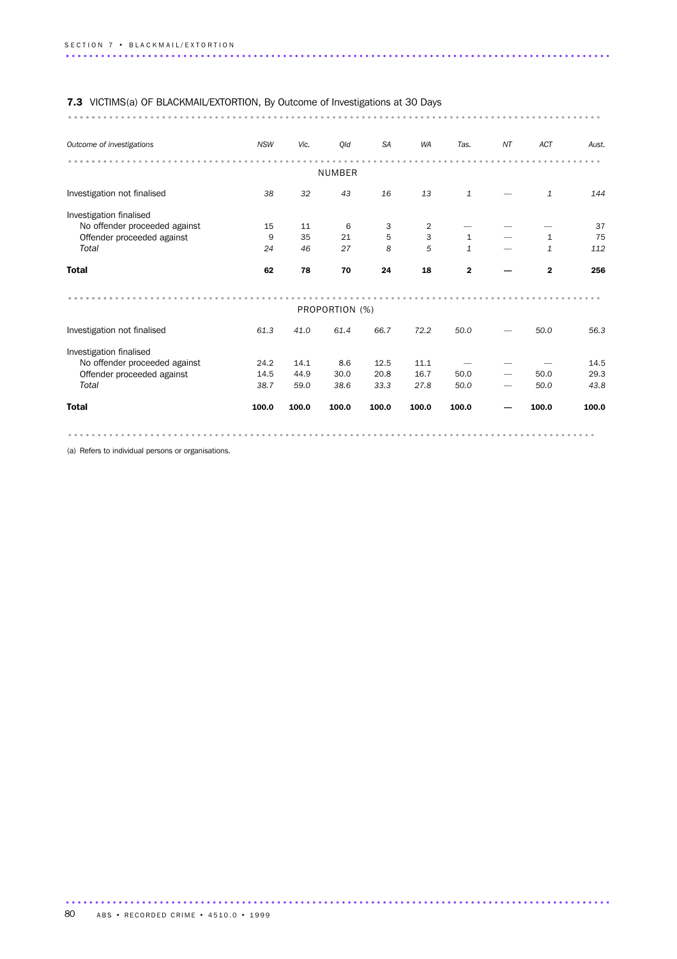| 7.3 VICTIMS(a) OF BLACKMAIL/EXTORTION, By Outcome of Investigations at 30 Days |            |       |                |           |           |              |    |              |       |
|--------------------------------------------------------------------------------|------------|-------|----------------|-----------|-----------|--------------|----|--------------|-------|
|                                                                                |            |       |                |           |           |              |    |              |       |
| Outcome of investigations                                                      | <b>NSW</b> | Vic.  | Qld            | <b>SA</b> | <b>WA</b> | Tas.         | NT | ACT          | Aust. |
|                                                                                |            |       |                |           |           |              |    |              |       |
|                                                                                |            |       | <b>NUMBER</b>  |           |           |              |    |              |       |
| Investigation not finalised                                                    | 38         | 32    | 43             | 16        | 13        | $\mathbf{1}$ |    | $\mathbf{1}$ | 144   |
| Investigation finalised                                                        |            |       |                |           |           |              |    |              |       |
| No offender proceeded against                                                  | 15         | 11    | 6              | 3         | 2         |              |    |              | 37    |
| Offender proceeded against                                                     | 9          | 35    | 21             | 5         | 3         | $\mathbf{1}$ |    | $\mathbf{1}$ | 75    |
| Total                                                                          | 24         | 46    | 27             | 8         | 5         | $\mathbf{1}$ |    | $\mathbf{1}$ | 112   |
| <b>Total</b>                                                                   | 62         | 78    | 70             | 24        | 18        | $\mathbf{2}$ |    | $\mathbf{2}$ | 256   |
|                                                                                |            |       | PROPORTION (%) |           |           |              |    |              |       |
| Investigation not finalised                                                    | 61.3       | 41.0  | 61.4           | 66.7      | 72.2      | 50.0         |    | 50.0         | 56.3  |
| Investigation finalised                                                        |            |       |                |           |           |              |    |              |       |
| No offender proceeded against                                                  | 24.2       | 14.1  | 8.6            | 12.5      | 11.1      |              |    |              | 14.5  |
| Offender proceeded against                                                     | 14.5       | 44.9  | 30.0           | 20.8      | 16.7      | 50.0         |    | 50.0         | 29.3  |
| Total                                                                          | 38.7       | 59.0  | 38.6           | 33.3      | 27.8      | 50.0         |    | 50.0         | 43.8  |
| <b>Total</b>                                                                   | 100.0      | 100.0 | 100.0          | 100.0     | 100.0     | 100.0        |    | 100.0        | 100.0 |
|                                                                                |            |       |                |           |           |              |    |              |       |

(a) Refers to individual persons or organisations.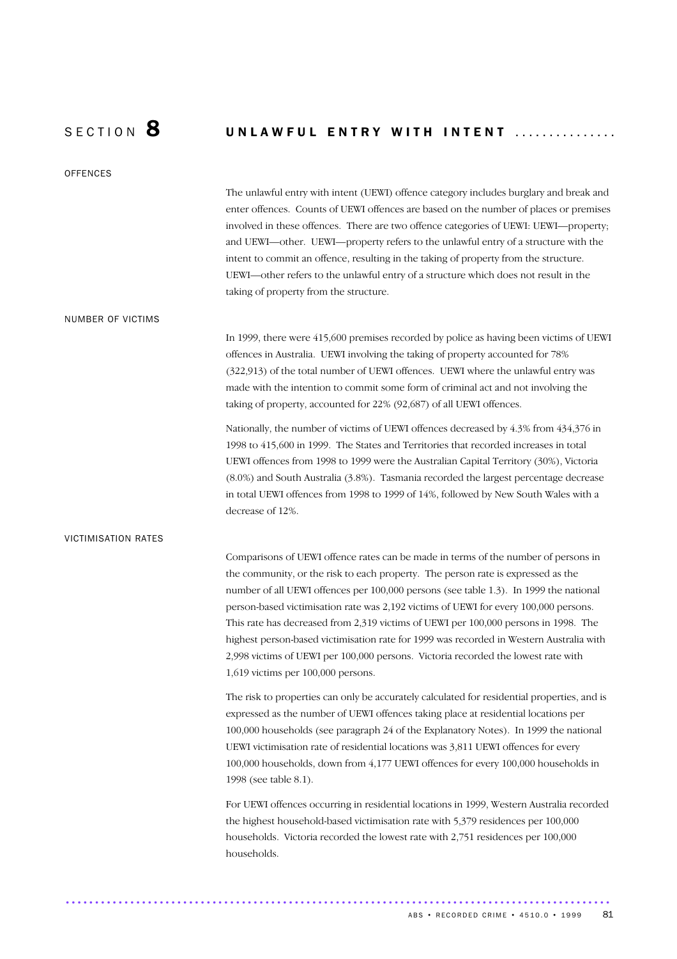## SECTION  $8$  UNLAWFUL ENTRY WITH INTENT ...............

**OFFENCES** 

The unlawful entry with intent (UEWI) offence category includes burglary and break and enter offences. Counts of UEWI offences are based on the number of places or premises involved in these offences. There are two offence categories of UEWI: UEWI—property; and UEWI—other. UEWI—property refers to the unlawful entry of a structure with the intent to commit an offence, resulting in the taking of property from the structure. UEWI—other refers to the unlawful entry of a structure which does not result in the taking of property from the structure.

#### NUMBER OF VICTIMS

In 1999, there were 415,600 premises recorded by police as having been victims of UEWI offences in Australia. UEWI involving the taking of property accounted for 78% (322,913) of the total number of UEWI offences. UEWI where the unlawful entry was made with the intention to commit some form of criminal act and not involving the taking of property, accounted for 22% (92,687) of all UEWI offences.

Nationally, the number of victims of UEWI offences decreased by 4.3% from 434,376 in 1998 to 415,600 in 1999. The States and Territories that recorded increases in total UEWI offences from 1998 to 1999 were the Australian Capital Territory (30%), Victoria (8.0%) and South Australia (3.8%). Tasmania recorded the largest percentage decrease in total UEWI offences from 1998 to 1999 of 14%, followed by New South Wales with a decrease of 12%.

#### VICTIMISATION RATES

Comparisons of UEWI offence rates can be made in terms of the number of persons in the community, or the risk to each property. The person rate is expressed as the number of all UEWI offences per 100,000 persons (see table 1.3). In 1999 the national person-based victimisation rate was 2,192 victims of UEWI for every 100,000 persons. This rate has decreased from 2,319 victims of UEWI per 100,000 persons in 1998. The highest person-based victimisation rate for 1999 was recorded in Western Australia with 2,998 victims of UEWI per 100,000 persons. Victoria recorded the lowest rate with 1,619 victims per 100,000 persons.

The risk to properties can only be accurately calculated for residential properties, and is expressed as the number of UEWI offences taking place at residential locations per 100,000 households (see paragraph 24 of the Explanatory Notes). In 1999 the national UEWI victimisation rate of residential locations was 3,811 UEWI offences for every 100,000 households, down from 4,177 UEWI offences for every 100,000 households in 1998 (see table 8.1).

For UEWI offences occurring in residential locations in 1999, Western Australia recorded the highest household-based victimisation rate with 5,379 residences per 100,000 households. Victoria recorded the lowest rate with 2,751 residences per 100,000 households.

.............................................................................................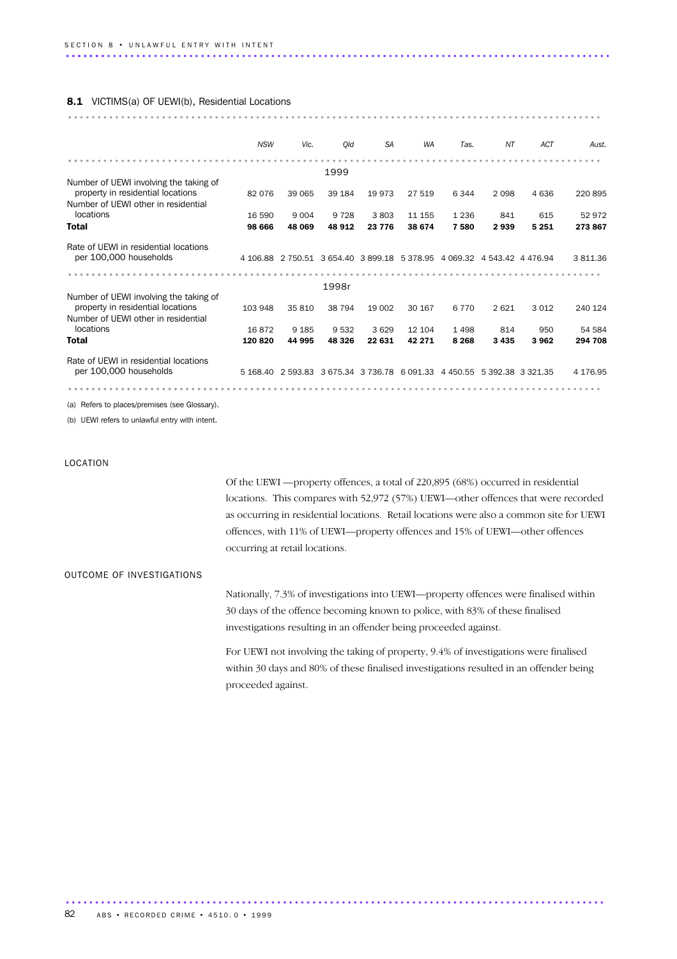#### 8.1 VICTIMS(a) OF UEWI(b), Residential Locations

|                                        | <b>NSW</b> | Vic.    | Old     | <b>SA</b> | <b>WA</b>                                                               | Tas.                       | NT      | ACT     | Aust.    |
|----------------------------------------|------------|---------|---------|-----------|-------------------------------------------------------------------------|----------------------------|---------|---------|----------|
|                                        |            |         |         |           |                                                                         |                            |         |         |          |
| Number of UEWI involving the taking of |            |         | 1999    |           |                                                                         |                            |         |         |          |
| property in residential locations      | 82 076     | 39 065  | 39 184  | 19 973    | 27 519                                                                  | 6 3 4 4                    | 2098    | 4636    | 220895   |
| Number of UEWI other in residential    |            |         |         |           |                                                                         |                            |         |         |          |
| locations                              | 16 590     | 9 0 0 4 | 9 7 2 8 | 3803      | 11 155                                                                  | 1 2 3 6                    | 841     |         | 52 972   |
|                                        |            |         |         |           |                                                                         |                            |         | 615     |          |
| <b>Total</b>                           | 98 666     | 48 069  | 48 912  | 23 7 7 6  | 38 674                                                                  | 7580                       | 2939    | 5 2 5 1 | 273 867  |
| Rate of UEWI in residential locations  |            |         |         |           |                                                                         |                            |         |         |          |
| per 100,000 households                 |            |         |         |           | 4 106.88 2 750.51 3 654.40 3 899.18 5 378.95 4 069.32 4 543.42 4 476.94 |                            |         |         | 3811.36  |
|                                        |            |         |         |           |                                                                         |                            |         |         |          |
|                                        |            |         |         |           |                                                                         |                            |         |         |          |
|                                        |            |         | 1998r   |           |                                                                         |                            |         |         |          |
| Number of UEWI involving the taking of |            |         |         |           |                                                                         |                            |         |         |          |
| property in residential locations      | 103 948    | 35 810  | 38 794  | 19 002    | 30 167                                                                  | 6 7 7 0                    | 2621    | 3 0 1 2 | 240 124  |
| Number of UEWI other in residential    |            |         |         |           |                                                                         |                            |         |         |          |
| locations                              | 16872      | 9 1 8 5 | 9532    | 3629      | 12 104                                                                  | 1 4 9 8                    | 814     | 950     | 54 584   |
| <b>Total</b>                           | 120 820    | 44 995  | 48 326  | 22 631    | 42 271                                                                  | 8 2 6 8                    | 3 4 3 5 | 3962    | 294 708  |
| Rate of UEWI in residential locations  |            |         |         |           |                                                                         |                            |         |         |          |
| per 100,000 households                 |            |         |         |           | 5 168.40 2 593.83 3 675.34 3 736.78 6 091.33                            | 4 450.55 5 392.38 3 321.35 |         |         | 4 176.95 |
|                                        |            |         |         |           |                                                                         |                            |         |         |          |

(a) Refers to places/premises (see Glossary).

(b) UEWI refers to unlawful entry with intent.

#### LOCATION

Of the UEWI —property offences, a total of 220,895 (68%) occurred in residential locations. This compares with 52,972 (57%) UEWI—other offences that were recorded as occurring in residential locations. Retail locations were also a common site for UEWI offences, with 11% of UEWI—property offences and 15% of UEWI—other offences occurring at retail locations.

#### OUTCOME OF INVESTIGATIONS

Nationally, 7.3% of investigations into UEWI—property offences were finalised within 30 days of the offence becoming known to police, with 83% of these finalised investigations resulting in an offender being proceeded against.

For UEWI not involving the taking of property, 9.4% of investigations were finalised within 30 days and 80% of these finalised investigations resulted in an offender being proceeded against.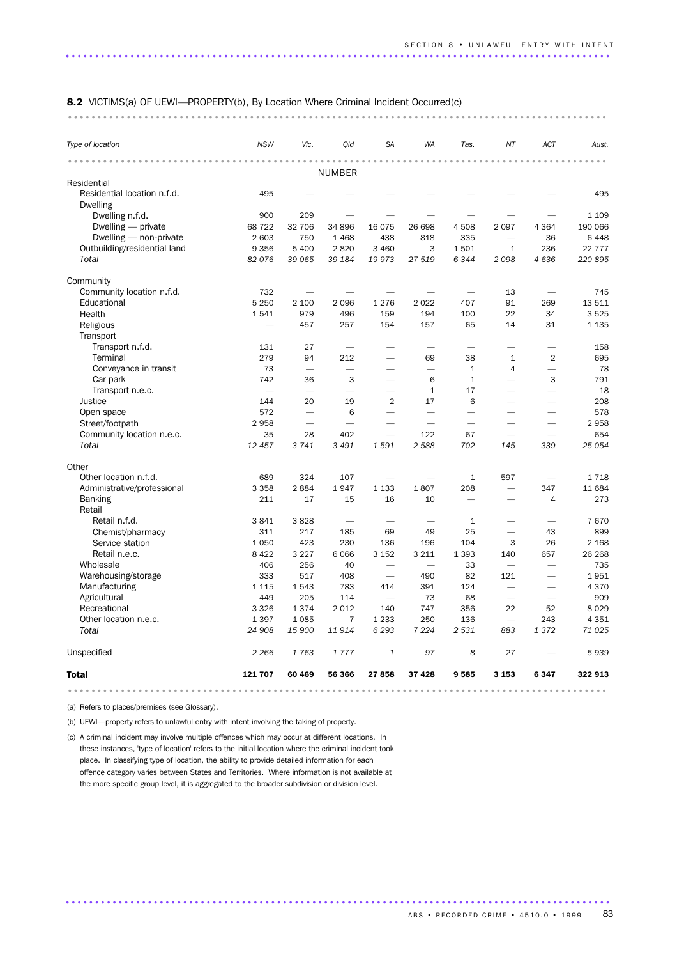#### 8.2 VICTIMS(a) OF UEWI—PROPERTY(b), By Location Where Criminal Incident Occurred(c)

............................................................................................ ...

| Type of location             | <b>NSW</b>               | Vic.                     | Old                               | <b>SA</b>                | <b>WA</b>                | Tas.                     | NT                       | ACT                      | Aust.   |
|------------------------------|--------------------------|--------------------------|-----------------------------------|--------------------------|--------------------------|--------------------------|--------------------------|--------------------------|---------|
| .                            |                          |                          | <b>NUMBER</b>                     |                          |                          |                          |                          |                          |         |
| Residential                  |                          |                          |                                   |                          |                          |                          |                          |                          |         |
| Residential location n.f.d.  | 495                      |                          |                                   |                          |                          |                          |                          |                          | 495     |
| <b>Dwelling</b>              |                          |                          |                                   |                          |                          |                          |                          |                          |         |
| Dwelling n.f.d.              | 900                      | 209                      |                                   |                          |                          |                          |                          |                          | 1 1 0 9 |
| Dwelling $-$ private         | 68 722                   | 32 706                   | 34 896                            | 16 0 75                  | 26 698                   | 4508                     | 2097                     | 4 3 6 4                  | 190 066 |
| Dwelling - non-private       | 2 603                    | 750                      | 1468                              | 438                      | 818                      | 335                      |                          | 36                       | 6 4 4 8 |
| Outbuilding/residential land | 9 3 5 6                  | 5 4 0 0                  | 2820                              | 3 4 6 0                  | 3                        | 1501                     | $\mathbf{1}$             | 236                      | 22 777  |
| Total                        | 82076                    | 39 065                   | 39 184                            | 19973                    | 27 519                   | 6344                     | 2098                     | 4636                     | 220 895 |
| Community                    |                          |                          |                                   |                          |                          |                          |                          |                          |         |
| Community location n.f.d.    | 732                      | $\overline{\phantom{0}}$ |                                   |                          |                          |                          | 13                       | $\overline{\phantom{a}}$ | 745     |
| Educational                  | 5 2 5 0                  | 2 100                    | 2096                              | 1 2 7 6                  | 2022                     | 407                      | 91                       | 269                      | 13511   |
| Health                       | 1541                     | 979                      | 496                               | 159                      | 194                      | 100                      | 22                       | 34                       | 3 5 2 5 |
| Religious                    | $\overline{\phantom{0}}$ | 457                      | 257                               | 154                      | 157                      | 65                       | 14                       | 31                       | 1 1 3 5 |
| Transport                    |                          |                          |                                   |                          |                          |                          |                          |                          |         |
| Transport n.f.d.             | 131                      | 27                       | $\overbrace{\phantom{123221111}}$ | $\overline{\phantom{0}}$ |                          | $\overline{\phantom{0}}$ | $\overline{\phantom{0}}$ | $\overline{\phantom{0}}$ | 158     |
| Terminal                     | 279                      | 94                       | 212                               | $\overline{\phantom{0}}$ | 69                       | 38                       | $\mathbf{1}$             | $\overline{2}$           | 695     |
| Conveyance in transit        | 73                       | $\overline{\phantom{0}}$ | $\overline{\phantom{0}}$          |                          | $\overline{\phantom{0}}$ | $\mathbf{1}$             | 4                        | $\overline{\phantom{0}}$ | 78      |
| Car park                     | 742                      | 36                       | 3                                 |                          | 6                        | $\mathbf{1}$             | $\overline{\phantom{0}}$ | 3                        | 791     |
| Transport n.e.c.             |                          |                          |                                   |                          | $\mathbf{1}$             | 17                       |                          |                          | 18      |
| <b>Justice</b>               | 144                      | 20                       | 19                                | $\overline{2}$           | 17                       | 6                        |                          |                          | 208     |
| Open space                   | 572                      | $\overline{\phantom{0}}$ | 6                                 | $\overline{\phantom{0}}$ | $\overline{\phantom{0}}$ | $\overline{\phantom{0}}$ |                          | <u>.</u>                 | 578     |
| Street/footpath              | 2958                     | $\overline{\phantom{0}}$ | $\overline{\phantom{0}}$          |                          | ÷                        | $\overline{\phantom{0}}$ | $\overline{\phantom{a}}$ |                          | 2958    |
| Community location n.e.c.    | 35                       | 28                       | 402                               | $\overline{\phantom{0}}$ | 122                      | 67                       | $\overline{\phantom{0}}$ | $\overline{\phantom{0}}$ | 654     |
| Total                        | 12 457                   | 3 7 4 1                  | 3 4 9 1                           | 1591                     | 2588                     | 702                      | 145                      | 339                      | 25 054  |
| Other                        |                          |                          |                                   |                          |                          |                          |                          |                          |         |
| Other location n.f.d.        | 689                      | 324                      | 107                               |                          |                          | $1\,$                    | 597                      |                          | 1 7 1 8 |
| Administrative/professional  | 3 3 5 8                  | 2884                     | 1947                              | 1 1 3 3                  | 1807                     | 208                      | $\overline{\phantom{0}}$ | 347                      | 11 684  |
| <b>Banking</b><br>Retail     | 211                      | 17                       | 15                                | 16                       | 10                       |                          |                          | $\overline{4}$           | 273     |
| Retail n.f.d.                | 3841                     | 3828                     | $\overline{\phantom{0}}$          |                          |                          | $\mathbf{1}$             |                          |                          | 7670    |
| Chemist/pharmacy             | 311                      | 217                      | 185                               | 69                       | 49                       | 25                       | $\overline{\phantom{0}}$ | 43                       | 899     |
| Service station              | 1 0 5 0                  | 423                      | 230                               | 136                      | 196                      | 104                      | 3                        | 26                       | 2 1 6 8 |
| Retail n.e.c.                | 8 4 2 2                  | 3 2 2 7                  | 6066                              | 3 1 5 2                  | 3 2 1 1                  | 1 3 9 3                  | 140                      | 657                      | 26 268  |
| Wholesale                    | 406                      | 256                      | 40                                |                          |                          | 33                       | $\overline{\phantom{0}}$ | -                        | 735     |
| Warehousing/storage          | 333                      | 517                      | 408                               | $\overline{\phantom{0}}$ | 490                      | 82                       | 121                      | <u>.</u>                 | 1951    |
| Manufacturing                | 1 1 1 5                  | 1543                     | 783                               | 414                      | 391                      | 124                      | $\overline{\phantom{0}}$ | $\overline{\phantom{0}}$ | 4 3 7 0 |
| Agricultural                 | 449                      | 205                      | 114                               |                          | 73                       | 68                       |                          |                          | 909     |
| Recreational                 | 3 3 2 6                  | 1374                     | 2 0 1 2                           | 140                      | 747                      | 356                      | 22                       | 52                       | 8 0 2 9 |
| Other location n.e.c.        | 1 3 9 7                  | 1085                     | $\overline{7}$                    | 1 2 3 3                  | 250                      | 136                      | $\overline{\phantom{0}}$ | 243                      | 4 3 5 1 |
| Total                        | 24 908                   | 15 900                   | 11914                             | 6 2 9 3                  | 7 2 2 4                  | 2 5 3 1                  | 883                      | 1372                     | 71 0 25 |
| Unspecified                  | 2 2 6 6                  | 1763                     | 1777                              | 1                        | 97                       | 8                        | 27                       |                          | 5939    |
| <b>Total</b>                 | 121 707                  | 60 469                   | 56 366                            | 27858                    | 37 4 28                  | 9585                     | 3 1 5 3                  | 6347                     | 322 913 |
|                              |                          |                          |                                   |                          |                          |                          |                          |                          |         |

.............................................................................................

(a) Refers to places/premises (see Glossary).

(b) UEWI—property refers to unlawful entry with intent involving the taking of property.

(c) A criminal incident may involve multiple offences which may occur at different locations. In these instances, 'type of location' refers to the initial location where the criminal incident took place. In classifying type of location, the ability to provide detailed information for each offence category varies between States and Territories. Where information is not available at the more specific group level, it is aggregated to the broader subdivision or division level.

ABS • RECORDED CRIME • 4510.0 • 1999 83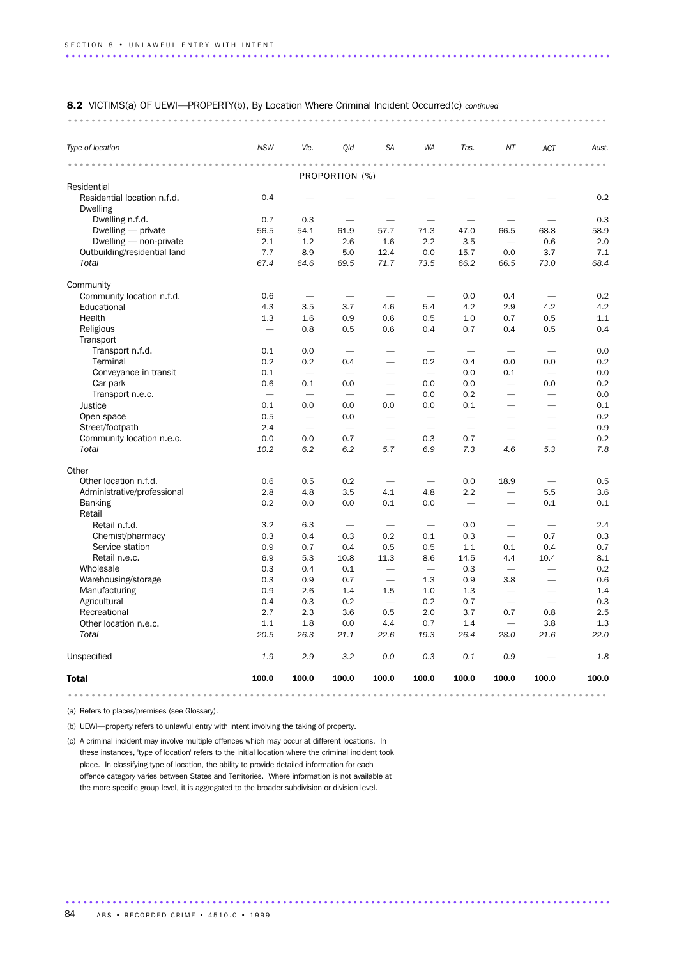#### 8.2 VICTIMS(a) OF UEWI—PROPERTY(b), By Location Where Criminal Incident Occurred(c) *continued*

#### ............................................................................................ ...

| Type of location                               | <b>NSW</b>               | Vic.                     | Qld                      | <b>SA</b>                | <b>WA</b>                | Tas.                     | ΝT                       | ACT                      | Aust. |
|------------------------------------------------|--------------------------|--------------------------|--------------------------|--------------------------|--------------------------|--------------------------|--------------------------|--------------------------|-------|
|                                                |                          |                          |                          |                          |                          |                          |                          |                          |       |
| Residential                                    |                          |                          | PROPORTION (%)           |                          |                          |                          |                          |                          |       |
| Residential location n.f.d.<br><b>Dwelling</b> | 0.4                      |                          |                          |                          |                          |                          |                          |                          | 0.2   |
| Dwelling n.f.d.                                | 0.7                      | 0.3                      |                          |                          |                          |                          |                          |                          | 0.3   |
| Dwelling — private                             | 56.5                     | 54.1                     | 61.9                     | 57.7                     | 71.3                     | 47.0                     | 66.5                     | 68.8                     | 58.9  |
| Dwelling - non-private                         | 2.1                      | 1.2                      | 2.6                      | 1.6                      | 2.2                      | 3.5                      | $\overline{\phantom{0}}$ | 0.6                      | 2.0   |
| Outbuilding/residential land                   | 7.7                      | 8.9                      | 5.0                      | 12.4                     | 0.0                      | 15.7                     | 0.0                      | 3.7                      | 7.1   |
| Total                                          | 67.4                     | 64.6                     | 69.5                     | 71.7                     | 73.5                     | 66.2                     | 66.5                     | 73.0                     | 68.4  |
| Community                                      |                          |                          |                          |                          |                          |                          |                          |                          |       |
| Community location n.f.d.                      | 0.6                      | $\overline{\phantom{0}}$ | $\overline{\phantom{a}}$ | $\overline{\phantom{0}}$ |                          | 0.0                      | 0.4                      | $\overline{\phantom{0}}$ | 0.2   |
| Educational                                    | 4.3                      | 3.5                      | 3.7                      | 4.6                      | 5.4                      | 4.2                      | 2.9                      | 4.2                      | 4.2   |
| Health                                         | 1.3                      | 1.6                      | 0.9                      | 0.6                      | 0.5                      | 1.0                      | 0.7                      | 0.5                      | 1.1   |
| Religious<br>Transport                         |                          | 0.8                      | 0.5                      | 0.6                      | 0.4                      | 0.7                      | 0.4                      | 0.5                      | 0.4   |
| Transport n.f.d.                               | 0.1                      | 0.0                      |                          |                          |                          | $\overline{\phantom{0}}$ | $\overline{\phantom{a}}$ |                          | 0.0   |
| Terminal                                       | 0.2                      | 0.2                      | 0.4                      | $\overline{\phantom{0}}$ | 0.2                      | 0.4                      | 0.0                      | 0.0                      | 0.2   |
| Conveyance in transit                          | 0.1                      |                          | $\overline{\phantom{0}}$ | $\overline{\phantom{0}}$ | $\overline{\phantom{0}}$ | 0.0                      | 0.1                      | $\overline{\phantom{0}}$ | 0.0   |
| Car park                                       | 0.6                      | 0.1                      | 0.0                      | $\overline{\phantom{0}}$ | 0.0                      | 0.0                      | $\overline{\phantom{0}}$ | 0.0                      | 0.2   |
| Transport n.e.c.                               | $\overline{\phantom{0}}$ | $\overline{\phantom{0}}$ | $\overline{\phantom{0}}$ |                          | 0.0                      | 0.2                      |                          |                          | 0.0   |
| Justice                                        | 0.1                      | 0.0                      | 0.0                      | 0.0                      | 0.0                      | 0.1                      | $\overline{\phantom{0}}$ |                          | 0.1   |
| Open space                                     | 0.5                      | $\overline{\phantom{0}}$ | 0.0                      |                          |                          |                          |                          |                          | 0.2   |
| Street/footpath                                | 2.4                      |                          | $\overline{\phantom{0}}$ | $\overline{\phantom{0}}$ | $\overline{\phantom{0}}$ |                          |                          | <u>.</u>                 | 0.9   |
| Community location n.e.c.                      | 0.0                      | 0.0                      | 0.7                      |                          | 0.3                      | 0.7                      |                          |                          | 0.2   |
| Total                                          | 10.2                     | 6.2                      | 6.2                      | 5.7                      | 6.9                      | 7.3                      | 4.6                      | 5.3                      | 7.8   |
| Other                                          |                          |                          |                          |                          |                          |                          |                          |                          |       |
| Other location n.f.d.                          | 0.6                      | 0.5                      | 0.2                      |                          |                          | 0.0                      | 18.9                     |                          | 0.5   |
| Administrative/professional                    | 2.8                      | 4.8                      | 3.5                      | 4.1                      | 4.8                      | 2.2                      |                          | 5.5                      | 3.6   |
| <b>Banking</b><br>Retail                       | 0.2                      | 0.0                      | 0.0                      | 0.1                      | 0.0                      |                          |                          | 0.1                      | 0.1   |
| Retail n.f.d.                                  | 3.2                      | 6.3                      | $\overline{\phantom{0}}$ |                          | $\overline{\phantom{0}}$ | 0.0                      |                          |                          | 2.4   |
| Chemist/pharmacy                               | 0.3                      | 0.4                      | 0.3                      | 0.2                      | 0.1                      | 0.3                      |                          | 0.7                      | 0.3   |
| Service station                                | 0.9                      | 0.7                      | 0.4                      | 0.5                      | 0.5                      | 1.1                      | 0.1                      | 0.4                      | 0.7   |
| Retail n.e.c.                                  | 6.9                      | 5.3                      | 10.8                     | 11.3                     | 8.6                      | 14.5                     | 4.4                      | 10.4                     | 8.1   |
| Wholesale                                      | 0.3                      | 0.4                      | 0.1                      | $\overline{\phantom{0}}$ | $\overline{\phantom{0}}$ | 0.3                      | $\overline{\phantom{0}}$ |                          | 0.2   |
| Warehousing/storage                            | 0.3                      | 0.9                      | 0.7                      |                          | 1.3                      | 0.9                      | 3.8                      |                          | 0.6   |
| Manufacturing                                  | 0.9                      | 2.6                      | 1.4                      | 1.5                      | 1.0                      | 1.3                      | $\overline{\phantom{0}}$ |                          | 1.4   |
| Agricultural                                   | 0.4                      | 0.3                      | 0.2                      | $\overline{\phantom{0}}$ | 0.2                      | 0.7                      |                          |                          | 0.3   |
| Recreational                                   | 2.7                      | 2.3                      | 3.6                      | 0.5                      | 2.0                      | 3.7                      | 0.7                      | 0.8                      | 2.5   |
| Other location n.e.c.                          | 1.1                      | 1.8                      | 0.0                      | 4.4                      | 0.7                      | 1.4                      |                          | 3.8                      | 1.3   |
| Total                                          | 20.5                     | 26.3                     | 21.1                     | 22.6                     | 19.3                     | 26.4                     | 28.0                     | 21.6                     | 22.0  |
| Unspecified                                    | 1.9                      | 2.9                      | 3.2                      | 0.0                      | 0.3                      | 0.1                      | 0.9                      |                          | 1.8   |
| <b>Total</b>                                   | 100.0                    | 100.0                    | 100.0                    | 100.0                    | 100.0                    | 100.0                    | 100.0                    | 100.0                    | 100.0 |
| .                                              |                          |                          |                          |                          |                          |                          |                          |                          |       |

.............................................................................................

(a) Refers to places/premises (see Glossary).

(b) UEWI—property refers to unlawful entry with intent involving the taking of property.

(c) A criminal incident may involve multiple offences which may occur at different locations. In these instances, 'type of location' refers to the initial location where the criminal incident took place. In classifying type of location, the ability to provide detailed information for each offence category varies between States and Territories. Where information is not available at the more specific group level, it is aggregated to the broader subdivision or division level.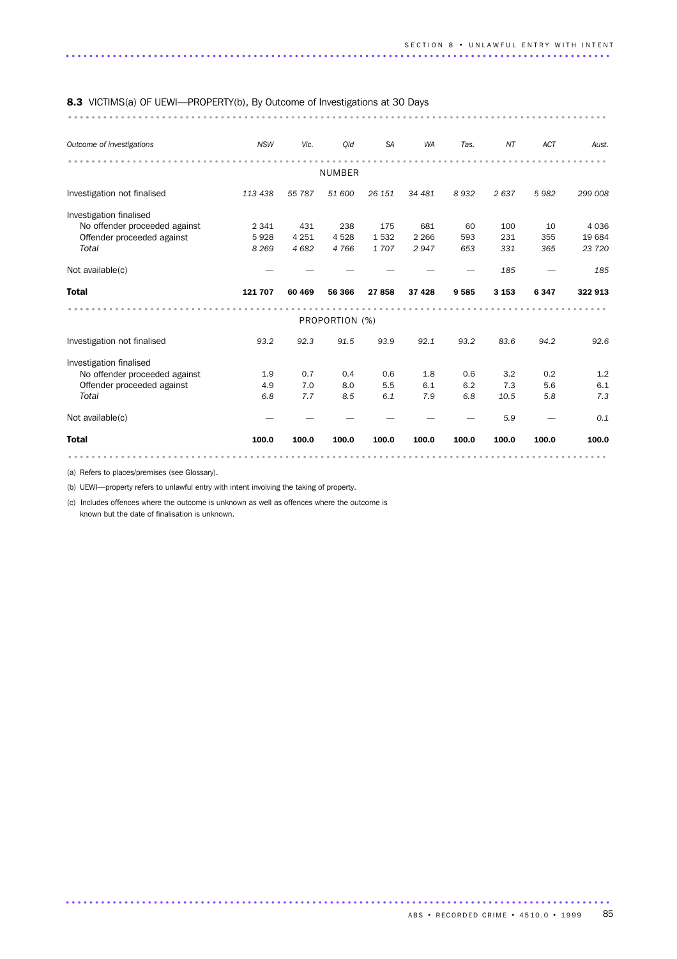### 8.3 VICTIMS(a) OF UEWI—PROPERTY(b), By Outcome of Investigations at 30 Days

............................................................................................ ........

| Outcome of investigations     | <b>NSW</b> | Vic.    | Old            | <b>SA</b> | <b>WA</b> | Tas.  | NΤ      | <b>ACT</b> | Aust.   |
|-------------------------------|------------|---------|----------------|-----------|-----------|-------|---------|------------|---------|
|                               |            |         | <b>NUMBER</b>  |           |           |       |         |            |         |
| Investigation not finalised   | 113 438    | 55 787  | 51 600         | 26 151    | 34 481    | 8932  | 2637    | 5982       | 299 008 |
| Investigation finalised       |            |         |                |           |           |       |         |            |         |
| No offender proceeded against | 2 3 4 1    | 431     | 238            | 175       | 681       | 60    | 100     | 10         | 4 0 3 6 |
| Offender proceeded against    | 5928       | 4 2 5 1 | 4528           | 1532      | 2 2 6 6   | 593   | 231     | 355        | 19 684  |
| Total                         | 8 2 6 9    | 4682    | 4766           | 1707      | 2947      | 653   | 331     | 365        | 23 7 20 |
| Not available(c)              |            |         |                |           |           |       | 185     |            | 185     |
| <b>Total</b>                  | 121 707    | 60 469  | 56 366         | 27858     | 37 4 28   | 9585  | 3 1 5 3 | 6347       | 322 913 |
|                               |            |         |                |           |           |       |         |            |         |
|                               |            |         |                |           |           |       |         |            |         |
|                               |            |         | PROPORTION (%) |           |           |       |         |            |         |
| Investigation not finalised   | 93.2       | 92.3    | 91.5           | 93.9      | 92.1      | 93.2  | 83.6    | 94.2       | 92.6    |
| Investigation finalised       |            |         |                |           |           |       |         |            |         |
| No offender proceeded against | 1.9        | 0.7     | 0.4            | 0.6       | 1.8       | 0.6   | 3.2     | 0.2        | 1.2     |
| Offender proceeded against    | 4.9        | 7.0     | 8.0            | 5.5       | 6.1       | 6.2   | 7.3     | 5.6        | 6.1     |
| Total                         | 6.8        | 7.7     | 8.5            | 6.1       | 7.9       | 6.8   | 10.5    | 5.8        | 7.3     |
| Not available(c)              |            |         |                |           |           |       | 5.9     |            | 0.1     |
| <b>Total</b>                  | 100.0      | 100.0   | 100.0          | 100.0     | 100.0     | 100.0 | 100.0   | 100.0      | 100.0   |

.............................................................................................

(a) Refers to places/premises (see Glossary).

(b) UEWI—property refers to unlawful entry with intent involving the taking of property.

(c) Includes offences where the outcome is unknown as well as offences where the outcome is known but the date of finalisation is unknown.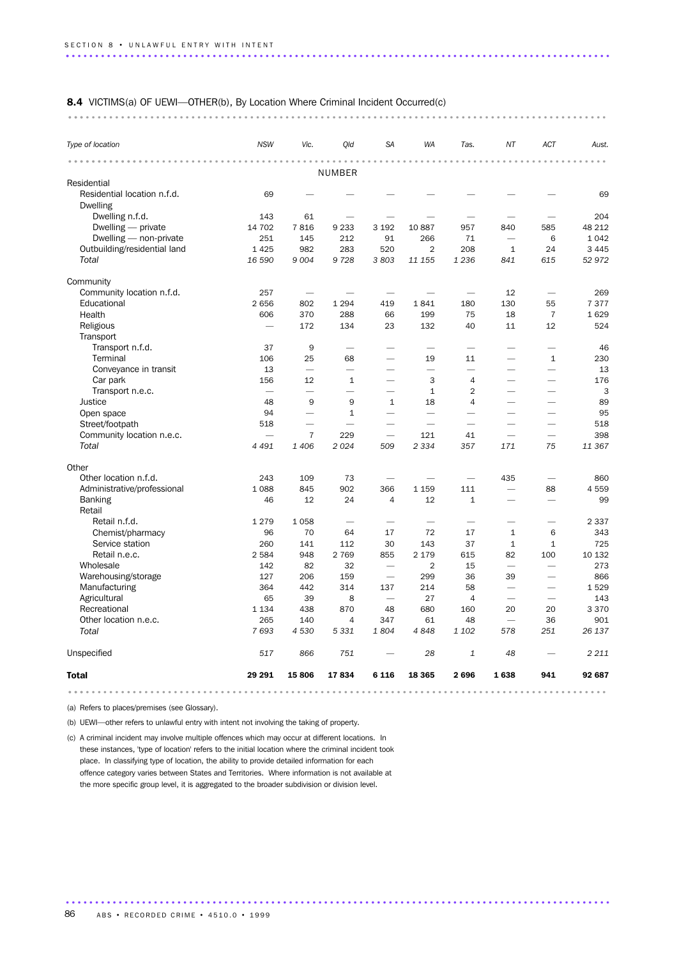| <b>8.4</b> VICTIMS(a) OF UEWI—OTHER(b), By Location Where Criminal Incident Occurred(c) |  |  |  |  |  |  |  |
|-----------------------------------------------------------------------------------------|--|--|--|--|--|--|--|
|                                                                                         |  |  |  |  |  |  |  |

| Type of location                               | <b>NSW</b>                      | Vic.                     | Old                      | <b>SA</b>                | <b>WA</b>                | Tas.                     | NT                       | ACT                      | Aust.   |
|------------------------------------------------|---------------------------------|--------------------------|--------------------------|--------------------------|--------------------------|--------------------------|--------------------------|--------------------------|---------|
|                                                |                                 |                          | NUMBER                   |                          |                          |                          |                          |                          |         |
| Residential                                    |                                 |                          |                          |                          |                          |                          |                          |                          |         |
| Residential location n.f.d.<br><b>Dwelling</b> | 69                              |                          |                          |                          |                          |                          |                          |                          | 69      |
| Dwelling n.f.d.                                | 143                             | 61                       |                          |                          |                          |                          |                          |                          | 204     |
| Dwelling $-$ private                           | 14 702                          | 7816                     | 9 2 3 3                  | 3 1 9 2                  | 10887                    | 957                      | 840                      | 585                      | 48 212  |
| Dwelling - non-private                         | 251                             | 145                      | 212                      | 91                       | 266                      | 71                       |                          | 6                        | 1 0 4 2 |
| Outbuilding/residential land                   | 1 4 2 5                         | 982                      | 283                      | 520                      | $\overline{2}$           | 208                      | $\mathbf{1}$             | 24                       | 3 4 4 5 |
| Total                                          | 16 590                          | 9 0 0 4                  | 9728                     | 3803                     | 11 155                   | 1 2 3 6                  | 841                      | 615                      | 52972   |
| Community                                      |                                 |                          |                          |                          |                          |                          |                          |                          |         |
| Community location n.f.d.                      | 257                             |                          |                          | $\overline{\phantom{0}}$ |                          | $\overline{\phantom{0}}$ | 12                       | $\overline{\phantom{0}}$ | 269     |
| Educational                                    | 2 6 5 6                         | 802                      | 1 2 9 4                  | 419                      | 1841                     | 180                      | 130                      | 55                       | 7377    |
| Health                                         | 606                             | 370                      | 288                      | 66                       | 199                      | 75                       | 18                       | $\overline{7}$           | 1629    |
| Religious                                      | $\overbrace{\phantom{1232211}}$ | 172                      | 134                      | 23                       | 132                      | 40                       | 11                       | 12                       | 524     |
| Transport                                      |                                 |                          |                          |                          |                          |                          |                          |                          |         |
| Transport n.f.d.                               | 37                              | 9                        | $\overline{\phantom{0}}$ | $\overline{\phantom{0}}$ | $\overline{\phantom{0}}$ |                          | $\overline{\phantom{0}}$ | $\overline{\phantom{0}}$ | 46      |
| Terminal                                       | 106                             | 25                       | 68                       | $\overline{\phantom{0}}$ | 19                       | 11                       | $\overline{\phantom{0}}$ | $\mathbf{1}$             | 230     |
| Conveyance in transit                          | 13                              |                          | <u>.</u>                 |                          |                          | $\overline{\phantom{0}}$ |                          |                          | 13      |
| Car park                                       | 156                             | 12                       | $\mathbf{1}$             |                          | 3                        | 4                        |                          |                          | 176     |
| Transport n.e.c.                               |                                 |                          | $\overline{\phantom{0}}$ | $\overline{\phantom{0}}$ | $\mathbf{1}$             | $\overline{2}$           |                          |                          | 3       |
| Justice                                        | 48                              | 9                        | 9                        | $\mathbf{1}$             | 18                       | $\overline{4}$           |                          |                          | 89      |
| Open space                                     | 94                              | $\overline{\phantom{a}}$ | $\mathbf{1}$             | $\overline{\phantom{0}}$ | $\overline{\phantom{0}}$ |                          |                          |                          | 95      |
| Street/footpath                                | 518                             | $\overline{\phantom{0}}$ | $\overline{\phantom{0}}$ |                          | $\overline{\phantom{0}}$ | $\overline{\phantom{0}}$ |                          |                          | 518     |
| Community location n.e.c.                      | $\overline{\phantom{0}}$        | $\overline{7}$           | 229                      | $\overline{\phantom{0}}$ | 121                      | 41                       | $\overline{\phantom{0}}$ |                          | 398     |
| Total                                          | 4 4 9 1                         | 1 4 0 6                  | 2024                     | 509                      | 2 3 3 4                  | 357                      | 171                      | 75                       | 11 367  |
| Other                                          |                                 |                          |                          |                          |                          |                          |                          |                          |         |
| Other location n.f.d.                          | 243                             | 109                      | 73                       |                          |                          |                          | 435                      |                          | 860     |
| Administrative/professional                    | 1 0 8 8                         | 845                      | 902                      | 366                      | 1 1 5 9                  | 111                      |                          | 88                       | 4559    |
| <b>Banking</b><br>Retail                       | 46                              | 12                       | 24                       | $\overline{4}$           | 12                       | $\mathbf{1}$             |                          |                          | 99      |
| Retail n.f.d.                                  | 1 2 7 9                         | 1058                     | $\overline{\phantom{0}}$ |                          |                          | $\overline{\phantom{0}}$ | $\overline{\phantom{0}}$ |                          | 2 3 3 7 |
| Chemist/pharmacy                               | 96                              | 70                       | 64                       | 17                       | 72                       | 17                       | $\mathbf{1}$             | 6                        | 343     |
| Service station                                | 260                             | 141                      | 112                      | 30                       | 143                      | 37                       | $1\,$                    | $\mathbf{1}$             | 725     |
| Retail n.e.c.                                  | 2 5 8 4                         | 948                      | 2 7 6 9                  | 855                      | 2 1 7 9                  | 615                      | 82                       | 100                      | 10 132  |
| Wholesale                                      | 142                             | 82                       | 32                       |                          | 2                        | 15                       | $\overline{\phantom{0}}$ |                          | 273     |
| Warehousing/storage                            | 127                             | 206                      | 159                      | $\overline{\phantom{0}}$ | 299                      | 36                       | 39                       | $\overline{\phantom{0}}$ | 866     |
| Manufacturing                                  | 364                             | 442                      | 314                      | 137                      | 214                      | 58                       |                          | $\overline{\phantom{0}}$ | 1529    |
| Agricultural                                   | 65                              | 39                       | 8                        | $\overline{\phantom{0}}$ | 27                       | $\overline{4}$           |                          |                          | 143     |
| Recreational                                   | 1 1 3 4                         | 438                      | 870                      | 48                       | 680                      | 160                      | 20                       | 20                       | 3 3 7 0 |
| Other location n.e.c.                          | 265                             | 140                      | $\overline{4}$           | 347                      | 61                       | 48                       |                          | 36                       | 901     |
| Total                                          | 7693                            | 4 5 3 0                  | 5 3 3 1                  | 1804                     | 4848                     | 1 102                    | 578                      | 251                      | 26 137  |
| Unspecified                                    | 517                             | 866                      | 751                      |                          | 28                       | 1                        | 48                       |                          | 2 2 1 1 |
| <b>Total</b>                                   | 29 29 1                         | 15806                    | 17834                    | 6 1 1 6                  | 18 3 65                  | 2696                     | 1638                     | 941                      | 92 687  |
|                                                |                                 |                          |                          |                          |                          |                          |                          |                          |         |

(a) Refers to places/premises (see Glossary).

(b) UEWI—other refers to unlawful entry with intent not involving the taking of property.

(c) A criminal incident may involve multiple offences which may occur at different locations. In these instances, 'type of location' refers to the initial location where the criminal incident took place. In classifying type of location, the ability to provide detailed information for each offence category varies between States and Territories. Where information is not available at the more specific group level, it is aggregated to the broader subdivision or division level.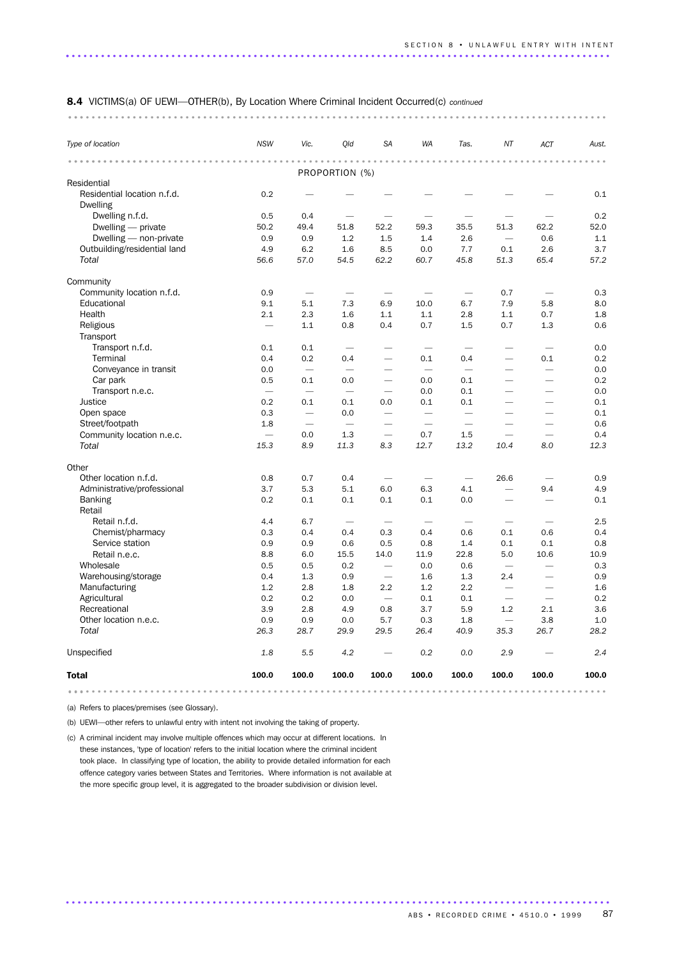| Type of location             | <b>NSW</b>                 | Vic.                     | Qld                            | SA                       | WA                  | Tas.                           | ΝT                              | ACT                            | Aust.                      |
|------------------------------|----------------------------|--------------------------|--------------------------------|--------------------------|---------------------|--------------------------------|---------------------------------|--------------------------------|----------------------------|
|                              | $\alpha = \alpha = \alpha$ | .                        |                                |                          | $- - -$<br>$\alpha$ |                                |                                 |                                | $\alpha = \alpha = \alpha$ |
| Residential                  |                            |                          | PROPORTION (%)                 |                          |                     |                                |                                 |                                |                            |
| Residential location n.f.d.  | 0.2                        |                          |                                |                          |                     |                                |                                 |                                | 0.1                        |
| <b>Dwelling</b>              |                            |                          |                                |                          |                     |                                |                                 |                                |                            |
| Dwelling n.f.d.              | 0.5                        | 0.4                      |                                |                          |                     |                                |                                 |                                | 0.2                        |
| Dwelling - private           | 50.2                       | 49.4                     | 51.8                           | 52.2                     | 59.3                | 35.5                           | 51.3                            | 62.2                           | 52.0                       |
| Dwelling - non-private       | 0.9                        | 0.9                      | 1.2                            | 1.5                      | 1.4                 | 2.6                            |                                 | 0.6                            | 1.1                        |
| Outbuilding/residential land | 4.9                        | 6.2                      | 1.6                            | 8.5                      | 0.0                 | 7.7                            | 0.1                             | 2.6                            | 3.7                        |
| Total                        | 56.6                       | 57.0                     | 54.5                           | 62.2                     | 60.7                | 45.8                           | 51.3                            | 65.4                           | 57.2                       |
| Community                    |                            |                          |                                |                          |                     |                                |                                 |                                |                            |
| Community location n.f.d.    | 0.9                        |                          |                                |                          |                     | $\qquad \qquad$                | 0.7                             |                                | 0.3                        |
| Educational                  | 9.1                        | 5.1                      | 7.3                            | 6.9                      | 10.0                | 6.7                            | 7.9                             | 5.8                            | 8.0                        |
| Health                       | 2.1                        | 2.3                      | 1.6                            | 1.1                      | 1.1                 | 2.8                            | 1.1                             | 0.7                            | 1.8                        |
| Religious                    |                            | 1.1                      | 0.8                            | 0.4                      | 0.7                 | 1.5                            | 0.7                             | 1.3                            | 0.6                        |
| Transport                    |                            |                          |                                |                          |                     |                                |                                 |                                |                            |
| Transport n.f.d.             | 0.1                        | 0.1                      | $\overbrace{\phantom{123321}}$ |                          |                     | $\overbrace{\phantom{123321}}$ |                                 | $\overbrace{\phantom{123321}}$ | 0.0                        |
| Terminal                     | 0.4                        | 0.2                      | 0.4                            | $\overline{\phantom{0}}$ | 0.1                 | 0.4                            | $\overline{\phantom{0}}$        | 0.1                            | 0.2                        |
| Conveyance in transit        | 0.0                        |                          | $\overline{\phantom{0}}$       |                          |                     |                                | $\overline{\phantom{0}}$        | $\overline{\phantom{0}}$       | 0.0                        |
| Car park                     | 0.5                        | 0.1                      | 0.0                            |                          | 0.0                 | 0.1                            |                                 | $\overline{\phantom{0}}$       | 0.2                        |
| Transport n.e.c.             |                            |                          |                                | $\overline{\phantom{0}}$ | 0.0                 | 0.1                            | $\overline{\phantom{0}}$        |                                | 0.0                        |
| Justice                      | 0.2                        | 0.1                      | 0.1                            | 0.0                      | 0.1                 | 0.1                            | $\overline{\phantom{0}}$        | $\overline{\phantom{0}}$       | 0.1                        |
| Open space                   | 0.3                        | $\overline{\phantom{m}}$ | 0.0                            |                          |                     |                                | $\overline{\phantom{0}}$        | $\overline{\phantom{0}}$       | 0.1                        |
| Street/footpath              | 1.8                        | $\overline{\phantom{0}}$ | $\overline{\phantom{0}}$       | $\overline{\phantom{0}}$ |                     | $\overline{\phantom{0}}$       |                                 |                                | 0.6                        |
| Community location n.e.c.    |                            | 0.0                      | 1.3                            |                          | 0.7                 | 1.5                            |                                 |                                | 0.4                        |
| Total                        | 15.3                       | 8.9                      | 11.3                           | 8.3                      | 12.7                | 13.2                           | 10.4                            | 8.0                            | 12.3                       |
| Other                        |                            |                          |                                |                          |                     |                                |                                 |                                |                            |
| Other location n.f.d.        | 0.8                        | 0.7                      | 0.4                            |                          |                     |                                | 26.6                            |                                | 0.9                        |
| Administrative/professional  | 3.7                        | 5.3                      | 5.1                            | 6.0                      | 6.3                 | 4.1                            | $\overline{\phantom{0}}$        | 9.4                            | 4.9                        |
| <b>Banking</b><br>Retail     | 0.2                        | 0.1                      | 0.1                            | 0.1                      | 0.1                 | 0.0                            |                                 | $\overline{\phantom{0}}$       | 0.1                        |
| Retail n.f.d.                | 4.4                        | 6.7                      |                                |                          |                     |                                | $\overline{\phantom{0}}$        | —                              | 2.5                        |
| Chemist/pharmacy             | 0.3                        | 0.4                      | 0.4                            | 0.3                      | 0.4                 | 0.6                            | 0.1                             | 0.6                            | 0.4                        |
| Service station              | 0.9                        | 0.9                      | 0.6                            | 0.5                      | 0.8                 | 1.4                            | 0.1                             | 0.1                            | 0.8                        |
| Retail n.e.c.                | 8.8                        | 6.0                      | 15.5                           | 14.0                     | 11.9                | 22.8                           | 5.0                             | 10.6                           | 10.9                       |
| Wholesale                    | 0.5                        | 0.5                      | 0.2                            | $\overline{\phantom{m}}$ | 0.0                 | 0.6                            |                                 |                                | 0.3                        |
| Warehousing/storage          | 0.4                        | 1.3                      | 0.9                            | $\qquad \qquad -$        | 1.6                 | 1.3                            | 2.4                             | $\overline{\phantom{0}}$       | 0.9                        |
| Manufacturing                | 1.2                        | 2.8                      | 1.8                            | 2.2                      | 1.2                 | 2.2                            |                                 | $\overline{\phantom{0}}$       | 1.6                        |
| Agricultural                 | 0.2                        | 0.2                      | 0.0                            |                          | 0.1                 | 0.1                            | $\overline{\phantom{0}}$        |                                | 0.2                        |
| Recreational                 | 3.9                        | $2.8\,$                  | 4.9                            | 0.8                      | 3.7                 | 5.9                            | $1.2\,$                         | 2.1                            | 3.6                        |
| Other location n.e.c.        | 0.9                        | 0.9                      | 0.0                            | 5.7                      | 0.3                 | 1.8                            | $\hspace{0.1mm}-\hspace{0.1mm}$ | 3.8                            | 1.0                        |
| Total                        | 26.3                       | 28.7                     | 29.9                           | 29.5                     | 26.4                | 40.9                           | 35.3                            | 26.7                           | 28.2                       |
| Unspecified                  | 1.8                        | 5.5                      | 4.2                            | $\overline{\phantom{m}}$ | 0.2                 | 0.0                            | 2.9                             |                                | 2.4                        |
| Total                        | 100.0                      | 100.0                    | 100.0                          | 100.0                    | 100.0               | 100.0                          | 100.0                           | 100.0                          | 100.0                      |

(a) Refers to places/premises (see Glossary).

(b) UEWI—other refers to unlawful entry with intent not involving the taking of property.

(c) A criminal incident may involve multiple offences which may occur at different locations. In these instances, 'type of location' refers to the initial location where the criminal incident took place. In classifying type of location, the ability to provide detailed information for each offence category varies between States and Territories. Where information is not available at the more specific group level, it is aggregated to the broader subdivision or division level.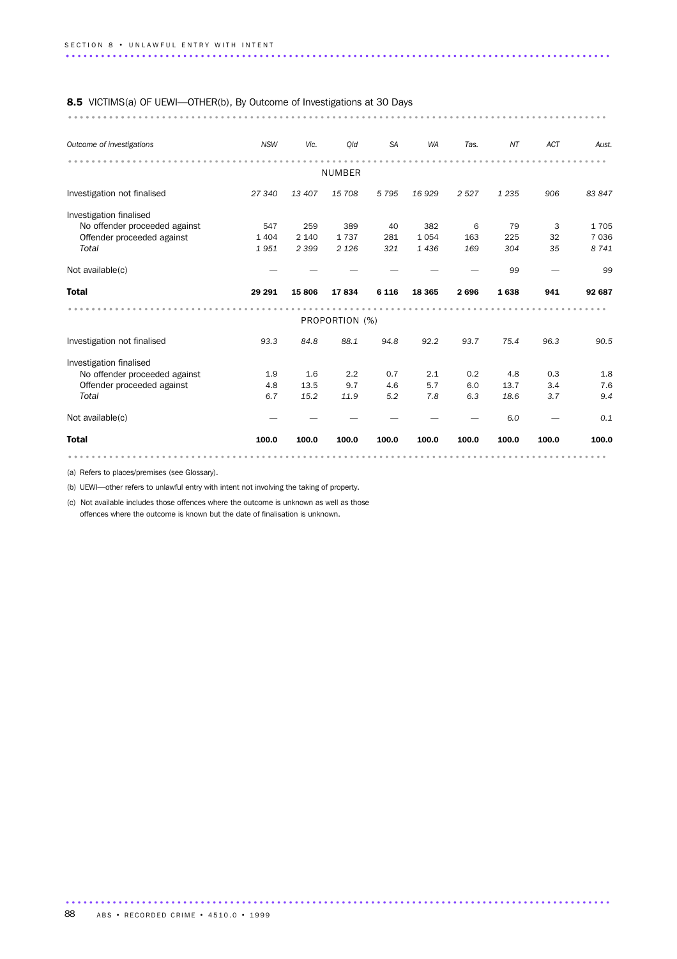#### 8.5 VICTIMS(a) OF UEWI—OTHER(b), By Outcome of Investigations at 30 Days

............................................................................................ ..........

| Outcome of investigations     | <b>NSW</b> | Vic.    | Qld            | <b>SA</b> | <b>WA</b> | Tas.  | NT      | <b>ACT</b> | Aust.   |  |
|-------------------------------|------------|---------|----------------|-----------|-----------|-------|---------|------------|---------|--|
|                               |            |         | NUMBER         |           |           |       |         |            |         |  |
| Investigation not finalised   | 27 340     | 13 407  | 15 708         | 5795      | 16929     | 2527  | 1 2 3 5 | 906        | 83 847  |  |
| Investigation finalised       |            |         |                |           |           |       |         |            |         |  |
| No offender proceeded against | 547        | 259     | 389            | 40        | 382       | 6     | 79      | 3          | 1705    |  |
| Offender proceeded against    | 1 4 0 4    | 2 1 4 0 | 1737           | 281       | 1054      | 163   | 225     | 32         | 7 0 3 6 |  |
| Total                         | 1951       | 2 3 9 9 | 2 1 2 6        | 321       | 1436      | 169   | 304     | 35         | 8 7 4 1 |  |
| Not available(c)              |            |         |                |           |           |       | 99      |            | 99      |  |
| <b>Total</b>                  | 29 29 1    | 15806   | 17834          | 6 1 1 6   | 18 3 65   | 2696  | 1638    | 941        | 92 687  |  |
|                               |            |         |                |           |           |       |         |            |         |  |
|                               |            |         | PROPORTION (%) |           |           |       |         |            |         |  |
| Investigation not finalised   | 93.3       | 84.8    | 88.1           | 94.8      | 92.2      | 93.7  | 75.4    | 96.3       | 90.5    |  |
| Investigation finalised       |            |         |                |           |           |       |         |            |         |  |
| No offender proceeded against | 1.9        | 1.6     | 2.2            | 0.7       | 2.1       | 0.2   | 4.8     | 0.3        | 1.8     |  |
| Offender proceeded against    | 4.8        | 13.5    | 9.7            | 4.6       | 5.7       | 6.0   | 13.7    | 3.4        | 7.6     |  |
| Total                         | 6.7        | 15.2    | 11.9           | 5.2       | 7.8       | 6.3   | 18.6    | 3.7        | 9.4     |  |
| Not available(c)              |            |         |                |           |           |       | 6.0     |            | 0.1     |  |
| <b>Total</b>                  | 100.0      | 100.0   | 100.0          | 100.0     | 100.0     | 100.0 | 100.0   | 100.0      | 100.0   |  |
|                               |            |         |                |           |           |       |         |            |         |  |

.............................................................................................

(a) Refers to places/premises (see Glossary).

(b) UEWI—other refers to unlawful entry with intent not involving the taking of property.

(c) Not available includes those offences where the outcome is unknown as well as those offences where the outcome is known but the date of finalisation is unknown.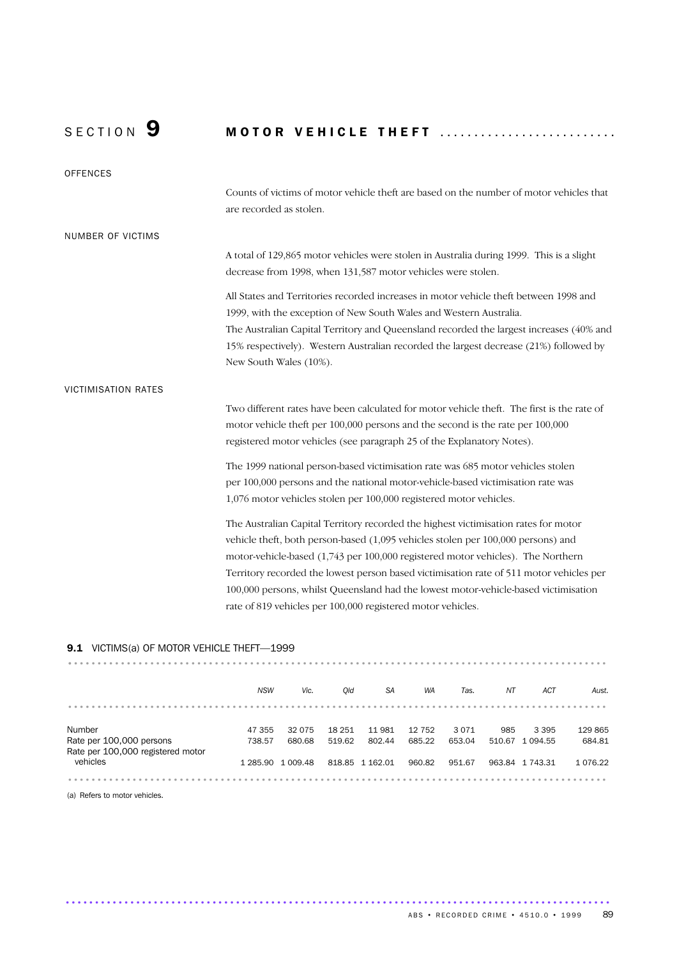## SECTION 9 MOTOR VEHICLE THEFT ..........................

| <b>OFFENCES</b>            |                                                                                                                                                                                                                                                                                                                                                                                                                                                                                                             |
|----------------------------|-------------------------------------------------------------------------------------------------------------------------------------------------------------------------------------------------------------------------------------------------------------------------------------------------------------------------------------------------------------------------------------------------------------------------------------------------------------------------------------------------------------|
|                            | Counts of victims of motor vehicle theft are based on the number of motor vehicles that<br>are recorded as stolen.                                                                                                                                                                                                                                                                                                                                                                                          |
| <b>NUMBER OF VICTIMS</b>   |                                                                                                                                                                                                                                                                                                                                                                                                                                                                                                             |
|                            | A total of 129,865 motor vehicles were stolen in Australia during 1999. This is a slight<br>decrease from 1998, when 131,587 motor vehicles were stolen.                                                                                                                                                                                                                                                                                                                                                    |
|                            | All States and Territories recorded increases in motor vehicle theft between 1998 and<br>1999, with the exception of New South Wales and Western Australia.                                                                                                                                                                                                                                                                                                                                                 |
|                            | The Australian Capital Territory and Queensland recorded the largest increases (40% and<br>15% respectively). Western Australian recorded the largest decrease (21%) followed by<br>New South Wales (10%).                                                                                                                                                                                                                                                                                                  |
| <b>VICTIMISATION RATES</b> |                                                                                                                                                                                                                                                                                                                                                                                                                                                                                                             |
|                            | Two different rates have been calculated for motor vehicle theft. The first is the rate of<br>motor vehicle theft per 100,000 persons and the second is the rate per 100,000<br>registered motor vehicles (see paragraph 25 of the Explanatory Notes).                                                                                                                                                                                                                                                      |
|                            | The 1999 national person-based victimisation rate was 685 motor vehicles stolen<br>per 100,000 persons and the national motor-vehicle-based victimisation rate was<br>1,076 motor vehicles stolen per 100,000 registered motor vehicles.                                                                                                                                                                                                                                                                    |
|                            | The Australian Capital Territory recorded the highest victimisation rates for motor<br>vehicle theft, both person-based (1,095 vehicles stolen per 100,000 persons) and<br>motor-vehicle-based (1,743 per 100,000 registered motor vehicles). The Northern<br>Territory recorded the lowest person based victimisation rate of 511 motor vehicles per<br>100,000 persons, whilst Queensland had the lowest motor-vehicle-based victimisation<br>rate of 819 vehicles per 100,000 registered motor vehicles. |

### 9.1 VICTIMS(a) OF MOTOR VEHICLE THEFT-1999

| <b>3.1</b> VICTIMS(d) OF MOTOR VEHICLE THEFT-1999 |            |                   |        |                 |        |        |        |                 |               |
|---------------------------------------------------|------------|-------------------|--------|-----------------|--------|--------|--------|-----------------|---------------|
|                                                   |            |                   |        |                 |        |        |        |                 |               |
|                                                   |            |                   |        |                 |        |        |        |                 |               |
|                                                   | <b>NSW</b> | Vic.              | Old    | <b>SA</b>       | WA     | Tas.   | NΤ     | <b>ACT</b>      | Aust.         |
|                                                   |            |                   |        |                 |        |        |        |                 |               |
| Number                                            | 47 355     | 32 075            | 18 251 | 11981           | 12 752 | 3071   | 985    | 3 3 9 5         | 129 865       |
| Rate per 100,000 persons                          | 738.57     | 680.68            | 519.62 | 802.44          | 685.22 | 653.04 | 510.67 | 1 094.55        | 684.81        |
| Rate per 100,000 registered motor<br>vehicles     |            | 1 285.90 1 009.48 |        | 818.85 1 162.01 | 960.82 | 951.67 |        | 963.84 1 743.31 | 1 0 7 6 . 2 2 |
|                                                   |            |                   |        |                 |        |        |        |                 |               |

.............................................................................................

(a) Refers to motor vehicles.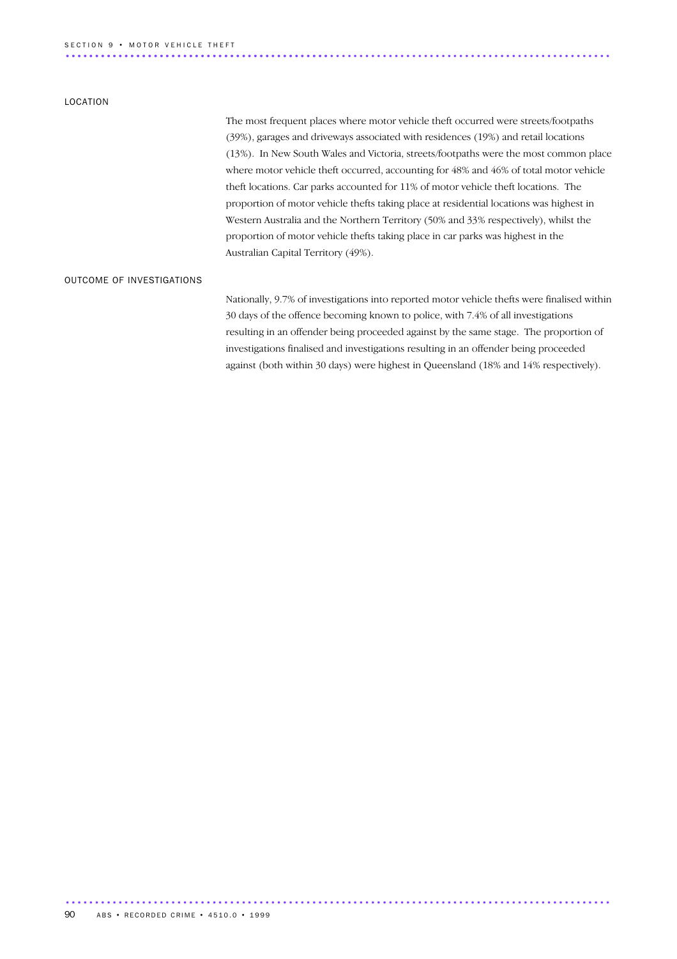### SECTION 9 • MOTOR VEHICLE THEFT

#### LOCATION

The most frequent places where motor vehicle theft occurred were streets/footpaths (39%), garages and driveways associated with residences (19%) and retail locations (13%). In New South Wales and Victoria, streets/footpaths were the most common place where motor vehicle theft occurred, accounting for 48% and 46% of total motor vehicle theft locations. Car parks accounted for 11% of motor vehicle theft locations. The proportion of motor vehicle thefts taking place at residential locations was highest in Western Australia and the Northern Territory (50% and 33% respectively), whilst the proportion of motor vehicle thefts taking place in car parks was highest in the Australian Capital Territory (49%).

............................................................................................. .............................................

#### OUTCOME OF INVESTIGATIONS

Nationally, 9.7% of investigations into reported motor vehicle thefts were finalised within 30 days of the offence becoming known to police, with 7.4% of all investigations resulting in an offender being proceeded against by the same stage. The proportion of investigations finalised and investigations resulting in an offender being proceeded against (both within 30 days) were highest in Queensland (18% and 14% respectively).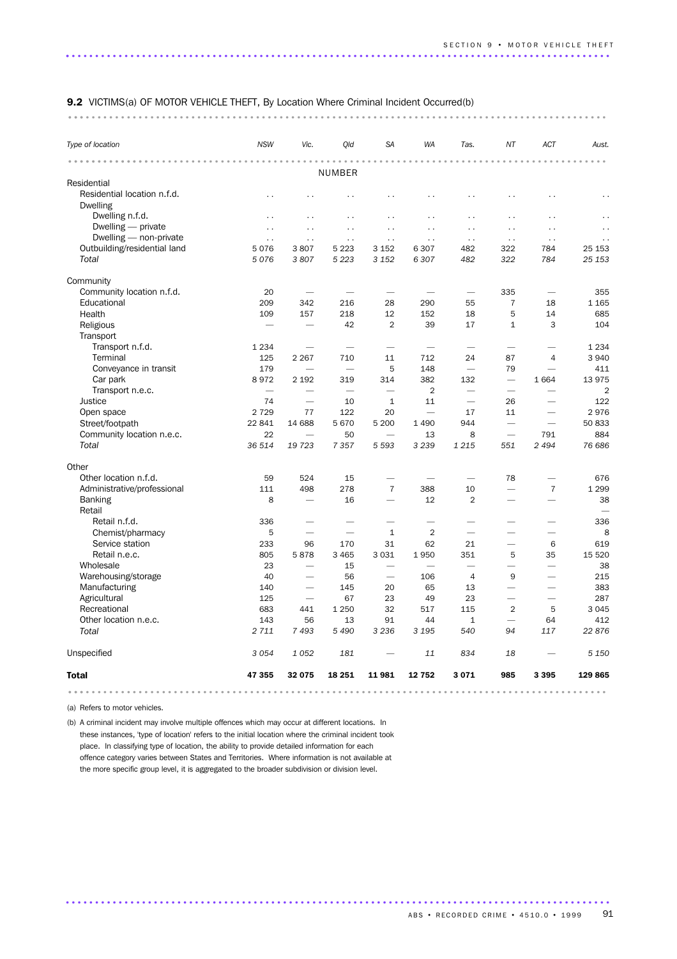#### 9.2 VICTIMS(a) OF MOTOR VEHICLE THEFT, By Location Where Criminal Incident Occurred(b)

............................................................................................ ...

| Type of location                        | <b>NSW</b>           | Vic.                     | Old                      | <b>SA</b>                | <b>WA</b>                | Tas.                     | NT                       | ACT                      | Aust.          |
|-----------------------------------------|----------------------|--------------------------|--------------------------|--------------------------|--------------------------|--------------------------|--------------------------|--------------------------|----------------|
|                                         |                      |                          | <b>NUMBER</b>            |                          | 0.000                    |                          |                          |                          |                |
| Residential                             |                      |                          |                          |                          |                          |                          |                          |                          |                |
| Residential location n.f.d.<br>Dwelling | $\sim$ $\sim$        |                          | $\ddot{\phantom{0}}$     |                          | . .                      | $\ddot{\phantom{0}}$     | . .                      |                          |                |
| Dwelling n.f.d.                         | $\ddot{\phantom{0}}$ | $\ddot{\phantom{1}}$     | $\ddot{\phantom{0}}$     | $\ddot{\phantom{0}}$     | . .                      | $\ddot{\phantom{0}}$     | $\ddot{\phantom{0}}$     | $\ddotsc$                |                |
| Dwelling — private                      | $\ddot{\phantom{0}}$ | $\ddot{\phantom{a}}$     | $\ddotsc$                | $\ddot{\phantom{0}}$     | . .                      | $\sim$ $\sim$            | $\ddot{\phantom{0}}$     | $\ddot{\phantom{0}}$     |                |
| Dwelling - non-private                  | $\sim$ .             | $\sim$ $\sim$            | $\sim$                   | $\sim$ $\sim$            | $\sim$ $\sim$            | $\sim$ $\sim$            | $\sim$ $\sim$            | $\sim$ $\sim$            | $\sim$ .       |
| Outbuilding/residential land            | 5076                 | 3807                     | 5 2 2 3                  | 3 1 5 2                  | 6 3 0 7                  | 482                      | 322                      | 784                      | 25 153         |
| Total                                   | 5076                 | 3807                     | 5 2 2 3                  | 3 1 5 2                  | 6 3 0 7                  | 482                      | 322                      | 784                      | 25 153         |
| Community                               |                      |                          |                          |                          |                          |                          |                          |                          |                |
| Community location n.f.d.               | 20                   |                          |                          |                          |                          |                          | 335                      | $\overline{\phantom{0}}$ | 355            |
| Educational                             | 209                  | 342                      | 216                      | 28                       | 290                      | 55                       | $\overline{7}$           | 18                       | 1 1 6 5        |
| Health                                  | 109                  | 157                      | 218                      | 12                       | 152                      | 18                       | 5                        | 14                       | 685            |
| Religious                               |                      | $\overline{\phantom{0}}$ | 42                       | 2                        | 39                       | 17                       | $\mathbf{1}$             | 3                        | 104            |
| Transport                               |                      |                          |                          |                          |                          |                          |                          |                          |                |
| Transport n.f.d.                        | 1 2 3 4              | $\overline{\phantom{0}}$ | $\overline{\phantom{0}}$ | $\overline{\phantom{0}}$ | $\overline{\phantom{0}}$ | $\overline{\phantom{0}}$ | $\overline{\phantom{0}}$ | $\overline{\phantom{0}}$ | 1 2 3 4        |
| Terminal                                | 125                  | 2 2 6 7                  | 710                      | 11                       | 712                      | 24                       | 87                       | 4                        | 3 9 4 0        |
| Conveyance in transit                   | 179                  | $\overline{\phantom{0}}$ | $\overline{\phantom{0}}$ | 5                        | 148                      | $\frac{1}{2}$            | 79                       | $\overline{\phantom{0}}$ | 411            |
| Car park                                | 8972                 | 2 1 9 2                  | 319                      | 314                      | 382                      | 132                      | $\overline{\phantom{0}}$ | 1664                     | 13 975         |
| Transport n.e.c.                        |                      |                          | $\overline{\phantom{0}}$ | $\overline{\phantom{0}}$ | $\overline{2}$           |                          |                          |                          | $\overline{2}$ |
| <b>Justice</b>                          | 74                   |                          | 10                       | 1                        | 11                       | $\overline{\phantom{0}}$ | 26                       |                          | 122            |
| Open space                              | 2 7 2 9              | 77                       | 122                      | 20                       | $\overline{\phantom{0}}$ | 17                       | 11                       |                          | 2976           |
| Street/footpath                         | 22 841               | 14 688                   | 5670                     | 5 200                    | 1 4 9 0                  | 944                      | $\overline{\phantom{0}}$ | $\overline{\phantom{0}}$ | 50 833         |
| Community location n.e.c.               | 22                   | $\overline{\phantom{0}}$ | 50                       | $\overline{\phantom{0}}$ | 13                       | 8                        | $\overline{\phantom{0}}$ | 791                      | 884            |
| Total                                   | 36 514               | 19 723                   | 7 3 5 7                  | 5 5 9 3                  | 3 2 3 9                  | 1 2 1 5                  | 551                      | 2494                     | 76 686         |
| Other                                   |                      |                          |                          |                          |                          |                          |                          |                          |                |
| Other location n.f.d.                   | 59                   | 524                      | 15                       | -                        | $\overline{\phantom{0}}$ | $\overline{\phantom{0}}$ | 78                       |                          | 676            |
| Administrative/professional             | 111                  | 498                      | 278                      | $\overline{7}$           | 388                      | 10                       | $\overline{\phantom{0}}$ | $\overline{7}$           | 1 2 9 9        |
| <b>Banking</b><br>Retail                | 8                    |                          | 16                       |                          | 12                       | $\overline{2}$           |                          |                          | 38             |
| Retail n.f.d.                           | 336                  |                          |                          |                          |                          |                          |                          |                          | 336            |
| Chemist/pharmacy                        | 5                    | $\overline{\phantom{0}}$ | $\overline{\phantom{0}}$ | $\mathbf{1}$             | $\overline{2}$           | $\overline{\phantom{0}}$ |                          | $\overline{\phantom{0}}$ | 8              |
| Service station                         | 233                  | 96                       | 170                      | 31                       | 62                       | 21                       |                          | 6                        | 619            |
| Retail n.e.c.                           | 805                  | 5878                     | 3 4 6 5                  | 3 0 3 1                  | 1950                     | 351                      | 5                        | 35                       | 15 5 20        |
| Wholesale                               | 23                   | $\overline{\phantom{0}}$ | 15                       | $\overline{\phantom{0}}$ | $\overline{\phantom{0}}$ | $\overline{\phantom{0}}$ | $\overline{\phantom{0}}$ | $\overline{\phantom{0}}$ | 38             |
| Warehousing/storage                     | 40                   | $\overline{\phantom{0}}$ | 56                       | $\overline{\phantom{0}}$ | 106                      | $\overline{4}$           | 9                        | $\overline{\phantom{0}}$ | 215            |
| Manufacturing                           | 140                  | $\overline{\phantom{0}}$ | 145                      | 20                       | 65                       | 13                       | $\overline{\phantom{0}}$ | $\overline{\phantom{0}}$ | 383            |
| Agricultural                            | 125                  |                          | 67                       | 23                       | 49                       | 23                       |                          |                          | 287            |
| Recreational                            | 683                  | 441                      | 1 2 5 0                  | 32                       | 517                      | 115                      | $\overline{2}$           | 5                        | 3 0 4 5        |
| Other location n.e.c.                   | 143                  | 56                       | 13                       | 91                       | 44                       | $\mathbf{1}$             | $\overline{\phantom{0}}$ | 64                       | 412            |
| Total                                   | 2 7 1 1              | 7 4 9 3                  | 5 4 9 0                  | 3 2 3 6                  | 3 1 9 5                  | 540                      | 94                       | 117                      | 22 876         |
| Unspecified                             | 3 0 5 4              | 1052                     | 181                      |                          | 11                       | 834                      | 18                       |                          | 5 1 5 0        |
| <b>Total</b>                            | 47 355               | 32 075                   | 18 25 1                  | 11 981                   | 12 752                   | 3071                     | 985                      | 3 3 9 5                  | 129 865        |
|                                         |                      |                          |                          |                          |                          |                          |                          |                          |                |

.............................................................................................

(a) Refers to motor vehicles.

(b) A criminal incident may involve multiple offences which may occur at different locations. In these instances, 'type of location' refers to the initial location where the criminal incident took place. In classifying type of location, the ability to provide detailed information for each offence category varies between States and Territories. Where information is not available at the more specific group level, it is aggregated to the broader subdivision or division level.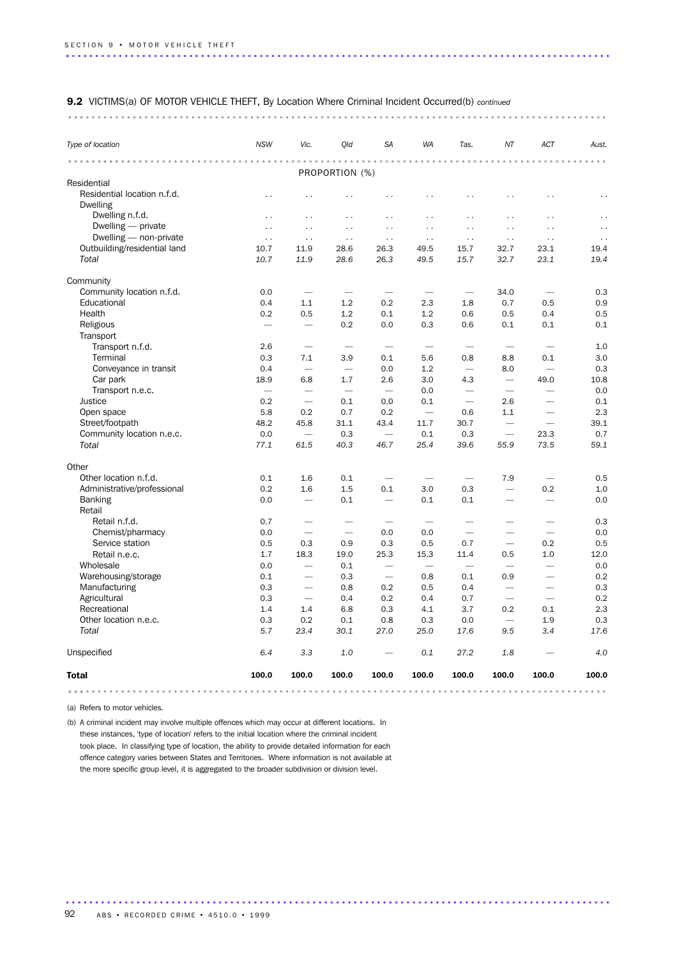#### 9.2 VICTIMS(a) OF MOTOR VEHICLE THEFT, By Location Where Criminal Incident Occurred(b) *continued*

............................................................................................ ...

| .<br>Residential<br>Residential location n.f.d.<br>$\ddot{\phantom{0}}$<br><b>Dwelling</b><br>Dwelling n.f.d.<br>$\sim$<br>Dwelling - private<br>$\ddotsc$<br>Dwelling - non-private<br>$\ddotsc$<br>Outbuilding/residential land<br>10.7<br>Total<br>10.7<br>Community<br>Community location n.f.d.<br>0.0<br>Educational<br>0.4<br>Health<br>0.2<br>Religious<br>Transport<br>Transport n.f.d.<br>2.6<br>Terminal<br>0.3<br>Conveyance in transit<br>0.4<br>Car park<br>18.9<br>Transport n.e.c.<br>Justice<br>0.2<br>Open space<br>5.8<br>Street/footpath<br>48.2<br>Community location n.e.c.<br>0.0<br>Total<br>77.1 | $\ddot{\phantom{0}}$     | PROPORTION (%)           |                          |                          |                          |                          |                          |                      |
|---------------------------------------------------------------------------------------------------------------------------------------------------------------------------------------------------------------------------------------------------------------------------------------------------------------------------------------------------------------------------------------------------------------------------------------------------------------------------------------------------------------------------------------------------------------------------------------------------------------------------|--------------------------|--------------------------|--------------------------|--------------------------|--------------------------|--------------------------|--------------------------|----------------------|
|                                                                                                                                                                                                                                                                                                                                                                                                                                                                                                                                                                                                                           |                          |                          |                          |                          |                          |                          |                          |                      |
|                                                                                                                                                                                                                                                                                                                                                                                                                                                                                                                                                                                                                           |                          |                          |                          |                          |                          |                          |                          |                      |
|                                                                                                                                                                                                                                                                                                                                                                                                                                                                                                                                                                                                                           |                          | $\ddot{\phantom{0}}$     | $\ddot{\phantom{0}}$     | $\ddot{\phantom{0}}$     | $\ddot{\phantom{0}}$     | . .                      | . .                      |                      |
|                                                                                                                                                                                                                                                                                                                                                                                                                                                                                                                                                                                                                           | $\sim$                   | $\sim$                   | $\sim$ $\sim$            | $\sim$ .                 | $\sim$                   | $\sim$                   | $\ddot{\phantom{0}}$     | $\sim$               |
|                                                                                                                                                                                                                                                                                                                                                                                                                                                                                                                                                                                                                           | $\sim$ $\sim$            | $\ddotsc$                | $\ddot{\phantom{0}}$     | $\ddot{\phantom{0}}$     | $\sim$                   | $\sim$ .                 | $\ddot{\phantom{0}}$     | $\ddot{\phantom{0}}$ |
|                                                                                                                                                                                                                                                                                                                                                                                                                                                                                                                                                                                                                           | $\ddot{\phantom{0}}$     | $\sim$ .                 | $\sim$ $\sim$            | $\ddot{\phantom{0}}$     | $\sim$ .                 | $\sim$ $\sim$            | $\ddotsc$                | $\ddot{\phantom{0}}$ |
|                                                                                                                                                                                                                                                                                                                                                                                                                                                                                                                                                                                                                           | 11.9                     | 28.6                     | 26.3                     | 49.5                     | 15.7                     | 32.7                     | 23.1                     | 19.4                 |
|                                                                                                                                                                                                                                                                                                                                                                                                                                                                                                                                                                                                                           | 11.9                     | 28.6                     | 26.3                     | 49.5                     | 15.7                     | 32.7                     | 23.1                     | 19.4                 |
|                                                                                                                                                                                                                                                                                                                                                                                                                                                                                                                                                                                                                           |                          |                          |                          |                          |                          |                          |                          |                      |
|                                                                                                                                                                                                                                                                                                                                                                                                                                                                                                                                                                                                                           |                          | $\overline{\phantom{0}}$ | $\overline{\phantom{0}}$ | $\overline{\phantom{0}}$ |                          | 34.0                     |                          | 0.3                  |
|                                                                                                                                                                                                                                                                                                                                                                                                                                                                                                                                                                                                                           | 1.1                      | 1.2                      | 0.2                      | 2.3                      | 1.8                      | 0.7                      | 0.5                      | 0.9                  |
|                                                                                                                                                                                                                                                                                                                                                                                                                                                                                                                                                                                                                           | 0.5                      | 1.2                      | 0.1                      | 1.2                      | 0.6                      | 0.5                      | 0.4                      | 0.5                  |
|                                                                                                                                                                                                                                                                                                                                                                                                                                                                                                                                                                                                                           | $\overline{\phantom{0}}$ | 0.2                      | 0.0                      | 0.3                      | 0.6                      | 0.1                      | 0.1                      | 0.1                  |
|                                                                                                                                                                                                                                                                                                                                                                                                                                                                                                                                                                                                                           |                          |                          |                          |                          |                          |                          |                          |                      |
|                                                                                                                                                                                                                                                                                                                                                                                                                                                                                                                                                                                                                           |                          | $\overline{\phantom{a}}$ | $\overline{\phantom{a}}$ | $\overline{\phantom{a}}$ | $\overline{\phantom{a}}$ | $\overline{\phantom{a}}$ |                          | 1.0                  |
|                                                                                                                                                                                                                                                                                                                                                                                                                                                                                                                                                                                                                           | 7.1                      | 3.9                      | 0.1                      | 5.6                      | 0.8                      | 8.8                      | 0.1                      | 3.0                  |
|                                                                                                                                                                                                                                                                                                                                                                                                                                                                                                                                                                                                                           | $\overline{\phantom{0}}$ | $\overline{\phantom{0}}$ | 0.0                      | 1.2                      |                          | 8.0                      | $\overline{\phantom{0}}$ | 0.3                  |
|                                                                                                                                                                                                                                                                                                                                                                                                                                                                                                                                                                                                                           | 6.8                      | 1.7                      | 2.6                      | 3.0                      | 4.3                      | $\overline{\phantom{0}}$ | 49.0                     | 10.8                 |
|                                                                                                                                                                                                                                                                                                                                                                                                                                                                                                                                                                                                                           |                          | $\overline{\phantom{0}}$ |                          | 0.0                      |                          | $\overline{\phantom{m}}$ |                          | 0.0                  |
|                                                                                                                                                                                                                                                                                                                                                                                                                                                                                                                                                                                                                           | $\overline{\phantom{0}}$ | 0.1                      | 0.0                      | 0.1                      |                          | 2.6                      | $\overline{\phantom{0}}$ | 0.1                  |
|                                                                                                                                                                                                                                                                                                                                                                                                                                                                                                                                                                                                                           | 0.2                      | 0.7                      | 0.2                      | $\overline{\phantom{m}}$ | 0.6                      | 1.1                      | $\overline{\phantom{m}}$ | 2.3                  |
|                                                                                                                                                                                                                                                                                                                                                                                                                                                                                                                                                                                                                           | 45.8                     | 31.1                     | 43.4                     | 11.7                     | 30.7                     | $\overline{\phantom{0}}$ |                          | 39.1                 |
|                                                                                                                                                                                                                                                                                                                                                                                                                                                                                                                                                                                                                           |                          | 0.3                      | $\overline{\phantom{0}}$ | 0.1                      | 0.3                      | $\overline{\phantom{0}}$ | 23.3                     | 0.7                  |
|                                                                                                                                                                                                                                                                                                                                                                                                                                                                                                                                                                                                                           | 61.5                     | 40.3                     | 46.7                     | 25.4                     | 39.6                     | 55.9                     | 73.5                     | 59.1                 |
| Other                                                                                                                                                                                                                                                                                                                                                                                                                                                                                                                                                                                                                     |                          |                          |                          |                          |                          |                          |                          |                      |
| Other location n.f.d.<br>0.1                                                                                                                                                                                                                                                                                                                                                                                                                                                                                                                                                                                              | 1.6                      | 0.1                      | $\overline{\phantom{0}}$ |                          |                          | 7.9                      | $\overline{\phantom{0}}$ | 0.5                  |
| Administrative/professional<br>0.2                                                                                                                                                                                                                                                                                                                                                                                                                                                                                                                                                                                        | 1.6                      | 1.5                      | 0.1                      | 3.0                      | 0.3                      | $\overline{\phantom{0}}$ | 0.2                      | 1.0                  |
| <b>Banking</b><br>0.0<br>Retail                                                                                                                                                                                                                                                                                                                                                                                                                                                                                                                                                                                           | $\overline{\phantom{0}}$ | 0.1                      | $\overline{\phantom{0}}$ | 0.1                      | 0.1                      | ÷.                       | $\overline{\phantom{0}}$ | 0.0                  |
| Retail n.f.d.<br>0.7                                                                                                                                                                                                                                                                                                                                                                                                                                                                                                                                                                                                      |                          |                          |                          |                          |                          |                          |                          | 0.3                  |
| Chemist/pharmacy<br>0.0                                                                                                                                                                                                                                                                                                                                                                                                                                                                                                                                                                                                   | $\overline{\phantom{0}}$ |                          | 0.0                      | 0.0                      |                          |                          |                          | 0.0                  |
| Service station<br>0.5                                                                                                                                                                                                                                                                                                                                                                                                                                                                                                                                                                                                    | 0.3                      | 0.9                      | 0.3                      | 0.5                      | 0.7                      | $\overline{\phantom{0}}$ | 0.2                      | 0.5                  |
| Retail n.e.c.<br>1.7                                                                                                                                                                                                                                                                                                                                                                                                                                                                                                                                                                                                      | 18.3                     | 19.0                     | 25.3                     | 15.3                     | 11.4                     | 0.5                      | 1.0                      | 12.0                 |
| Wholesale<br>0.0                                                                                                                                                                                                                                                                                                                                                                                                                                                                                                                                                                                                          | $\overline{\phantom{0}}$ | 0.1                      | $\overline{\phantom{a}}$ |                          |                          | $\overline{\phantom{0}}$ | $\overline{\phantom{0}}$ | 0.0                  |
| Warehousing/storage<br>0.1                                                                                                                                                                                                                                                                                                                                                                                                                                                                                                                                                                                                | $\overline{\phantom{0}}$ | 0.3                      |                          | 0.8                      | 0.1                      | 0.9                      | $\overline{\phantom{0}}$ | 0.2                  |
| Manufacturing<br>0.3                                                                                                                                                                                                                                                                                                                                                                                                                                                                                                                                                                                                      | $\overline{\phantom{0}}$ | 0.8                      | 0.2                      | 0.5                      | 0.4                      | $\overline{\phantom{0}}$ | $\overline{\phantom{0}}$ | 0.3                  |
| Agricultural<br>0.3                                                                                                                                                                                                                                                                                                                                                                                                                                                                                                                                                                                                       |                          | 0.4                      | 0.2                      | 0.4                      | 0.7                      |                          |                          | 0.2                  |
| Recreational<br>1.4                                                                                                                                                                                                                                                                                                                                                                                                                                                                                                                                                                                                       | 1.4                      | 6.8                      | 0.3                      | 4.1                      | 3.7                      | 0.2                      | 0.1                      | 2.3                  |
| Other location n.e.c.<br>0.3                                                                                                                                                                                                                                                                                                                                                                                                                                                                                                                                                                                              | 0.2                      | 0.1                      | 0.8                      | 0.3                      | 0.0                      | $\overline{\phantom{0}}$ | 1.9                      | 0.3                  |
| Total<br>5.7                                                                                                                                                                                                                                                                                                                                                                                                                                                                                                                                                                                                              | 23.4                     | 30.1                     | 27.0                     | 25.0                     | 17.6                     | 9.5                      | 3.4                      | 17.6                 |
| Unspecified<br>6.4                                                                                                                                                                                                                                                                                                                                                                                                                                                                                                                                                                                                        | 3.3                      | 1.0                      |                          | 0.1                      | 27.2                     | 1.8                      |                          | 4.0                  |
| 100.0<br><b>Total</b>                                                                                                                                                                                                                                                                                                                                                                                                                                                                                                                                                                                                     | 100.0                    | 100.0                    | 100.0                    | 100.0                    | 100.0                    | 100.0                    | 100.0                    | 100.0                |

.............................................................................................

(a) Refers to motor vehicles.

(b) A criminal incident may involve multiple offences which may occur at different locations. In these instances, 'type of location' refers to the initial location where the criminal incident took place. In classifying type of location, the ability to provide detailed information for each offence category varies between States and Territories. Where information is not available at the more specific group level, it is aggregated to the broader subdivision or division level.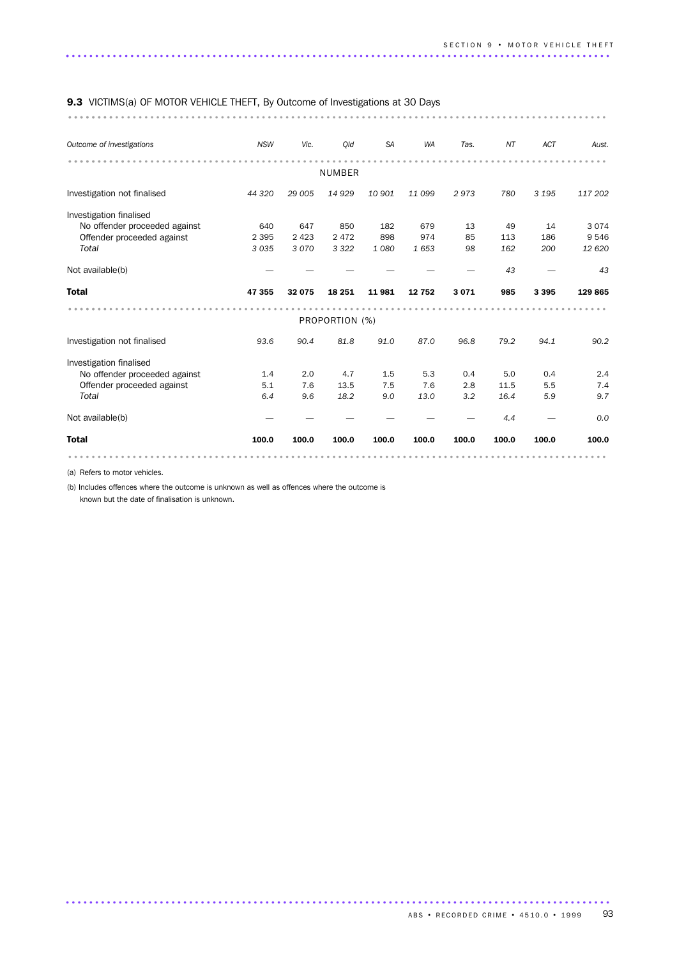#### 9.3 VICTIMS(a) OF MOTOR VEHICLE THEFT, By Outcome of Investigations at 30 Days

............................................................................................ ........

| Outcome of investigations     | <b>NSW</b> | Vic.    | Qld            | <b>SA</b> | <b>WA</b> | Tas.  | ΝT    | ACT     | Aust.   |
|-------------------------------|------------|---------|----------------|-----------|-----------|-------|-------|---------|---------|
|                               |            |         | <b>NUMBER</b>  |           |           |       |       |         |         |
|                               |            |         |                |           |           |       |       |         |         |
| Investigation not finalised   | 44 320     | 29 005  | 14 9 29        | 10 901    | 11 099    | 2973  | 780   | 3 1 9 5 | 117 202 |
| Investigation finalised       |            |         |                |           |           |       |       |         |         |
| No offender proceeded against | 640        | 647     | 850            | 182       | 679       | 13    | 49    | 14      | 3 0 7 4 |
| Offender proceeded against    | 2 3 9 5    | 2 4 2 3 | 2 4 7 2        | 898       | 974       | 85    | 113   | 186     | 9 5 4 6 |
| Total                         | 3 0 3 5    | 3070    | 3 3 2 2        | 1080      | 1653      | 98    | 162   | 200     | 12 6 20 |
| Not available(b)              |            |         |                |           |           |       | 43    |         | 43      |
| <b>Total</b>                  | 47 355     | 32 075  | 18 25 1        | 11981     | 12 752    | 3071  | 985   | 3 3 9 5 | 129 865 |
|                               |            |         |                |           |           |       |       |         |         |
|                               |            |         | PROPORTION (%) |           |           |       |       |         |         |
| Investigation not finalised   | 93.6       | 90.4    | 81.8           | 91.0      | 87.0      | 96.8  | 79.2  | 94.1    | 90.2    |
| Investigation finalised       |            |         |                |           |           |       |       |         |         |
| No offender proceeded against | 1.4        | 2.0     | 4.7            | 1.5       | 5.3       | 0.4   | 5.0   | 0.4     | 2.4     |
| Offender proceeded against    | 5.1        | 7.6     | 13.5           | 7.5       | 7.6       | 2.8   | 11.5  | 5.5     | 7.4     |
| Total                         | 6.4        | 9.6     | 18.2           | 9.0       | 13.0      | 3.2   | 16.4  | 5.9     | 9.7     |
| Not available(b)              |            |         |                |           |           |       | 4.4   |         | 0.0     |
| <b>Total</b>                  | 100.0      | 100.0   | 100.0          | 100.0     | 100.0     | 100.0 | 100.0 | 100.0   | 100.0   |
|                               |            |         |                |           |           |       |       |         |         |

.............................................................................................

(a) Refers to motor vehicles.

(b) Includes offences where the outcome is unknown as well as offences where the outcome is

known but the date of finalisation is unknown.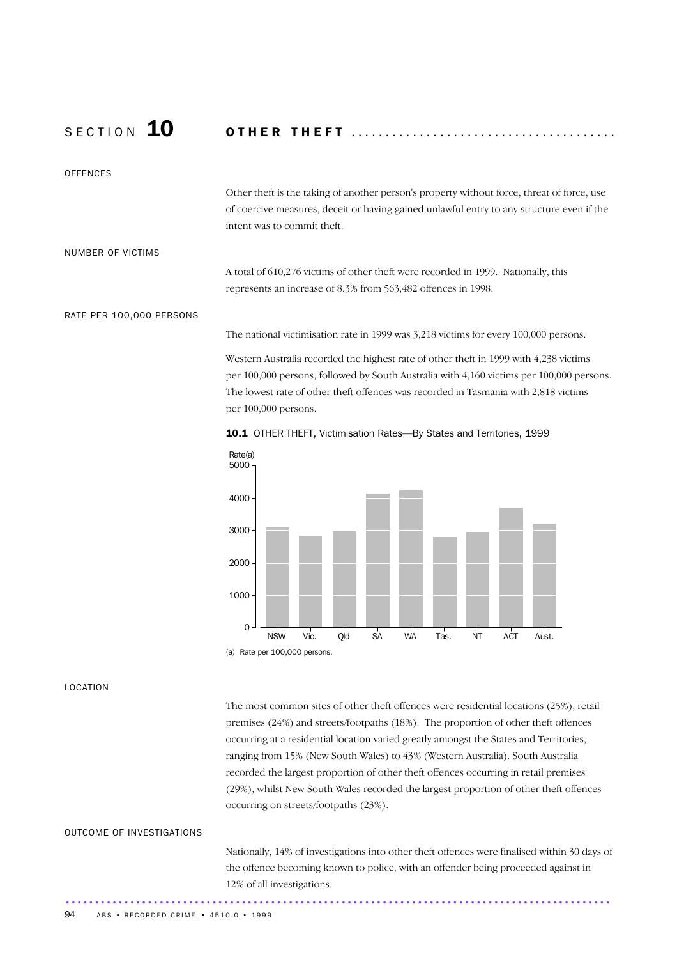## S E C T I O N 10 O T H E R T H E F T .......................................

### **OFFENCES**

Other theft is the taking of another person's property without force, threat of force, use of coercive measures, deceit or having gained unlawful entry to any structure even if the intent was to commit theft.

#### NUMBER OF VICTIMS

A total of 610,276 victims of other theft were recorded in 1999. Nationally, this represents an increase of 8.3% from 563,482 offences in 1998.

#### RATE PER 100,000 PERSONS

The national victimisation rate in 1999 was 3,218 victims for every 100,000 persons.

Western Australia recorded the highest rate of other theft in 1999 with 4,238 victims per 100,000 persons, followed by South Australia with 4,160 victims per 100,000 persons. The lowest rate of other theft offences was recorded in Tasmania with 2,818 victims per 100,000 persons.





#### LOCATION

The most common sites of other theft offences were residential locations (25%), retail premises (24%) and streets/footpaths (18%). The proportion of other theft offences occurring at a residential location varied greatly amongst the States and Territories, ranging from 15% (New South Wales) to 43% (Western Australia). South Australia recorded the largest proportion of other theft offences occurring in retail premises (29%), whilst New South Wales recorded the largest proportion of other theft offences occurring on streets/footpaths (23%).

### OUTCOME OF INVESTIGATIONS

Nationally, 14% of investigations into other theft offences were finalised within 30 days of the offence becoming known to police, with an offender being proceeded against in 12% of all investigations. .............................................................................................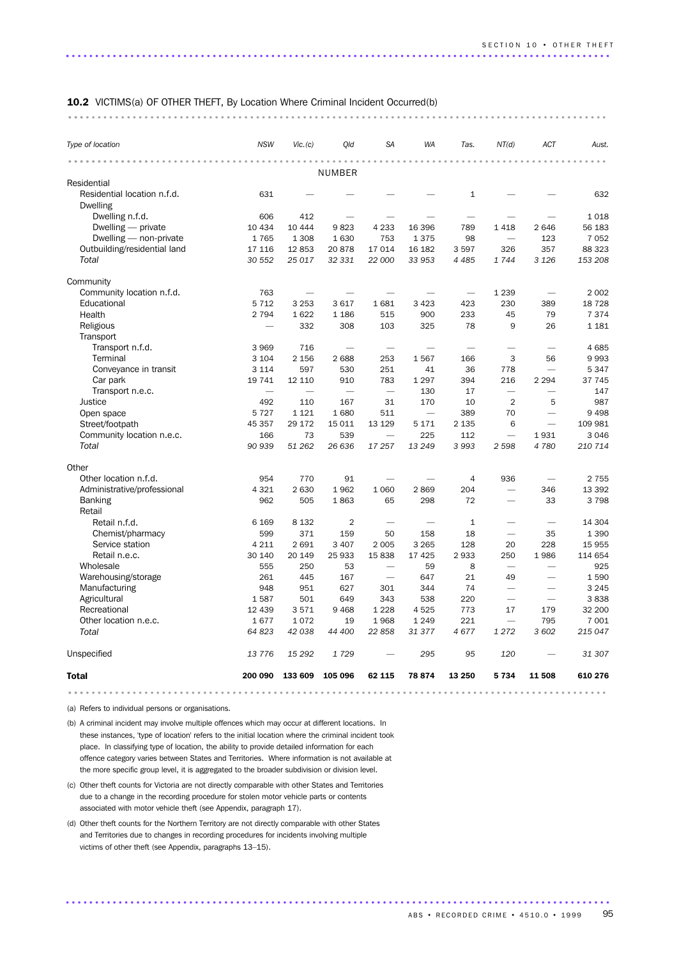| <b>10.2</b> VICTIMS(a) OF OTHER THEFT, By Location Where Criminal Incident Occurred(b) |  |
|----------------------------------------------------------------------------------------|--|
|                                                                                        |  |

| Type of location                               | <b>NSW</b>               | Vic. (c)                 | Old                      | <b>SA</b>                | <b>WA</b> | Tas.                     | NT(d)                    | ACT                      | Aust.   |
|------------------------------------------------|--------------------------|--------------------------|--------------------------|--------------------------|-----------|--------------------------|--------------------------|--------------------------|---------|
|                                                |                          |                          | NUMBER                   |                          |           |                          |                          |                          |         |
| Residential                                    |                          |                          |                          |                          |           |                          |                          |                          |         |
| Residential location n.f.d.<br><b>Dwelling</b> | 631                      |                          |                          |                          |           | $\mathbf{1}$             |                          |                          | 632     |
| Dwelling n.f.d.                                | 606                      | 412                      |                          |                          |           |                          |                          |                          | 1018    |
| Dwelling — private                             | 10 4 34                  | 10 444                   | 9823                     | 4 2 3 3                  | 16 396    | 789                      | 1418                     | 2 6 4 6                  | 56 183  |
| Dwelling - non-private                         | 1765                     | 1 3 0 8                  | 1630                     | 753                      | 1375      | 98                       | $\overline{\phantom{0}}$ | 123                      | 7 0 5 2 |
| Outbuilding/residential land                   | 17 116                   | 12853                    | 20878                    | 17 014                   | 16 182    | 3597                     | 326                      | 357                      | 88 323  |
| Total                                          | 30 552                   | 25 017                   | 32 331                   | 22 000                   | 33 953    | 4 4 8 5                  | 1744                     | 3 1 2 6                  | 153 208 |
| Community                                      |                          |                          |                          |                          |           |                          |                          |                          |         |
| Community location n.f.d.                      | 763                      |                          |                          |                          |           |                          | 1 2 3 9                  |                          | 2 0 0 2 |
| Educational                                    | 5 7 1 2                  | 3 2 5 3                  | 3617                     | 1681                     | 3 4 2 3   | 423                      | 230                      | 389                      | 18 7 28 |
| Health                                         | 2 7 9 4                  | 1622                     | 1 1 8 6                  | 515                      | 900       | 233                      | 45                       | 79                       | 7 3 7 4 |
| Religious                                      | $\overline{\phantom{0}}$ | 332                      | 308                      | 103                      | 325       | 78                       | 9                        | 26                       | 1 1 8 1 |
| Transport                                      |                          |                          |                          |                          |           |                          |                          |                          |         |
| Transport n.f.d.                               | 3 9 6 9                  | 716                      | $\overline{\phantom{0}}$ | $\overline{\phantom{0}}$ |           | $\overline{\phantom{0}}$ | $\overline{\phantom{0}}$ | $\overline{\phantom{0}}$ | 4685    |
| Terminal                                       | 3 1 0 4                  | 2 1 5 6                  | 2688                     | 253                      | 1567      | 166                      | 3                        | 56                       | 9993    |
| Conveyance in transit                          | 3 1 1 4                  | 597                      | 530                      | 251                      | 41        | 36                       | 778                      | $\overline{\phantom{0}}$ | 5 3 4 7 |
| Car park                                       | 19 741                   | 12 110                   | 910                      | 783                      | 1 2 9 7   | 394                      | 216                      | 2 2 9 4                  | 37 745  |
| Transport n.e.c.                               |                          | $\overline{\phantom{0}}$ |                          |                          | 130       | 17                       | $\overline{\phantom{0}}$ | $\overline{\phantom{0}}$ | 147     |
| Justice                                        | 492                      | 110                      | 167                      | 31                       | 170       | 10                       | $\overline{2}$           | 5                        | 987     |
| Open space                                     | 5 7 2 7                  | 1 1 2 1                  | 1680                     | 511                      |           | 389                      | 70                       |                          | 9 4 9 8 |
| Street/footpath                                | 45 357                   | 29 172                   | 15 0 11                  | 13 1 29                  | 5 1 7 1   | 2 1 3 5                  | 6                        | $\overline{\phantom{0}}$ | 109 981 |
| Community location n.e.c.                      | 166                      | 73                       | 539                      | $\overline{\phantom{a}}$ | 225       | 112                      | $\overline{\phantom{0}}$ | 1931                     | 3 0 4 6 |
| Total                                          | 90 939                   | 51 262                   | 26 636                   | 17 257                   | 13 249    | 3993                     | 2598                     | 4780                     | 210 714 |
| Other                                          |                          |                          |                          |                          |           |                          |                          |                          |         |
| Other location n.f.d.                          | 954                      | 770                      | 91                       |                          |           | 4                        | 936                      | $\overline{\phantom{0}}$ | 2 7 5 5 |
| Administrative/professional                    | 4 3 2 1                  | 2 6 3 0                  | 1962                     | 1 0 6 0                  | 2869      | 204                      | $\overline{\phantom{0}}$ | 346                      | 13 392  |
| <b>Banking</b><br>Retail                       | 962                      | 505                      | 1863                     | 65                       | 298       | 72                       |                          | 33                       | 3798    |
| Retail n.f.d.                                  | 6 1 6 9                  | 8 1 3 2                  | $\overline{2}$           |                          |           | $\mathbf{1}$             |                          |                          | 14 304  |
| Chemist/pharmacy                               | 599                      | 371                      | 159                      | 50                       | 158       | 18                       | $\overline{\phantom{0}}$ | 35                       | 1 3 9 0 |
| Service station                                | 4 2 1 1                  | 2691                     | 3 4 0 7                  | 2 0 0 5                  | 3 2 6 5   | 128                      | 20                       | 228                      | 15 955  |
| Retail n.e.c.                                  | 30 140                   | 20 149                   | 25 933                   | 15838                    | 17 4 25   | 2933                     | 250                      | 1986                     | 114 654 |
| Wholesale                                      | 555                      | 250                      | 53                       | $\overline{\phantom{a}}$ | 59        | 8                        | $\overline{\phantom{0}}$ |                          | 925     |
| Warehousing/storage                            | 261                      | 445                      | 167                      | $\overline{\phantom{0}}$ | 647       | 21                       | 49                       |                          | 1590    |
| Manufacturing                                  | 948                      | 951                      | 627                      | 301                      | 344       | 74                       | $\overline{\phantom{0}}$ | $\overline{\phantom{0}}$ | 3 2 4 5 |
| Agricultural                                   | 1587                     | 501                      | 649                      | 343                      | 538       | 220                      | $\overline{\phantom{0}}$ | $\overline{\phantom{0}}$ | 3838    |
| Recreational                                   | 12 439                   | 3571                     | 9 4 6 8                  | 1 2 2 8                  | 4525      | 773                      | 17                       | 179                      | 32 200  |
| Other location n.e.c.                          | 1677                     | 1072                     | 19                       | 1968                     | 1 2 4 9   | 221                      |                          | 795                      | 7 0 0 1 |
| Total                                          | 64 823                   | 42 038                   | 44 400                   | 22858                    | 31 377    | 4677                     | 1272                     | 3 602                    | 215 047 |
| Unspecified                                    | 13 776                   | 15 29 2                  | 1729                     |                          | 295       | 95                       | 120                      |                          | 31 307  |
| <b>Total</b>                                   | 200 090                  | 133 609                  | 105 096                  | 62 115                   | 78 874    | 13 250                   | 5 7 3 4                  | 11 508                   | 610 276 |
|                                                |                          |                          |                          |                          |           |                          |                          |                          |         |

(a) Refers to individual persons or organisations.

(b) A criminal incident may involve multiple offences which may occur at different locations. In these instances, 'type of location' refers to the initial location where the criminal incident took place. In classifying type of location, the ability to provide detailed information for each offence category varies between States and Territories. Where information is not available at the more specific group level, it is aggregated to the broader subdivision or division level.

- (c) Other theft counts for Victoria are not directly comparable with other States and Territories due to a change in the recording procedure for stolen motor vehicle parts or contents associated with motor vehicle theft (see Appendix, paragraph 17).
- (d) Other theft counts for the Northern Territory are not directly comparable with other States and Territories due to changes in recording procedures for incidents involving multiple victims of other theft (see Appendix, paragraphs 13–15).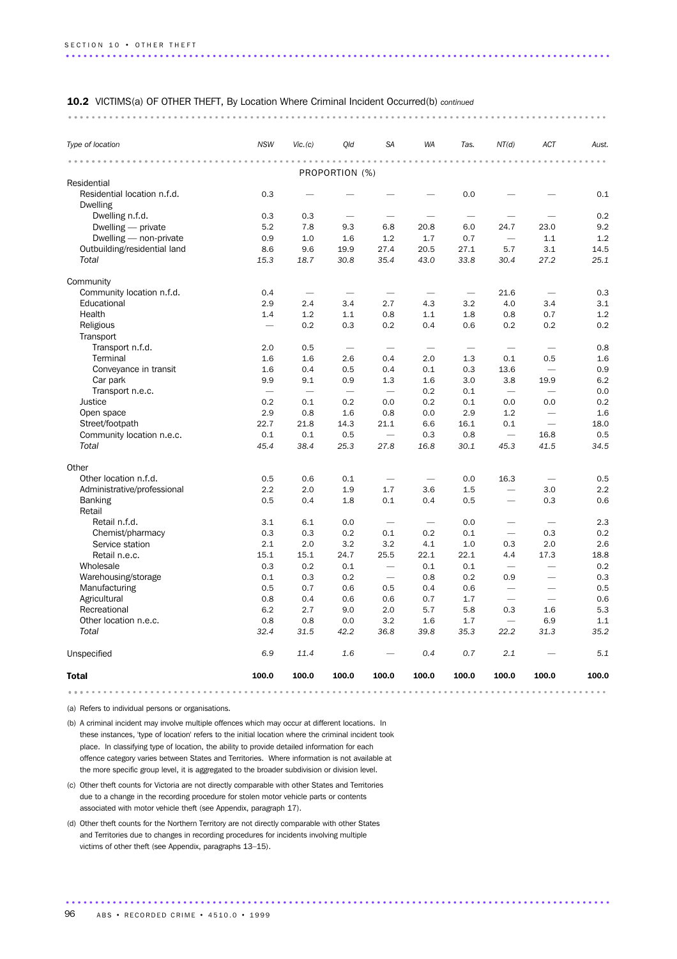#### 10.2 VICTIMS(a) OF OTHER THEFT, By Location Where Criminal Incident Occurred(b) *continued*

............................................................................................ ...

| Type of location                   | <b>NSW</b>               | Vic. (c)                 | Old                      | SA                       | <b>WA</b>                | Tas.                     | NT(d)                    | ACT                      | Aust.       |
|------------------------------------|--------------------------|--------------------------|--------------------------|--------------------------|--------------------------|--------------------------|--------------------------|--------------------------|-------------|
| .                                  |                          |                          | PROPORTION (%)           |                          |                          |                          |                          |                          | $\sim$      |
| Residential                        |                          |                          |                          |                          |                          |                          |                          |                          |             |
| Residential location n.f.d.        | 0.3                      |                          |                          |                          |                          | 0.0                      |                          |                          | 0.1         |
| <b>Dwelling</b>                    |                          |                          |                          |                          |                          |                          |                          |                          |             |
| Dwelling n.f.d.                    | 0.3                      | 0.3                      | $\overline{\phantom{0}}$ |                          |                          | $\overline{\phantom{0}}$ |                          |                          | 0.2         |
| Dwelling — private                 | 5.2                      | 7.8                      | 9.3                      | 6.8                      | 20.8                     | 6.0                      | 24.7                     | 23.0                     | 9.2         |
| Dwelling - non-private             | 0.9                      | 1.0                      | 1.6                      | 1.2                      | 1.7                      | 0.7                      |                          | 1.1                      | 1.2         |
| Outbuilding/residential land       | 8.6                      | 9.6                      | 19.9                     | 27.4                     | 20.5                     | 27.1                     | 5.7                      | 3.1                      | 14.5        |
| Total                              | 15.3                     | 18.7                     | 30.8                     | 35.4                     | 43.0                     | 33.8                     | 30.4                     | 27.2                     | 25.1        |
| Community                          |                          |                          |                          |                          |                          |                          |                          |                          |             |
| Community location n.f.d.          | 0.4                      | $\overline{\phantom{0}}$ |                          |                          |                          | $\overline{\phantom{0}}$ | 21.6                     |                          | 0.3         |
| Educational                        | 2.9                      | 2.4                      | 3.4                      | 2.7                      | 4.3                      | 3.2                      | 4.0                      | 3.4                      | 3.1         |
| Health                             | 1.4                      | 1.2                      | 1.1                      | 0.8                      | 1.1                      | 1.8                      | 0.8                      | 0.7                      | 1.2         |
| Religious                          |                          | 0.2                      | 0.3                      | 0.2                      | 0.4                      | 0.6                      | 0.2                      | 0.2                      | 0.2         |
| Transport                          |                          |                          |                          |                          |                          |                          |                          |                          |             |
| Transport n.f.d.                   | 2.0                      | 0.5                      |                          | $\overline{\phantom{a}}$ | $\overline{\phantom{0}}$ | $\overline{\phantom{a}}$ | $\overline{\phantom{0}}$ | $\overline{\phantom{a}}$ | 0.8         |
| Terminal                           | 1.6                      | 1.6                      | 2.6                      | 0.4                      | 2.0                      | 1.3                      | 0.1                      | 0.5                      | 1.6         |
| Conveyance in transit              | 1.6                      | 0.4                      | 0.5                      | 0.4                      | 0.1                      | 0.3                      | 13.6                     |                          | 0.9         |
| Car park                           | 9.9                      | 9.1                      | 0.9                      | 1.3                      | 1.6                      | 3.0                      | 3.8                      | 19.9                     | 6.2         |
| Transport n.e.c.                   | $\overline{\phantom{0}}$ |                          |                          |                          | 0.2                      | 0.1                      | $\overline{\phantom{0}}$ |                          | 0.0         |
| Justice                            | 0.2                      | 0.1                      | 0.2                      | 0.0                      | 0.2                      | 0.1                      | 0.0                      | 0.0                      | 0.2         |
| Open space                         | 2.9                      | 0.8                      | 1.6                      | 0.8                      | 0.0                      | 2.9                      | 1.2                      |                          | 1.6         |
| Street/footpath                    | 22.7                     | 21.8                     | 14.3                     | 21.1                     | 6.6                      | 16.1                     | 0.1                      |                          | 18.0        |
| Community location n.e.c.<br>Total | 0.1<br>45.4              | 0.1<br>38.4              | 0.5                      |                          | 0.3                      | 0.8<br>30.1              |                          | 16.8                     | 0.5<br>34.5 |
|                                    |                          |                          | 25.3                     | 27.8                     | 16.8                     |                          | 45.3                     | 41.5                     |             |
| Other                              |                          |                          |                          |                          |                          |                          |                          |                          |             |
| Other location n.f.d.              | 0.5                      | 0.6                      | 0.1                      | $\overline{\phantom{0}}$ |                          | 0.0                      | 16.3                     | $\overline{\phantom{0}}$ | 0.5         |
| Administrative/professional        | 2.2                      | 2.0                      | 1.9                      | 1.7                      | 3.6                      | 1.5                      | $\overline{\phantom{0}}$ | 3.0                      | 2.2         |
| <b>Banking</b><br>Retail           | 0.5                      | 0.4                      | 1.8                      | 0.1                      | 0.4                      | 0.5                      | $\overline{\phantom{0}}$ | 0.3                      | 0.6         |
| Retail n.f.d.                      | 3.1                      | 6.1                      | 0.0                      | $\overline{\phantom{0}}$ | $\overline{\phantom{0}}$ | 0.0                      | $\overline{\phantom{0}}$ | $\overline{\phantom{0}}$ | 2.3         |
| Chemist/pharmacy                   | 0.3                      | 0.3                      | 0.2                      | 0.1                      | 0.2                      | 0.1                      | $\overline{\phantom{m}}$ | 0.3                      | 0.2         |
| Service station                    | 2.1                      | 2.0                      | 3.2                      | 3.2                      | 4.1                      | 1.0                      | 0.3                      | 2.0                      | 2.6         |
| Retail n.e.c.                      | 15.1                     | 15.1                     | 24.7                     | 25.5                     | 22.1                     | 22.1                     | 4.4                      | 17.3                     | 18.8        |
| Wholesale                          | 0.3                      | 0.2                      | 0.1                      |                          | 0.1                      | 0.1                      |                          |                          | 0.2         |
| Warehousing/storage                | 0.1                      | 0.3                      | 0.2                      |                          | 0.8                      | 0.2                      | 0.9                      | $\overline{\phantom{0}}$ | 0.3         |
| Manufacturing                      | 0.5                      | 0.7                      | 0.6                      | 0.5                      | 0.4                      | 0.6                      | $\overline{\phantom{0}}$ |                          | 0.5         |
| Agricultural                       | 0.8                      | 0.4                      | 0.6                      | 0.6                      | 0.7                      | 1.7                      |                          |                          | 0.6         |
| Recreational                       | 6.2                      | 2.7                      | 9.0                      | 2.0                      | 5.7                      | 5.8                      | 0.3                      | 1.6                      | 5.3         |
| Other location n.e.c.              | 0.8                      | 0.8                      | 0.0                      | 3.2                      | 1.6                      | 1.7                      |                          | 6.9                      | 1.1         |
| Total                              | 32.4                     | 31.5                     | 42.2                     | 36.8                     | 39.8                     | 35.3                     | 22.2                     | 31.3                     | 35.2        |
| Unspecified                        | 6.9                      | 11.4                     | 1.6                      |                          | 0.4                      | 0.7                      | 2.1                      |                          | 5.1         |
| <b>Total</b>                       | 100.0                    | 100.0                    | 100.0                    | 100.0                    | 100.0                    | 100.0                    | 100.0                    | 100.0                    | 100.0       |
|                                    |                          |                          |                          |                          |                          |                          |                          |                          |             |

(a) Refers to individual persons or organisations.

(b) A criminal incident may involve multiple offences which may occur at different locations. In these instances, 'type of location' refers to the initial location where the criminal incident took place. In classifying type of location, the ability to provide detailed information for each offence category varies between States and Territories. Where information is not available at the more specific group level, it is aggregated to the broader subdivision or division level.

- (c) Other theft counts for Victoria are not directly comparable with other States and Territories due to a change in the recording procedure for stolen motor vehicle parts or contents associated with motor vehicle theft (see Appendix, paragraph 17).
- (d) Other theft counts for the Northern Territory are not directly comparable with other States and Territories due to changes in recording procedures for incidents involving multiple victims of other theft (see Appendix, paragraphs 13–15).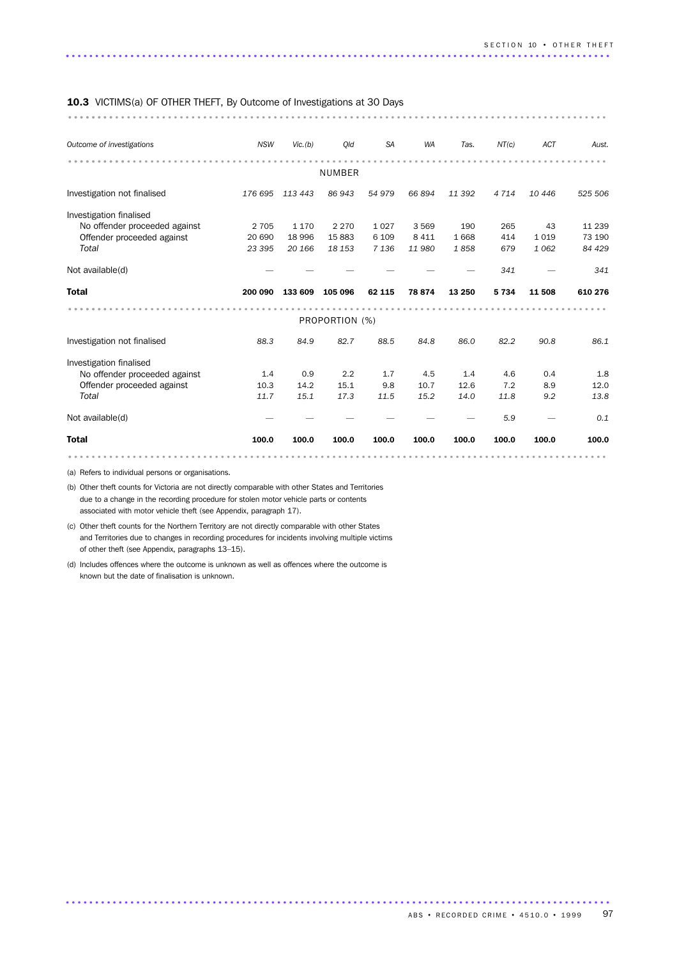### 10.3 VICTIMS(a) OF OTHER THEFT, By Outcome of Investigations at 30 Days

| <b>10.3</b> VICTIMS(a) OF OTHER THEFT, By OUTCOME OF INVESTIGATIONS AT 30 DAYS |            |         |                |           |           |        |         |         |          |
|--------------------------------------------------------------------------------|------------|---------|----------------|-----------|-----------|--------|---------|---------|----------|
| Outcome of investigations                                                      | <b>NSW</b> | Vic.(b) | Qld            | <b>SA</b> | <b>WA</b> | Tas.   | NT(c)   | ACT     | Aust.    |
|                                                                                |            |         |                |           |           |        |         |         |          |
|                                                                                |            |         | <b>NUMBER</b>  |           |           |        |         |         |          |
|                                                                                |            |         |                |           |           |        |         |         |          |
| Investigation not finalised                                                    | 176 695    | 113 443 | 86 943         | 54979     | 66 894    | 11 392 | 4 7 1 4 | 10 4 46 | 525 506  |
| Investigation finalised                                                        |            |         |                |           |           |        |         |         |          |
| No offender proceeded against                                                  | 2 7 0 5    | 1 1 7 0 | 2 2 7 0        | 1 0 2 7   | 3569      | 190    | 265     | 43      | 11 2 3 9 |
| Offender proceeded against                                                     | 20 690     | 18 996  | 15883          | 6 1 0 9   | 8 4 1 1   | 1668   | 414     | 1 0 1 9 | 73 190   |
| Total                                                                          | 23 395     | 20 166  | 18 153         | 7 1 3 6   | 11 980    | 1858   | 679     | 1 0 6 2 | 84 429   |
| Not available(d)                                                               |            |         |                |           |           |        | 341     |         | 341      |
| <b>Total</b>                                                                   | 200 090    | 133 609 | 105 096        | 62 115    | 78 874    | 13 250 | 5 7 3 4 | 11 508  | 610 276  |
|                                                                                |            |         |                |           |           |        |         |         |          |
|                                                                                |            |         |                |           |           |        |         |         |          |
|                                                                                |            |         | PROPORTION (%) |           |           |        |         |         |          |
| Investigation not finalised                                                    | 88.3       | 84.9    | 82.7           | 88.5      | 84.8      | 86.0   | 82.2    | 90.8    | 86.1     |
|                                                                                |            |         |                |           |           |        |         |         |          |
| Investigation finalised<br>No offender proceeded against                       | 1.4        | 0.9     | 2.2            | 1.7       | 4.5       | 1.4    | 4.6     | 0.4     | 1.8      |
| Offender proceeded against                                                     | 10.3       | 14.2    | 15.1           | 9.8       | 10.7      | 12.6   | 7.2     | 8.9     | 12.0     |
| Total                                                                          | 11.7       | 15.1    | 17.3           | 11.5      | 15.2      | 14.0   | 11.8    | 9.2     | 13.8     |
| Not available(d)                                                               |            |         |                |           |           |        | 5.9     |         | 0.1      |
| <b>Total</b>                                                                   | 100.0      | 100.0   | 100.0          | 100.0     | 100.0     | 100.0  | 100.0   | 100.0   | 100.0    |

.............................................................................................

(a) Refers to individual persons or organisations.

(b) Other theft counts for Victoria are not directly comparable with other States and Territories due to a change in the recording procedure for stolen motor vehicle parts or contents associated with motor vehicle theft (see Appendix, paragraph 17).

(c) Other theft counts for the Northern Territory are not directly comparable with other States and Territories due to changes in recording procedures for incidents involving multiple victims of other theft (see Appendix, paragraphs 13–15).

(d) Includes offences where the outcome is unknown as well as offences where the outcome is known but the date of finalisation is unknown.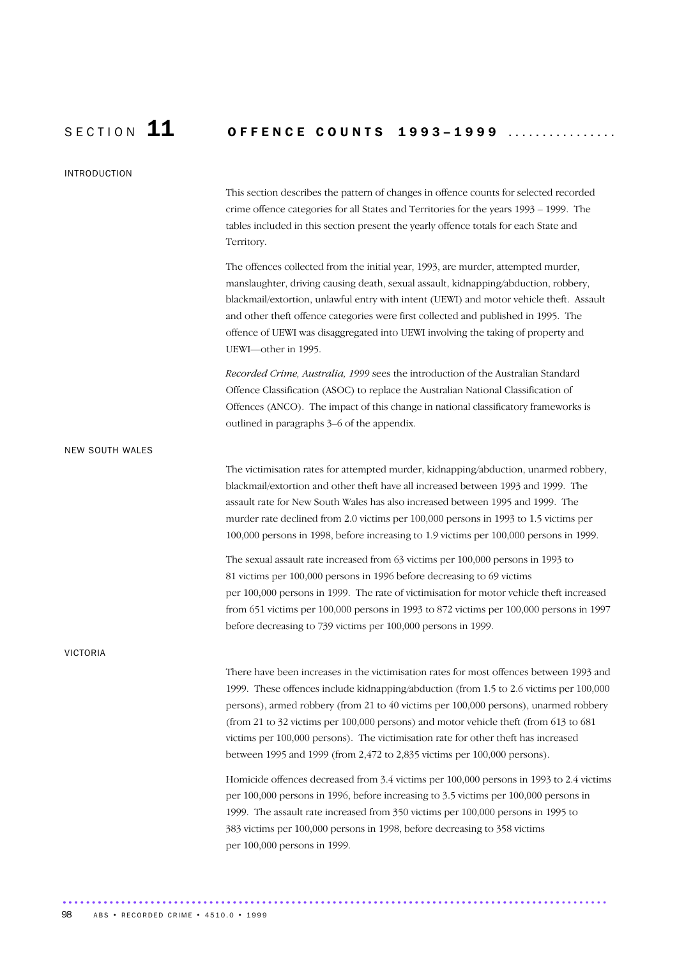# SECTION 11 OFFENCE COUNTS 1993-1999 ................

| <b>INTRODUCTION</b>    |                                                                                                                                                                                                                                                                                                                                                                                                                                                                                                                                             |
|------------------------|---------------------------------------------------------------------------------------------------------------------------------------------------------------------------------------------------------------------------------------------------------------------------------------------------------------------------------------------------------------------------------------------------------------------------------------------------------------------------------------------------------------------------------------------|
|                        | This section describes the pattern of changes in offence counts for selected recorded<br>crime offence categories for all States and Territories for the years 1993 - 1999. The<br>tables included in this section present the yearly offence totals for each State and<br>Territory.                                                                                                                                                                                                                                                       |
|                        | The offences collected from the initial year, 1993, are murder, attempted murder,<br>manslaughter, driving causing death, sexual assault, kidnapping/abduction, robbery,<br>blackmail/extortion, unlawful entry with intent (UEWI) and motor vehicle theft. Assault<br>and other theft offence categories were first collected and published in 1995. The<br>offence of UEWI was disaggregated into UEWI involving the taking of property and<br>UEWI-other in 1995.                                                                        |
|                        | Recorded Crime, Australia, 1999 sees the introduction of the Australian Standard<br>Offence Classification (ASOC) to replace the Australian National Classification of<br>Offences (ANCO). The impact of this change in national classificatory frameworks is<br>outlined in paragraphs 3-6 of the appendix.                                                                                                                                                                                                                                |
| <b>NEW SOUTH WALES</b> |                                                                                                                                                                                                                                                                                                                                                                                                                                                                                                                                             |
|                        | The victimisation rates for attempted murder, kidnapping/abduction, unarmed robbery,<br>blackmail/extortion and other theft have all increased between 1993 and 1999. The<br>assault rate for New South Wales has also increased between 1995 and 1999. The<br>murder rate declined from 2.0 victims per 100,000 persons in 1993 to 1.5 victims per<br>100,000 persons in 1998, before increasing to 1.9 victims per 100,000 persons in 1999.                                                                                               |
|                        | The sexual assault rate increased from 63 victims per 100,000 persons in 1993 to<br>81 victims per 100,000 persons in 1996 before decreasing to 69 victims<br>per 100,000 persons in 1999. The rate of victimisation for motor vehicle theft increased<br>from 651 victims per 100,000 persons in 1993 to 872 victims per 100,000 persons in 1997<br>before decreasing to 739 victims per 100,000 persons in 1999.                                                                                                                          |
| <b>VICTORIA</b>        |                                                                                                                                                                                                                                                                                                                                                                                                                                                                                                                                             |
|                        | There have been increases in the victimisation rates for most offences between 1993 and<br>1999. These offences include kidnapping/abduction (from 1.5 to 2.6 victims per 100,000<br>persons), armed robbery (from 21 to 40 victims per 100,000 persons), unarmed robbery<br>(from 21 to 32 victims per $100,000$ persons) and motor vehicle theft (from $613$ to $681$ )<br>victims per 100,000 persons). The victimisation rate for other theft has increased<br>between 1995 and 1999 (from 2,472 to 2,835 victims per 100,000 persons). |
|                        | Homicide offences decreased from 3.4 victims per 100,000 persons in 1993 to 2.4 victims<br>per 100,000 persons in 1996, before increasing to 3.5 victims per 100,000 persons in<br>1999. The assault rate increased from 350 victims per 100,000 persons in 1995 to<br>383 victims per 100,000 persons in 1998, before decreasing to 358 victims<br>per 100,000 persons in 1999.                                                                                                                                                            |

............................................................................................. .....................................................................................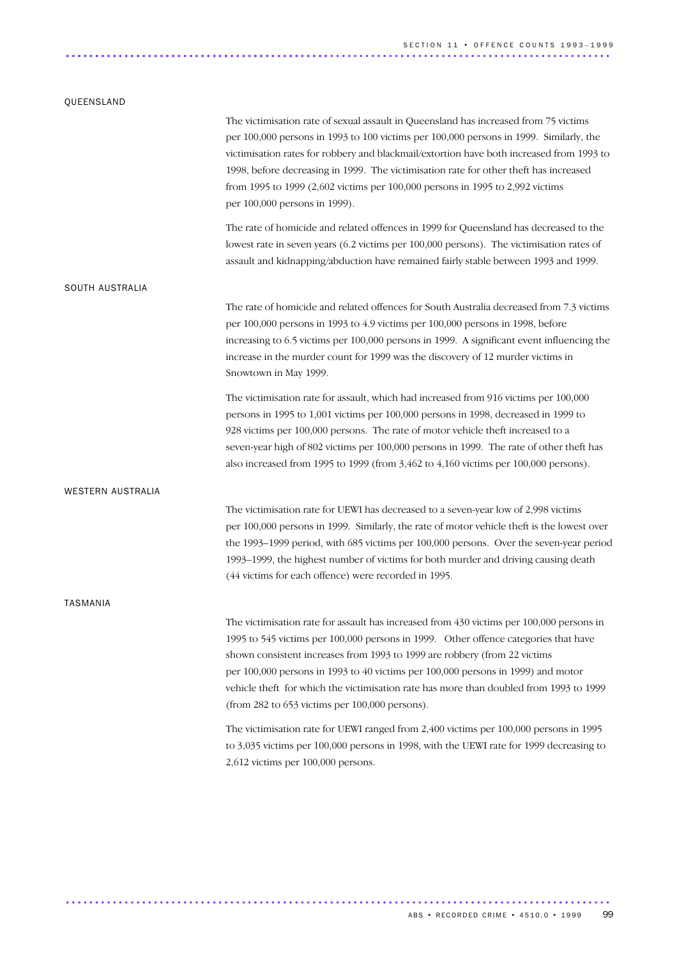### QUEENSLAND

|                   | The victimisation rate of sexual assault in Queensland has increased from 75 victims<br>per 100,000 persons in 1993 to 100 victims per 100,000 persons in 1999. Similarly, the<br>victimisation rates for robbery and blackmail/extortion have both increased from 1993 to<br>1998, before decreasing in 1999. The victimisation rate for other theft has increased<br>from 1995 to 1999 (2,602 victims per 100,000 persons in 1995 to 2,992 victims<br>per 100,000 persons in 1999).        |
|-------------------|----------------------------------------------------------------------------------------------------------------------------------------------------------------------------------------------------------------------------------------------------------------------------------------------------------------------------------------------------------------------------------------------------------------------------------------------------------------------------------------------|
|                   | The rate of homicide and related offences in 1999 for Queensland has decreased to the<br>lowest rate in seven years (6.2 victims per 100,000 persons). The victimisation rates of<br>assault and kidnapping/abduction have remained fairly stable between 1993 and 1999.                                                                                                                                                                                                                     |
| SOUTH AUSTRALIA   |                                                                                                                                                                                                                                                                                                                                                                                                                                                                                              |
|                   | The rate of homicide and related offences for South Australia decreased from 7.3 victims<br>per 100,000 persons in 1993 to 4.9 victims per 100,000 persons in 1998, before<br>increasing to 6.5 victims per 100,000 persons in 1999. A significant event influencing the<br>increase in the murder count for 1999 was the discovery of 12 murder victims in<br>Snowtown in May 1999.                                                                                                         |
|                   | The victimisation rate for assault, which had increased from 916 victims per 100,000<br>persons in 1995 to 1,001 victims per 100,000 persons in 1998, decreased in 1999 to<br>928 victims per 100,000 persons. The rate of motor vehicle theft increased to a<br>seven-year high of 802 victims per 100,000 persons in 1999. The rate of other theft has<br>also increased from 1995 to 1999 (from 3,462 to 4,160 victims per 100,000 persons).                                              |
| WESTERN AUSTRALIA |                                                                                                                                                                                                                                                                                                                                                                                                                                                                                              |
|                   | The victimisation rate for UEWI has decreased to a seven-year low of 2,998 victims<br>per 100,000 persons in 1999. Similarly, the rate of motor vehicle theft is the lowest over<br>the 1993–1999 period, with 685 victims per 100,000 persons. Over the seven-year period<br>1993–1999, the highest number of victims for both murder and driving causing death<br>(44 victims for each offence) were recorded in 1995.                                                                     |
| TASMANIA          |                                                                                                                                                                                                                                                                                                                                                                                                                                                                                              |
|                   | The victimisation rate for assault has increased from 430 victims per 100,000 persons in<br>1995 to 545 victims per 100,000 persons in 1999. Other offence categories that have<br>shown consistent increases from 1993 to 1999 are robbery (from 22 victims<br>per 100,000 persons in 1993 to 40 victims per 100,000 persons in 1999) and motor<br>vehicle theft for which the victimisation rate has more than doubled from 1993 to 1999<br>(from 282 to 653 victims per 100,000 persons). |
|                   | The victimisation rate for UEWI ranged from 2,400 victims per 100,000 persons in 1995<br>to 3,035 victims per 100,000 persons in 1998, with the UEWI rate for 1999 decreasing to<br>2,612 victims per 100,000 persons.                                                                                                                                                                                                                                                                       |
|                   |                                                                                                                                                                                                                                                                                                                                                                                                                                                                                              |
|                   |                                                                                                                                                                                                                                                                                                                                                                                                                                                                                              |

.............................................................................................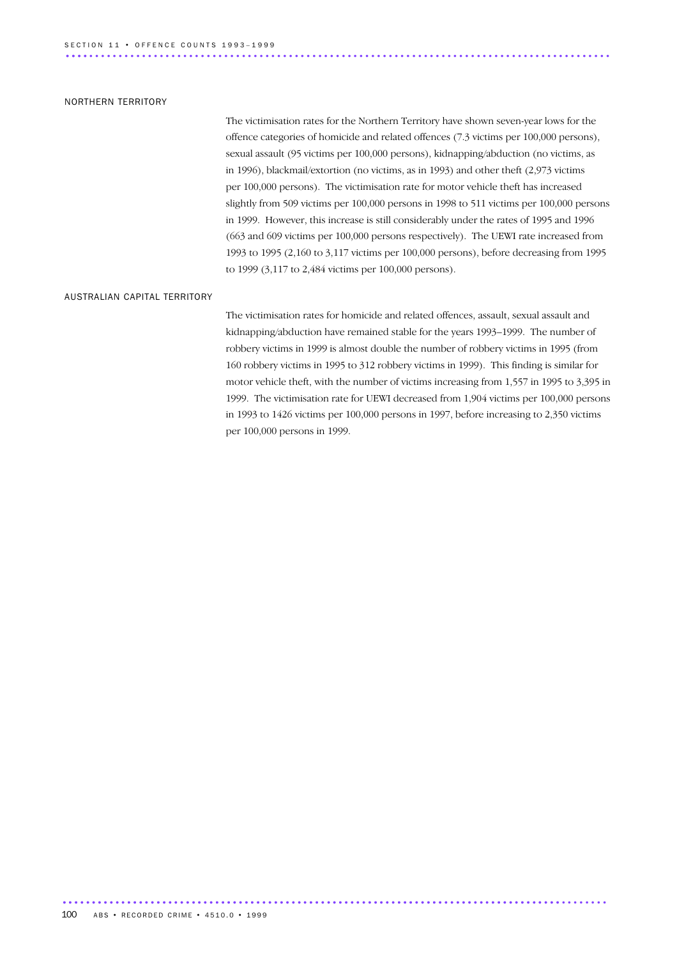#### NORTHERN TERRITORY

The victimisation rates for the Northern Territory have shown seven-year lows for the offence categories of homicide and related offences (7.3 victims per 100,000 persons), sexual assault (95 victims per 100,000 persons), kidnapping/abduction (no victims, as in 1996), blackmail/extortion (no victims, as in 1993) and other theft (2,973 victims per 100,000 persons). The victimisation rate for motor vehicle theft has increased slightly from 509 victims per 100,000 persons in 1998 to 511 victims per 100,000 persons in 1999. However, this increase is still considerably under the rates of 1995 and 1996 (663 and 609 victims per 100,000 persons respectively). The UEWI rate increased from 1993 to 1995 (2,160 to 3,117 victims per 100,000 persons), before decreasing from 1995 to 1999 (3,117 to 2,484 victims per 100,000 persons).

#### AUSTRALIAN CAPITAL TERRITORY

The victimisation rates for homicide and related offences, assault, sexual assault and kidnapping/abduction have remained stable for the years 1993–1999. The number of robbery victims in 1999 is almost double the number of robbery victims in 1995 (from 160 robbery victims in 1995 to 312 robbery victims in 1999). This finding is similar for motor vehicle theft, with the number of victims increasing from 1,557 in 1995 to 3,395 in 1999. The victimisation rate for UEWI decreased from 1,904 victims per 100,000 persons in 1993 to 1426 victims per 100,000 persons in 1997, before increasing to 2,350 victims per 100,000 persons in 1999.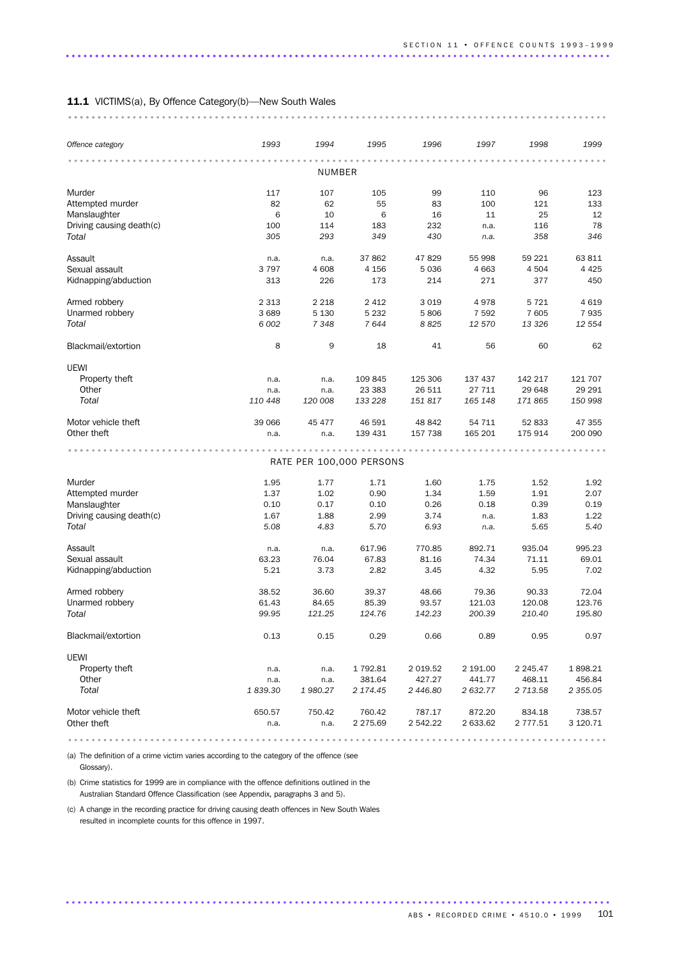#### 11.1 VICTIMS(a), By Offence Category(b)—New South Wales

............................................................................................. .............................................

UEWI

| Offence category         | 1993    | 1994          | 1995    | 1996  | 1997    | 1998    | 1999    |
|--------------------------|---------|---------------|---------|-------|---------|---------|---------|
|                          |         | <b>NUMBER</b> |         |       |         |         |         |
| Murder                   | 117     | 107           | 105     | 99    | 110     | 96      | 123     |
| Attempted murder         | 82      | 62            | 55      | 83    | 100     | 121     | 133     |
| Manslaughter             | 6       | 10            | 6       | 16    | 11      | 25      | 12      |
| Driving causing death(c) | 100     | 114           | 183     | 232   | n.a.    | 116     | 78      |
| Total                    | 305     | 293           | 349     | 430   | n.a.    | 358     | 346     |
| Assault                  | n.a.    | n.a.          | 37 862  | 47829 | 55 998  | 59 221  | 63 811  |
| Sexual assault           | 3 7 9 7 | 4 608         | 4 1 5 6 | 5036  | 4 6 6 3 | 4 5 0 4 | 4 4 2 5 |
| Kidnapping/abduction     | 313     | 226           | 173     | 214   | 271     | 377     | 450     |
| Armed robbery            | 2 3 1 3 | 2 2 1 8       | 2412    | 3019  | 4978    | 5 7 2 1 | 4619    |
| Unarmed robbery          | 3 6 8 9 | 5 1 3 0       | 5 2 3 2 | 5806  | 7 5 9 2 | 7 605   | 7935    |

*Total 6 002 7 348 7 644 8 825 12 570 13 326 12 554* Blackmail/extortion 8 9 18 41 56 60 62

Property theft **n.a.** n.a. 109 845 125 306 137 437 142 217 121 707 Other n.a. n.a. 23 383 26 511 27 711 29 648 29 291 *Total 110 448 120 008 133 228 151 817 165 148 171 865 150 998*

Motor vehicle theft 199066 45 477 46 591 48 842 54 711 52 833 47 355<br>
1991 139 431 157 738 165 201 175 914 200 090 Other theft n.a. n.a. n.a. 139 431 157 738 165 201 175 914 200 090 ............................................................................................ ...

............................................................................................ ......

|                          |         |         | RATE PER 100,000 PERSONS |             |          |               |               |
|--------------------------|---------|---------|--------------------------|-------------|----------|---------------|---------------|
| Murder                   | 1.95    | 1.77    | 1.71                     | 1.60        | 1.75     | 1.52          | 1.92          |
| Attempted murder         | 1.37    | 1.02    | 0.90                     | 1.34        | 1.59     | 1.91          | 2.07          |
| Manslaughter             | 0.10    | 0.17    | 0.10                     | 0.26        | 0.18     | 0.39          | 0.19          |
| Driving causing death(c) | 1.67    | 1.88    | 2.99                     | 3.74        | n.a.     | 1.83          | 1.22          |
| Total                    | 5.08    | 4.83    | 5.70                     | 6.93        | n.a.     | 5.65          | 5.40          |
| Assault                  | n.a.    | n.a.    | 617.96                   | 770.85      | 892.71   | 935.04        | 995.23        |
| Sexual assault           | 63.23   | 76.04   | 67.83                    | 81.16       | 74.34    | 71.11         | 69.01         |
| Kidnapping/abduction     | 5.21    | 3.73    | 2.82                     | 3.45        | 4.32     | 5.95          | 7.02          |
| Armed robbery            | 38.52   | 36.60   | 39.37                    | 48.66       | 79.36    | 90.33         | 72.04         |
| Unarmed robbery          | 61.43   | 84.65   | 85.39                    | 93.57       | 121.03   | 120.08        | 123.76        |
| Total                    | 99.95   | 121.25  | 124.76                   | 142.23      | 200.39   | 210.40        | 195.80        |
| Blackmail/extortion      | 0.13    | 0.15    | 0.29                     | 0.66        | 0.89     | 0.95          | 0.97          |
| UEWI                     |         |         |                          |             |          |               |               |
| Property theft           | n.a.    | n.a.    | 1792.81                  | 2 0 1 9.5 2 | 2 191.00 | 2 2 4 5 . 4 7 | 1898.21       |
| Other                    | n.a.    | n.a.    | 381.64                   | 427.27      | 441.77   | 468.11        | 456.84        |
| Total                    | 1839.30 | 1980.27 | 2 174.45                 | 2 446.80    | 2 632.77 | 2 713.58      | 2 3 5 5 . 0 5 |
| Motor vehicle theft      | 650.57  | 750.42  | 760.42                   | 787.17      | 872.20   | 834.18        | 738.57        |
| Other theft              | n.a.    | n.a.    | 2 275.69                 | 2 542.22    | 2 633.62 | 2 777.51      | 3 120.71      |

.............................................................................................

............................................................................................

(a) The definition of a crime victim varies according to the category of the offence (see Glossary).

(b) Crime statistics for 1999 are in compliance with the offence definitions outlined in the Australian Standard Offence Classification (see Appendix, paragraphs 3 and 5).

(c) A change in the recording practice for driving causing death offences in New South Wales resulted in incomplete counts for this offence in 1997.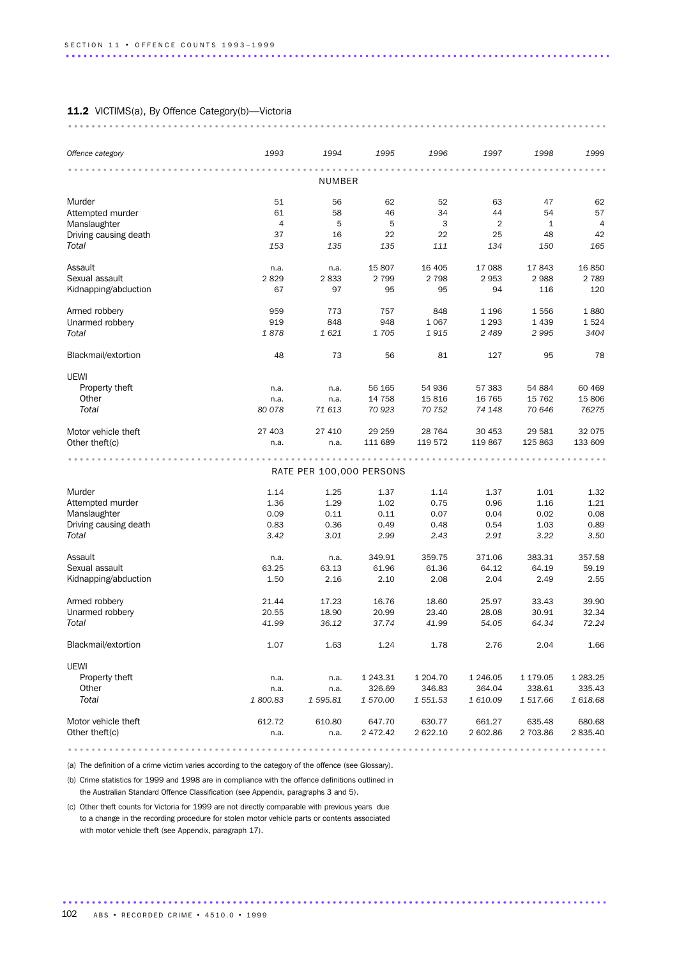### 11.2 VICTIMS(a), By Offence Category(b)-Victoria

| Offence category               | 1993           | 1994                     | 1995      | 1996      | 1997      | 1998      | 1999      |
|--------------------------------|----------------|--------------------------|-----------|-----------|-----------|-----------|-----------|
|                                |                |                          |           |           |           |           |           |
|                                |                | NUMBER                   |           |           |           |           |           |
| Murder                         | 51             | 56                       | 62        | 52        | 63        | 47        | 62        |
| Attempted murder               | 61             | 58                       | 46        | 34        | 44        | 54        | 57        |
| Manslaughter                   | $\overline{4}$ | 5                        | 5         | 3         | 2         | 1         | 4         |
| Driving causing death<br>Total | 37<br>153      | 16<br>135                | 22<br>135 | 22<br>111 | 25<br>134 | 48<br>150 | 42<br>165 |
|                                |                |                          |           |           |           |           |           |
| Assault                        | n.a.           | n.a.                     | 15 807    | 16 405    | 17 088    | 17843     | 16 850    |
| Sexual assault                 | 2829           | 2833                     | 2 7 9 9   | 2 7 9 8   | 2953      | 2988      | 2 7 8 9   |
| Kidnapping/abduction           | 67             | 97                       | 95        | 95        | 94        | 116       | 120       |
| Armed robbery                  | 959            | 773                      | 757       | 848       | 1 1 9 6   | 1556      | 1880      |
| Unarmed robbery                | 919            | 848                      | 948       | 1 0 6 7   | 1 2 9 3   | 1 4 3 9   | 1524      |
| Total                          | 1878           | 1621                     | 1705      | 1915      | 2 4 8 9   | 2995      | 3404      |
| Blackmail/extortion            | 48             | 73                       | 56        | 81        | 127       | 95        | 78        |
| UEWI                           |                |                          |           |           |           |           |           |
| Property theft                 | n.a.           | n.a.                     | 56 165    | 54 936    | 57 383    | 54 884    | 60 469    |
| Other                          | n.a.           | n.a.                     | 14 7 58   | 15816     | 16 7 65   | 15 7 62   | 15 806    |
| Total                          | 80 078         | 71 613                   | 70 923    | 70 752    | 74 148    | 70 646    | 76275     |
| Motor vehicle theft            | 27 403         | 27 410                   | 29 25 9   | 28 7 64   | 30 453    | 29 5 81   | 32 0 75   |
| Other theft(c)                 | n.a.           | n.a.                     | 111 689   | 119 572   | 119 867   | 125 863   | 133 609   |
|                                |                |                          |           |           |           |           |           |
|                                |                | RATE PER 100,000 PERSONS |           |           |           |           |           |
| Murder                         | 1.14           | 1.25                     | 1.37      | 1.14      | 1.37      | 1.01      | 1.32      |
| Attempted murder               | 1.36           | 1.29                     | 1.02      | 0.75      | 0.96      | 1.16      | 1.21      |
| Manslaughter                   | 0.09           | 0.11                     | 0.11      | 0.07      | 0.04      | 0.02      | 0.08      |
| Driving causing death          | 0.83           | 0.36                     | 0.49      | 0.48      | 0.54      | 1.03      | 0.89      |
| Total                          | 3.42           | 3.01                     | 2.99      | 2.43      | 2.91      | 3.22      | 3.50      |
| Assault                        | n.a.           | n.a.                     | 349.91    | 359.75    | 371.06    | 383.31    | 357.58    |
| Sexual assault                 | 63.25          | 63.13                    | 61.96     | 61.36     | 64.12     | 64.19     | 59.19     |
| Kidnapping/abduction           | 1.50           | 2.16                     | 2.10      | 2.08      | 2.04      | 2.49      | 2.55      |
| Armed robbery                  | 21.44          | 17.23                    | 16.76     | 18.60     | 25.97     | 33.43     | 39.90     |
| Unarmed robbery                | 20.55          | 18.90                    | 20.99     | 23.40     | 28.08     | 30.91     | 32.34     |
| Total                          | 41.99          | 36.12                    | 37.74     | 41.99     | 54.05     | 64.34     | 72.24     |
| Blackmail/extortion            | 1.07           | 1.63                     | 1.24      | 1.78      | 2.76      | 2.04      | 1.66      |
| UEWI                           |                |                          |           |           |           |           |           |
| Property theft                 | n.a.           | n.a.                     | 1 243.31  | 1 204.70  | 1 246.05  | 1 179.05  | 1 283.25  |
| Other                          | n.a.           | n.a.                     | 326.69    | 346.83    | 364.04    | 338.61    | 335.43    |
| Total                          | 1800.83        | 1595.81                  | 1 570.00  | 1 551.53  | 1 610.09  | 1 517.66  | 1618.68   |
| Motor vehicle theft            | 612.72         | 610.80                   | 647.70    | 630.77    | 661.27    | 635.48    | 680.68    |
| Other theft(c)                 | n.a.           | n.a.                     | 2 472.42  | 2 622.10  | 2 602.86  | 2 703.86  | 2 835.40  |

............................................................................................. .....................................................................................

(a) The definition of a crime victim varies according to the category of the offence (see Glossary).

(b) Crime statistics for 1999 and 1998 are in compliance with the offence definitions outlined in the Australian Standard Offence Classification (see Appendix, paragraphs 3 and 5).

(c) Other theft counts for Victoria for 1999 are not directly comparable with previous years due to a change in the recording procedure for stolen motor vehicle parts or contents associated with motor vehicle theft (see Appendix, paragraph 17).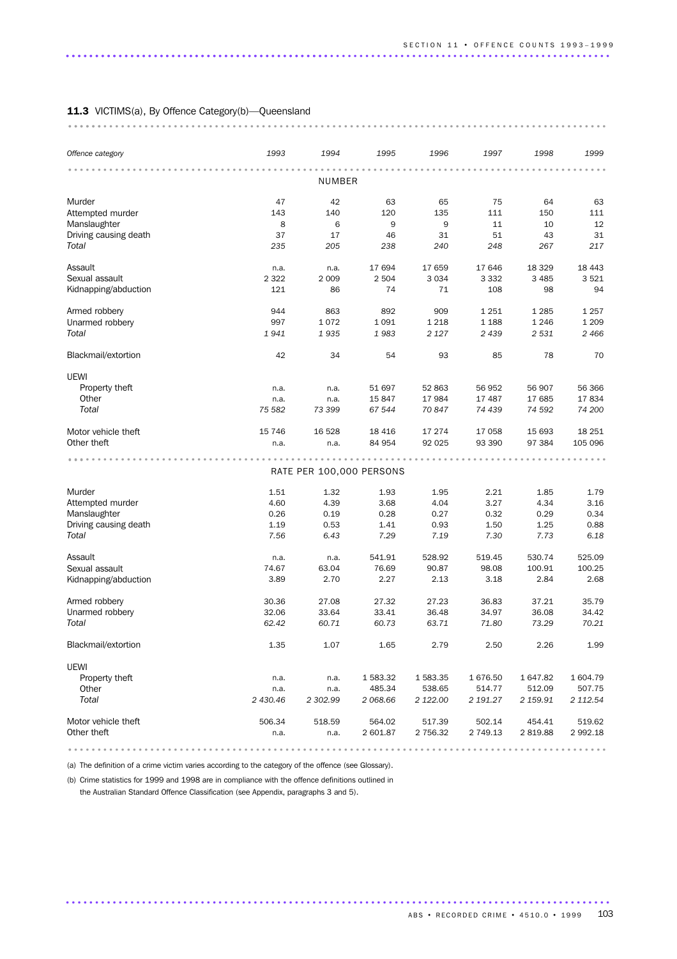|                       | 1993     | 1994                     | 1995     | 1996     | 1997     | 1998     |          |
|-----------------------|----------|--------------------------|----------|----------|----------|----------|----------|
| Offence category      |          |                          |          |          |          |          | 1999     |
|                       |          | NUMBER                   |          |          |          |          |          |
| Murder                | 47       | 42                       | 63       | 65       | 75       | 64       | 63       |
| Attempted murder      | 143      | 140                      | 120      | 135      | 111      | 150      | 111      |
| Manslaughter          | 8        | 6                        | 9        | 9        | 11       | 10       | 12       |
| Driving causing death | 37       | 17                       | 46       | 31       | 51       | 43       | 31       |
| Total                 | 235      | 205                      | 238      | 240      | 248      | 267      | 217      |
| Assault               | n.a.     | n.a.                     | 17 694   | 17 659   | 17 646   | 18 3 29  | 18 4 43  |
| Sexual assault        | 2 3 2 2  | 2 0 0 9                  | 2 5 0 4  | 3 0 3 4  | 3 3 3 2  | 3 4 8 5  | 3521     |
| Kidnapping/abduction  | 121      | 86                       | 74       | 71       | 108      | 98       | 94       |
| Armed robbery         | 944      | 863                      | 892      | 909      | 1 2 5 1  | 1 2 8 5  | 1 2 5 7  |
| Unarmed robbery       | 997      | 1072                     | 1 0 9 1  | 1 2 1 8  | 1 1 8 8  | 1 2 4 6  | 1 2 0 9  |
| Total                 | 1941     | 1935                     | 1983     | 2 1 2 7  | 2 4 3 9  | 2 5 3 1  | 2466     |
| Blackmail/extortion   | 42       | 34                       | 54       | 93       | 85       | 78       | 70       |
| UEWI                  |          |                          |          |          |          |          |          |
| Property theft        | n.a.     | n.a.                     | 51 697   | 52 863   | 56 952   | 56 907   | 56 366   |
| Other                 | n.a.     | n.a.                     | 15847    | 17 984   | 17 487   | 17 685   | 17834    |
| Total                 | 75 582   | 73 399                   | 67 544   | 70 847   | 74 439   | 74 592   | 74 200   |
| Motor vehicle theft   | 15 7 46  | 16 5 28                  | 18 4 16  | 17 274   | 17 058   | 15 693   | 18 25 1  |
| Other theft           | n.a.     | n.a.                     | 84 954   | 92 0 25  | 93 390   | 97 384   | 105 096  |
|                       |          |                          |          |          |          |          |          |
|                       |          | RATE PER 100,000 PERSONS |          |          |          |          |          |
| Murder                | 1.51     | 1.32                     | 1.93     | 1.95     | 2.21     | 1.85     | 1.79     |
| Attempted murder      | 4.60     | 4.39                     | 3.68     | 4.04     | 3.27     | 4.34     | 3.16     |
| Manslaughter          | 0.26     | 0.19                     | 0.28     | 0.27     | 0.32     | 0.29     | 0.34     |
| Driving causing death | 1.19     | 0.53                     | 1.41     | 0.93     | 1.50     | 1.25     | 0.88     |
| Total                 | 7.56     | 6.43                     | 7.29     | 7.19     | 7.30     | 7.73     | 6.18     |
| Assault               | n.a.     | n.a.                     | 541.91   | 528.92   | 519.45   | 530.74   | 525.09   |
| Sexual assault        | 74.67    | 63.04                    | 76.69    | 90.87    | 98.08    | 100.91   | 100.25   |
| Kidnapping/abduction  | 3.89     | 2.70                     | 2.27     | 2.13     | 3.18     | 2.84     | 2.68     |
| Armed robbery         | 30.36    | 27.08                    | 27.32    | 27.23    | 36.83    | 37.21    | 35.79    |
| Unarmed robbery       | 32.06    | 33.64                    | 33.41    | 36.48    | 34.97    | 36.08    | 34.42    |
| Total                 | 62.42    | 60.71                    | 60.73    | 63.71    | 71.80    | 73.29    | 70.21    |
| Blackmail/extortion   | 1.35     | 1.07                     | 1.65     | 2.79     | 2.50     | 2.26     | 1.99     |
| UEWI                  |          |                          |          |          |          |          |          |
| Property theft        | n.a.     | n.a.                     | 1 583.32 | 1583.35  | 1676.50  | 1647.82  | 1 604.79 |
| Other                 | n.a.     | n.a.                     | 485.34   | 538.65   | 514.77   | 512.09   | 507.75   |
| Total                 | 2 430.46 | 2 302.99                 | 2 068.66 | 2 122.00 | 2 191.27 | 2 159.91 | 2 112.54 |
| Motor vehicle theft   | 506.34   | 518.59                   | 564.02   | 517.39   | 502.14   | 454.41   | 519.62   |
| Other theft           | n.a.     | n.a.                     | 2 601.87 | 2 756.32 | 2 749.13 | 2819.88  | 2 992.18 |

(a) The definition of a crime victim varies according to the category of the offence (see Glossary).

(b) Crime statistics for 1999 and 1998 are in compliance with the offence definitions outlined in the Australian Standard Offence Classification (see Appendix, paragraphs 3 and 5).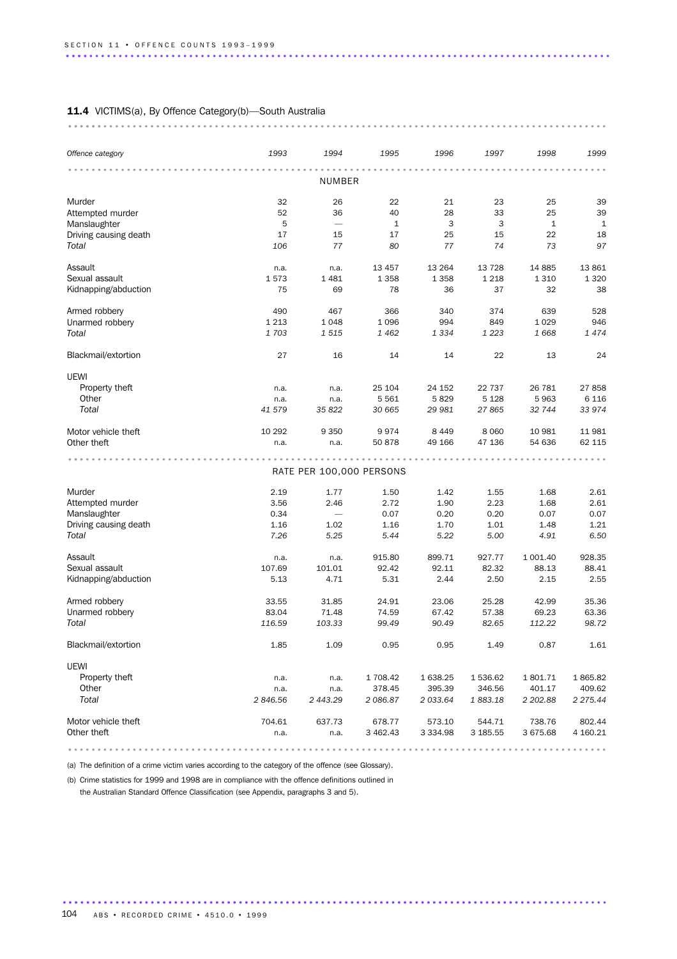### 11.4 VICTIMS(a), By Offence Category(b)-South Australia

| Offence category      | 1993    | 1994                     | 1995         | 1996          | 1997     | 1998         | 1999         |
|-----------------------|---------|--------------------------|--------------|---------------|----------|--------------|--------------|
|                       |         | NUMBER                   |              |               |          |              |              |
| Murder                | 32      | 26                       | 22           | 21            | 23       | 25           | 39           |
| Attempted murder      | 52      | 36                       | 40           | 28            | 33       | 25           | 39           |
| Manslaughter          | 5       |                          | $\mathbf{1}$ | 3             | 3        | $\mathbf{1}$ | $\mathbf{1}$ |
| Driving causing death | 17      | 15                       | 17           | 25            | 15       | 22           | 18           |
| Total                 | 106     | 77                       | 80           | 77            | 74       | 73           | 97           |
| Assault               | n.a.    | n.a.                     | 13 4 5 7     | 13 2 64       | 13 7 28  | 14 8 85      | 13 861       |
| Sexual assault        | 1573    | 1 4 8 1                  | 1 3 5 8      | 1 3 5 8       | 1 2 1 8  | 1 3 1 0      | 1 3 2 0      |
| Kidnapping/abduction  | 75      | 69                       | 78           | 36            | 37       | 32           | 38           |
| Armed robbery         | 490     | 467                      | 366          | 340           | 374      | 639          | 528          |
| Unarmed robbery       | 1 2 1 3 | 1 0 4 8                  | 1096         | 994           | 849      | 1029         | 946          |
| Total                 | 1703    | 1515                     | 1 4 6 2      | 1 3 3 4       | 1 2 2 3  | 1668         | 1474         |
| Blackmail/extortion   | 27      | 16                       | 14           | 14            | 22       | 13           | 24           |
| UEWI                  |         |                          |              |               |          |              |              |
| Property theft        | n.a.    | n.a.                     | 25 104       | 24 152        | 22 737   | 26 781       | 27858        |
| Other                 | n.a.    | n.a.                     | 5561         | 5829          | 5 1 2 8  | 5963         | 6 1 1 6      |
| Total                 | 41 579  | 35 822                   | 30 665       | 29 981        | 27865    | 32 744       | 33 974       |
| Motor vehicle theft   | 10 29 2 | 9 3 5 0                  | 9974         | 8 4 4 9       | 8 0 6 0  | 10 981       | 11 981       |
| Other theft           | n.a.    | n.a.                     | 50878        | 49 166        | 47 136   | 54 636       | 62 115       |
|                       |         |                          |              |               |          |              |              |
|                       |         | RATE PER 100,000 PERSONS |              |               |          |              |              |
| Murder                | 2.19    | 1.77                     | 1.50         | 1.42          | 1.55     | 1.68         | 2.61         |
| Attempted murder      | 3.56    | 2.46                     | 2.72         | 1.90          | 2.23     | 1.68         | 2.61         |
| Manslaughter          | 0.34    |                          | 0.07         | 0.20          | 0.20     | 0.07         | 0.07         |
| Driving causing death | 1.16    | 1.02                     | 1.16         | 1.70          | 1.01     | 1.48         | 1.21         |
| Total                 | 7.26    | 5.25                     | 5.44         | 5.22          | 5.00     | 4.91         | 6.50         |
| Assault               | n.a.    | n.a.                     | 915.80       | 899.71        | 927.77   | 1 001.40     | 928.35       |
| Sexual assault        | 107.69  | 101.01                   | 92.42        | 92.11         | 82.32    | 88.13        | 88.41        |
| Kidnapping/abduction  | 5.13    | 4.71                     | 5.31         | 2.44          | 2.50     | 2.15         | 2.55         |
| Armed robbery         | 33.55   | 31.85                    | 24.91        | 23.06         | 25.28    | 42.99        | 35.36        |
| Unarmed robbery       | 83.04   | 71.48                    | 74.59        | 67.42         | 57.38    | 69.23        | 63.36        |
| Total                 | 116.59  | 103.33                   | 99.49        | 90.49         | 82.65    | 112.22       | 98.72        |
| Blackmail/extortion   | 1.85    | 1.09                     | 0.95         | 0.95          | 1.49     | 0.87         | 1.61         |
| UEWI                  |         |                          |              |               |          |              |              |
| Property theft        | n.a.    | n.a.                     | 1 708.42     | 1 638.25      | 1536.62  | 1801.71      | 1865.82      |
| Other                 | n.a.    | n.a.                     | 378.45       | 395.39        | 346.56   | 401.17       | 409.62       |
| Total                 | 2846.56 | 2 443.29                 | 2086.87      | 2 033.64      | 1883.18  | 2 202.88     | 2 275.44     |
| Motor vehicle theft   | 704.61  | 637.73                   | 678.77       | 573.10        | 544.71   | 738.76       | 802.44       |
| Other theft           | n.a.    | n.a.                     | 3 462.43     | 3 3 3 4 . 9 8 | 3 185.55 | 3 675.68     | 4 160.21     |
|                       |         |                          |              |               |          |              |              |

............................................................................................. .....................................................................................

(a) The definition of a crime victim varies according to the category of the offence (see Glossary).

(b) Crime statistics for 1999 and 1998 are in compliance with the offence definitions outlined in the Australian Standard Offence Classification (see Appendix, paragraphs 3 and 5).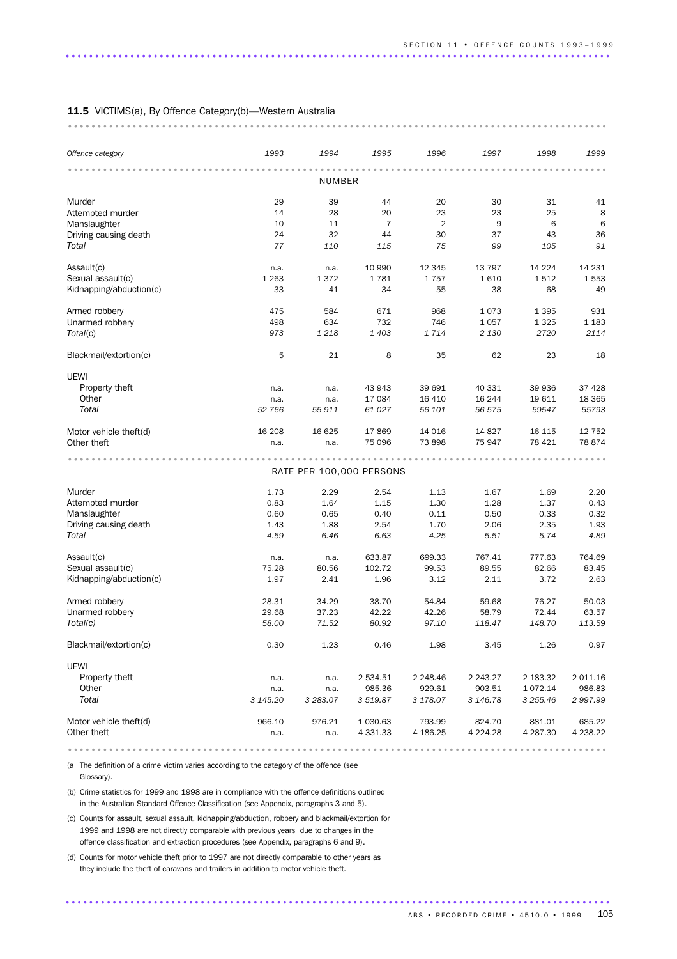| Offence category                 | 1993          | 1994                     | 1995                 | 1996                 | 1997          | 1998          | 1999         |
|----------------------------------|---------------|--------------------------|----------------------|----------------------|---------------|---------------|--------------|
|                                  |               | NUMBER                   |                      |                      |               |               |              |
|                                  |               |                          |                      |                      |               |               |              |
| Murder                           | 29            | 39                       | 44                   | 20                   | 30            | 31            | 41           |
| Attempted murder<br>Manslaughter | 14<br>10      | 28<br>11                 | 20<br>$\overline{7}$ | 23<br>$\overline{2}$ | 23<br>9       | 25<br>6       | 8<br>6       |
| Driving causing death            | 24            | 32                       | 44                   | 30                   | 37            | 43            | 36           |
| Total                            | 77            | 110                      | 115                  | 75                   | 99            | 105           | 91           |
|                                  |               |                          |                      |                      |               |               |              |
| Assault(c)                       | n.a.          | n.a.                     | 10 990               | 12 3 45              | 13 7 9 7      | 14 2 24       | 14 231       |
| Sexual assault(c)                | 1 2 6 3<br>33 | 1372<br>41               | 1781                 | 1757<br>55           | 1610          | 1512<br>68    | 1553<br>49   |
| Kidnapping/abduction(c)          |               |                          | 34                   |                      | 38            |               |              |
| Armed robbery                    | 475           | 584                      | 671                  | 968                  | 1073          | 1 3 9 5       | 931          |
| Unarmed robbery                  | 498           | 634                      | 732                  | 746                  | 1 0 5 7       | 1 3 2 5       | 1 1 8 3      |
| Total(c)                         | 973           | 1 2 1 8                  | 1 4 0 3              | 1714                 | 2 1 3 0       | 2720          | 2114         |
| Blackmail/extortion(c)           | 5             | 21                       | 8                    | 35                   | 62            | 23            | 18           |
| <b>UEWI</b>                      |               |                          |                      |                      |               |               |              |
| Property theft                   | n.a.          | n.a.                     | 43 943               | 39 691               | 40 331        | 39 936        | 37 4 28      |
| Other                            | n.a.          | n.a.                     | 17 084               | 16 4 10              | 16 244        | 19611         | 18 3 65      |
| Total                            | 52 766        | 55 911                   | 61 0 27              | 56 101               | 56 575        | 59547         | 55793        |
| Motor vehicle theft(d)           | 16 208        | 16 625                   | 17869                | 14 0 16              | 14 8 27       | 16 115        | 12 752       |
| Other theft                      | n.a.          | n.a.                     | 75 096               | 73 898               | 75 947        | 78 4 21       | 78 874       |
|                                  |               | RATE PER 100,000 PERSONS |                      |                      |               |               |              |
|                                  |               |                          |                      |                      |               |               |              |
| Murder                           | 1.73          | 2.29                     | 2.54                 | 1.13                 | 1.67          | 1.69          | 2.20         |
| Attempted murder                 | 0.83          | 1.64                     | 1.15                 | 1.30                 | 1.28          | 1.37          | 0.43         |
| Manslaughter                     | 0.60          | 0.65                     | 0.40                 | 0.11                 | 0.50          | 0.33          | 0.32         |
| Driving causing death<br>Total   | 1.43<br>4.59  | 1.88<br>6.46             | 2.54<br>6.63         | 1.70<br>4.25         | 2.06<br>5.51  | 2.35<br>5.74  | 1.93<br>4.89 |
|                                  |               |                          |                      |                      |               |               |              |
| Assault(c)                       | n.a.          | n.a.                     | 633.87               | 699.33               | 767.41        | 777.63        | 764.69       |
| Sexual assault(c)                | 75.28         | 80.56                    | 102.72               | 99.53                | 89.55         | 82.66         | 83.45        |
| Kidnapping/abduction(c)          | 1.97          | 2.41                     | 1.96                 | 3.12                 | 2.11          | 3.72          | 2.63         |
| Armed robbery                    | 28.31         | 34.29                    | 38.70                | 54.84                | 59.68         | 76.27         | 50.03        |
| Unarmed robbery                  | 29.68         | 37.23                    | 42.22                | 42.26                | 58.79         | 72.44         | 63.57        |
| Total(c)                         | 58.00         | 71.52                    | 80.92                | 97.10                | 118.47        | 148.70        | 113.59       |
| Blackmail/extortion(c)           | 0.30          | 1.23                     | 0.46                 | 1.98                 | 3.45          | 1.26          | 0.97         |
| <b>UEWI</b>                      |               |                          |                      |                      |               |               |              |
| Property theft                   | n.a.          | n.a.                     | 2 534.51             | 2 248.46             | 2 2 4 3 . 2 7 | 2 183.32      | 2 011.16     |
| Other                            | n.a.          | n.a.                     | 985.36               | 929.61               | 903.51        | 1 0 7 2 . 1 4 | 986.83       |
| Total                            | 3 145.20      | 3 283.07                 | 3 519.87             | 3 178.07             | 3 146.78      | 3 255.46      | 2 997.99     |
| Motor vehicle theft(d)           | 966.10        | 976.21                   | 1 030.63             | 793.99               | 824.70        | 881.01        | 685.22       |
| Other theft                      | n.a.          | n.a.                     | 4 3 3 1 . 3 3        | 4 186.25             | 4 2 2 4 . 2 8 | 4 287.30      | 4 238.22     |

(a The definition of a crime victim varies according to the category of the offence (see Glossary).

(b) Crime statistics for 1999 and 1998 are in compliance with the offence definitions outlined in the Australian Standard Offence Classification (see Appendix, paragraphs 3 and 5).

(c) Counts for assault, sexual assault, kidnapping/abduction, robbery and blackmail/extortion for 1999 and 1998 are not directly comparable with previous years due to changes in the offence classification and extraction procedures (see Appendix, paragraphs 6 and 9).

(d) Counts for motor vehicle theft prior to 1997 are not directly comparable to other years as they include the theft of caravans and trailers in addition to motor vehicle theft.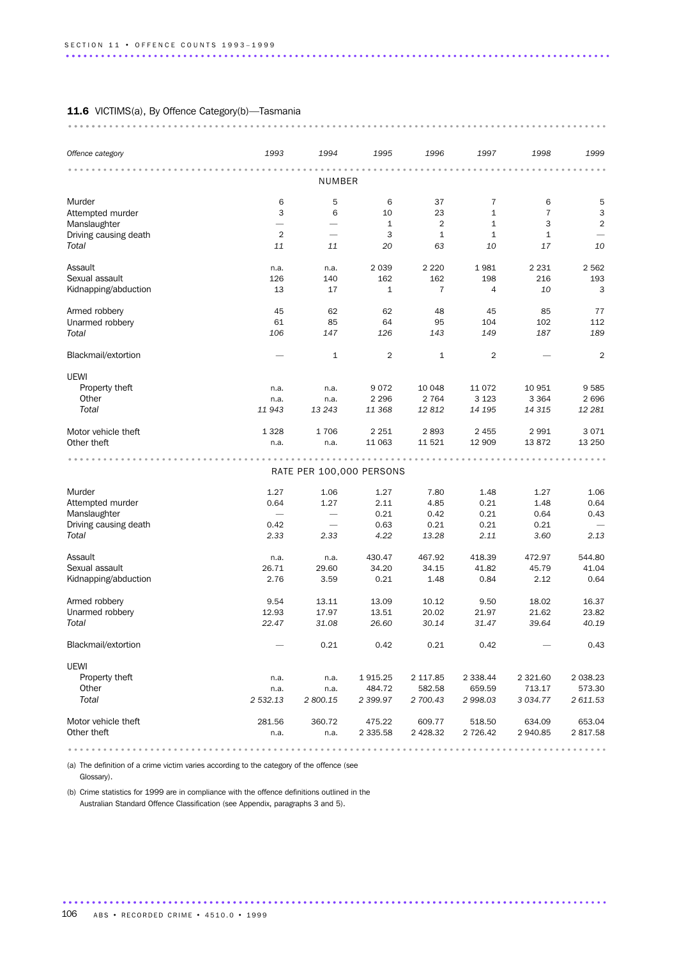### 11.6 VICTIMS(a), By Offence Category(b)-Tasmania

| Offence category                 | 1993           | 1994                     | 1995               | 1996                 | 1997                         | 1998                | 1999                |
|----------------------------------|----------------|--------------------------|--------------------|----------------------|------------------------------|---------------------|---------------------|
|                                  |                | NUMBER                   |                    |                      |                              |                     |                     |
|                                  | 6              | 5                        | 6                  | 37                   | $\overline{7}$               |                     |                     |
| Murder                           | 3              |                          |                    |                      |                              | 6<br>$\overline{7}$ | 5                   |
| Attempted murder<br>Manslaughter |                | 6                        | 10<br>$\mathbf{1}$ | 23<br>$\overline{2}$ | $\mathbf{1}$<br>$\mathbf{1}$ | 3                   | 3<br>$\overline{2}$ |
| Driving causing death            | $\overline{2}$ |                          | 3                  | $1\,$                | $\mathbf{1}$                 | $\mathbf{1}$        |                     |
| Total                            | 11             | 11                       | 20                 | 63                   | 10                           | 17                  | 10                  |
|                                  |                |                          |                    |                      |                              |                     |                     |
| Assault                          | n.a.           | n.a.                     | 2 0 3 9            | 2 2 2 0              | 1981                         | 2 2 3 1             | 2 5 6 2             |
| Sexual assault                   | 126            | 140                      | 162                | 162                  | 198                          | 216                 | 193                 |
| Kidnapping/abduction             | 13             | 17                       | $\mathbf{1}$       | $\overline{7}$       | 4                            | 10                  | 3                   |
|                                  |                |                          |                    |                      |                              |                     |                     |
| Armed robbery                    | 45             | 62                       | 62                 | 48                   | 45                           | 85                  | 77                  |
| Unarmed robbery                  | 61             | 85                       | 64                 | 95                   | 104                          | 102                 | 112                 |
| Total                            | 106            | 147                      | 126                | 143                  | 149                          | 187                 | 189                 |
| Blackmail/extortion              |                | $\mathbf{1}$             | $\overline{2}$     | $\mathbf{1}$         | $\overline{2}$               |                     | $\overline{2}$      |
| UEWI                             |                |                          |                    |                      |                              |                     |                     |
| Property theft                   | n.a.           | n.a.                     | 9072               | 10 048               | 11 0 72                      | 10 951              | 9585                |
| Other                            | n.a.           | n.a.                     | 2 2 9 6            | 2 7 6 4              | 3 1 2 3                      | 3 3 6 4             | 2696                |
| Total                            | 11 943         | 13 24 3                  | 11 368             | 12812                | 14 195                       | 14 315              | 12 281              |
|                                  |                |                          |                    |                      |                              |                     |                     |
| Motor vehicle theft              | 1 3 2 8        | 1706                     | 2 2 5 1            | 2893                 | 2 4 5 5                      | 2991                | 3071                |
| Other theft                      | n.a.           | n.a.                     | 11 063             | 11 5 21              | 12 909                       | 13872               | 13 250              |
|                                  |                |                          |                    |                      |                              |                     |                     |
|                                  |                | RATE PER 100,000 PERSONS |                    |                      |                              |                     |                     |
| Murder                           | 1.27           | 1.06                     | 1.27               | 7.80                 | 1.48                         | 1.27                | 1.06                |
| Attempted murder                 | 0.64           | 1.27                     | 2.11               | 4.85                 | 0.21                         | 1.48                | 0.64                |
| Manslaughter                     |                | $\overline{\phantom{0}}$ | 0.21               | 0.42                 | 0.21                         | 0.64                | 0.43                |
| Driving causing death            | 0.42           |                          | 0.63               | 0.21                 | 0.21                         | 0.21                |                     |
| Total                            | 2.33           | 2.33                     | 4.22               | 13.28                | 2.11                         | 3.60                | 2.13                |
|                                  |                |                          |                    |                      |                              |                     |                     |
| Assault                          | n.a.           | n.a.                     | 430.47             | 467.92               | 418.39                       | 472.97              | 544.80              |
| Sexual assault                   | 26.71          | 29.60                    | 34.20              | 34.15                | 41.82                        | 45.79               | 41.04               |
| Kidnapping/abduction             | 2.76           | 3.59                     | 0.21               | 1.48                 | 0.84                         | 2.12                | 0.64                |
| Armed robbery                    | 9.54           | 13.11                    | 13.09              | 10.12                | 9.50                         | 18.02               | 16.37               |
| Unarmed robbery                  | 12.93          | 17.97                    | 13.51              | 20.02                | 21.97                        | 21.62               | 23.82               |
| Total                            | 22.47          | 31.08                    | 26.60              | 30.14                | 31.47                        | 39.64               | 40.19               |
| Blackmail/extortion              |                | 0.21                     | 0.42               | 0.21                 | 0.42                         |                     | 0.43                |
| UEWI                             |                |                          |                    |                      |                              |                     |                     |
| Property theft                   | n.a.           | n.a.                     | 1915.25            | 2 117.85             | 2 3 3 8.44                   | 2 3 2 1.60          | 2 0 38.23           |
| Other                            | n.a.           | n.a.                     | 484.72             | 582.58               | 659.59                       | 713.17              | 573.30              |
| Total                            | 2 532.13       | 2 800.15                 | 2 399.97           | 2 700.43             | 2 998.03                     | 3 0 3 4 . 7 7       | 2 611.53            |
|                                  |                |                          |                    |                      |                              |                     |                     |
| Motor vehicle theft              | 281.56         | 360.72                   | 475.22             | 609.77               | 518.50                       | 634.09              | 653.04              |
| Other theft                      | n.a.           | n.a.                     | 2 3 3 5.5 8        | 2 4 28.32            | 2 726.42                     | 2 940.85            | 2817.58             |
|                                  |                |                          |                    |                      |                              |                     |                     |

............................................................................................. .....................................................................................

(a) The definition of a crime victim varies according to the category of the offence (see

Glossary).

(b) Crime statistics for 1999 are in compliance with the offence definitions outlined in the Australian Standard Offence Classification (see Appendix, paragraphs 3 and 5).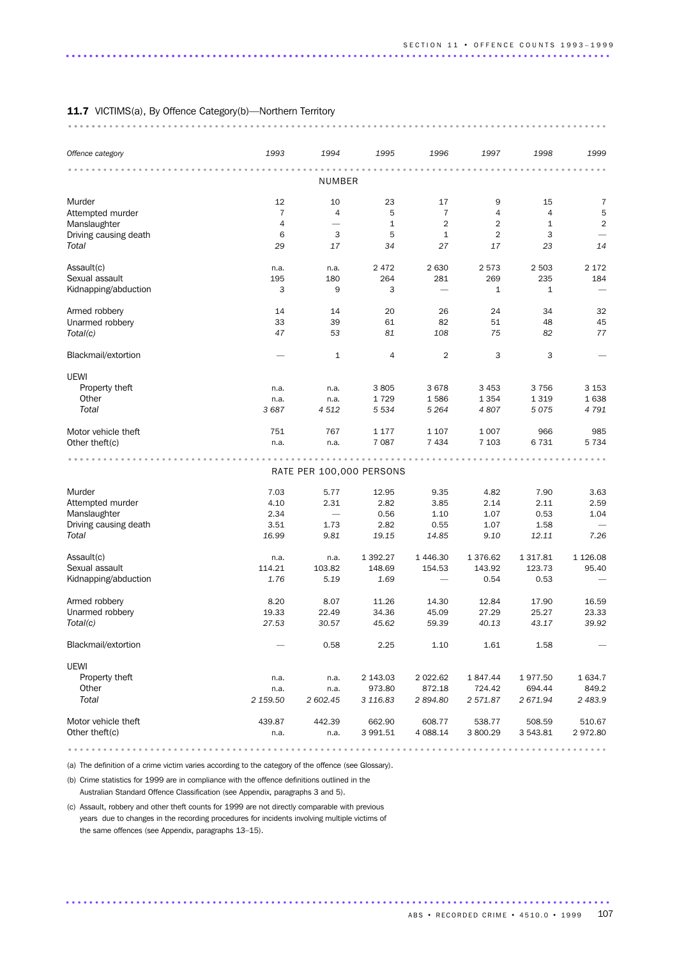| Offence category      | 1993           | 1994                     | 1995           | 1996                     | 1997           | 1998         | 1999           |
|-----------------------|----------------|--------------------------|----------------|--------------------------|----------------|--------------|----------------|
|                       |                | NUMBER                   |                |                          |                |              |                |
| Murder                | 12             | 10                       | 23             | 17                       | 9              | 15           | 7              |
| Attempted murder      | $\overline{7}$ | 4                        | 5              | $\overline{7}$           | $\overline{4}$ | 4            | 5              |
| Manslaughter          | $\overline{4}$ |                          | $1\,$          | 2                        | $\overline{2}$ | $\mathbf{1}$ | $\overline{2}$ |
| Driving causing death | 6              | 3                        | 5              | $\mathbf{1}$             | $\overline{2}$ | 3            |                |
| Total                 | 29             | 17                       | 34             | 27                       | 17             | 23           | 14             |
| Assault(c)            | n.a.           | n.a.                     | 2 4 7 2        | 2 6 3 0                  | 2573           | 2 5 0 3      | 2 1 7 2        |
| Sexual assault        | 195            | 180                      | 264            | 281                      | 269            | 235          | 184            |
| Kidnapping/abduction  | 3              | 9                        | 3              | $\overline{\phantom{0}}$ | $\mathbf{1}$   | 1            |                |
| Armed robbery         | 14             | 14                       | 20             | 26                       | 24             | 34           | 32             |
| Unarmed robbery       | 33             | 39                       | 61             | 82                       | 51             | 48           | 45             |
| Total(c)              | 47             | 53                       | 81             | 108                      | 75             | 82           | 77             |
| Blackmail/extortion   |                | $\mathbf{1}$             | $\overline{4}$ | 2                        | 3              | 3            |                |
| <b>UEWI</b>           |                |                          |                |                          |                |              |                |
| Property theft        | n.a.           | n.a.                     | 3805           | 3 6 7 8                  | 3 4 5 3        | 3756         | 3 1 5 3        |
| Other                 | n.a.           | n.a.                     | 1729           | 1586                     | 1 3 5 4        | 1 3 1 9      | 1638           |
| Total                 | 3 6 8 7        | 4512                     | 5 5 3 4        | 5 2 6 4                  | 4807           | 5075         | 4 7 9 1        |
| Motor vehicle theft   | 751            | 767                      | 1 1 7 7        | 1 1 0 7                  | 1 0 0 7        | 966          | 985            |
| Other theft(c)        | n.a.           | n.a.                     | 7 0 8 7        | 7 4 3 4                  | 7 1 0 3        | 6731         | 5 7 3 4        |
|                       |                |                          |                |                          |                |              |                |
|                       |                | RATE PER 100,000 PERSONS |                |                          |                |              |                |
| Murder                | 7.03           | 5.77                     | 12.95          | 9.35                     | 4.82           | 7.90         | 3.63           |
| Attempted murder      | 4.10           | 2.31                     | 2.82           | 3.85                     | 2.14           | 2.11         | 2.59           |
| Manslaughter          | 2.34           | $\overline{\phantom{m}}$ | 0.56           | 1.10                     | 1.07           | 0.53         | 1.04           |
| Driving causing death | 3.51           | 1.73                     | 2.82           | 0.55                     | 1.07           | 1.58         |                |
| Total                 | 16.99          | 9.81                     | 19.15          | 14.85                    | 9.10           | 12.11        | 7.26           |
| Assault(c)            | n.a.           | n.a.                     | 1 3 9 2.27     | 1446.30                  | 1 376.62       | 1 3 1 7 .8 1 | 1 1 26.08      |
| Sexual assault        | 114.21         | 103.82                   | 148.69         | 154.53                   | 143.92         | 123.73       | 95.40          |
| Kidnapping/abduction  | 1.76           | 5.19                     | 1.69           |                          | 0.54           | 0.53         |                |
| Armed robbery         | 8.20           | 8.07                     | 11.26          | 14.30                    | 12.84          | 17.90        | 16.59          |
| Unarmed robbery       | 19.33          | 22.49                    | 34.36          | 45.09                    | 27.29          | 25.27        | 23.33          |
| Total(c)              | 27.53          | 30.57                    | 45.62          | 59.39                    | 40.13          | 43.17        | 39.92          |
| Blackmail/extortion   |                | 0.58                     | 2.25           | 1.10                     | 1.61           | 1.58         |                |
| UEWI                  |                |                          |                |                          |                |              |                |
| Property theft        | n.a.           | n.a.                     | 2 143.03       | 2 0 2 2 .6 2             | 1847.44        | 1977.50      | 1 634.7        |
| Other                 | n.a.           | n.a.                     | 973.80         | 872.18                   | 724.42         | 694.44       | 849.2          |
| Total                 | 2 159.50       | 2 602.45                 | 3 116.83       | 2894.80                  | 2 571.87       | 2 671.94     | 2 483.9        |
| Motor vehicle theft   | 439.87         | 442.39                   | 662.90         | 608.77                   | 538.77         | 508.59       | 510.67         |
| Other theft(c)        | n.a.           | n.a.                     | 3 991.51       | 4 088.14                 | 3 800.29       | 3 543.81     | 2972.80        |

(a) The definition of a crime victim varies according to the category of the offence (see Glossary).

(b) Crime statistics for 1999 are in compliance with the offence definitions outlined in the Australian Standard Offence Classification (see Appendix, paragraphs 3 and 5).

(c) Assault, robbery and other theft counts for 1999 are not directly comparable with previous years due to changes in the recording procedures for incidents involving multiple victims of the same offences (see Appendix, paragraphs 13–15).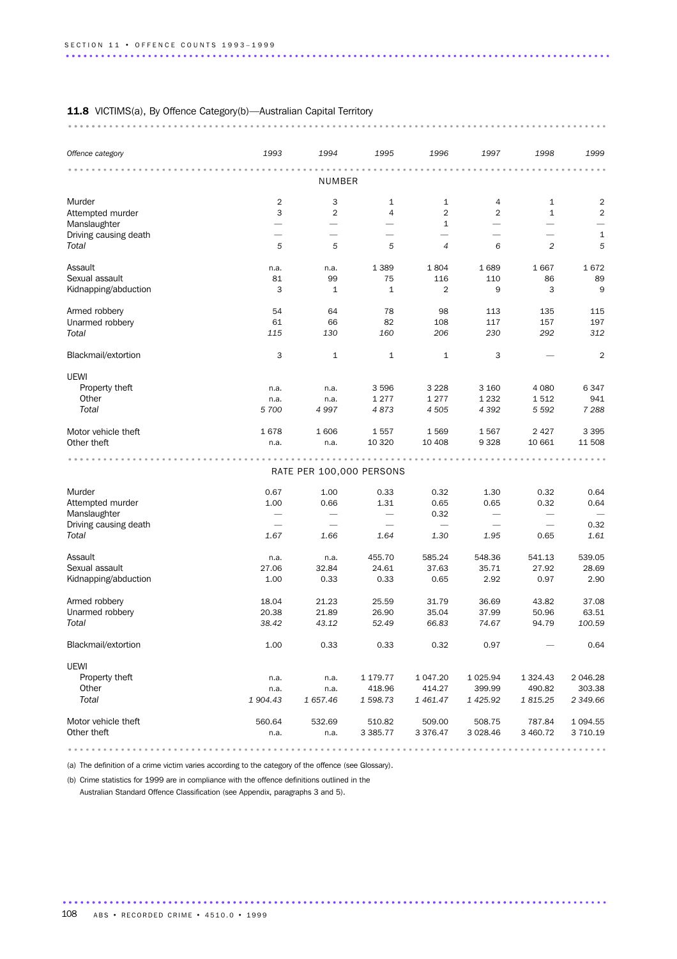| Offence category      | 1993                            | 1994                     | 1995                     | 1996                     | 1997                     | 1998                     | 1999           |
|-----------------------|---------------------------------|--------------------------|--------------------------|--------------------------|--------------------------|--------------------------|----------------|
|                       |                                 | NUMBER                   |                          |                          |                          |                          |                |
| Murder                | $\overline{2}$                  | 3                        | $\mathbf{1}$             | $\mathbf{1}$             | 4                        | 1                        | $\mathbf 2$    |
| Attempted murder      | 3                               | $\overline{2}$           | 4                        | 2                        | $\overline{2}$           | $\mathbf{1}$             | $\overline{2}$ |
| Manslaughter          | $\overline{\phantom{0}}$        |                          | $\overline{\phantom{0}}$ | 1                        | $\overline{\phantom{0}}$ | $\overline{\phantom{0}}$ |                |
| Driving causing death | $\overline{\phantom{0}}$        | $\overline{\phantom{0}}$ | $\overline{\phantom{0}}$ | $\overline{\phantom{0}}$ | $\overline{\phantom{0}}$ | $\overline{\phantom{0}}$ | $\mathbf 1$    |
| Total                 | 5                               | 5                        | 5                        | $\overline{4}$           | 6                        | $\overline{c}$           | 5              |
| Assault               | n.a.                            | n.a.                     | 1 3 8 9                  | 1804                     | 1689                     | 1667                     | 1672           |
| Sexual assault        | 81                              | 99                       | 75                       | 116                      | 110                      | 86                       | 89             |
| Kidnapping/abduction  | 3                               | $\mathbf{1}$             | $\mathbf{1}$             | $\overline{2}$           | 9                        | 3                        | 9              |
| Armed robbery         | 54                              | 64                       | 78                       | 98                       | 113                      | 135                      | 115            |
| Unarmed robbery       | 61                              | 66                       | 82                       | 108                      | 117                      | 157                      | 197            |
| Total                 | 115                             | 130                      | 160                      | 206                      | 230                      | 292                      | 312            |
| Blackmail/extortion   | 3                               | $\mathbf{1}$             | $\mathbf{1}$             | $\mathbf{1}$             | 3                        |                          | $\overline{2}$ |
| <b>UEWI</b>           |                                 |                          |                          |                          |                          |                          |                |
| Property theft        | n.a.                            | n.a.                     | 3 5 9 6                  | 3 2 2 8                  | 3 1 6 0                  | 4 0 8 0                  | 6347           |
| Other                 | n.a.                            | n.a.                     | 1 2 7 7                  | 1 2 7 7                  | 1 2 3 2                  | 1512                     | 941            |
| Total                 | 5 700                           | 4 9 9 7                  | 4873                     | 4 5 0 5                  | 4 3 9 2                  | 5 5 9 2                  | 7 2 8 8        |
| Motor vehicle theft   | 1678                            | 1606                     | 1557                     | 1569                     | 1567                     | 2 4 2 7                  | 3 3 9 5        |
| Other theft           | n.a.                            | n.a.                     | 10 320                   | 10 40 8                  | 9 3 2 8                  | 10 661                   | 11 508         |
|                       |                                 | RATE PER 100,000 PERSONS |                          |                          |                          |                          |                |
| Murder                | 0.67                            | 1.00                     | 0.33                     | 0.32                     | 1.30                     | 0.32                     | 0.64           |
| Attempted murder      | 1.00                            | 0.66                     | 1.31                     | 0.65                     | 0.65                     | 0.32                     | 0.64           |
| Manslaughter          |                                 |                          | $\overline{\phantom{m}}$ | 0.32                     | $\overline{\phantom{m}}$ | $\overline{\phantom{m}}$ |                |
| Driving causing death | $\overbrace{\phantom{1232211}}$ | $\overline{\phantom{0}}$ |                          | $\overline{\phantom{0}}$ |                          |                          | 0.32           |
| Total                 | 1.67                            | 1.66                     | 1.64                     | 1.30                     | 1.95                     | 0.65                     | 1.61           |
| Assault               | n.a.                            | n.a.                     | 455.70                   | 585.24                   | 548.36                   | 541.13                   | 539.05         |
| Sexual assault        | 27.06                           | 32.84                    | 24.61                    | 37.63                    | 35.71                    | 27.92                    | 28.69          |
| Kidnapping/abduction  | 1.00                            | 0.33                     | 0.33                     | 0.65                     | 2.92                     | 0.97                     | 2.90           |
| Armed robbery         | 18.04                           | 21.23                    | 25.59                    | 31.79                    | 36.69                    | 43.82                    | 37.08          |
| Unarmed robbery       | 20.38                           | 21.89                    | 26.90                    | 35.04                    | 37.99                    | 50.96                    | 63.51          |
| Total                 | 38.42                           | 43.12                    | 52.49                    | 66.83                    | 74.67                    | 94.79                    | 100.59         |
| Blackmail/extortion   | 1.00                            | 0.33                     | 0.33                     | 0.32                     | 0.97                     |                          | 0.64           |
| <b>UEWI</b>           |                                 |                          |                          |                          |                          |                          |                |
| Property theft        | n.a.                            | n.a.                     | 1 179.77                 | 1 047.20                 | 1 0 25.94                | 1 3 2 4 . 4 3            | 2 046.28       |
| Other                 | n.a.                            | n.a.                     | 418.96                   | 414.27                   | 399.99                   | 490.82                   | 303.38         |
| Total                 | 1 904.43                        | 1 657.46                 | 1 598.73                 | 1461.47                  | 1 4 2 5 . 9 2            | 1815.25                  | 2 349.66       |
| Motor vehicle theft   | 560.64                          | 532.69                   | 510.82                   | 509.00                   | 508.75                   | 787.84                   | 1 0 94.55      |
| Other theft           | n.a.                            | n.a.                     | 3 3 8 5.77               | 3 3 7 6 . 4 7            | 3 0 28.46                | 3 460.72                 | 3 710.19       |

............................................................................................. .....................................................................................

(a) The definition of a crime victim varies according to the category of the offence (see Glossary).

(b) Crime statistics for 1999 are in compliance with the offence definitions outlined in the Australian Standard Offence Classification (see Appendix, paragraphs 3 and 5).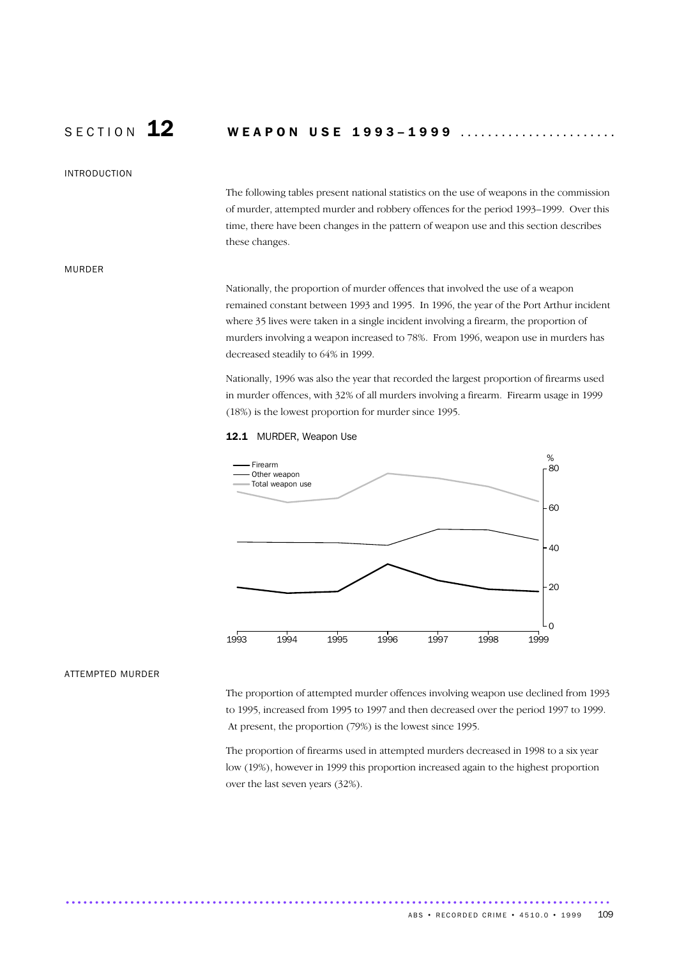# SECTION 12 WEAPON USE 1993-1999 .......................

### INTRODUCTION

The following tables present national statistics on the use of weapons in the commission of murder, attempted murder and robbery offences for the period 1993–1999. Over this time, there have been changes in the pattern of weapon use and this section describes these changes.

### MURDER

Nationally, the proportion of murder offences that involved the use of a weapon remained constant between 1993 and 1995. In 1996, the year of the Port Arthur incident where 35 lives were taken in a single incident involving a firearm, the proportion of murders involving a weapon increased to 78%. From 1996, weapon use in murders has decreased steadily to 64% in 1999.

Nationally, 1996 was also the year that recorded the largest proportion of firearms used in murder offences, with 32% of all murders involving a firearm. Firearm usage in 1999 (18%) is the lowest proportion for murder since 1995.

### 12.1 MURDER, Weapon Use



### ATTEMPTED MURDER

The proportion of attempted murder offences involving weapon use declined from 1993 to 1995, increased from 1995 to 1997 and then decreased over the period 1997 to 1999. At present, the proportion (79%) is the lowest since 1995.

The proportion of firearms used in attempted murders decreased in 1998 to a six year low (19%), however in 1999 this proportion increased again to the highest proportion over the last seven years (32%).

............................................................................................. .....................................................................................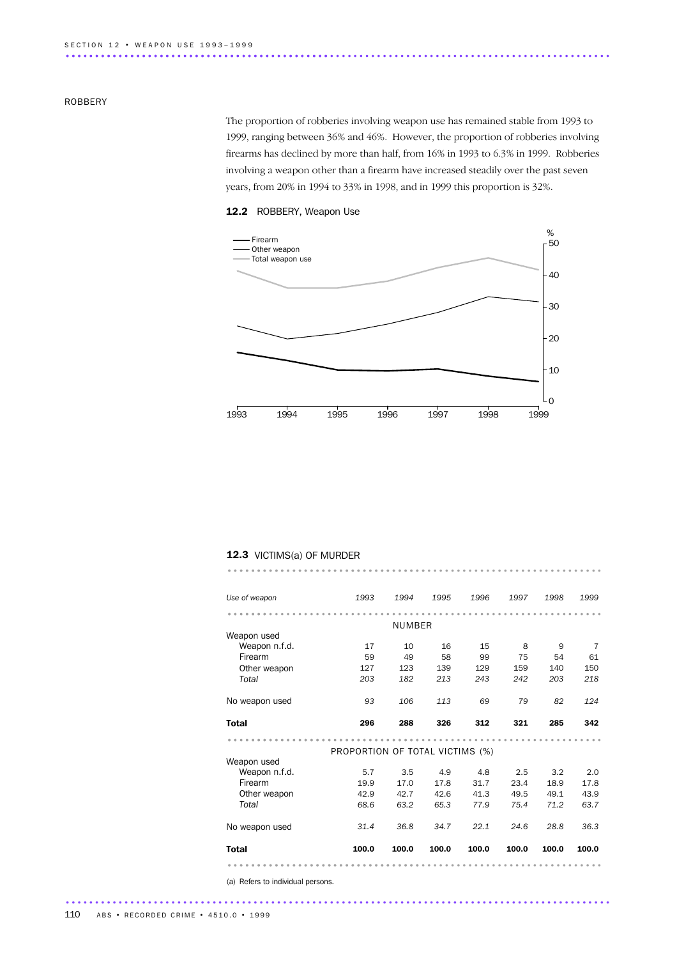### ROBBERY

The proportion of robberies involving weapon use has remained stable from 1993 to 1999, ranging between 36% and 46%. However, the proportion of robberies involving firearms has declined by more than half, from 16% in 1993 to 6.3% in 1999. Robberies involving a weapon other than a firearm have increased steadily over the past seven years, from 20% in 1994 to 33% in 1998, and in 1999 this proportion is 32%.



### 12.2 ROBBERY, Weapon Use

### 12.3 VICTIMS(a) OF MURDER

| Use of weapon                | 1993                            | 1994   | 1995  | 1996  | 1997  | 1998  | 1999  |
|------------------------------|---------------------------------|--------|-------|-------|-------|-------|-------|
|                              |                                 |        |       |       |       |       |       |
|                              |                                 | NUMBER |       |       |       |       |       |
| Weapon used                  |                                 |        |       |       |       |       |       |
| Weapon n.f.d.                | 17                              | 10     | 16    | 15    | 8     | 9     | 7     |
| Firearm                      | 59                              | 49     | 58    | 99    | 75    | 54    | 61    |
| Other weapon                 | 127                             | 123    | 139   | 129   | 159   | 140   | 150   |
| Total                        | 203                             | 182    | 213   | 243   | 242   | 203   | 218   |
| No weapon used               | 93                              | 106    | 113   | 69    | 79    | 82    | 124   |
| Total                        | 296                             | 288    | 326   | 312   | 321   | 285   | 342   |
|                              |                                 |        |       |       |       |       |       |
|                              | PROPORTION OF TOTAL VICTIMS (%) |        |       |       |       |       |       |
| Weapon used<br>Weapon n.f.d. | 5.7                             | 3.5    | 4.9   | 4.8   | 2.5   | 3.2   | 2.0   |
| Firearm                      | 19.9                            | 17.0   | 17.8  | 31.7  | 23.4  | 18.9  | 17.8  |
|                              |                                 |        |       |       |       |       |       |
| Other weapon                 | 42.9                            | 42.7   | 42.6  | 41.3  | 49.5  | 49.1  | 43.9  |
| Total                        | 68.6                            | 63.2   | 65.3  | 77.9  | 75.4  | 71.2  | 63.7  |
| No weapon used               | 31.4                            | 36.8   | 34.7  | 22.1  | 24.6  | 28.8  | 36.3  |
| <b>Total</b>                 | 100.0                           | 100.0  | 100.0 | 100.0 | 100.0 | 100.0 | 100.0 |
|                              |                                 |        |       |       |       |       |       |

................................................................ ..................................

(a) Refers to individual persons.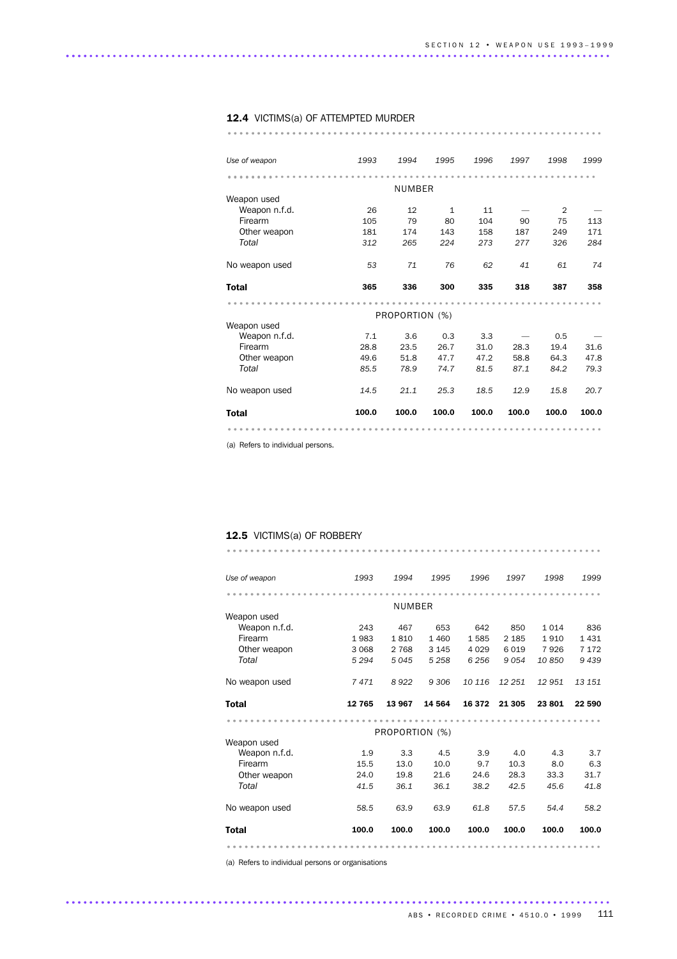### 12.4 VICTIMS(a) OF ATTEMPTED MURDER

................................................................ ..................................

| Use of weapon  | 1993  | 1994           | 1995         | 1996  | 1997  | 1998           | 1999  |
|----------------|-------|----------------|--------------|-------|-------|----------------|-------|
|                |       |                |              |       |       |                |       |
|                |       | <b>NUMBER</b>  |              |       |       |                |       |
| Weapon used    |       |                |              |       |       |                |       |
| Weapon n.f.d.  | 26    | 12             | $\mathbf{1}$ | 11    |       | $\overline{2}$ |       |
| Firearm        | 105   | 79             | 80           | 104   | 90    | 75             | 113   |
| Other weapon   | 181   | 174            | 143          | 158   | 187   | 249            | 171   |
| Total          | 312   | 265            | 224          | 273   | 277   | 326            | 284   |
| No weapon used | 53    | 71             | 76           | 62    | 41    | 61             | 74    |
| <b>Total</b>   | 365   | 336            | 300          | 335   | 318   | 387            | 358   |
|                |       |                |              |       |       |                |       |
|                |       |                |              |       |       |                |       |
|                |       | PROPORTION (%) |              |       |       |                |       |
| Weapon used    |       |                |              |       |       |                |       |
| Weapon n.f.d.  | 7.1   | 3.6            | 0.3          | 3.3   |       | 0.5            |       |
| Firearm        | 28.8  | 23.5           | 26.7         | 31.0  | 28.3  | 19.4           | 31.6  |
| Other weapon   | 49.6  | 51.8           | 47.7         | 47.2  | 58.8  | 64.3           | 47.8  |
| Total          | 85.5  | 78.9           | 74.7         | 81.5  | 87.1  | 84.2           | 79.3  |
| No weapon used | 14.5  | 21.1           | 25.3         | 18.5  | 12.9  | 15.8           | 20.7  |
| <b>Total</b>   | 100.0 | 100.0          | 100.0        | 100.0 | 100.0 | 100.0          | 100.0 |

(a) Refers to individual persons.

## 12.5 VICTIMS(a) OF ROBBERY

| Use of weapon  | 1993    | 1994           | 1995    | 1996    | 1997    | 1998    | 1999    |
|----------------|---------|----------------|---------|---------|---------|---------|---------|
|                |         |                |         |         |         |         |         |
|                |         | NUMBER         |         |         |         |         |         |
| Weapon used    |         |                |         |         |         |         |         |
| Weapon n.f.d.  | 243     | 467            | 653     | 642     | 850     | 1 0 1 4 | 836     |
| Firearm        | 1983    | 1810           | 1 4 6 0 | 1585    | 2 1 8 5 | 1910    | 1 4 3 1 |
| Other weapon   | 3 0 6 8 | 2 7 6 8        | 3 1 4 5 | 4 0 2 9 | 6019    | 7926    | 7 1 7 2 |
| Total          | 5 2 9 4 | 5045           | 5 2 5 8 | 6 2 5 6 | 9054    | 10850   | 9439    |
| No weapon used | 7471    | 8922           | 9 30 6  | 10 116  | 12 251  | 12951   | 13 15 1 |
|                |         |                |         |         |         |         |         |
| <b>Total</b>   | 12 765  | 13 967         | 14 5 64 | 16 372  | 21 305  | 23801   | 22 590  |
|                |         |                |         |         |         |         |         |
|                |         | PROPORTION (%) |         |         |         |         |         |
| Weapon used    |         |                |         |         |         |         |         |
| Weapon n.f.d.  | 1.9     | 3.3            | 4.5     | 3.9     | 4.0     | 4.3     | 3.7     |
| Firearm        | 15.5    | 13.0           | 10.0    | 9.7     | 10.3    | 8.0     | 6.3     |
| Other weapon   | 24.0    | 19.8           | 21.6    | 24.6    | 28.3    | 33.3    | 31.7    |
| Total          | 41.5    | 36.1           | 36.1    | 38.2    | 42.5    | 45.6    | 41.8    |
| No weapon used | 58.5    | 63.9           | 63.9    | 61.8    | 57.5    | 54.4    | 58.2    |
| <b>Total</b>   | 100.0   | 100.0          | 100.0   | 100.0   | 100.0   | 100.0   | 100.0   |

................................................................ ..................................

(a) Refers to individual persons or organisations

............................................................................................. .....................................................................................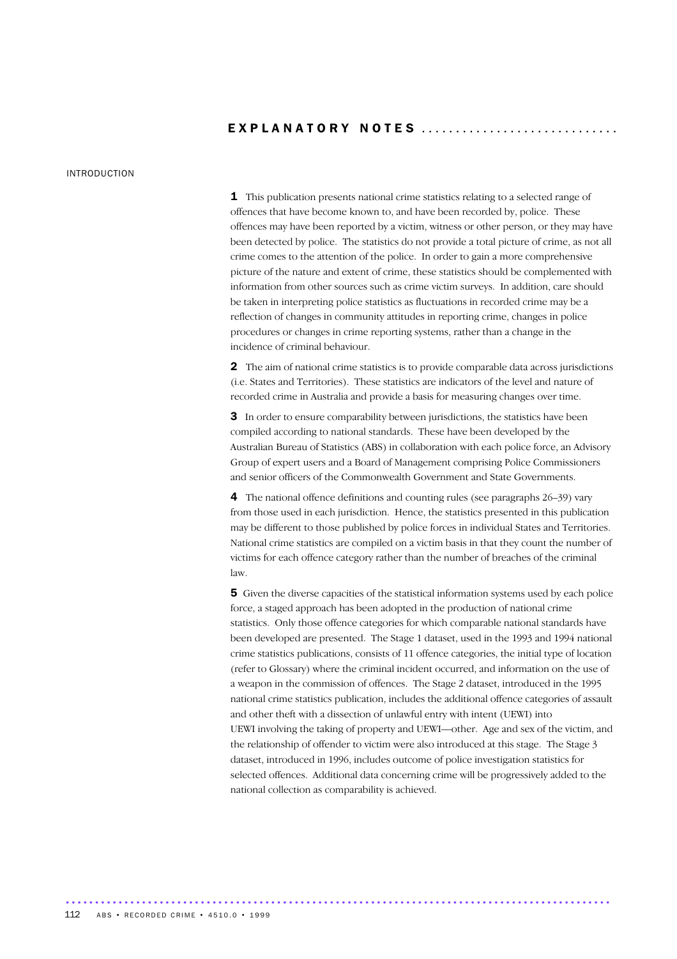## EXPLANATORY NOTES .............................

### INTRODUCTION

1 This publication presents national crime statistics relating to a selected range of offences that have become known to, and have been recorded by, police. These offences may have been reported by a victim, witness or other person, or they may have been detected by police. The statistics do not provide a total picture of crime, as not all crime comes to the attention of the police. In order to gain a more comprehensive picture of the nature and extent of crime, these statistics should be complemented with information from other sources such as crime victim surveys. In addition, care should be taken in interpreting police statistics as fluctuations in recorded crime may be a reflection of changes in community attitudes in reporting crime, changes in police procedures or changes in crime reporting systems, rather than a change in the incidence of criminal behaviour.

2 The aim of national crime statistics is to provide comparable data across jurisdictions (i.e. States and Territories). These statistics are indicators of the level and nature of recorded crime in Australia and provide a basis for measuring changes over time.

3 In order to ensure comparability between jurisdictions, the statistics have been compiled according to national standards. These have been developed by the Australian Bureau of Statistics (ABS) in collaboration with each police force, an Advisory Group of expert users and a Board of Management comprising Police Commissioners and senior officers of the Commonwealth Government and State Governments.

4 The national offence definitions and counting rules (see paragraphs 26–39) vary from those used in each jurisdiction. Hence, the statistics presented in this publication may be different to those published by police forces in individual States and Territories. National crime statistics are compiled on a victim basis in that they count the number of victims for each offence category rather than the number of breaches of the criminal law.

5 Given the diverse capacities of the statistical information systems used by each police force, a staged approach has been adopted in the production of national crime statistics. Only those offence categories for which comparable national standards have been developed are presented. The Stage 1 dataset, used in the 1993 and 1994 national crime statistics publications, consists of 11 offence categories, the initial type of location (refer to Glossary) where the criminal incident occurred, and information on the use of a weapon in the commission of offences. The Stage 2 dataset, introduced in the 1995 national crime statistics publication, includes the additional offence categories of assault and other theft with a dissection of unlawful entry with intent (UEWI) into UEWI involving the taking of property and UEWI—other. Age and sex of the victim, and the relationship of offender to victim were also introduced at this stage. The Stage 3 dataset, introduced in 1996, includes outcome of police investigation statistics for selected offences. Additional data concerning crime will be progressively added to the national collection as comparability is achieved.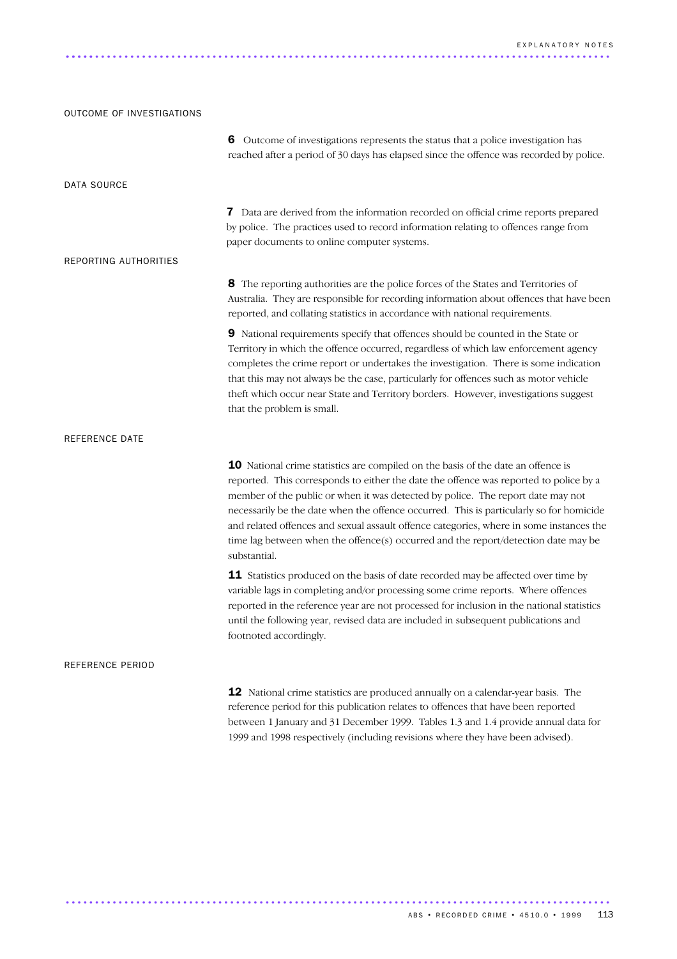# OUTCOME OF INVESTIGATIONS 6 Outcome of investigations represents the status that a police investigation has reached after a period of 30 days has elapsed since the offence was recorded by police. DATA SOURCE 7 Data are derived from the information recorded on official crime reports prepared by police. The practices used to record information relating to offences range from paper documents to online computer systems. REPORTING AUTHORITIES 8 The reporting authorities are the police forces of the States and Territories of Australia. They are responsible for recording information about offences that have been reported, and collating statistics in accordance with national requirements. 9 National requirements specify that offences should be counted in the State or Territory in which the offence occurred, regardless of which law enforcement agency completes the crime report or undertakes the investigation. There is some indication that this may not always be the case, particularly for offences such as motor vehicle theft which occur near State and Territory borders. However, investigations suggest that the problem is small. REFERENCE DATE 10 National crime statistics are compiled on the basis of the date an offence is reported. This corresponds to either the date the offence was reported to police by a member of the public or when it was detected by police. The report date may not necessarily be the date when the offence occurred. This is particularly so for homicide and related offences and sexual assault offence categories, where in some instances the time lag between when the offence(s) occurred and the report/detection date may be substantial. 11 Statistics produced on the basis of date recorded may be affected over time by variable lags in completing and/or processing some crime reports. Where offences reported in the reference year are not processed for inclusion in the national statistics until the following year, revised data are included in subsequent publications and footnoted accordingly. REFERENCE PERIOD 12 National crime statistics are produced annually on a calendar-year basis. The reference period for this publication relates to offences that have been reported between 1 January and 31 December 1999. Tables 1.3 and 1.4 provide annual data for

............................................................................................. .....

1999 and 1998 respectively (including revisions where they have been advised).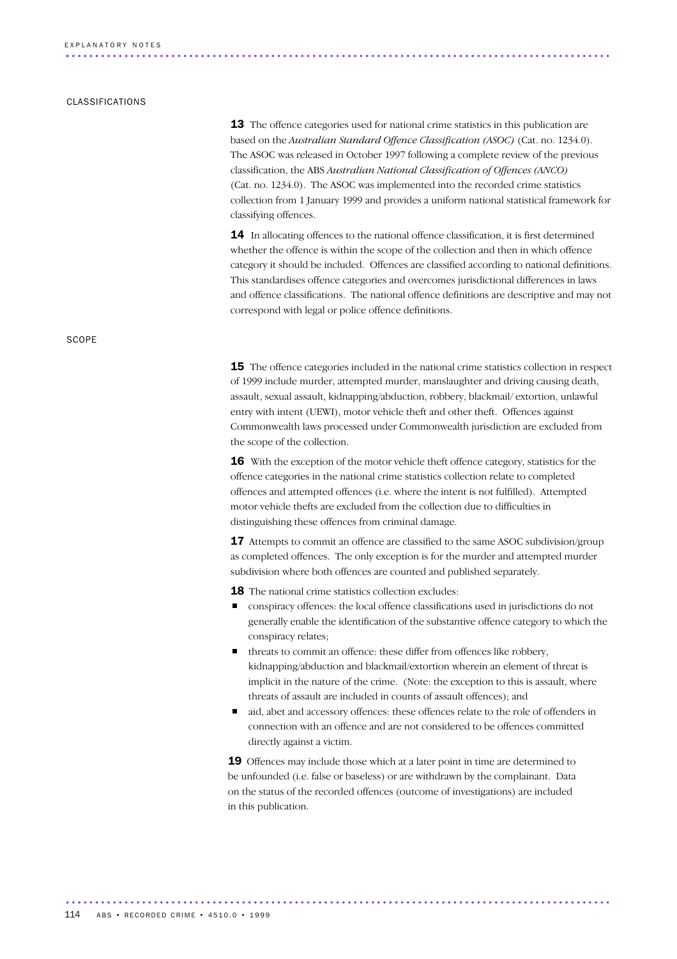### CLASSIFICATIONS

**SCOPE** 

**13** The offence categories used for national crime statistics in this publication are based on the *Australian Standard Offence Classification (ASOC)* (Cat. no. 1234.0). The ASOC was released in October 1997 following a complete review of the previous classification, the ABS *Australian National Classification of Offences (ANCO)* (Cat. no. 1234.0). The ASOC was implemented into the recorded crime statistics collection from 1 January 1999 and provides a uniform national statistical framework for classifying offences.

**14** In allocating offences to the national offence classification, it is first determined whether the offence is within the scope of the collection and then in which offence category it should be included. Offences are classified according to national definitions. This standardises offence categories and overcomes jurisdictional differences in laws and offence classifications. The national offence definitions are descriptive and may not correspond with legal or police offence definitions.

15 The offence categories included in the national crime statistics collection in respect of 1999 include murder, attempted murder, manslaughter and driving causing death, assault, sexual assault, kidnapping/abduction, robbery, blackmail/ extortion, unlawful entry with intent (UEWI), motor vehicle theft and other theft. Offences against Commonwealth laws processed under Commonwealth jurisdiction are excluded from the scope of the collection.

16 With the exception of the motor vehicle theft offence category, statistics for the offence categories in the national crime statistics collection relate to completed offences and attempted offences (i.e. where the intent is not fulfilled). Attempted motor vehicle thefts are excluded from the collection due to difficulties in distinguishing these offences from criminal damage.

17 Attempts to commit an offence are classified to the same ASOC subdivision/group as completed offences. The only exception is for the murder and attempted murder subdivision where both offences are counted and published separately.

**18** The national crime statistics collection excludes:

- conspiracy offences: the local offence classifications used in jurisdictions do not generally enable the identification of the substantive offence category to which the conspiracy relates;
- threats to commit an offence: these differ from offences like robbery, kidnapping/abduction and blackmail/extortion wherein an element of threat is implicit in the nature of the crime. (Note: the exception to this is assault, where threats of assault are included in counts of assault offences); and
- aid, abet and accessory offences: these offences relate to the role of offenders in connection with an offence and are not considered to be offences committed directly against a victim.

19 Offences may include those which at a later point in time are determined to be unfounded (i.e. false or baseless) or are withdrawn by the complainant. Data on the status of the recorded offences (outcome of investigations) are included in this publication.

............................................................................................. 114 ABS • RECORDED CRIME • 4510.0 • 1999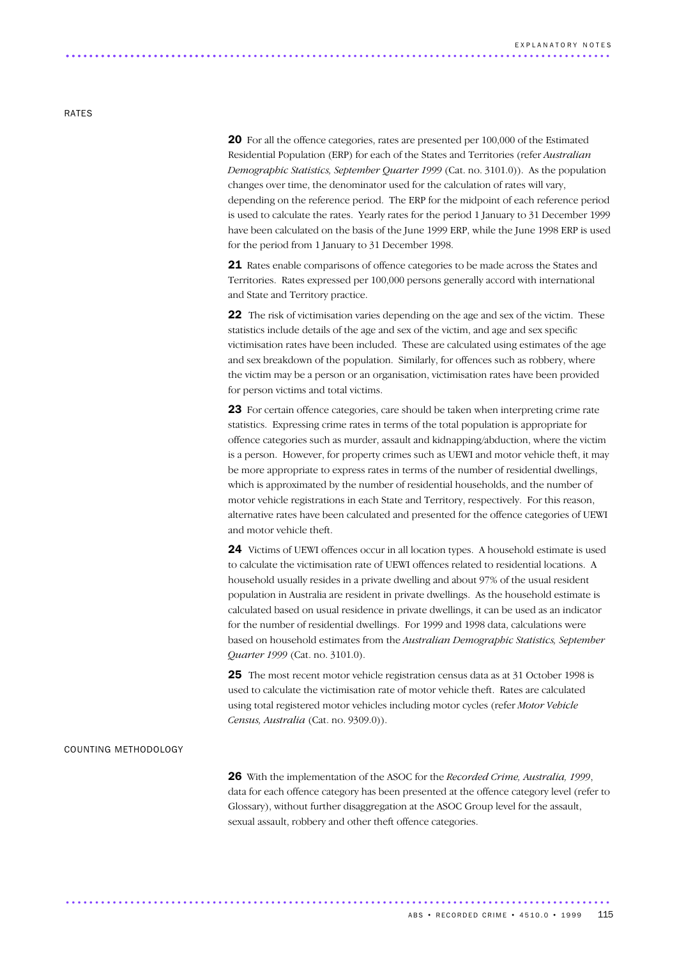### RATES

20 For all the offence categories, rates are presented per 100,000 of the Estimated Residential Population (ERP) for each of the States and Territories (refer *Australian Demographic Statistics, September Quarter 1999* (Cat. no. 3101.0)). As the population changes over time, the denominator used for the calculation of rates will vary, depending on the reference period. The ERP for the midpoint of each reference period is used to calculate the rates. Yearly rates for the period 1 January to 31 December 1999 have been calculated on the basis of the June 1999 ERP, while the June 1998 ERP is used for the period from 1 January to 31 December 1998.

21 Rates enable comparisons of offence categories to be made across the States and Territories. Rates expressed per 100,000 persons generally accord with international and State and Territory practice.

**22** The risk of victimisation varies depending on the age and sex of the victim. These statistics include details of the age and sex of the victim, and age and sex specific victimisation rates have been included. These are calculated using estimates of the age and sex breakdown of the population. Similarly, for offences such as robbery, where the victim may be a person or an organisation, victimisation rates have been provided for person victims and total victims.

23 For certain offence categories, care should be taken when interpreting crime rate statistics. Expressing crime rates in terms of the total population is appropriate for offence categories such as murder, assault and kidnapping/abduction, where the victim is a person. However, for property crimes such as UEWI and motor vehicle theft, it may be more appropriate to express rates in terms of the number of residential dwellings, which is approximated by the number of residential households, and the number of motor vehicle registrations in each State and Territory, respectively. For this reason, alternative rates have been calculated and presented for the offence categories of UEWI and motor vehicle theft.

24 Victims of UEWI offences occur in all location types. A household estimate is used to calculate the victimisation rate of UEWI offences related to residential locations. A household usually resides in a private dwelling and about 97% of the usual resident population in Australia are resident in private dwellings. As the household estimate is calculated based on usual residence in private dwellings, it can be used as an indicator for the number of residential dwellings. For 1999 and 1998 data, calculations were based on household estimates from the *Australian Demographic Statistics, September Quarter 1999* (Cat. no. 3101.0).

25 The most recent motor vehicle registration census data as at 31 October 1998 is used to calculate the victimisation rate of motor vehicle theft. Rates are calculated using total registered motor vehicles including motor cycles (refer *Motor Vehicle Census, Australia* (Cat. no. 9309.0)).

### COUNTING METHODOLOGY

26 With the implementation of the ASOC for the *Recorded Crime, Australia, 1999*, data for each offence category has been presented at the offence category level (refer to Glossary), without further disaggregation at the ASOC Group level for the assault, sexual assault, robbery and other theft offence categories.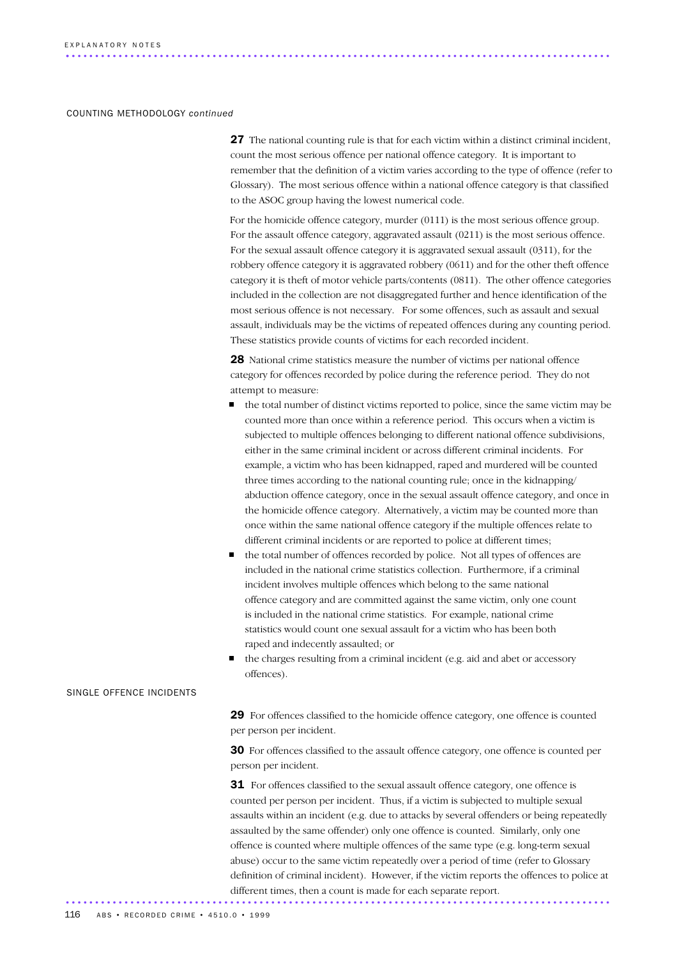### COUNTING METHODOLOGY *continued*

 27 The national counting rule is that for each victim within a distinct criminal incident, count the most serious offence per national offence category. It is important to remember that the definition of a victim varies according to the type of offence (refer to Glossary). The most serious offence within a national offence category is that classified to the ASOC group having the lowest numerical code.

 For the homicide offence category, murder (0111) is the most serious offence group. For the assault offence category, aggravated assault (0211) is the most serious offence. For the sexual assault offence category it is aggravated sexual assault (0311), for the robbery offence category it is aggravated robbery (0611) and for the other theft offence category it is theft of motor vehicle parts/contents (0811). The other offence categories included in the collection are not disaggregated further and hence identification of the most serious offence is not necessary. For some offences, such as assault and sexual assault, individuals may be the victims of repeated offences during any counting period. These statistics provide counts of victims for each recorded incident.

 28 National crime statistics measure the number of victims per national offence category for offences recorded by police during the reference period. They do not attempt to measure:

- the total number of distinct victims reported to police, since the same victim may be counted more than once within a reference period. This occurs when a victim is subjected to multiple offences belonging to different national offence subdivisions, either in the same criminal incident or across different criminal incidents. For example, a victim who has been kidnapped, raped and murdered will be counted three times according to the national counting rule; once in the kidnapping/ abduction offence category, once in the sexual assault offence category, and once in the homicide offence category. Alternatively, a victim may be counted more than once within the same national offence category if the multiple offences relate to different criminal incidents or are reported to police at different times;
- the total number of offences recorded by police. Not all types of offences are included in the national crime statistics collection. Furthermore, if a criminal incident involves multiple offences which belong to the same national offence category and are committed against the same victim, only one count is included in the national crime statistics. For example, national crime statistics would count one sexual assault for a victim who has been both raped and indecently assaulted; or
- the charges resulting from a criminal incident (e.g. aid and abet or accessory offences).

### SINGLE OFFENCE INCIDENTS

29 For offences classified to the homicide offence category, one offence is counted per person per incident.

30 For offences classified to the assault offence category, one offence is counted per person per incident.

31 For offences classified to the sexual assault offence category, one offence is counted per person per incident. Thus, if a victim is subjected to multiple sexual assaults within an incident (e.g. due to attacks by several offenders or being repeatedly assaulted by the same offender) only one offence is counted. Similarly, only one offence is counted where multiple offences of the same type (e.g. long-term sexual abuse) occur to the same victim repeatedly over a period of time (refer to Glossary definition of criminal incident). However, if the victim reports the offences to police at different times, then a count is made for each separate report. .............................................................................................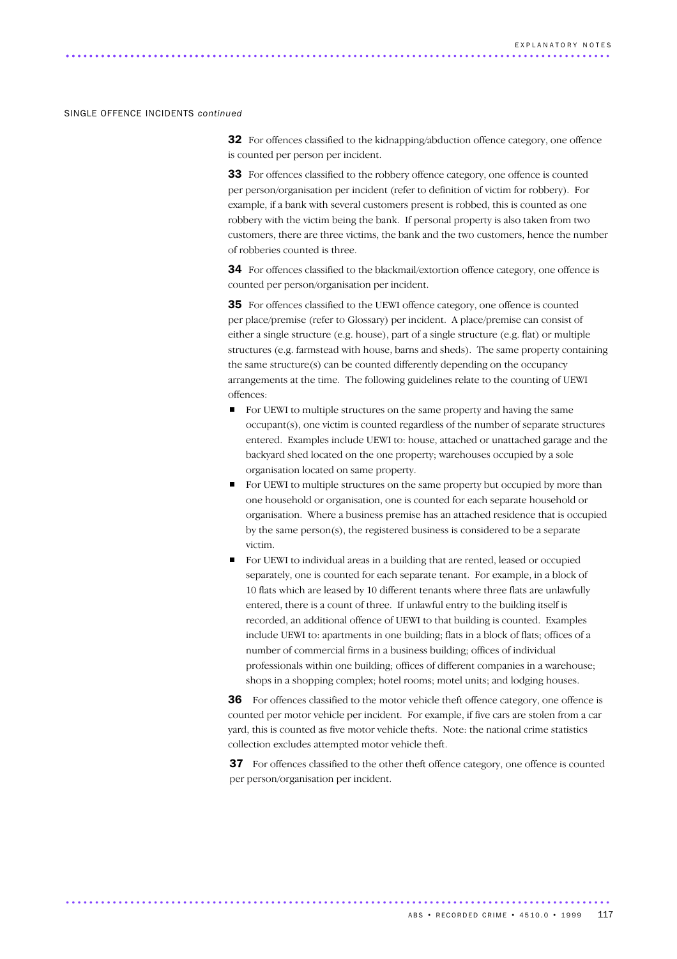### SINGLE OFFENCE INCIDENTS *continued*

32 For offences classified to the kidnapping/abduction offence category, one offence is counted per person per incident.

33 For offences classified to the robbery offence category, one offence is counted per person/organisation per incident (refer to definition of victim for robbery). For example, if a bank with several customers present is robbed, this is counted as one robbery with the victim being the bank. If personal property is also taken from two customers, there are three victims, the bank and the two customers, hence the number of robberies counted is three.

34 For offences classified to the blackmail/extortion offence category, one offence is counted per person/organisation per incident.

35 For offences classified to the UEWI offence category, one offence is counted per place/premise (refer to Glossary) per incident. A place/premise can consist of either a single structure (e.g. house), part of a single structure (e.g. flat) or multiple structures (e.g. farmstead with house, barns and sheds). The same property containing the same structure(s) can be counted differently depending on the occupancy arrangements at the time. The following guidelines relate to the counting of UEWI offences:

- For UEWI to multiple structures on the same property and having the same occupant(s), one victim is counted regardless of the number of separate structures entered. Examples include UEWI to: house, attached or unattached garage and the backyard shed located on the one property; warehouses occupied by a sole organisation located on same property.
- For UEWI to multiple structures on the same property but occupied by more than one household or organisation, one is counted for each separate household or organisation. Where a business premise has an attached residence that is occupied by the same person(s), the registered business is considered to be a separate victim.
- For UEWI to individual areas in a building that are rented, leased or occupied separately, one is counted for each separate tenant. For example, in a block of 10 flats which are leased by 10 different tenants where three flats are unlawfully entered, there is a count of three. If unlawful entry to the building itself is recorded, an additional offence of UEWI to that building is counted. Examples include UEWI to: apartments in one building; flats in a block of flats; offices of a number of commercial firms in a business building; offices of individual professionals within one building; offices of different companies in a warehouse; shops in a shopping complex; hotel rooms; motel units; and lodging houses.

36 For offences classified to the motor vehicle theft offence category, one offence is counted per motor vehicle per incident. For example, if five cars are stolen from a car yard, this is counted as five motor vehicle thefts. Note: the national crime statistics collection excludes attempted motor vehicle theft.

37 For offences classified to the other theft offence category, one offence is counted per person/organisation per incident.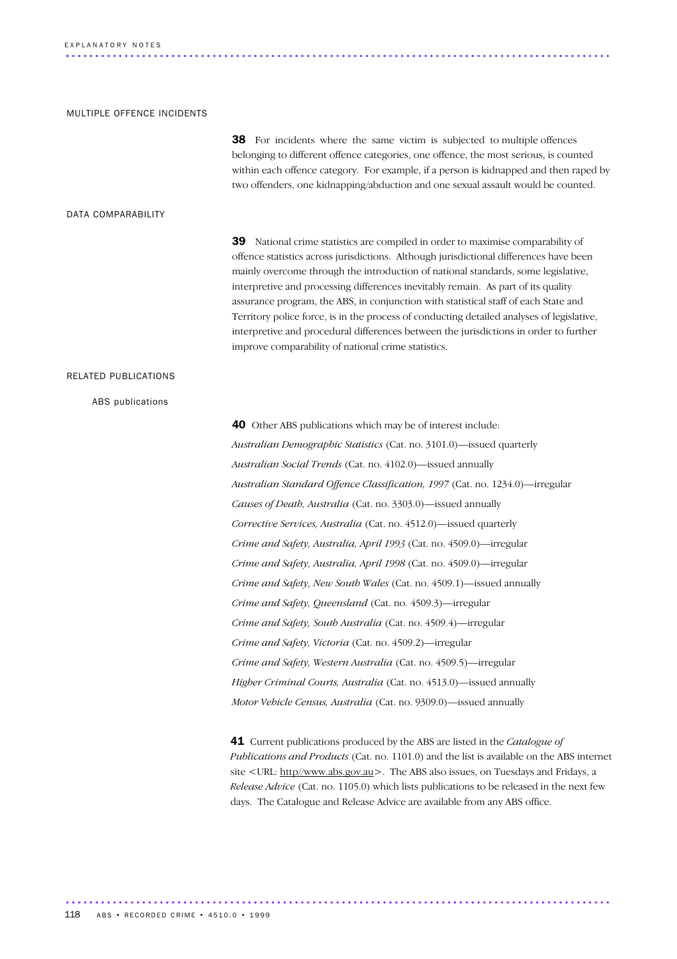### E X P L A N A T O R Y N O T E S ............................................................................................. .

### MULTIPLE OFFENCE INCIDENTS

38 For incidents where the same victim is subjected to multiple offences belonging to different offence categories, one offence, the most serious, is counted within each offence category. For example, if a person is kidnapped and then raped by two offenders, one kidnapping/abduction and one sexual assault would be counted.

### DATA COMPARABILITY

39 National crime statistics are compiled in order to maximise comparability of offence statistics across jurisdictions. Although jurisdictional differences have been mainly overcome through the introduction of national standards, some legislative, interpretive and processing differences inevitably remain. As part of its quality assurance program, the ABS, in conjunction with statistical staff of each State and Territory police force, is in the process of conducting detailed analyses of legislative, interpretive and procedural differences between the jurisdictions in order to further improve comparability of national crime statistics.

### RELATED PUBLICATIONS

### ABS publications

40 Other ABS publications which may be of interest include: *Australian Demographic Statistics* (Cat. no. 3101.0)—issued quarterly *Australian Social Trends* (Cat. no. 4102.0)—issued annually *Australian Standard Offence Classification, 1997* (Cat. no. 1234.0)—irregular *Causes of Death, Australia* (Cat. no. 3303.0)—issued annually *Corrective Services, Australia* (Cat. no. 4512.0)—issued quarterly *Crime and Safety, Australia, April 1993* (Cat. no. 4509.0)—irregular *Crime and Safety, Australia, April 1998* (Cat. no. 4509.0)—irregular *Crime and Safety, New South Wales* (Cat. no. 4509.1)—issued annually *Crime and Safety, Queensland* (Cat. no. 4509.3)—irregular *Crime and Safety, South Australia* (Cat. no. 4509.4)—irregular *Crime and Safety, Victoria* (Cat. no. 4509.2)—irregular *Crime and Safety, Western Australia* (Cat. no. 4509.5)—irregular *Higher Criminal Courts, Australia* (Cat. no. 4513.0)—issued annually *Motor Vehicle Census, Australia* (Cat. no. 9309.0)—issued annually

41 Current publications produced by the ABS are listed in the *Catalogue of Publications and Products* (Cat. no. 1101.0) and the list is available on the ABS internet site <URL: http//www.abs.gov.au>. The ABS also issues, on Tuesdays and Fridays, a *Release Advice* (Cat. no. 1105.0) which lists publications to be released in the next few days. The Catalogue and Release Advice are available from any ABS office.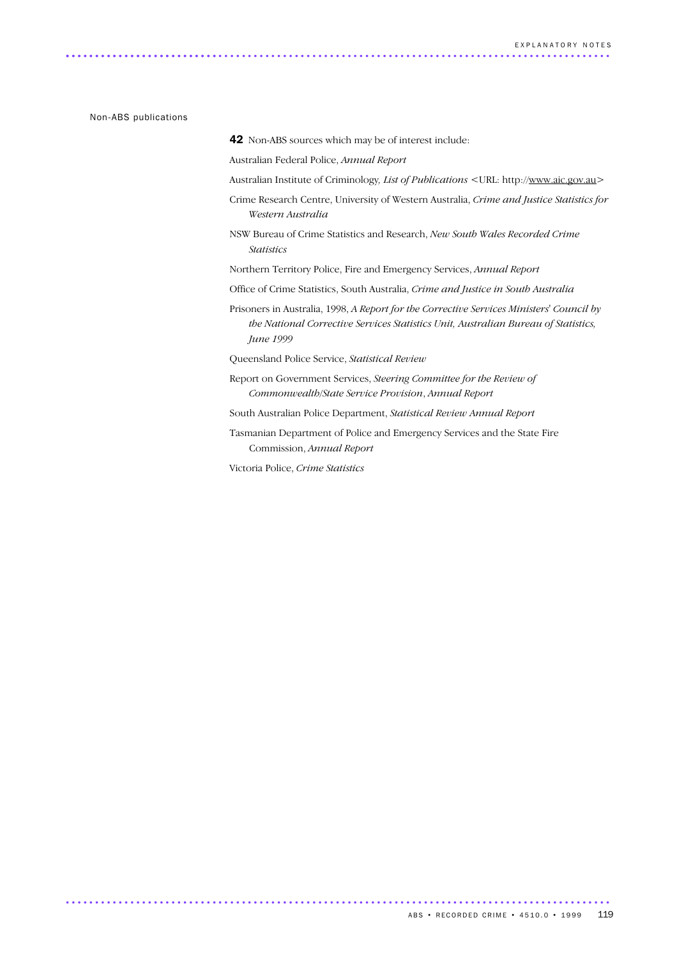Non-ABS publications

42 Non-ABS sources which may be of interest include:

Australian Federal Police, *Annual Report*

- Australian Institute of Criminology*, List of Publications* <URL: http://www.aic.gov.au>
- Crime Research Centre, University of Western Australia, *Crime and Justice Statistics for Western Australia*
- NSW Bureau of Crime Statistics and Research, *New South Wales Recorded Crime Statistics*

Northern Territory Police, Fire and Emergency Services, *Annual Report*

- Office of Crime Statistics, South Australia, *Crime and Justice in South Australia*
- Prisoners in Australia, 1998, *A Report for the Corrective Services Ministers' Council by the National Corrective Services Statistics Unit, Australian Bureau of Statistics, June 1999*

Queensland Police Service, *Statistical Review*

Report on Government Services, *Steering Committee for the Review of Commonwealth/State Service Provision*, *Annual Report*

South Australian Police Department, *Statistical Review Annual Report*

Tasmanian Department of Police and Emergency Services and the State Fire Commission, *Annual Report*

Victoria Police, *Crime Statistics*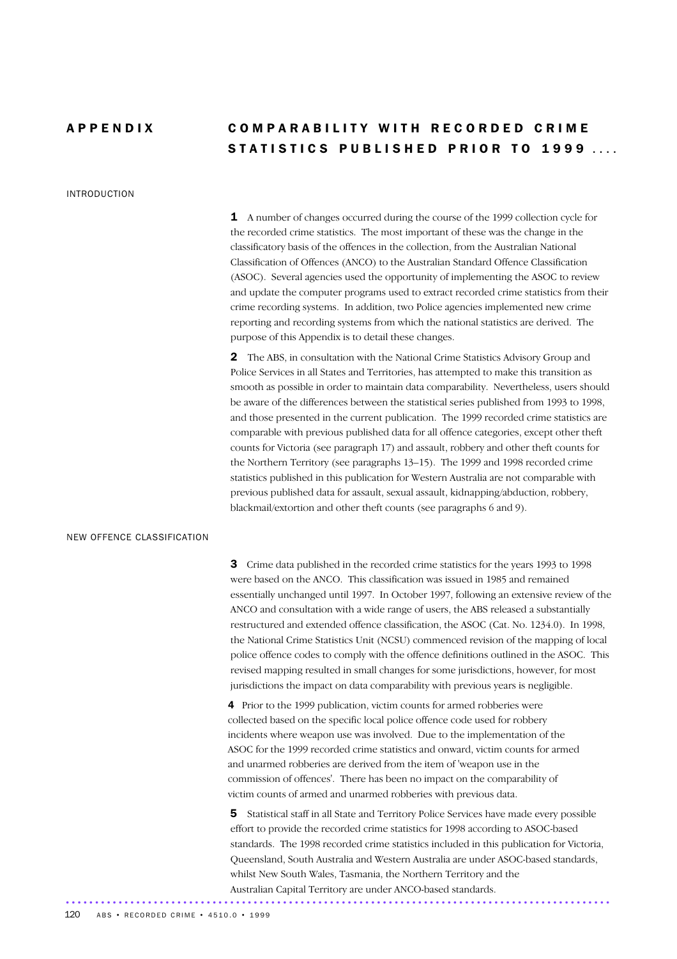### INTRODUCTION

# A P P E N D I X C O M P A R A B I LITY WITH RECORDED CRIME STATISTICS PUBLISHED PRIOR TO 1999

1 A number of changes occurred during the course of the 1999 collection cycle for the recorded crime statistics. The most important of these was the change in the classificatory basis of the offences in the collection, from the Australian National Classification of Offences (ANCO) to the Australian Standard Offence Classification (ASOC). Several agencies used the opportunity of implementing the ASOC to review and update the computer programs used to extract recorded crime statistics from their crime recording systems. In addition, two Police agencies implemented new crime reporting and recording systems from which the national statistics are derived. The purpose of this Appendix is to detail these changes.

2 The ABS, in consultation with the National Crime Statistics Advisory Group and Police Services in all States and Territories, has attempted to make this transition as smooth as possible in order to maintain data comparability. Nevertheless, users should be aware of the differences between the statistical series published from 1993 to 1998, and those presented in the current publication. The 1999 recorded crime statistics are comparable with previous published data for all offence categories, except other theft counts for Victoria (see paragraph 17) and assault, robbery and other theft counts for the Northern Territory (see paragraphs 13–15). The 1999 and 1998 recorded crime statistics published in this publication for Western Australia are not comparable with previous published data for assault, sexual assault, kidnapping/abduction, robbery, blackmail/extortion and other theft counts (see paragraphs 6 and 9).

### NEW OFFENCE CLASSIFICATION

3 Crime data published in the recorded crime statistics for the years 1993 to 1998 were based on the ANCO. This classification was issued in 1985 and remained essentially unchanged until 1997. In October 1997, following an extensive review of the ANCO and consultation with a wide range of users, the ABS released a substantially restructured and extended offence classification, the ASOC (Cat. No. 1234.0). In 1998, the National Crime Statistics Unit (NCSU) commenced revision of the mapping of local police offence codes to comply with the offence definitions outlined in the ASOC. This revised mapping resulted in small changes for some jurisdictions, however, for most jurisdictions the impact on data comparability with previous years is negligible.

4 Prior to the 1999 publication, victim counts for armed robberies were collected based on the specific local police offence code used for robbery incidents where weapon use was involved. Due to the implementation of the ASOC for the 1999 recorded crime statistics and onward, victim counts for armed and unarmed robberies are derived from the item of 'weapon use in the commission of offences'. There has been no impact on the comparability of victim counts of armed and unarmed robberies with previous data.

5 Statistical staff in all State and Territory Police Services have made every possible effort to provide the recorded crime statistics for 1998 according to ASOC-based standards. The 1998 recorded crime statistics included in this publication for Victoria, Queensland, South Australia and Western Australia are under ASOC-based standards, whilst New South Wales, Tasmania, the Northern Territory and the Australian Capital Territory are under ANCO-based standards. .............................................................................................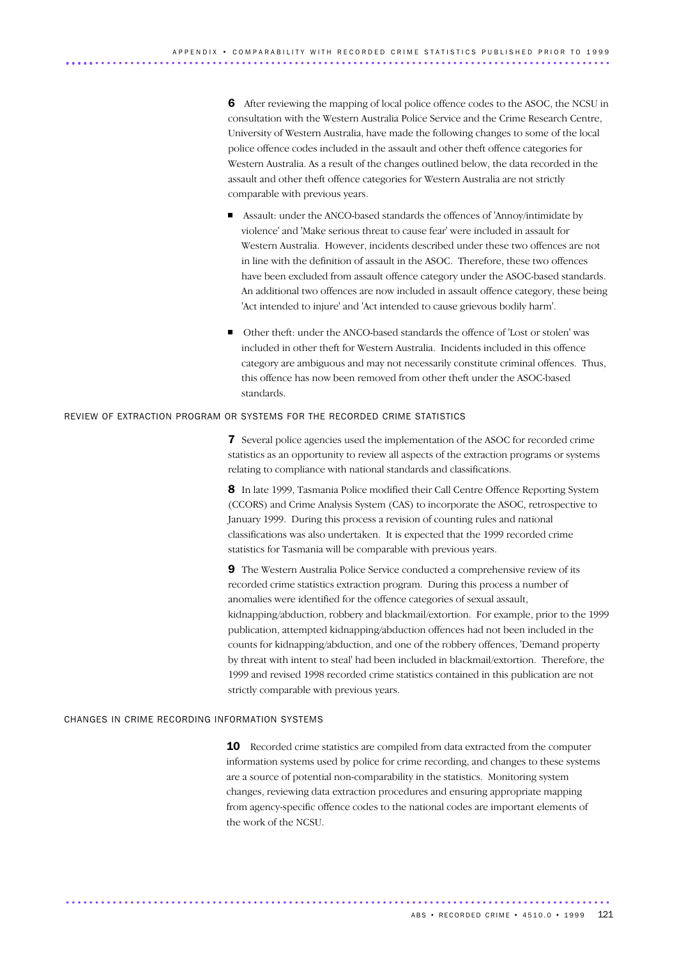6 After reviewing the mapping of local police offence codes to the ASOC, the NCSU in consultation with the Western Australia Police Service and the Crime Research Centre, University of Western Australia, have made the following changes to some of the local police offence codes included in the assault and other theft offence categories for Western Australia. As a result of the changes outlined below, the data recorded in the assault and other theft offence categories for Western Australia are not strictly comparable with previous years.

- Assault: under the ANCO-based standards the offences of 'Annoy/intimidate by violence' and 'Make serious threat to cause fear' were included in assault for Western Australia. However, incidents described under these two offences are not in line with the definition of assault in the ASOC. Therefore, these two offences have been excluded from assault offence category under the ASOC-based standards. An additional two offences are now included in assault offence category, these being 'Act intended to injure' and 'Act intended to cause grievous bodily harm'.
- Other theft: under the ANCO-based standards the offence of 'Lost or stolen' was included in other theft for Western Australia. Incidents included in this offence category are ambiguous and may not necessarily constitute criminal offences. Thus, this offence has now been removed from other theft under the ASOC-based standards.

### REVIEW OF EXTRACTION PROGRAM OR SYSTEMS FOR THE RECORDED CRIME STATISTICS

7 Several police agencies used the implementation of the ASOC for recorded crime statistics as an opportunity to review all aspects of the extraction programs or systems relating to compliance with national standards and classifications.

8 In late 1999, Tasmania Police modified their Call Centre Offence Reporting System (CCORS) and Crime Analysis System (CAS) to incorporate the ASOC, retrospective to January 1999. During this process a revision of counting rules and national classifications was also undertaken. It is expected that the 1999 recorded crime statistics for Tasmania will be comparable with previous years.

9 The Western Australia Police Service conducted a comprehensive review of its recorded crime statistics extraction program. During this process a number of anomalies were identified for the offence categories of sexual assault, kidnapping/abduction, robbery and blackmail/extortion. For example, prior to the 1999 publication, attempted kidnapping/abduction offences had not been included in the counts for kidnapping/abduction, and one of the robbery offences, 'Demand property by threat with intent to steal' had been included in blackmail/extortion. Therefore, the 1999 and revised 1998 recorded crime statistics contained in this publication are not strictly comparable with previous years.

### CHANGES IN CRIME RECORDING INFORMATION SYSTEMS

10 Recorded crime statistics are compiled from data extracted from the computer information systems used by police for crime recording, and changes to these systems are a source of potential non-comparability in the statistics. Monitoring system changes, reviewing data extraction procedures and ensuring appropriate mapping from agency-specific offence codes to the national codes are important elements of the work of the NCSU.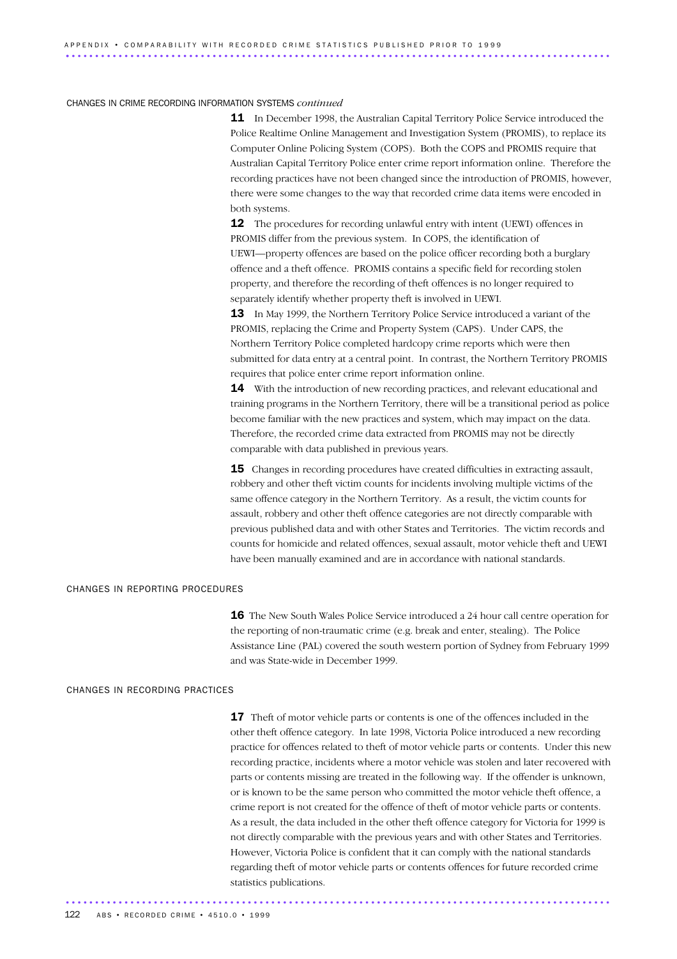### CHANGES IN CRIME RECORDING INFORMATION SYSTEMS *continued*

11 In December 1998, the Australian Capital Territory Police Service introduced the Police Realtime Online Management and Investigation System (PROMIS), to replace its Computer Online Policing System (COPS). Both the COPS and PROMIS require that Australian Capital Territory Police enter crime report information online. Therefore the recording practices have not been changed since the introduction of PROMIS, however, there were some changes to the way that recorded crime data items were encoded in both systems.

12 The procedures for recording unlawful entry with intent (UEWI) offences in PROMIS differ from the previous system. In COPS, the identification of UEWI—property offences are based on the police officer recording both a burglary offence and a theft offence. PROMIS contains a specific field for recording stolen property, and therefore the recording of theft offences is no longer required to separately identify whether property theft is involved in UEWI.

**13** In May 1999, the Northern Territory Police Service introduced a variant of the PROMIS, replacing the Crime and Property System (CAPS). Under CAPS, the Northern Territory Police completed hardcopy crime reports which were then submitted for data entry at a central point. In contrast, the Northern Territory PROMIS requires that police enter crime report information online.

**14** With the introduction of new recording practices, and relevant educational and training programs in the Northern Territory, there will be a transitional period as police become familiar with the new practices and system, which may impact on the data. Therefore, the recorded crime data extracted from PROMIS may not be directly comparable with data published in previous years.

**15** Changes in recording procedures have created difficulties in extracting assault. robbery and other theft victim counts for incidents involving multiple victims of the same offence category in the Northern Territory. As a result, the victim counts for assault, robbery and other theft offence categories are not directly comparable with previous published data and with other States and Territories. The victim records and counts for homicide and related offences, sexual assault, motor vehicle theft and UEWI have been manually examined and are in accordance with national standards.

### CHANGES IN REPORTING PROCEDURES

16 The New South Wales Police Service introduced a 24 hour call centre operation for the reporting of non-traumatic crime (e.g. break and enter, stealing). The Police Assistance Line (PAL) covered the south western portion of Sydney from February 1999 and was State-wide in December 1999.

### CHANGES IN RECORDING PRACTICES

**17** Theft of motor vehicle parts or contents is one of the offences included in the other theft offence category. In late 1998, Victoria Police introduced a new recording practice for offences related to theft of motor vehicle parts or contents. Under this new recording practice, incidents where a motor vehicle was stolen and later recovered with parts or contents missing are treated in the following way. If the offender is unknown, or is known to be the same person who committed the motor vehicle theft offence, a crime report is not created for the offence of theft of motor vehicle parts or contents. As a result, the data included in the other theft offence category for Victoria for 1999 is not directly comparable with the previous years and with other States and Territories. However, Victoria Police is confident that it can comply with the national standards regarding theft of motor vehicle parts or contents offences for future recorded crime statistics publications. .............................................................................................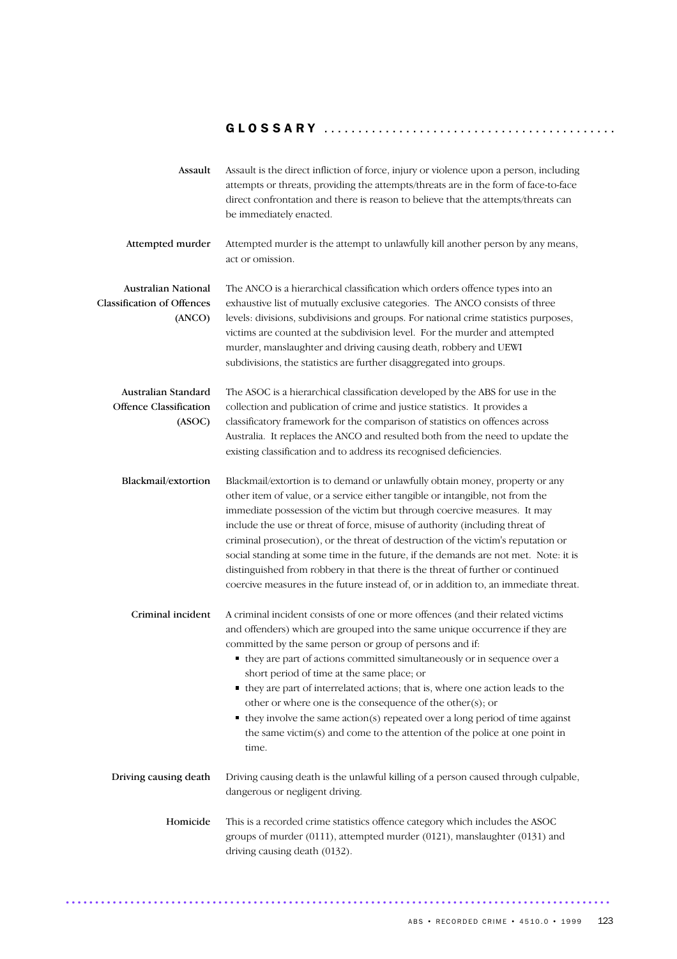| Assault                                                            | Assault is the direct infliction of force, injury or violence upon a person, including<br>attempts or threats, providing the attempts/threats are in the form of face-to-face<br>direct confrontation and there is reason to believe that the attempts/threats can<br>be immediately enacted.                                                                                                                                                                                                                                                                                                                                                                                                 |
|--------------------------------------------------------------------|-----------------------------------------------------------------------------------------------------------------------------------------------------------------------------------------------------------------------------------------------------------------------------------------------------------------------------------------------------------------------------------------------------------------------------------------------------------------------------------------------------------------------------------------------------------------------------------------------------------------------------------------------------------------------------------------------|
| Attempted murder                                                   | Attempted murder is the attempt to unlawfully kill another person by any means,<br>act or omission.                                                                                                                                                                                                                                                                                                                                                                                                                                                                                                                                                                                           |
| Australian National<br><b>Classification of Offences</b><br>(ANCO) | The ANCO is a hierarchical classification which orders offence types into an<br>exhaustive list of mutually exclusive categories. The ANCO consists of three<br>levels: divisions, subdivisions and groups. For national crime statistics purposes,<br>victims are counted at the subdivision level. For the murder and attempted<br>murder, manslaughter and driving causing death, robbery and UEWI<br>subdivisions, the statistics are further disaggregated into groups.                                                                                                                                                                                                                  |
| Australian Standard<br><b>Offence Classification</b><br>(ASOC)     | The ASOC is a hierarchical classification developed by the ABS for use in the<br>collection and publication of crime and justice statistics. It provides a<br>classificatory framework for the comparison of statistics on offences across<br>Australia. It replaces the ANCO and resulted both from the need to update the<br>existing classification and to address its recognised deficiencies.                                                                                                                                                                                                                                                                                            |
| Blackmail/extortion                                                | Blackmail/extortion is to demand or unlawfully obtain money, property or any<br>other item of value, or a service either tangible or intangible, not from the<br>immediate possession of the victim but through coercive measures. It may<br>include the use or threat of force, misuse of authority (including threat of<br>criminal prosecution), or the threat of destruction of the victim's reputation or<br>social standing at some time in the future, if the demands are not met. Note: it is<br>distinguished from robbery in that there is the threat of further or continued<br>coercive measures in the future instead of, or in addition to, an immediate threat.                |
| Criminal incident                                                  | A criminal incident consists of one or more offences (and their related victims<br>and offenders) which are grouped into the same unique occurrence if they are<br>committed by the same person or group of persons and if:<br>• they are part of actions committed simultaneously or in sequence over a<br>short period of time at the same place; or<br>• they are part of interrelated actions; that is, where one action leads to the<br>other or where one is the consequence of the other $(s)$ ; or<br>$\bullet$ they involve the same action(s) repeated over a long period of time against<br>the same victim $(s)$ and come to the attention of the police at one point in<br>time. |
| Driving causing death                                              | Driving causing death is the unlawful killing of a person caused through culpable,<br>dangerous or negligent driving.                                                                                                                                                                                                                                                                                                                                                                                                                                                                                                                                                                         |
| Homicide                                                           | This is a recorded crime statistics offence category which includes the ASOC<br>groups of murder (0111), attempted murder (0121), manslaughter (0131) and<br>driving causing death (0132).                                                                                                                                                                                                                                                                                                                                                                                                                                                                                                    |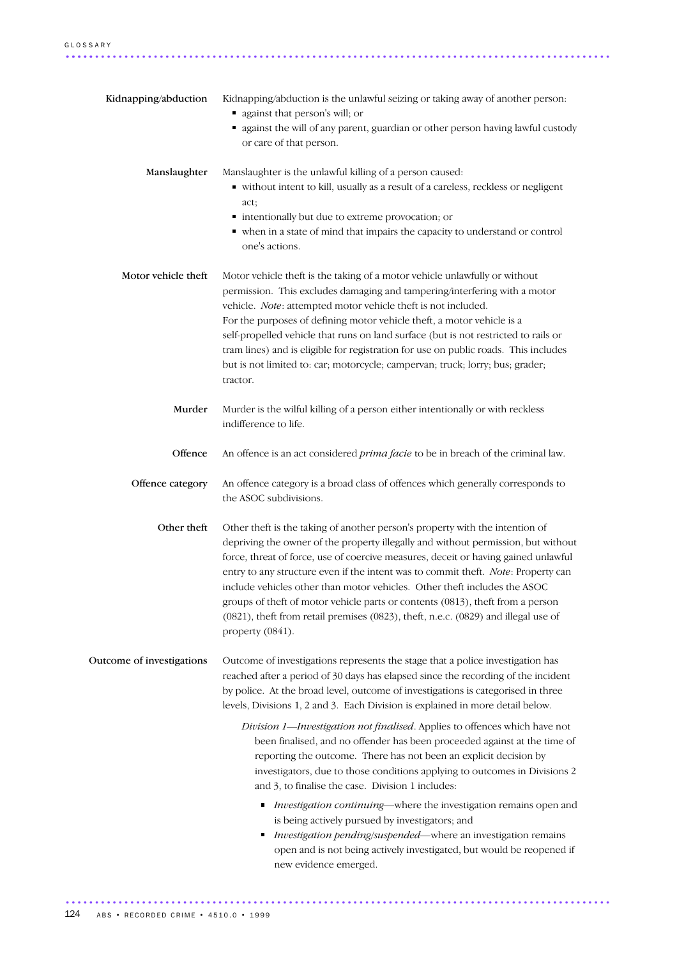| Kidnapping/abduction      | Kidnapping/abduction is the unlawful seizing or taking away of another person:<br>quark against that person's will; or<br>• against the will of any parent, guardian or other person having lawful custody<br>or care of that person.                                                                                                                                                                                                                                                                                                                                                                                 |
|---------------------------|-----------------------------------------------------------------------------------------------------------------------------------------------------------------------------------------------------------------------------------------------------------------------------------------------------------------------------------------------------------------------------------------------------------------------------------------------------------------------------------------------------------------------------------------------------------------------------------------------------------------------|
| Manslaughter              | Manslaughter is the unlawful killing of a person caused:<br>• without intent to kill, usually as a result of a careless, reckless or negligent<br>act;<br>· intentionally but due to extreme provocation; or<br>• when in a state of mind that impairs the capacity to understand or control<br>one's actions.                                                                                                                                                                                                                                                                                                        |
| Motor vehicle theft       | Motor vehicle theft is the taking of a motor vehicle unlawfully or without<br>permission. This excludes damaging and tampering/interfering with a motor<br>vehicle. Note: attempted motor vehicle theft is not included.<br>For the purposes of defining motor vehicle theft, a motor vehicle is a<br>self-propelled vehicle that runs on land surface (but is not restricted to rails or<br>tram lines) and is eligible for registration for use on public roads. This includes<br>but is not limited to: car; motorcycle; campervan; truck; lorry; bus; grader;<br>tractor.                                         |
| Murder                    | Murder is the wilful killing of a person either intentionally or with reckless<br>indifference to life.                                                                                                                                                                                                                                                                                                                                                                                                                                                                                                               |
| Offence                   | An offence is an act considered prima facie to be in breach of the criminal law.                                                                                                                                                                                                                                                                                                                                                                                                                                                                                                                                      |
| Offence category          | An offence category is a broad class of offences which generally corresponds to<br>the ASOC subdivisions.                                                                                                                                                                                                                                                                                                                                                                                                                                                                                                             |
| Other theft               | Other theft is the taking of another person's property with the intention of<br>depriving the owner of the property illegally and without permission, but without<br>force, threat of force, use of coercive measures, deceit or having gained unlawful<br>entry to any structure even if the intent was to commit theft. Note: Property can<br>include vehicles other than motor vehicles. Other theft includes the ASOC<br>groups of theft of motor vehicle parts or contents (0813), theft from a person<br>(0821), theft from retail premises (0823), theft, n.e.c. (0829) and illegal use of<br>property (0841). |
| Outcome of investigations | Outcome of investigations represents the stage that a police investigation has<br>reached after a period of 30 days has elapsed since the recording of the incident<br>by police. At the broad level, outcome of investigations is categorised in three<br>levels, Divisions 1, 2 and 3. Each Division is explained in more detail below.                                                                                                                                                                                                                                                                             |
|                           | Division 1-Investigation not finalised. Applies to offences which have not<br>been finalised, and no offender has been proceeded against at the time of<br>reporting the outcome. There has not been an explicit decision by<br>investigators, due to those conditions applying to outcomes in Divisions 2<br>and 3, to finalise the case. Division 1 includes:                                                                                                                                                                                                                                                       |
|                           | Investigation continuing—where the investigation remains open and<br>is being actively pursued by investigators; and<br>Investigation pending/suspended-where an investigation remains<br>open and is not being actively investigated, but would be reopened if<br>new evidence emerged.                                                                                                                                                                                                                                                                                                                              |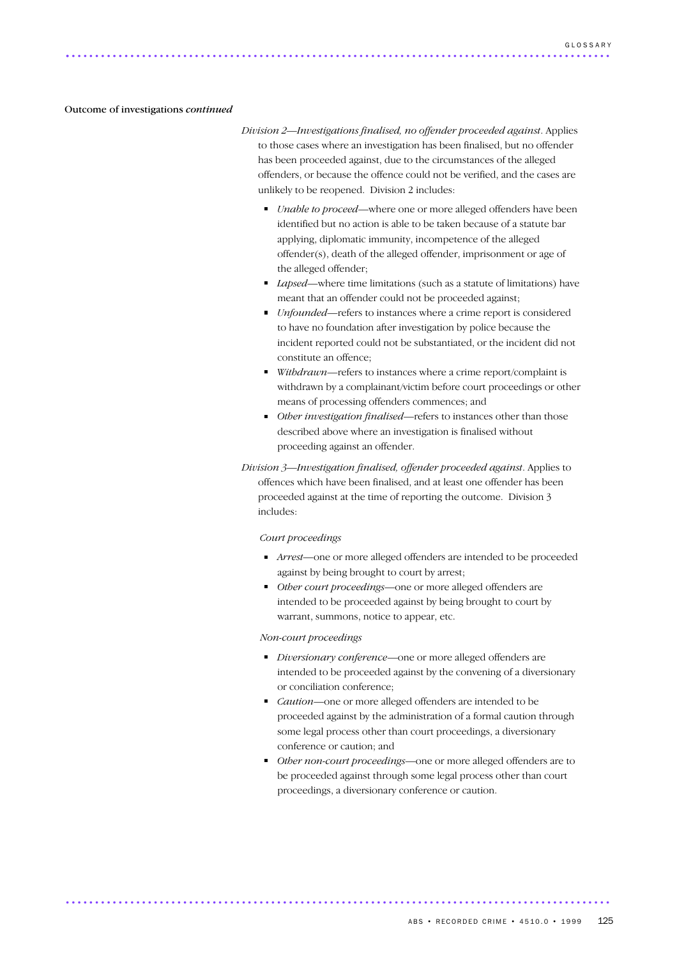### Outcome of investigations *continued*

*Division 2—Investigations finalised, no offender proceeded against*. Applies to those cases where an investigation has been finalised, but no offender has been proceeded against, due to the circumstances of the alleged offenders, or because the offence could not be verified, and the cases are unlikely to be reopened. Division 2 includes:

- *Unable to proceed*—where one or more alleged offenders have been identified but no action is able to be taken because of a statute bar applying, diplomatic immunity, incompetence of the alleged offender(s), death of the alleged offender, imprisonment or age of the alleged offender;
- *Lapsed*—where time limitations (such as a statute of limitations) have meant that an offender could not be proceeded against;
- *Unfounded*—refers to instances where a crime report is considered to have no foundation after investigation by police because the incident reported could not be substantiated, or the incident did not constitute an offence;
- *Withdrawn*—refers to instances where a crime report/complaint is withdrawn by a complainant/victim before court proceedings or other means of processing offenders commences; and
- *Other investigation finalised*—refers to instances other than those described above where an investigation is finalised without proceeding against an offender.

*Division 3—Investigation finalised, offender proceeded against*. Applies to offences which have been finalised, and at least one offender has been proceeded against at the time of reporting the outcome. Division 3 includes:

### *Court proceedings*

- *Arrest—*one or more alleged offenders are intended to be proceeded against by being brought to court by arrest;
- *Other court proceedings*—one or more alleged offenders are intended to be proceeded against by being brought to court by warrant, summons, notice to appear, etc.

### *Non-court proceedings*

- *Diversionary conference*—one or more alleged offenders are intended to be proceeded against by the convening of a diversionary or conciliation conference;
- *Caution*—one or more alleged offenders are intended to be proceeded against by the administration of a formal caution through some legal process other than court proceedings, a diversionary conference or caution; and
- *Other non-court proceedings*—one or more alleged offenders are to be proceeded against through some legal process other than court proceedings, a diversionary conference or caution.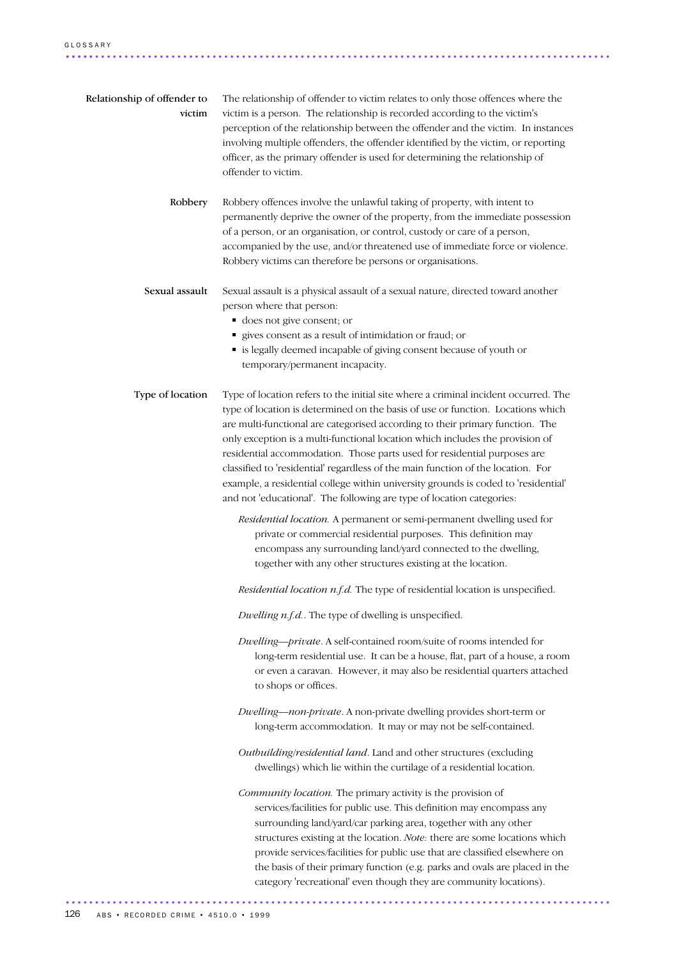| Relationship of offender to<br>victim | The relationship of offender to victim relates to only those offences where the<br>victim is a person. The relationship is recorded according to the victim's<br>perception of the relationship between the offender and the victim. In instances<br>involving multiple offenders, the offender identified by the victim, or reporting<br>officer, as the primary offender is used for determining the relationship of<br>offender to victim.                                                                                                                                                                                                                           |
|---------------------------------------|-------------------------------------------------------------------------------------------------------------------------------------------------------------------------------------------------------------------------------------------------------------------------------------------------------------------------------------------------------------------------------------------------------------------------------------------------------------------------------------------------------------------------------------------------------------------------------------------------------------------------------------------------------------------------|
| Robbery                               | Robbery offences involve the unlawful taking of property, with intent to<br>permanently deprive the owner of the property, from the immediate possession<br>of a person, or an organisation, or control, custody or care of a person,<br>accompanied by the use, and/or threatened use of immediate force or violence.<br>Robbery victims can therefore be persons or organisations.                                                                                                                                                                                                                                                                                    |
| Sexual assault                        | Sexual assault is a physical assault of a sexual nature, directed toward another<br>person where that person:<br>does not give consent; or<br>" gives consent as a result of intimidation or fraud; or<br>is legally deemed incapable of giving consent because of youth or<br>temporary/permanent incapacity.                                                                                                                                                                                                                                                                                                                                                          |
| Type of location                      | Type of location refers to the initial site where a criminal incident occurred. The<br>type of location is determined on the basis of use or function. Locations which<br>are multi-functional are categorised according to their primary function. The<br>only exception is a multi-functional location which includes the provision of<br>residential accommodation. Those parts used for residential purposes are<br>classified to 'residential' regardless of the main function of the location. For<br>example, a residential college within university grounds is coded to 'residential'<br>and not 'educational'. The following are type of location categories: |
|                                       | Residential location. A permanent or semi-permanent dwelling used for<br>private or commercial residential purposes. This definition may<br>encompass any surrounding land/yard connected to the dwelling,<br>together with any other structures existing at the location.                                                                                                                                                                                                                                                                                                                                                                                              |
|                                       | Residential location $n.f.d$ . The type of residential location is unspecified.                                                                                                                                                                                                                                                                                                                                                                                                                                                                                                                                                                                         |
|                                       | Dwelling n.f.d The type of dwelling is unspecified.                                                                                                                                                                                                                                                                                                                                                                                                                                                                                                                                                                                                                     |
|                                       | Dwelling-private. A self-contained room/suite of rooms intended for<br>long-term residential use. It can be a house, flat, part of a house, a room<br>or even a caravan. However, it may also be residential quarters attached<br>to shops or offices.                                                                                                                                                                                                                                                                                                                                                                                                                  |
|                                       | Dwelling-non-private. A non-private dwelling provides short-term or<br>long-term accommodation. It may or may not be self-contained.                                                                                                                                                                                                                                                                                                                                                                                                                                                                                                                                    |
|                                       | Outbuilding/residential land. Land and other structures (excluding<br>dwellings) which lie within the curtilage of a residential location.                                                                                                                                                                                                                                                                                                                                                                                                                                                                                                                              |
|                                       | Community location. The primary activity is the provision of<br>services/facilities for public use. This definition may encompass any<br>surrounding land/yard/car parking area, together with any other<br>structures existing at the location. Note: there are some locations which<br>provide services/facilities for public use that are classified elsewhere on<br>the basis of their primary function (e.g. parks and ovals are placed in the<br>category 'recreational' even though they are community locations).                                                                                                                                               |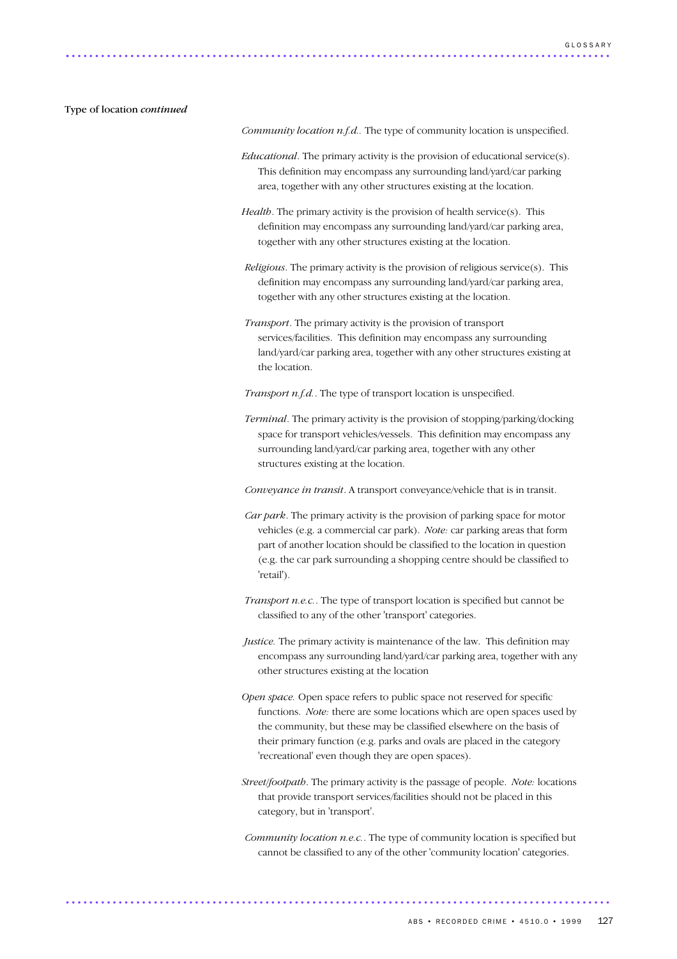### Type of location *continued*

*Community location n.f.d..* The type of community location is unspecified.

- *Educational*. The primary activity is the provision of educational service(s). This definition may encompass any surrounding land/yard/car parking area, together with any other structures existing at the location.
- *Health*. The primary activity is the provision of health service(s). This definition may encompass any surrounding land/yard/car parking area, together with any other structures existing at the location.
- *Religious*. The primary activity is the provision of religious service(s). This definition may encompass any surrounding land/yard/car parking area, together with any other structures existing at the location.
- *Transport*. The primary activity is the provision of transport services/facilities. This definition may encompass any surrounding land/yard/car parking area, together with any other structures existing at the location.
- *Transport n.f.d.*. The type of transport location is unspecified.
- *Terminal*. The primary activity is the provision of stopping/parking/docking space for transport vehicles/vessels. This definition may encompass any surrounding land/yard/car parking area, together with any other structures existing at the location.
- *Conveyance in transit*. A transport conveyance/vehicle that is in transit.
- *Car park*. The primary activity is the provision of parking space for motor vehicles (e.g. a commercial car park). *Note:* car parking areas that form part of another location should be classified to the location in question (e.g. the car park surrounding a shopping centre should be classified to 'retail').
- *Transport n.e.c.*. The type of transport location is specified but cannot be classified to any of the other 'transport' categories.
- *Justice.* The primary activity is maintenance of the law. This definition may encompass any surrounding land/yard/car parking area, together with any other structures existing at the location
- *Open space.* Open space refers to public space not reserved for specific functions. *Note:* there are some locations which are open spaces used by the community, but these may be classified elsewhere on the basis of their primary function (e.g. parks and ovals are placed in the category 'recreational' even though they are open spaces).
- *Street/footpath*. The primary activity is the passage of people. *Note:* locations that provide transport services/facilities should not be placed in this category, but in 'transport'.
- *Community location n.e.c.*. The type of community location is specified but cannot be classified to any of the other 'community location' categories.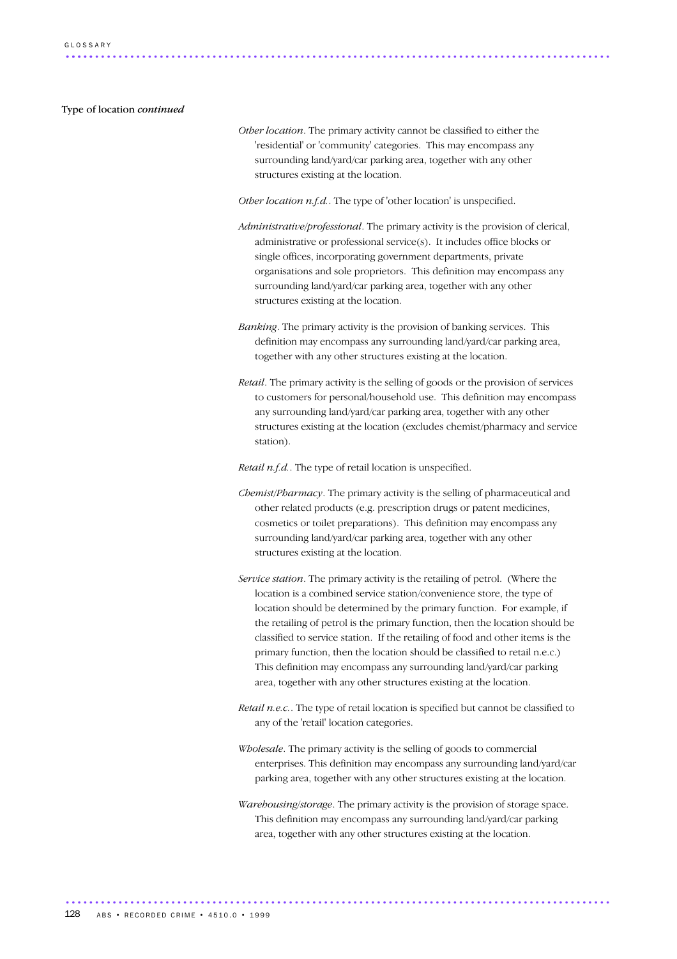Type of location *continued*

*Other location*. The primary activity cannot be classified to either the 'residential' or 'community' categories. This may encompass any surrounding land/yard/car parking area, together with any other structures existing at the location.

*Other location n.f.d.*. The type of 'other location' is unspecified.

- *Administrative/professional*. The primary activity is the provision of clerical, administrative or professional service(s). It includes office blocks or single offices, incorporating government departments, private organisations and sole proprietors. This definition may encompass any surrounding land/yard/car parking area, together with any other structures existing at the location.
- *Banking*. The primary activity is the provision of banking services. This definition may encompass any surrounding land/yard/car parking area, together with any other structures existing at the location.
- *Retail*. The primary activity is the selling of goods or the provision of services to customers for personal/household use. This definition may encompass any surrounding land/yard/car parking area, together with any other structures existing at the location (excludes chemist/pharmacy and service station).

*Retail n.f.d.*. The type of retail location is unspecified.

- *Chemist/Pharmacy*. The primary activity is the selling of pharmaceutical and other related products (e.g. prescription drugs or patent medicines, cosmetics or toilet preparations). This definition may encompass any surrounding land/yard/car parking area, together with any other structures existing at the location.
- *Service station*. The primary activity is the retailing of petrol. (Where the location is a combined service station/convenience store, the type of location should be determined by the primary function. For example, if the retailing of petrol is the primary function, then the location should be classified to service station. If the retailing of food and other items is the primary function, then the location should be classified to retail n.e.c.) This definition may encompass any surrounding land/yard/car parking area, together with any other structures existing at the location.
- *Retail n.e.c.*. The type of retail location is specified but cannot be classified to any of the 'retail' location categories.
- *Wholesale*. The primary activity is the selling of goods to commercial enterprises. This definition may encompass any surrounding land/yard/car parking area, together with any other structures existing at the location.
- *Warehousing/storage*. The primary activity is the provision of storage space. This definition may encompass any surrounding land/yard/car parking area, together with any other structures existing at the location.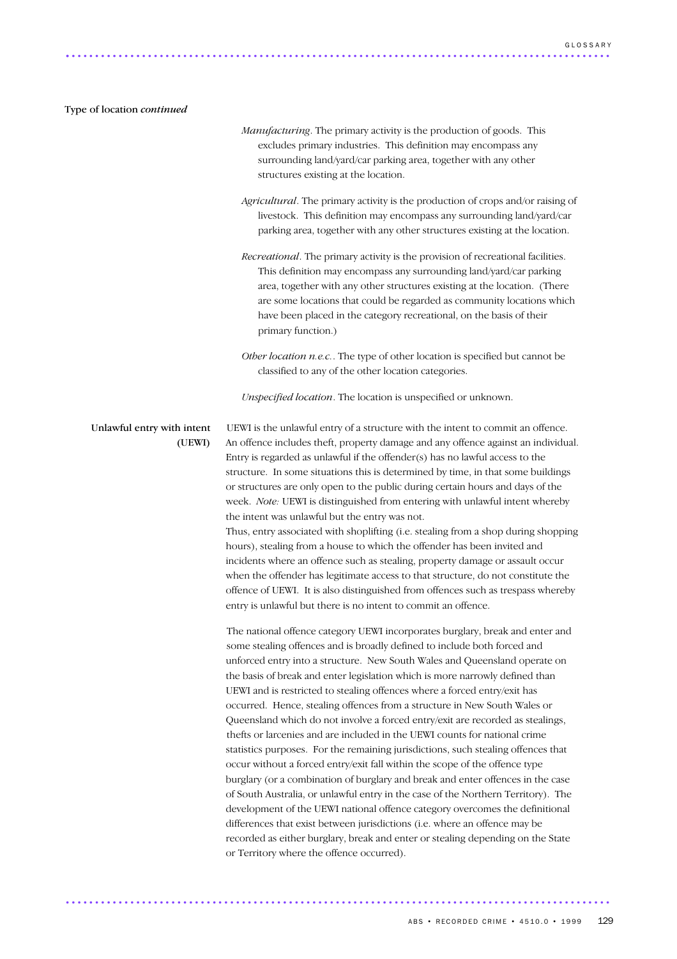### Type of location *continued*

- *Manufacturing*. The primary activity is the production of goods. This excludes primary industries. This definition may encompass any surrounding land/yard/car parking area, together with any other structures existing at the location.
- *Agricultural*. The primary activity is the production of crops and/or raising of livestock. This definition may encompass any surrounding land/yard/car parking area, together with any other structures existing at the location.
- *Recreational*. The primary activity is the provision of recreational facilities. This definition may encompass any surrounding land/yard/car parking area, together with any other structures existing at the location. (There are some locations that could be regarded as community locations which have been placed in the category recreational, on the basis of their primary function.)
- *Other location n.e.c.*. The type of other location is specified but cannot be classified to any of the other location categories.

*Unspecified location*. The location is unspecified or unknown.

Unlawful entry with intent UEWI is the unlawful entry of a structure with the intent to commit an offence. (UEWI) An offence includes theft, property damage and any offence against an individual. Entry is regarded as unlawful if the offender(s) has no lawful access to the structure. In some situations this is determined by time, in that some buildings or structures are only open to the public during certain hours and days of the week. *Note:* UEWI is distinguished from entering with unlawful intent whereby the intent was unlawful but the entry was not.

> Thus, entry associated with shoplifting (i.e. stealing from a shop during shopping hours), stealing from a house to which the offender has been invited and incidents where an offence such as stealing, property damage or assault occur when the offender has legitimate access to that structure, do not constitute the offence of UEWI. It is also distinguished from offences such as trespass whereby entry is unlawful but there is no intent to commit an offence.

The national offence category UEWI incorporates burglary, break and enter and some stealing offences and is broadly defined to include both forced and unforced entry into a structure. New South Wales and Queensland operate on the basis of break and enter legislation which is more narrowly defined than UEWI and is restricted to stealing offences where a forced entry/exit has occurred. Hence, stealing offences from a structure in New South Wales or Queensland which do not involve a forced entry/exit are recorded as stealings, thefts or larcenies and are included in the UEWI counts for national crime statistics purposes. For the remaining jurisdictions, such stealing offences that occur without a forced entry/exit fall within the scope of the offence type burglary (or a combination of burglary and break and enter offences in the case of South Australia, or unlawful entry in the case of the Northern Territory). The development of the UEWI national offence category overcomes the definitional differences that exist between jurisdictions (i.e. where an offence may be recorded as either burglary, break and enter or stealing depending on the State or Territory where the offence occurred).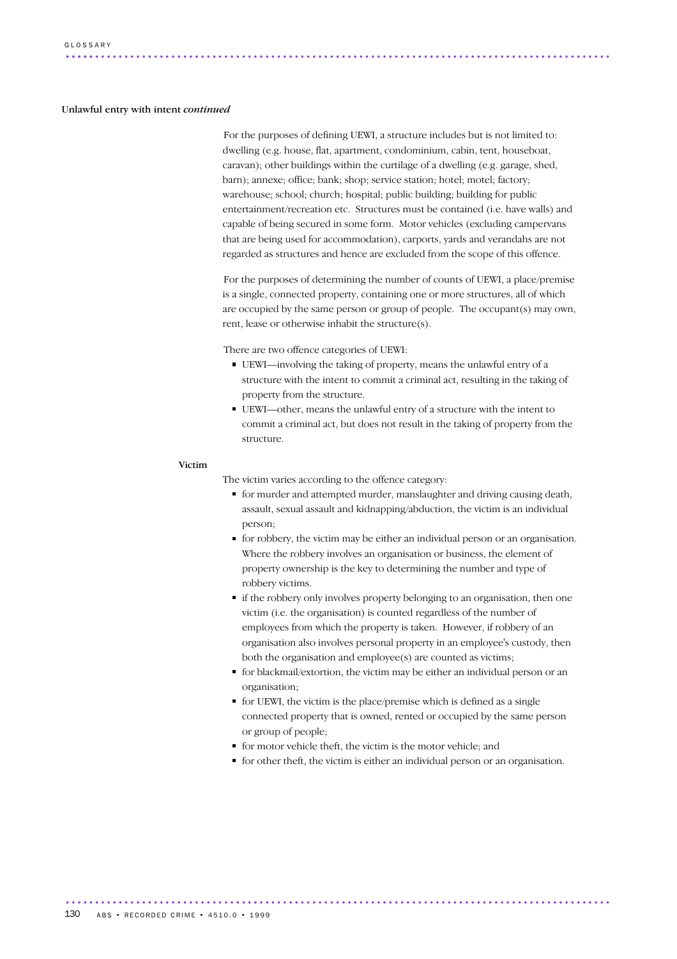### Unlawful entry with intent *continued*

For the purposes of defining UEWI, a structure includes but is not limited to: dwelling (e.g. house, flat, apartment, condominium, cabin, tent, houseboat, caravan); other buildings within the curtilage of a dwelling (e.g. garage, shed, barn); annexe; office; bank; shop; service station; hotel; motel; factory; warehouse; school; church; hospital; public building; building for public entertainment/recreation etc. Structures must be contained (i.e. have walls) and capable of being secured in some form. Motor vehicles (excluding campervans that are being used for accommodation), carports, yards and verandahs are not regarded as structures and hence are excluded from the scope of this offence.

For the purposes of determining the number of counts of UEWI, a place/premise is a single, connected property, containing one or more structures, all of which are occupied by the same person or group of people. The occupant(s) may own, rent, lease or otherwise inhabit the structure(s).

There are two offence categories of UEWI:

- UEWI—involving the taking of property, means the unlawful entry of a structure with the intent to commit a criminal act, resulting in the taking of property from the structure.
- UEWI—other, means the unlawful entry of a structure with the intent to commit a criminal act, but does not result in the taking of property from the structure.

### Victim

The victim varies according to the offence category:

- for murder and attempted murder, manslaughter and driving causing death, assault, sexual assault and kidnapping/abduction, the victim is an individual person;
- for robbery, the victim may be either an individual person or an organisation. Where the robbery involves an organisation or business, the element of property ownership is the key to determining the number and type of robbery victims.
- if the robbery only involves property belonging to an organisation, then one victim (i.e. the organisation) is counted regardless of the number of employees from which the property is taken. However, if robbery of an organisation also involves personal property in an employee's custody, then both the organisation and employee(s) are counted as victims;
- for blackmail/extortion, the victim may be either an individual person or an organisation;
- for UEWI, the victim is the place/premise which is defined as a single connected property that is owned, rented or occupied by the same person or group of people;
- for motor vehicle theft, the victim is the motor vehicle; and
- for other theft, the victim is either an individual person or an organisation.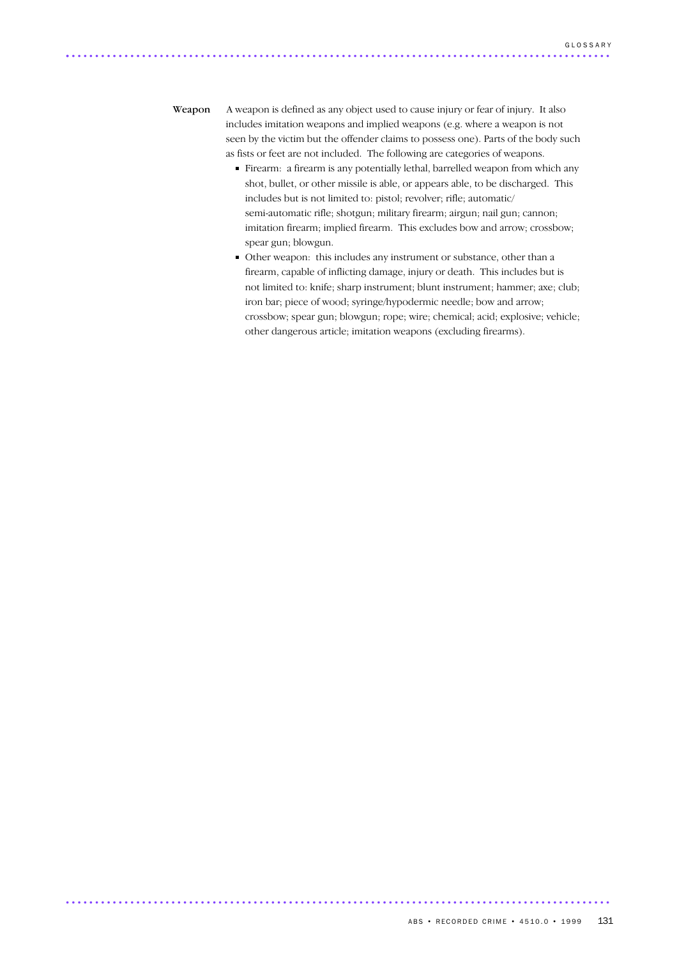Weapon A weapon is defined as any object used to cause injury or fear of injury. It also includes imitation weapons and implied weapons (e.g. where a weapon is not seen by the victim but the offender claims to possess one). Parts of the body such as fists or feet are not included. The following are categories of weapons.

- Firearm: a firearm is any potentially lethal, barrelled weapon from which any shot, bullet, or other missile is able, or appears able, to be discharged. This includes but is not limited to: pistol; revolver; rifle; automatic/ semi-automatic rifle; shotgun; military firearm; airgun; nail gun; cannon; imitation firearm; implied firearm. This excludes bow and arrow; crossbow; spear gun; blowgun.
- Other weapon: this includes any instrument or substance, other than a firearm, capable of inflicting damage, injury or death. This includes but is not limited to: knife; sharp instrument; blunt instrument; hammer; axe; club; iron bar; piece of wood; syringe/hypodermic needle; bow and arrow; crossbow; spear gun; blowgun; rope; wire; chemical; acid; explosive; vehicle; other dangerous article; imitation weapons (excluding firearms).